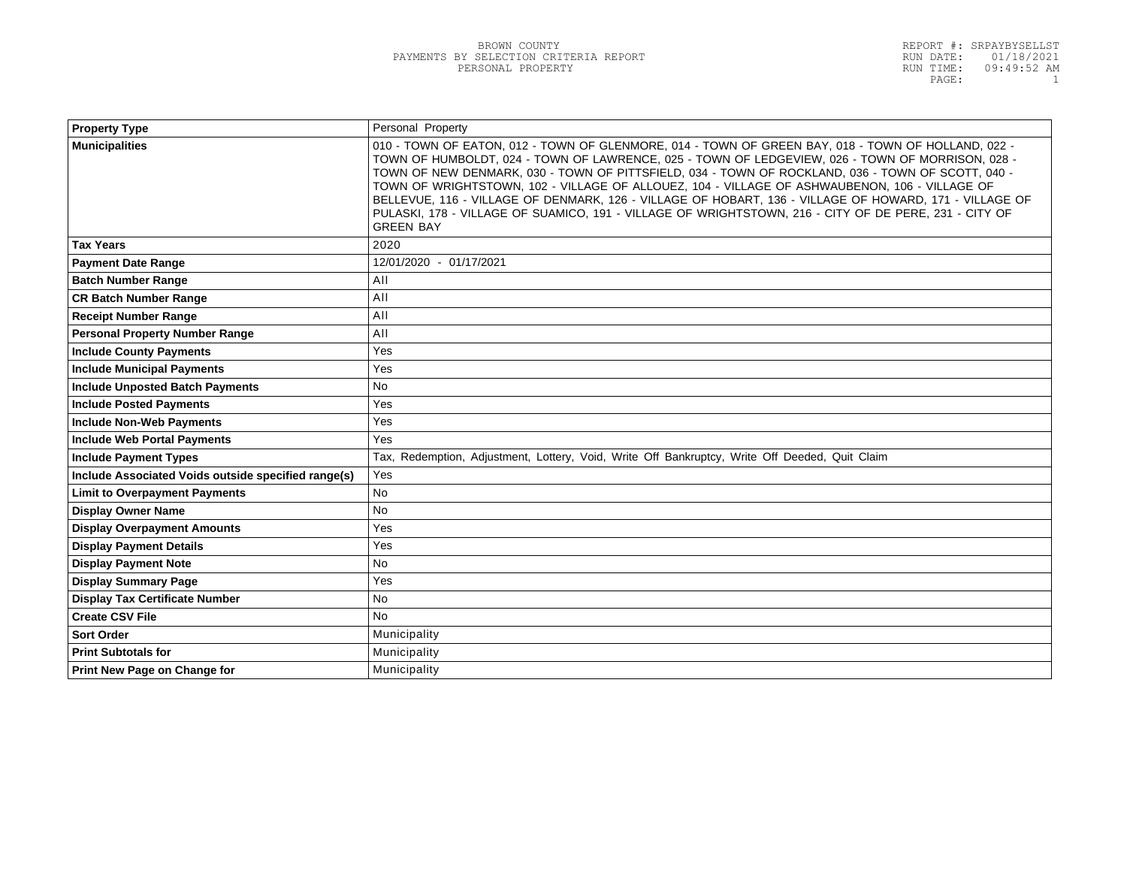| <b>Property Type</b>                                | Personal Property                                                                                                                                                                                                                                                                                                                                                                                                                                                                                                                                                                                                                                   |
|-----------------------------------------------------|-----------------------------------------------------------------------------------------------------------------------------------------------------------------------------------------------------------------------------------------------------------------------------------------------------------------------------------------------------------------------------------------------------------------------------------------------------------------------------------------------------------------------------------------------------------------------------------------------------------------------------------------------------|
| <b>Municipalities</b>                               | 010 - TOWN OF EATON, 012 - TOWN OF GLENMORE, 014 - TOWN OF GREEN BAY, 018 - TOWN OF HOLLAND, 022 -<br>TOWN OF HUMBOLDT, 024 - TOWN OF LAWRENCE, 025 - TOWN OF LEDGEVIEW, 026 - TOWN OF MORRISON, 028 -<br>TOWN OF NEW DENMARK, 030 - TOWN OF PITTSFIELD, 034 - TOWN OF ROCKLAND, 036 - TOWN OF SCOTT, 040 -<br>TOWN OF WRIGHTSTOWN, 102 - VILLAGE OF ALLOUEZ, 104 - VILLAGE OF ASHWAUBENON, 106 - VILLAGE OF<br>BELLEVUE, 116 - VILLAGE OF DENMARK, 126 - VILLAGE OF HOBART, 136 - VILLAGE OF HOWARD, 171 - VILLAGE OF<br>PULASKI, 178 - VILLAGE OF SUAMICO, 191 - VILLAGE OF WRIGHTSTOWN, 216 - CITY OF DE PERE, 231 - CITY OF<br><b>GREEN BAY</b> |
| <b>Tax Years</b>                                    | 2020                                                                                                                                                                                                                                                                                                                                                                                                                                                                                                                                                                                                                                                |
| <b>Payment Date Range</b>                           | 12/01/2020 - 01/17/2021                                                                                                                                                                                                                                                                                                                                                                                                                                                                                                                                                                                                                             |
| <b>Batch Number Range</b>                           | AII                                                                                                                                                                                                                                                                                                                                                                                                                                                                                                                                                                                                                                                 |
| <b>CR Batch Number Range</b>                        | AII                                                                                                                                                                                                                                                                                                                                                                                                                                                                                                                                                                                                                                                 |
| <b>Receipt Number Range</b>                         | All                                                                                                                                                                                                                                                                                                                                                                                                                                                                                                                                                                                                                                                 |
| <b>Personal Property Number Range</b>               | AII                                                                                                                                                                                                                                                                                                                                                                                                                                                                                                                                                                                                                                                 |
| <b>Include County Payments</b>                      | Yes                                                                                                                                                                                                                                                                                                                                                                                                                                                                                                                                                                                                                                                 |
| <b>Include Municipal Payments</b>                   | Yes                                                                                                                                                                                                                                                                                                                                                                                                                                                                                                                                                                                                                                                 |
| <b>Include Unposted Batch Payments</b>              | <b>No</b>                                                                                                                                                                                                                                                                                                                                                                                                                                                                                                                                                                                                                                           |
| <b>Include Posted Payments</b>                      | Yes                                                                                                                                                                                                                                                                                                                                                                                                                                                                                                                                                                                                                                                 |
| <b>Include Non-Web Payments</b>                     | Yes                                                                                                                                                                                                                                                                                                                                                                                                                                                                                                                                                                                                                                                 |
| <b>Include Web Portal Payments</b>                  | Yes                                                                                                                                                                                                                                                                                                                                                                                                                                                                                                                                                                                                                                                 |
| <b>Include Payment Types</b>                        | Tax, Redemption, Adjustment, Lottery, Void, Write Off Bankruptcy, Write Off Deeded, Quit Claim                                                                                                                                                                                                                                                                                                                                                                                                                                                                                                                                                      |
| Include Associated Voids outside specified range(s) | Yes                                                                                                                                                                                                                                                                                                                                                                                                                                                                                                                                                                                                                                                 |
| <b>Limit to Overpayment Payments</b>                | <b>No</b>                                                                                                                                                                                                                                                                                                                                                                                                                                                                                                                                                                                                                                           |
| <b>Display Owner Name</b>                           | <b>No</b>                                                                                                                                                                                                                                                                                                                                                                                                                                                                                                                                                                                                                                           |
| <b>Display Overpayment Amounts</b>                  | Yes                                                                                                                                                                                                                                                                                                                                                                                                                                                                                                                                                                                                                                                 |
| <b>Display Payment Details</b>                      | Yes                                                                                                                                                                                                                                                                                                                                                                                                                                                                                                                                                                                                                                                 |
| <b>Display Payment Note</b>                         | No.                                                                                                                                                                                                                                                                                                                                                                                                                                                                                                                                                                                                                                                 |
| <b>Display Summary Page</b>                         | Yes                                                                                                                                                                                                                                                                                                                                                                                                                                                                                                                                                                                                                                                 |
| <b>Display Tax Certificate Number</b>               | <b>No</b>                                                                                                                                                                                                                                                                                                                                                                                                                                                                                                                                                                                                                                           |
| <b>Create CSV File</b>                              | <b>No</b>                                                                                                                                                                                                                                                                                                                                                                                                                                                                                                                                                                                                                                           |
| <b>Sort Order</b>                                   | Municipality                                                                                                                                                                                                                                                                                                                                                                                                                                                                                                                                                                                                                                        |
| <b>Print Subtotals for</b>                          | Municipality                                                                                                                                                                                                                                                                                                                                                                                                                                                                                                                                                                                                                                        |
| Print New Page on Change for                        | Municipality                                                                                                                                                                                                                                                                                                                                                                                                                                                                                                                                                                                                                                        |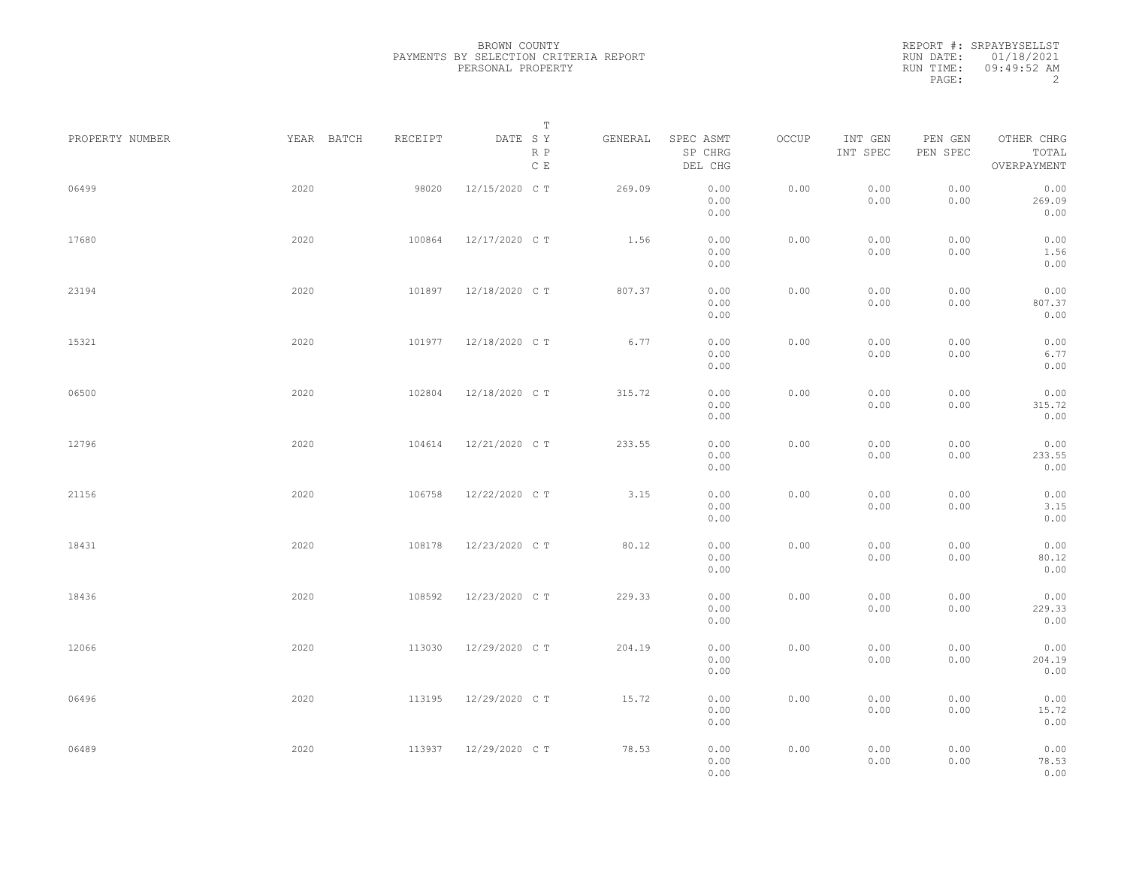|                 |            |         | Т                               |         |                                 |       |                     |                     |                                    |  |
|-----------------|------------|---------|---------------------------------|---------|---------------------------------|-------|---------------------|---------------------|------------------------------------|--|
| PROPERTY NUMBER | YEAR BATCH | RECEIPT | DATE SY<br>R P<br>$\,$ C $\,$ E | GENERAL | SPEC ASMT<br>SP CHRG<br>DEL CHG | OCCUP | INT GEN<br>INT SPEC | PEN GEN<br>PEN SPEC | OTHER CHRG<br>TOTAL<br>OVERPAYMENT |  |
| 06499           | 2020       | 98020   | 12/15/2020 C T                  | 269.09  | 0.00<br>0.00<br>0.00            | 0.00  | 0.00<br>0.00        | 0.00<br>0.00        | 0.00<br>269.09<br>0.00             |  |
| 17680           | 2020       | 100864  | 12/17/2020 C T                  | 1.56    | 0.00<br>0.00<br>0.00            | 0.00  | 0.00<br>0.00        | 0.00<br>0.00        | 0.00<br>1.56<br>0.00               |  |
| 23194           | 2020       | 101897  | 12/18/2020 C T                  | 807.37  | 0.00<br>0.00<br>0.00            | 0.00  | 0.00<br>0.00        | 0.00<br>0.00        | 0.00<br>807.37<br>0.00             |  |
| 15321           | 2020       | 101977  | 12/18/2020 C T                  | 6.77    | 0.00<br>0.00<br>0.00            | 0.00  | 0.00<br>0.00        | 0.00<br>0.00        | 0.00<br>6.77<br>0.00               |  |
| 06500           | 2020       | 102804  | 12/18/2020 C T                  | 315.72  | 0.00<br>0.00<br>0.00            | 0.00  | 0.00<br>0.00        | 0.00<br>0.00        | 0.00<br>315.72<br>0.00             |  |
| 12796           | 2020       | 104614  | 12/21/2020 C T                  | 233.55  | 0.00<br>0.00<br>0.00            | 0.00  | 0.00<br>0.00        | 0.00<br>0.00        | 0.00<br>233.55<br>0.00             |  |
| 21156           | 2020       | 106758  | 12/22/2020 C T                  | 3.15    | 0.00<br>0.00<br>0.00            | 0.00  | 0.00<br>0.00        | 0.00<br>0.00        | 0.00<br>3.15<br>0.00               |  |
| 18431           | 2020       | 108178  | 12/23/2020 C T                  | 80.12   | 0.00<br>0.00<br>0.00            | 0.00  | 0.00<br>0.00        | 0.00<br>0.00        | 0.00<br>80.12<br>0.00              |  |
| 18436           | 2020       | 108592  | 12/23/2020 C T                  | 229.33  | 0.00<br>0.00<br>0.00            | 0.00  | 0.00<br>0.00        | 0.00<br>0.00        | 0.00<br>229.33<br>0.00             |  |
| 12066           | 2020       | 113030  | 12/29/2020 C T                  | 204.19  | 0.00<br>0.00<br>0.00            | 0.00  | 0.00<br>0.00        | 0.00<br>0.00        | 0.00<br>204.19<br>0.00             |  |
| 06496           | 2020       | 113195  | 12/29/2020 C T                  | 15.72   | 0.00<br>0.00<br>0.00            | 0.00  | 0.00<br>0.00        | 0.00<br>0.00        | 0.00<br>15.72<br>0.00              |  |
| 06489           | 2020       | 113937  | 12/29/2020 C T                  | 78.53   | 0.00<br>0.00<br>0.00            | 0.00  | 0.00<br>0.00        | 0.00<br>0.00        | 0.00<br>78.53<br>0.00              |  |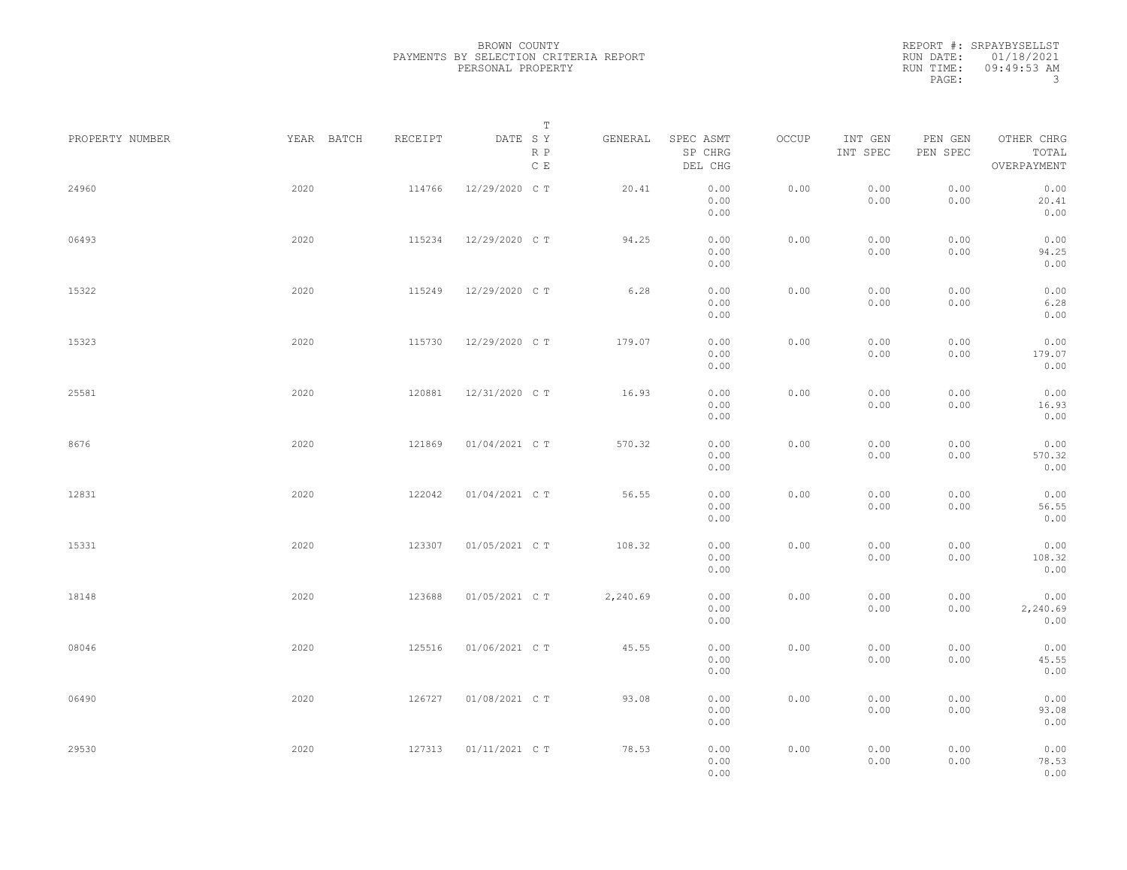| PROPERTY NUMBER |      | YEAR BATCH | RECEIPT | DATE SY        | Т<br>R P<br>C E | GENERAL  | SPEC ASMT<br>SP CHRG<br>DEL CHG | OCCUP | INT GEN<br>INT SPEC | PEN GEN<br>PEN SPEC | OTHER CHRG<br>TOTAL<br>OVERPAYMENT |  |
|-----------------|------|------------|---------|----------------|-----------------|----------|---------------------------------|-------|---------------------|---------------------|------------------------------------|--|
| 24960           | 2020 |            | 114766  | 12/29/2020 C T |                 | 20.41    | 0.00<br>0.00<br>0.00            | 0.00  | 0.00<br>0.00        | 0.00<br>0.00        | 0.00<br>20.41<br>0.00              |  |
| 06493           | 2020 |            | 115234  | 12/29/2020 C T |                 | 94.25    | 0.00<br>0.00<br>0.00            | 0.00  | 0.00<br>0.00        | 0.00<br>0.00        | 0.00<br>94.25<br>0.00              |  |
| 15322           | 2020 |            | 115249  | 12/29/2020 C T |                 | 6.28     | 0.00<br>0.00<br>0.00            | 0.00  | 0.00<br>0.00        | 0.00<br>0.00        | 0.00<br>6.28<br>0.00               |  |
| 15323           | 2020 |            | 115730  | 12/29/2020 C T |                 | 179.07   | 0.00<br>0.00<br>0.00            | 0.00  | 0.00<br>0.00        | 0.00<br>0.00        | 0.00<br>179.07<br>0.00             |  |
| 25581           | 2020 |            | 120881  | 12/31/2020 C T |                 | 16.93    | 0.00<br>0.00<br>0.00            | 0.00  | 0.00<br>0.00        | 0.00<br>0.00        | 0.00<br>16.93<br>0.00              |  |
| 8676            | 2020 |            | 121869  | 01/04/2021 C T |                 | 570.32   | 0.00<br>0.00<br>0.00            | 0.00  | 0.00<br>0.00        | 0.00<br>0.00        | 0.00<br>570.32<br>0.00             |  |
| 12831           | 2020 |            | 122042  | 01/04/2021 C T |                 | 56.55    | 0.00<br>0.00<br>0.00            | 0.00  | 0.00<br>0.00        | 0.00<br>0.00        | 0.00<br>56.55<br>0.00              |  |
| 15331           | 2020 |            | 123307  | 01/05/2021 C T |                 | 108.32   | 0.00<br>0.00<br>0.00            | 0.00  | 0.00<br>0.00        | 0.00<br>0.00        | 0.00<br>108.32<br>0.00             |  |
| 18148           | 2020 |            | 123688  | 01/05/2021 C T |                 | 2,240.69 | 0.00<br>0.00<br>0.00            | 0.00  | 0.00<br>0.00        | 0.00<br>0.00        | 0.00<br>2,240.69<br>0.00           |  |
| 08046           | 2020 |            | 125516  | 01/06/2021 C T |                 | 45.55    | 0.00<br>0.00<br>0.00            | 0.00  | 0.00<br>0.00        | 0.00<br>0.00        | 0.00<br>45.55<br>0.00              |  |
| 06490           | 2020 |            | 126727  | 01/08/2021 C T |                 | 93.08    | 0.00<br>0.00<br>0.00            | 0.00  | 0.00<br>0.00        | 0.00<br>0.00        | 0.00<br>93.08<br>0.00              |  |
| 29530           | 2020 |            | 127313  | 01/11/2021 C T |                 | 78.53    | 0.00<br>0.00<br>0.00            | 0.00  | 0.00<br>0.00        | 0.00<br>0.00        | 0.00<br>78.53<br>0.00              |  |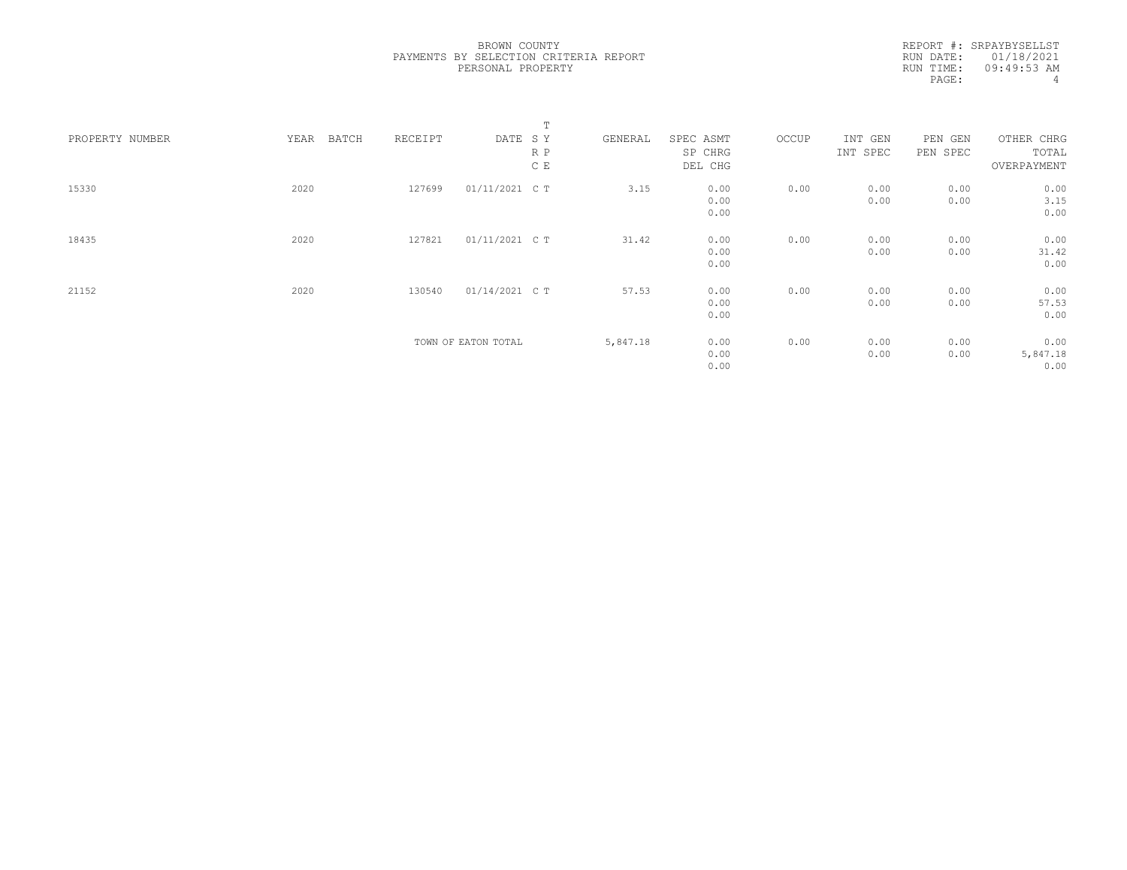|                 |               |         |                     | Т   |          |                      |       |                     |                     |                          |  |
|-----------------|---------------|---------|---------------------|-----|----------|----------------------|-------|---------------------|---------------------|--------------------------|--|
| PROPERTY NUMBER | YEAR<br>BATCH | RECEIPT | DATE SY             | R P | GENERAL  | SPEC ASMT<br>SP CHRG | OCCUP | INT GEN<br>INT SPEC | PEN GEN<br>PEN SPEC | OTHER CHRG<br>TOTAL      |  |
|                 |               |         |                     | C E |          | DEL CHG              |       |                     |                     | OVERPAYMENT              |  |
| 15330           | 2020          | 127699  | 01/11/2021 C T      |     | 3.15     | 0.00<br>0.00<br>0.00 | 0.00  | 0.00<br>0.00        | 0.00<br>0.00        | 0.00<br>3.15<br>0.00     |  |
| 18435           | 2020          | 127821  | 01/11/2021 C T      |     | 31.42    | 0.00<br>0.00<br>0.00 | 0.00  | 0.00<br>0.00        | 0.00<br>0.00        | 0.00<br>31.42<br>0.00    |  |
| 21152           | 2020          | 130540  | 01/14/2021 C T      |     | 57.53    | 0.00<br>0.00<br>0.00 | 0.00  | 0.00<br>0.00        | 0.00<br>0.00        | 0.00<br>57.53<br>0.00    |  |
|                 |               |         | TOWN OF EATON TOTAL |     | 5,847.18 | 0.00<br>0.00<br>0.00 | 0.00  | 0.00<br>0.00        | 0.00<br>0.00        | 0.00<br>5,847.18<br>0.00 |  |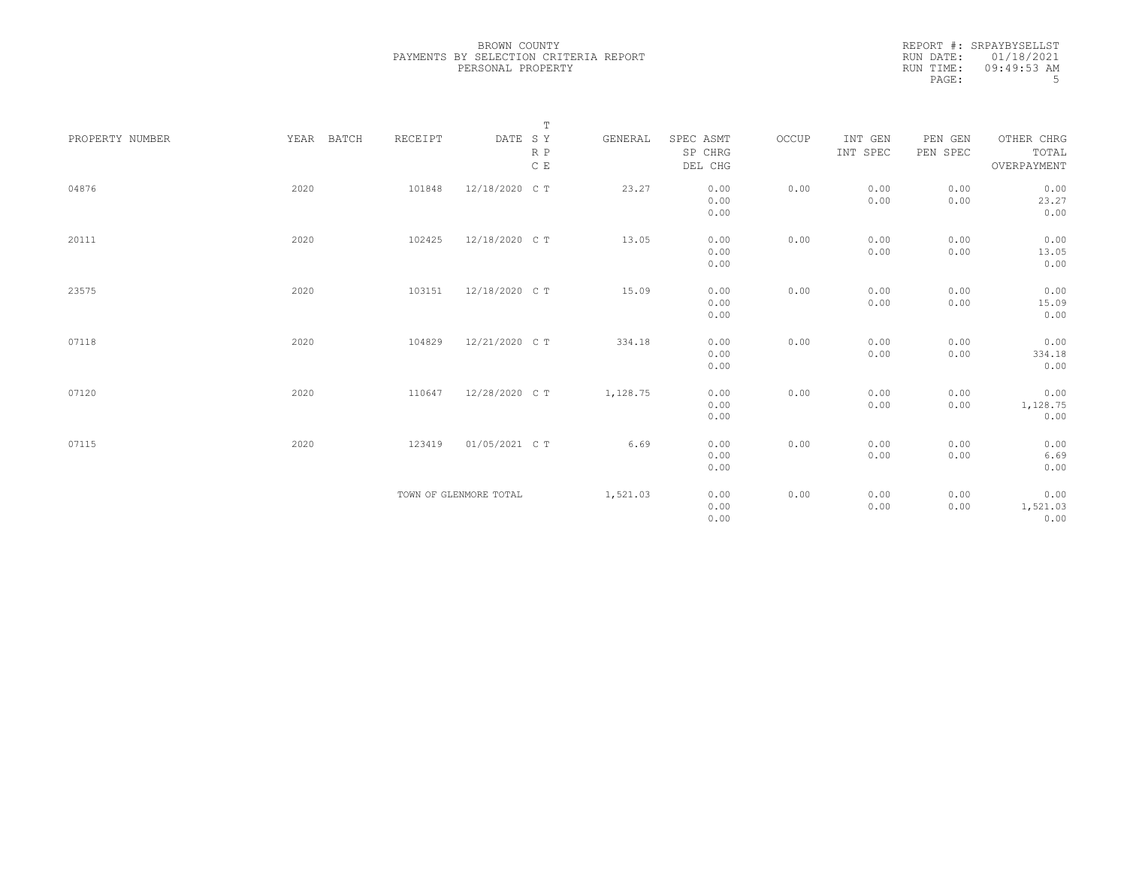| PROPERTY NUMBER | YEAR BATCH | RECEIPT | $\mathbb T$<br>DATE SY<br>R P<br>$\,$ C $\,$ E | GENERAL  | SPEC ASMT<br>SP CHRG<br>DEL CHG | OCCUP | INT GEN<br>INT SPEC | PEN GEN<br>PEN SPEC | OTHER CHRG<br>TOTAL<br>OVERPAYMENT |
|-----------------|------------|---------|------------------------------------------------|----------|---------------------------------|-------|---------------------|---------------------|------------------------------------|
| 04876           | 2020       | 101848  | 12/18/2020 C T                                 | 23.27    | 0.00<br>0.00<br>0.00            | 0.00  | 0.00<br>0.00        | 0.00<br>0.00        | 0.00<br>23.27<br>0.00              |
| 20111           | 2020       | 102425  | 12/18/2020 C T                                 | 13.05    | 0.00<br>0.00<br>0.00            | 0.00  | 0.00<br>0.00        | 0.00<br>0.00        | 0.00<br>13.05<br>0.00              |
| 23575           | 2020       | 103151  | 12/18/2020 C T                                 | 15.09    | 0.00<br>0.00<br>0.00            | 0.00  | 0.00<br>0.00        | 0.00<br>0.00        | 0.00<br>15.09<br>0.00              |
| 07118           | 2020       | 104829  | 12/21/2020 C T                                 | 334.18   | 0.00<br>0.00<br>0.00            | 0.00  | 0.00<br>0.00        | 0.00<br>0.00        | 0.00<br>334.18<br>0.00             |
| 07120           | 2020       | 110647  | 12/28/2020 C T                                 | 1,128.75 | 0.00<br>0.00<br>0.00            | 0.00  | 0.00<br>0.00        | 0.00<br>0.00        | 0.00<br>1,128.75<br>0.00           |
| 07115           | 2020       | 123419  | 01/05/2021 C T                                 | 6.69     | 0.00<br>0.00<br>0.00            | 0.00  | 0.00<br>0.00        | 0.00<br>0.00        | 0.00<br>6.69<br>0.00               |
|                 |            |         | TOWN OF GLENMORE TOTAL                         | 1,521.03 | 0.00<br>0.00<br>0.00            | 0.00  | 0.00<br>0.00        | 0.00<br>0.00        | 0.00<br>1,521.03<br>0.00           |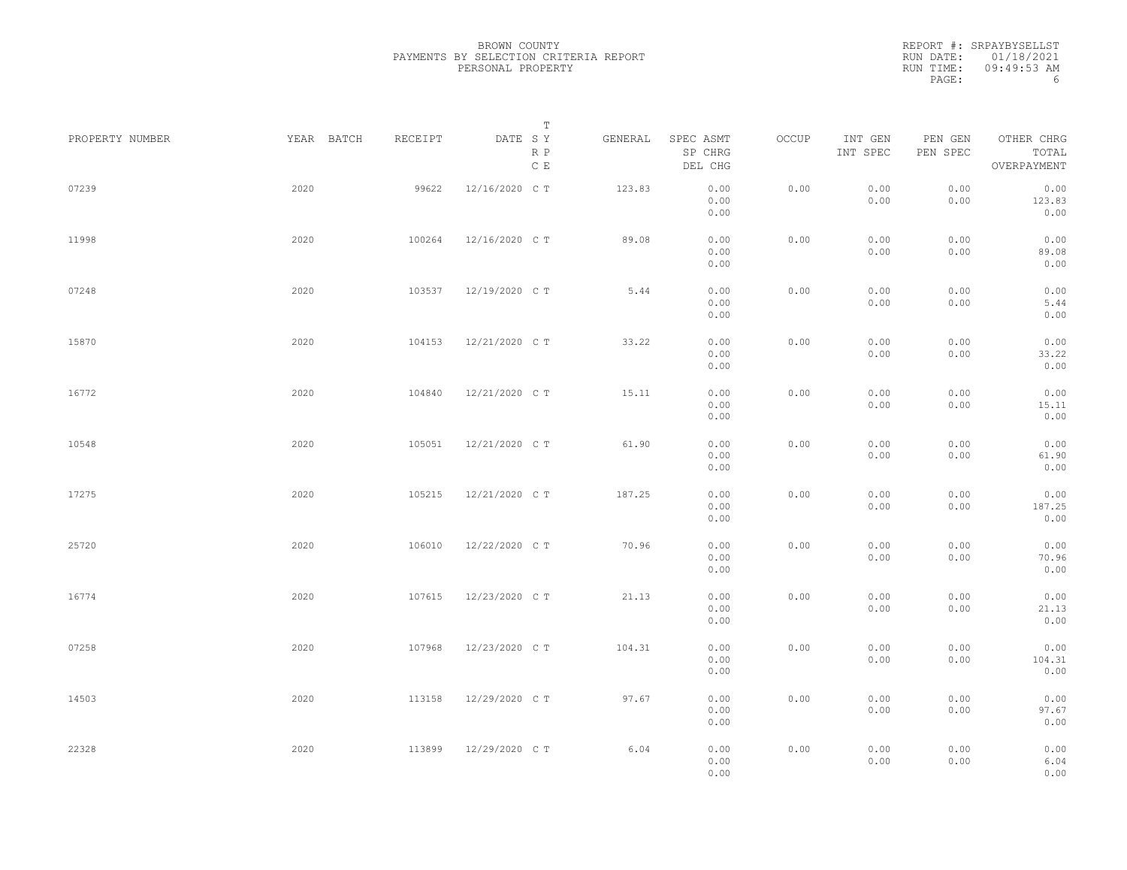|                 |            |         | Т                               |         |                                 |       |                     |                     |                                    |  |
|-----------------|------------|---------|---------------------------------|---------|---------------------------------|-------|---------------------|---------------------|------------------------------------|--|
| PROPERTY NUMBER | YEAR BATCH | RECEIPT | DATE SY<br>R P<br>$\,$ C $\,$ E | GENERAL | SPEC ASMT<br>SP CHRG<br>DEL CHG | OCCUP | INT GEN<br>INT SPEC | PEN GEN<br>PEN SPEC | OTHER CHRG<br>TOTAL<br>OVERPAYMENT |  |
| 07239           | 2020       | 99622   | 12/16/2020 C T                  | 123.83  | 0.00<br>0.00<br>0.00            | 0.00  | 0.00<br>0.00        | 0.00<br>0.00        | 0.00<br>123.83<br>0.00             |  |
| 11998           | 2020       | 100264  | 12/16/2020 C T                  | 89.08   | 0.00<br>0.00<br>0.00            | 0.00  | 0.00<br>0.00        | 0.00<br>0.00        | 0.00<br>89.08<br>0.00              |  |
| 07248           | 2020       | 103537  | 12/19/2020 C T                  | 5.44    | 0.00<br>0.00<br>0.00            | 0.00  | 0.00<br>0.00        | 0.00<br>0.00        | 0.00<br>5.44<br>0.00               |  |
| 15870           | 2020       | 104153  | 12/21/2020 C T                  | 33.22   | 0.00<br>0.00<br>0.00            | 0.00  | 0.00<br>0.00        | 0.00<br>0.00        | 0.00<br>33.22<br>0.00              |  |
| 16772           | 2020       | 104840  | 12/21/2020 C T                  | 15.11   | 0.00<br>0.00<br>0.00            | 0.00  | 0.00<br>0.00        | 0.00<br>0.00        | 0.00<br>15.11<br>0.00              |  |
| 10548           | 2020       | 105051  | 12/21/2020 C T                  | 61.90   | 0.00<br>0.00<br>0.00            | 0.00  | 0.00<br>0.00        | 0.00<br>0.00        | 0.00<br>61.90<br>0.00              |  |
| 17275           | 2020       | 105215  | 12/21/2020 C T                  | 187.25  | 0.00<br>0.00<br>0.00            | 0.00  | 0.00<br>0.00        | 0.00<br>0.00        | 0.00<br>187.25<br>0.00             |  |
| 25720           | 2020       | 106010  | 12/22/2020 C T                  | 70.96   | 0.00<br>0.00<br>0.00            | 0.00  | 0.00<br>0.00        | 0.00<br>0.00        | 0.00<br>70.96<br>0.00              |  |
| 16774           | 2020       | 107615  | 12/23/2020 C T                  | 21.13   | 0.00<br>0.00<br>0.00            | 0.00  | 0.00<br>0.00        | 0.00<br>0.00        | 0.00<br>21.13<br>0.00              |  |
| 07258           | 2020       | 107968  | 12/23/2020 C T                  | 104.31  | 0.00<br>0.00<br>0.00            | 0.00  | 0.00<br>0.00        | 0.00<br>0.00        | 0.00<br>104.31<br>0.00             |  |
| 14503           | 2020       | 113158  | 12/29/2020 C T                  | 97.67   | 0.00<br>0.00<br>0.00            | 0.00  | 0.00<br>0.00        | 0.00<br>0.00        | 0.00<br>97.67<br>0.00              |  |
| 22328           | 2020       | 113899  | 12/29/2020 C T                  | 6.04    | 0.00<br>0.00<br>0.00            | 0.00  | 0.00<br>0.00        | 0.00<br>0.00        | 0.00<br>6.04<br>0.00               |  |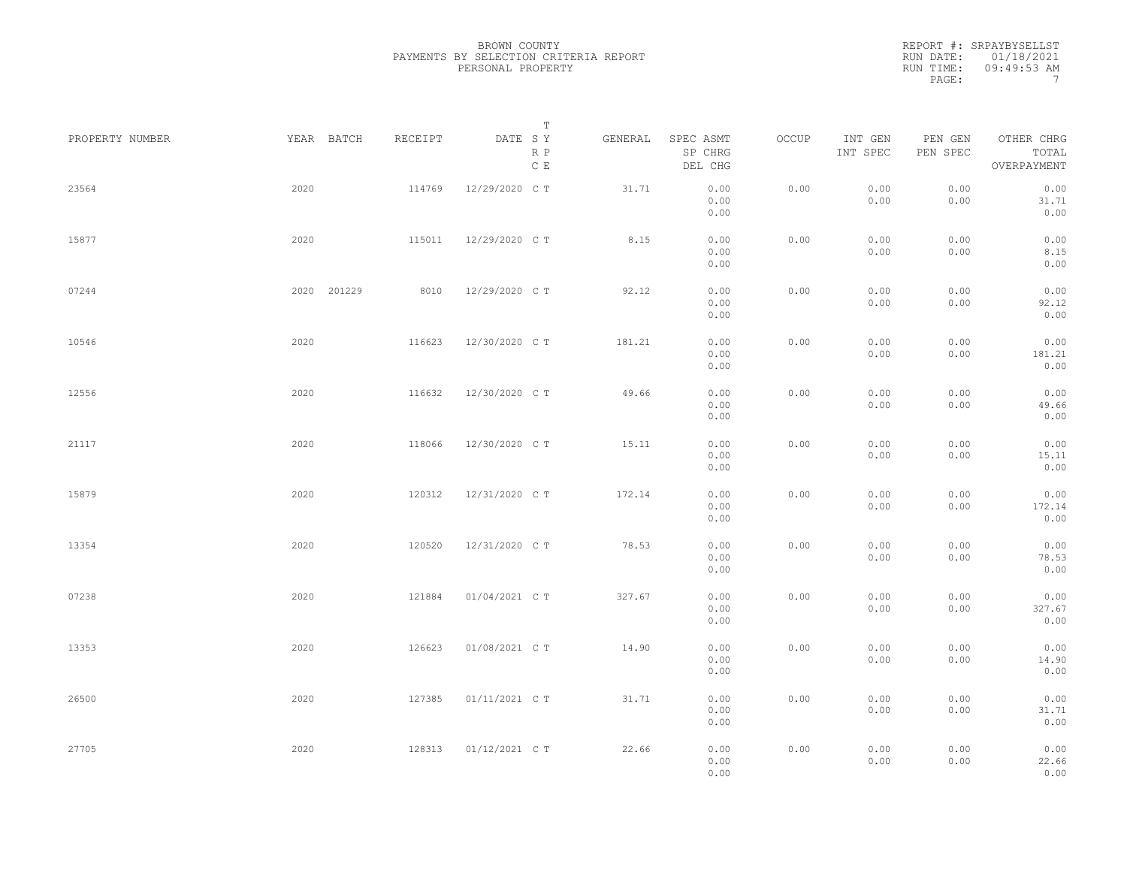|                 |             |         | Т                               |         |                                 |       |                     |                     |                                    |  |
|-----------------|-------------|---------|---------------------------------|---------|---------------------------------|-------|---------------------|---------------------|------------------------------------|--|
| PROPERTY NUMBER | YEAR BATCH  | RECEIPT | DATE SY<br>R P<br>$\,$ C $\,$ E | GENERAL | SPEC ASMT<br>SP CHRG<br>DEL CHG | OCCUP | INT GEN<br>INT SPEC | PEN GEN<br>PEN SPEC | OTHER CHRG<br>TOTAL<br>OVERPAYMENT |  |
| 23564           | 2020        | 114769  | 12/29/2020 C T                  | 31.71   | 0.00<br>0.00<br>0.00            | 0.00  | 0.00<br>0.00        | 0.00<br>0.00        | 0.00<br>31.71<br>0.00              |  |
| 15877           | 2020        | 115011  | 12/29/2020 C T                  | 8.15    | 0.00<br>0.00<br>0.00            | 0.00  | 0.00<br>0.00        | 0.00<br>0.00        | 0.00<br>8.15<br>0.00               |  |
| 07244           | 2020 201229 | 8010    | 12/29/2020 C T                  | 92.12   | 0.00<br>0.00<br>0.00            | 0.00  | 0.00<br>0.00        | 0.00<br>0.00        | 0.00<br>92.12<br>0.00              |  |
| 10546           | 2020        | 116623  | 12/30/2020 C T                  | 181.21  | 0.00<br>0.00<br>0.00            | 0.00  | 0.00<br>0.00        | 0.00<br>0.00        | 0.00<br>181.21<br>0.00             |  |
| 12556           | 2020        | 116632  | 12/30/2020 C T                  | 49.66   | 0.00<br>0.00<br>0.00            | 0.00  | 0.00<br>0.00        | 0.00<br>0.00        | 0.00<br>49.66<br>0.00              |  |
| 21117           | 2020        | 118066  | 12/30/2020 C T                  | 15.11   | 0.00<br>0.00<br>0.00            | 0.00  | 0.00<br>0.00        | 0.00<br>0.00        | 0.00<br>15.11<br>0.00              |  |
| 15879           | 2020        | 120312  | 12/31/2020 C T                  | 172.14  | 0.00<br>0.00<br>0.00            | 0.00  | 0.00<br>0.00        | 0.00<br>0.00        | 0.00<br>172.14<br>0.00             |  |
| 13354           | 2020        | 120520  | 12/31/2020 C T                  | 78.53   | 0.00<br>0.00<br>0.00            | 0.00  | 0.00<br>0.00        | 0.00<br>0.00        | 0.00<br>78.53<br>0.00              |  |
| 07238           | 2020        | 121884  | 01/04/2021 C T                  | 327.67  | 0.00<br>0.00<br>0.00            | 0.00  | 0.00<br>0.00        | 0.00<br>0.00        | 0.00<br>327.67<br>0.00             |  |
| 13353           | 2020        | 126623  | 01/08/2021 C T                  | 14.90   | 0.00<br>0.00<br>0.00            | 0.00  | 0.00<br>0.00        | 0.00<br>0.00        | 0.00<br>14.90<br>0.00              |  |
| 26500           | 2020        | 127385  | 01/11/2021 C T                  | 31.71   | 0.00<br>0.00<br>0.00            | 0.00  | 0.00<br>0.00        | 0.00<br>0.00        | 0.00<br>31.71<br>0.00              |  |
| 27705           | 2020        | 128313  | 01/12/2021 C T                  | 22.66   | 0.00<br>0.00<br>0.00            | 0.00  | 0.00<br>0.00        | 0.00<br>0.00        | 0.00<br>22.66<br>0.00              |  |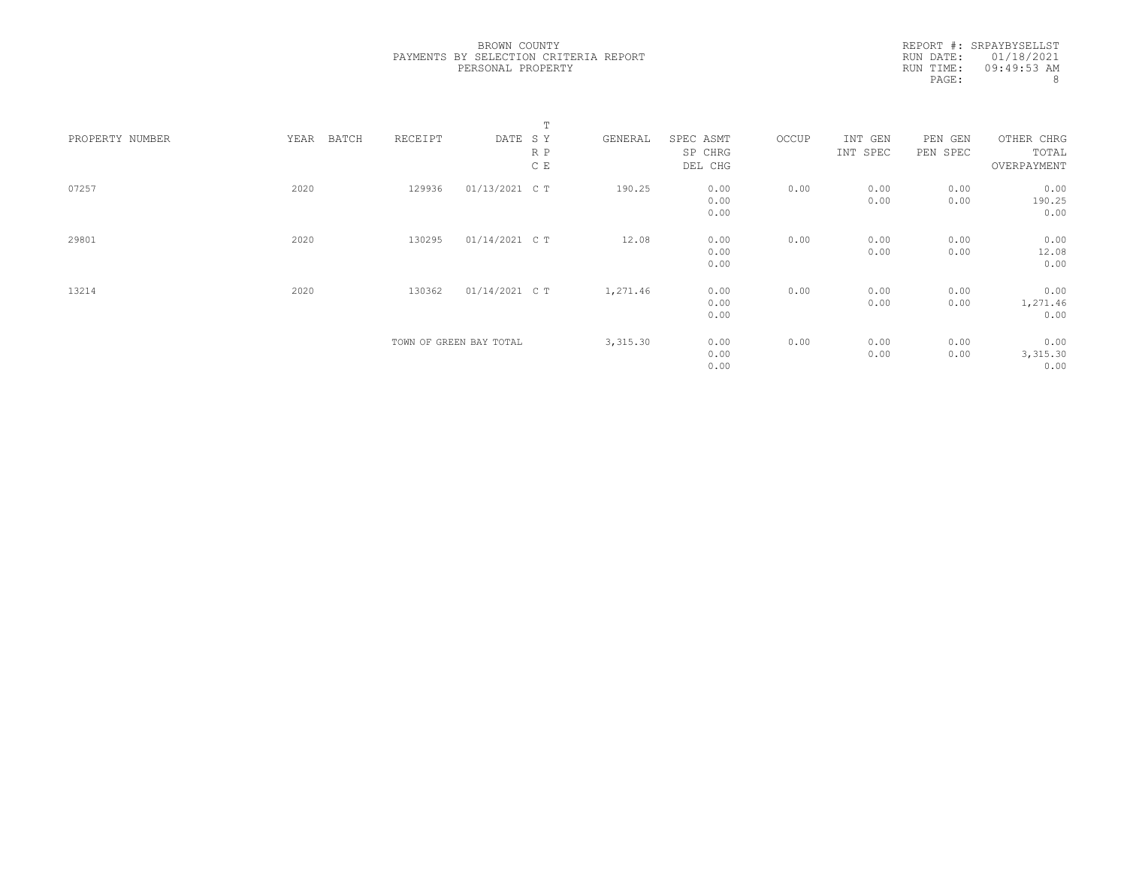|                 |               |         |                         | Т   |          |                      |       |                     |                     |                          |  |
|-----------------|---------------|---------|-------------------------|-----|----------|----------------------|-------|---------------------|---------------------|--------------------------|--|
| PROPERTY NUMBER | YEAR<br>BATCH | RECEIPT | DATE SY                 | R P | GENERAL  | SPEC ASMT<br>SP CHRG | OCCUP | INT GEN<br>INT SPEC | PEN GEN<br>PEN SPEC | OTHER CHRG<br>TOTAL      |  |
|                 |               |         |                         | C E |          | DEL CHG              |       |                     |                     | OVERPAYMENT              |  |
| 07257           | 2020          | 129936  | 01/13/2021 C T          |     | 190.25   | 0.00<br>0.00<br>0.00 | 0.00  | 0.00<br>0.00        | 0.00<br>0.00        | 0.00<br>190.25<br>0.00   |  |
| 29801           | 2020          | 130295  | 01/14/2021 C T          |     | 12.08    | 0.00<br>0.00<br>0.00 | 0.00  | 0.00<br>0.00        | 0.00<br>0.00        | 0.00<br>12.08<br>0.00    |  |
| 13214           | 2020          | 130362  | 01/14/2021 C T          |     | 1,271.46 | 0.00<br>0.00<br>0.00 | 0.00  | 0.00<br>0.00        | 0.00<br>0.00        | 0.00<br>1,271.46<br>0.00 |  |
|                 |               |         | TOWN OF GREEN BAY TOTAL |     | 3,315.30 | 0.00<br>0.00<br>0.00 | 0.00  | 0.00<br>0.00        | 0.00<br>0.00        | 0.00<br>3,315.30<br>0.00 |  |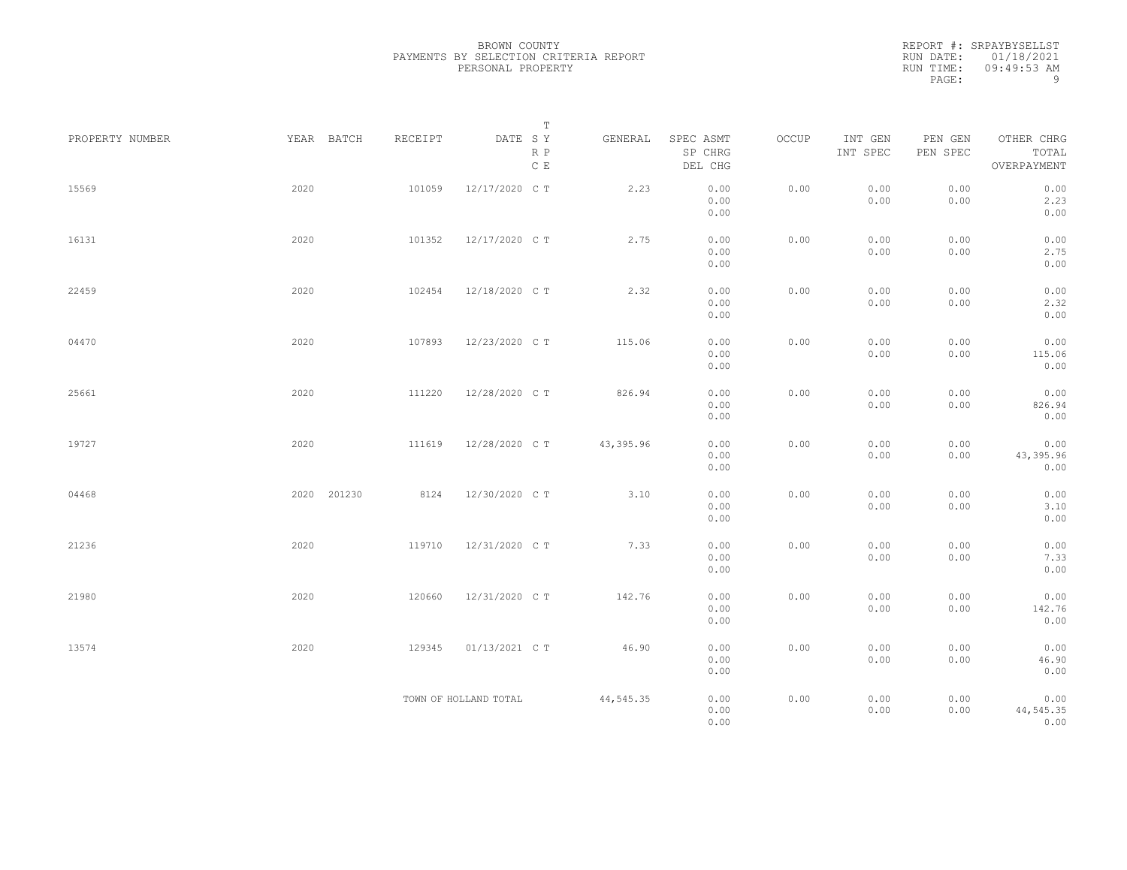|                 |             |         | $\mathbb T$                                                                              |           |                                 |       |                     |                     |                                    |  |
|-----------------|-------------|---------|------------------------------------------------------------------------------------------|-----------|---------------------------------|-------|---------------------|---------------------|------------------------------------|--|
| PROPERTY NUMBER | YEAR BATCH  | RECEIPT | $\begin{tabular}{lllll} \bf{DATE} & \tt S & \tt Y \end{tabular}$<br>R P<br>$\mathbb C$ E | GENERAL   | SPEC ASMT<br>SP CHRG<br>DEL CHG | OCCUP | INT GEN<br>INT SPEC | PEN GEN<br>PEN SPEC | OTHER CHRG<br>TOTAL<br>OVERPAYMENT |  |
| 15569           | 2020        | 101059  | 12/17/2020 C T                                                                           | 2.23      | 0.00<br>0.00<br>0.00            | 0.00  | 0.00<br>0.00        | 0.00<br>0.00        | 0.00<br>2.23<br>0.00               |  |
| 16131           | 2020        | 101352  | 12/17/2020 C T                                                                           | 2.75      | 0.00<br>0.00<br>0.00            | 0.00  | 0.00<br>0.00        | 0.00<br>0.00        | 0.00<br>2.75<br>0.00               |  |
| 22459           | 2020        | 102454  | 12/18/2020 C T                                                                           | 2.32      | 0.00<br>0.00<br>0.00            | 0.00  | 0.00<br>0.00        | 0.00<br>0.00        | 0.00<br>2.32<br>0.00               |  |
| 04470           | 2020        | 107893  | 12/23/2020 C T                                                                           | 115.06    | 0.00<br>0.00<br>0.00            | 0.00  | 0.00<br>0.00        | 0.00<br>0.00        | 0.00<br>115.06<br>0.00             |  |
| 25661           | 2020        | 111220  | 12/28/2020 C T                                                                           | 826.94    | 0.00<br>0.00<br>0.00            | 0.00  | 0.00<br>0.00        | 0.00<br>0.00        | 0.00<br>826.94<br>0.00             |  |
| 19727           | 2020        | 111619  | 12/28/2020 C T                                                                           | 43,395.96 | 0.00<br>0.00<br>0.00            | 0.00  | 0.00<br>0.00        | 0.00<br>0.00        | 0.00<br>43, 395.96<br>0.00         |  |
| 04468           | 2020 201230 | 8124    | 12/30/2020 C T                                                                           | 3.10      | 0.00<br>0.00<br>0.00            | 0.00  | 0.00<br>0.00        | 0.00<br>0.00        | 0.00<br>3.10<br>0.00               |  |
| 21236           | 2020        | 119710  | 12/31/2020 C T                                                                           | 7.33      | 0.00<br>0.00<br>0.00            | 0.00  | 0.00<br>0.00        | 0.00<br>0.00        | 0.00<br>7.33<br>0.00               |  |
| 21980           | 2020        | 120660  | 12/31/2020 C T                                                                           | 142.76    | 0.00<br>0.00<br>0.00            | 0.00  | 0.00<br>0.00        | 0.00<br>0.00        | 0.00<br>142.76<br>0.00             |  |
| 13574           | 2020        | 129345  | 01/13/2021 C T                                                                           | 46.90     | 0.00<br>0.00<br>0.00            | 0.00  | 0.00<br>0.00        | 0.00<br>0.00        | 0.00<br>46.90<br>0.00              |  |
|                 |             |         | TOWN OF HOLLAND TOTAL                                                                    | 44,545.35 | 0.00<br>0.00<br>0.00            | 0.00  | 0.00<br>0.00        | 0.00<br>0.00        | 0.00<br>44, 545.35<br>0.00         |  |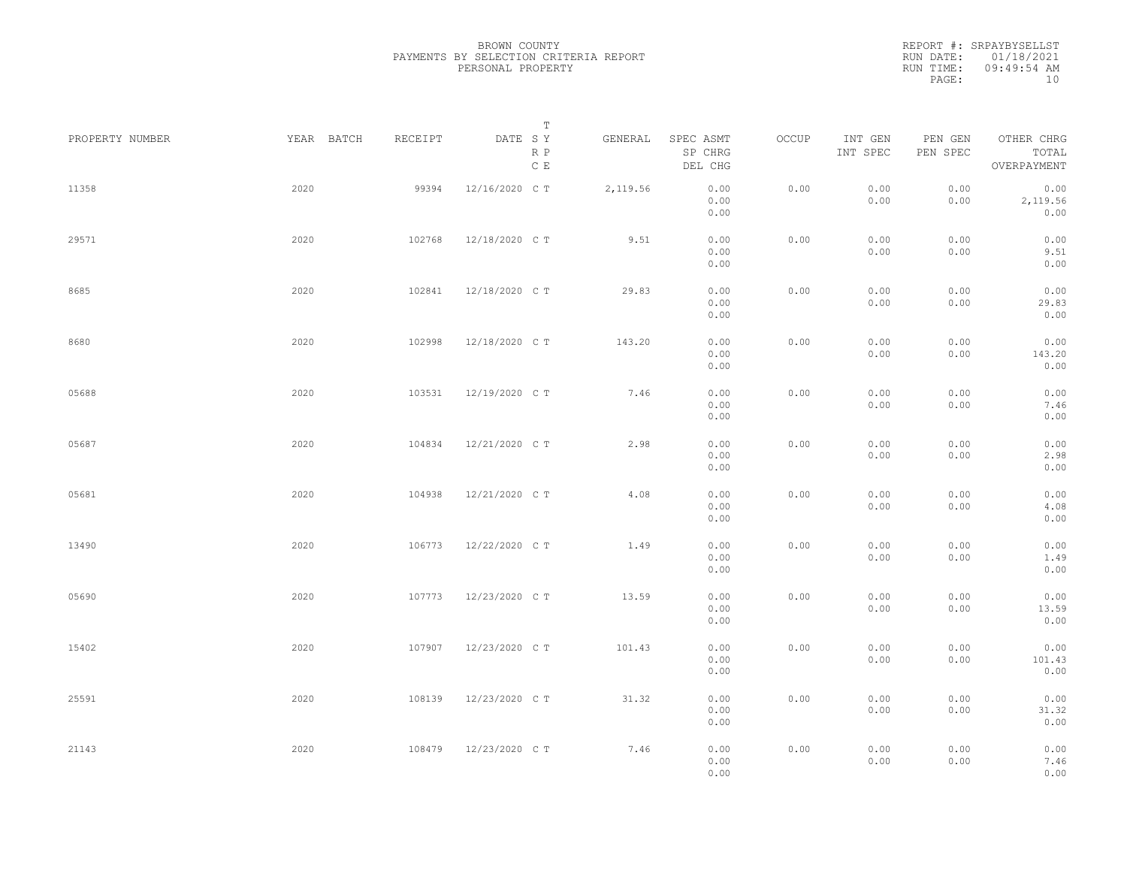| PROPERTY NUMBER | YEAR BATCH | RECEIPT | Т<br>DATE SY<br>R P | GENERAL  | SPEC ASMT<br>SP CHRG | OCCUP | INT GEN<br>INT SPEC | PEN GEN<br>PEN SPEC | OTHER CHRG<br>TOTAL      |  |
|-----------------|------------|---------|---------------------|----------|----------------------|-------|---------------------|---------------------|--------------------------|--|
|                 |            |         | $\mathbb C$ E       |          | DEL CHG              |       |                     |                     | OVERPAYMENT              |  |
| 11358           | 2020       | 99394   | 12/16/2020 C T      | 2,119.56 | 0.00<br>0.00<br>0.00 | 0.00  | 0.00<br>0.00        | 0.00<br>0.00        | 0.00<br>2,119.56<br>0.00 |  |
| 29571           | 2020       | 102768  | 12/18/2020 C T      | 9.51     | 0.00<br>0.00<br>0.00 | 0.00  | 0.00<br>0.00        | 0.00<br>0.00        | 0.00<br>9.51<br>0.00     |  |
| 8685            | 2020       | 102841  | 12/18/2020 C T      | 29.83    | 0.00<br>0.00<br>0.00 | 0.00  | 0.00<br>0.00        | 0.00<br>0.00        | 0.00<br>29.83<br>0.00    |  |
| 8680            | 2020       | 102998  | 12/18/2020 C T      | 143.20   | 0.00<br>0.00<br>0.00 | 0.00  | 0.00<br>0.00        | 0.00<br>0.00        | 0.00<br>143.20<br>0.00   |  |
| 05688           | 2020       | 103531  | 12/19/2020 C T      | 7.46     | 0.00<br>0.00<br>0.00 | 0.00  | 0.00<br>0.00        | 0.00<br>0.00        | 0.00<br>7.46<br>0.00     |  |
| 05687           | 2020       | 104834  | 12/21/2020 C T      | 2.98     | 0.00<br>0.00<br>0.00 | 0.00  | 0.00<br>0.00        | 0.00<br>0.00        | 0.00<br>2.98<br>0.00     |  |
| 05681           | 2020       | 104938  | 12/21/2020 C T      | 4.08     | 0.00<br>0.00<br>0.00 | 0.00  | 0.00<br>0.00        | 0.00<br>0.00        | 0.00<br>4.08<br>0.00     |  |
| 13490           | 2020       | 106773  | 12/22/2020 C T      | 1.49     | 0.00<br>0.00<br>0.00 | 0.00  | 0.00<br>0.00        | 0.00<br>0.00        | 0.00<br>1.49<br>0.00     |  |
| 05690           | 2020       | 107773  | 12/23/2020 C T      | 13.59    | 0.00<br>0.00<br>0.00 | 0.00  | 0.00<br>0.00        | 0.00<br>0.00        | 0.00<br>13.59<br>0.00    |  |
| 15402           | 2020       | 107907  | 12/23/2020 C T      | 101.43   | 0.00<br>0.00<br>0.00 | 0.00  | 0.00<br>0.00        | 0.00<br>0.00        | 0.00<br>101.43<br>0.00   |  |
| 25591           | 2020       | 108139  | 12/23/2020 C T      | 31.32    | 0.00<br>0.00<br>0.00 | 0.00  | 0.00<br>0.00        | 0.00<br>0.00        | 0.00<br>31.32<br>0.00    |  |
| 21143           | 2020       | 108479  | 12/23/2020 C T      | 7.46     | 0.00<br>0.00<br>0.00 | 0.00  | 0.00<br>0.00        | 0.00<br>0.00        | 0.00<br>7.46<br>0.00     |  |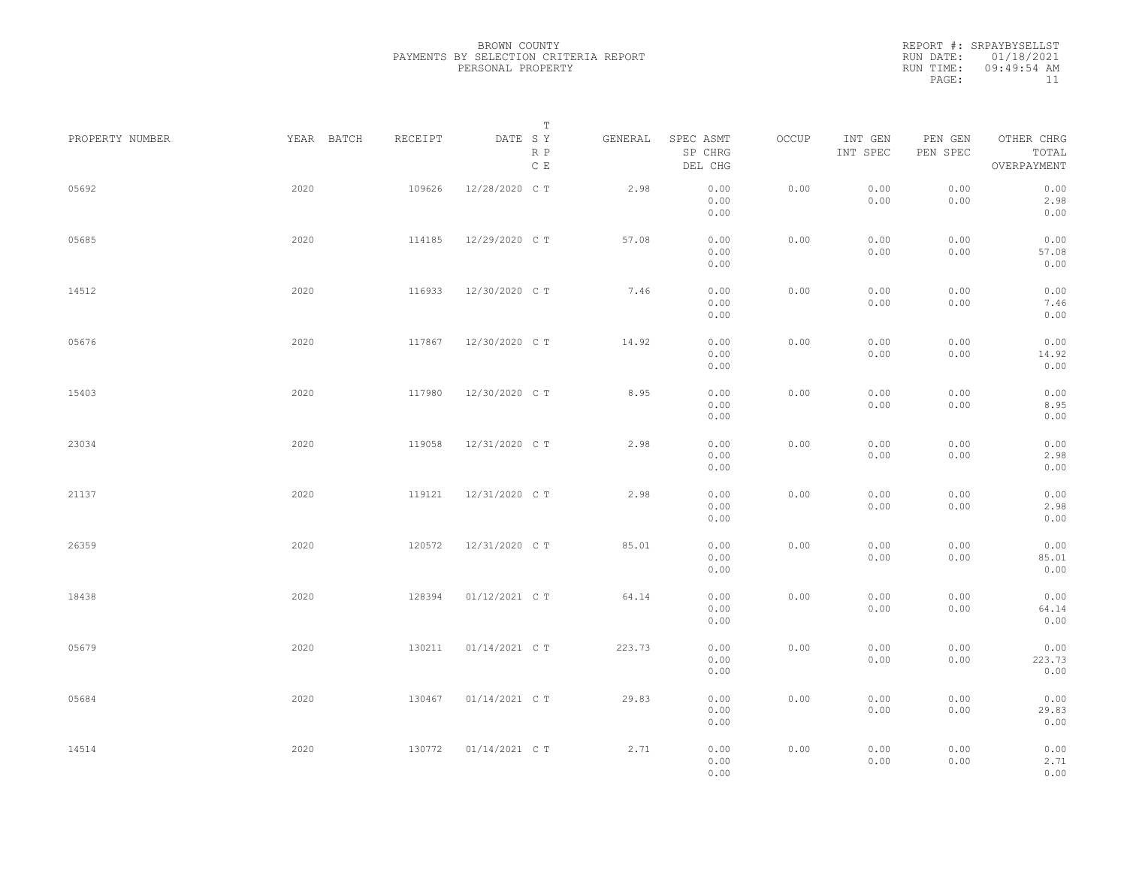REPORT #: SRPAYBYSELLST RUN DATE: 01/18/2021 RUN TIME: 09:49:54 AM PAGE: 11

|                 |            |         | $\mathbb T$                     |         |                                 |       |                     |                     |                                    |
|-----------------|------------|---------|---------------------------------|---------|---------------------------------|-------|---------------------|---------------------|------------------------------------|
| PROPERTY NUMBER | YEAR BATCH | RECEIPT | DATE SY<br>R P<br>$\mathbb C$ E | GENERAL | SPEC ASMT<br>SP CHRG<br>DEL CHG | OCCUP | INT GEN<br>INT SPEC | PEN GEN<br>PEN SPEC | OTHER CHRG<br>TOTAL<br>OVERPAYMENT |
| 05692           | 2020       | 109626  | 12/28/2020 C T                  | 2.98    | 0.00<br>0.00<br>0.00            | 0.00  | 0.00<br>0.00        | 0.00<br>0.00        | 0.00<br>2.98<br>0.00               |
| 05685           | 2020       | 114185  | 12/29/2020 C T                  | 57.08   | 0.00<br>0.00<br>0.00            | 0.00  | 0.00<br>0.00        | 0.00<br>0.00        | 0.00<br>57.08<br>0.00              |
| 14512           | 2020       | 116933  | 12/30/2020 C T                  | 7.46    | 0.00<br>0.00<br>0.00            | 0.00  | 0.00<br>0.00        | 0.00<br>0.00        | 0.00<br>7.46<br>0.00               |
| 05676           | 2020       | 117867  | 12/30/2020 C T                  | 14.92   | 0.00<br>0.00<br>0.00            | 0.00  | 0.00<br>0.00        | 0.00<br>0.00        | 0.00<br>14.92<br>0.00              |
| 15403           | 2020       | 117980  | 12/30/2020 C T                  | 8.95    | 0.00<br>0.00<br>0.00            | 0.00  | 0.00<br>0.00        | 0.00<br>0.00        | 0.00<br>8.95<br>0.00               |
| 23034           | 2020       | 119058  | 12/31/2020 C T                  | 2.98    | 0.00<br>0.00<br>0.00            | 0.00  | 0.00<br>0.00        | 0.00<br>0.00        | 0.00<br>2.98<br>0.00               |
| 21137           | 2020       | 119121  | 12/31/2020 C T                  | 2.98    | 0.00<br>0.00<br>0.00            | 0.00  | 0.00<br>0.00        | 0.00<br>0.00        | 0.00<br>2.98<br>0.00               |
| 26359           | 2020       | 120572  | 12/31/2020 C T                  | 85.01   | 0.00<br>0.00<br>0.00            | 0.00  | 0.00<br>0.00        | 0.00<br>0.00        | 0.00<br>85.01<br>0.00              |
| 18438           | 2020       | 128394  | 01/12/2021 C T                  | 64.14   | 0.00<br>0.00<br>0.00            | 0.00  | 0.00<br>0.00        | 0.00<br>0.00        | 0.00<br>64.14<br>0.00              |
| 05679           | 2020       | 130211  | 01/14/2021 C T                  | 223.73  | 0.00<br>0.00<br>0.00            | 0.00  | 0.00<br>0.00        | 0.00<br>0.00        | 0.00<br>223.73<br>0.00             |
| 05684           | 2020       | 130467  | 01/14/2021 C T                  | 29.83   | 0.00<br>0.00<br>0.00            | 0.00  | 0.00<br>0.00        | 0.00<br>0.00        | 0.00<br>29.83<br>0.00              |
| 14514           | 2020       | 130772  | 01/14/2021 C T                  | 2.71    | 0.00<br>0.00<br>0.00            | 0.00  | 0.00<br>0.00        | 0.00<br>0.00        | 0.00<br>2.71<br>0.00               |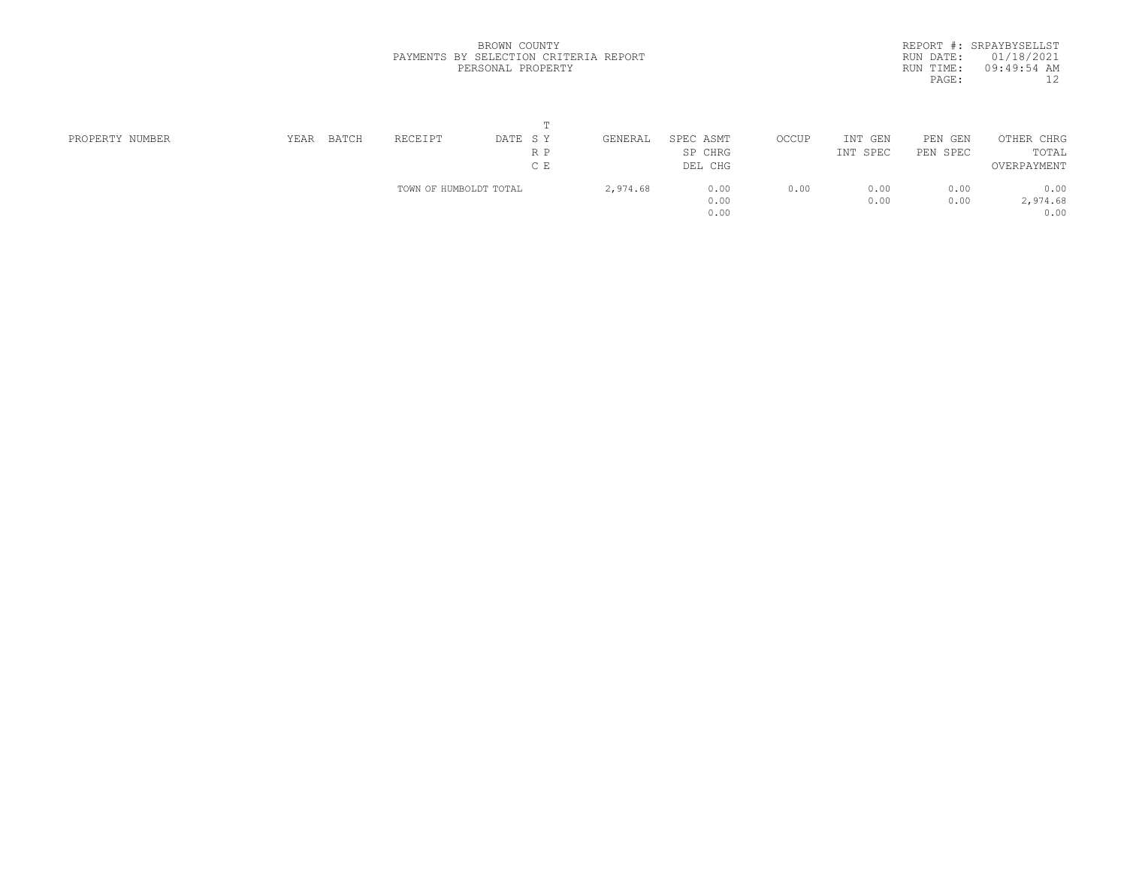|            | REPORT #: SRPAYBYSELLST |
|------------|-------------------------|
|            | RUN DATE: 01/18/2021    |
| RIIN TIME: | $09:49:54$ AM           |
| PAGE:      | 12                      |

|                 |      |              |                        | m       |          |           |       |          |            |             |  |
|-----------------|------|--------------|------------------------|---------|----------|-----------|-------|----------|------------|-------------|--|
| PROPERTY NUMBER | YEAR | <b>BATCH</b> | RECEIPT                | DATE SY | GENERAL  | SPEC ASMT | OCCUP | INT GEN  | PEN<br>GEN | OTHER CHRG  |  |
|                 |      |              |                        | R P     |          | SP CHRG   |       | INT SPEC | PEN SPEC   | TOTAL       |  |
|                 |      |              |                        | C E     |          | DEL CHG   |       |          |            | OVERPAYMENT |  |
|                 |      |              | TOWN OF HUMBOLDT TOTAL |         | 2,974.68 | 0.00      | 0.00  | 0.00     | 0.00       | 0.00        |  |
|                 |      |              |                        |         |          | 0.00      |       | 0.00     | 0.00       | 2,974.68    |  |
|                 |      |              |                        |         |          | 0.00      |       |          |            | 0.00        |  |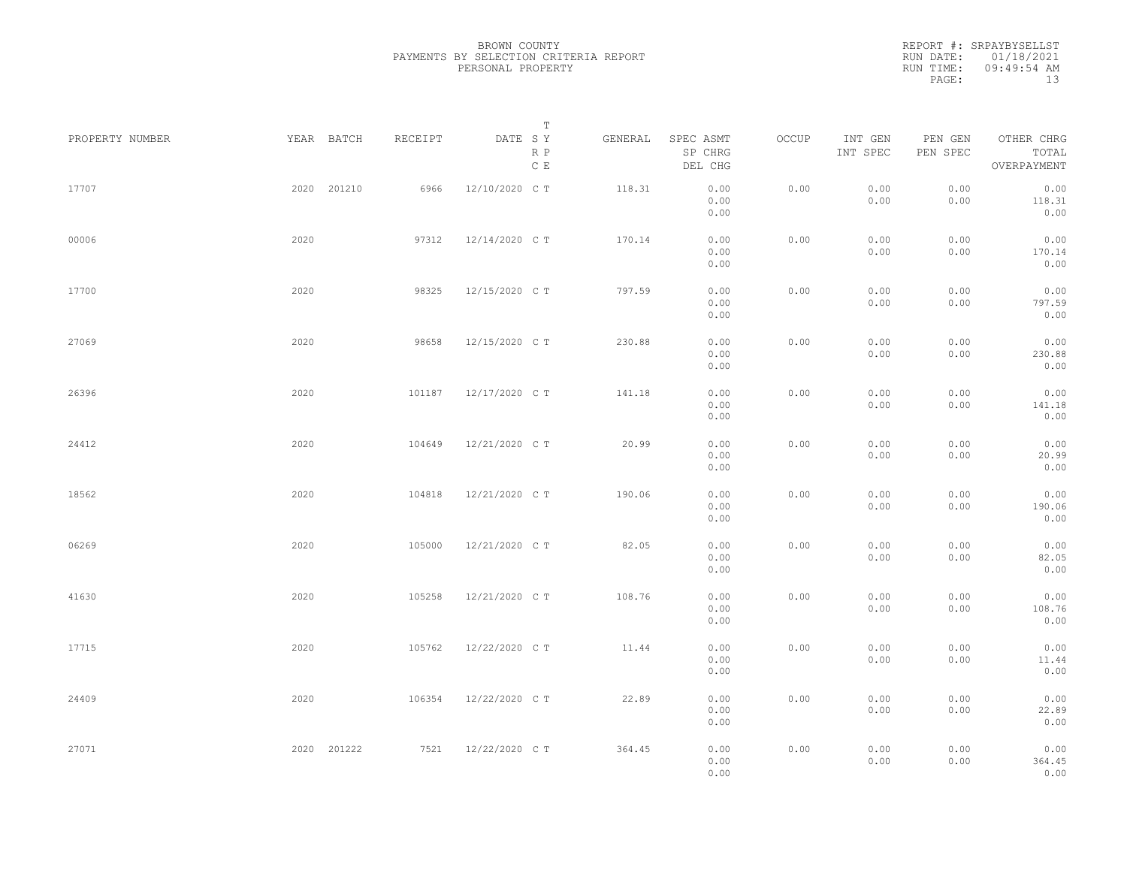|                 |      |             |         | Т                               |         |                                 |       |                     |                     |                                    |  |
|-----------------|------|-------------|---------|---------------------------------|---------|---------------------------------|-------|---------------------|---------------------|------------------------------------|--|
| PROPERTY NUMBER |      | YEAR BATCH  | RECEIPT | DATE SY<br>R P<br>$\,$ C $\,$ E | GENERAL | SPEC ASMT<br>SP CHRG<br>DEL CHG | OCCUP | INT GEN<br>INT SPEC | PEN GEN<br>PEN SPEC | OTHER CHRG<br>TOTAL<br>OVERPAYMENT |  |
| 17707           |      | 2020 201210 | 6966    | 12/10/2020 C T                  | 118.31  | 0.00<br>0.00<br>0.00            | 0.00  | 0.00<br>0.00        | 0.00<br>0.00        | 0.00<br>118.31<br>0.00             |  |
| 00006           | 2020 |             | 97312   | 12/14/2020 C T                  | 170.14  | 0.00<br>0.00<br>0.00            | 0.00  | 0.00<br>0.00        | 0.00<br>0.00        | 0.00<br>170.14<br>0.00             |  |
| 17700           | 2020 |             | 98325   | 12/15/2020 C T                  | 797.59  | 0.00<br>0.00<br>0.00            | 0.00  | 0.00<br>0.00        | 0.00<br>0.00        | 0.00<br>797.59<br>0.00             |  |
| 27069           | 2020 |             | 98658   | 12/15/2020 C T                  | 230.88  | 0.00<br>0.00<br>0.00            | 0.00  | 0.00<br>0.00        | 0.00<br>0.00        | 0.00<br>230.88<br>0.00             |  |
| 26396           | 2020 |             | 101187  | 12/17/2020 C T                  | 141.18  | 0.00<br>0.00<br>0.00            | 0.00  | 0.00<br>0.00        | 0.00<br>0.00        | 0.00<br>141.18<br>0.00             |  |
| 24412           | 2020 |             | 104649  | 12/21/2020 C T                  | 20.99   | 0.00<br>0.00<br>0.00            | 0.00  | 0.00<br>0.00        | 0.00<br>0.00        | 0.00<br>20.99<br>0.00              |  |
| 18562           | 2020 |             | 104818  | 12/21/2020 C T                  | 190.06  | 0.00<br>0.00<br>0.00            | 0.00  | 0.00<br>0.00        | 0.00<br>0.00        | 0.00<br>190.06<br>0.00             |  |
| 06269           | 2020 |             | 105000  | 12/21/2020 C T                  | 82.05   | 0.00<br>0.00<br>0.00            | 0.00  | 0.00<br>0.00        | 0.00<br>0.00        | 0.00<br>82.05<br>0.00              |  |
| 41630           | 2020 |             | 105258  | 12/21/2020 C T                  | 108.76  | 0.00<br>0.00<br>0.00            | 0.00  | 0.00<br>0.00        | 0.00<br>0.00        | 0.00<br>108.76<br>0.00             |  |
| 17715           | 2020 |             | 105762  | 12/22/2020 C T                  | 11.44   | 0.00<br>0.00<br>0.00            | 0.00  | 0.00<br>0.00        | 0.00<br>0.00        | 0.00<br>11.44<br>0.00              |  |
| 24409           | 2020 |             | 106354  | 12/22/2020 C T                  | 22.89   | 0.00<br>0.00<br>0.00            | 0.00  | 0.00<br>0.00        | 0.00<br>0.00        | 0.00<br>22.89<br>0.00              |  |
| 27071           |      | 2020 201222 | 7521    | 12/22/2020 C T                  | 364.45  | 0.00<br>0.00<br>0.00            | 0.00  | 0.00<br>0.00        | 0.00<br>0.00        | 0.00<br>364.45<br>0.00             |  |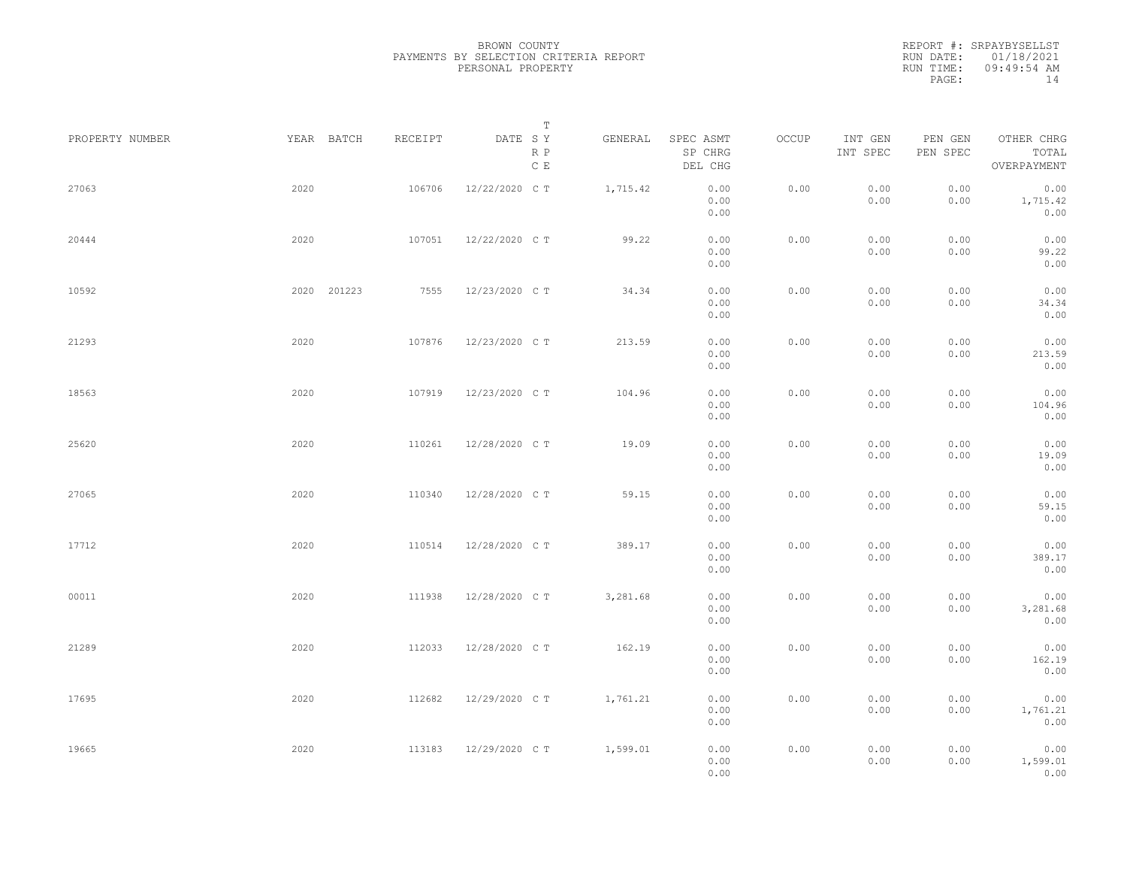| PROPERTY NUMBER |      | YEAR BATCH  | RECEIPT | DATE SY        | T<br>R P<br>$\mathbb C\,$ E | GENERAL  | SPEC ASMT<br>SP CHRG<br>DEL CHG | OCCUP | INT GEN<br>INT SPEC | PEN GEN<br>PEN SPEC | OTHER CHRG<br>TOTAL<br>OVERPAYMENT |  |
|-----------------|------|-------------|---------|----------------|-----------------------------|----------|---------------------------------|-------|---------------------|---------------------|------------------------------------|--|
| 27063           | 2020 |             | 106706  | 12/22/2020 C T |                             | 1,715.42 | 0.00<br>0.00<br>0.00            | 0.00  | 0.00<br>0.00        | 0.00<br>0.00        | 0.00<br>1,715.42<br>0.00           |  |
| 20444           | 2020 |             | 107051  | 12/22/2020 C T |                             | 99.22    | 0.00<br>0.00<br>0.00            | 0.00  | 0.00<br>0.00        | 0.00<br>0.00        | 0.00<br>99.22<br>0.00              |  |
| 10592           |      | 2020 201223 | 7555    | 12/23/2020 C T |                             | 34.34    | 0.00<br>0.00<br>0.00            | 0.00  | 0.00<br>0.00        | 0.00<br>0.00        | 0.00<br>34.34<br>0.00              |  |
| 21293           | 2020 |             | 107876  | 12/23/2020 C T |                             | 213.59   | 0.00<br>0.00<br>0.00            | 0.00  | 0.00<br>0.00        | 0.00<br>0.00        | 0.00<br>213.59<br>0.00             |  |
| 18563           | 2020 |             | 107919  | 12/23/2020 C T |                             | 104.96   | 0.00<br>0.00<br>0.00            | 0.00  | 0.00<br>0.00        | 0.00<br>0.00        | 0.00<br>104.96<br>0.00             |  |
| 25620           | 2020 |             | 110261  | 12/28/2020 C T |                             | 19.09    | 0.00<br>0.00<br>0.00            | 0.00  | 0.00<br>0.00        | 0.00<br>0.00        | 0.00<br>19.09<br>0.00              |  |
| 27065           | 2020 |             | 110340  | 12/28/2020 C T |                             | 59.15    | 0.00<br>0.00<br>0.00            | 0.00  | 0.00<br>0.00        | 0.00<br>0.00        | 0.00<br>59.15<br>0.00              |  |
| 17712           | 2020 |             | 110514  | 12/28/2020 C T |                             | 389.17   | 0.00<br>0.00<br>0.00            | 0.00  | 0.00<br>0.00        | 0.00<br>0.00        | 0.00<br>389.17<br>0.00             |  |
| 00011           | 2020 |             | 111938  | 12/28/2020 C T |                             | 3,281.68 | 0.00<br>0.00<br>0.00            | 0.00  | 0.00<br>0.00        | 0.00<br>0.00        | 0.00<br>3,281.68<br>0.00           |  |
| 21289           | 2020 |             | 112033  | 12/28/2020 C T |                             | 162.19   | 0.00<br>0.00<br>0.00            | 0.00  | 0.00<br>0.00        | 0.00<br>0.00        | 0.00<br>162.19<br>0.00             |  |
| 17695           | 2020 |             | 112682  | 12/29/2020 C T |                             | 1,761.21 | 0.00<br>0.00<br>0.00            | 0.00  | 0.00<br>0.00        | 0.00<br>0.00        | 0.00<br>1,761.21<br>0.00           |  |
| 19665           | 2020 |             | 113183  | 12/29/2020 C T |                             | 1,599.01 | 0.00<br>0.00<br>0.00            | 0.00  | 0.00<br>0.00        | 0.00<br>0.00        | 0.00<br>1,599.01<br>0.00           |  |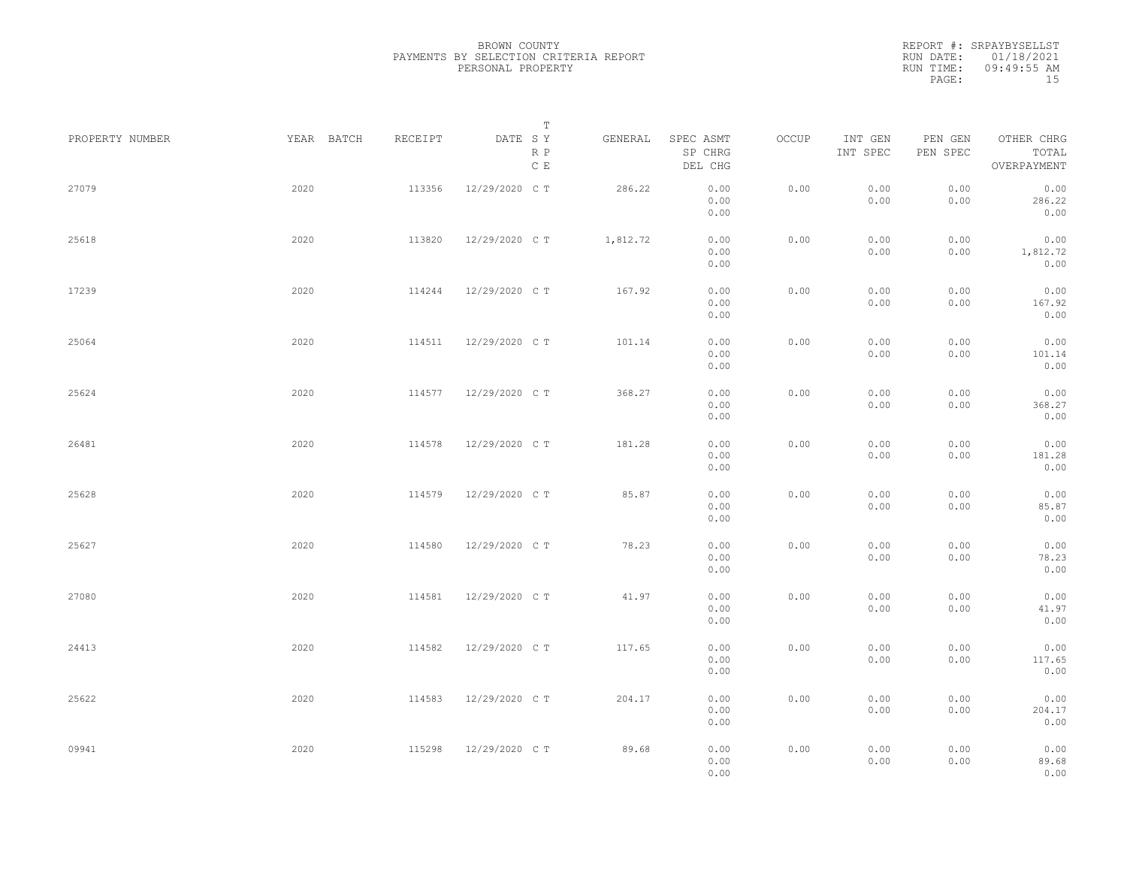| PROPERTY NUMBER | YEAR BATCH | RECEIPT | Т<br>DATE SY         | GENERAL  | SPEC ASMT            | OCCUP | INT GEN      | PEN GEN      | OTHER CHRG               |  |
|-----------------|------------|---------|----------------------|----------|----------------------|-------|--------------|--------------|--------------------------|--|
|                 |            |         | R P<br>$\mathbb C$ E |          | SP CHRG<br>DEL CHG   |       | INT SPEC     | PEN SPEC     | TOTAL<br>OVERPAYMENT     |  |
| 27079           | 2020       | 113356  | 12/29/2020 C T       | 286.22   | 0.00<br>0.00<br>0.00 | 0.00  | 0.00<br>0.00 | 0.00<br>0.00 | 0.00<br>286.22<br>0.00   |  |
| 25618           | 2020       | 113820  | 12/29/2020 C T       | 1,812.72 | 0.00<br>0.00<br>0.00 | 0.00  | 0.00<br>0.00 | 0.00<br>0.00 | 0.00<br>1,812.72<br>0.00 |  |
| 17239           | 2020       | 114244  | 12/29/2020 C T       | 167.92   | 0.00<br>0.00<br>0.00 | 0.00  | 0.00<br>0.00 | 0.00<br>0.00 | 0.00<br>167.92<br>0.00   |  |
| 25064           | 2020       | 114511  | 12/29/2020 C T       | 101.14   | 0.00<br>0.00<br>0.00 | 0.00  | 0.00<br>0.00 | 0.00<br>0.00 | 0.00<br>101.14<br>0.00   |  |
| 25624           | 2020       | 114577  | 12/29/2020 C T       | 368.27   | 0.00<br>0.00<br>0.00 | 0.00  | 0.00<br>0.00 | 0.00<br>0.00 | 0.00<br>368.27<br>0.00   |  |
| 26481           | 2020       | 114578  | 12/29/2020 C T       | 181.28   | 0.00<br>0.00<br>0.00 | 0.00  | 0.00<br>0.00 | 0.00<br>0.00 | 0.00<br>181.28<br>0.00   |  |
| 25628           | 2020       | 114579  | 12/29/2020 C T       | 85.87    | 0.00<br>0.00<br>0.00 | 0.00  | 0.00<br>0.00 | 0.00<br>0.00 | 0.00<br>85.87<br>0.00    |  |
| 25627           | 2020       | 114580  | 12/29/2020 C T       | 78.23    | 0.00<br>0.00<br>0.00 | 0.00  | 0.00<br>0.00 | 0.00<br>0.00 | 0.00<br>78.23<br>0.00    |  |
| 27080           | 2020       | 114581  | 12/29/2020 C T       | 41.97    | 0.00<br>0.00<br>0.00 | 0.00  | 0.00<br>0.00 | 0.00<br>0.00 | 0.00<br>41.97<br>0.00    |  |
| 24413           | 2020       | 114582  | 12/29/2020 C T       | 117.65   | 0.00<br>0.00<br>0.00 | 0.00  | 0.00<br>0.00 | 0.00<br>0.00 | 0.00<br>117.65<br>0.00   |  |
| 25622           | 2020       | 114583  | 12/29/2020 C T       | 204.17   | 0.00<br>0.00<br>0.00 | 0.00  | 0.00<br>0.00 | 0.00<br>0.00 | 0.00<br>204.17<br>0.00   |  |
| 09941           | 2020       | 115298  | 12/29/2020 C T       | 89.68    | 0.00<br>0.00<br>0.00 | 0.00  | 0.00<br>0.00 | 0.00<br>0.00 | 0.00<br>89.68<br>0.00    |  |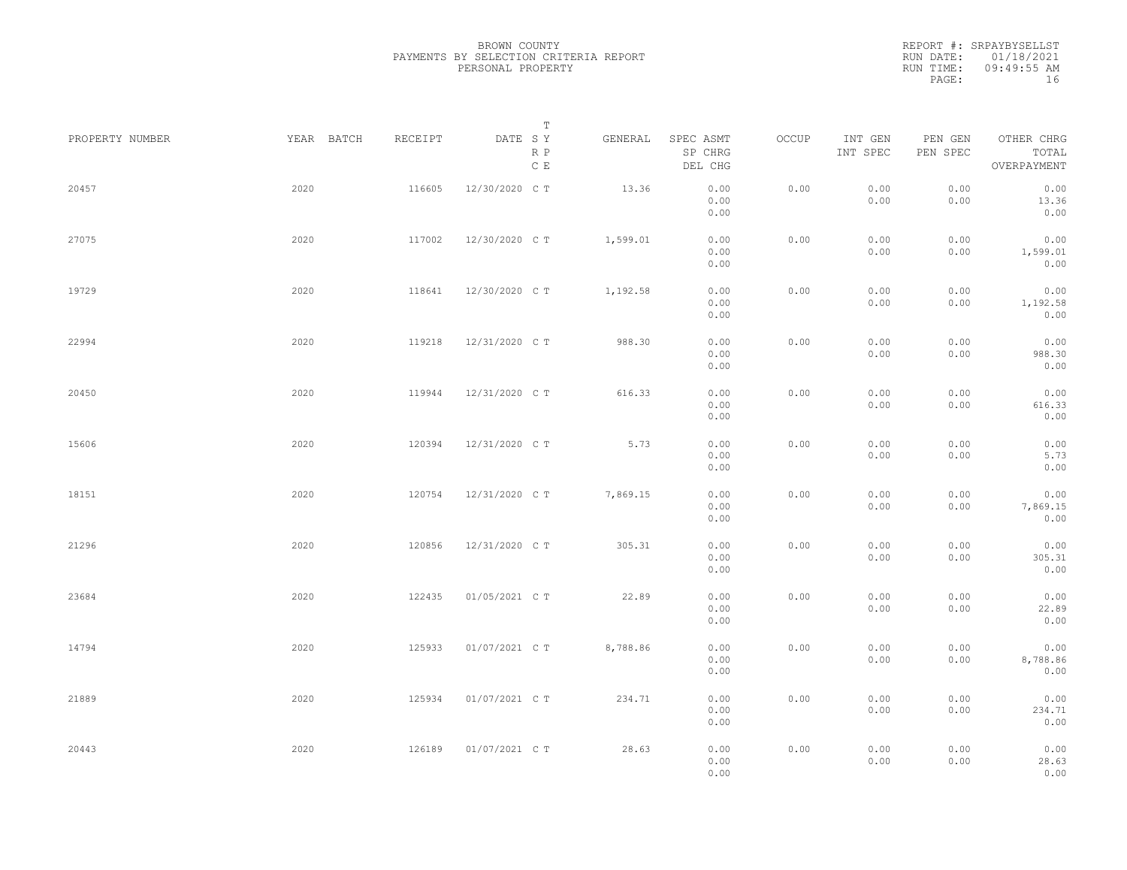REPORT #: SRPAYBYSELLST RUN DATE: 01/18/2021 RUN TIME: 09:49:55 AM PAGE: 16

|                 |            |         | $\mathbb T$                                         |          |                                 |       |                     |                     |                                    |
|-----------------|------------|---------|-----------------------------------------------------|----------|---------------------------------|-------|---------------------|---------------------|------------------------------------|
| PROPERTY NUMBER | YEAR BATCH | RECEIPT | DATE SY<br>$\mathbb R$ $\mathbb P$<br>$\mathbb C$ E | GENERAL  | SPEC ASMT<br>SP CHRG<br>DEL CHG | OCCUP | INT GEN<br>INT SPEC | PEN GEN<br>PEN SPEC | OTHER CHRG<br>TOTAL<br>OVERPAYMENT |
| 20457           | 2020       | 116605  | 12/30/2020 C T                                      | 13.36    | 0.00<br>0.00<br>0.00            | 0.00  | 0.00<br>0.00        | 0.00<br>0.00        | 0.00<br>13.36<br>0.00              |
| 27075           | 2020       | 117002  | 12/30/2020 C T                                      | 1,599.01 | 0.00<br>0.00<br>0.00            | 0.00  | 0.00<br>0.00        | 0.00<br>0.00        | 0.00<br>1,599.01<br>0.00           |
| 19729           | 2020       | 118641  | 12/30/2020 C T                                      | 1,192.58 | 0.00<br>0.00<br>0.00            | 0.00  | 0.00<br>0.00        | 0.00<br>0.00        | 0.00<br>1,192.58<br>0.00           |
| 22994           | 2020       | 119218  | 12/31/2020 C T                                      | 988.30   | 0.00<br>0.00<br>0.00            | 0.00  | 0.00<br>0.00        | 0.00<br>0.00        | 0.00<br>988.30<br>0.00             |
| 20450           | 2020       | 119944  | 12/31/2020 C T                                      | 616.33   | 0.00<br>0.00<br>0.00            | 0.00  | 0.00<br>0.00        | 0.00<br>0.00        | 0.00<br>616.33<br>0.00             |
| 15606           | 2020       | 120394  | 12/31/2020 C T                                      | 5.73     | 0.00<br>0.00<br>0.00            | 0.00  | 0.00<br>0.00        | 0.00<br>0.00        | 0.00<br>5.73<br>0.00               |
| 18151           | 2020       | 120754  | 12/31/2020 C T                                      | 7,869.15 | 0.00<br>0.00<br>0.00            | 0.00  | 0.00<br>0.00        | 0.00<br>0.00        | 0.00<br>7,869.15<br>0.00           |
| 21296           | 2020       | 120856  | 12/31/2020 C T                                      | 305.31   | 0.00<br>0.00<br>0.00            | 0.00  | 0.00<br>0.00        | 0.00<br>0.00        | 0.00<br>305.31<br>0.00             |
| 23684           | 2020       | 122435  | 01/05/2021 C T                                      | 22.89    | 0.00<br>0.00<br>0.00            | 0.00  | 0.00<br>0.00        | 0.00<br>0.00        | 0.00<br>22.89<br>0.00              |
| 14794           | 2020       | 125933  | 01/07/2021 C T                                      | 8,788.86 | 0.00<br>0.00<br>0.00            | 0.00  | 0.00<br>0.00        | 0.00<br>0.00        | 0.00<br>8,788.86<br>0.00           |
| 21889           | 2020       | 125934  | 01/07/2021 C T                                      | 234.71   | 0.00<br>0.00<br>0.00            | 0.00  | 0.00<br>0.00        | 0.00<br>0.00        | 0.00<br>234.71<br>0.00             |
| 20443           | 2020       | 126189  | 01/07/2021 C T                                      | 28.63    | 0.00<br>0.00<br>0.00            | 0.00  | 0.00<br>0.00        | 0.00<br>0.00        | 0.00<br>28.63<br>0.00              |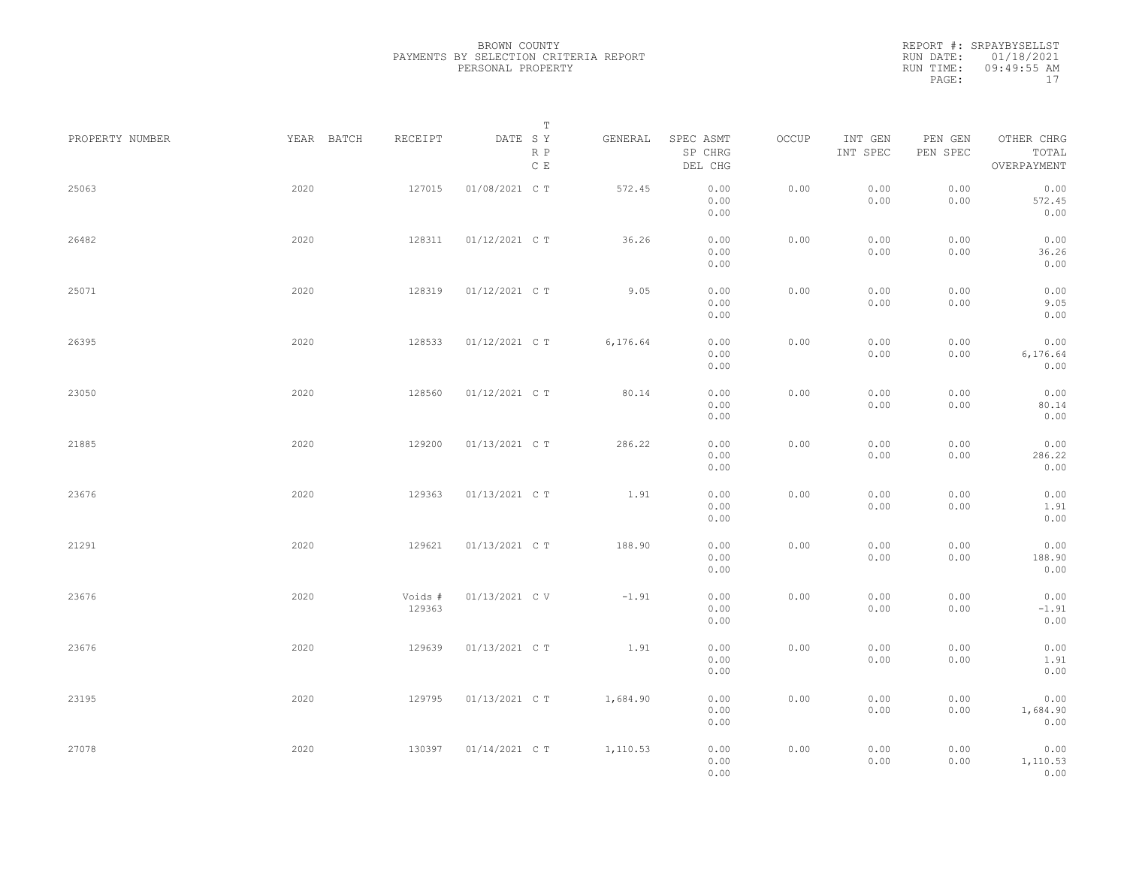|           | REPORT #: SRPAYBYSELLST |
|-----------|-------------------------|
|           | RUN DATE: 01/18/2021    |
| RUN TIME: | $09:49:55$ AM           |
| PAGE:     | 17                      |

| PROPERTY NUMBER |      | YEAR BATCH<br>RECEIPT | Т<br>DATE SY<br>R P | GENERAL  | SPEC ASMT<br>SP CHRG | OCCUP | INT GEN<br>INT SPEC | PEN GEN<br>PEN SPEC | OTHER CHRG<br>TOTAL |  |
|-----------------|------|-----------------------|---------------------|----------|----------------------|-------|---------------------|---------------------|---------------------|--|
|                 |      |                       | $\,$ C $\,$ E       |          | DEL CHG              |       |                     |                     | OVERPAYMENT         |  |
| 25063           | 2020 | 127015                | 01/08/2021 C T      | 572.45   | 0.00<br>0.00         | 0.00  | 0.00<br>0.00        | 0.00<br>0.00        | 0.00<br>572.45      |  |
|                 |      |                       |                     |          | 0.00                 |       |                     |                     | 0.00                |  |
| 26482           | 2020 | 128311                | 01/12/2021 C T      | 36.26    | 0.00<br>0.00         | 0.00  | 0.00<br>0.00        | 0.00<br>0.00        | 0.00<br>36.26       |  |
|                 |      |                       |                     |          | 0.00                 |       |                     |                     | 0.00                |  |
| 25071           | 2020 | 128319                | 01/12/2021 C T      | 9.05     | 0.00                 | 0.00  | 0.00                | 0.00                | 0.00                |  |
|                 |      |                       |                     |          | 0.00<br>0.00         |       | 0.00                | 0.00                | 9.05<br>0.00        |  |
| 26395           | 2020 | 128533                | 01/12/2021 C T      | 6,176.64 | 0.00                 | 0.00  | 0.00                | 0.00                | 0.00                |  |
|                 |      |                       |                     |          | 0.00<br>0.00         |       | 0.00                | 0.00                | 6, 176.64<br>0.00   |  |
| 23050           | 2020 | 128560                | 01/12/2021 C T      | 80.14    | 0.00                 | 0.00  | 0.00                | 0.00                | 0.00                |  |
|                 |      |                       |                     |          | 0.00<br>0.00         |       | 0.00                | 0.00                | 80.14<br>0.00       |  |
| 21885           | 2020 | 129200                | 01/13/2021 C T      | 286.22   | 0.00                 | 0.00  | 0.00                | 0.00                | 0.00                |  |
|                 |      |                       |                     |          | 0.00<br>0.00         |       | 0.00                | 0.00                | 286.22<br>0.00      |  |
| 23676           | 2020 | 129363                | 01/13/2021 C T      | 1.91     | 0.00                 | 0.00  | 0.00                | 0.00                | 0.00                |  |
|                 |      |                       |                     |          | 0.00<br>0.00         |       | 0.00                | 0.00                | 1.91<br>0.00        |  |
| 21291           | 2020 | 129621                | 01/13/2021 C T      | 188.90   | 0.00                 | 0.00  | 0.00                | 0.00                | 0.00                |  |
|                 |      |                       |                     |          | 0.00<br>0.00         |       | 0.00                | 0.00                | 188.90<br>0.00      |  |
|                 |      |                       |                     |          |                      |       |                     |                     |                     |  |
| 23676           | 2020 | Voids #<br>129363     | 01/13/2021 C V      | $-1.91$  | 0.00<br>0.00         | 0.00  | 0.00<br>0.00        | 0.00<br>0.00        | 0.00<br>$-1.91$     |  |
|                 |      |                       |                     |          | 0.00                 |       |                     |                     | 0.00                |  |
| 23676           | 2020 | 129639                | 01/13/2021 C T      | 1.91     | 0.00<br>0.00         | 0.00  | 0.00<br>0.00        | 0.00<br>0.00        | 0.00<br>1.91        |  |
|                 |      |                       |                     |          | 0.00                 |       |                     |                     | 0.00                |  |
| 23195           | 2020 | 129795                | 01/13/2021 C T      | 1,684.90 | 0.00<br>0.00         | 0.00  | 0.00<br>0.00        | 0.00<br>0.00        | 0.00<br>1,684.90    |  |
|                 |      |                       |                     |          | 0.00                 |       |                     |                     | 0.00                |  |
| 27078           | 2020 | 130397                | 01/14/2021 C T      | 1,110.53 | 0.00                 | 0.00  | 0.00                | 0.00                | 0.00                |  |
|                 |      |                       |                     |          | 0.00<br>0.00         |       | 0.00                | 0.00                | 1,110.53<br>0.00    |  |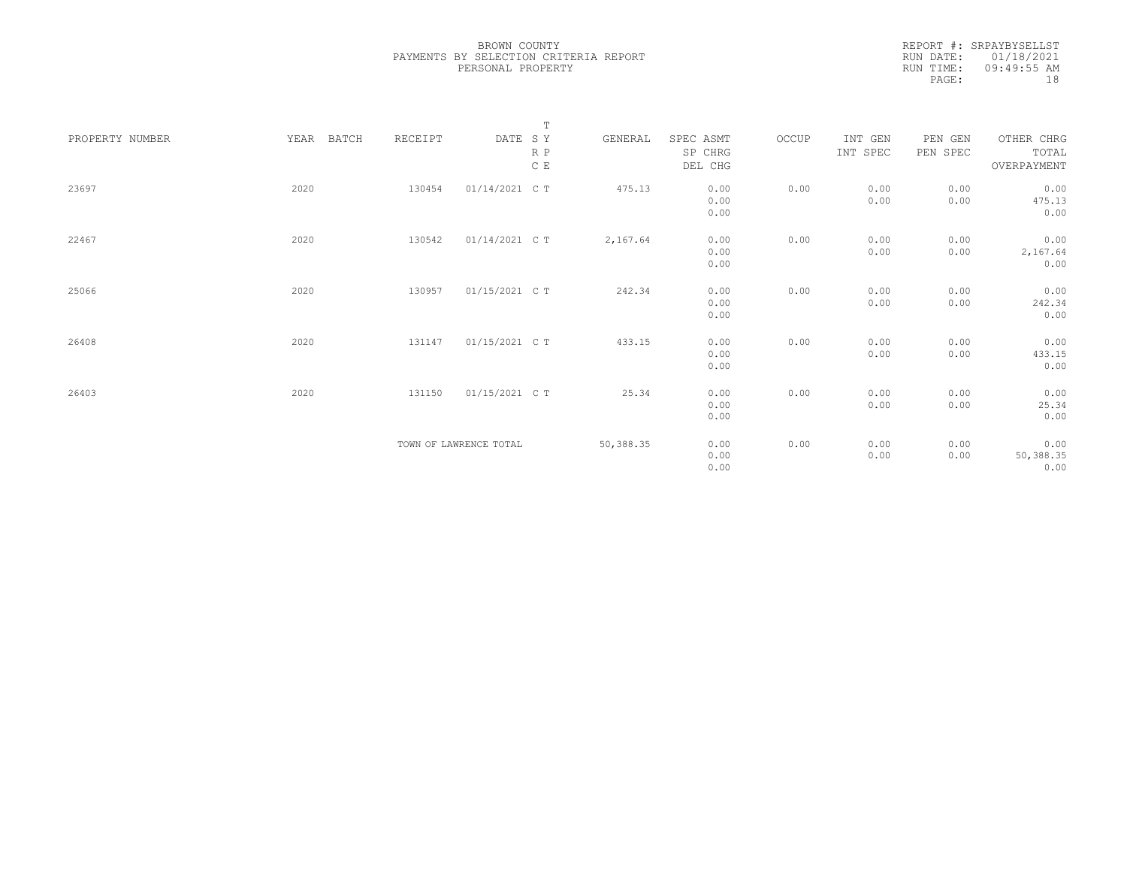|                 |               |         |                        | $\mathbb T$ |           |           |       |          |          |             |
|-----------------|---------------|---------|------------------------|-------------|-----------|-----------|-------|----------|----------|-------------|
| PROPERTY NUMBER | BATCH<br>YEAR | RECEIPT | DATE SY                |             | GENERAL   | SPEC ASMT | OCCUP | INT GEN  | PEN GEN  | OTHER CHRG  |
|                 |               |         |                        | $R$ $P$     |           | SP CHRG   |       | INT SPEC | PEN SPEC | TOTAL       |
|                 |               |         |                        | C E         |           | DEL CHG   |       |          |          | OVERPAYMENT |
|                 |               |         |                        |             |           |           |       |          |          |             |
| 23697           | 2020          | 130454  | 01/14/2021 C T         |             | 475.13    | 0.00      | 0.00  | 0.00     | 0.00     | 0.00        |
|                 |               |         |                        |             |           | 0.00      |       | 0.00     | 0.00     | 475.13      |
|                 |               |         |                        |             |           | 0.00      |       |          |          | 0.00        |
|                 |               |         |                        |             |           |           |       |          |          |             |
| 22467           | 2020          | 130542  | 01/14/2021 C T         |             | 2,167.64  | 0.00      | 0.00  | 0.00     | 0.00     | 0.00        |
|                 |               |         |                        |             |           | 0.00      |       | 0.00     | 0.00     | 2,167.64    |
|                 |               |         |                        |             |           | 0.00      |       |          |          | 0.00        |
|                 |               |         |                        |             |           |           |       |          |          |             |
| 25066           | 2020          | 130957  | 01/15/2021 C T         |             | 242.34    | 0.00      | 0.00  | 0.00     | 0.00     | 0.00        |
|                 |               |         |                        |             |           | 0.00      |       | 0.00     | 0.00     | 242.34      |
|                 |               |         |                        |             |           | 0.00      |       |          |          | 0.00        |
|                 |               |         |                        |             |           |           |       |          |          |             |
| 26408           | 2020          | 131147  | 01/15/2021 C T         |             | 433.15    | 0.00      | 0.00  | 0.00     | 0.00     | 0.00        |
|                 |               |         |                        |             |           | 0.00      |       | 0.00     | 0.00     | 433.15      |
|                 |               |         |                        |             |           | 0.00      |       |          |          | 0.00        |
|                 |               |         |                        |             |           |           |       |          |          |             |
| 26403           | 2020          | 131150  | 01/15/2021 C T         |             | 25.34     | 0.00      | 0.00  | 0.00     | 0.00     | 0.00        |
|                 |               |         |                        |             |           | 0.00      |       | 0.00     | 0.00     | 25.34       |
|                 |               |         |                        |             |           | 0.00      |       |          |          | 0.00        |
|                 |               |         |                        |             |           |           |       |          |          |             |
|                 |               |         | TOWN OF LAWRENCE TOTAL |             | 50,388.35 | 0.00      | 0.00  | 0.00     | 0.00     | 0.00        |
|                 |               |         |                        |             |           | 0.00      |       | 0.00     | 0.00     | 50,388.35   |
|                 |               |         |                        |             |           | 0.00      |       |          |          | 0.00        |
|                 |               |         |                        |             |           |           |       |          |          |             |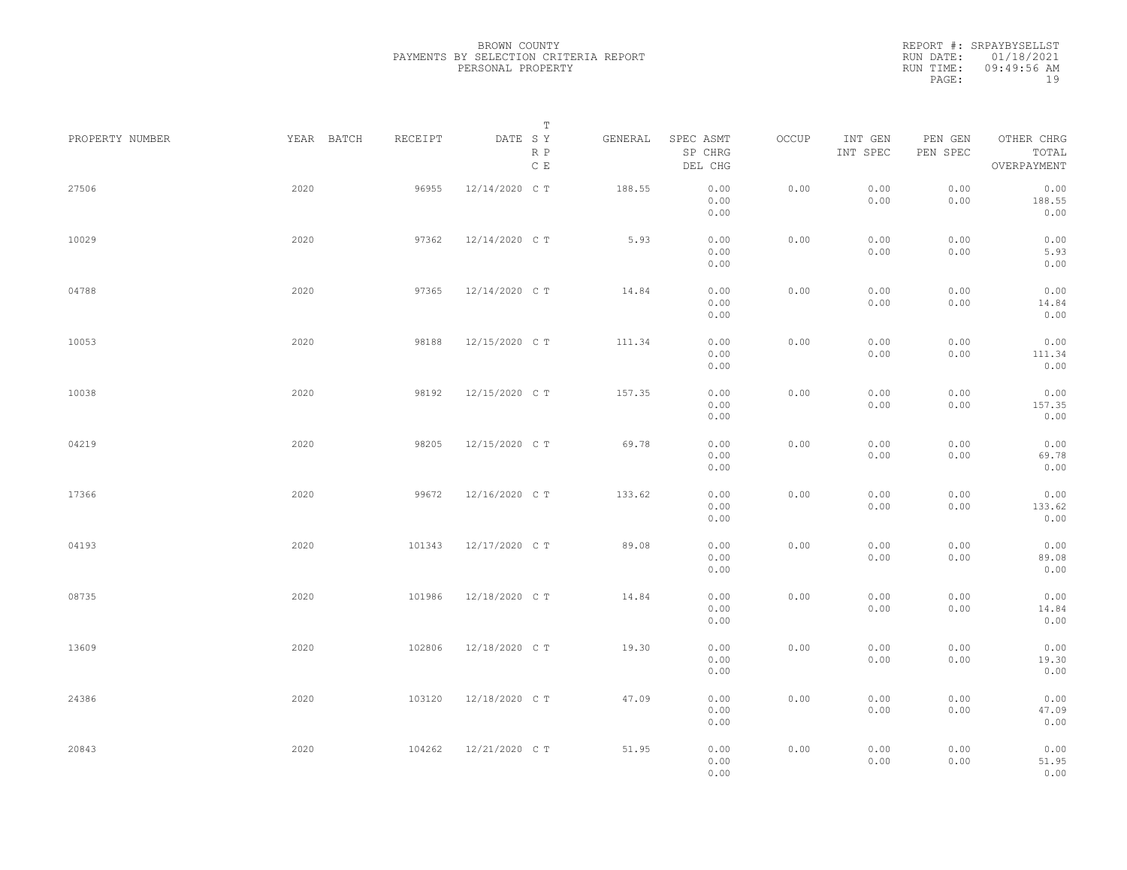|                 |            |         | Т                               |         |                                 |       |                     |                     |                                    |  |
|-----------------|------------|---------|---------------------------------|---------|---------------------------------|-------|---------------------|---------------------|------------------------------------|--|
| PROPERTY NUMBER | YEAR BATCH | RECEIPT | DATE SY<br>R P<br>$\,$ C $\,$ E | GENERAL | SPEC ASMT<br>SP CHRG<br>DEL CHG | OCCUP | INT GEN<br>INT SPEC | PEN GEN<br>PEN SPEC | OTHER CHRG<br>TOTAL<br>OVERPAYMENT |  |
| 27506           | 2020       | 96955   | 12/14/2020 C T                  | 188.55  | 0.00<br>0.00<br>0.00            | 0.00  | 0.00<br>0.00        | 0.00<br>0.00        | 0.00<br>188.55<br>0.00             |  |
| 10029           | 2020       | 97362   | 12/14/2020 C T                  | 5.93    | 0.00<br>0.00<br>0.00            | 0.00  | 0.00<br>0.00        | 0.00<br>0.00        | 0.00<br>5.93<br>0.00               |  |
| 04788           | 2020       | 97365   | 12/14/2020 C T                  | 14.84   | 0.00<br>0.00<br>0.00            | 0.00  | 0.00<br>0.00        | 0.00<br>0.00        | 0.00<br>14.84<br>0.00              |  |
| 10053           | 2020       | 98188   | 12/15/2020 C T                  | 111.34  | 0.00<br>0.00<br>0.00            | 0.00  | 0.00<br>0.00        | 0.00<br>0.00        | 0.00<br>111.34<br>0.00             |  |
| 10038           | 2020       | 98192   | 12/15/2020 C T                  | 157.35  | 0.00<br>0.00<br>0.00            | 0.00  | 0.00<br>0.00        | 0.00<br>0.00        | 0.00<br>157.35<br>0.00             |  |
| 04219           | 2020       | 98205   | 12/15/2020 C T                  | 69.78   | 0.00<br>0.00<br>0.00            | 0.00  | 0.00<br>0.00        | 0.00<br>0.00        | 0.00<br>69.78<br>0.00              |  |
| 17366           | 2020       | 99672   | 12/16/2020 C T                  | 133.62  | 0.00<br>0.00<br>0.00            | 0.00  | 0.00<br>0.00        | 0.00<br>0.00        | 0.00<br>133.62<br>0.00             |  |
| 04193           | 2020       | 101343  | 12/17/2020 C T                  | 89.08   | 0.00<br>0.00<br>0.00            | 0.00  | 0.00<br>0.00        | 0.00<br>0.00        | 0.00<br>89.08<br>0.00              |  |
| 08735           | 2020       | 101986  | 12/18/2020 C T                  | 14.84   | 0.00<br>0.00<br>0.00            | 0.00  | 0.00<br>0.00        | 0.00<br>0.00        | 0.00<br>14.84<br>0.00              |  |
| 13609           | 2020       | 102806  | 12/18/2020 C T                  | 19.30   | 0.00<br>0.00<br>0.00            | 0.00  | 0.00<br>0.00        | 0.00<br>0.00        | 0.00<br>19.30<br>0.00              |  |
| 24386           | 2020       | 103120  | 12/18/2020 C T                  | 47.09   | 0.00<br>0.00<br>0.00            | 0.00  | 0.00<br>0.00        | 0.00<br>0.00        | 0.00<br>47.09<br>0.00              |  |
| 20843           | 2020       | 104262  | 12/21/2020 C T                  | 51.95   | 0.00<br>0.00<br>0.00            | 0.00  | 0.00<br>0.00        | 0.00<br>0.00        | 0.00<br>51.95<br>0.00              |  |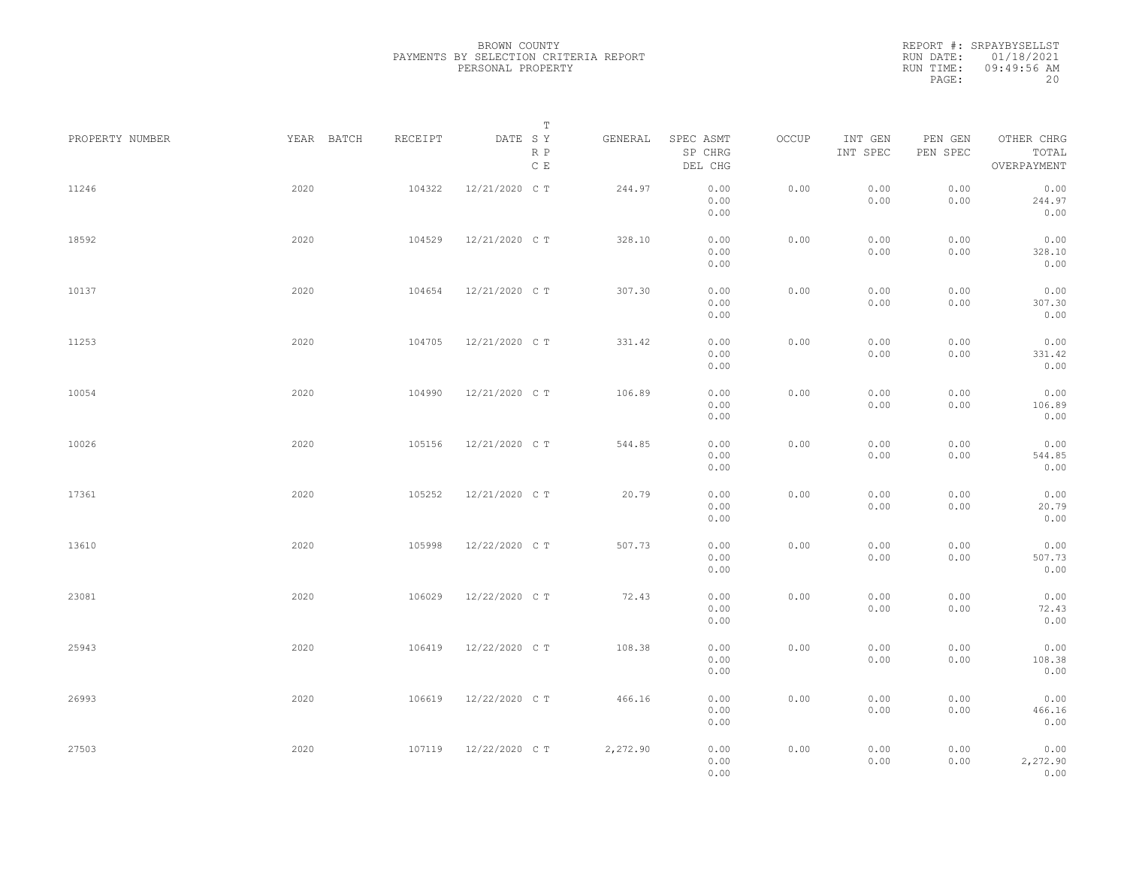| PROPERTY NUMBER |      | YEAR BATCH | RECEIPT | DATE SY        | T<br>R P<br>$\mathbb C\,$ E | GENERAL  | SPEC ASMT<br>SP CHRG<br>DEL CHG | OCCUP | INT GEN<br>INT SPEC | PEN GEN<br>PEN SPEC | OTHER CHRG<br>TOTAL<br>OVERPAYMENT |  |
|-----------------|------|------------|---------|----------------|-----------------------------|----------|---------------------------------|-------|---------------------|---------------------|------------------------------------|--|
| 11246           | 2020 |            | 104322  | 12/21/2020 C T |                             | 244.97   | 0.00<br>0.00<br>0.00            | 0.00  | 0.00<br>0.00        | 0.00<br>0.00        | 0.00<br>244.97<br>0.00             |  |
| 18592           | 2020 |            | 104529  | 12/21/2020 C T |                             | 328.10   | 0.00<br>0.00<br>0.00            | 0.00  | 0.00<br>0.00        | 0.00<br>0.00        | 0.00<br>328.10<br>0.00             |  |
| 10137           | 2020 |            | 104654  | 12/21/2020 C T |                             | 307.30   | 0.00<br>0.00<br>0.00            | 0.00  | 0.00<br>0.00        | 0.00<br>0.00        | 0.00<br>307.30<br>0.00             |  |
| 11253           | 2020 |            | 104705  | 12/21/2020 C T |                             | 331.42   | 0.00<br>0.00<br>0.00            | 0.00  | 0.00<br>0.00        | 0.00<br>0.00        | 0.00<br>331.42<br>0.00             |  |
| 10054           | 2020 |            | 104990  | 12/21/2020 C T |                             | 106.89   | 0.00<br>0.00<br>0.00            | 0.00  | 0.00<br>0.00        | 0.00<br>0.00        | 0.00<br>106.89<br>0.00             |  |
| 10026           | 2020 |            | 105156  | 12/21/2020 C T |                             | 544.85   | 0.00<br>0.00<br>0.00            | 0.00  | 0.00<br>0.00        | 0.00<br>0.00        | 0.00<br>544.85<br>0.00             |  |
| 17361           | 2020 |            | 105252  | 12/21/2020 C T |                             | 20.79    | 0.00<br>0.00<br>0.00            | 0.00  | 0.00<br>0.00        | 0.00<br>0.00        | 0.00<br>20.79<br>0.00              |  |
| 13610           | 2020 |            | 105998  | 12/22/2020 C T |                             | 507.73   | 0.00<br>0.00<br>0.00            | 0.00  | 0.00<br>0.00        | 0.00<br>0.00        | 0.00<br>507.73<br>0.00             |  |
| 23081           | 2020 |            | 106029  | 12/22/2020 C T |                             | 72.43    | 0.00<br>0.00<br>0.00            | 0.00  | 0.00<br>0.00        | 0.00<br>0.00        | 0.00<br>72.43<br>0.00              |  |
| 25943           | 2020 |            | 106419  | 12/22/2020 C T |                             | 108.38   | 0.00<br>0.00<br>0.00            | 0.00  | 0.00<br>0.00        | 0.00<br>0.00        | 0.00<br>108.38<br>0.00             |  |
| 26993           | 2020 |            | 106619  | 12/22/2020 C T |                             | 466.16   | 0.00<br>0.00<br>0.00            | 0.00  | 0.00<br>0.00        | 0.00<br>0.00        | 0.00<br>466.16<br>0.00             |  |
| 27503           | 2020 |            | 107119  | 12/22/2020 C T |                             | 2,272.90 | 0.00<br>0.00<br>0.00            | 0.00  | 0.00<br>0.00        | 0.00<br>0.00        | 0.00<br>2,272.90<br>0.00           |  |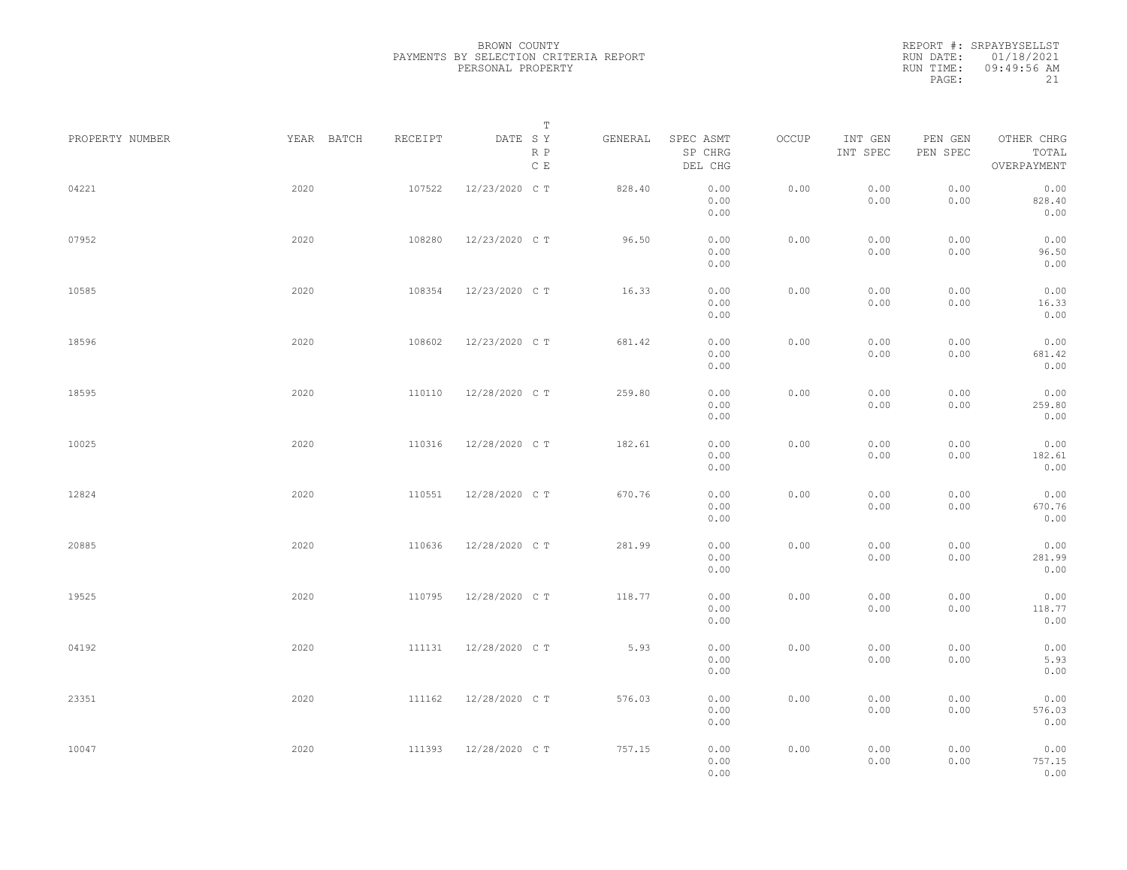REPORT #: SRPAYBYSELLST RUN DATE: 01/18/2021 RUN TIME: 09:49:56 AM PAGE: 21

| PROPERTY NUMBER | YEAR BATCH | RECEIPT | $\mathbb T$<br>DATE SY<br>R P<br>$\mathbb C$ E | GENERAL | SPEC ASMT<br>SP CHRG<br>DEL CHG | OCCUP | INT GEN<br>INT SPEC | PEN GEN<br>PEN SPEC | OTHER CHRG<br>TOTAL<br>OVERPAYMENT |  |
|-----------------|------------|---------|------------------------------------------------|---------|---------------------------------|-------|---------------------|---------------------|------------------------------------|--|
| 04221           | 2020       | 107522  | 12/23/2020 C T                                 | 828.40  | 0.00<br>0.00<br>0.00            | 0.00  | 0.00<br>0.00        | 0.00<br>0.00        | 0.00<br>828.40<br>0.00             |  |
| 07952           | 2020       | 108280  | 12/23/2020 C T                                 | 96.50   | 0.00<br>0.00<br>0.00            | 0.00  | 0.00<br>0.00        | 0.00<br>0.00        | 0.00<br>96.50<br>0.00              |  |
| 10585           | 2020       | 108354  | 12/23/2020 C T                                 | 16.33   | 0.00<br>0.00<br>0.00            | 0.00  | 0.00<br>0.00        | 0.00<br>0.00        | 0.00<br>16.33<br>0.00              |  |
| 18596           | 2020       | 108602  | 12/23/2020 C T                                 | 681.42  | 0.00<br>0.00<br>0.00            | 0.00  | 0.00<br>0.00        | 0.00<br>0.00        | 0.00<br>681.42<br>0.00             |  |
| 18595           | 2020       | 110110  | 12/28/2020 C T                                 | 259.80  | 0.00<br>0.00<br>0.00            | 0.00  | 0.00<br>0.00        | 0.00<br>0.00        | 0.00<br>259.80<br>0.00             |  |
| 10025           | 2020       | 110316  | 12/28/2020 C T                                 | 182.61  | 0.00<br>0.00<br>0.00            | 0.00  | 0.00<br>0.00        | 0.00<br>0.00        | 0.00<br>182.61<br>0.00             |  |
| 12824           | 2020       | 110551  | 12/28/2020 C T                                 | 670.76  | 0.00<br>0.00<br>0.00            | 0.00  | 0.00<br>0.00        | 0.00<br>0.00        | 0.00<br>670.76<br>0.00             |  |
| 20885           | 2020       | 110636  | 12/28/2020 C T                                 | 281.99  | 0.00<br>0.00<br>0.00            | 0.00  | 0.00<br>0.00        | 0.00<br>0.00        | 0.00<br>281.99<br>0.00             |  |
| 19525           | 2020       | 110795  | 12/28/2020 C T                                 | 118.77  | 0.00<br>0.00<br>0.00            | 0.00  | 0.00<br>0.00        | 0.00<br>0.00        | 0.00<br>118.77<br>0.00             |  |
| 04192           | 2020       | 111131  | 12/28/2020 C T                                 | 5.93    | 0.00<br>0.00<br>0.00            | 0.00  | 0.00<br>0.00        | 0.00<br>0.00        | 0.00<br>5.93<br>0.00               |  |
| 23351           | 2020       | 111162  | 12/28/2020 C T                                 | 576.03  | 0.00<br>0.00<br>0.00            | 0.00  | 0.00<br>0.00        | 0.00<br>0.00        | 0.00<br>576.03<br>0.00             |  |
| 10047           | 2020       | 111393  | 12/28/2020 C T                                 | 757.15  | 0.00<br>0.00<br>0.00            | 0.00  | 0.00<br>0.00        | 0.00<br>0.00        | 0.00<br>757.15<br>0.00             |  |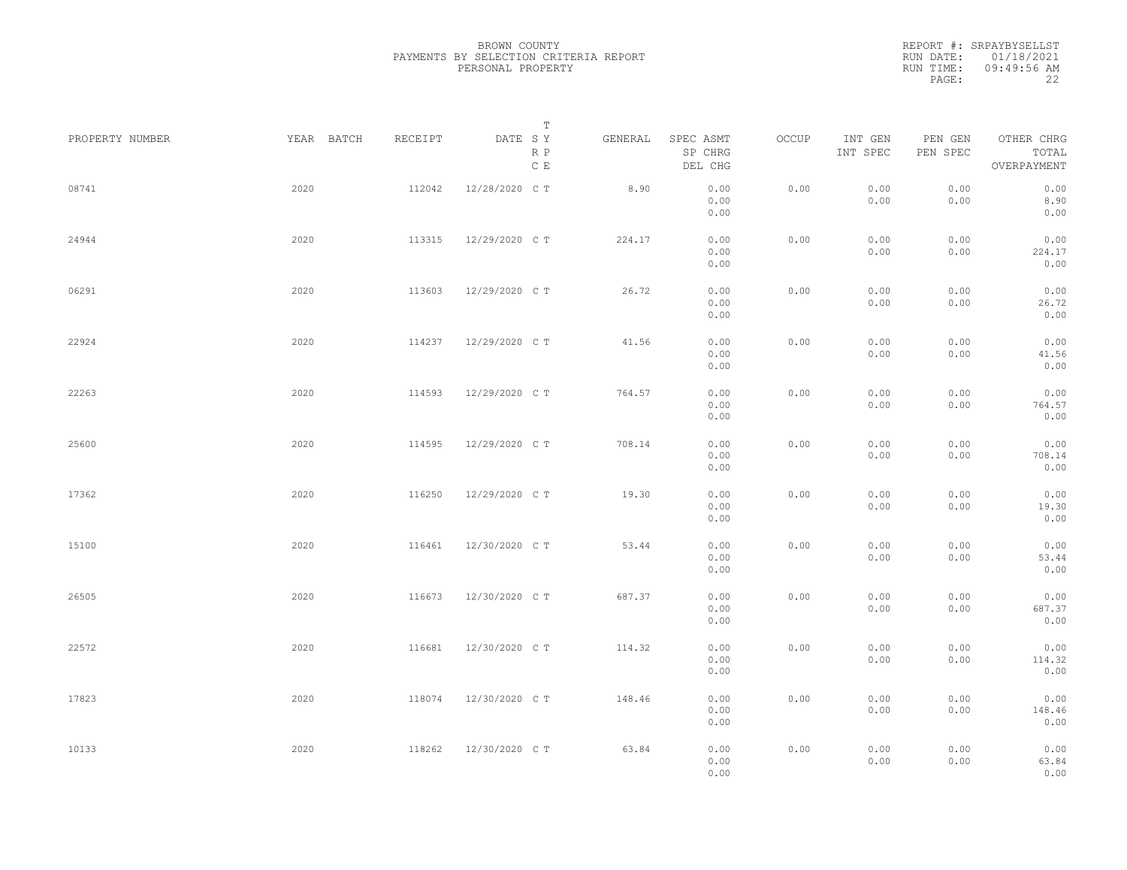|                 |            |         | Т                               |         |                                 |       |                     |                     |                                    |  |
|-----------------|------------|---------|---------------------------------|---------|---------------------------------|-------|---------------------|---------------------|------------------------------------|--|
| PROPERTY NUMBER | YEAR BATCH | RECEIPT | DATE SY<br>R P<br>$\,$ C $\,$ E | GENERAL | SPEC ASMT<br>SP CHRG<br>DEL CHG | OCCUP | INT GEN<br>INT SPEC | PEN GEN<br>PEN SPEC | OTHER CHRG<br>TOTAL<br>OVERPAYMENT |  |
| 08741           | 2020       | 112042  | 12/28/2020 C T                  | 8.90    | 0.00<br>0.00<br>0.00            | 0.00  | 0.00<br>0.00        | 0.00<br>0.00        | 0.00<br>8.90<br>0.00               |  |
| 24944           | 2020       | 113315  | 12/29/2020 C T                  | 224.17  | 0.00<br>0.00<br>0.00            | 0.00  | 0.00<br>0.00        | 0.00<br>0.00        | 0.00<br>224.17<br>0.00             |  |
| 06291           | 2020       | 113603  | 12/29/2020 C T                  | 26.72   | 0.00<br>0.00<br>0.00            | 0.00  | 0.00<br>0.00        | 0.00<br>0.00        | 0.00<br>26.72<br>0.00              |  |
| 22924           | 2020       | 114237  | 12/29/2020 C T                  | 41.56   | 0.00<br>0.00<br>0.00            | 0.00  | 0.00<br>0.00        | 0.00<br>0.00        | 0.00<br>41.56<br>0.00              |  |
| 22263           | 2020       | 114593  | 12/29/2020 C T                  | 764.57  | 0.00<br>0.00<br>0.00            | 0.00  | 0.00<br>0.00        | 0.00<br>0.00        | 0.00<br>764.57<br>0.00             |  |
| 25600           | 2020       | 114595  | 12/29/2020 C T                  | 708.14  | 0.00<br>0.00<br>0.00            | 0.00  | 0.00<br>0.00        | 0.00<br>0.00        | 0.00<br>708.14<br>0.00             |  |
| 17362           | 2020       | 116250  | 12/29/2020 C T                  | 19.30   | 0.00<br>0.00<br>0.00            | 0.00  | 0.00<br>0.00        | 0.00<br>0.00        | 0.00<br>19.30<br>0.00              |  |
| 15100           | 2020       | 116461  | 12/30/2020 C T                  | 53.44   | 0.00<br>0.00<br>0.00            | 0.00  | 0.00<br>0.00        | 0.00<br>0.00        | 0.00<br>53.44<br>0.00              |  |
| 26505           | 2020       | 116673  | 12/30/2020 C T                  | 687.37  | 0.00<br>0.00<br>0.00            | 0.00  | 0.00<br>0.00        | 0.00<br>0.00        | 0.00<br>687.37<br>0.00             |  |
| 22572           | 2020       | 116681  | 12/30/2020 C T                  | 114.32  | 0.00<br>0.00<br>0.00            | 0.00  | 0.00<br>0.00        | 0.00<br>0.00        | 0.00<br>114.32<br>0.00             |  |
| 17823           | 2020       | 118074  | 12/30/2020 C T                  | 148.46  | 0.00<br>0.00<br>0.00            | 0.00  | 0.00<br>0.00        | 0.00<br>0.00        | 0.00<br>148.46<br>0.00             |  |
| 10133           | 2020       | 118262  | 12/30/2020 C T                  | 63.84   | 0.00<br>0.00<br>0.00            | 0.00  | 0.00<br>0.00        | 0.00<br>0.00        | 0.00<br>63.84<br>0.00              |  |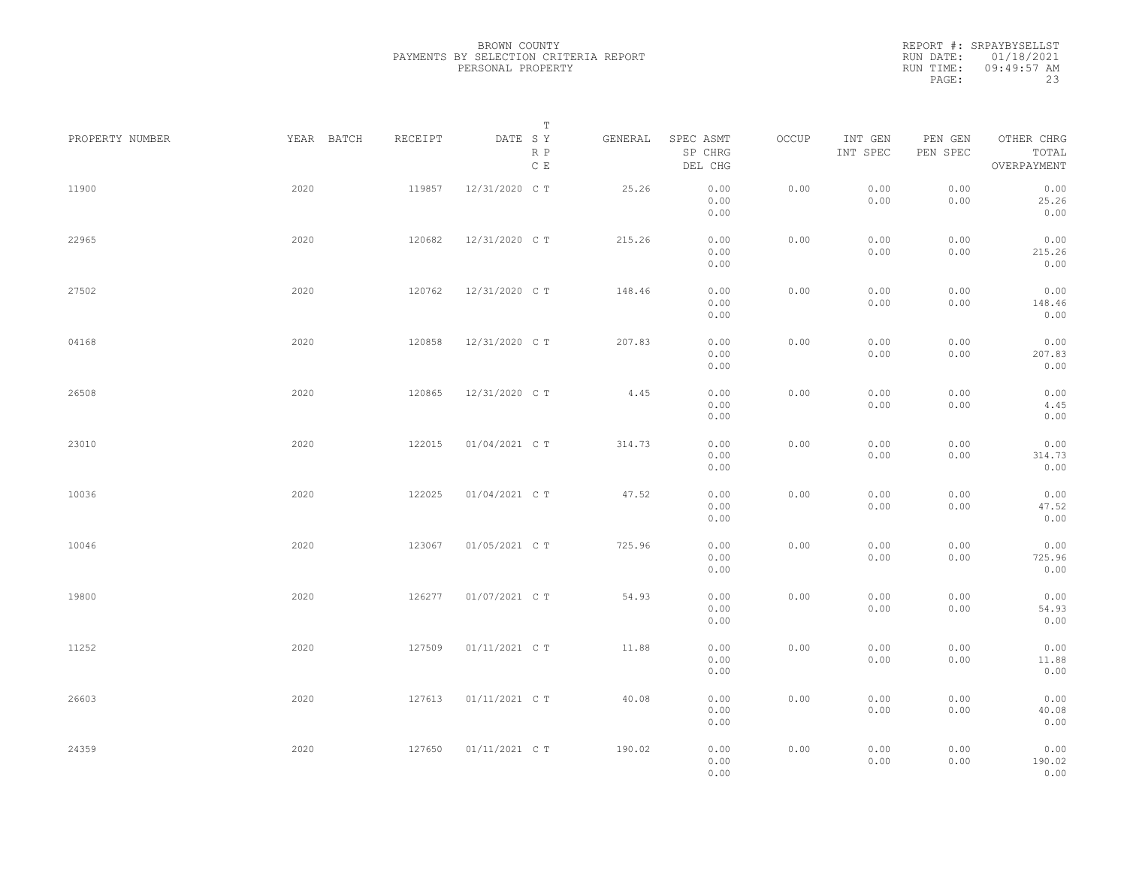REPORT #: SRPAYBYSELLST RUN DATE: 01/18/2021 RUN TIME: 09:49:57 AM PAGE: 23

| PROPERTY NUMBER | YEAR BATCH | RECEIPT | $\mathbb T$<br>DATE SY | GENERAL | SPEC ASMT            | OCCUP | INT GEN      | PEN GEN      | OTHER CHRG             |  |
|-----------------|------------|---------|------------------------|---------|----------------------|-------|--------------|--------------|------------------------|--|
|                 |            |         | R P<br>$\mathbb C$ E   |         | SP CHRG<br>DEL CHG   |       | INT SPEC     | PEN SPEC     | TOTAL<br>OVERPAYMENT   |  |
| 11900           | 2020       | 119857  | 12/31/2020 C T         | 25.26   | 0.00<br>0.00<br>0.00 | 0.00  | 0.00<br>0.00 | 0.00<br>0.00 | 0.00<br>25.26<br>0.00  |  |
| 22965           | 2020       | 120682  | 12/31/2020 C T         | 215.26  | 0.00<br>0.00<br>0.00 | 0.00  | 0.00<br>0.00 | 0.00<br>0.00 | 0.00<br>215.26<br>0.00 |  |
| 27502           | 2020       | 120762  | 12/31/2020 C T         | 148.46  | 0.00<br>0.00<br>0.00 | 0.00  | 0.00<br>0.00 | 0.00<br>0.00 | 0.00<br>148.46<br>0.00 |  |
| 04168           | 2020       | 120858  | 12/31/2020 C T         | 207.83  | 0.00<br>0.00<br>0.00 | 0.00  | 0.00<br>0.00 | 0.00<br>0.00 | 0.00<br>207.83<br>0.00 |  |
| 26508           | 2020       | 120865  | 12/31/2020 C T         | 4.45    | 0.00<br>0.00<br>0.00 | 0.00  | 0.00<br>0.00 | 0.00<br>0.00 | 0.00<br>4.45<br>0.00   |  |
| 23010           | 2020       | 122015  | 01/04/2021 C T         | 314.73  | 0.00<br>0.00<br>0.00 | 0.00  | 0.00<br>0.00 | 0.00<br>0.00 | 0.00<br>314.73<br>0.00 |  |
| 10036           | 2020       | 122025  | 01/04/2021 C T         | 47.52   | 0.00<br>0.00<br>0.00 | 0.00  | 0.00<br>0.00 | 0.00<br>0.00 | 0.00<br>47.52<br>0.00  |  |
| 10046           | 2020       | 123067  | 01/05/2021 C T         | 725.96  | 0.00<br>0.00<br>0.00 | 0.00  | 0.00<br>0.00 | 0.00<br>0.00 | 0.00<br>725.96<br>0.00 |  |
| 19800           | 2020       | 126277  | 01/07/2021 C T         | 54.93   | 0.00<br>0.00<br>0.00 | 0.00  | 0.00<br>0.00 | 0.00<br>0.00 | 0.00<br>54.93<br>0.00  |  |
| 11252           | 2020       | 127509  | 01/11/2021 C T         | 11.88   | 0.00<br>0.00<br>0.00 | 0.00  | 0.00<br>0.00 | 0.00<br>0.00 | 0.00<br>11.88<br>0.00  |  |
| 26603           | 2020       | 127613  | 01/11/2021 C T         | 40.08   | 0.00<br>0.00<br>0.00 | 0.00  | 0.00<br>0.00 | 0.00<br>0.00 | 0.00<br>40.08<br>0.00  |  |
| 24359           | 2020       | 127650  | 01/11/2021 C T         | 190.02  | 0.00<br>0.00<br>0.00 | 0.00  | 0.00<br>0.00 | 0.00<br>0.00 | 0.00<br>190.02<br>0.00 |  |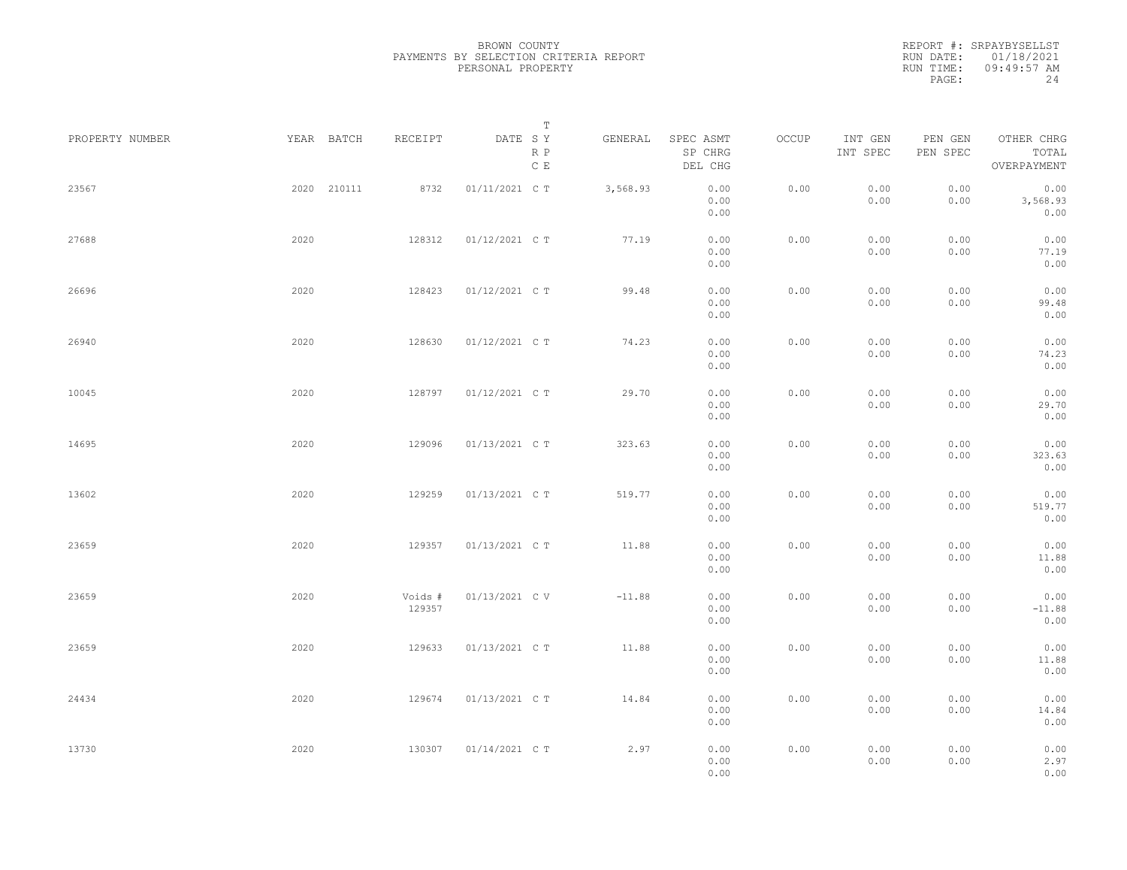| PROPERTY NUMBER | YEAR BATCH  | RECEIPT           | Т<br>DATE SY         | GENERAL  | SPEC ASMT            | OCCUP | INT GEN      | PEN GEN      | OTHER CHRG               |  |
|-----------------|-------------|-------------------|----------------------|----------|----------------------|-------|--------------|--------------|--------------------------|--|
|                 |             |                   | R P<br>$\mathbb C$ E |          | SP CHRG<br>DEL CHG   |       | INT SPEC     | PEN SPEC     | TOTAL<br>OVERPAYMENT     |  |
| 23567           | 2020 210111 | 8732              | 01/11/2021 C T       | 3,568.93 | 0.00<br>0.00<br>0.00 | 0.00  | 0.00<br>0.00 | 0.00<br>0.00 | 0.00<br>3,568.93<br>0.00 |  |
| 27688           | 2020        | 128312            | 01/12/2021 C T       | 77.19    | 0.00<br>0.00<br>0.00 | 0.00  | 0.00<br>0.00 | 0.00<br>0.00 | 0.00<br>77.19<br>0.00    |  |
| 26696           | 2020        | 128423            | 01/12/2021 C T       | 99.48    | 0.00<br>0.00<br>0.00 | 0.00  | 0.00<br>0.00 | 0.00<br>0.00 | 0.00<br>99.48<br>0.00    |  |
| 26940           | 2020        | 128630            | 01/12/2021 C T       | 74.23    | 0.00<br>0.00<br>0.00 | 0.00  | 0.00<br>0.00 | 0.00<br>0.00 | 0.00<br>74.23<br>0.00    |  |
| 10045           | 2020        | 128797            | 01/12/2021 C T       | 29.70    | 0.00<br>0.00<br>0.00 | 0.00  | 0.00<br>0.00 | 0.00<br>0.00 | 0.00<br>29.70<br>0.00    |  |
| 14695           | 2020        | 129096            | 01/13/2021 C T       | 323.63   | 0.00<br>0.00<br>0.00 | 0.00  | 0.00<br>0.00 | 0.00<br>0.00 | 0.00<br>323.63<br>0.00   |  |
| 13602           | 2020        | 129259            | 01/13/2021 C T       | 519.77   | 0.00<br>0.00<br>0.00 | 0.00  | 0.00<br>0.00 | 0.00<br>0.00 | 0.00<br>519.77<br>0.00   |  |
| 23659           | 2020        | 129357            | 01/13/2021 C T       | 11.88    | 0.00<br>0.00<br>0.00 | 0.00  | 0.00<br>0.00 | 0.00<br>0.00 | 0.00<br>11.88<br>0.00    |  |
| 23659           | 2020        | Voids #<br>129357 | 01/13/2021 C V       | $-11.88$ | 0.00<br>0.00<br>0.00 | 0.00  | 0.00<br>0.00 | 0.00<br>0.00 | 0.00<br>$-11.88$<br>0.00 |  |
| 23659           | 2020        | 129633            | 01/13/2021 C T       | 11.88    | 0.00<br>0.00<br>0.00 | 0.00  | 0.00<br>0.00 | 0.00<br>0.00 | 0.00<br>11.88<br>0.00    |  |
| 24434           | 2020        | 129674            | 01/13/2021 C T       | 14.84    | 0.00<br>0.00<br>0.00 | 0.00  | 0.00<br>0.00 | 0.00<br>0.00 | 0.00<br>14.84<br>0.00    |  |
| 13730           | 2020        | 130307            | 01/14/2021 C T       | 2.97     | 0.00<br>0.00<br>0.00 | 0.00  | 0.00<br>0.00 | 0.00<br>0.00 | 0.00<br>2.97<br>0.00     |  |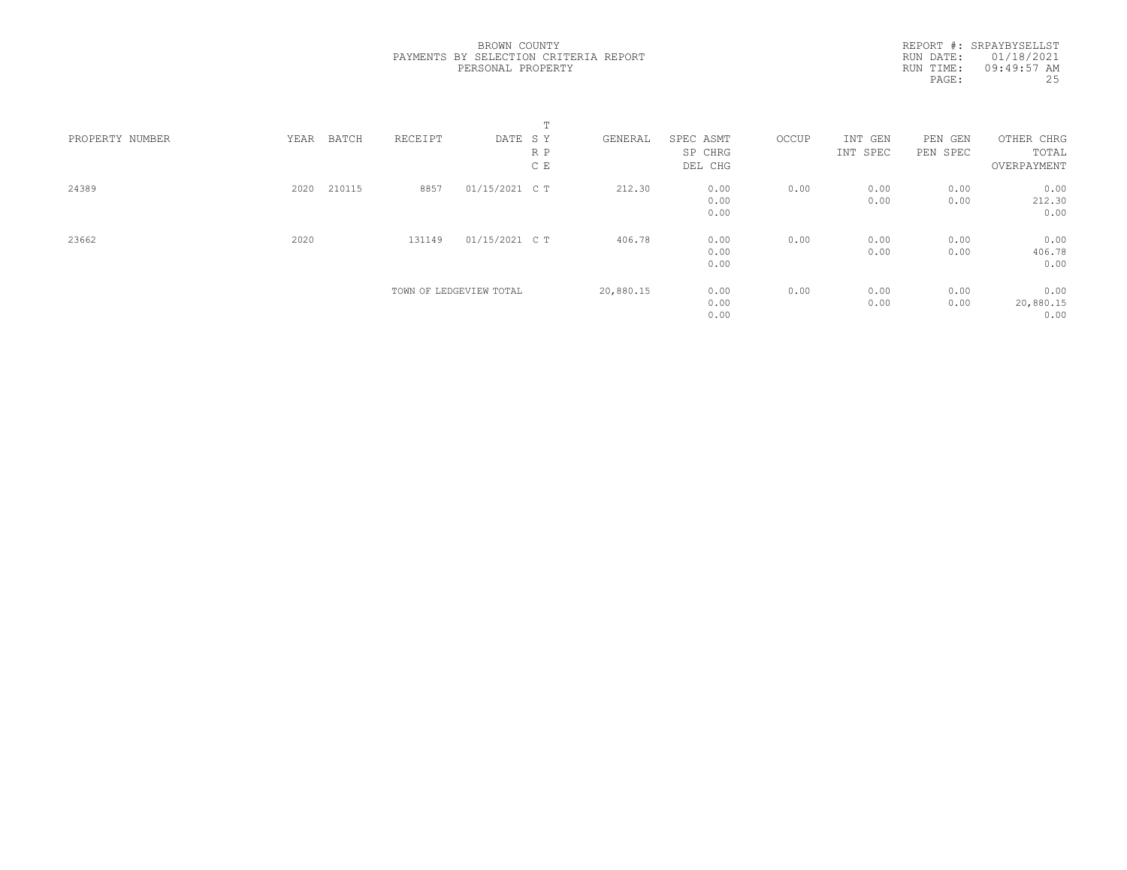|                 |      |        |         |                         | $\blacksquare$ |           |           |       |          |            |             |  |
|-----------------|------|--------|---------|-------------------------|----------------|-----------|-----------|-------|----------|------------|-------------|--|
| PROPERTY NUMBER | YEAR | BATCH  | RECEIPT | DATE SY                 |                | GENERAL   | SPEC ASMT | OCCUP | INT GEN  | PEN<br>GEN | OTHER CHRG  |  |
|                 |      |        |         |                         | R P            |           | SP CHRG   |       | INT SPEC | PEN SPEC   | TOTAL       |  |
|                 |      |        |         |                         | C E            |           | DEL CHG   |       |          |            | OVERPAYMENT |  |
| 24389           | 2020 | 210115 | 8857    | 01/15/2021 C T          |                | 212.30    | 0.00      | 0.00  | 0.00     | 0.00       | 0.00        |  |
|                 |      |        |         |                         |                |           | 0.00      |       | 0.00     | 0.00       | 212.30      |  |
|                 |      |        |         |                         |                |           | 0.00      |       |          |            | 0.00        |  |
| 23662           | 2020 |        | 131149  | 01/15/2021 C T          |                | 406.78    | 0.00      | 0.00  | 0.00     | 0.00       | 0.00        |  |
|                 |      |        |         |                         |                |           | 0.00      |       | 0.00     | 0.00       | 406.78      |  |
|                 |      |        |         |                         |                |           | 0.00      |       |          |            | 0.00        |  |
|                 |      |        |         | TOWN OF LEDGEVIEW TOTAL |                | 20,880.15 | 0.00      | 0.00  | 0.00     | 0.00       | 0.00        |  |
|                 |      |        |         |                         |                |           | 0.00      |       | 0.00     | 0.00       | 20,880.15   |  |
|                 |      |        |         |                         |                |           | 0.00      |       |          |            | 0.00        |  |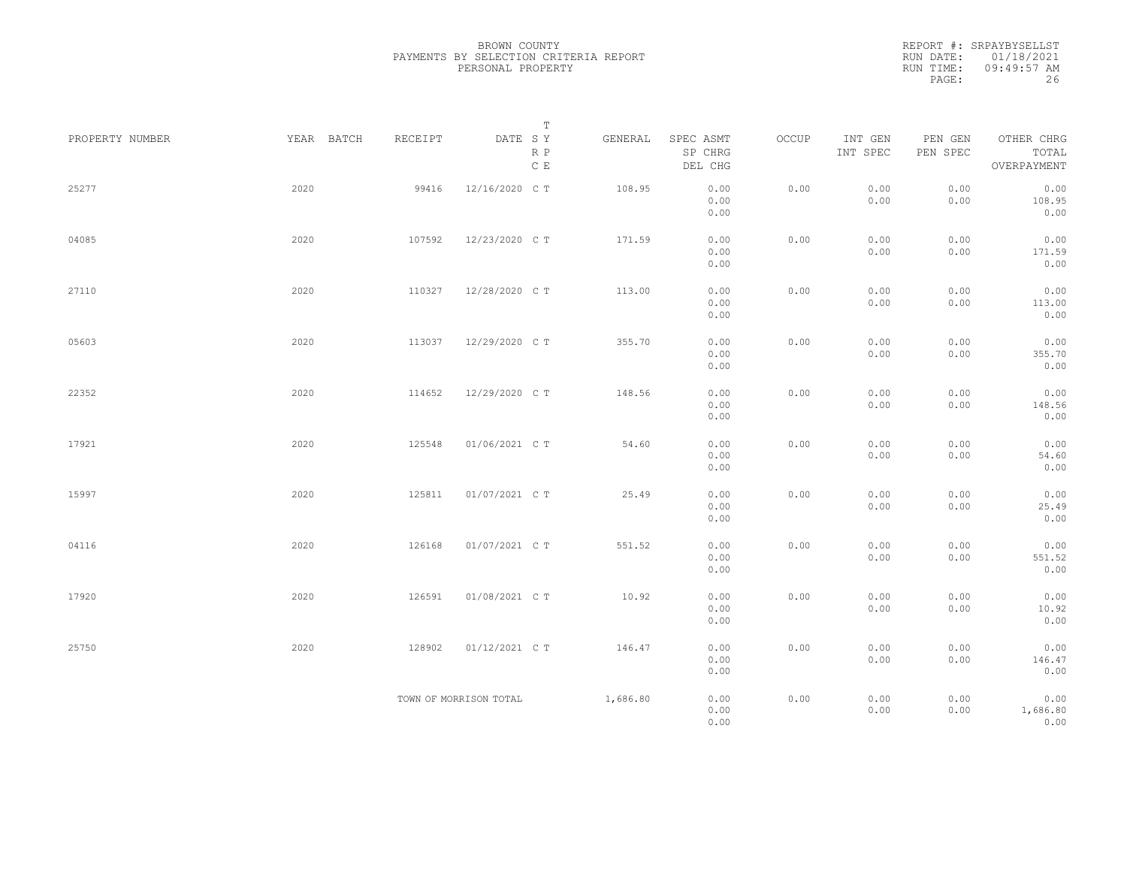REPORT #: SRPAYBYSELLST RUN DATE: 01/18/2021 RUN TIME: 09:49:57 AM PAGE: 26

|                 |            |         | $\mathbb T$                                                                                  |          |                                 |       |                     |                     |                                    |  |
|-----------------|------------|---------|----------------------------------------------------------------------------------------------|----------|---------------------------------|-------|---------------------|---------------------|------------------------------------|--|
| PROPERTY NUMBER | YEAR BATCH | RECEIPT | $\begin{tabular}{lllll} \bf{DATE} & \tt S & \tt Y \end{tabular}$<br>$R$ $P$<br>$\mathbb C$ E | GENERAL  | SPEC ASMT<br>SP CHRG<br>DEL CHG | OCCUP | INT GEN<br>INT SPEC | PEN GEN<br>PEN SPEC | OTHER CHRG<br>TOTAL<br>OVERPAYMENT |  |
| 25277           | 2020       | 99416   | 12/16/2020 C T                                                                               | 108.95   | 0.00<br>0.00<br>0.00            | 0.00  | 0.00<br>0.00        | 0.00<br>0.00        | 0.00<br>108.95<br>0.00             |  |
| 04085           | 2020       | 107592  | 12/23/2020 C T                                                                               | 171.59   | 0.00<br>0.00<br>0.00            | 0.00  | 0.00<br>0.00        | 0.00<br>0.00        | 0.00<br>171.59<br>0.00             |  |
| 27110           | 2020       | 110327  | 12/28/2020 C T                                                                               | 113.00   | 0.00<br>0.00<br>0.00            | 0.00  | 0.00<br>0.00        | 0.00<br>0.00        | 0.00<br>113.00<br>0.00             |  |
| 05603           | 2020       | 113037  | 12/29/2020 C T                                                                               | 355.70   | 0.00<br>0.00<br>0.00            | 0.00  | 0.00<br>0.00        | 0.00<br>0.00        | 0.00<br>355.70<br>0.00             |  |
| 22352           | 2020       | 114652  | 12/29/2020 CT                                                                                | 148.56   | 0.00<br>0.00<br>0.00            | 0.00  | 0.00<br>0.00        | 0.00<br>0.00        | 0.00<br>148.56<br>0.00             |  |
| 17921           | 2020       | 125548  | 01/06/2021 C T                                                                               | 54.60    | 0.00<br>0.00<br>0.00            | 0.00  | 0.00<br>0.00        | 0.00<br>0.00        | 0.00<br>54.60<br>0.00              |  |
| 15997           | 2020       | 125811  | 01/07/2021 C T                                                                               | 25.49    | 0.00<br>0.00<br>0.00            | 0.00  | 0.00<br>0.00        | 0.00<br>0.00        | 0.00<br>25.49<br>0.00              |  |
| 04116           | 2020       | 126168  | 01/07/2021 C T                                                                               | 551.52   | 0.00<br>0.00<br>0.00            | 0.00  | 0.00<br>0.00        | 0.00<br>0.00        | 0.00<br>551.52<br>0.00             |  |
| 17920           | 2020       | 126591  | 01/08/2021 C T                                                                               | 10.92    | 0.00<br>0.00<br>0.00            | 0.00  | 0.00<br>0.00        | 0.00<br>0.00        | 0.00<br>10.92<br>0.00              |  |
| 25750           | 2020       | 128902  | 01/12/2021 C T                                                                               | 146.47   | 0.00<br>0.00<br>0.00            | 0.00  | 0.00<br>0.00        | 0.00<br>0.00        | 0.00<br>146.47<br>0.00             |  |
|                 |            |         | TOWN OF MORRISON TOTAL                                                                       | 1,686.80 | 0.00<br>0.00<br>0.00            | 0.00  | 0.00<br>0.00        | 0.00<br>0.00        | 0.00<br>1,686.80<br>0.00           |  |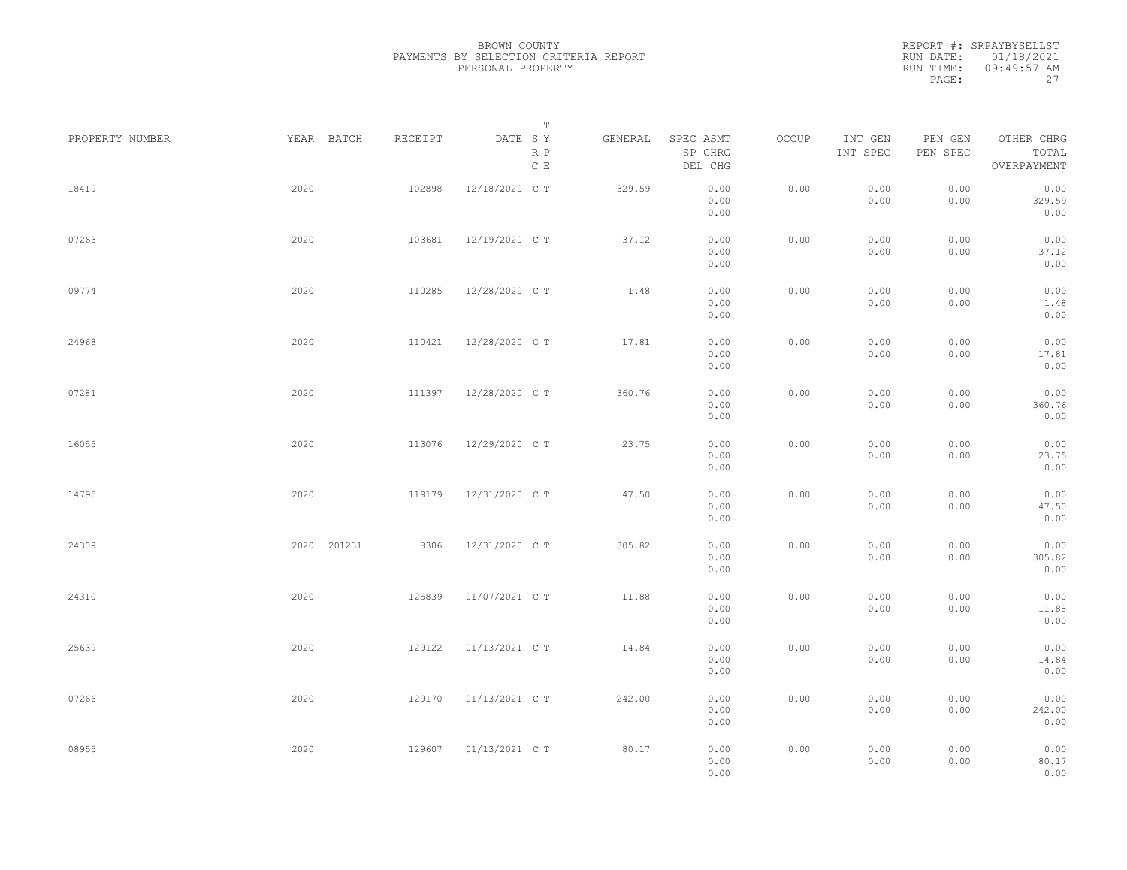REPORT #: SRPAYBYSELLST RUN DATE: 01/18/2021 RUN TIME: 09:49:57 AM PAGE: 27

| PROPERTY NUMBER |      | YEAR BATCH  | RECEIPT | DATE SY        | $\mathbb T$<br>R P | GENERAL | SPEC ASMT<br>SP CHRG | OCCUP | INT GEN<br>INT SPEC | PEN GEN<br>PEN SPEC | OTHER CHRG<br>TOTAL    |  |
|-----------------|------|-------------|---------|----------------|--------------------|---------|----------------------|-------|---------------------|---------------------|------------------------|--|
|                 |      |             |         |                | $\mathbb C$ E      |         | DEL CHG              |       |                     |                     | OVERPAYMENT            |  |
| 18419           | 2020 |             | 102898  | 12/18/2020 C T |                    | 329.59  | 0.00<br>0.00<br>0.00 | 0.00  | 0.00<br>0.00        | 0.00<br>0.00        | 0.00<br>329.59<br>0.00 |  |
| 07263           | 2020 |             | 103681  | 12/19/2020 C T |                    | 37.12   | 0.00<br>0.00<br>0.00 | 0.00  | 0.00<br>0.00        | 0.00<br>0.00        | 0.00<br>37.12<br>0.00  |  |
| 09774           | 2020 |             | 110285  | 12/28/2020 C T |                    | 1.48    | 0.00<br>0.00<br>0.00 | 0.00  | 0.00<br>0.00        | 0.00<br>0.00        | 0.00<br>1.48<br>0.00   |  |
| 24968           | 2020 |             | 110421  | 12/28/2020 C T |                    | 17.81   | 0.00<br>0.00<br>0.00 | 0.00  | 0.00<br>0.00        | 0.00<br>0.00        | 0.00<br>17.81<br>0.00  |  |
| 07281           | 2020 |             | 111397  | 12/28/2020 C T |                    | 360.76  | 0.00<br>0.00<br>0.00 | 0.00  | 0.00<br>0.00        | 0.00<br>0.00        | 0.00<br>360.76<br>0.00 |  |
| 16055           | 2020 |             | 113076  | 12/29/2020 C T |                    | 23.75   | 0.00<br>0.00<br>0.00 | 0.00  | 0.00<br>0.00        | 0.00<br>0.00        | 0.00<br>23.75<br>0.00  |  |
| 14795           | 2020 |             | 119179  | 12/31/2020 C T |                    | 47.50   | 0.00<br>0.00<br>0.00 | 0.00  | 0.00<br>0.00        | 0.00<br>0.00        | 0.00<br>47.50<br>0.00  |  |
| 24309           |      | 2020 201231 | 8306    | 12/31/2020 C T |                    | 305.82  | 0.00<br>0.00<br>0.00 | 0.00  | 0.00<br>0.00        | 0.00<br>0.00        | 0.00<br>305.82<br>0.00 |  |
| 24310           | 2020 |             | 125839  | 01/07/2021 C T |                    | 11.88   | 0.00<br>0.00<br>0.00 | 0.00  | 0.00<br>0.00        | 0.00<br>0.00        | 0.00<br>11.88<br>0.00  |  |
| 25639           | 2020 |             | 129122  | 01/13/2021 C T |                    | 14.84   | 0.00<br>0.00<br>0.00 | 0.00  | 0.00<br>0.00        | 0.00<br>0.00        | 0.00<br>14.84<br>0.00  |  |
| 07266           | 2020 |             | 129170  | 01/13/2021 C T |                    | 242.00  | 0.00<br>0.00<br>0.00 | 0.00  | 0.00<br>0.00        | 0.00<br>0.00        | 0.00<br>242.00<br>0.00 |  |
| 08955           | 2020 |             | 129607  | 01/13/2021 C T |                    | 80.17   | 0.00<br>0.00<br>0.00 | 0.00  | 0.00<br>0.00        | 0.00<br>0.00        | 0.00<br>80.17<br>0.00  |  |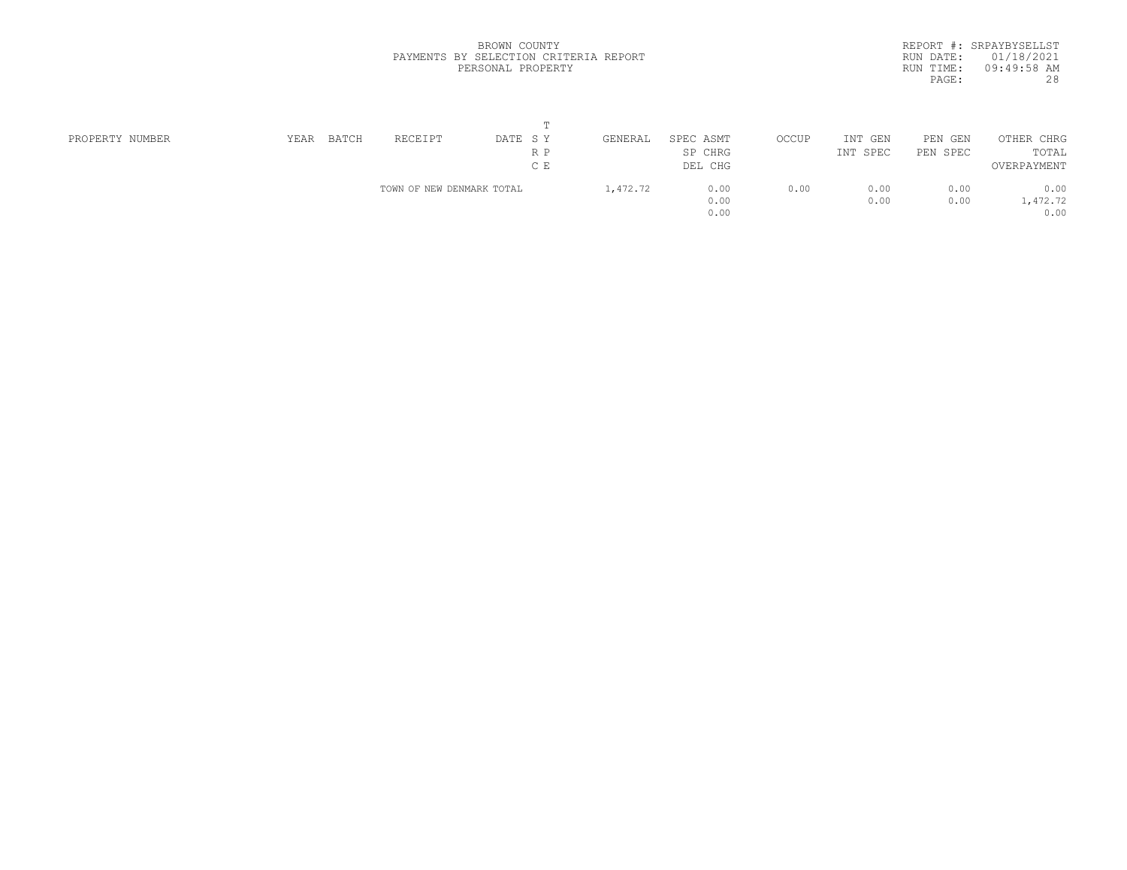|           | REPORT #: SRPAYBYSELLST |
|-----------|-------------------------|
|           | RUN DATE: 01/18/2021    |
| RUN TIME: | $09:49:58$ AM           |
| PAGE:     | 28                      |

|                 |      |       |                           | $\blacksquare$ |          |           |       |             |            |             |  |
|-----------------|------|-------|---------------------------|----------------|----------|-----------|-------|-------------|------------|-------------|--|
| PROPERTY NUMBER | YEAR | BATCH | RECEIPT                   | DATE SY        | GENERAL  | SPEC ASMT | OCCUP | INT GEN     | PEN<br>GEN | OTHER CHRG  |  |
|                 |      |       |                           | R P            |          | SP CHRG   |       | INT<br>SPEC | PEN SPEC   | TOTAL       |  |
|                 |      |       |                           | C E            |          | DEL CHG   |       |             |            | OVERPAYMENT |  |
|                 |      |       | TOWN OF NEW DENMARK TOTAL |                | 1,472.72 | 0.00      | 0.00  | 0.00        | 0.00       | 0.00        |  |
|                 |      |       |                           |                |          | 0.00      |       | 0.00        | 0.00       | 1,472.72    |  |
|                 |      |       |                           |                |          | 0.00      |       |             |            | 0.00        |  |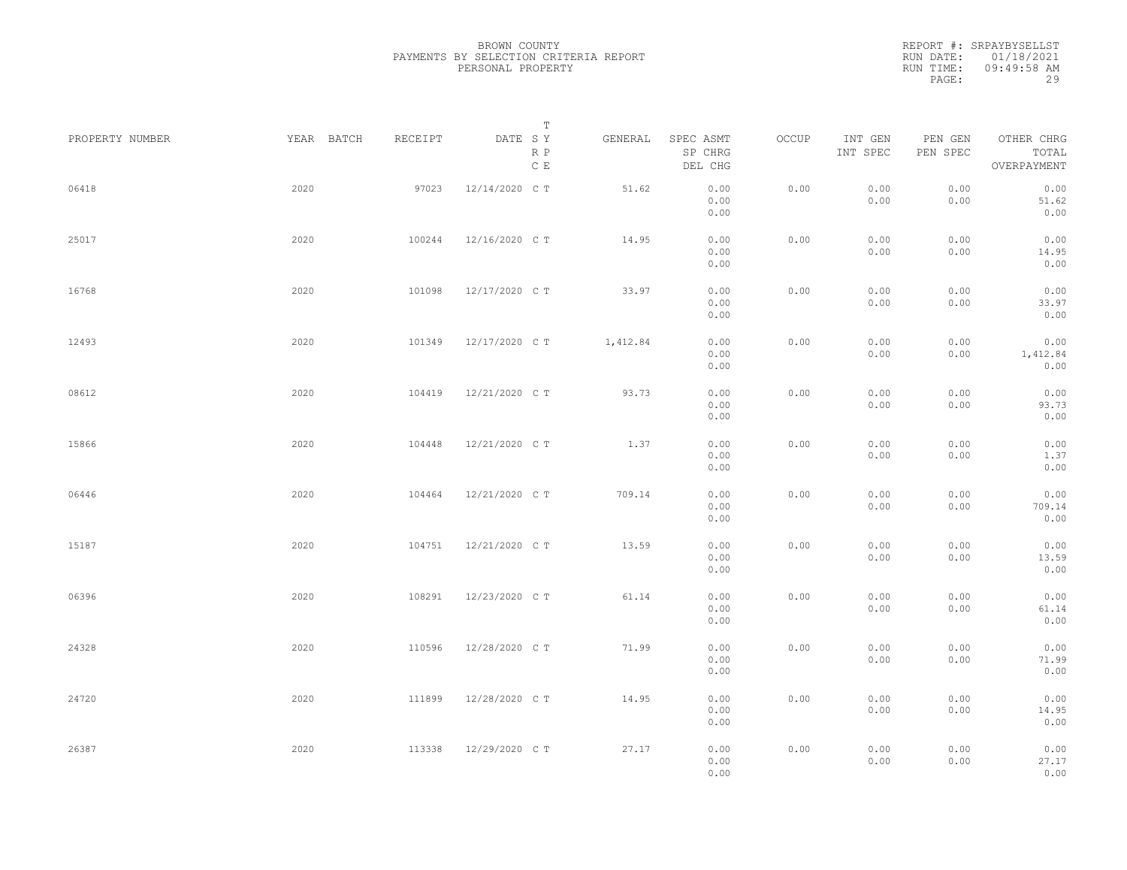|                 |            |         | Т                               |          |                                 |       |                     |                     |                                    |  |
|-----------------|------------|---------|---------------------------------|----------|---------------------------------|-------|---------------------|---------------------|------------------------------------|--|
| PROPERTY NUMBER | YEAR BATCH | RECEIPT | DATE SY<br>R P<br>$\,$ C $\,$ E | GENERAL  | SPEC ASMT<br>SP CHRG<br>DEL CHG | OCCUP | INT GEN<br>INT SPEC | PEN GEN<br>PEN SPEC | OTHER CHRG<br>TOTAL<br>OVERPAYMENT |  |
| 06418           | 2020       | 97023   | 12/14/2020 C T                  | 51.62    | 0.00<br>0.00<br>0.00            | 0.00  | 0.00<br>0.00        | 0.00<br>0.00        | 0.00<br>51.62<br>0.00              |  |
| 25017           | 2020       | 100244  | 12/16/2020 C T                  | 14.95    | 0.00<br>0.00<br>0.00            | 0.00  | 0.00<br>0.00        | 0.00<br>0.00        | 0.00<br>14.95<br>0.00              |  |
| 16768           | 2020       | 101098  | 12/17/2020 C T                  | 33.97    | 0.00<br>0.00<br>0.00            | 0.00  | 0.00<br>0.00        | 0.00<br>0.00        | 0.00<br>33.97<br>0.00              |  |
| 12493           | 2020       | 101349  | 12/17/2020 C T                  | 1,412.84 | 0.00<br>0.00<br>0.00            | 0.00  | 0.00<br>0.00        | 0.00<br>0.00        | 0.00<br>1,412.84<br>0.00           |  |
| 08612           | 2020       | 104419  | 12/21/2020 C T                  | 93.73    | 0.00<br>0.00<br>0.00            | 0.00  | 0.00<br>0.00        | 0.00<br>0.00        | 0.00<br>93.73<br>0.00              |  |
| 15866           | 2020       | 104448  | 12/21/2020 C T                  | 1.37     | 0.00<br>0.00<br>0.00            | 0.00  | 0.00<br>0.00        | 0.00<br>0.00        | 0.00<br>1.37<br>0.00               |  |
| 06446           | 2020       | 104464  | 12/21/2020 C T                  | 709.14   | 0.00<br>0.00<br>0.00            | 0.00  | 0.00<br>0.00        | 0.00<br>0.00        | 0.00<br>709.14<br>0.00             |  |
| 15187           | 2020       | 104751  | 12/21/2020 C T                  | 13.59    | 0.00<br>0.00<br>0.00            | 0.00  | 0.00<br>0.00        | 0.00<br>0.00        | 0.00<br>13.59<br>0.00              |  |
| 06396           | 2020       | 108291  | 12/23/2020 C T                  | 61.14    | 0.00<br>0.00<br>0.00            | 0.00  | 0.00<br>0.00        | 0.00<br>0.00        | 0.00<br>61.14<br>0.00              |  |
| 24328           | 2020       | 110596  | 12/28/2020 C T                  | 71.99    | 0.00<br>0.00<br>0.00            | 0.00  | 0.00<br>0.00        | 0.00<br>0.00        | 0.00<br>71.99<br>0.00              |  |
| 24720           | 2020       | 111899  | 12/28/2020 C T                  | 14.95    | 0.00<br>0.00<br>0.00            | 0.00  | 0.00<br>0.00        | 0.00<br>0.00        | 0.00<br>14.95<br>0.00              |  |
| 26387           | 2020       | 113338  | 12/29/2020 C T                  | 27.17    | 0.00<br>0.00<br>0.00            | 0.00  | 0.00<br>0.00        | 0.00<br>0.00        | 0.00<br>27.17<br>0.00              |  |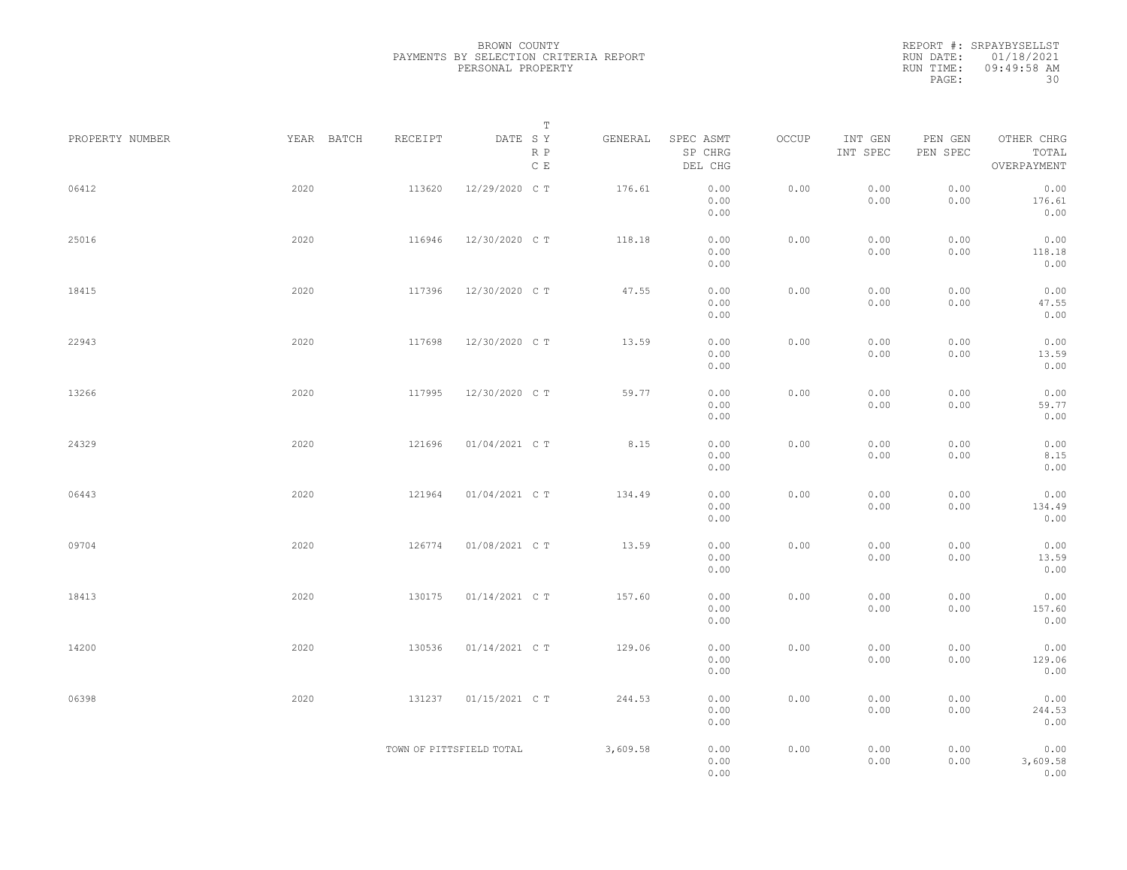REPORT #: SRPAYBYSELLST RUN DATE: 01/18/2021 RUN TIME: 09:49:58 AM PAGE: 30

| PROPERTY NUMBER | YEAR BATCH | RECEIPT | T<br>DATE SY<br>R P<br>$\,$ C $\,$ E | GENERAL  | SPEC ASMT<br>SP CHRG<br>DEL CHG | OCCUP | INT GEN<br>INT SPEC | PEN GEN<br>PEN SPEC | OTHER CHRG<br>TOTAL<br>OVERPAYMENT |  |
|-----------------|------------|---------|--------------------------------------|----------|---------------------------------|-------|---------------------|---------------------|------------------------------------|--|
| 06412           | 2020       | 113620  | 12/29/2020 C T                       | 176.61   | 0.00<br>0.00<br>0.00            | 0.00  | 0.00<br>0.00        | 0.00<br>0.00        | 0.00<br>176.61<br>0.00             |  |
| 25016           | 2020       | 116946  | 12/30/2020 C T                       | 118.18   | 0.00<br>0.00<br>0.00            | 0.00  | 0.00<br>0.00        | 0.00<br>0.00        | 0.00<br>118.18<br>0.00             |  |
| 18415           | 2020       | 117396  | 12/30/2020 C T                       | 47.55    | 0.00<br>0.00<br>0.00            | 0.00  | 0.00<br>0.00        | 0.00<br>0.00        | 0.00<br>47.55<br>0.00              |  |
| 22943           | 2020       | 117698  | 12/30/2020 C T                       | 13.59    | 0.00<br>0.00<br>0.00            | 0.00  | 0.00<br>0.00        | 0.00<br>0.00        | 0.00<br>13.59<br>0.00              |  |
| 13266           | 2020       | 117995  | 12/30/2020 C T                       | 59.77    | 0.00<br>0.00<br>0.00            | 0.00  | 0.00<br>0.00        | 0.00<br>0.00        | 0.00<br>59.77<br>0.00              |  |
| 24329           | 2020       | 121696  | 01/04/2021 C T                       | 8.15     | 0.00<br>0.00<br>0.00            | 0.00  | 0.00<br>0.00        | 0.00<br>0.00        | 0.00<br>8.15<br>0.00               |  |
| 06443           | 2020       | 121964  | 01/04/2021 C T                       | 134.49   | 0.00<br>0.00<br>0.00            | 0.00  | 0.00<br>0.00        | 0.00<br>0.00        | 0.00<br>134.49<br>0.00             |  |
| 09704           | 2020       | 126774  | 01/08/2021 C T                       | 13.59    | 0.00<br>0.00<br>0.00            | 0.00  | 0.00<br>0.00        | 0.00<br>0.00        | 0.00<br>13.59<br>0.00              |  |
| 18413           | 2020       | 130175  | 01/14/2021 C T                       | 157.60   | 0.00<br>0.00<br>0.00            | 0.00  | 0.00<br>0.00        | 0.00<br>0.00        | 0.00<br>157.60<br>0.00             |  |
| 14200           | 2020       | 130536  | 01/14/2021 C T                       | 129.06   | 0.00<br>0.00<br>0.00            | 0.00  | 0.00<br>0.00        | 0.00<br>0.00        | 0.00<br>129.06<br>0.00             |  |
| 06398           | 2020       | 131237  | 01/15/2021 C T                       | 244.53   | 0.00<br>0.00<br>0.00            | 0.00  | 0.00<br>0.00        | 0.00<br>0.00        | 0.00<br>244.53<br>0.00             |  |
|                 |            |         | TOWN OF PITTSFIELD TOTAL             | 3,609.58 | 0.00<br>0.00<br>0.00            | 0.00  | 0.00<br>0.00        | 0.00<br>0.00        | 0.00<br>3,609.58<br>0.00           |  |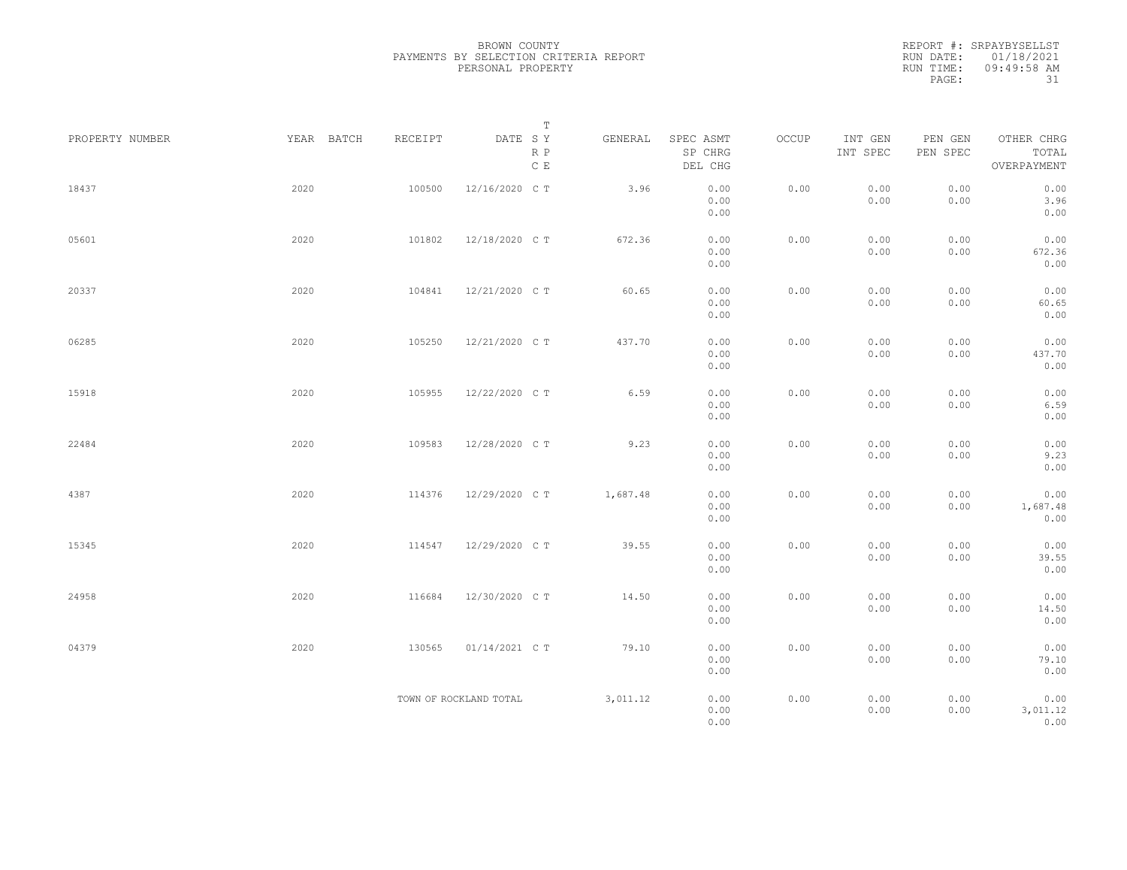REPORT #: SRPAYBYSELLST RUN DATE: 01/18/2021 RUN TIME: 09:49:58 AM PAGE: 31

| PROPERTY NUMBER | YEAR BATCH | RECEIPT | $\mathbb T$<br>DATE SY<br>$\mathbb R$ $\mathbb P$<br>$\,$ C $\,$ E | GENERAL  | SPEC ASMT<br>SP CHRG<br>DEL CHG | OCCUP | INT GEN<br>INT SPEC | PEN GEN<br>PEN SPEC | OTHER CHRG<br>TOTAL<br>OVERPAYMENT |
|-----------------|------------|---------|--------------------------------------------------------------------|----------|---------------------------------|-------|---------------------|---------------------|------------------------------------|
| 18437           | 2020       | 100500  | 12/16/2020 C T                                                     | 3.96     | 0.00<br>0.00<br>0.00            | 0.00  | 0.00<br>0.00        | 0.00<br>0.00        | 0.00<br>3.96<br>0.00               |
| 05601           | 2020       | 101802  | 12/18/2020 C T                                                     | 672.36   | 0.00<br>0.00<br>0.00            | 0.00  | 0.00<br>0.00        | 0.00<br>0.00        | 0.00<br>672.36<br>0.00             |
| 20337           | 2020       | 104841  | 12/21/2020 C T                                                     | 60.65    | 0.00<br>0.00<br>0.00            | 0.00  | 0.00<br>0.00        | 0.00<br>0.00        | 0.00<br>60.65<br>0.00              |
| 06285           | 2020       | 105250  | 12/21/2020 C T                                                     | 437.70   | 0.00<br>0.00<br>0.00            | 0.00  | 0.00<br>0.00        | 0.00<br>0.00        | 0.00<br>437.70<br>0.00             |
| 15918           | 2020       | 105955  | 12/22/2020 C T                                                     | 6.59     | 0.00<br>0.00<br>0.00            | 0.00  | 0.00<br>0.00        | 0.00<br>0.00        | 0.00<br>6.59<br>0.00               |
| 22484           | 2020       | 109583  | 12/28/2020 C T                                                     | 9.23     | 0.00<br>0.00<br>0.00            | 0.00  | 0.00<br>0.00        | 0.00<br>0.00        | 0.00<br>9.23<br>0.00               |
| 4387            | 2020       | 114376  | 12/29/2020 C T                                                     | 1,687.48 | 0.00<br>0.00<br>0.00            | 0.00  | 0.00<br>0.00        | 0.00<br>0.00        | 0.00<br>1,687.48<br>0.00           |
| 15345           | 2020       | 114547  | 12/29/2020 C T                                                     | 39.55    | 0.00<br>0.00<br>0.00            | 0.00  | 0.00<br>0.00        | 0.00<br>0.00        | 0.00<br>39.55<br>0.00              |
| 24958           | 2020       | 116684  | 12/30/2020 C T                                                     | 14.50    | 0.00<br>0.00<br>0.00            | 0.00  | 0.00<br>0.00        | 0.00<br>0.00        | 0.00<br>14.50<br>0.00              |
| 04379           | 2020       | 130565  | 01/14/2021 C T                                                     | 79.10    | 0.00<br>0.00<br>0.00            | 0.00  | 0.00<br>0.00        | 0.00<br>0.00        | 0.00<br>79.10<br>0.00              |
|                 |            |         | TOWN OF ROCKLAND TOTAL                                             | 3,011.12 | 0.00<br>0.00<br>0.00            | 0.00  | 0.00<br>0.00        | 0.00<br>0.00        | 0.00<br>3,011.12<br>0.00           |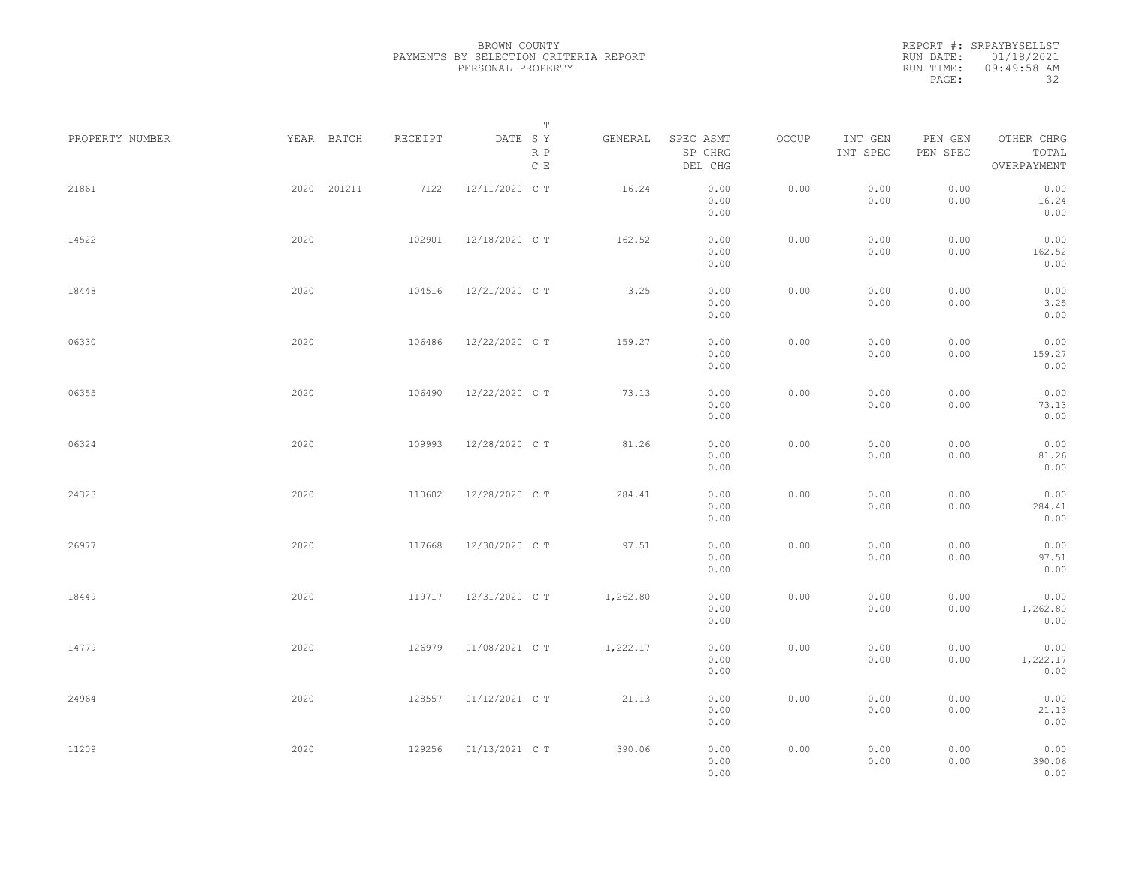| PROPERTY NUMBER |      | YEAR BATCH  | RECEIPT | DATE SY        | Т<br>R P<br>$\,$ C $\,$ E | GENERAL  | SPEC ASMT<br>SP CHRG<br>DEL CHG | OCCUP | INT GEN<br>INT SPEC | PEN GEN<br>PEN SPEC | OTHER CHRG<br>TOTAL<br>OVERPAYMENT |  |
|-----------------|------|-------------|---------|----------------|---------------------------|----------|---------------------------------|-------|---------------------|---------------------|------------------------------------|--|
| 21861           |      | 2020 201211 | 7122    | 12/11/2020 C T |                           | 16.24    | 0.00<br>0.00<br>0.00            | 0.00  | 0.00<br>0.00        | 0.00<br>0.00        | 0.00<br>16.24<br>0.00              |  |
| 14522           | 2020 |             | 102901  | 12/18/2020 C T |                           | 162.52   | 0.00<br>0.00<br>0.00            | 0.00  | 0.00<br>0.00        | 0.00<br>0.00        | 0.00<br>162.52<br>0.00             |  |
| 18448           | 2020 |             | 104516  | 12/21/2020 C T |                           | 3.25     | 0.00<br>0.00<br>0.00            | 0.00  | 0.00<br>0.00        | 0.00<br>0.00        | 0.00<br>3.25<br>0.00               |  |
| 06330           | 2020 |             | 106486  | 12/22/2020 C T |                           | 159.27   | 0.00<br>0.00<br>0.00            | 0.00  | 0.00<br>0.00        | 0.00<br>0.00        | 0.00<br>159.27<br>0.00             |  |
| 06355           | 2020 |             | 106490  | 12/22/2020 C T |                           | 73.13    | 0.00<br>0.00<br>0.00            | 0.00  | 0.00<br>0.00        | 0.00<br>0.00        | 0.00<br>73.13<br>0.00              |  |
| 06324           | 2020 |             | 109993  | 12/28/2020 C T |                           | 81.26    | 0.00<br>0.00<br>0.00            | 0.00  | 0.00<br>0.00        | 0.00<br>0.00        | 0.00<br>81.26<br>0.00              |  |
| 24323           | 2020 |             | 110602  | 12/28/2020 C T |                           | 284.41   | 0.00<br>0.00<br>0.00            | 0.00  | 0.00<br>0.00        | 0.00<br>0.00        | 0.00<br>284.41<br>0.00             |  |
| 26977           | 2020 |             | 117668  | 12/30/2020 C T |                           | 97.51    | 0.00<br>0.00<br>0.00            | 0.00  | 0.00<br>0.00        | 0.00<br>0.00        | 0.00<br>97.51<br>0.00              |  |
| 18449           | 2020 |             | 119717  | 12/31/2020 C T |                           | 1,262.80 | 0.00<br>0.00<br>0.00            | 0.00  | 0.00<br>0.00        | 0.00<br>0.00        | 0.00<br>1,262.80<br>0.00           |  |
| 14779           | 2020 |             | 126979  | 01/08/2021 C T |                           | 1,222.17 | 0.00<br>0.00<br>0.00            | 0.00  | 0.00<br>0.00        | 0.00<br>0.00        | 0.00<br>1,222.17<br>0.00           |  |
| 24964           | 2020 |             | 128557  | 01/12/2021 C T |                           | 21.13    | 0.00<br>0.00<br>0.00            | 0.00  | 0.00<br>0.00        | 0.00<br>0.00        | 0.00<br>21.13<br>0.00              |  |
| 11209           | 2020 |             | 129256  | 01/13/2021 C T |                           | 390.06   | 0.00<br>0.00<br>0.00            | 0.00  | 0.00<br>0.00        | 0.00<br>0.00        | 0.00<br>390.06<br>0.00             |  |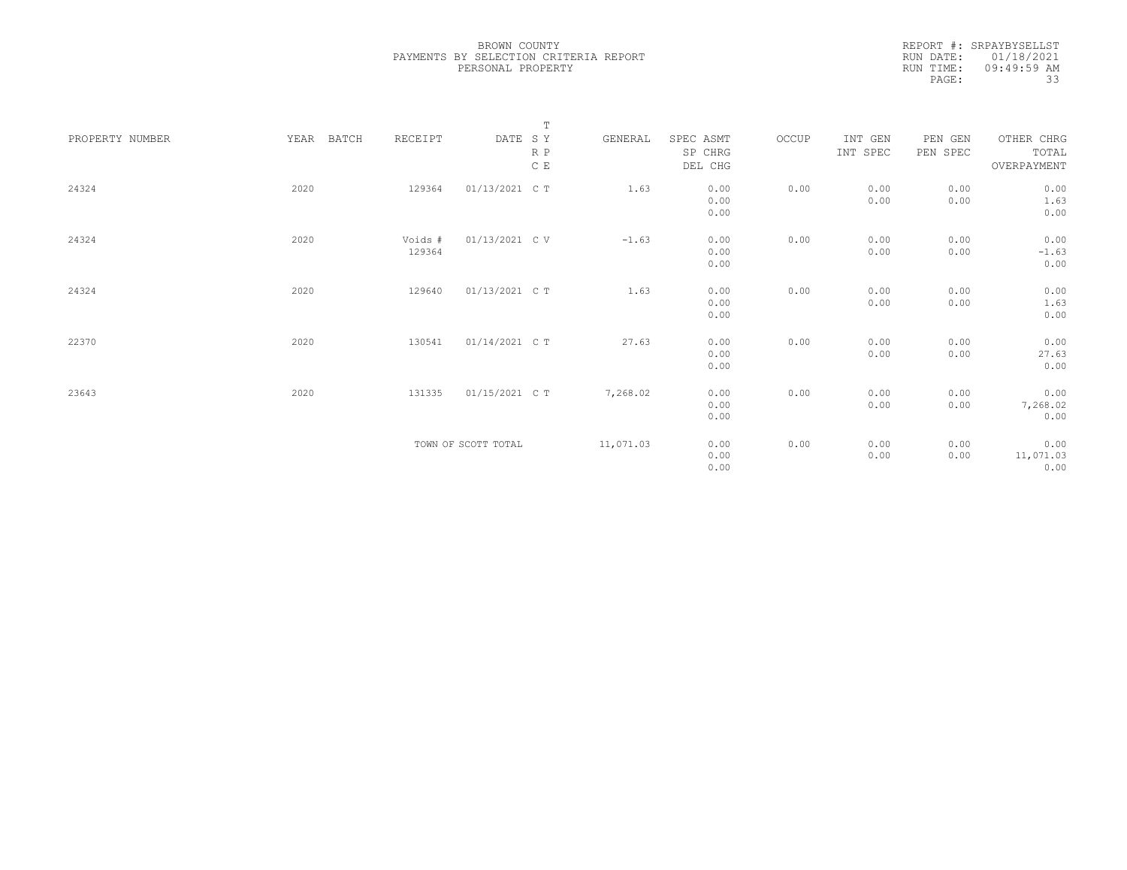|                 |               |         | $\mathbb T$         |           |           |       |          |          |             |
|-----------------|---------------|---------|---------------------|-----------|-----------|-------|----------|----------|-------------|
| PROPERTY NUMBER | BATCH<br>YEAR | RECEIPT | DATE SY             | GENERAL   | SPEC ASMT | OCCUP | INT GEN  | PEN GEN  | OTHER CHRG  |
|                 |               |         | R P                 |           | SP CHRG   |       | INT SPEC | PEN SPEC | TOTAL       |
|                 |               |         | C E                 |           | DEL CHG   |       |          |          | OVERPAYMENT |
|                 |               |         |                     |           |           |       |          |          |             |
| 24324           | 2020          | 129364  | 01/13/2021 C T      | 1.63      | 0.00      | 0.00  | 0.00     | 0.00     | 0.00        |
|                 |               |         |                     |           | 0.00      |       | 0.00     | 0.00     | 1.63        |
|                 |               |         |                     |           | 0.00      |       |          |          | 0.00        |
|                 |               |         |                     |           |           |       |          |          |             |
| 24324           | 2020          | Voids # | 01/13/2021 C V      | $-1.63$   | 0.00      | 0.00  | 0.00     | 0.00     | 0.00        |
|                 |               | 129364  |                     |           | 0.00      |       | 0.00     | 0.00     | $-1.63$     |
|                 |               |         |                     |           | 0.00      |       |          |          | 0.00        |
|                 |               |         |                     |           |           |       |          |          |             |
| 24324           | 2020          | 129640  | 01/13/2021 C T      | 1.63      | 0.00      | 0.00  | 0.00     | 0.00     | 0.00        |
|                 |               |         |                     |           | 0.00      |       | 0.00     | 0.00     | 1.63        |
|                 |               |         |                     |           | 0.00      |       |          |          | 0.00        |
|                 |               |         |                     |           |           |       |          |          |             |
| 22370           | 2020          | 130541  | 01/14/2021 C T      | 27.63     | 0.00      | 0.00  | 0.00     | 0.00     | 0.00        |
|                 |               |         |                     |           | 0.00      |       | 0.00     | 0.00     | 27.63       |
|                 |               |         |                     |           | 0.00      |       |          |          | 0.00        |
|                 |               |         |                     |           |           |       |          |          |             |
| 23643           | 2020          | 131335  | 01/15/2021 C T      | 7,268.02  | 0.00      | 0.00  | 0.00     | 0.00     | 0.00        |
|                 |               |         |                     |           | 0.00      |       | 0.00     | 0.00     | 7,268.02    |
|                 |               |         |                     |           | 0.00      |       |          |          | 0.00        |
|                 |               |         |                     |           |           |       |          |          |             |
|                 |               |         | TOWN OF SCOTT TOTAL | 11,071.03 | 0.00      | 0.00  | 0.00     | 0.00     | 0.00        |
|                 |               |         |                     |           | 0.00      |       | 0.00     | 0.00     | 11,071.03   |
|                 |               |         |                     |           | 0.00      |       |          |          | 0.00        |
|                 |               |         |                     |           |           |       |          |          |             |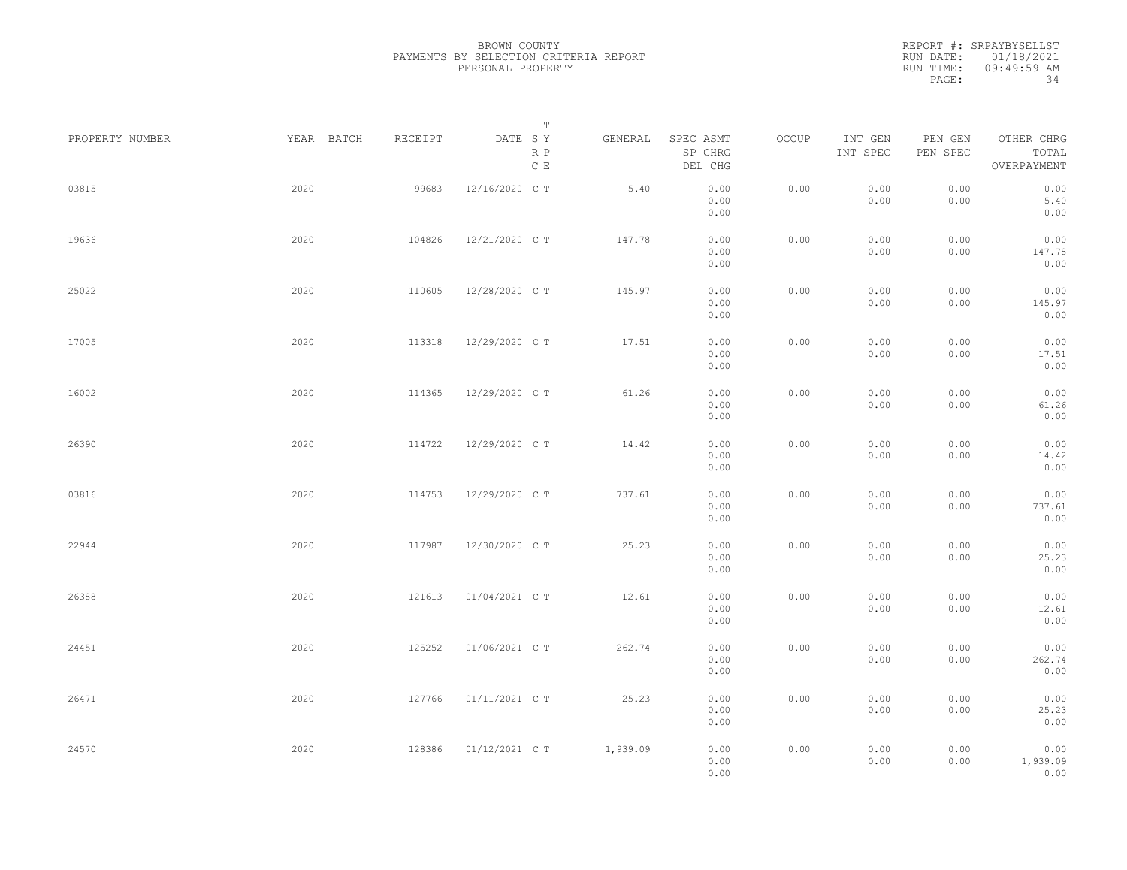|                 |            |         | Т                               |          |                                 |       |                     |                     |                                    |  |
|-----------------|------------|---------|---------------------------------|----------|---------------------------------|-------|---------------------|---------------------|------------------------------------|--|
| PROPERTY NUMBER | YEAR BATCH | RECEIPT | DATE SY<br>R P<br>$\,$ C $\,$ E | GENERAL  | SPEC ASMT<br>SP CHRG<br>DEL CHG | OCCUP | INT GEN<br>INT SPEC | PEN GEN<br>PEN SPEC | OTHER CHRG<br>TOTAL<br>OVERPAYMENT |  |
| 03815           | 2020       | 99683   | 12/16/2020 C T                  | 5.40     | 0.00<br>0.00<br>0.00            | 0.00  | 0.00<br>0.00        | 0.00<br>0.00        | 0.00<br>5.40<br>0.00               |  |
| 19636           | 2020       | 104826  | 12/21/2020 C T                  | 147.78   | 0.00<br>0.00<br>0.00            | 0.00  | 0.00<br>0.00        | 0.00<br>0.00        | 0.00<br>147.78<br>0.00             |  |
| 25022           | 2020       | 110605  | 12/28/2020 C T                  | 145.97   | 0.00<br>0.00<br>0.00            | 0.00  | 0.00<br>0.00        | 0.00<br>0.00        | 0.00<br>145.97<br>0.00             |  |
| 17005           | 2020       | 113318  | 12/29/2020 C T                  | 17.51    | 0.00<br>0.00<br>0.00            | 0.00  | 0.00<br>0.00        | 0.00<br>0.00        | 0.00<br>17.51<br>0.00              |  |
| 16002           | 2020       | 114365  | 12/29/2020 C T                  | 61.26    | 0.00<br>0.00<br>0.00            | 0.00  | 0.00<br>0.00        | 0.00<br>0.00        | 0.00<br>61.26<br>0.00              |  |
| 26390           | 2020       | 114722  | 12/29/2020 C T                  | 14.42    | 0.00<br>0.00<br>0.00            | 0.00  | 0.00<br>0.00        | 0.00<br>0.00        | 0.00<br>14.42<br>0.00              |  |
| 03816           | 2020       | 114753  | 12/29/2020 C T                  | 737.61   | 0.00<br>0.00<br>0.00            | 0.00  | 0.00<br>0.00        | 0.00<br>0.00        | 0.00<br>737.61<br>0.00             |  |
| 22944           | 2020       | 117987  | 12/30/2020 C T                  | 25.23    | 0.00<br>0.00<br>0.00            | 0.00  | 0.00<br>0.00        | 0.00<br>0.00        | 0.00<br>25.23<br>0.00              |  |
| 26388           | 2020       | 121613  | 01/04/2021 C T                  | 12.61    | 0.00<br>0.00<br>0.00            | 0.00  | 0.00<br>0.00        | 0.00<br>0.00        | 0.00<br>12.61<br>0.00              |  |
| 24451           | 2020       | 125252  | 01/06/2021 C T                  | 262.74   | 0.00<br>0.00<br>0.00            | 0.00  | 0.00<br>0.00        | 0.00<br>0.00        | 0.00<br>262.74<br>0.00             |  |
| 26471           | 2020       | 127766  | 01/11/2021 C T                  | 25.23    | 0.00<br>0.00<br>0.00            | 0.00  | 0.00<br>0.00        | 0.00<br>0.00        | 0.00<br>25.23<br>0.00              |  |
| 24570           | 2020       | 128386  | 01/12/2021 C T                  | 1,939.09 | 0.00<br>0.00<br>0.00            | 0.00  | 0.00<br>0.00        | 0.00<br>0.00        | 0.00<br>1,939.09<br>0.00           |  |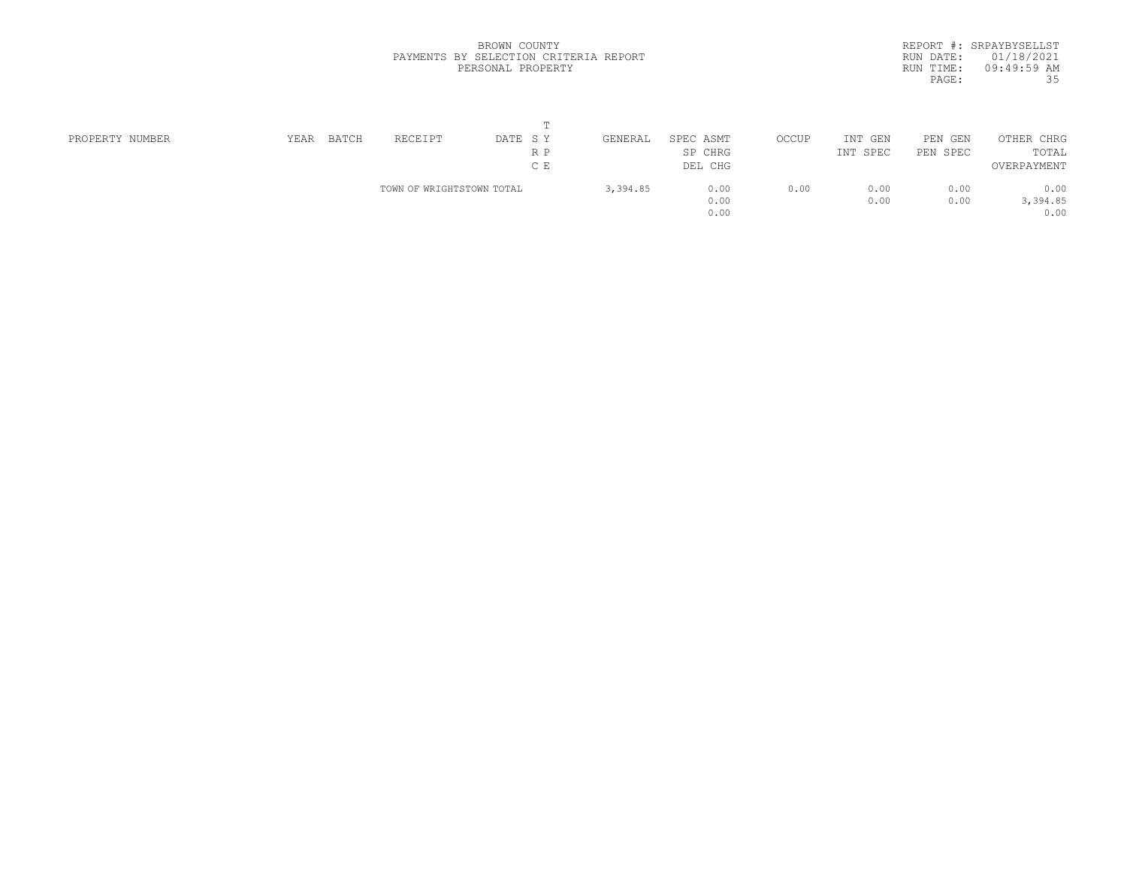|           | REPORT #: SRPAYBYSELLST |
|-----------|-------------------------|
|           | RUN DATE: 01/18/2021    |
| RUN TIME: | $09:49:59$ AM           |
| PAGE:     | 35                      |

| PROPERTY NUMBER | RECEIPT<br>BATCH<br>YEAR | DATE SY                   | GENERAL | SPEC ASMT | OCCUP | INT GEN  | PEN<br>GEN | OTHER CHRG  |  |
|-----------------|--------------------------|---------------------------|---------|-----------|-------|----------|------------|-------------|--|
|                 |                          | R P                       |         | SP CHRG   |       | INT SPEC | PEN SPEC   | TOTAL       |  |
|                 |                          | C E                       |         | DEL CHG   |       |          |            | OVERPAYMENT |  |
|                 |                          | TOWN OF WRIGHTSTOWN TOTAL |         | 0.00      | 0.00  | 0.00     | 0.00       | 0.00        |  |
|                 |                          |                           |         | 0.00      |       | 0.00     | 0.00       | 3,394.85    |  |
|                 |                          |                           |         | 0.00      |       |          |            | 0.00        |  |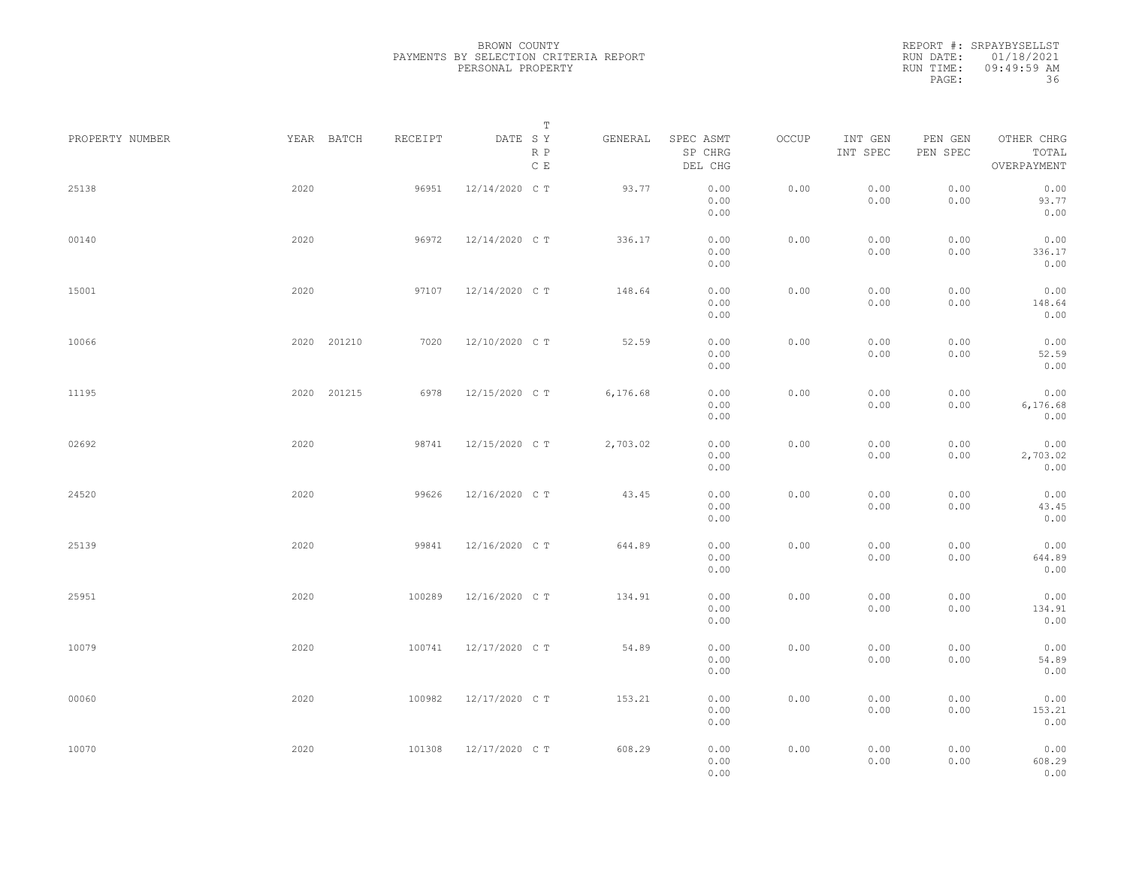|                 |             |         | Т                               |          |                                 |       |                     |                     |                                    |  |
|-----------------|-------------|---------|---------------------------------|----------|---------------------------------|-------|---------------------|---------------------|------------------------------------|--|
| PROPERTY NUMBER | YEAR BATCH  | RECEIPT | DATE SY<br>R P<br>$\,$ C $\,$ E | GENERAL  | SPEC ASMT<br>SP CHRG<br>DEL CHG | OCCUP | INT GEN<br>INT SPEC | PEN GEN<br>PEN SPEC | OTHER CHRG<br>TOTAL<br>OVERPAYMENT |  |
| 25138           | 2020        | 96951   | 12/14/2020 C T                  | 93.77    | 0.00<br>0.00<br>0.00            | 0.00  | 0.00<br>0.00        | 0.00<br>0.00        | 0.00<br>93.77<br>0.00              |  |
| 00140           | 2020        | 96972   | 12/14/2020 C T                  | 336.17   | 0.00<br>0.00<br>0.00            | 0.00  | 0.00<br>0.00        | 0.00<br>0.00        | 0.00<br>336.17<br>0.00             |  |
| 15001           | 2020        | 97107   | 12/14/2020 C T                  | 148.64   | 0.00<br>0.00<br>0.00            | 0.00  | 0.00<br>0.00        | 0.00<br>0.00        | 0.00<br>148.64<br>0.00             |  |
| 10066           | 2020 201210 | 7020    | 12/10/2020 C T                  | 52.59    | 0.00<br>0.00<br>0.00            | 0.00  | 0.00<br>0.00        | 0.00<br>0.00        | 0.00<br>52.59<br>0.00              |  |
| 11195           | 2020 201215 | 6978    | 12/15/2020 C T                  | 6,176.68 | 0.00<br>0.00<br>0.00            | 0.00  | 0.00<br>0.00        | 0.00<br>0.00        | 0.00<br>6,176.68<br>0.00           |  |
| 02692           | 2020        | 98741   | 12/15/2020 C T                  | 2,703.02 | 0.00<br>0.00<br>0.00            | 0.00  | 0.00<br>0.00        | 0.00<br>0.00        | 0.00<br>2,703.02<br>0.00           |  |
| 24520           | 2020        | 99626   | 12/16/2020 C T                  | 43.45    | 0.00<br>0.00<br>0.00            | 0.00  | 0.00<br>0.00        | 0.00<br>0.00        | 0.00<br>43.45<br>0.00              |  |
| 25139           | 2020        | 99841   | 12/16/2020 C T                  | 644.89   | 0.00<br>0.00<br>0.00            | 0.00  | 0.00<br>0.00        | 0.00<br>0.00        | 0.00<br>644.89<br>0.00             |  |
| 25951           | 2020        | 100289  | 12/16/2020 C T                  | 134.91   | 0.00<br>0.00<br>0.00            | 0.00  | 0.00<br>0.00        | 0.00<br>0.00        | 0.00<br>134.91<br>0.00             |  |
| 10079           | 2020        | 100741  | 12/17/2020 C T                  | 54.89    | 0.00<br>0.00<br>0.00            | 0.00  | 0.00<br>0.00        | 0.00<br>0.00        | 0.00<br>54.89<br>0.00              |  |
| 00060           | 2020        | 100982  | 12/17/2020 C T                  | 153.21   | 0.00<br>0.00<br>0.00            | 0.00  | 0.00<br>0.00        | 0.00<br>0.00        | 0.00<br>153.21<br>0.00             |  |
| 10070           | 2020        | 101308  | 12/17/2020 C T                  | 608.29   | 0.00<br>0.00<br>0.00            | 0.00  | 0.00<br>0.00        | 0.00<br>0.00        | 0.00<br>608.29<br>0.00             |  |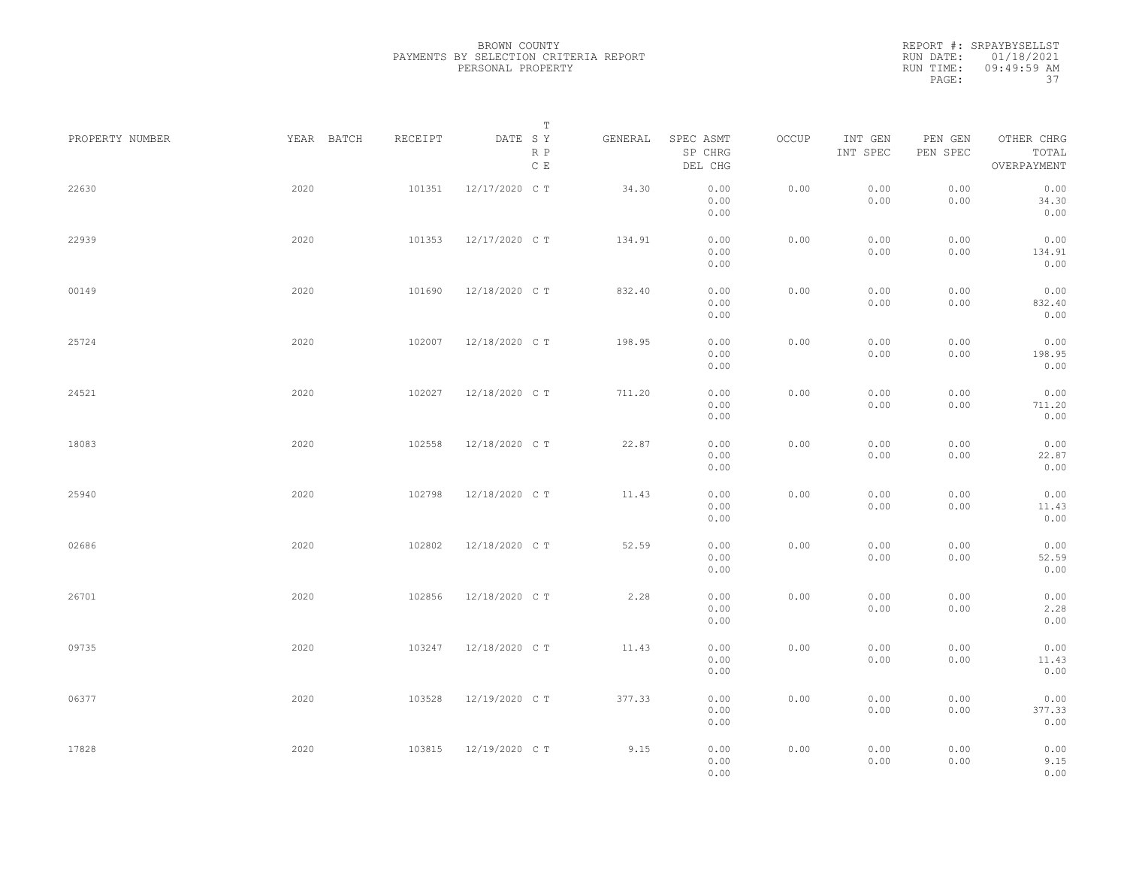|                 |            |         | Т                               |         |                                 |       |                     |                     |                                    |  |
|-----------------|------------|---------|---------------------------------|---------|---------------------------------|-------|---------------------|---------------------|------------------------------------|--|
| PROPERTY NUMBER | YEAR BATCH | RECEIPT | DATE SY<br>R P<br>$\,$ C $\,$ E | GENERAL | SPEC ASMT<br>SP CHRG<br>DEL CHG | OCCUP | INT GEN<br>INT SPEC | PEN GEN<br>PEN SPEC | OTHER CHRG<br>TOTAL<br>OVERPAYMENT |  |
| 22630           | 2020       | 101351  | 12/17/2020 C T                  | 34.30   | 0.00<br>0.00<br>0.00            | 0.00  | 0.00<br>0.00        | 0.00<br>0.00        | 0.00<br>34.30<br>0.00              |  |
| 22939           | 2020       | 101353  | 12/17/2020 C T                  | 134.91  | 0.00<br>0.00<br>0.00            | 0.00  | 0.00<br>0.00        | 0.00<br>0.00        | 0.00<br>134.91<br>0.00             |  |
| 00149           | 2020       | 101690  | 12/18/2020 C T                  | 832.40  | 0.00<br>0.00<br>0.00            | 0.00  | 0.00<br>0.00        | 0.00<br>0.00        | 0.00<br>832.40<br>0.00             |  |
| 25724           | 2020       | 102007  | 12/18/2020 C T                  | 198.95  | 0.00<br>0.00<br>0.00            | 0.00  | 0.00<br>0.00        | 0.00<br>0.00        | 0.00<br>198.95<br>0.00             |  |
| 24521           | 2020       | 102027  | 12/18/2020 C T                  | 711.20  | 0.00<br>0.00<br>0.00            | 0.00  | 0.00<br>0.00        | 0.00<br>0.00        | 0.00<br>711.20<br>0.00             |  |
| 18083           | 2020       | 102558  | 12/18/2020 C T                  | 22.87   | 0.00<br>0.00<br>0.00            | 0.00  | 0.00<br>0.00        | 0.00<br>0.00        | 0.00<br>22.87<br>0.00              |  |
| 25940           | 2020       | 102798  | 12/18/2020 C T                  | 11.43   | 0.00<br>0.00<br>0.00            | 0.00  | 0.00<br>0.00        | 0.00<br>0.00        | 0.00<br>11.43<br>0.00              |  |
| 02686           | 2020       | 102802  | 12/18/2020 C T                  | 52.59   | 0.00<br>0.00<br>0.00            | 0.00  | 0.00<br>0.00        | 0.00<br>0.00        | 0.00<br>52.59<br>0.00              |  |
| 26701           | 2020       | 102856  | 12/18/2020 C T                  | 2.28    | 0.00<br>0.00<br>0.00            | 0.00  | 0.00<br>0.00        | 0.00<br>0.00        | 0.00<br>2.28<br>0.00               |  |
| 09735           | 2020       | 103247  | 12/18/2020 C T                  | 11.43   | 0.00<br>0.00<br>0.00            | 0.00  | 0.00<br>0.00        | 0.00<br>0.00        | 0.00<br>11.43<br>0.00              |  |
| 06377           | 2020       | 103528  | 12/19/2020 C T                  | 377.33  | 0.00<br>0.00<br>0.00            | 0.00  | 0.00<br>0.00        | 0.00<br>0.00        | 0.00<br>377.33<br>0.00             |  |
| 17828           | 2020       | 103815  | 12/19/2020 C T                  | 9.15    | 0.00<br>0.00<br>0.00            | 0.00  | 0.00<br>0.00        | 0.00<br>0.00        | 0.00<br>9.15<br>0.00               |  |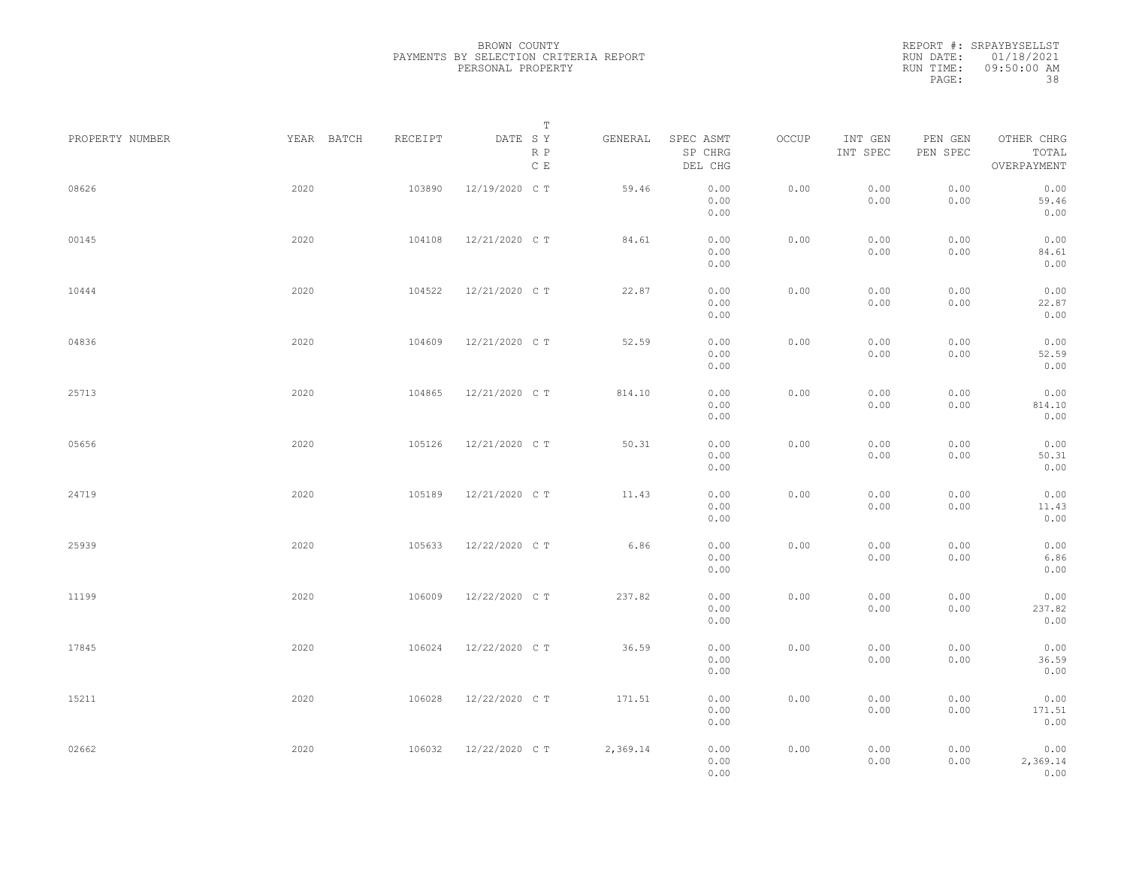BROWN COUNTY PAYMENTS BY SELECTION CRITERIA REPORT PERSONAL PROPERTY

REPORT #: SRPAYBYSELLST RUN DATE: 01/18/2021 RUN TIME: 09:50:00 AM PAGE: 38

| PROPERTY NUMBER |      | YEAR BATCH | RECEIPT | DATE SY        | Т<br>R P<br>$\,$ C $\,$ E | GENERAL  | SPEC ASMT<br>SP CHRG<br>DEL CHG | OCCUP | INT GEN<br>INT SPEC | PEN GEN<br>PEN SPEC | OTHER CHRG<br>TOTAL<br>OVERPAYMENT |  |
|-----------------|------|------------|---------|----------------|---------------------------|----------|---------------------------------|-------|---------------------|---------------------|------------------------------------|--|
| 08626           | 2020 |            | 103890  | 12/19/2020 C T |                           | 59.46    | 0.00<br>0.00<br>0.00            | 0.00  | 0.00<br>0.00        | 0.00<br>0.00        | 0.00<br>59.46<br>0.00              |  |
| 00145           | 2020 |            | 104108  | 12/21/2020 C T |                           | 84.61    | 0.00<br>0.00<br>0.00            | 0.00  | 0.00<br>0.00        | 0.00<br>0.00        | 0.00<br>84.61<br>0.00              |  |
| 10444           | 2020 |            | 104522  | 12/21/2020 C T |                           | 22.87    | 0.00<br>0.00<br>0.00            | 0.00  | 0.00<br>0.00        | 0.00<br>0.00        | 0.00<br>22.87<br>0.00              |  |
| 04836           | 2020 |            | 104609  | 12/21/2020 C T |                           | 52.59    | 0.00<br>0.00<br>0.00            | 0.00  | 0.00<br>0.00        | 0.00<br>0.00        | 0.00<br>52.59<br>0.00              |  |
| 25713           | 2020 |            | 104865  | 12/21/2020 C T |                           | 814.10   | 0.00<br>0.00<br>0.00            | 0.00  | 0.00<br>0.00        | 0.00<br>0.00        | 0.00<br>814.10<br>0.00             |  |
| 05656           | 2020 |            | 105126  | 12/21/2020 C T |                           | 50.31    | 0.00<br>0.00<br>0.00            | 0.00  | 0.00<br>0.00        | 0.00<br>0.00        | 0.00<br>50.31<br>0.00              |  |
| 24719           | 2020 |            | 105189  | 12/21/2020 C T |                           | 11.43    | 0.00<br>0.00<br>0.00            | 0.00  | 0.00<br>0.00        | 0.00<br>0.00        | 0.00<br>11.43<br>0.00              |  |
| 25939           | 2020 |            | 105633  | 12/22/2020 C T |                           | 6.86     | 0.00<br>0.00<br>0.00            | 0.00  | 0.00<br>0.00        | 0.00<br>0.00        | 0.00<br>6.86<br>0.00               |  |
| 11199           | 2020 |            | 106009  | 12/22/2020 C T |                           | 237.82   | 0.00<br>0.00<br>0.00            | 0.00  | 0.00<br>0.00        | 0.00<br>0.00        | 0.00<br>237.82<br>0.00             |  |
| 17845           | 2020 |            | 106024  | 12/22/2020 C T |                           | 36.59    | 0.00<br>0.00<br>0.00            | 0.00  | 0.00<br>0.00        | 0.00<br>0.00        | 0.00<br>36.59<br>0.00              |  |
| 15211           | 2020 |            | 106028  | 12/22/2020 C T |                           | 171.51   | 0.00<br>0.00<br>0.00            | 0.00  | 0.00<br>0.00        | 0.00<br>0.00        | 0.00<br>171.51<br>0.00             |  |
| 02662           | 2020 |            | 106032  | 12/22/2020 CT  |                           | 2,369.14 | 0.00<br>0.00<br>0.00            | 0.00  | 0.00<br>0.00        | 0.00<br>0.00        | 0.00<br>2,369.14<br>0.00           |  |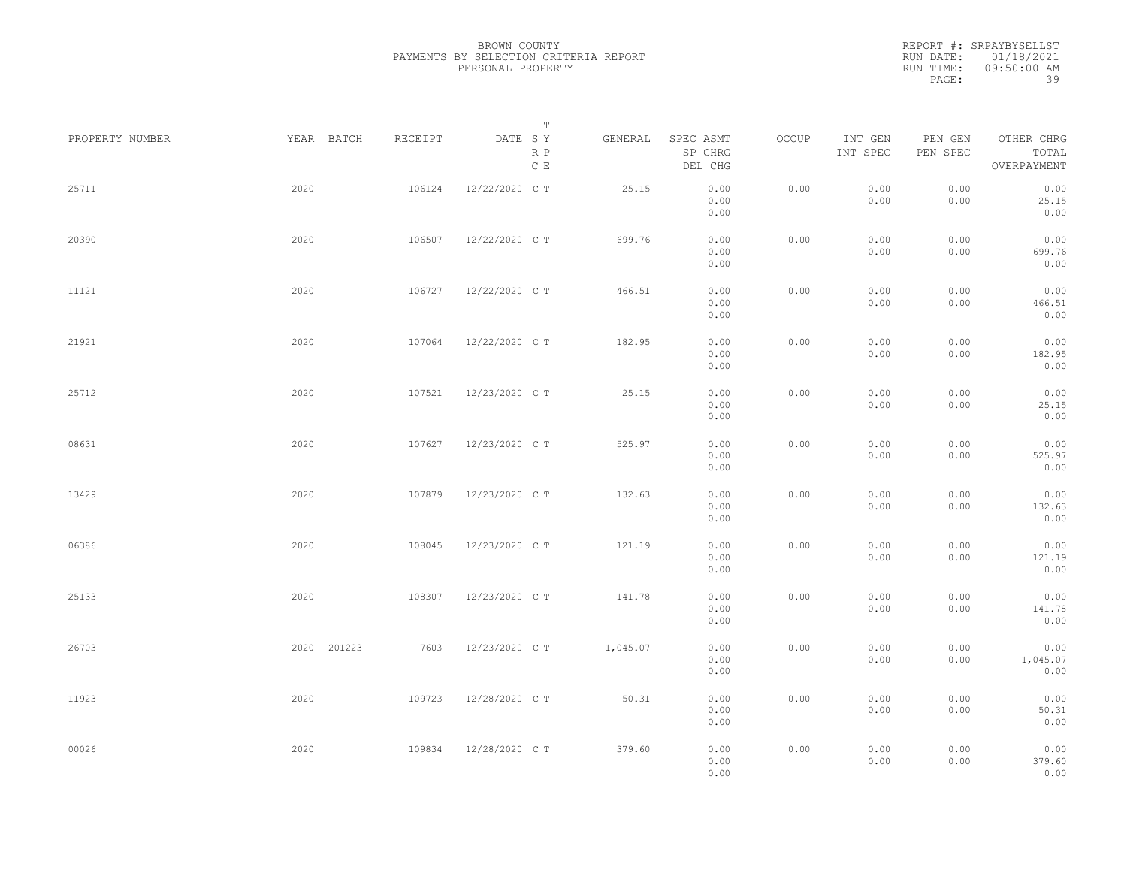|                 |             |         | Т                               |          |                                 |       |                     |                     |                                    |  |
|-----------------|-------------|---------|---------------------------------|----------|---------------------------------|-------|---------------------|---------------------|------------------------------------|--|
| PROPERTY NUMBER | YEAR BATCH  | RECEIPT | DATE SY<br>R P<br>$\,$ C $\,$ E | GENERAL  | SPEC ASMT<br>SP CHRG<br>DEL CHG | OCCUP | INT GEN<br>INT SPEC | PEN GEN<br>PEN SPEC | OTHER CHRG<br>TOTAL<br>OVERPAYMENT |  |
| 25711           | 2020        | 106124  | 12/22/2020 C T                  | 25.15    | 0.00<br>0.00<br>0.00            | 0.00  | 0.00<br>0.00        | 0.00<br>0.00        | 0.00<br>25.15<br>0.00              |  |
| 20390           | 2020        | 106507  | 12/22/2020 C T                  | 699.76   | 0.00<br>0.00<br>0.00            | 0.00  | 0.00<br>0.00        | 0.00<br>0.00        | 0.00<br>699.76<br>0.00             |  |
| 11121           | 2020        | 106727  | 12/22/2020 C T                  | 466.51   | 0.00<br>0.00<br>0.00            | 0.00  | 0.00<br>0.00        | 0.00<br>0.00        | 0.00<br>466.51<br>0.00             |  |
| 21921           | 2020        | 107064  | 12/22/2020 C T                  | 182.95   | 0.00<br>0.00<br>0.00            | 0.00  | 0.00<br>0.00        | 0.00<br>0.00        | 0.00<br>182.95<br>0.00             |  |
| 25712           | 2020        | 107521  | 12/23/2020 C T                  | 25.15    | 0.00<br>0.00<br>0.00            | 0.00  | 0.00<br>0.00        | 0.00<br>0.00        | 0.00<br>25.15<br>0.00              |  |
| 08631           | 2020        | 107627  | 12/23/2020 C T                  | 525.97   | 0.00<br>0.00<br>0.00            | 0.00  | 0.00<br>0.00        | 0.00<br>0.00        | 0.00<br>525.97<br>0.00             |  |
| 13429           | 2020        | 107879  | 12/23/2020 C T                  | 132.63   | 0.00<br>0.00<br>0.00            | 0.00  | 0.00<br>0.00        | 0.00<br>0.00        | 0.00<br>132.63<br>0.00             |  |
| 06386           | 2020        | 108045  | 12/23/2020 C T                  | 121.19   | 0.00<br>0.00<br>0.00            | 0.00  | 0.00<br>0.00        | 0.00<br>0.00        | 0.00<br>121.19<br>0.00             |  |
| 25133           | 2020        | 108307  | 12/23/2020 C T                  | 141.78   | 0.00<br>0.00<br>0.00            | 0.00  | 0.00<br>0.00        | 0.00<br>0.00        | 0.00<br>141.78<br>0.00             |  |
| 26703           | 2020 201223 | 7603    | 12/23/2020 C T                  | 1,045.07 | 0.00<br>0.00<br>0.00            | 0.00  | 0.00<br>0.00        | 0.00<br>0.00        | 0.00<br>1,045.07<br>0.00           |  |
| 11923           | 2020        | 109723  | 12/28/2020 C T                  | 50.31    | 0.00<br>0.00<br>0.00            | 0.00  | 0.00<br>0.00        | 0.00<br>0.00        | 0.00<br>50.31<br>0.00              |  |
| 00026           | 2020        | 109834  | 12/28/2020 C T                  | 379.60   | 0.00<br>0.00<br>0.00            | 0.00  | 0.00<br>0.00        | 0.00<br>0.00        | 0.00<br>379.60<br>0.00             |  |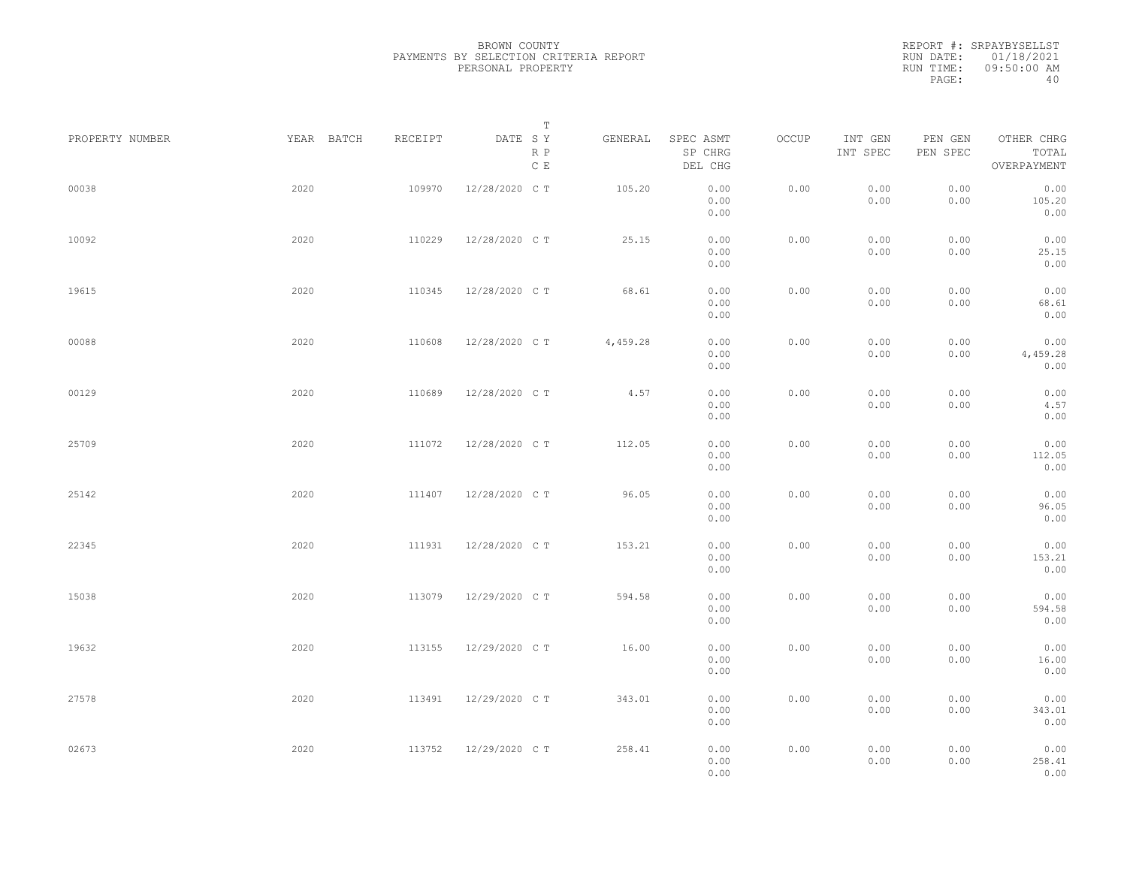|                 |            |         | Т                               |          |                                 |       |                     |                     |                                    |  |
|-----------------|------------|---------|---------------------------------|----------|---------------------------------|-------|---------------------|---------------------|------------------------------------|--|
| PROPERTY NUMBER | YEAR BATCH | RECEIPT | DATE SY<br>R P<br>$\,$ C $\,$ E | GENERAL  | SPEC ASMT<br>SP CHRG<br>DEL CHG | OCCUP | INT GEN<br>INT SPEC | PEN GEN<br>PEN SPEC | OTHER CHRG<br>TOTAL<br>OVERPAYMENT |  |
| 00038           | 2020       | 109970  | 12/28/2020 C T                  | 105.20   | 0.00<br>0.00<br>0.00            | 0.00  | 0.00<br>0.00        | 0.00<br>0.00        | 0.00<br>105.20<br>0.00             |  |
| 10092           | 2020       | 110229  | 12/28/2020 C T                  | 25.15    | 0.00<br>0.00<br>0.00            | 0.00  | 0.00<br>0.00        | 0.00<br>0.00        | 0.00<br>25.15<br>0.00              |  |
| 19615           | 2020       | 110345  | 12/28/2020 C T                  | 68.61    | 0.00<br>0.00<br>0.00            | 0.00  | 0.00<br>0.00        | 0.00<br>0.00        | 0.00<br>68.61<br>0.00              |  |
| 00088           | 2020       | 110608  | 12/28/2020 C T                  | 4,459.28 | 0.00<br>0.00<br>0.00            | 0.00  | 0.00<br>0.00        | 0.00<br>0.00        | 0.00<br>4,459.28<br>0.00           |  |
| 00129           | 2020       | 110689  | 12/28/2020 C T                  | 4.57     | 0.00<br>0.00<br>0.00            | 0.00  | 0.00<br>0.00        | 0.00<br>0.00        | 0.00<br>4.57<br>0.00               |  |
| 25709           | 2020       | 111072  | 12/28/2020 C T                  | 112.05   | 0.00<br>0.00<br>0.00            | 0.00  | 0.00<br>0.00        | 0.00<br>0.00        | 0.00<br>112.05<br>0.00             |  |
| 25142           | 2020       | 111407  | 12/28/2020 C T                  | 96.05    | 0.00<br>0.00<br>0.00            | 0.00  | 0.00<br>0.00        | 0.00<br>0.00        | 0.00<br>96.05<br>0.00              |  |
| 22345           | 2020       | 111931  | 12/28/2020 C T                  | 153.21   | 0.00<br>0.00<br>0.00            | 0.00  | 0.00<br>0.00        | 0.00<br>0.00        | 0.00<br>153.21<br>0.00             |  |
| 15038           | 2020       | 113079  | 12/29/2020 C T                  | 594.58   | 0.00<br>0.00<br>0.00            | 0.00  | 0.00<br>0.00        | 0.00<br>0.00        | 0.00<br>594.58<br>0.00             |  |
| 19632           | 2020       | 113155  | 12/29/2020 C T                  | 16.00    | 0.00<br>0.00<br>0.00            | 0.00  | 0.00<br>0.00        | 0.00<br>0.00        | 0.00<br>16.00<br>0.00              |  |
| 27578           | 2020       | 113491  | 12/29/2020 C T                  | 343.01   | 0.00<br>0.00<br>0.00            | 0.00  | 0.00<br>0.00        | 0.00<br>0.00        | 0.00<br>343.01<br>0.00             |  |
| 02673           | 2020       | 113752  | 12/29/2020 C T                  | 258.41   | 0.00<br>0.00<br>0.00            | 0.00  | 0.00<br>0.00        | 0.00<br>0.00        | 0.00<br>258.41<br>0.00             |  |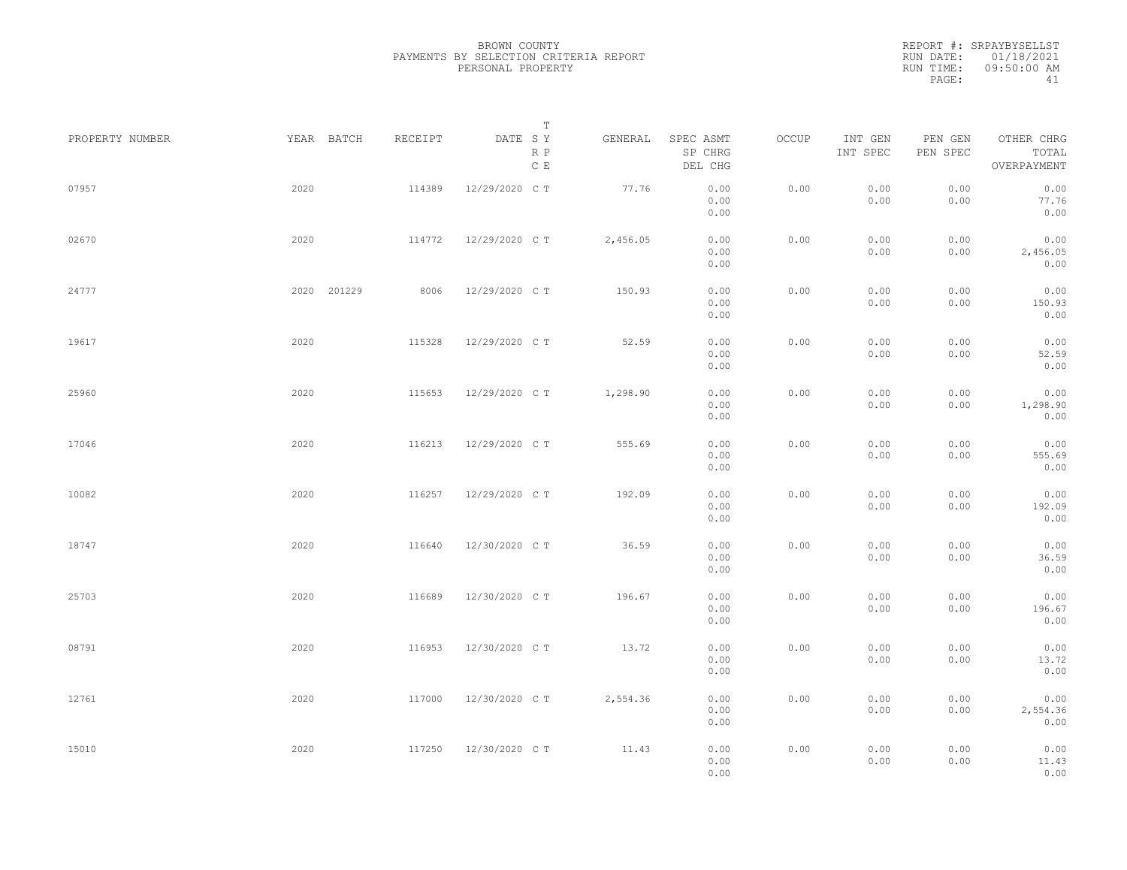|                 |             |         | Т                               |          |                                 |       |                     |                     |                                    |  |
|-----------------|-------------|---------|---------------------------------|----------|---------------------------------|-------|---------------------|---------------------|------------------------------------|--|
| PROPERTY NUMBER | YEAR BATCH  | RECEIPT | DATE SY<br>R P<br>$\,$ C $\,$ E | GENERAL  | SPEC ASMT<br>SP CHRG<br>DEL CHG | OCCUP | INT GEN<br>INT SPEC | PEN GEN<br>PEN SPEC | OTHER CHRG<br>TOTAL<br>OVERPAYMENT |  |
| 07957           | 2020        | 114389  | 12/29/2020 C T                  | 77.76    | 0.00<br>0.00<br>0.00            | 0.00  | 0.00<br>0.00        | 0.00<br>0.00        | 0.00<br>77.76<br>0.00              |  |
| 02670           | 2020        | 114772  | 12/29/2020 C T                  | 2,456.05 | 0.00<br>0.00<br>0.00            | 0.00  | 0.00<br>0.00        | 0.00<br>0.00        | 0.00<br>2,456.05<br>0.00           |  |
| 24777           | 2020 201229 | 8006    | 12/29/2020 C T                  | 150.93   | 0.00<br>0.00<br>0.00            | 0.00  | 0.00<br>0.00        | 0.00<br>0.00        | 0.00<br>150.93<br>0.00             |  |
| 19617           | 2020        | 115328  | 12/29/2020 C T                  | 52.59    | 0.00<br>0.00<br>0.00            | 0.00  | 0.00<br>0.00        | 0.00<br>0.00        | 0.00<br>52.59<br>0.00              |  |
| 25960           | 2020        | 115653  | 12/29/2020 C T                  | 1,298.90 | 0.00<br>0.00<br>0.00            | 0.00  | 0.00<br>0.00        | 0.00<br>0.00        | 0.00<br>1,298.90<br>0.00           |  |
| 17046           | 2020        | 116213  | 12/29/2020 C T                  | 555.69   | 0.00<br>0.00<br>0.00            | 0.00  | 0.00<br>0.00        | 0.00<br>0.00        | 0.00<br>555.69<br>0.00             |  |
| 10082           | 2020        | 116257  | 12/29/2020 C T                  | 192.09   | 0.00<br>0.00<br>0.00            | 0.00  | 0.00<br>0.00        | 0.00<br>0.00        | 0.00<br>192.09<br>0.00             |  |
| 18747           | 2020        | 116640  | 12/30/2020 C T                  | 36.59    | 0.00<br>0.00<br>0.00            | 0.00  | 0.00<br>0.00        | 0.00<br>0.00        | 0.00<br>36.59<br>0.00              |  |
| 25703           | 2020        | 116689  | 12/30/2020 C T                  | 196.67   | 0.00<br>0.00<br>0.00            | 0.00  | 0.00<br>0.00        | 0.00<br>0.00        | 0.00<br>196.67<br>0.00             |  |
| 08791           | 2020        | 116953  | 12/30/2020 C T                  | 13.72    | 0.00<br>0.00<br>0.00            | 0.00  | 0.00<br>0.00        | 0.00<br>0.00        | 0.00<br>13.72<br>0.00              |  |
| 12761           | 2020        | 117000  | 12/30/2020 C T                  | 2,554.36 | 0.00<br>0.00<br>0.00            | 0.00  | 0.00<br>0.00        | 0.00<br>0.00        | 0.00<br>2,554.36<br>0.00           |  |
| 15010           | 2020        | 117250  | 12/30/2020 C T                  | 11.43    | 0.00<br>0.00<br>0.00            | 0.00  | 0.00<br>0.00        | 0.00<br>0.00        | 0.00<br>11.43<br>0.00              |  |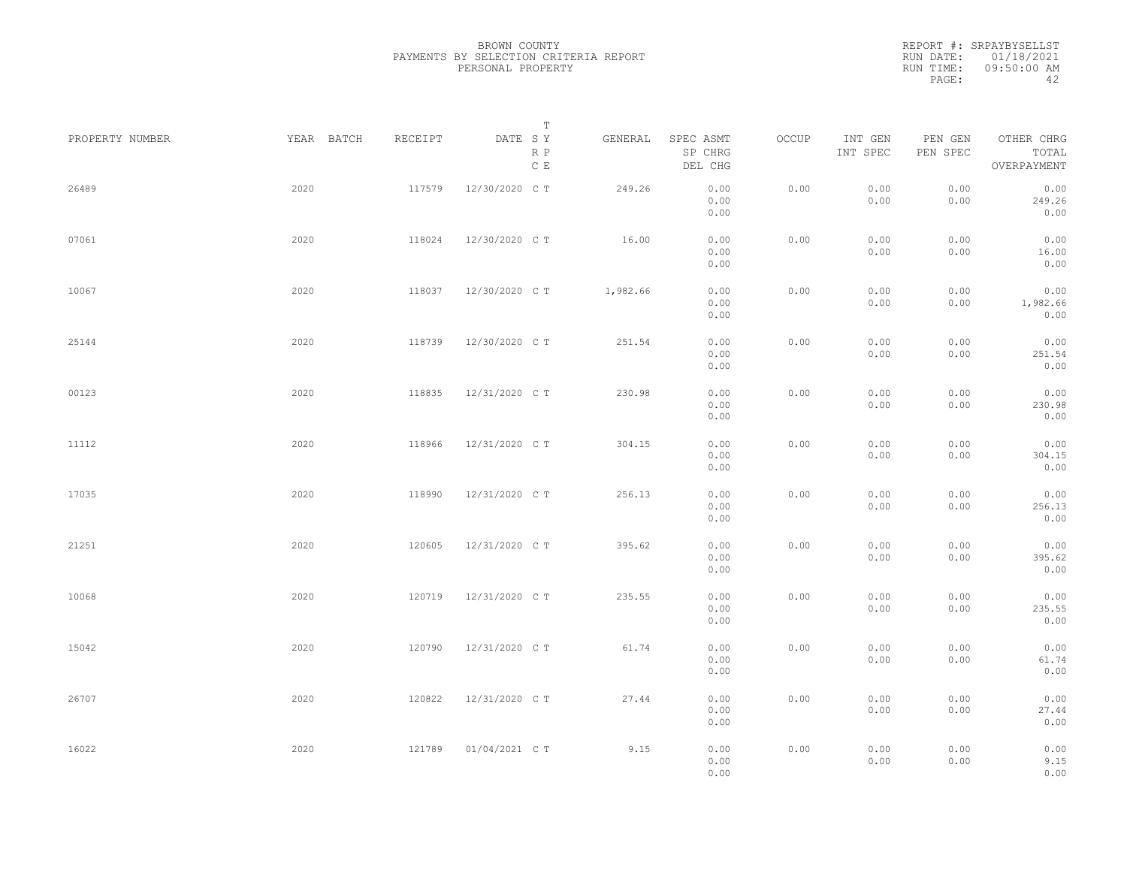|                 |            |         | Т                               |          |                                 |       |                     |                     |                                    |  |
|-----------------|------------|---------|---------------------------------|----------|---------------------------------|-------|---------------------|---------------------|------------------------------------|--|
| PROPERTY NUMBER | YEAR BATCH | RECEIPT | DATE SY<br>R P<br>$\,$ C $\,$ E | GENERAL  | SPEC ASMT<br>SP CHRG<br>DEL CHG | OCCUP | INT GEN<br>INT SPEC | PEN GEN<br>PEN SPEC | OTHER CHRG<br>TOTAL<br>OVERPAYMENT |  |
| 26489           | 2020       | 117579  | 12/30/2020 C T                  | 249.26   | 0.00<br>0.00<br>0.00            | 0.00  | 0.00<br>0.00        | 0.00<br>0.00        | 0.00<br>249.26<br>0.00             |  |
| 07061           | 2020       | 118024  | 12/30/2020 C T                  | 16.00    | 0.00<br>0.00<br>0.00            | 0.00  | 0.00<br>0.00        | 0.00<br>0.00        | 0.00<br>16.00<br>0.00              |  |
| 10067           | 2020       | 118037  | 12/30/2020 C T                  | 1,982.66 | 0.00<br>0.00<br>0.00            | 0.00  | 0.00<br>0.00        | 0.00<br>0.00        | 0.00<br>1,982.66<br>0.00           |  |
| 25144           | 2020       | 118739  | 12/30/2020 C T                  | 251.54   | 0.00<br>0.00<br>0.00            | 0.00  | 0.00<br>0.00        | 0.00<br>0.00        | 0.00<br>251.54<br>0.00             |  |
| 00123           | 2020       | 118835  | 12/31/2020 C T                  | 230.98   | 0.00<br>0.00<br>0.00            | 0.00  | 0.00<br>0.00        | 0.00<br>0.00        | 0.00<br>230.98<br>0.00             |  |
| 11112           | 2020       | 118966  | 12/31/2020 C T                  | 304.15   | 0.00<br>0.00<br>0.00            | 0.00  | 0.00<br>0.00        | 0.00<br>0.00        | 0.00<br>304.15<br>0.00             |  |
| 17035           | 2020       | 118990  | 12/31/2020 C T                  | 256.13   | 0.00<br>0.00<br>0.00            | 0.00  | 0.00<br>0.00        | 0.00<br>0.00        | 0.00<br>256.13<br>0.00             |  |
| 21251           | 2020       | 120605  | 12/31/2020 C T                  | 395.62   | 0.00<br>0.00<br>0.00            | 0.00  | 0.00<br>0.00        | 0.00<br>0.00        | 0.00<br>395.62<br>0.00             |  |
| 10068           | 2020       | 120719  | 12/31/2020 C T                  | 235.55   | 0.00<br>0.00<br>0.00            | 0.00  | 0.00<br>0.00        | 0.00<br>0.00        | 0.00<br>235.55<br>0.00             |  |
| 15042           | 2020       | 120790  | 12/31/2020 C T                  | 61.74    | 0.00<br>0.00<br>0.00            | 0.00  | 0.00<br>0.00        | 0.00<br>0.00        | 0.00<br>61.74<br>0.00              |  |
| 26707           | 2020       | 120822  | 12/31/2020 C T                  | 27.44    | 0.00<br>0.00<br>0.00            | 0.00  | 0.00<br>0.00        | 0.00<br>0.00        | 0.00<br>27.44<br>0.00              |  |
| 16022           | 2020       | 121789  | 01/04/2021 C T                  | 9.15     | 0.00<br>0.00<br>0.00            | 0.00  | 0.00<br>0.00        | 0.00<br>0.00        | 0.00<br>9.15<br>0.00               |  |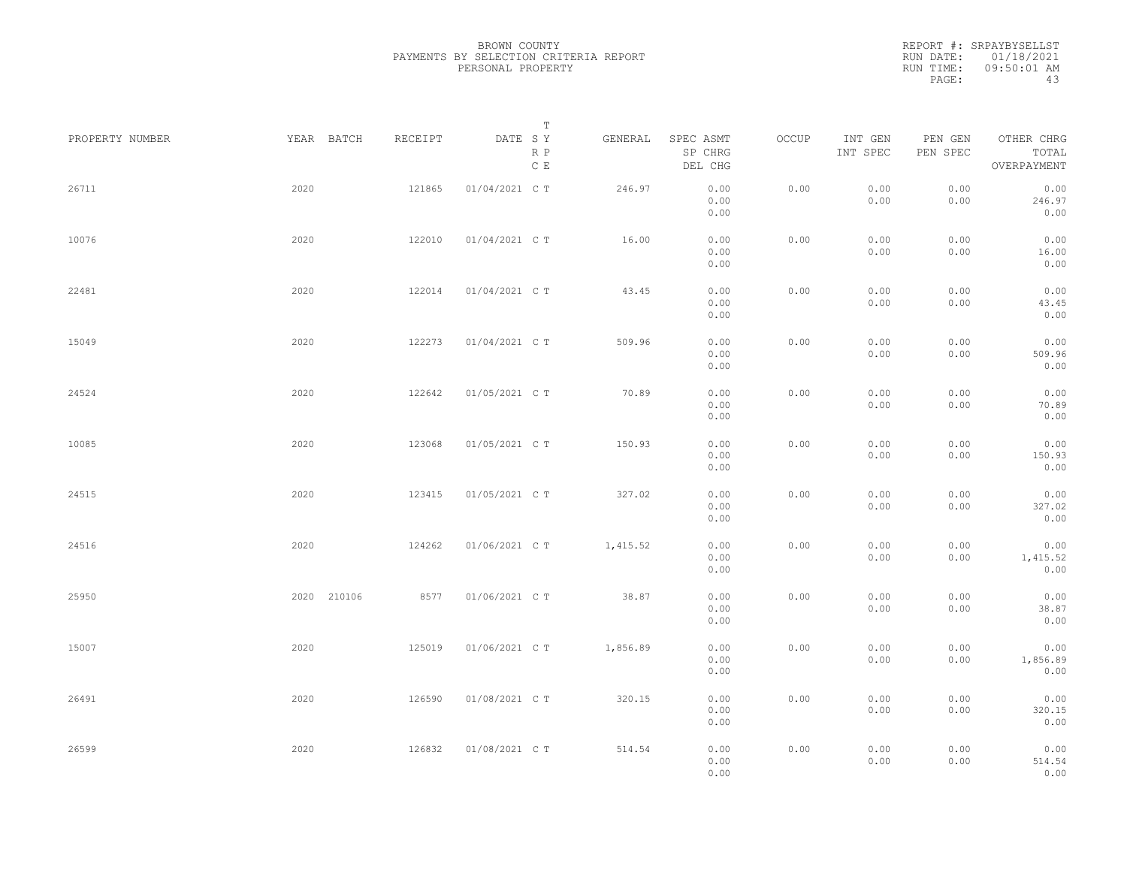BROWN COUNTY PAYMENTS BY SELECTION CRITERIA REPORT PERSONAL PROPERTY

REPORT #: SRPAYBYSELLST RUN DATE: 01/18/2021 RUN TIME: 09:50:01 AM PAGE: 43

|                 |             |         | $\mathbb T$                               |          |                                 |       |                     |                     |                                    |  |
|-----------------|-------------|---------|-------------------------------------------|----------|---------------------------------|-------|---------------------|---------------------|------------------------------------|--|
| PROPERTY NUMBER | YEAR BATCH  | RECEIPT | DATE SY<br>$\mathbb R$ $\mathbb P$<br>C E | GENERAL  | SPEC ASMT<br>SP CHRG<br>DEL CHG | OCCUP | INT GEN<br>INT SPEC | PEN GEN<br>PEN SPEC | OTHER CHRG<br>TOTAL<br>OVERPAYMENT |  |
| 26711           | 2020        | 121865  | 01/04/2021 C T                            | 246.97   | 0.00<br>0.00<br>0.00            | 0.00  | 0.00<br>0.00        | 0.00<br>0.00        | 0.00<br>246.97<br>0.00             |  |
| 10076           | 2020        | 122010  | 01/04/2021 C T                            | 16.00    | 0.00<br>0.00<br>0.00            | 0.00  | 0.00<br>0.00        | 0.00<br>0.00        | 0.00<br>16.00<br>0.00              |  |
| 22481           | 2020        | 122014  | 01/04/2021 C T                            | 43.45    | 0.00<br>0.00<br>0.00            | 0.00  | 0.00<br>0.00        | 0.00<br>0.00        | 0.00<br>43.45<br>0.00              |  |
| 15049           | 2020        | 122273  | 01/04/2021 C T                            | 509.96   | 0.00<br>0.00<br>0.00            | 0.00  | 0.00<br>0.00        | 0.00<br>0.00        | 0.00<br>509.96<br>0.00             |  |
| 24524           | 2020        | 122642  | 01/05/2021 C T                            | 70.89    | 0.00<br>0.00<br>0.00            | 0.00  | 0.00<br>0.00        | 0.00<br>0.00        | 0.00<br>70.89<br>0.00              |  |
| 10085           | 2020        | 123068  | 01/05/2021 C T                            | 150.93   | 0.00<br>0.00<br>0.00            | 0.00  | 0.00<br>0.00        | 0.00<br>0.00        | 0.00<br>150.93<br>0.00             |  |
| 24515           | 2020        | 123415  | 01/05/2021 C T                            | 327.02   | 0.00<br>0.00<br>0.00            | 0.00  | 0.00<br>0.00        | 0.00<br>0.00        | 0.00<br>327.02<br>0.00             |  |
| 24516           | 2020        | 124262  | 01/06/2021 C T                            | 1,415.52 | 0.00<br>0.00<br>0.00            | 0.00  | 0.00<br>0.00        | 0.00<br>0.00        | 0.00<br>1,415.52<br>0.00           |  |
| 25950           | 2020 210106 | 8577    | 01/06/2021 C T                            | 38.87    | 0.00<br>0.00<br>0.00            | 0.00  | 0.00<br>0.00        | 0.00<br>0.00        | 0.00<br>38.87<br>0.00              |  |
| 15007           | 2020        | 125019  | 01/06/2021 C T                            | 1,856.89 | 0.00<br>0.00<br>0.00            | 0.00  | 0.00<br>0.00        | 0.00<br>0.00        | 0.00<br>1,856.89<br>0.00           |  |
| 26491           | 2020        | 126590  | 01/08/2021 C T                            | 320.15   | 0.00<br>0.00<br>0.00            | 0.00  | 0.00<br>0.00        | 0.00<br>0.00        | 0.00<br>320.15<br>0.00             |  |
| 26599           | 2020        | 126832  | 01/08/2021 C T                            | 514.54   | 0.00<br>0.00<br>0.00            | 0.00  | 0.00<br>0.00        | 0.00<br>0.00        | 0.00<br>514.54<br>0.00             |  |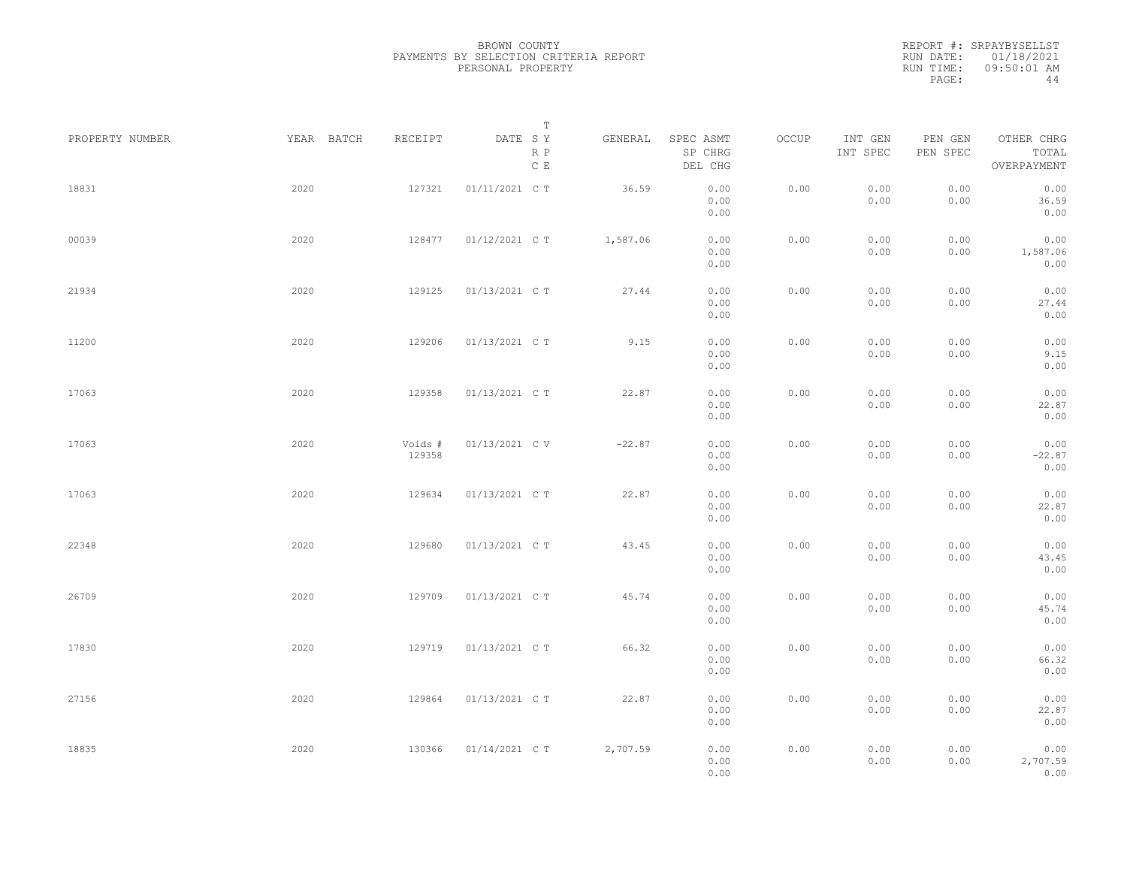BROWN COUNTY PAYMENTS BY SELECTION CRITERIA REPORT PERSONAL PROPERTY

REPORT #: SRPAYBYSELLST RUN DATE: 01/18/2021 RUN TIME: 09:50:01 AM PAGE:  $44$ 

|                 |            |                   | $\mathbb T$           |          |                                 |       |                     |                     |                                    |
|-----------------|------------|-------------------|-----------------------|----------|---------------------------------|-------|---------------------|---------------------|------------------------------------|
| PROPERTY NUMBER | YEAR BATCH | RECEIPT           | DATE SY<br>R P<br>C E | GENERAL  | SPEC ASMT<br>SP CHRG<br>DEL CHG | OCCUP | INT GEN<br>INT SPEC | PEN GEN<br>PEN SPEC | OTHER CHRG<br>TOTAL<br>OVERPAYMENT |
| 18831           | 2020       | 127321            | 01/11/2021 C T        | 36.59    | 0.00<br>0.00<br>0.00            | 0.00  | 0.00<br>0.00        | 0.00<br>0.00        | 0.00<br>36.59<br>0.00              |
| 00039           | 2020       | 128477            | 01/12/2021 C T        | 1,587.06 | 0.00<br>0.00<br>0.00            | 0.00  | 0.00<br>0.00        | 0.00<br>0.00        | 0.00<br>1,587.06<br>0.00           |
| 21934           | 2020       | 129125            | 01/13/2021 C T        | 27.44    | 0.00<br>0.00<br>0.00            | 0.00  | 0.00<br>0.00        | 0.00<br>0.00        | 0.00<br>27.44<br>0.00              |
| 11200           | 2020       | 129206            | 01/13/2021 C T        | 9.15     | 0.00<br>0.00<br>0.00            | 0.00  | 0.00<br>0.00        | 0.00<br>0.00        | 0.00<br>9.15<br>0.00               |
| 17063           | 2020       | 129358            | 01/13/2021 C T        | 22.87    | 0.00<br>0.00<br>0.00            | 0.00  | 0.00<br>0.00        | 0.00<br>0.00        | 0.00<br>22.87<br>0.00              |
| 17063           | 2020       | Voids #<br>129358 | 01/13/2021 C V        | $-22.87$ | 0.00<br>0.00<br>0.00            | 0.00  | 0.00<br>0.00        | 0.00<br>0.00        | 0.00<br>$-22.87$<br>0.00           |
| 17063           | 2020       | 129634            | 01/13/2021 C T        | 22.87    | 0.00<br>0.00<br>0.00            | 0.00  | 0.00<br>0.00        | 0.00<br>0.00        | 0.00<br>22.87<br>0.00              |
| 22348           | 2020       | 129680            | 01/13/2021 C T        | 43.45    | 0.00<br>0.00<br>0.00            | 0.00  | 0.00<br>0.00        | 0.00<br>0.00        | 0.00<br>43.45<br>0.00              |
| 26709           | 2020       | 129709            | 01/13/2021 C T        | 45.74    | 0.00<br>0.00                    | 0.00  | 0.00<br>0.00        | 0.00<br>0.00        | 0.00<br>45.74                      |
| 17830           | 2020       | 129719            | 01/13/2021 C T        | 66.32    | 0.00<br>0.00<br>0.00<br>0.00    | 0.00  | 0.00<br>0.00        | 0.00<br>0.00        | 0.00<br>0.00<br>66.32<br>0.00      |
| 27156           | 2020       | 129864            | 01/13/2021 C T        | 22.87    | 0.00<br>0.00                    | 0.00  | 0.00<br>0.00        | 0.00<br>0.00        | 0.00<br>22.87                      |
| 18835           | 2020       | 130366            | 01/14/2021 C T        | 2,707.59 | 0.00<br>0.00<br>0.00<br>0.00    | 0.00  | 0.00<br>0.00        | 0.00<br>0.00        | 0.00<br>0.00<br>2,707.59<br>0.00   |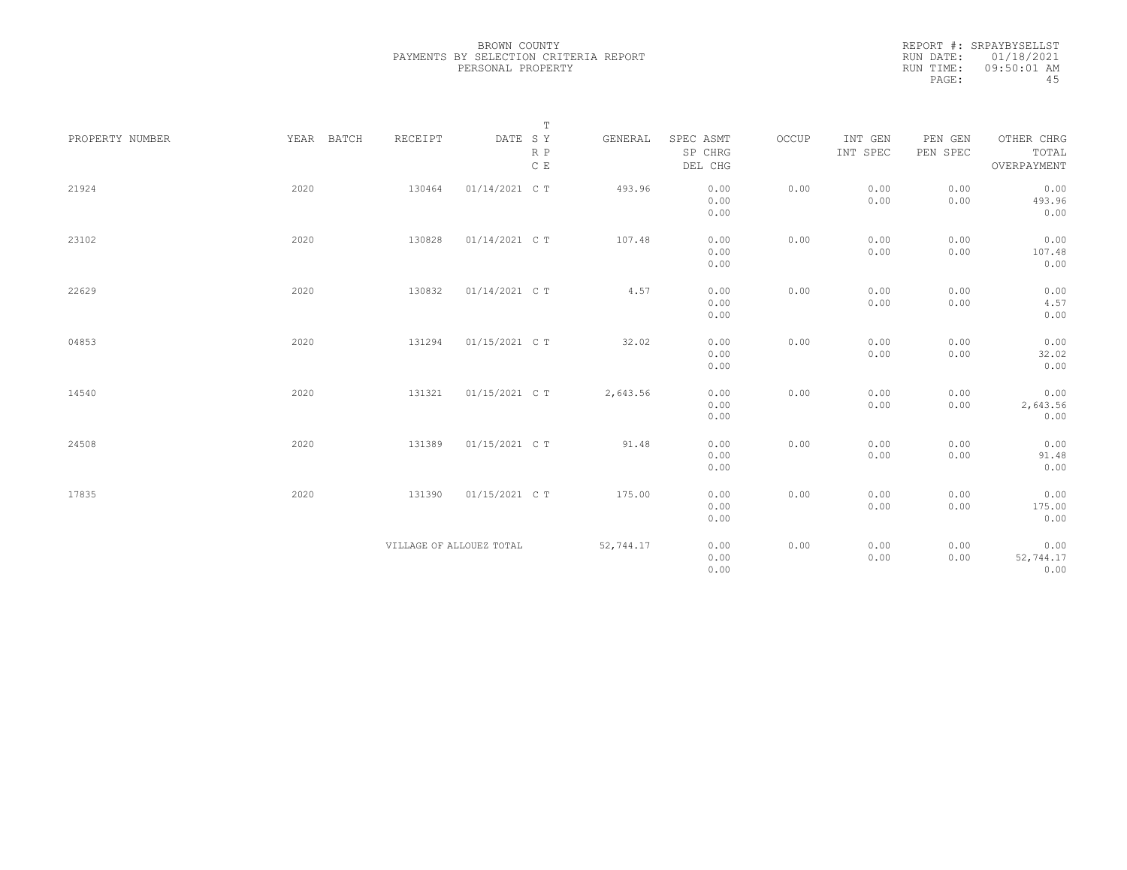|                 |            |         |                          | $\mathbb T$   |           |                      |       |                     |                     |                     |
|-----------------|------------|---------|--------------------------|---------------|-----------|----------------------|-------|---------------------|---------------------|---------------------|
| PROPERTY NUMBER | YEAR BATCH | RECEIPT | DATE SY                  | $\,$ R $\,$ P | GENERAL   | SPEC ASMT<br>SP CHRG | OCCUP | INT GEN<br>INT SPEC | PEN GEN<br>PEN SPEC | OTHER CHRG<br>TOTAL |
|                 |            |         |                          | $\,$ C $\,$ E |           | DEL CHG              |       |                     |                     | OVERPAYMENT         |
| 21924           | 2020       | 130464  | 01/14/2021 C T           |               | 493.96    | 0.00                 | 0.00  | 0.00                | 0.00                | 0.00                |
|                 |            |         |                          |               |           | 0.00                 |       | 0.00                | 0.00                | 493.96              |
|                 |            |         |                          |               |           | 0.00                 |       |                     |                     | 0.00                |
| 23102           | 2020       | 130828  | 01/14/2021 C T           |               | 107.48    | 0.00                 | 0.00  | 0.00                | 0.00                | 0.00                |
|                 |            |         |                          |               |           | 0.00                 |       | 0.00                | 0.00                | 107.48              |
|                 |            |         |                          |               |           | 0.00                 |       |                     |                     | 0.00                |
| 22629           | 2020       | 130832  | 01/14/2021 C T           |               | 4.57      | 0.00                 | 0.00  | 0.00                | 0.00                | 0.00                |
|                 |            |         |                          |               |           | 0.00                 |       | 0.00                | 0.00                | 4.57                |
|                 |            |         |                          |               |           | 0.00                 |       |                     |                     | 0.00                |
| 04853           | 2020       | 131294  | 01/15/2021 C T           |               | 32.02     | 0.00                 | 0.00  | 0.00                | 0.00                | 0.00                |
|                 |            |         |                          |               |           | 0.00                 |       | 0.00                | 0.00                | 32.02               |
|                 |            |         |                          |               |           | 0.00                 |       |                     |                     | 0.00                |
| 14540           | 2020       | 131321  | 01/15/2021 C T           |               | 2,643.56  | 0.00                 | 0.00  | 0.00                | 0.00                | 0.00                |
|                 |            |         |                          |               |           | 0.00                 |       | 0.00                | 0.00                | 2,643.56            |
|                 |            |         |                          |               |           | 0.00                 |       |                     |                     | 0.00                |
| 24508           | 2020       | 131389  | 01/15/2021 C T           |               | 91.48     | 0.00                 | 0.00  | 0.00                | 0.00                | 0.00                |
|                 |            |         |                          |               |           | 0.00                 |       | 0.00                | 0.00                | 91.48               |
|                 |            |         |                          |               |           | 0.00                 |       |                     |                     | 0.00                |
|                 |            |         |                          |               |           |                      |       |                     |                     |                     |
| 17835           | 2020       | 131390  | 01/15/2021 C T           |               | 175.00    | 0.00                 | 0.00  | 0.00                | 0.00                | 0.00                |
|                 |            |         |                          |               |           | 0.00<br>0.00         |       | 0.00                | 0.00                | 175.00<br>0.00      |
|                 |            |         |                          |               |           |                      |       |                     |                     |                     |
|                 |            |         | VILLAGE OF ALLOUEZ TOTAL |               | 52,744.17 | 0.00                 | 0.00  | 0.00                | 0.00                | 0.00                |
|                 |            |         |                          |               |           | 0.00                 |       | 0.00                | 0.00                | 52,744.17           |
|                 |            |         |                          |               |           | 0.00                 |       |                     |                     | 0.00                |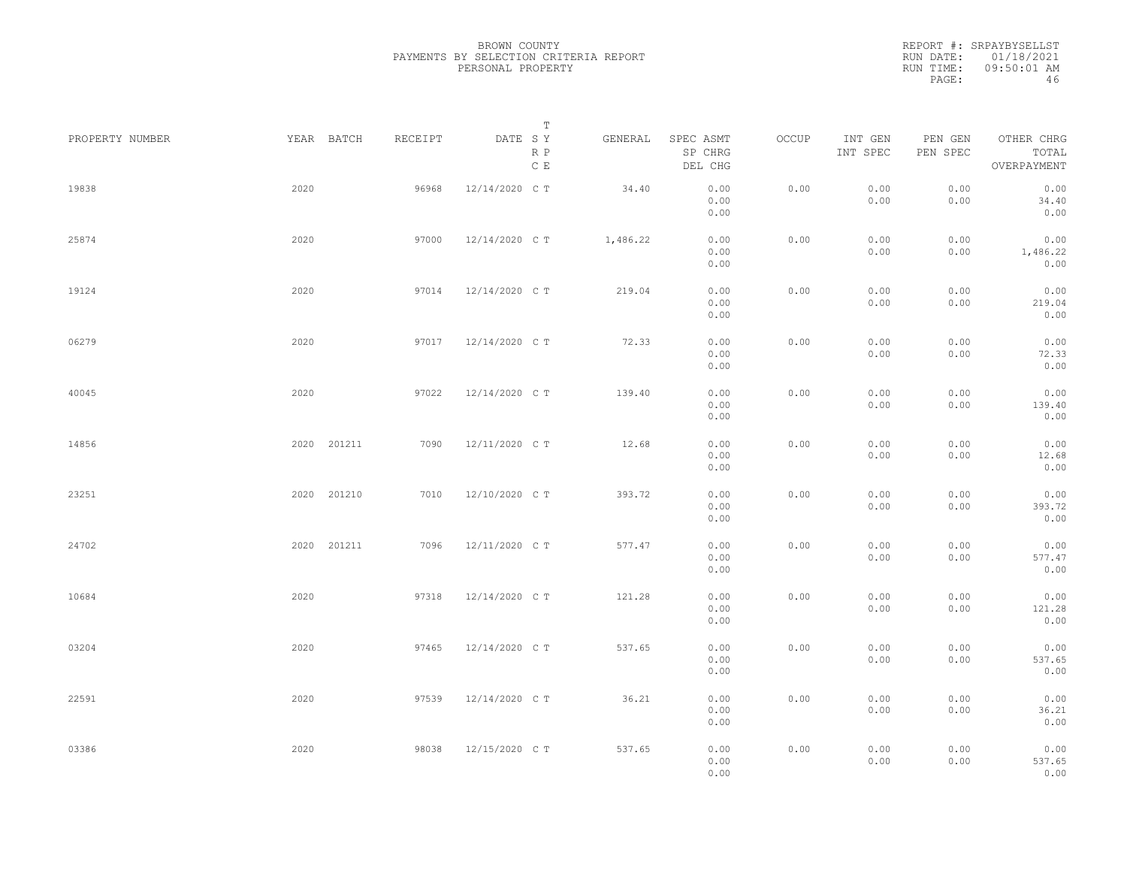|                 |             |         | Т                               |          |                                 |       |                     |                     |                                    |  |
|-----------------|-------------|---------|---------------------------------|----------|---------------------------------|-------|---------------------|---------------------|------------------------------------|--|
| PROPERTY NUMBER | YEAR BATCH  | RECEIPT | DATE SY<br>R P<br>$\,$ C $\,$ E | GENERAL  | SPEC ASMT<br>SP CHRG<br>DEL CHG | OCCUP | INT GEN<br>INT SPEC | PEN GEN<br>PEN SPEC | OTHER CHRG<br>TOTAL<br>OVERPAYMENT |  |
| 19838           | 2020        | 96968   | 12/14/2020 C T                  | 34.40    | 0.00<br>0.00<br>0.00            | 0.00  | 0.00<br>0.00        | 0.00<br>0.00        | 0.00<br>34.40<br>0.00              |  |
| 25874           | 2020        | 97000   | 12/14/2020 C T                  | 1,486.22 | 0.00<br>0.00<br>0.00            | 0.00  | 0.00<br>0.00        | 0.00<br>0.00        | 0.00<br>1,486.22<br>0.00           |  |
| 19124           | 2020        | 97014   | 12/14/2020 C T                  | 219.04   | 0.00<br>0.00<br>0.00            | 0.00  | 0.00<br>0.00        | 0.00<br>0.00        | 0.00<br>219.04<br>0.00             |  |
| 06279           | 2020        | 97017   | 12/14/2020 C T                  | 72.33    | 0.00<br>0.00<br>0.00            | 0.00  | 0.00<br>0.00        | 0.00<br>0.00        | 0.00<br>72.33<br>0.00              |  |
| 40045           | 2020        | 97022   | 12/14/2020 C T                  | 139.40   | 0.00<br>0.00<br>0.00            | 0.00  | 0.00<br>0.00        | 0.00<br>0.00        | 0.00<br>139.40<br>0.00             |  |
| 14856           | 2020 201211 | 7090    | 12/11/2020 C T                  | 12.68    | 0.00<br>0.00<br>0.00            | 0.00  | 0.00<br>0.00        | 0.00<br>0.00        | 0.00<br>12.68<br>0.00              |  |
| 23251           | 2020 201210 | 7010    | 12/10/2020 C T                  | 393.72   | 0.00<br>0.00<br>0.00            | 0.00  | 0.00<br>0.00        | 0.00<br>0.00        | 0.00<br>393.72<br>0.00             |  |
| 24702           | 2020 201211 | 7096    | 12/11/2020 C T                  | 577.47   | 0.00<br>0.00<br>0.00            | 0.00  | 0.00<br>0.00        | 0.00<br>0.00        | 0.00<br>577.47<br>0.00             |  |
| 10684           | 2020        | 97318   | 12/14/2020 C T                  | 121.28   | 0.00<br>0.00<br>0.00            | 0.00  | 0.00<br>0.00        | 0.00<br>0.00        | 0.00<br>121.28<br>0.00             |  |
| 03204           | 2020        | 97465   | 12/14/2020 C T                  | 537.65   | 0.00<br>0.00<br>0.00            | 0.00  | 0.00<br>0.00        | 0.00<br>0.00        | 0.00<br>537.65<br>0.00             |  |
| 22591           | 2020        | 97539   | 12/14/2020 C T                  | 36.21    | 0.00<br>0.00<br>0.00            | 0.00  | 0.00<br>0.00        | 0.00<br>0.00        | 0.00<br>36.21<br>0.00              |  |
| 03386           | 2020        | 98038   | 12/15/2020 C T                  | 537.65   | 0.00<br>0.00<br>0.00            | 0.00  | 0.00<br>0.00        | 0.00<br>0.00        | 0.00<br>537.65<br>0.00             |  |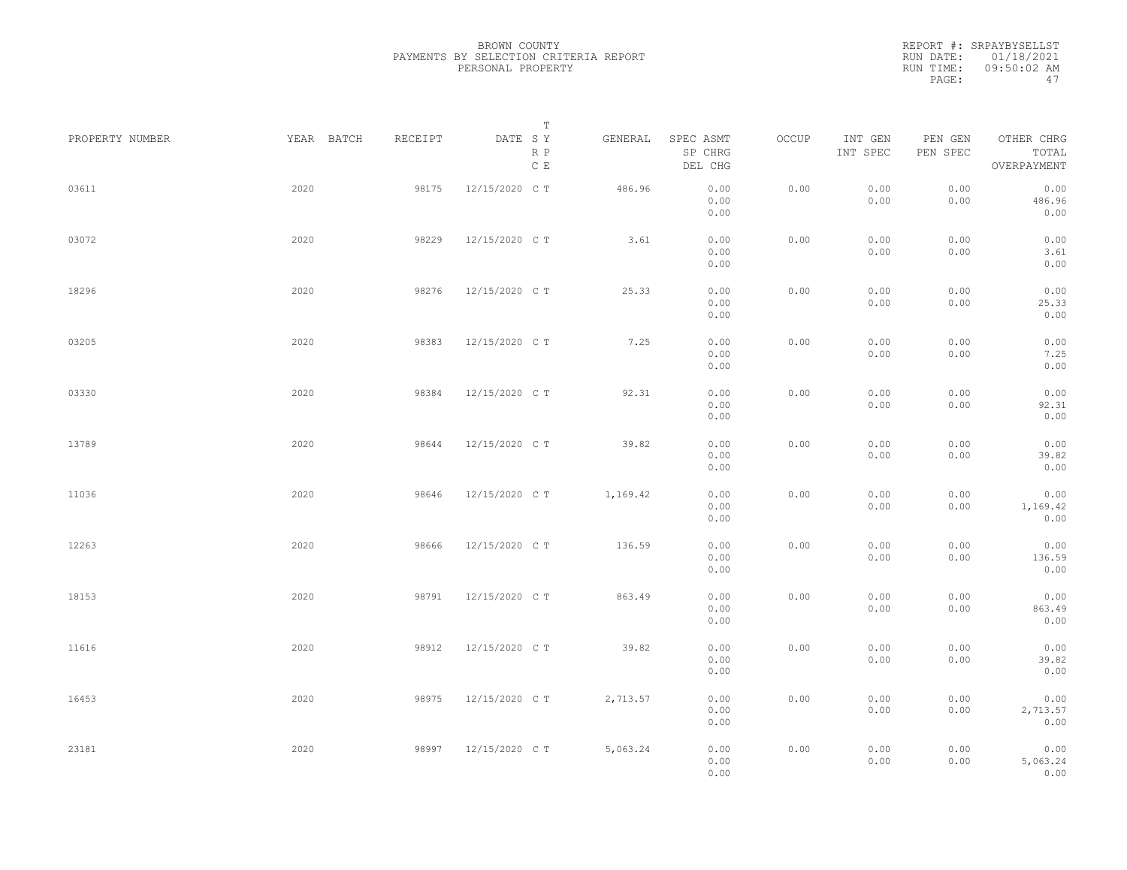|                 |            |         | Т                               |          |                                 |       |                     |                     |                                    |  |
|-----------------|------------|---------|---------------------------------|----------|---------------------------------|-------|---------------------|---------------------|------------------------------------|--|
| PROPERTY NUMBER | YEAR BATCH | RECEIPT | DATE SY<br>R P<br>$\,$ C $\,$ E | GENERAL  | SPEC ASMT<br>SP CHRG<br>DEL CHG | OCCUP | INT GEN<br>INT SPEC | PEN GEN<br>PEN SPEC | OTHER CHRG<br>TOTAL<br>OVERPAYMENT |  |
| 03611           | 2020       | 98175   | 12/15/2020 C T                  | 486.96   | 0.00<br>0.00<br>0.00            | 0.00  | 0.00<br>0.00        | 0.00<br>0.00        | 0.00<br>486.96<br>0.00             |  |
| 03072           | 2020       | 98229   | 12/15/2020 C T                  | 3.61     | 0.00<br>0.00<br>0.00            | 0.00  | 0.00<br>0.00        | 0.00<br>0.00        | 0.00<br>3.61<br>0.00               |  |
| 18296           | 2020       | 98276   | 12/15/2020 C T                  | 25.33    | 0.00<br>0.00<br>0.00            | 0.00  | 0.00<br>0.00        | 0.00<br>0.00        | 0.00<br>25.33<br>0.00              |  |
| 03205           | 2020       | 98383   | 12/15/2020 C T                  | 7.25     | 0.00<br>0.00<br>0.00            | 0.00  | 0.00<br>0.00        | 0.00<br>0.00        | 0.00<br>7.25<br>0.00               |  |
| 03330           | 2020       | 98384   | 12/15/2020 C T                  | 92.31    | 0.00<br>0.00<br>0.00            | 0.00  | 0.00<br>0.00        | 0.00<br>0.00        | 0.00<br>92.31<br>0.00              |  |
| 13789           | 2020       | 98644   | 12/15/2020 C T                  | 39.82    | 0.00<br>0.00<br>0.00            | 0.00  | 0.00<br>0.00        | 0.00<br>0.00        | 0.00<br>39.82<br>0.00              |  |
| 11036           | 2020       | 98646   | 12/15/2020 C T                  | 1,169.42 | 0.00<br>0.00<br>0.00            | 0.00  | 0.00<br>0.00        | 0.00<br>0.00        | 0.00<br>1,169.42<br>0.00           |  |
| 12263           | 2020       | 98666   | 12/15/2020 C T                  | 136.59   | 0.00<br>0.00<br>0.00            | 0.00  | 0.00<br>0.00        | 0.00<br>0.00        | 0.00<br>136.59<br>0.00             |  |
| 18153           | 2020       | 98791   | 12/15/2020 C T                  | 863.49   | 0.00<br>0.00<br>0.00            | 0.00  | 0.00<br>0.00        | 0.00<br>0.00        | 0.00<br>863.49<br>0.00             |  |
| 11616           | 2020       | 98912   | 12/15/2020 C T                  | 39.82    | 0.00<br>0.00<br>0.00            | 0.00  | 0.00<br>0.00        | 0.00<br>0.00        | 0.00<br>39.82<br>0.00              |  |
| 16453           | 2020       | 98975   | 12/15/2020 C T                  | 2,713.57 | 0.00<br>0.00<br>0.00            | 0.00  | 0.00<br>0.00        | 0.00<br>0.00        | 0.00<br>2,713.57<br>0.00           |  |
| 23181           | 2020       | 98997   | 12/15/2020 C T                  | 5,063.24 | 0.00<br>0.00<br>0.00            | 0.00  | 0.00<br>0.00        | 0.00<br>0.00        | 0.00<br>5,063.24<br>0.00           |  |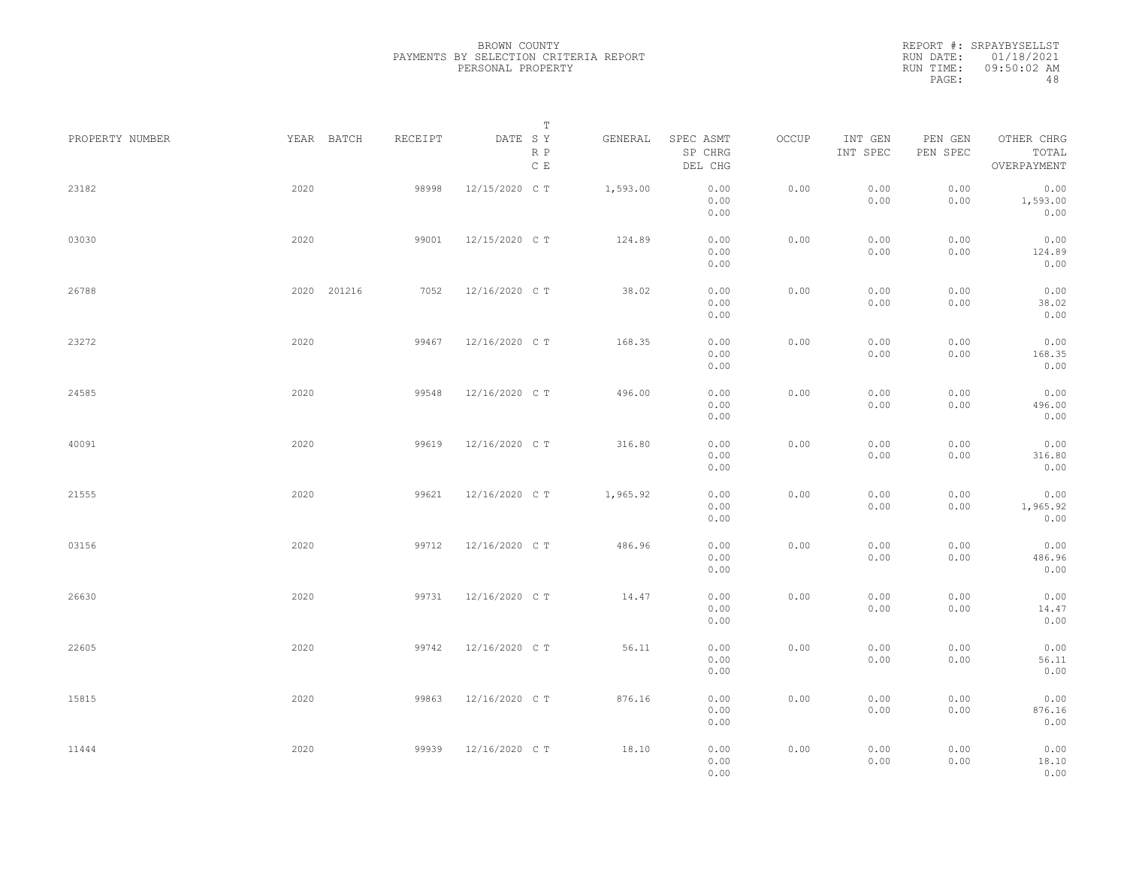|                 |             |         | Т                               |          |                                 |       |                     |                     |                                    |  |
|-----------------|-------------|---------|---------------------------------|----------|---------------------------------|-------|---------------------|---------------------|------------------------------------|--|
| PROPERTY NUMBER | YEAR BATCH  | RECEIPT | DATE SY<br>R P<br>$\,$ C $\,$ E | GENERAL  | SPEC ASMT<br>SP CHRG<br>DEL CHG | OCCUP | INT GEN<br>INT SPEC | PEN GEN<br>PEN SPEC | OTHER CHRG<br>TOTAL<br>OVERPAYMENT |  |
| 23182           | 2020        | 98998   | 12/15/2020 C T                  | 1,593.00 | 0.00<br>0.00<br>0.00            | 0.00  | 0.00<br>0.00        | 0.00<br>0.00        | 0.00<br>1,593.00<br>0.00           |  |
| 03030           | 2020        | 99001   | 12/15/2020 C T                  | 124.89   | 0.00<br>0.00<br>0.00            | 0.00  | 0.00<br>0.00        | 0.00<br>0.00        | 0.00<br>124.89<br>0.00             |  |
| 26788           | 2020 201216 | 7052    | 12/16/2020 C T                  | 38.02    | 0.00<br>0.00<br>0.00            | 0.00  | 0.00<br>0.00        | 0.00<br>0.00        | 0.00<br>38.02<br>0.00              |  |
| 23272           | 2020        | 99467   | 12/16/2020 C T                  | 168.35   | 0.00<br>0.00<br>0.00            | 0.00  | 0.00<br>0.00        | 0.00<br>0.00        | 0.00<br>168.35<br>0.00             |  |
| 24585           | 2020        | 99548   | 12/16/2020 C T                  | 496.00   | 0.00<br>0.00<br>0.00            | 0.00  | 0.00<br>0.00        | 0.00<br>0.00        | 0.00<br>496.00<br>0.00             |  |
| 40091           | 2020        | 99619   | 12/16/2020 C T                  | 316.80   | 0.00<br>0.00<br>0.00            | 0.00  | 0.00<br>0.00        | 0.00<br>0.00        | 0.00<br>316.80<br>0.00             |  |
| 21555           | 2020        | 99621   | 12/16/2020 C T                  | 1,965.92 | 0.00<br>0.00<br>0.00            | 0.00  | 0.00<br>0.00        | 0.00<br>0.00        | 0.00<br>1,965.92<br>0.00           |  |
| 03156           | 2020        | 99712   | 12/16/2020 C T                  | 486.96   | 0.00<br>0.00<br>0.00            | 0.00  | 0.00<br>0.00        | 0.00<br>0.00        | 0.00<br>486.96<br>0.00             |  |
| 26630           | 2020        | 99731   | 12/16/2020 C T                  | 14.47    | 0.00<br>0.00                    | 0.00  | 0.00<br>0.00        | 0.00<br>0.00        | 0.00<br>14.47                      |  |
| 22605           | 2020        | 99742   | 12/16/2020 C T                  | 56.11    | 0.00<br>0.00<br>0.00<br>0.00    | 0.00  | 0.00<br>0.00        | 0.00<br>0.00        | 0.00<br>0.00<br>56.11<br>0.00      |  |
| 15815           | 2020        | 99863   | 12/16/2020 C T                  | 876.16   | 0.00<br>0.00                    | 0.00  | 0.00<br>0.00        | 0.00<br>0.00        | 0.00<br>876.16                     |  |
| 11444           | 2020        | 99939   | 12/16/2020 C T                  | 18.10    | 0.00<br>0.00<br>0.00<br>0.00    | 0.00  | 0.00<br>0.00        | 0.00<br>0.00        | 0.00<br>0.00<br>18.10<br>0.00      |  |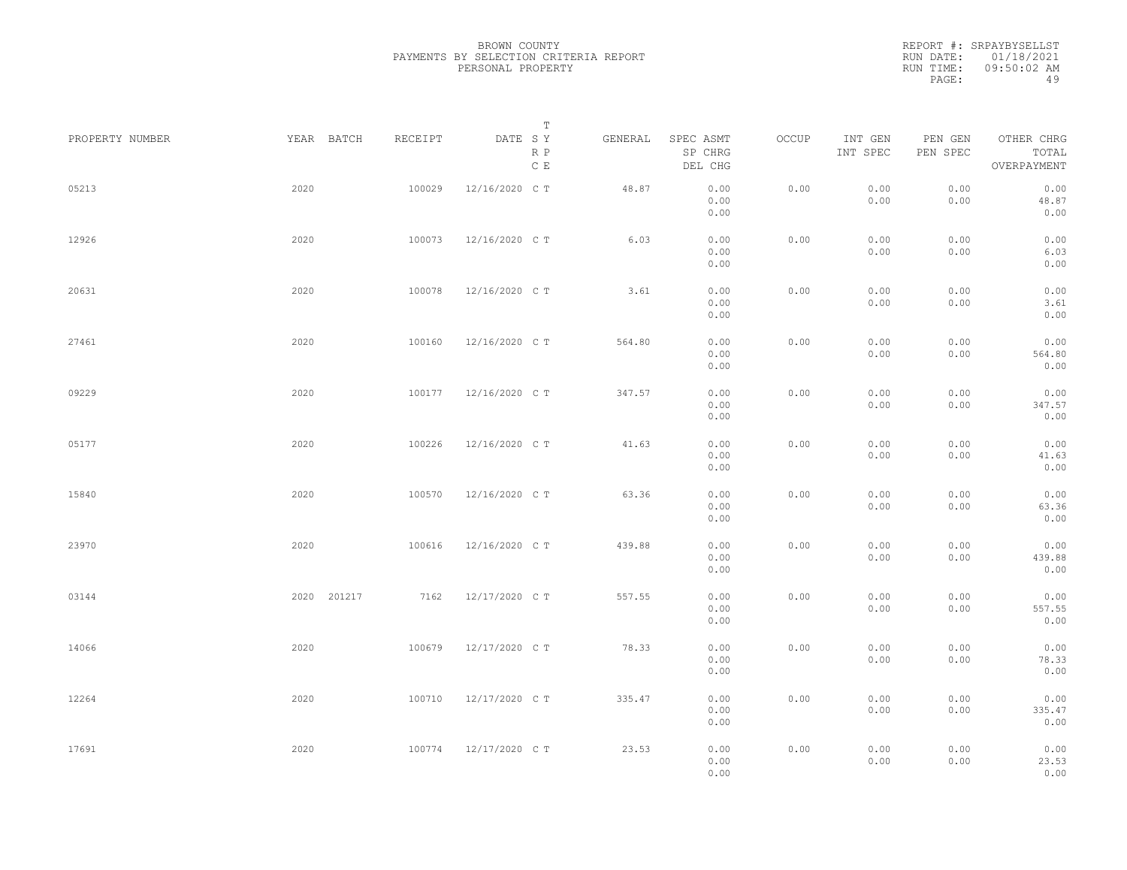|                 |             |         | Т                               |         |                                 |       |                     |                     |                                    |  |
|-----------------|-------------|---------|---------------------------------|---------|---------------------------------|-------|---------------------|---------------------|------------------------------------|--|
| PROPERTY NUMBER | YEAR BATCH  | RECEIPT | DATE SY<br>R P<br>$\,$ C $\,$ E | GENERAL | SPEC ASMT<br>SP CHRG<br>DEL CHG | OCCUP | INT GEN<br>INT SPEC | PEN GEN<br>PEN SPEC | OTHER CHRG<br>TOTAL<br>OVERPAYMENT |  |
| 05213           | 2020        | 100029  | 12/16/2020 C T                  | 48.87   | 0.00<br>0.00<br>0.00            | 0.00  | 0.00<br>0.00        | 0.00<br>0.00        | 0.00<br>48.87<br>0.00              |  |
| 12926           | 2020        | 100073  | 12/16/2020 C T                  | 6.03    | 0.00<br>0.00<br>0.00            | 0.00  | 0.00<br>0.00        | 0.00<br>0.00        | 0.00<br>6.03<br>0.00               |  |
| 20631           | 2020        | 100078  | 12/16/2020 C T                  | 3.61    | 0.00<br>0.00<br>0.00            | 0.00  | 0.00<br>0.00        | 0.00<br>0.00        | 0.00<br>3.61<br>0.00               |  |
| 27461           | 2020        | 100160  | 12/16/2020 C T                  | 564.80  | 0.00<br>0.00<br>0.00            | 0.00  | 0.00<br>0.00        | 0.00<br>0.00        | 0.00<br>564.80<br>0.00             |  |
| 09229           | 2020        | 100177  | 12/16/2020 C T                  | 347.57  | 0.00<br>0.00<br>0.00            | 0.00  | 0.00<br>0.00        | 0.00<br>0.00        | 0.00<br>347.57<br>0.00             |  |
| 05177           | 2020        | 100226  | 12/16/2020 C T                  | 41.63   | 0.00<br>0.00<br>0.00            | 0.00  | 0.00<br>0.00        | 0.00<br>0.00        | 0.00<br>41.63<br>0.00              |  |
| 15840           | 2020        | 100570  | 12/16/2020 C T                  | 63.36   | 0.00<br>0.00<br>0.00            | 0.00  | 0.00<br>0.00        | 0.00<br>0.00        | 0.00<br>63.36<br>0.00              |  |
| 23970           | 2020        | 100616  | 12/16/2020 C T                  | 439.88  | 0.00<br>0.00<br>0.00            | 0.00  | 0.00<br>0.00        | 0.00<br>0.00        | 0.00<br>439.88<br>0.00             |  |
| 03144           | 2020 201217 | 7162    | 12/17/2020 C T                  | 557.55  | 0.00<br>0.00<br>0.00            | 0.00  | 0.00<br>0.00        | 0.00<br>0.00        | 0.00<br>557.55<br>0.00             |  |
| 14066           | 2020        | 100679  | 12/17/2020 C T                  | 78.33   | 0.00<br>0.00<br>0.00            | 0.00  | 0.00<br>0.00        | 0.00<br>0.00        | 0.00<br>78.33<br>0.00              |  |
| 12264           | 2020        | 100710  | 12/17/2020 C T                  | 335.47  | 0.00<br>0.00<br>0.00            | 0.00  | 0.00<br>0.00        | 0.00<br>0.00        | 0.00<br>335.47<br>0.00             |  |
| 17691           | 2020        | 100774  | 12/17/2020 C T                  | 23.53   | 0.00<br>0.00<br>0.00            | 0.00  | 0.00<br>0.00        | 0.00<br>0.00        | 0.00<br>23.53<br>0.00              |  |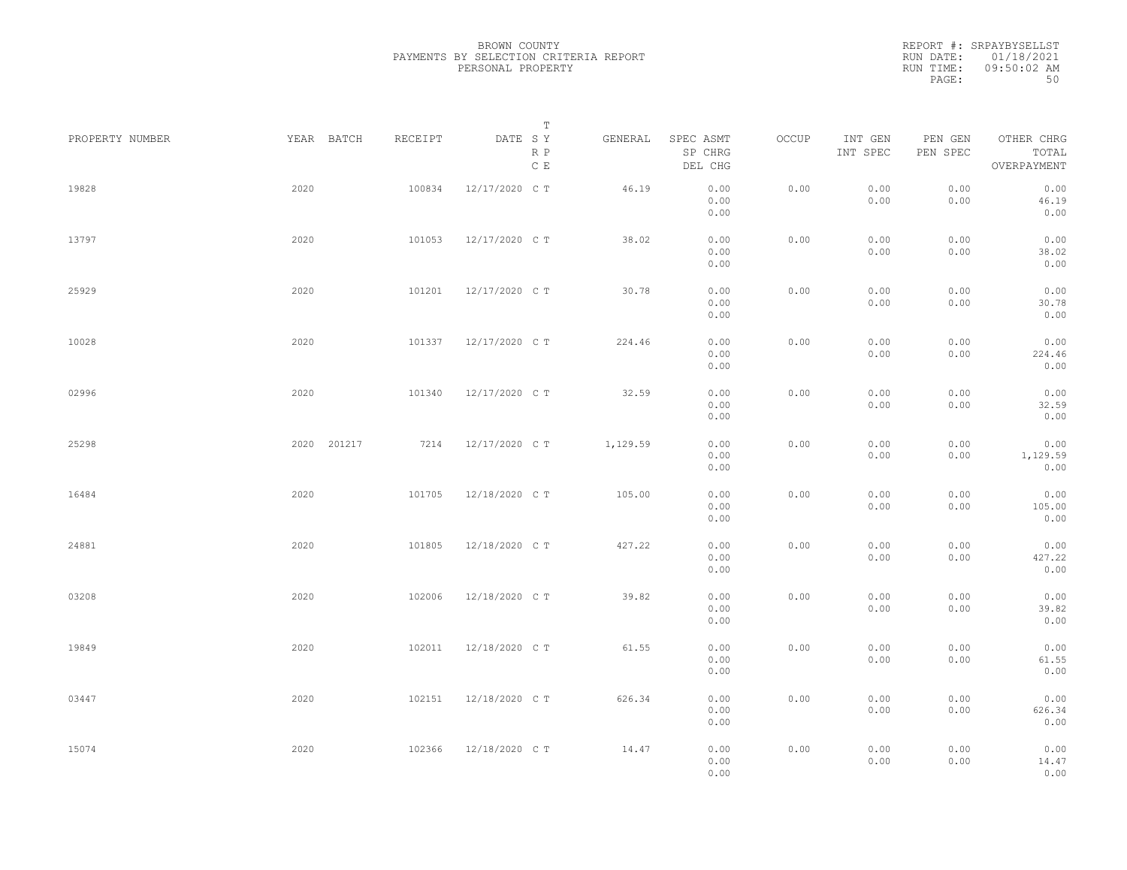|                 |             |         | Т                               |          |                                 |       |                     |                     |                                    |  |
|-----------------|-------------|---------|---------------------------------|----------|---------------------------------|-------|---------------------|---------------------|------------------------------------|--|
| PROPERTY NUMBER | YEAR BATCH  | RECEIPT | DATE SY<br>R P<br>$\,$ C $\,$ E | GENERAL  | SPEC ASMT<br>SP CHRG<br>DEL CHG | OCCUP | INT GEN<br>INT SPEC | PEN GEN<br>PEN SPEC | OTHER CHRG<br>TOTAL<br>OVERPAYMENT |  |
| 19828           | 2020        | 100834  | 12/17/2020 C T                  | 46.19    | 0.00<br>0.00<br>0.00            | 0.00  | 0.00<br>0.00        | 0.00<br>0.00        | 0.00<br>46.19<br>0.00              |  |
| 13797           | 2020        | 101053  | 12/17/2020 C T                  | 38.02    | 0.00<br>0.00<br>0.00            | 0.00  | 0.00<br>0.00        | 0.00<br>0.00        | 0.00<br>38.02<br>0.00              |  |
| 25929           | 2020        | 101201  | 12/17/2020 C T                  | 30.78    | 0.00<br>0.00<br>0.00            | 0.00  | 0.00<br>0.00        | 0.00<br>0.00        | 0.00<br>30.78<br>0.00              |  |
| 10028           | 2020        | 101337  | 12/17/2020 C T                  | 224.46   | 0.00<br>0.00<br>0.00            | 0.00  | 0.00<br>0.00        | 0.00<br>0.00        | 0.00<br>224.46<br>0.00             |  |
| 02996           | 2020        | 101340  | 12/17/2020 C T                  | 32.59    | 0.00<br>0.00<br>0.00            | 0.00  | 0.00<br>0.00        | 0.00<br>0.00        | 0.00<br>32.59<br>0.00              |  |
| 25298           | 2020 201217 | 7214    | 12/17/2020 C T                  | 1,129.59 | 0.00<br>0.00<br>0.00            | 0.00  | 0.00<br>0.00        | 0.00<br>0.00        | 0.00<br>1,129.59<br>0.00           |  |
| 16484           | 2020        | 101705  | 12/18/2020 C T                  | 105.00   | 0.00<br>0.00<br>0.00            | 0.00  | 0.00<br>0.00        | 0.00<br>0.00        | 0.00<br>105.00<br>0.00             |  |
| 24881           | 2020        | 101805  | 12/18/2020 C T                  | 427.22   | 0.00<br>0.00<br>0.00            | 0.00  | 0.00<br>0.00        | 0.00<br>0.00        | 0.00<br>427.22<br>0.00             |  |
| 03208           | 2020        | 102006  | 12/18/2020 C T                  | 39.82    | 0.00<br>0.00                    | 0.00  | 0.00<br>0.00        | 0.00<br>0.00        | 0.00<br>39.82                      |  |
| 19849           | 2020        | 102011  | 12/18/2020 C T                  | 61.55    | 0.00<br>0.00<br>0.00<br>0.00    | 0.00  | 0.00<br>0.00        | 0.00<br>0.00        | 0.00<br>0.00<br>61.55<br>0.00      |  |
| 03447           | 2020        | 102151  | 12/18/2020 C T                  | 626.34   | 0.00<br>0.00                    | 0.00  | 0.00<br>0.00        | 0.00<br>0.00        | 0.00<br>626.34                     |  |
| 15074           | 2020        | 102366  | 12/18/2020 C T                  | 14.47    | 0.00<br>0.00<br>0.00<br>0.00    | 0.00  | 0.00<br>0.00        | 0.00<br>0.00        | 0.00<br>0.00<br>14.47<br>0.00      |  |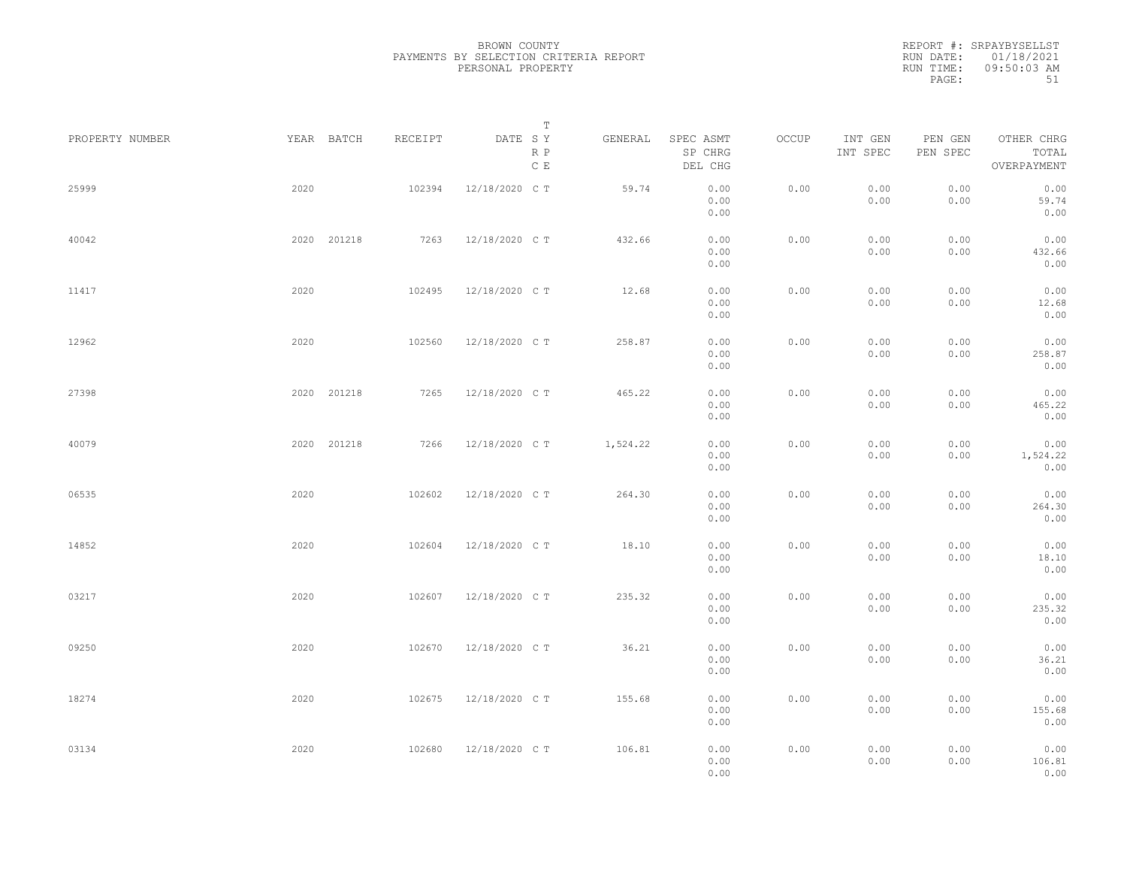| PROPERTY NUMBER |      | YEAR BATCH  | RECEIPT | DATE SY        | T<br>R P<br>$\mathbb C\,$ E | GENERAL  | SPEC ASMT<br>SP CHRG<br>DEL CHG | OCCUP | INT GEN<br>INT SPEC | PEN GEN<br>PEN SPEC | OTHER CHRG<br>TOTAL<br>OVERPAYMENT |  |
|-----------------|------|-------------|---------|----------------|-----------------------------|----------|---------------------------------|-------|---------------------|---------------------|------------------------------------|--|
| 25999           | 2020 |             | 102394  | 12/18/2020 C T |                             | 59.74    | 0.00<br>0.00<br>0.00            | 0.00  | 0.00<br>0.00        | 0.00<br>0.00        | 0.00<br>59.74<br>0.00              |  |
| 40042           |      | 2020 201218 | 7263    | 12/18/2020 C T |                             | 432.66   | 0.00<br>0.00                    | 0.00  | 0.00<br>0.00        | 0.00<br>0.00        | 0.00<br>432.66                     |  |
| 11417           | 2020 |             | 102495  | 12/18/2020 C T |                             | 12.68    | 0.00<br>0.00<br>0.00            | 0.00  | 0.00<br>0.00        | 0.00<br>0.00        | 0.00<br>0.00<br>12.68              |  |
| 12962           | 2020 |             | 102560  | 12/18/2020 C T |                             | 258.87   | 0.00<br>0.00<br>0.00            | 0.00  | 0.00<br>0.00        | 0.00<br>0.00        | 0.00<br>0.00<br>258.87             |  |
| 27398           |      | 2020 201218 | 7265    | 12/18/2020 C T |                             | 465.22   | 0.00<br>0.00<br>0.00            | 0.00  | 0.00<br>0.00        | 0.00<br>0.00        | 0.00<br>0.00<br>465.22             |  |
| 40079           |      | 2020 201218 | 7266    | 12/18/2020 C T |                             | 1,524.22 | 0.00<br>0.00<br>0.00            | 0.00  | 0.00<br>0.00        | 0.00<br>0.00        | 0.00<br>0.00<br>1,524.22           |  |
| 06535           | 2020 |             | 102602  | 12/18/2020 C T |                             | 264.30   | 0.00<br>0.00                    | 0.00  | 0.00                | 0.00                | 0.00<br>0.00                       |  |
| 14852           | 2020 |             | 102604  | 12/18/2020 C T |                             | 18.10    | 0.00<br>0.00<br>0.00            | 0.00  | 0.00<br>0.00        | 0.00<br>0.00        | 264.30<br>0.00<br>0.00             |  |
| 03217           | 2020 |             | 102607  | 12/18/2020 C T |                             | 235.32   | 0.00<br>0.00<br>0.00            | 0.00  | 0.00<br>0.00        | 0.00<br>0.00        | 18.10<br>0.00<br>0.00              |  |
|                 |      |             |         |                |                             |          | 0.00<br>0.00                    |       | 0.00                | 0.00                | 235.32<br>0.00                     |  |
| 09250           | 2020 |             | 102670  | 12/18/2020 C T |                             | 36.21    | 0.00<br>0.00<br>0.00            | 0.00  | 0.00<br>0.00        | 0.00<br>0.00        | 0.00<br>36.21<br>0.00              |  |
| 18274           | 2020 |             | 102675  | 12/18/2020 C T |                             | 155.68   | 0.00<br>0.00<br>0.00            | 0.00  | 0.00<br>0.00        | 0.00<br>0.00        | 0.00<br>155.68<br>0.00             |  |
| 03134           | 2020 |             | 102680  | 12/18/2020 C T |                             | 106.81   | 0.00<br>0.00<br>0.00            | 0.00  | 0.00<br>0.00        | 0.00<br>0.00        | 0.00<br>106.81<br>0.00             |  |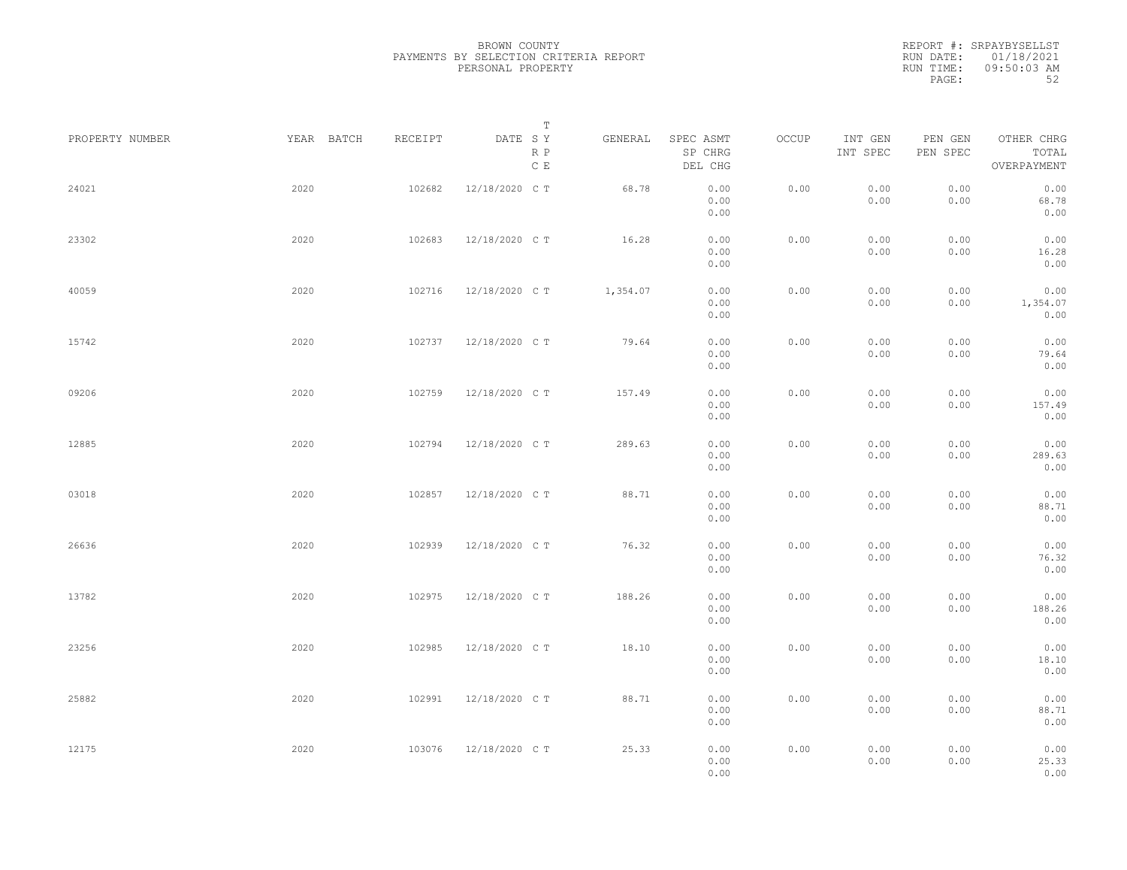BROWN COUNTY PAYMENTS BY SELECTION CRITERIA REPORT PERSONAL PROPERTY

REPORT #: SRPAYBYSELLST RUN DATE: 01/18/2021 RUN TIME: 09:50:03 AM PAGE: 52

|                 |            |         | $\mathbb T$                               |          |                                 |       |                     |                     |                                    |  |
|-----------------|------------|---------|-------------------------------------------|----------|---------------------------------|-------|---------------------|---------------------|------------------------------------|--|
| PROPERTY NUMBER | YEAR BATCH | RECEIPT | DATE SY<br>$\mathbb R$ $\mathbb P$<br>C E | GENERAL  | SPEC ASMT<br>SP CHRG<br>DEL CHG | OCCUP | INT GEN<br>INT SPEC | PEN GEN<br>PEN SPEC | OTHER CHRG<br>TOTAL<br>OVERPAYMENT |  |
| 24021           | 2020       | 102682  | 12/18/2020 C T                            | 68.78    | 0.00<br>0.00<br>0.00            | 0.00  | 0.00<br>0.00        | 0.00<br>0.00        | 0.00<br>68.78<br>0.00              |  |
| 23302           | 2020       | 102683  | 12/18/2020 CT                             | 16.28    | 0.00<br>0.00<br>0.00            | 0.00  | 0.00<br>0.00        | 0.00<br>0.00        | 0.00<br>16.28<br>0.00              |  |
| 40059           | 2020       | 102716  | 12/18/2020 C T                            | 1,354.07 | 0.00<br>0.00<br>0.00            | 0.00  | 0.00<br>0.00        | 0.00<br>0.00        | 0.00<br>1,354.07<br>0.00           |  |
| 15742           | 2020       | 102737  | 12/18/2020 C T                            | 79.64    | 0.00<br>0.00<br>0.00            | 0.00  | 0.00<br>0.00        | 0.00<br>0.00        | 0.00<br>79.64<br>0.00              |  |
| 09206           | 2020       | 102759  | 12/18/2020 C T                            | 157.49   | 0.00<br>0.00<br>0.00            | 0.00  | 0.00<br>0.00        | 0.00<br>0.00        | 0.00<br>157.49<br>0.00             |  |
| 12885           | 2020       | 102794  | 12/18/2020 CT                             | 289.63   | 0.00<br>0.00<br>0.00            | 0.00  | 0.00<br>0.00        | 0.00<br>0.00        | 0.00<br>289.63<br>0.00             |  |
| 03018           | 2020       | 102857  | 12/18/2020 C T                            | 88.71    | 0.00<br>0.00<br>0.00            | 0.00  | 0.00<br>0.00        | 0.00<br>0.00        | 0.00<br>88.71<br>0.00              |  |
| 26636           | 2020       | 102939  | 12/18/2020 C T                            | 76.32    | 0.00<br>0.00<br>0.00            | 0.00  | 0.00<br>0.00        | 0.00<br>0.00        | 0.00<br>76.32<br>0.00              |  |
| 13782           | 2020       | 102975  | 12/18/2020 C T                            | 188.26   | 0.00<br>0.00<br>0.00            | 0.00  | 0.00<br>0.00        | 0.00<br>0.00        | 0.00<br>188.26<br>0.00             |  |
| 23256           | 2020       | 102985  | 12/18/2020 C T                            | 18.10    | 0.00<br>0.00<br>0.00            | 0.00  | 0.00<br>0.00        | 0.00<br>0.00        | 0.00<br>18.10<br>0.00              |  |
| 25882           | 2020       | 102991  | 12/18/2020 CT                             | 88.71    | 0.00<br>0.00<br>0.00            | 0.00  | 0.00<br>0.00        | 0.00<br>0.00        | 0.00<br>88.71<br>0.00              |  |
| 12175           | 2020       | 103076  | 12/18/2020 CT                             | 25.33    | 0.00<br>0.00<br>0.00            | 0.00  | 0.00<br>0.00        | 0.00<br>0.00        | 0.00<br>25.33<br>0.00              |  |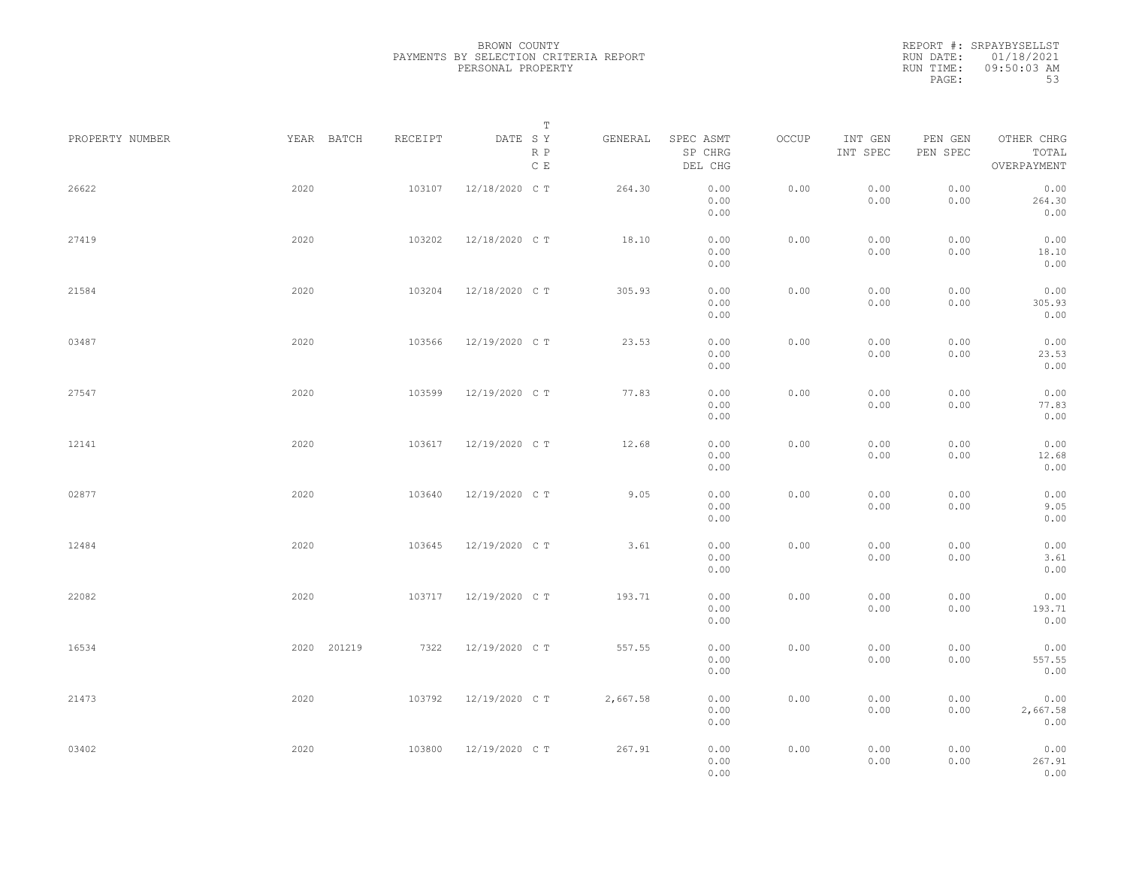REPORT #: SRPAYBYSELLST<br>RUN DATE: 01/18/2021

| RUN DATE: | 01/18/2021    |  |
|-----------|---------------|--|
| RUN TIME: | $09:50:03$ AM |  |
| PAGE:     | 53            |  |

| PROPERTY NUMBER |      | YEAR BATCH  | RECEIPT | DATE SY        | $\mathbb T$ | GENERAL  | SPEC ASMT            | OCCUP | INT GEN      | PEN GEN      | OTHER CHRG               |  |
|-----------------|------|-------------|---------|----------------|-------------|----------|----------------------|-------|--------------|--------------|--------------------------|--|
|                 |      |             |         |                | R P<br>C E  |          | SP CHRG<br>DEL CHG   |       | INT SPEC     | PEN SPEC     | TOTAL<br>OVERPAYMENT     |  |
| 26622           | 2020 |             | 103107  | 12/18/2020 C T |             | 264.30   | 0.00<br>0.00<br>0.00 | 0.00  | 0.00<br>0.00 | 0.00<br>0.00 | 0.00<br>264.30<br>0.00   |  |
| 27419           | 2020 |             | 103202  | 12/18/2020 C T |             | 18.10    | 0.00<br>0.00<br>0.00 | 0.00  | 0.00<br>0.00 | 0.00<br>0.00 | 0.00<br>18.10<br>0.00    |  |
| 21584           | 2020 |             | 103204  | 12/18/2020 C T |             | 305.93   | 0.00<br>0.00<br>0.00 | 0.00  | 0.00<br>0.00 | 0.00<br>0.00 | 0.00<br>305.93<br>0.00   |  |
| 03487           | 2020 |             | 103566  | 12/19/2020 C T |             | 23.53    | 0.00<br>0.00<br>0.00 | 0.00  | 0.00<br>0.00 | 0.00<br>0.00 | 0.00<br>23.53<br>0.00    |  |
| 27547           | 2020 |             | 103599  | 12/19/2020 C T |             | 77.83    | 0.00<br>0.00<br>0.00 | 0.00  | 0.00<br>0.00 | 0.00<br>0.00 | 0.00<br>77.83<br>0.00    |  |
| 12141           | 2020 |             | 103617  | 12/19/2020 C T |             | 12.68    | 0.00<br>0.00<br>0.00 | 0.00  | 0.00<br>0.00 | 0.00<br>0.00 | 0.00<br>12.68<br>0.00    |  |
| 02877           | 2020 |             | 103640  | 12/19/2020 C T |             | 9.05     | 0.00<br>0.00<br>0.00 | 0.00  | 0.00<br>0.00 | 0.00<br>0.00 | 0.00<br>9.05<br>0.00     |  |
| 12484           | 2020 |             | 103645  | 12/19/2020 C T |             | 3.61     | 0.00<br>0.00<br>0.00 | 0.00  | 0.00<br>0.00 | 0.00<br>0.00 | 0.00<br>3.61<br>0.00     |  |
| 22082           | 2020 |             | 103717  | 12/19/2020 C T |             | 193.71   | 0.00<br>0.00<br>0.00 | 0.00  | 0.00<br>0.00 | 0.00<br>0.00 | 0.00<br>193.71<br>0.00   |  |
| 16534           |      | 2020 201219 | 7322    | 12/19/2020 C T |             | 557.55   | 0.00<br>0.00<br>0.00 | 0.00  | 0.00<br>0.00 | 0.00<br>0.00 | 0.00<br>557.55<br>0.00   |  |
| 21473           | 2020 |             | 103792  | 12/19/2020 C T |             | 2,667.58 | 0.00<br>0.00<br>0.00 | 0.00  | 0.00<br>0.00 | 0.00<br>0.00 | 0.00<br>2,667.58<br>0.00 |  |
| 03402           | 2020 |             | 103800  | 12/19/2020 C T |             | 267.91   | 0.00<br>0.00<br>0.00 | 0.00  | 0.00<br>0.00 | 0.00<br>0.00 | 0.00<br>267.91<br>0.00   |  |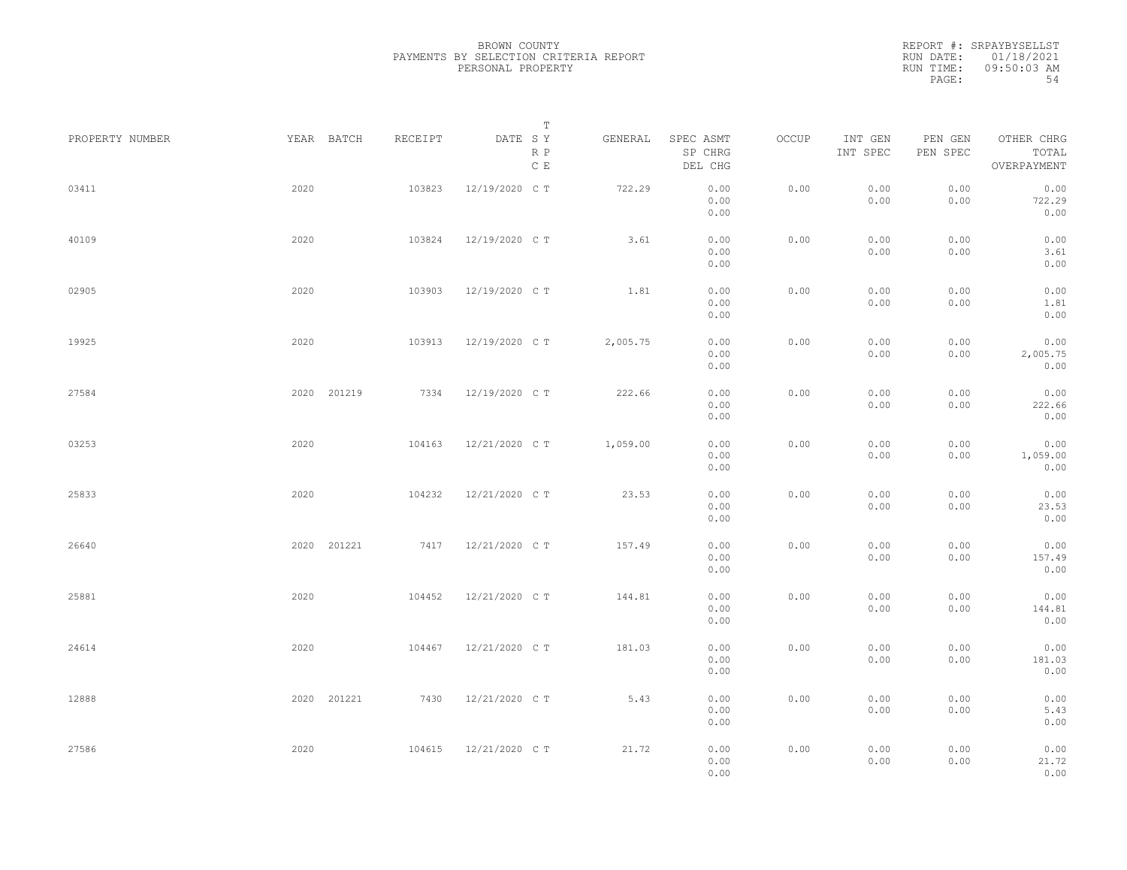|                 |             |         | Т                               |          |                                 |       |                     |                     |                                    |  |
|-----------------|-------------|---------|---------------------------------|----------|---------------------------------|-------|---------------------|---------------------|------------------------------------|--|
| PROPERTY NUMBER | YEAR BATCH  | RECEIPT | DATE SY<br>R P<br>$\,$ C $\,$ E | GENERAL  | SPEC ASMT<br>SP CHRG<br>DEL CHG | OCCUP | INT GEN<br>INT SPEC | PEN GEN<br>PEN SPEC | OTHER CHRG<br>TOTAL<br>OVERPAYMENT |  |
| 03411           | 2020        | 103823  | 12/19/2020 C T                  | 722.29   | 0.00<br>0.00<br>0.00            | 0.00  | 0.00<br>0.00        | 0.00<br>0.00        | 0.00<br>722.29<br>0.00             |  |
| 40109           | 2020        | 103824  | 12/19/2020 C T                  | 3.61     | 0.00<br>0.00<br>0.00            | 0.00  | 0.00<br>0.00        | 0.00<br>0.00        | 0.00<br>3.61<br>0.00               |  |
| 02905           | 2020        | 103903  | 12/19/2020 C T                  | 1.81     | 0.00<br>0.00<br>0.00            | 0.00  | 0.00<br>0.00        | 0.00<br>0.00        | 0.00<br>1.81<br>0.00               |  |
| 19925           | 2020        | 103913  | 12/19/2020 C T                  | 2,005.75 | 0.00<br>0.00<br>0.00            | 0.00  | 0.00<br>0.00        | 0.00<br>0.00        | 0.00<br>2,005.75<br>0.00           |  |
| 27584           | 2020 201219 | 7334    | 12/19/2020 C T                  | 222.66   | 0.00<br>0.00<br>0.00            | 0.00  | 0.00<br>0.00        | 0.00<br>0.00        | 0.00<br>222.66<br>0.00             |  |
| 03253           | 2020        | 104163  | 12/21/2020 C T                  | 1,059.00 | 0.00<br>0.00<br>0.00            | 0.00  | 0.00<br>0.00        | 0.00<br>0.00        | 0.00<br>1,059.00<br>0.00           |  |
| 25833           | 2020        | 104232  | 12/21/2020 C T                  | 23.53    | 0.00<br>0.00<br>0.00            | 0.00  | 0.00<br>0.00        | 0.00<br>0.00        | 0.00<br>23.53<br>0.00              |  |
| 26640           | 2020 201221 | 7417    | 12/21/2020 C T                  | 157.49   | 0.00<br>0.00<br>0.00            | 0.00  | 0.00<br>0.00        | 0.00<br>0.00        | 0.00<br>157.49<br>0.00             |  |
| 25881           | 2020        | 104452  | 12/21/2020 C T                  | 144.81   | 0.00<br>0.00<br>0.00            | 0.00  | 0.00<br>0.00        | 0.00<br>0.00        | 0.00<br>144.81<br>0.00             |  |
| 24614           | 2020        | 104467  | 12/21/2020 C T                  | 181.03   | 0.00<br>0.00<br>0.00            | 0.00  | 0.00<br>0.00        | 0.00<br>0.00        | 0.00<br>181.03<br>0.00             |  |
| 12888           | 2020 201221 | 7430    | 12/21/2020 C T                  | 5.43     | 0.00<br>0.00<br>0.00            | 0.00  | 0.00<br>0.00        | 0.00<br>0.00        | 0.00<br>5.43<br>0.00               |  |
| 27586           | 2020        | 104615  | 12/21/2020 C T                  | 21.72    | 0.00<br>0.00<br>0.00            | 0.00  | 0.00<br>0.00        | 0.00<br>0.00        | 0.00<br>21.72<br>0.00              |  |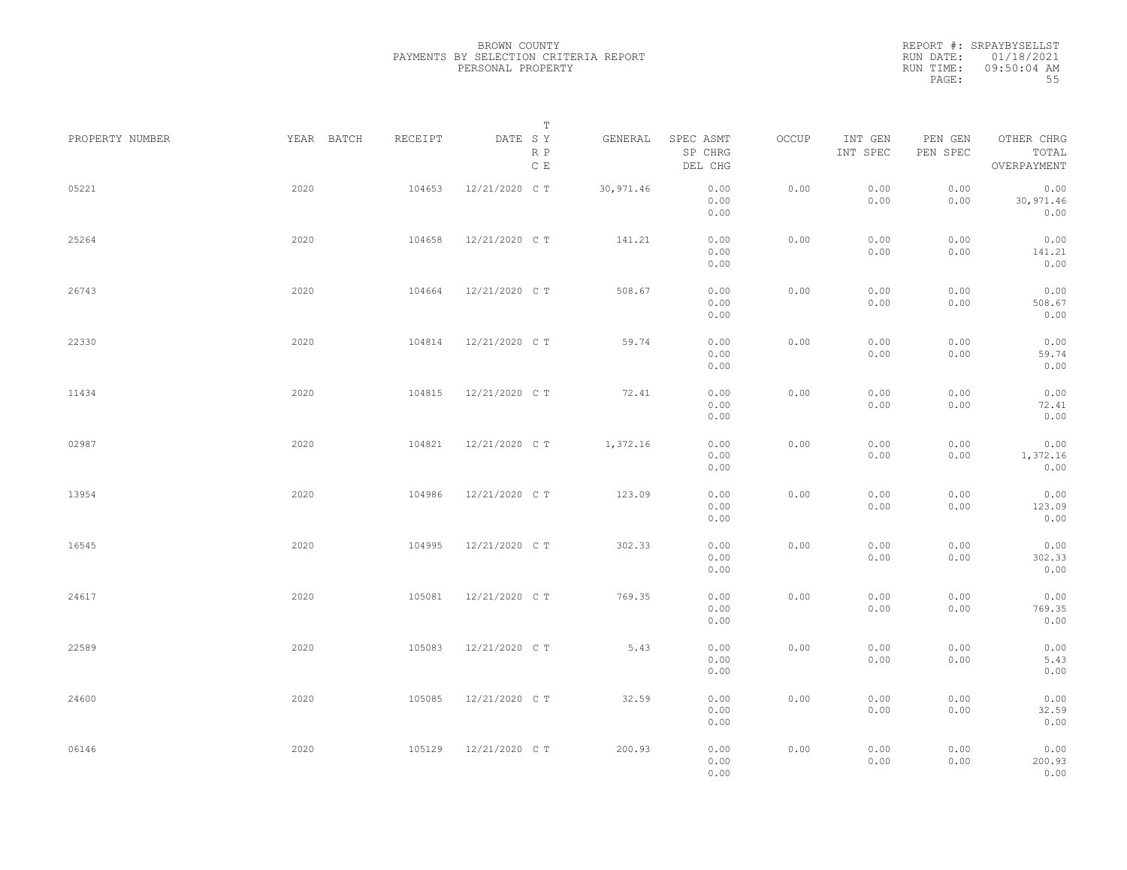|                 |            |         | Т                               |            |                                 |       |                     |                     |                                    |  |
|-----------------|------------|---------|---------------------------------|------------|---------------------------------|-------|---------------------|---------------------|------------------------------------|--|
| PROPERTY NUMBER | YEAR BATCH | RECEIPT | DATE SY<br>R P<br>$\,$ C $\,$ E | GENERAL    | SPEC ASMT<br>SP CHRG<br>DEL CHG | OCCUP | INT GEN<br>INT SPEC | PEN GEN<br>PEN SPEC | OTHER CHRG<br>TOTAL<br>OVERPAYMENT |  |
| 05221           | 2020       | 104653  | 12/21/2020 C T                  | 30, 971.46 | 0.00<br>0.00<br>0.00            | 0.00  | 0.00<br>0.00        | 0.00<br>0.00        | 0.00<br>30,971.46<br>0.00          |  |
| 25264           | 2020       | 104658  | 12/21/2020 C T                  | 141.21     | 0.00<br>0.00<br>0.00            | 0.00  | 0.00<br>0.00        | 0.00<br>0.00        | 0.00<br>141.21<br>0.00             |  |
| 26743           | 2020       | 104664  | 12/21/2020 C T                  | 508.67     | 0.00<br>0.00<br>0.00            | 0.00  | 0.00<br>0.00        | 0.00<br>0.00        | 0.00<br>508.67<br>0.00             |  |
| 22330           | 2020       | 104814  | 12/21/2020 C T                  | 59.74      | 0.00<br>0.00<br>0.00            | 0.00  | 0.00<br>0.00        | 0.00<br>0.00        | 0.00<br>59.74<br>0.00              |  |
| 11434           | 2020       | 104815  | 12/21/2020 C T                  | 72.41      | 0.00<br>0.00<br>0.00            | 0.00  | 0.00<br>0.00        | 0.00<br>0.00        | 0.00<br>72.41<br>0.00              |  |
| 02987           | 2020       | 104821  | 12/21/2020 C T                  | 1,372.16   | 0.00<br>0.00<br>0.00            | 0.00  | 0.00<br>0.00        | 0.00<br>0.00        | 0.00<br>1,372.16<br>0.00           |  |
| 13954           | 2020       | 104986  | 12/21/2020 C T                  | 123.09     | 0.00<br>0.00<br>0.00            | 0.00  | 0.00<br>0.00        | 0.00<br>0.00        | 0.00<br>123.09<br>0.00             |  |
| 16545           | 2020       | 104995  | 12/21/2020 C T                  | 302.33     | 0.00<br>0.00<br>0.00            | 0.00  | 0.00<br>0.00        | 0.00<br>0.00        | 0.00<br>302.33<br>0.00             |  |
| 24617           | 2020       | 105081  | 12/21/2020 C T                  | 769.35     | 0.00<br>0.00<br>0.00            | 0.00  | 0.00<br>0.00        | 0.00<br>0.00        | 0.00<br>769.35<br>0.00             |  |
| 22589           | 2020       | 105083  | 12/21/2020 C T                  | 5.43       | 0.00<br>0.00<br>0.00            | 0.00  | 0.00<br>0.00        | 0.00<br>0.00        | 0.00<br>5.43<br>0.00               |  |
| 24600           | 2020       | 105085  | 12/21/2020 C T                  | 32.59      | 0.00<br>0.00<br>0.00            | 0.00  | 0.00<br>0.00        | 0.00<br>0.00        | 0.00<br>32.59<br>0.00              |  |
| 06146           | 2020       | 105129  | 12/21/2020 C T                  | 200.93     | 0.00<br>0.00<br>0.00            | 0.00  | 0.00<br>0.00        | 0.00<br>0.00        | 0.00<br>200.93<br>0.00             |  |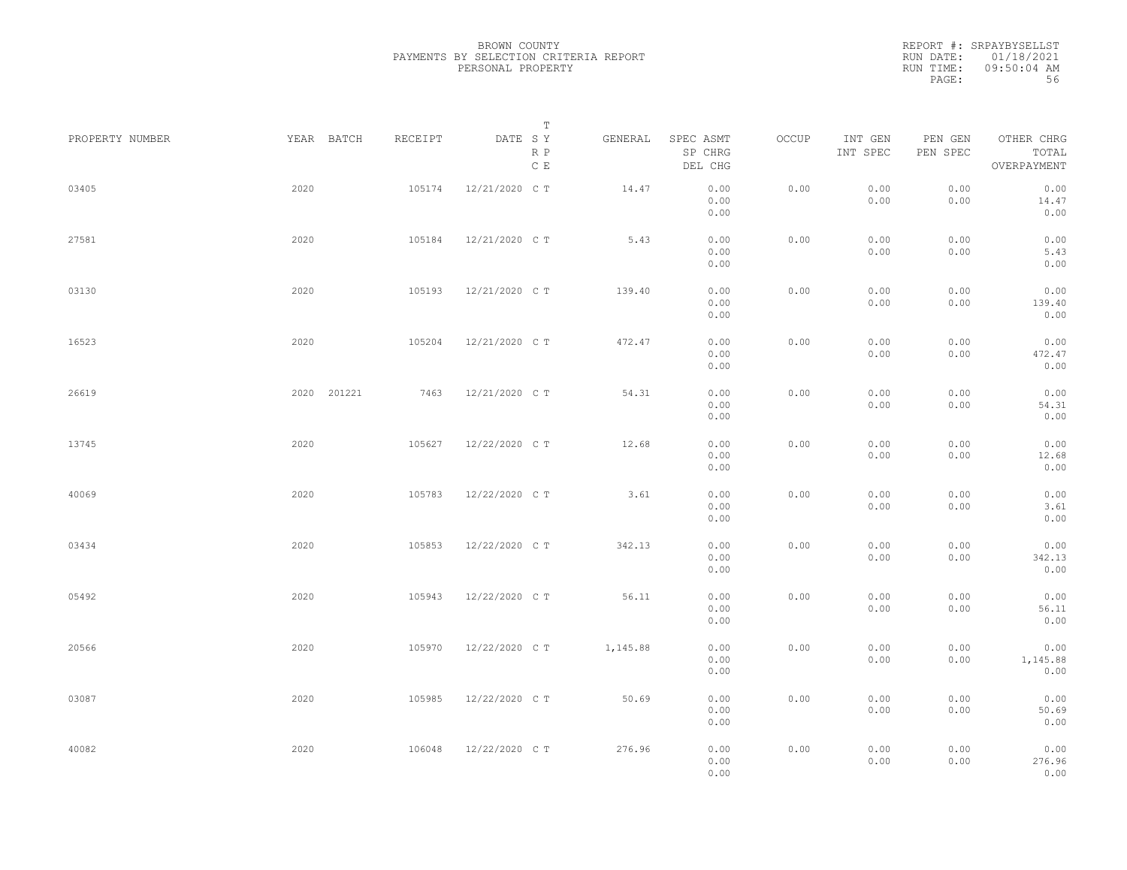|                 |             |         | Т                               |          |                                 |       |                     |                     |                                    |
|-----------------|-------------|---------|---------------------------------|----------|---------------------------------|-------|---------------------|---------------------|------------------------------------|
| PROPERTY NUMBER | YEAR BATCH  | RECEIPT | DATE SY<br>R P<br>$\,$ C $\,$ E | GENERAL  | SPEC ASMT<br>SP CHRG<br>DEL CHG | OCCUP | INT GEN<br>INT SPEC | PEN GEN<br>PEN SPEC | OTHER CHRG<br>TOTAL<br>OVERPAYMENT |
| 03405           | 2020        | 105174  | 12/21/2020 C T                  | 14.47    | 0.00<br>0.00<br>0.00            | 0.00  | 0.00<br>0.00        | 0.00<br>0.00        | 0.00<br>14.47<br>0.00              |
| 27581           | 2020        | 105184  | 12/21/2020 C T                  | 5.43     | 0.00<br>0.00<br>0.00            | 0.00  | 0.00<br>0.00        | 0.00<br>0.00        | 0.00<br>5.43<br>0.00               |
| 03130           | 2020        | 105193  | 12/21/2020 C T                  | 139.40   | 0.00<br>0.00<br>0.00            | 0.00  | 0.00<br>0.00        | 0.00<br>0.00        | 0.00<br>139.40<br>0.00             |
| 16523           | 2020        | 105204  | 12/21/2020 C T                  | 472.47   | 0.00<br>0.00<br>0.00            | 0.00  | 0.00<br>0.00        | 0.00<br>0.00        | 0.00<br>472.47<br>0.00             |
| 26619           | 2020 201221 | 7463    | 12/21/2020 C T                  | 54.31    | 0.00<br>0.00<br>0.00            | 0.00  | 0.00<br>0.00        | 0.00<br>0.00        | 0.00<br>54.31<br>0.00              |
| 13745           | 2020        | 105627  | 12/22/2020 C T                  | 12.68    | 0.00<br>0.00<br>0.00            | 0.00  | 0.00<br>0.00        | 0.00<br>0.00        | 0.00<br>12.68<br>0.00              |
| 40069           | 2020        | 105783  | 12/22/2020 C T                  | 3.61     | 0.00<br>0.00<br>0.00            | 0.00  | 0.00<br>0.00        | 0.00<br>0.00        | 0.00<br>3.61<br>0.00               |
| 03434           | 2020        | 105853  | 12/22/2020 C T                  | 342.13   | 0.00<br>0.00<br>0.00            | 0.00  | 0.00<br>0.00        | 0.00<br>0.00        | 0.00<br>342.13<br>0.00             |
| 05492           | 2020        | 105943  | 12/22/2020 C T                  | 56.11    | 0.00<br>0.00<br>0.00            | 0.00  | 0.00<br>0.00        | 0.00<br>0.00        | 0.00<br>56.11<br>0.00              |
| 20566           | 2020        | 105970  | 12/22/2020 C T                  | 1,145.88 | 0.00<br>0.00<br>0.00            | 0.00  | 0.00<br>0.00        | 0.00<br>0.00        | 0.00<br>1,145.88<br>0.00           |
| 03087           | 2020        | 105985  | 12/22/2020 C T                  | 50.69    | 0.00<br>0.00<br>0.00            | 0.00  | 0.00<br>0.00        | 0.00<br>0.00        | 0.00<br>50.69<br>0.00              |
| 40082           | 2020        | 106048  | 12/22/2020 C T                  | 276.96   | 0.00<br>0.00<br>0.00            | 0.00  | 0.00<br>0.00        | 0.00<br>0.00        | 0.00<br>276.96<br>0.00             |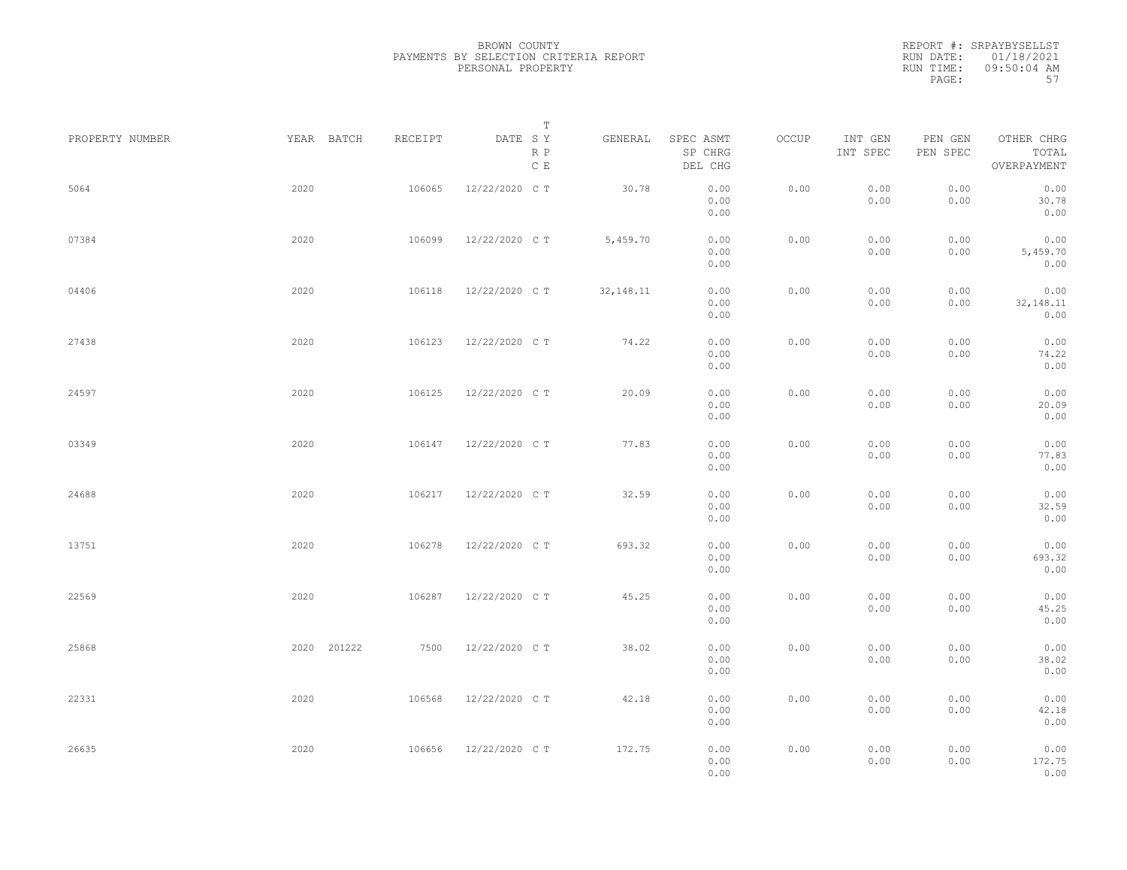BROWN COUNTY PAYMENTS BY SELECTION CRITERIA REPORT PERSONAL PROPERTY

REPORT #: SRPAYBYSELLST RUN DATE: 01/18/2021 RUN TIME: 09:50:04 AM PAGE: 57

| PROPERTY NUMBER |      | YEAR BATCH  | RECEIPT | DATE SY        | Т          | GENERAL     | SPEC ASMT            | OCCUP | INT GEN      | PEN GEN      | OTHER CHRG                  |  |
|-----------------|------|-------------|---------|----------------|------------|-------------|----------------------|-------|--------------|--------------|-----------------------------|--|
|                 |      |             |         |                | R P<br>C E |             | SP CHRG<br>DEL CHG   |       | INT SPEC     | PEN SPEC     | TOTAL<br>OVERPAYMENT        |  |
| 5064            | 2020 |             | 106065  | 12/22/2020 C T |            | 30.78       | 0.00<br>0.00<br>0.00 | 0.00  | 0.00<br>0.00 | 0.00<br>0.00 | 0.00<br>30.78<br>0.00       |  |
| 07384           | 2020 |             | 106099  | 12/22/2020 C T |            | 5,459.70    | 0.00<br>0.00<br>0.00 | 0.00  | 0.00<br>0.00 | 0.00<br>0.00 | 0.00<br>5,459.70<br>0.00    |  |
| 04406           | 2020 |             | 106118  | 12/22/2020 CT  |            | 32, 148. 11 | 0.00<br>0.00<br>0.00 | 0.00  | 0.00<br>0.00 | 0.00<br>0.00 | 0.00<br>32, 148. 11<br>0.00 |  |
| 27438           | 2020 |             | 106123  | 12/22/2020 C T |            | 74.22       | 0.00<br>0.00<br>0.00 | 0.00  | 0.00<br>0.00 | 0.00<br>0.00 | 0.00<br>74.22<br>0.00       |  |
| 24597           | 2020 |             | 106125  | 12/22/2020 C T |            | 20.09       | 0.00<br>0.00<br>0.00 | 0.00  | 0.00<br>0.00 | 0.00<br>0.00 | 0.00<br>20.09<br>0.00       |  |
| 03349           | 2020 |             | 106147  | 12/22/2020 C T |            | 77.83       | 0.00<br>0.00<br>0.00 | 0.00  | 0.00<br>0.00 | 0.00<br>0.00 | 0.00<br>77.83<br>0.00       |  |
| 24688           | 2020 |             | 106217  | 12/22/2020 C T |            | 32.59       | 0.00<br>0.00<br>0.00 | 0.00  | 0.00<br>0.00 | 0.00<br>0.00 | 0.00<br>32.59<br>0.00       |  |
| 13751           | 2020 |             | 106278  | 12/22/2020 C T |            | 693.32      | 0.00<br>0.00<br>0.00 | 0.00  | 0.00<br>0.00 | 0.00<br>0.00 | 0.00<br>693.32<br>0.00      |  |
| 22569           | 2020 |             | 106287  | 12/22/2020 C T |            | 45.25       | 0.00<br>0.00<br>0.00 | 0.00  | 0.00<br>0.00 | 0.00<br>0.00 | 0.00<br>45.25<br>0.00       |  |
| 25868           |      | 2020 201222 | 7500    | 12/22/2020 C T |            | 38.02       | 0.00<br>0.00<br>0.00 | 0.00  | 0.00<br>0.00 | 0.00<br>0.00 | 0.00<br>38.02<br>0.00       |  |
| 22331           | 2020 |             | 106568  | 12/22/2020 C T |            | 42.18       | 0.00<br>0.00<br>0.00 | 0.00  | 0.00<br>0.00 | 0.00<br>0.00 | 0.00<br>42.18<br>0.00       |  |
| 26635           | 2020 |             | 106656  | 12/22/2020 C T |            | 172.75      | 0.00<br>0.00<br>0.00 | 0.00  | 0.00<br>0.00 | 0.00<br>0.00 | 0.00<br>172.75<br>0.00      |  |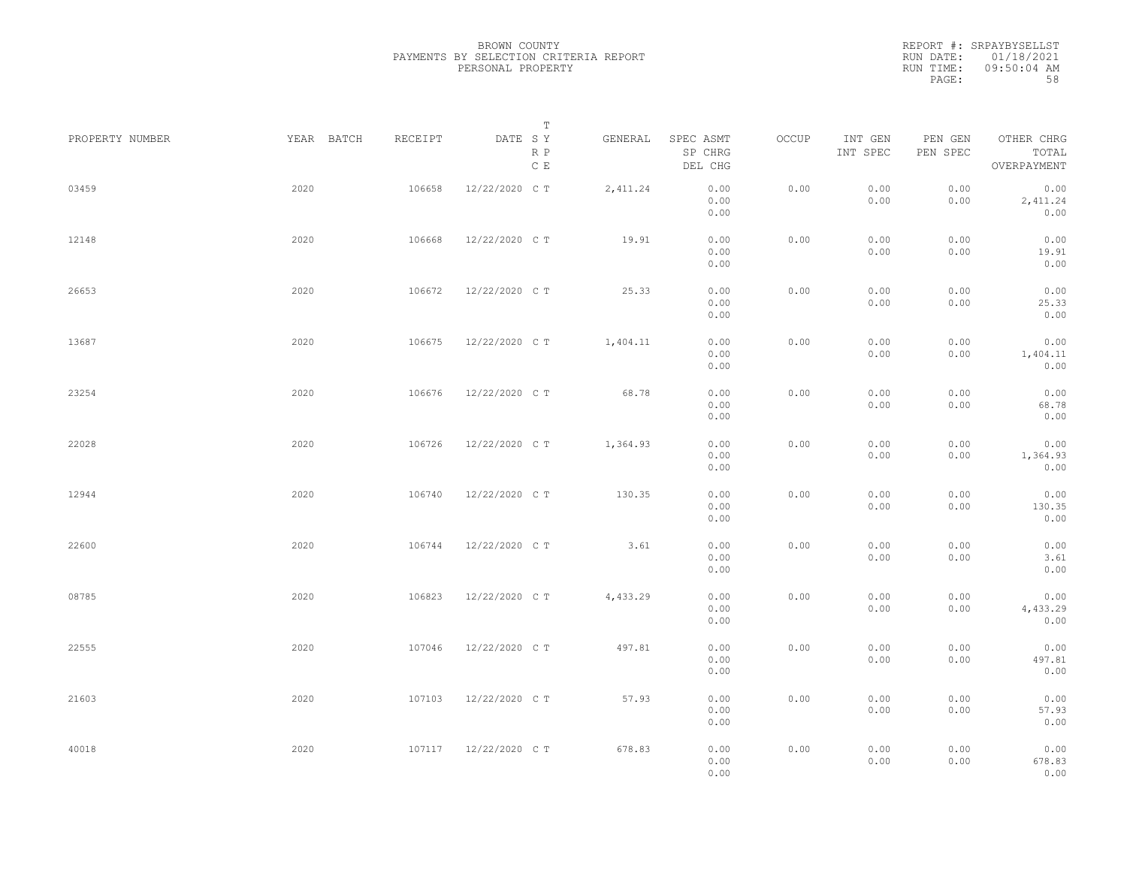|                 |            |         | Т                               |          |                                 |       |                     |                     |                                    |  |
|-----------------|------------|---------|---------------------------------|----------|---------------------------------|-------|---------------------|---------------------|------------------------------------|--|
| PROPERTY NUMBER | YEAR BATCH | RECEIPT | DATE SY<br>R P<br>$\,$ C $\,$ E | GENERAL  | SPEC ASMT<br>SP CHRG<br>DEL CHG | OCCUP | INT GEN<br>INT SPEC | PEN GEN<br>PEN SPEC | OTHER CHRG<br>TOTAL<br>OVERPAYMENT |  |
| 03459           | 2020       | 106658  | 12/22/2020 C T                  | 2,411.24 | 0.00<br>0.00<br>0.00            | 0.00  | 0.00<br>0.00        | 0.00<br>0.00        | 0.00<br>2,411.24<br>0.00           |  |
| 12148           | 2020       | 106668  | 12/22/2020 C T                  | 19.91    | 0.00<br>0.00<br>0.00            | 0.00  | 0.00<br>0.00        | 0.00<br>0.00        | 0.00<br>19.91<br>0.00              |  |
| 26653           | 2020       | 106672  | 12/22/2020 C T                  | 25.33    | 0.00<br>0.00<br>0.00            | 0.00  | 0.00<br>0.00        | 0.00<br>0.00        | 0.00<br>25.33<br>0.00              |  |
| 13687           | 2020       | 106675  | 12/22/2020 C T                  | 1,404.11 | 0.00<br>0.00<br>0.00            | 0.00  | 0.00<br>0.00        | 0.00<br>0.00        | 0.00<br>1,404.11<br>0.00           |  |
| 23254           | 2020       | 106676  | 12/22/2020 C T                  | 68.78    | 0.00<br>0.00<br>0.00            | 0.00  | 0.00<br>0.00        | 0.00<br>0.00        | 0.00<br>68.78<br>0.00              |  |
| 22028           | 2020       | 106726  | 12/22/2020 C T                  | 1,364.93 | 0.00<br>0.00<br>0.00            | 0.00  | 0.00<br>0.00        | 0.00<br>0.00        | 0.00<br>1,364.93<br>0.00           |  |
| 12944           | 2020       | 106740  | 12/22/2020 C T                  | 130.35   | 0.00<br>0.00<br>0.00            | 0.00  | 0.00<br>0.00        | 0.00<br>0.00        | 0.00<br>130.35<br>0.00             |  |
| 22600           | 2020       | 106744  | 12/22/2020 C T                  | 3.61     | 0.00<br>0.00<br>0.00            | 0.00  | 0.00<br>0.00        | 0.00<br>0.00        | 0.00<br>3.61<br>0.00               |  |
| 08785           | 2020       | 106823  | 12/22/2020 C T                  | 4,433.29 | 0.00<br>0.00<br>0.00            | 0.00  | 0.00<br>0.00        | 0.00<br>0.00        | 0.00<br>4,433.29<br>0.00           |  |
| 22555           | 2020       | 107046  | 12/22/2020 C T                  | 497.81   | 0.00<br>0.00<br>0.00            | 0.00  | 0.00<br>0.00        | 0.00<br>0.00        | 0.00<br>497.81<br>0.00             |  |
| 21603           | 2020       | 107103  | 12/22/2020 C T                  | 57.93    | 0.00<br>0.00<br>0.00            | 0.00  | 0.00<br>0.00        | 0.00<br>0.00        | 0.00<br>57.93<br>0.00              |  |
| 40018           | 2020       | 107117  | 12/22/2020 C T                  | 678.83   | 0.00<br>0.00<br>0.00            | 0.00  | 0.00<br>0.00        | 0.00<br>0.00        | 0.00<br>678.83<br>0.00             |  |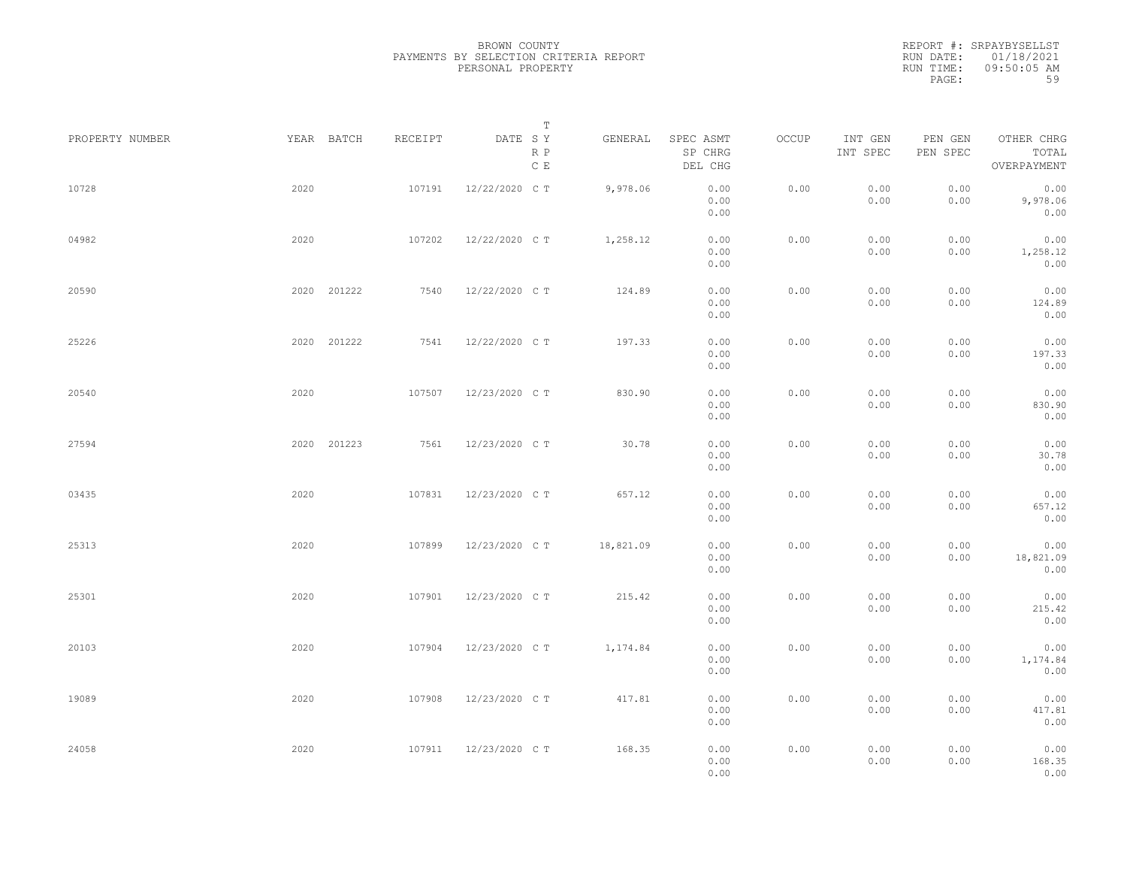|                 |             |         | Т                               |           |                                 |       |                     |                     |                                    |  |
|-----------------|-------------|---------|---------------------------------|-----------|---------------------------------|-------|---------------------|---------------------|------------------------------------|--|
| PROPERTY NUMBER | YEAR BATCH  | RECEIPT | DATE SY<br>R P<br>$\,$ C $\,$ E | GENERAL   | SPEC ASMT<br>SP CHRG<br>DEL CHG | OCCUP | INT GEN<br>INT SPEC | PEN GEN<br>PEN SPEC | OTHER CHRG<br>TOTAL<br>OVERPAYMENT |  |
| 10728           | 2020        | 107191  | 12/22/2020 C T                  | 9,978.06  | 0.00<br>0.00<br>0.00            | 0.00  | 0.00<br>0.00        | 0.00<br>0.00        | 0.00<br>9,978.06<br>0.00           |  |
| 04982           | 2020        | 107202  | 12/22/2020 C T                  | 1,258.12  | 0.00<br>0.00<br>0.00            | 0.00  | 0.00<br>0.00        | 0.00<br>0.00        | 0.00<br>1,258.12<br>0.00           |  |
| 20590           | 2020 201222 | 7540    | 12/22/2020 C T                  | 124.89    | 0.00<br>0.00<br>0.00            | 0.00  | 0.00<br>0.00        | 0.00<br>0.00        | 0.00<br>124.89<br>0.00             |  |
| 25226           | 2020 201222 | 7541    | 12/22/2020 C T                  | 197.33    | 0.00<br>0.00<br>0.00            | 0.00  | 0.00<br>0.00        | 0.00<br>0.00        | 0.00<br>197.33<br>0.00             |  |
| 20540           | 2020        | 107507  | 12/23/2020 C T                  | 830.90    | 0.00<br>0.00<br>0.00            | 0.00  | 0.00<br>0.00        | 0.00<br>0.00        | 0.00<br>830.90<br>0.00             |  |
| 27594           | 2020 201223 | 7561    | 12/23/2020 C T                  | 30.78     | 0.00<br>0.00<br>0.00            | 0.00  | 0.00<br>0.00        | 0.00<br>0.00        | 0.00<br>30.78<br>0.00              |  |
| 03435           | 2020        | 107831  | 12/23/2020 C T                  | 657.12    | 0.00<br>0.00<br>0.00            | 0.00  | 0.00<br>0.00        | 0.00<br>0.00        | 0.00<br>657.12<br>0.00             |  |
| 25313           | 2020        | 107899  | 12/23/2020 C T                  | 18,821.09 | 0.00<br>0.00<br>0.00            | 0.00  | 0.00<br>0.00        | 0.00<br>0.00        | 0.00<br>18,821.09<br>0.00          |  |
| 25301           | 2020        | 107901  | 12/23/2020 C T                  | 215.42    | 0.00<br>0.00<br>0.00            | 0.00  | 0.00<br>0.00        | 0.00<br>0.00        | 0.00<br>215.42<br>0.00             |  |
| 20103           | 2020        | 107904  | 12/23/2020 C T                  | 1,174.84  | 0.00<br>0.00<br>0.00            | 0.00  | 0.00<br>0.00        | 0.00<br>0.00        | 0.00<br>1,174.84<br>0.00           |  |
| 19089           | 2020        | 107908  | 12/23/2020 C T                  | 417.81    | 0.00<br>0.00<br>0.00            | 0.00  | 0.00<br>0.00        | 0.00<br>0.00        | 0.00<br>417.81<br>0.00             |  |
| 24058           | 2020        | 107911  | 12/23/2020 C T                  | 168.35    | 0.00<br>0.00<br>0.00            | 0.00  | 0.00<br>0.00        | 0.00<br>0.00        | 0.00<br>168.35<br>0.00             |  |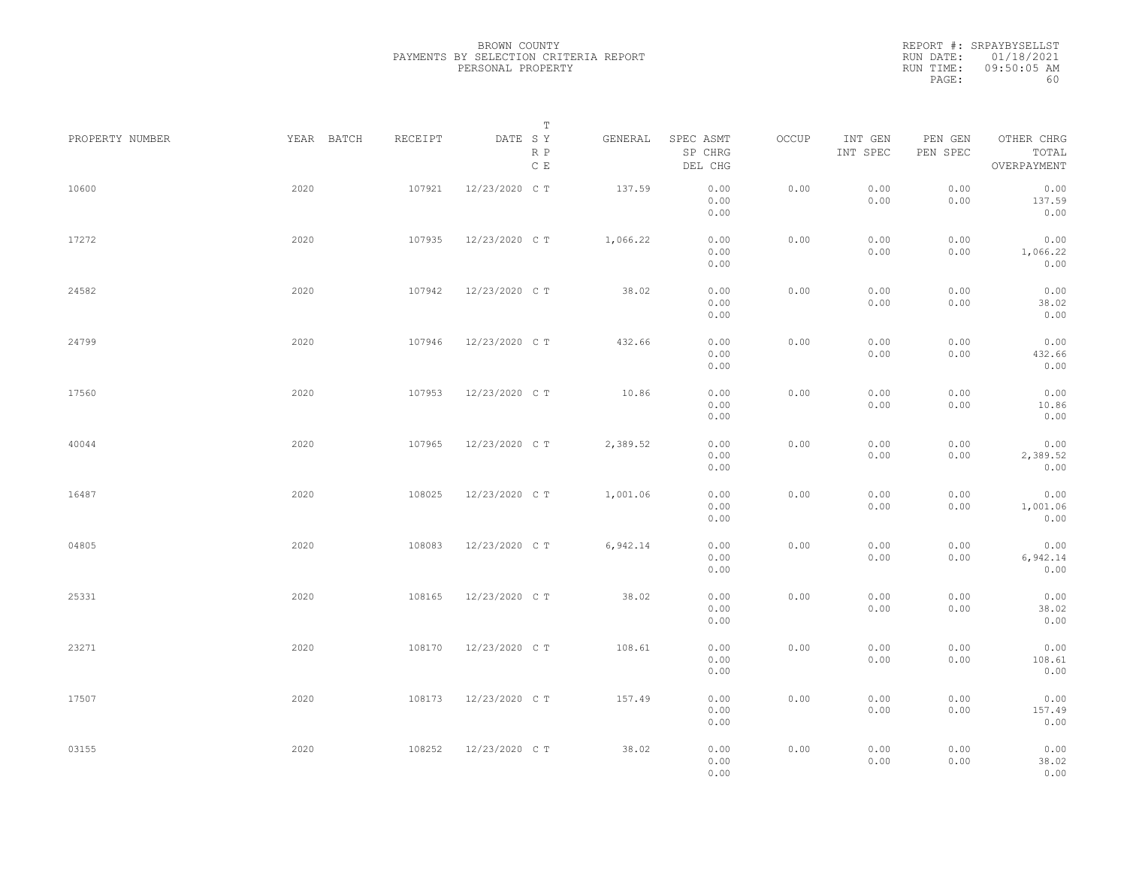|                 |            |         | Т                               |          |                                 |       |                     |                     |                                    |  |
|-----------------|------------|---------|---------------------------------|----------|---------------------------------|-------|---------------------|---------------------|------------------------------------|--|
| PROPERTY NUMBER | YEAR BATCH | RECEIPT | DATE SY<br>R P<br>$\,$ C $\,$ E | GENERAL  | SPEC ASMT<br>SP CHRG<br>DEL CHG | OCCUP | INT GEN<br>INT SPEC | PEN GEN<br>PEN SPEC | OTHER CHRG<br>TOTAL<br>OVERPAYMENT |  |
| 10600           | 2020       | 107921  | 12/23/2020 C T                  | 137.59   | 0.00<br>0.00<br>0.00            | 0.00  | 0.00<br>0.00        | 0.00<br>0.00        | 0.00<br>137.59<br>0.00             |  |
| 17272           | 2020       | 107935  | 12/23/2020 C T                  | 1,066.22 | 0.00<br>0.00<br>0.00            | 0.00  | 0.00<br>0.00        | 0.00<br>0.00        | 0.00<br>1,066.22<br>0.00           |  |
| 24582           | 2020       | 107942  | 12/23/2020 C T                  | 38.02    | 0.00<br>0.00<br>0.00            | 0.00  | 0.00<br>0.00        | 0.00<br>0.00        | 0.00<br>38.02<br>0.00              |  |
| 24799           | 2020       | 107946  | 12/23/2020 C T                  | 432.66   | 0.00<br>0.00<br>0.00            | 0.00  | 0.00<br>0.00        | 0.00<br>0.00        | 0.00<br>432.66<br>0.00             |  |
| 17560           | 2020       | 107953  | 12/23/2020 C T                  | 10.86    | 0.00<br>0.00<br>0.00            | 0.00  | 0.00<br>0.00        | 0.00<br>0.00        | 0.00<br>10.86<br>0.00              |  |
| 40044           | 2020       | 107965  | 12/23/2020 C T                  | 2,389.52 | 0.00<br>0.00<br>0.00            | 0.00  | 0.00<br>0.00        | 0.00<br>0.00        | 0.00<br>2,389.52<br>0.00           |  |
| 16487           | 2020       | 108025  | 12/23/2020 C T                  | 1,001.06 | 0.00<br>0.00<br>0.00            | 0.00  | 0.00<br>0.00        | 0.00<br>0.00        | 0.00<br>1,001.06<br>0.00           |  |
| 04805           | 2020       | 108083  | 12/23/2020 C T                  | 6,942.14 | 0.00<br>0.00<br>0.00            | 0.00  | 0.00<br>0.00        | 0.00<br>0.00        | 0.00<br>6,942.14<br>0.00           |  |
| 25331           | 2020       | 108165  | 12/23/2020 C T                  | 38.02    | 0.00<br>0.00<br>0.00            | 0.00  | 0.00<br>0.00        | 0.00<br>0.00        | 0.00<br>38.02<br>0.00              |  |
| 23271           | 2020       | 108170  | 12/23/2020 C T                  | 108.61   | 0.00<br>0.00<br>0.00            | 0.00  | 0.00<br>0.00        | 0.00<br>0.00        | 0.00<br>108.61<br>0.00             |  |
| 17507           | 2020       | 108173  | 12/23/2020 C T                  | 157.49   | 0.00<br>0.00                    | 0.00  | 0.00<br>0.00        | 0.00<br>0.00        | 0.00<br>157.49                     |  |
| 03155           | 2020       | 108252  | 12/23/2020 C T                  | 38.02    | 0.00<br>0.00<br>0.00<br>0.00    | 0.00  | 0.00<br>0.00        | 0.00<br>0.00        | 0.00<br>0.00<br>38.02<br>0.00      |  |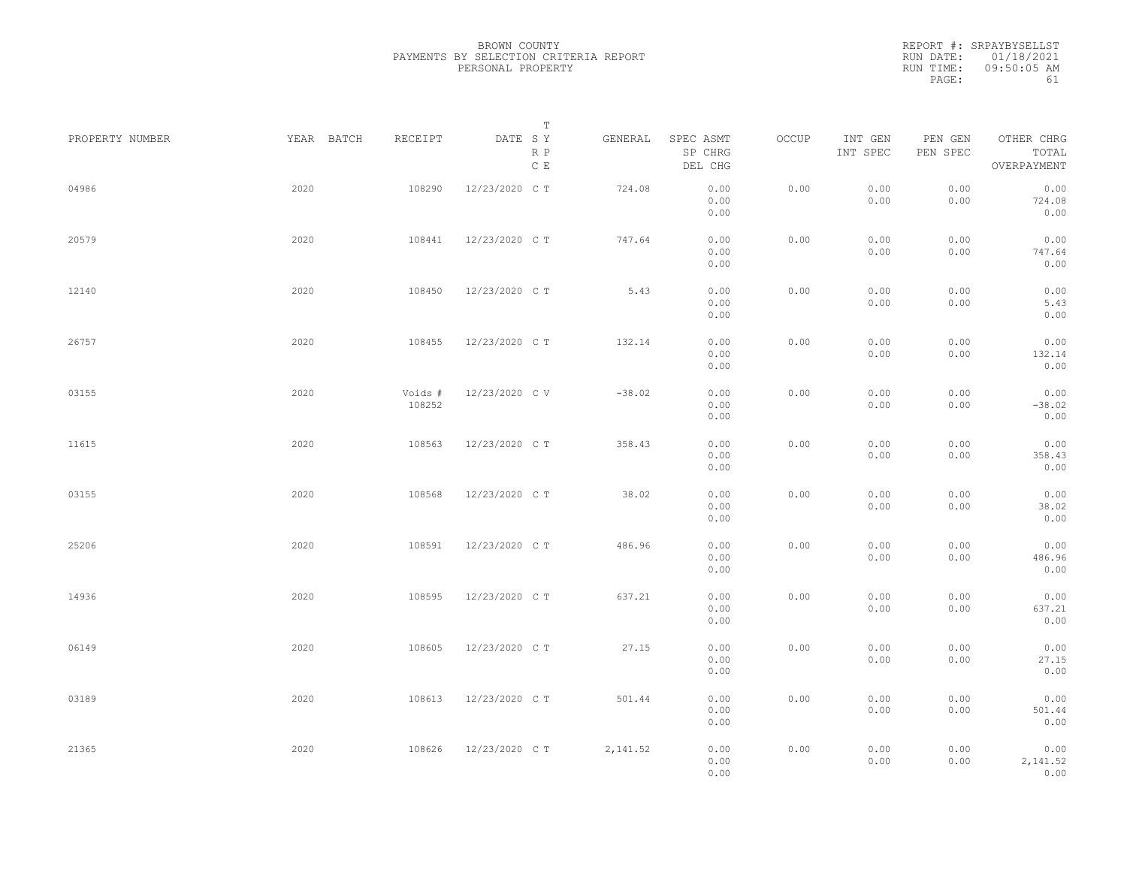| PROPERTY NUMBER | YEAR BATCH | RECEIPT           | Т<br>DATE SY         | GENERAL  | SPEC ASMT            | OCCUP | INT GEN      | PEN GEN      | OTHER CHRG               |  |
|-----------------|------------|-------------------|----------------------|----------|----------------------|-------|--------------|--------------|--------------------------|--|
|                 |            |                   | R P<br>$\,$ C $\,$ E |          | SP CHRG<br>DEL CHG   |       | INT SPEC     | PEN SPEC     | TOTAL<br>OVERPAYMENT     |  |
| 04986           | 2020       | 108290            | 12/23/2020 C T       | 724.08   | 0.00<br>0.00<br>0.00 | 0.00  | 0.00<br>0.00 | 0.00<br>0.00 | 0.00<br>724.08<br>0.00   |  |
| 20579           | 2020       | 108441            | 12/23/2020 C T       | 747.64   | 0.00<br>0.00<br>0.00 | 0.00  | 0.00<br>0.00 | 0.00<br>0.00 | 0.00<br>747.64<br>0.00   |  |
| 12140           | 2020       | 108450            | 12/23/2020 C T       | 5.43     | 0.00<br>0.00<br>0.00 | 0.00  | 0.00<br>0.00 | 0.00<br>0.00 | 0.00<br>5.43<br>0.00     |  |
| 26757           | 2020       | 108455            | 12/23/2020 C T       | 132.14   | 0.00<br>0.00<br>0.00 | 0.00  | 0.00<br>0.00 | 0.00<br>0.00 | 0.00<br>132.14<br>0.00   |  |
| 03155           | 2020       | Voids #<br>108252 | 12/23/2020 C V       | $-38.02$ | 0.00<br>0.00<br>0.00 | 0.00  | 0.00<br>0.00 | 0.00<br>0.00 | 0.00<br>$-38.02$<br>0.00 |  |
| 11615           | 2020       | 108563            | 12/23/2020 C T       | 358.43   | 0.00<br>0.00<br>0.00 | 0.00  | 0.00<br>0.00 | 0.00<br>0.00 | 0.00<br>358.43<br>0.00   |  |
| 03155           | 2020       | 108568            | 12/23/2020 C T       | 38.02    | 0.00<br>0.00<br>0.00 | 0.00  | 0.00<br>0.00 | 0.00<br>0.00 | 0.00<br>38.02<br>0.00    |  |
| 25206           | 2020       | 108591            | 12/23/2020 C T       | 486.96   | 0.00<br>0.00<br>0.00 | 0.00  | 0.00<br>0.00 | 0.00<br>0.00 | 0.00<br>486.96<br>0.00   |  |
| 14936           | 2020       | 108595            | 12/23/2020 C T       | 637.21   | 0.00<br>0.00<br>0.00 | 0.00  | 0.00<br>0.00 | 0.00<br>0.00 | 0.00<br>637.21<br>0.00   |  |
| 06149           | 2020       | 108605            | 12/23/2020 C T       | 27.15    | 0.00<br>0.00<br>0.00 | 0.00  | 0.00<br>0.00 | 0.00<br>0.00 | 0.00<br>27.15<br>0.00    |  |
| 03189           | 2020       | 108613            | 12/23/2020 C T       | 501.44   | 0.00<br>0.00<br>0.00 | 0.00  | 0.00<br>0.00 | 0.00<br>0.00 | 0.00<br>501.44<br>0.00   |  |
| 21365           | 2020       | 108626            | 12/23/2020 C T       | 2,141.52 | 0.00<br>0.00<br>0.00 | 0.00  | 0.00<br>0.00 | 0.00<br>0.00 | 0.00<br>2,141.52<br>0.00 |  |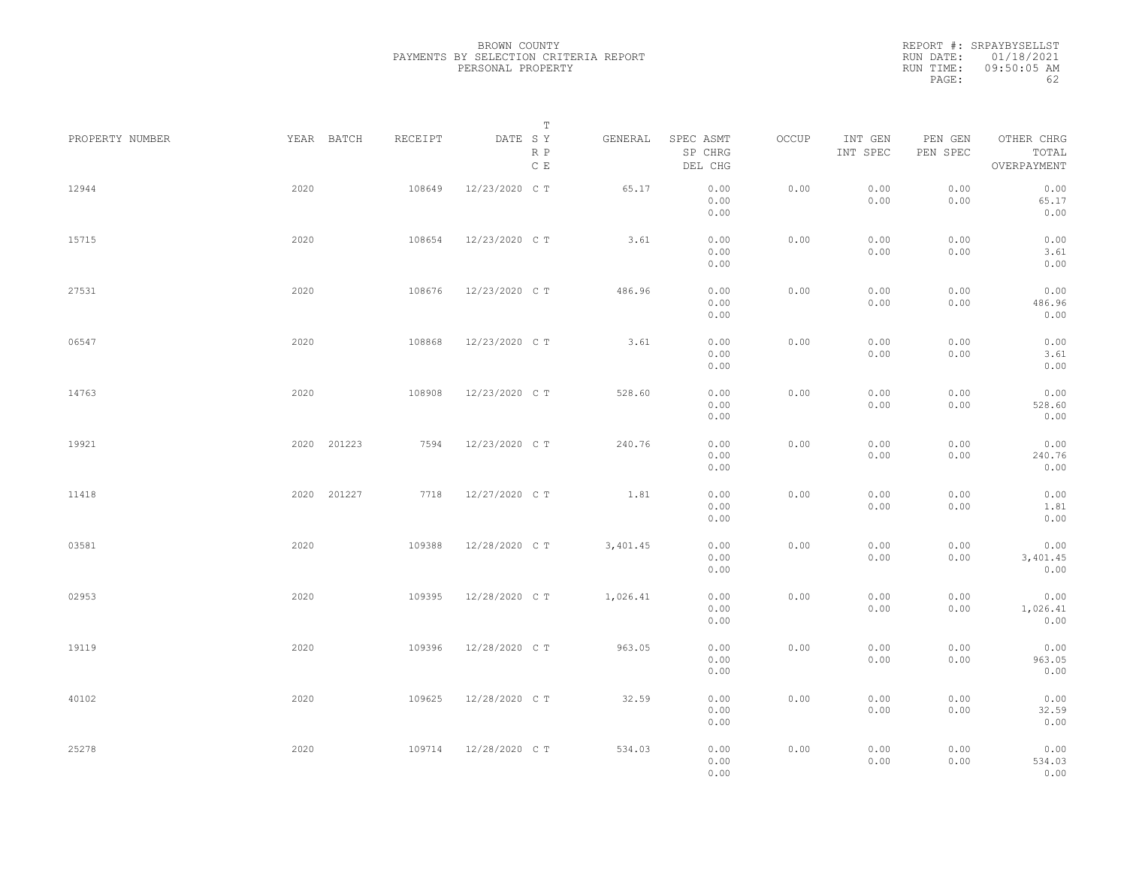|                 |      |             |         |                                 | Т        |                                 |       |                     |                     |                                    |  |
|-----------------|------|-------------|---------|---------------------------------|----------|---------------------------------|-------|---------------------|---------------------|------------------------------------|--|
| PROPERTY NUMBER |      | YEAR BATCH  | RECEIPT | DATE SY<br>R P<br>$\,$ C $\,$ E | GENERAL  | SPEC ASMT<br>SP CHRG<br>DEL CHG | OCCUP | INT GEN<br>INT SPEC | PEN GEN<br>PEN SPEC | OTHER CHRG<br>TOTAL<br>OVERPAYMENT |  |
| 12944           | 2020 |             | 108649  | 12/23/2020 C T                  | 65.17    | 0.00<br>0.00<br>0.00            | 0.00  | 0.00<br>0.00        | 0.00<br>0.00        | 0.00<br>65.17<br>0.00              |  |
| 15715           | 2020 |             | 108654  | 12/23/2020 C T                  | 3.61     | 0.00<br>0.00<br>0.00            | 0.00  | 0.00<br>0.00        | 0.00<br>0.00        | 0.00<br>3.61<br>0.00               |  |
| 27531           | 2020 |             | 108676  | 12/23/2020 C T                  | 486.96   | 0.00<br>0.00<br>0.00            | 0.00  | 0.00<br>0.00        | 0.00<br>0.00        | 0.00<br>486.96<br>0.00             |  |
| 06547           | 2020 |             | 108868  | 12/23/2020 C T                  | 3.61     | 0.00<br>0.00<br>0.00            | 0.00  | 0.00<br>0.00        | 0.00<br>0.00        | 0.00<br>3.61<br>0.00               |  |
| 14763           | 2020 |             | 108908  | 12/23/2020 C T                  | 528.60   | 0.00<br>0.00<br>0.00            | 0.00  | 0.00<br>0.00        | 0.00<br>0.00        | 0.00<br>528.60<br>0.00             |  |
| 19921           |      | 2020 201223 | 7594    | 12/23/2020 C T                  | 240.76   | 0.00<br>0.00<br>0.00            | 0.00  | 0.00<br>0.00        | 0.00<br>0.00        | 0.00<br>240.76<br>0.00             |  |
| 11418           |      | 2020 201227 | 7718    | 12/27/2020 C T                  | 1.81     | 0.00<br>0.00<br>0.00            | 0.00  | 0.00<br>0.00        | 0.00<br>0.00        | 0.00<br>1.81<br>0.00               |  |
| 03581           | 2020 |             | 109388  | 12/28/2020 C T                  | 3,401.45 | 0.00<br>0.00<br>0.00            | 0.00  | 0.00<br>0.00        | 0.00<br>0.00        | 0.00<br>3,401.45<br>0.00           |  |
| 02953           | 2020 |             | 109395  | 12/28/2020 C T                  | 1,026.41 | 0.00<br>0.00<br>0.00            | 0.00  | 0.00<br>0.00        | 0.00<br>0.00        | 0.00<br>1,026.41<br>0.00           |  |
| 19119           | 2020 |             | 109396  | 12/28/2020 C T                  | 963.05   | 0.00<br>0.00<br>0.00            | 0.00  | 0.00<br>0.00        | 0.00<br>0.00        | 0.00<br>963.05<br>0.00             |  |
| 40102           | 2020 |             | 109625  | 12/28/2020 C T                  | 32.59    | 0.00<br>0.00<br>0.00            | 0.00  | 0.00<br>0.00        | 0.00<br>0.00        | 0.00<br>32.59<br>0.00              |  |
| 25278           | 2020 |             | 109714  | 12/28/2020 C T                  | 534.03   | 0.00<br>0.00<br>0.00            | 0.00  | 0.00<br>0.00        | 0.00<br>0.00        | 0.00<br>534.03<br>0.00             |  |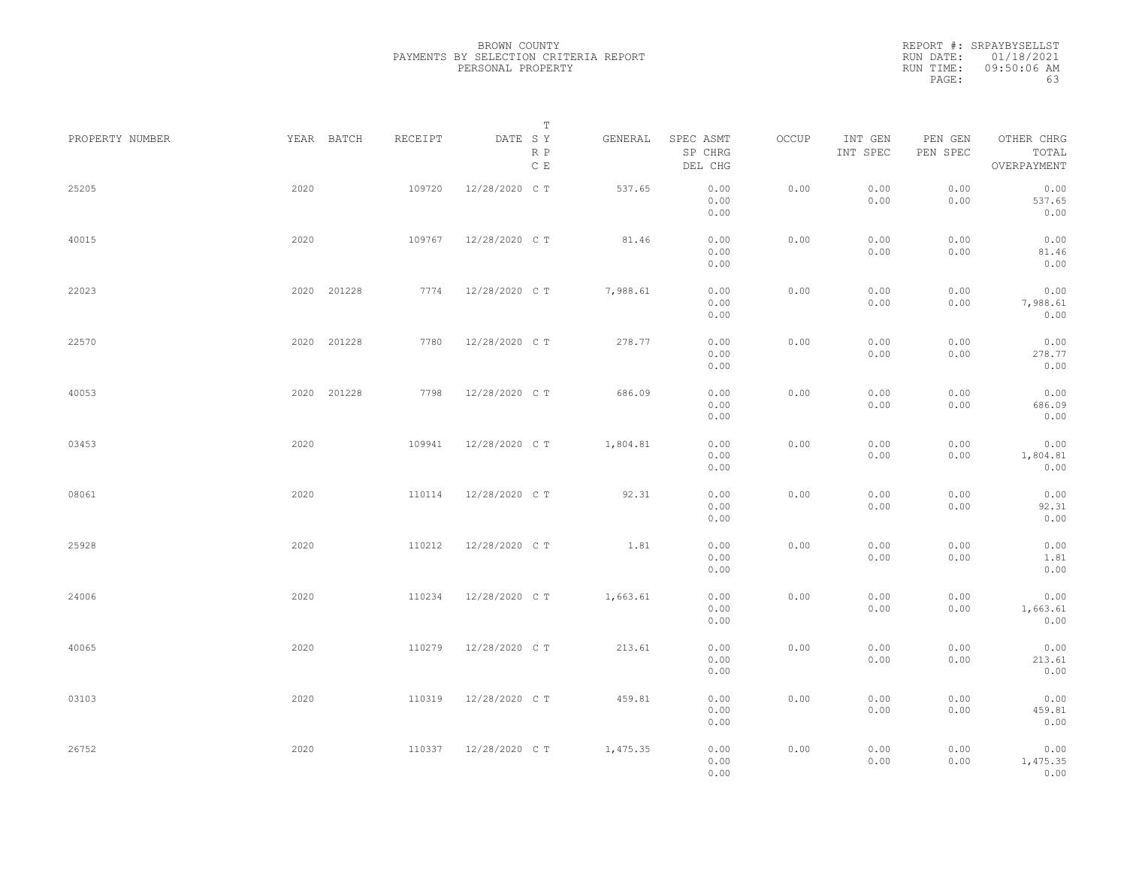| PROPERTY NUMBER |      | YEAR BATCH  | RECEIPT | DATE SY        | T<br>R P        | GENERAL  | SPEC ASMT<br>SP CHRG | OCCUP | INT GEN<br>INT SPEC | PEN GEN<br>PEN SPEC | OTHER CHRG<br>TOTAL      |  |
|-----------------|------|-------------|---------|----------------|-----------------|----------|----------------------|-------|---------------------|---------------------|--------------------------|--|
|                 |      |             |         |                | $\mathbb C\,$ E |          | DEL CHG              |       |                     |                     | OVERPAYMENT              |  |
| 25205           | 2020 |             | 109720  | 12/28/2020 C T |                 | 537.65   | 0.00<br>0.00<br>0.00 | 0.00  | 0.00<br>0.00        | 0.00<br>0.00        | 0.00<br>537.65<br>0.00   |  |
| 40015           | 2020 |             | 109767  | 12/28/2020 C T |                 | 81.46    | 0.00<br>0.00         | 0.00  | 0.00<br>0.00        | 0.00<br>0.00        | 0.00<br>81.46            |  |
| 22023           |      | 2020 201228 | 7774    | 12/28/2020 C T |                 | 7,988.61 | 0.00<br>0.00<br>0.00 | 0.00  | 0.00<br>0.00        | 0.00<br>0.00        | 0.00<br>0.00<br>7,988.61 |  |
| 22570           |      | 2020 201228 | 7780    | 12/28/2020 C T |                 | 278.77   | 0.00<br>0.00         | 0.00  | 0.00                | 0.00                | 0.00<br>0.00             |  |
|                 |      |             |         |                |                 |          | 0.00<br>0.00         |       | 0.00                | 0.00                | 278.77<br>0.00           |  |
| 40053           |      | 2020 201228 | 7798    | 12/28/2020 C T |                 | 686.09   | 0.00<br>0.00<br>0.00 | 0.00  | 0.00<br>0.00        | 0.00<br>0.00        | 0.00<br>686.09<br>0.00   |  |
| 03453           | 2020 |             | 109941  | 12/28/2020 C T |                 | 1,804.81 | 0.00<br>0.00<br>0.00 | 0.00  | 0.00<br>0.00        | 0.00<br>0.00        | 0.00<br>1,804.81<br>0.00 |  |
| 08061           | 2020 |             | 110114  | 12/28/2020 C T |                 | 92.31    | 0.00<br>0.00<br>0.00 | 0.00  | 0.00<br>0.00        | 0.00<br>0.00        | 0.00<br>92.31<br>0.00    |  |
| 25928           | 2020 |             | 110212  | 12/28/2020 C T |                 | 1.81     | 0.00<br>0.00         | 0.00  | 0.00<br>0.00        | 0.00<br>0.00        | 0.00<br>1.81             |  |
| 24006           | 2020 |             | 110234  | 12/28/2020 C T |                 | 1,663.61 | 0.00<br>0.00<br>0.00 | 0.00  | 0.00<br>0.00        | 0.00<br>0.00        | 0.00<br>0.00<br>1,663.61 |  |
| 40065           | 2020 |             | 110279  | 12/28/2020 C T |                 | 213.61   | 0.00<br>0.00         | 0.00  | 0.00                | 0.00                | 0.00<br>0.00             |  |
|                 |      |             |         |                |                 |          | 0.00<br>0.00         |       | 0.00                | 0.00                | 213.61<br>0.00           |  |
| 03103           | 2020 |             | 110319  | 12/28/2020 C T |                 | 459.81   | 0.00<br>0.00<br>0.00 | 0.00  | 0.00<br>0.00        | 0.00<br>0.00        | 0.00<br>459.81<br>0.00   |  |
| 26752           | 2020 |             | 110337  | 12/28/2020 C T |                 | 1,475.35 | 0.00<br>0.00<br>0.00 | 0.00  | 0.00<br>0.00        | 0.00<br>0.00        | 0.00<br>1,475.35<br>0.00 |  |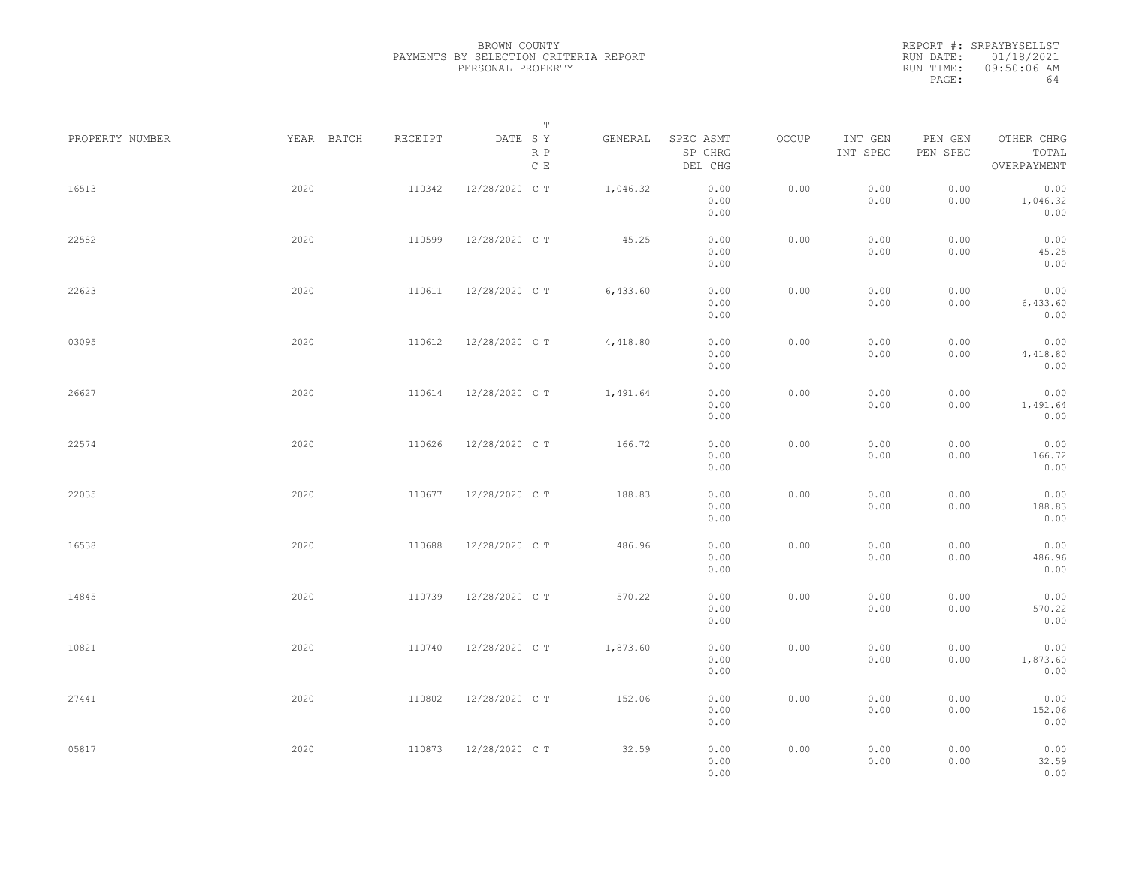|                 |            |         | Т                               |          |                                 |       |                     |                     |                                    |  |
|-----------------|------------|---------|---------------------------------|----------|---------------------------------|-------|---------------------|---------------------|------------------------------------|--|
| PROPERTY NUMBER | YEAR BATCH | RECEIPT | DATE SY<br>R P<br>$\,$ C $\,$ E | GENERAL  | SPEC ASMT<br>SP CHRG<br>DEL CHG | OCCUP | INT GEN<br>INT SPEC | PEN GEN<br>PEN SPEC | OTHER CHRG<br>TOTAL<br>OVERPAYMENT |  |
| 16513           | 2020       | 110342  | 12/28/2020 C T                  | 1,046.32 | 0.00<br>0.00<br>0.00            | 0.00  | 0.00<br>0.00        | 0.00<br>0.00        | 0.00<br>1,046.32<br>0.00           |  |
| 22582           | 2020       | 110599  | 12/28/2020 C T                  | 45.25    | 0.00<br>0.00<br>0.00            | 0.00  | 0.00<br>0.00        | 0.00<br>0.00        | 0.00<br>45.25<br>0.00              |  |
| 22623           | 2020       | 110611  | 12/28/2020 C T                  | 6,433.60 | 0.00<br>0.00<br>0.00            | 0.00  | 0.00<br>0.00        | 0.00<br>0.00        | 0.00<br>6,433.60<br>0.00           |  |
| 03095           | 2020       | 110612  | 12/28/2020 C T                  | 4,418.80 | 0.00<br>0.00<br>0.00            | 0.00  | 0.00<br>0.00        | 0.00<br>0.00        | 0.00<br>4,418.80<br>0.00           |  |
| 26627           | 2020       | 110614  | 12/28/2020 C T                  | 1,491.64 | 0.00<br>0.00<br>0.00            | 0.00  | 0.00<br>0.00        | 0.00<br>0.00        | 0.00<br>1,491.64<br>0.00           |  |
| 22574           | 2020       | 110626  | 12/28/2020 C T                  | 166.72   | 0.00<br>0.00<br>0.00            | 0.00  | 0.00<br>0.00        | 0.00<br>0.00        | 0.00<br>166.72<br>0.00             |  |
| 22035           | 2020       | 110677  | 12/28/2020 C T                  | 188.83   | 0.00<br>0.00<br>0.00            | 0.00  | 0.00<br>0.00        | 0.00<br>0.00        | 0.00<br>188.83<br>0.00             |  |
| 16538           | 2020       | 110688  | 12/28/2020 C T                  | 486.96   | 0.00<br>0.00<br>0.00            | 0.00  | 0.00<br>0.00        | 0.00<br>0.00        | 0.00<br>486.96<br>0.00             |  |
| 14845           | 2020       | 110739  | 12/28/2020 C T                  | 570.22   | 0.00<br>0.00<br>0.00            | 0.00  | 0.00<br>0.00        | 0.00<br>0.00        | 0.00<br>570.22<br>0.00             |  |
| 10821           | 2020       | 110740  | 12/28/2020 C T                  | 1,873.60 | 0.00<br>0.00<br>0.00            | 0.00  | 0.00<br>0.00        | 0.00<br>0.00        | 0.00<br>1,873.60<br>0.00           |  |
| 27441           | 2020       | 110802  | 12/28/2020 C T                  | 152.06   | 0.00<br>0.00<br>0.00            | 0.00  | 0.00<br>0.00        | 0.00<br>0.00        | 0.00<br>152.06<br>0.00             |  |
| 05817           | 2020       | 110873  | 12/28/2020 C T                  | 32.59    | 0.00<br>0.00<br>0.00            | 0.00  | 0.00<br>0.00        | 0.00<br>0.00        | 0.00<br>32.59<br>0.00              |  |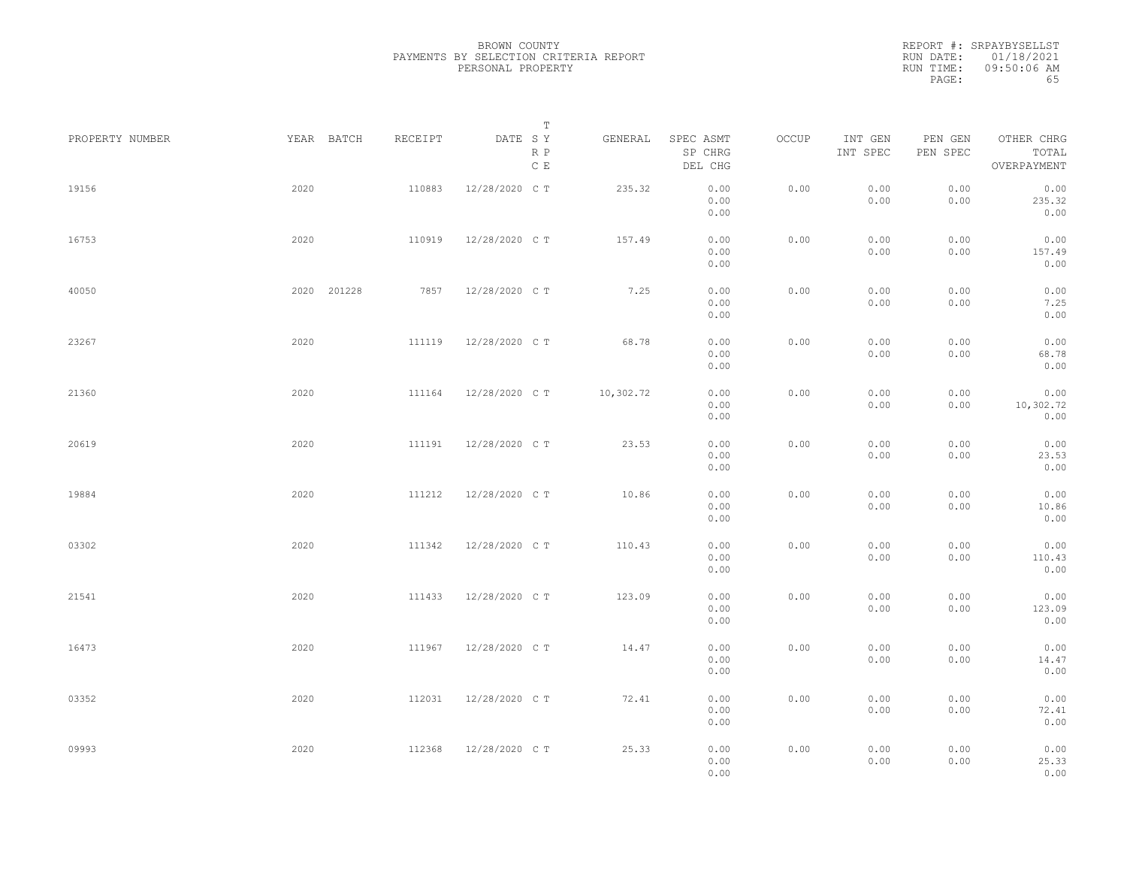|                 |             |         | Т                               |           |                                 |       |                     |                     |                                    |  |
|-----------------|-------------|---------|---------------------------------|-----------|---------------------------------|-------|---------------------|---------------------|------------------------------------|--|
| PROPERTY NUMBER | YEAR BATCH  | RECEIPT | DATE SY<br>R P<br>$\,$ C $\,$ E | GENERAL   | SPEC ASMT<br>SP CHRG<br>DEL CHG | OCCUP | INT GEN<br>INT SPEC | PEN GEN<br>PEN SPEC | OTHER CHRG<br>TOTAL<br>OVERPAYMENT |  |
| 19156           | 2020        | 110883  | 12/28/2020 C T                  | 235.32    | 0.00<br>0.00<br>0.00            | 0.00  | 0.00<br>0.00        | 0.00<br>0.00        | 0.00<br>235.32<br>0.00             |  |
| 16753           | 2020        | 110919  | 12/28/2020 C T                  | 157.49    | 0.00<br>0.00<br>0.00            | 0.00  | 0.00<br>0.00        | 0.00<br>0.00        | 0.00<br>157.49<br>0.00             |  |
| 40050           | 2020 201228 | 7857    | 12/28/2020 C T                  | 7.25      | 0.00<br>0.00<br>0.00            | 0.00  | 0.00<br>0.00        | 0.00<br>0.00        | 0.00<br>7.25<br>0.00               |  |
| 23267           | 2020        | 111119  | 12/28/2020 C T                  | 68.78     | 0.00<br>0.00<br>0.00            | 0.00  | 0.00<br>0.00        | 0.00<br>0.00        | 0.00<br>68.78<br>0.00              |  |
| 21360           | 2020        | 111164  | 12/28/2020 C T                  | 10,302.72 | 0.00<br>0.00<br>0.00            | 0.00  | 0.00<br>0.00        | 0.00<br>0.00        | 0.00<br>10,302.72<br>0.00          |  |
| 20619           | 2020        | 111191  | 12/28/2020 C T                  | 23.53     | 0.00<br>0.00<br>0.00            | 0.00  | 0.00<br>0.00        | 0.00<br>0.00        | 0.00<br>23.53<br>0.00              |  |
| 19884           | 2020        | 111212  | 12/28/2020 C T                  | 10.86     | 0.00<br>0.00<br>0.00            | 0.00  | 0.00<br>0.00        | 0.00<br>0.00        | 0.00<br>10.86<br>0.00              |  |
| 03302           | 2020        | 111342  | 12/28/2020 C T                  | 110.43    | 0.00<br>0.00<br>0.00            | 0.00  | 0.00<br>0.00        | 0.00<br>0.00        | 0.00<br>110.43<br>0.00             |  |
| 21541           | 2020        | 111433  | 12/28/2020 C T                  | 123.09    | 0.00<br>0.00<br>0.00            | 0.00  | 0.00<br>0.00        | 0.00<br>0.00        | 0.00<br>123.09<br>0.00             |  |
| 16473           | 2020        | 111967  | 12/28/2020 C T                  | 14.47     | 0.00<br>0.00<br>0.00            | 0.00  | 0.00<br>0.00        | 0.00<br>0.00        | 0.00<br>14.47<br>0.00              |  |
| 03352           | 2020        | 112031  | 12/28/2020 C T                  | 72.41     | 0.00<br>0.00<br>0.00            | 0.00  | 0.00<br>0.00        | 0.00<br>0.00        | 0.00<br>72.41<br>0.00              |  |
| 09993           | 2020        | 112368  | 12/28/2020 C T                  | 25.33     | 0.00<br>0.00<br>0.00            | 0.00  | 0.00<br>0.00        | 0.00<br>0.00        | 0.00<br>25.33<br>0.00              |  |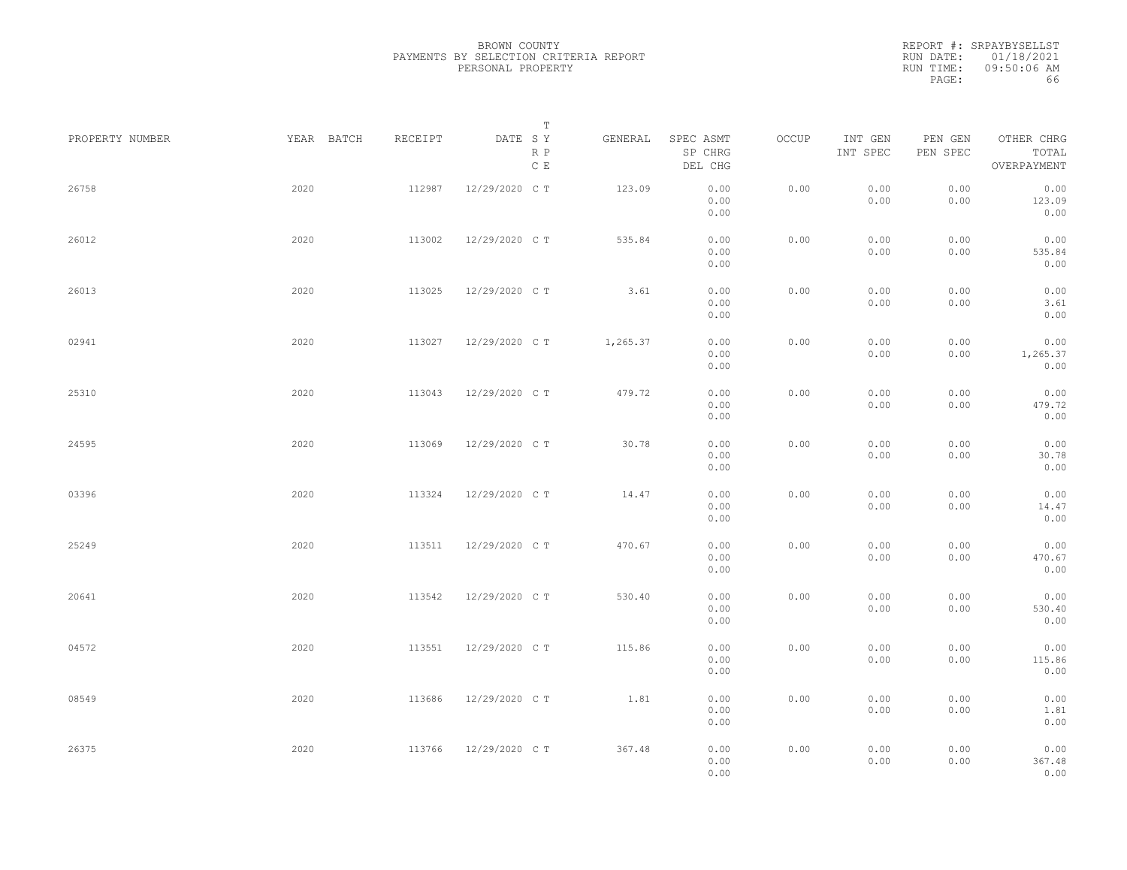|                 |            |         | Т                               |          |                                 |       |                     |                     |                                    |  |
|-----------------|------------|---------|---------------------------------|----------|---------------------------------|-------|---------------------|---------------------|------------------------------------|--|
| PROPERTY NUMBER | YEAR BATCH | RECEIPT | DATE SY<br>R P<br>$\,$ C $\,$ E | GENERAL  | SPEC ASMT<br>SP CHRG<br>DEL CHG | OCCUP | INT GEN<br>INT SPEC | PEN GEN<br>PEN SPEC | OTHER CHRG<br>TOTAL<br>OVERPAYMENT |  |
| 26758           | 2020       | 112987  | 12/29/2020 C T                  | 123.09   | 0.00<br>0.00<br>0.00            | 0.00  | 0.00<br>0.00        | 0.00<br>0.00        | 0.00<br>123.09<br>0.00             |  |
| 26012           | 2020       | 113002  | 12/29/2020 C T                  | 535.84   | 0.00<br>0.00<br>0.00            | 0.00  | 0.00<br>0.00        | 0.00<br>0.00        | 0.00<br>535.84<br>0.00             |  |
| 26013           | 2020       | 113025  | 12/29/2020 C T                  | 3.61     | 0.00<br>0.00<br>0.00            | 0.00  | 0.00<br>0.00        | 0.00<br>0.00        | 0.00<br>3.61<br>0.00               |  |
| 02941           | 2020       | 113027  | 12/29/2020 C T                  | 1,265.37 | 0.00<br>0.00<br>0.00            | 0.00  | 0.00<br>0.00        | 0.00<br>0.00        | 0.00<br>1,265.37<br>0.00           |  |
| 25310           | 2020       | 113043  | 12/29/2020 C T                  | 479.72   | 0.00<br>0.00<br>0.00            | 0.00  | 0.00<br>0.00        | 0.00<br>0.00        | 0.00<br>479.72<br>0.00             |  |
| 24595           | 2020       | 113069  | 12/29/2020 C T                  | 30.78    | 0.00<br>0.00<br>0.00            | 0.00  | 0.00<br>0.00        | 0.00<br>0.00        | 0.00<br>30.78<br>0.00              |  |
| 03396           | 2020       | 113324  | 12/29/2020 C T                  | 14.47    | 0.00<br>0.00<br>0.00            | 0.00  | 0.00<br>0.00        | 0.00<br>0.00        | 0.00<br>14.47<br>0.00              |  |
| 25249           | 2020       | 113511  | 12/29/2020 C T                  | 470.67   | 0.00<br>0.00<br>0.00            | 0.00  | 0.00<br>0.00        | 0.00<br>0.00        | 0.00<br>470.67<br>0.00             |  |
| 20641           | 2020       | 113542  | 12/29/2020 C T                  | 530.40   | 0.00<br>0.00<br>0.00            | 0.00  | 0.00<br>0.00        | 0.00<br>0.00        | 0.00<br>530.40<br>0.00             |  |
| 04572           | 2020       | 113551  | 12/29/2020 C T                  | 115.86   | 0.00<br>0.00<br>0.00            | 0.00  | 0.00<br>0.00        | 0.00<br>0.00        | 0.00<br>115.86<br>0.00             |  |
| 08549           | 2020       | 113686  | 12/29/2020 C T                  | 1.81     | 0.00<br>0.00<br>0.00            | 0.00  | 0.00<br>0.00        | 0.00<br>0.00        | 0.00<br>1.81<br>0.00               |  |
| 26375           | 2020       | 113766  | 12/29/2020 C T                  | 367.48   | 0.00<br>0.00<br>0.00            | 0.00  | 0.00<br>0.00        | 0.00<br>0.00        | 0.00<br>367.48<br>0.00             |  |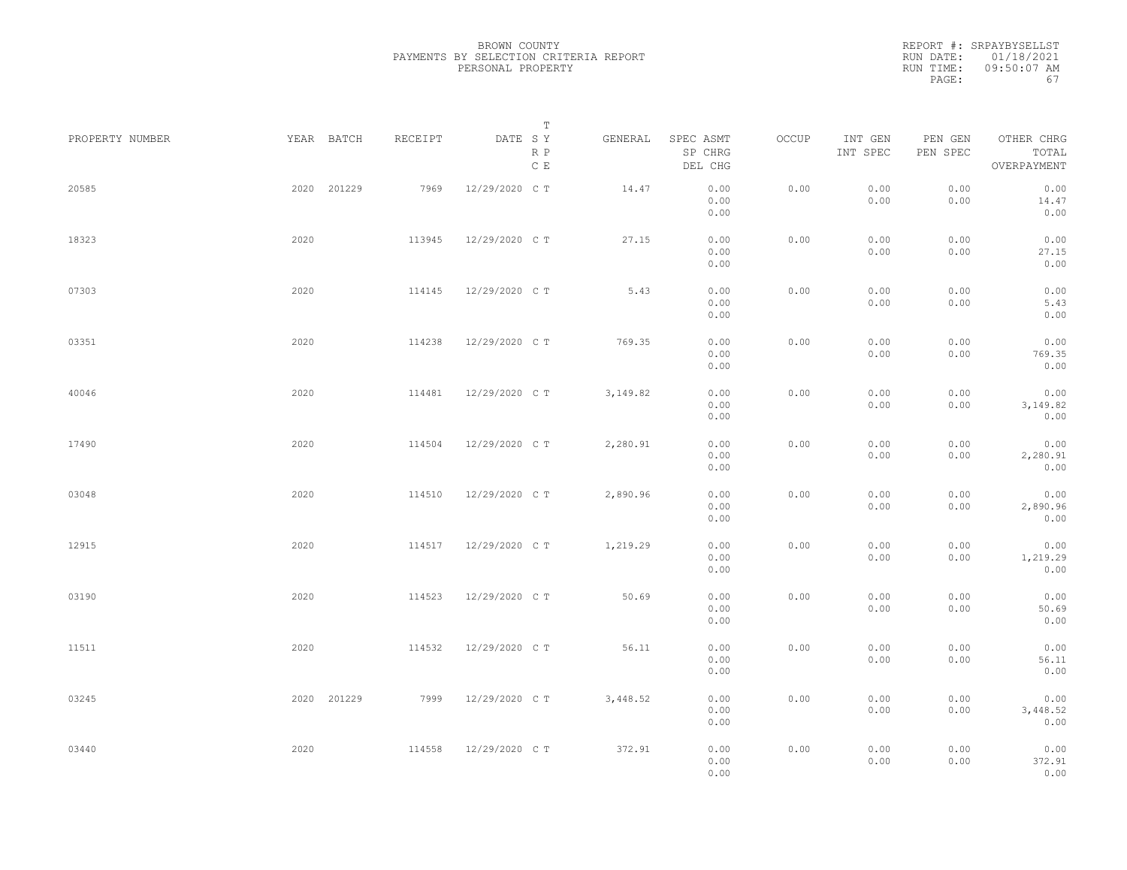| PROPERTY NUMBER |      | YEAR BATCH  | RECEIPT | DATE SY        | T<br>R P<br>$\mathbb C\,$ E | GENERAL  | SPEC ASMT<br>SP CHRG<br>DEL CHG | OCCUP | INT GEN<br>INT SPEC | PEN GEN<br>PEN SPEC | OTHER CHRG<br>TOTAL<br>OVERPAYMENT |  |
|-----------------|------|-------------|---------|----------------|-----------------------------|----------|---------------------------------|-------|---------------------|---------------------|------------------------------------|--|
| 20585           |      | 2020 201229 | 7969    | 12/29/2020 C T |                             | 14.47    | 0.00<br>0.00<br>0.00            | 0.00  | 0.00<br>0.00        | 0.00<br>0.00        | 0.00<br>14.47<br>0.00              |  |
| 18323           | 2020 |             | 113945  | 12/29/2020 C T |                             | 27.15    | 0.00<br>0.00                    | 0.00  | 0.00<br>0.00        | 0.00<br>0.00        | 0.00<br>27.15                      |  |
| 07303           | 2020 |             | 114145  | 12/29/2020 C T |                             | 5.43     | 0.00<br>0.00<br>0.00            | 0.00  | 0.00<br>0.00        | 0.00<br>0.00        | 0.00<br>0.00<br>5.43               |  |
| 03351           | 2020 |             | 114238  | 12/29/2020 C T |                             | 769.35   | 0.00<br>0.00<br>0.00            | 0.00  | 0.00<br>0.00        | 0.00<br>0.00        | 0.00<br>0.00<br>769.35             |  |
| 40046           | 2020 |             | 114481  | 12/29/2020 C T |                             | 3,149.82 | 0.00<br>0.00<br>0.00            | 0.00  | 0.00<br>0.00        | 0.00<br>0.00        | 0.00<br>0.00<br>3,149.82           |  |
| 17490           | 2020 |             | 114504  | 12/29/2020 C T |                             | 2,280.91 | 0.00<br>0.00<br>0.00            | 0.00  | 0.00<br>0.00        | 0.00<br>0.00        | 0.00<br>0.00<br>2,280.91           |  |
| 03048           | 2020 |             | 114510  | 12/29/2020 C T |                             | 2,890.96 | 0.00<br>0.00                    | 0.00  | 0.00                | 0.00                | 0.00<br>0.00                       |  |
| 12915           | 2020 |             | 114517  | 12/29/2020 C T |                             | 1,219.29 | 0.00<br>0.00<br>0.00            | 0.00  | 0.00<br>0.00        | 0.00<br>0.00        | 2,890.96<br>0.00<br>0.00           |  |
|                 |      |             |         |                |                             |          | 0.00<br>0.00                    |       | 0.00                | 0.00                | 1,219.29<br>0.00                   |  |
| 03190           | 2020 |             | 114523  | 12/29/2020 C T |                             | 50.69    | 0.00<br>0.00<br>0.00            | 0.00  | 0.00<br>0.00        | 0.00<br>0.00        | 0.00<br>50.69<br>0.00              |  |
| 11511           | 2020 |             | 114532  | 12/29/2020 C T |                             | 56.11    | 0.00<br>0.00<br>0.00            | 0.00  | 0.00<br>0.00        | 0.00<br>0.00        | 0.00<br>56.11<br>0.00              |  |
| 03245           |      | 2020 201229 | 7999    | 12/29/2020 C T |                             | 3,448.52 | 0.00<br>0.00<br>0.00            | 0.00  | 0.00<br>0.00        | 0.00<br>0.00        | 0.00<br>3,448.52<br>0.00           |  |
| 03440           | 2020 |             | 114558  | 12/29/2020 C T |                             | 372.91   | 0.00<br>0.00<br>0.00            | 0.00  | 0.00<br>0.00        | 0.00<br>0.00        | 0.00<br>372.91<br>0.00             |  |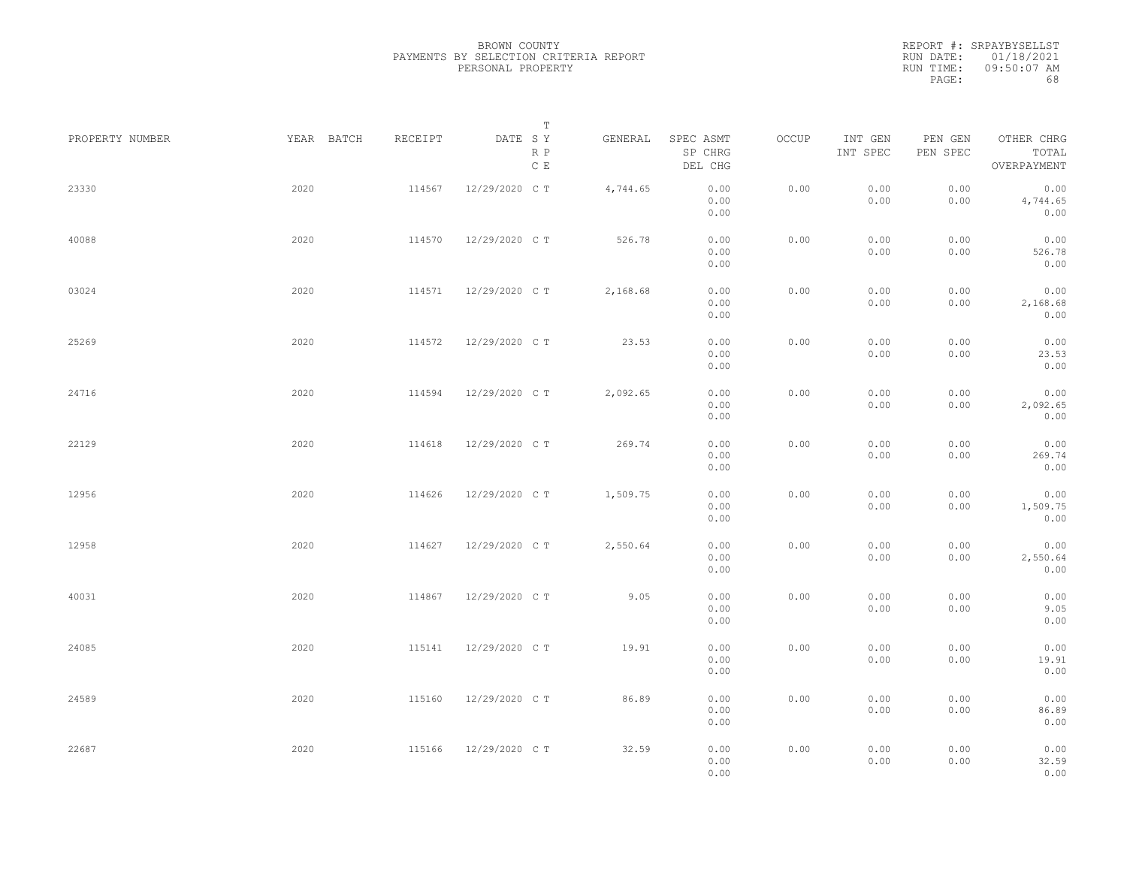|                 |            |         | Т                               |          |                                 |       |                     |                     |                                    |  |
|-----------------|------------|---------|---------------------------------|----------|---------------------------------|-------|---------------------|---------------------|------------------------------------|--|
| PROPERTY NUMBER | YEAR BATCH | RECEIPT | DATE SY<br>R P<br>$\,$ C $\,$ E | GENERAL  | SPEC ASMT<br>SP CHRG<br>DEL CHG | OCCUP | INT GEN<br>INT SPEC | PEN GEN<br>PEN SPEC | OTHER CHRG<br>TOTAL<br>OVERPAYMENT |  |
| 23330           | 2020       | 114567  | 12/29/2020 C T                  | 4,744.65 | 0.00<br>0.00<br>0.00            | 0.00  | 0.00<br>0.00        | 0.00<br>0.00        | 0.00<br>4,744.65<br>0.00           |  |
| 40088           | 2020       | 114570  | 12/29/2020 C T                  | 526.78   | 0.00<br>0.00<br>0.00            | 0.00  | 0.00<br>0.00        | 0.00<br>0.00        | 0.00<br>526.78<br>0.00             |  |
| 03024           | 2020       | 114571  | 12/29/2020 C T                  | 2,168.68 | 0.00<br>0.00<br>0.00            | 0.00  | 0.00<br>0.00        | 0.00<br>0.00        | 0.00<br>2,168.68<br>0.00           |  |
| 25269           | 2020       | 114572  | 12/29/2020 C T                  | 23.53    | 0.00<br>0.00<br>0.00            | 0.00  | 0.00<br>0.00        | 0.00<br>0.00        | 0.00<br>23.53<br>0.00              |  |
| 24716           | 2020       | 114594  | 12/29/2020 C T                  | 2,092.65 | 0.00<br>0.00<br>0.00            | 0.00  | 0.00<br>0.00        | 0.00<br>0.00        | 0.00<br>2,092.65<br>0.00           |  |
| 22129           | 2020       | 114618  | 12/29/2020 C T                  | 269.74   | 0.00<br>0.00<br>0.00            | 0.00  | 0.00<br>0.00        | 0.00<br>0.00        | 0.00<br>269.74<br>0.00             |  |
| 12956           | 2020       | 114626  | 12/29/2020 C T                  | 1,509.75 | 0.00<br>0.00<br>0.00            | 0.00  | 0.00<br>0.00        | 0.00<br>0.00        | 0.00<br>1,509.75<br>0.00           |  |
| 12958           | 2020       | 114627  | 12/29/2020 C T                  | 2,550.64 | 0.00<br>0.00<br>0.00            | 0.00  | 0.00<br>0.00        | 0.00<br>0.00        | 0.00<br>2,550.64<br>0.00           |  |
| 40031           | 2020       | 114867  | 12/29/2020 C T                  | 9.05     | 0.00<br>0.00<br>0.00            | 0.00  | 0.00<br>0.00        | 0.00<br>0.00        | 0.00<br>9.05<br>0.00               |  |
| 24085           | 2020       | 115141  | 12/29/2020 C T                  | 19.91    | 0.00<br>0.00<br>0.00            | 0.00  | 0.00<br>0.00        | 0.00<br>0.00        | 0.00<br>19.91<br>0.00              |  |
| 24589           | 2020       | 115160  | 12/29/2020 C T                  | 86.89    | 0.00<br>0.00<br>0.00            | 0.00  | 0.00<br>0.00        | 0.00<br>0.00        | 0.00<br>86.89<br>0.00              |  |
| 22687           | 2020       | 115166  | 12/29/2020 C T                  | 32.59    | 0.00<br>0.00<br>0.00            | 0.00  | 0.00<br>0.00        | 0.00<br>0.00        | 0.00<br>32.59<br>0.00              |  |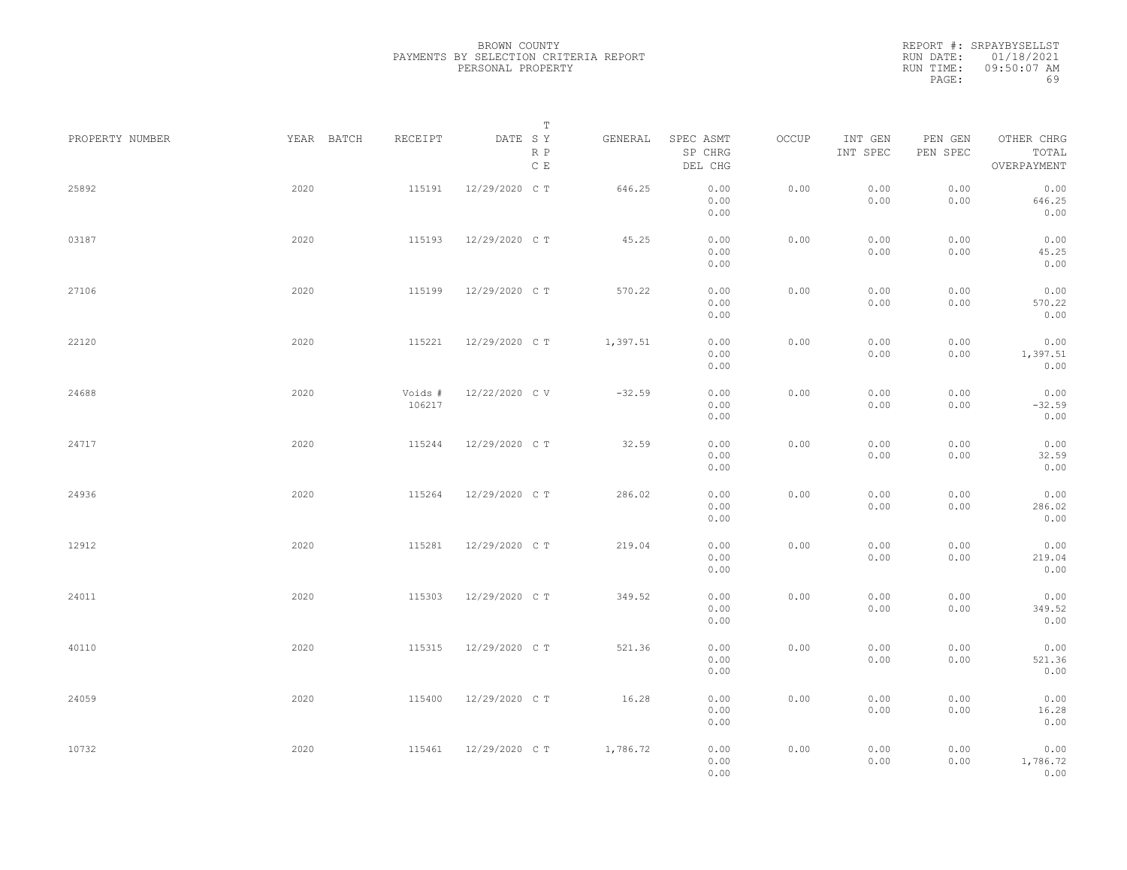|                 |            |                   | Т                               |          |                                 |       |                     |                     |                                    |  |
|-----------------|------------|-------------------|---------------------------------|----------|---------------------------------|-------|---------------------|---------------------|------------------------------------|--|
| PROPERTY NUMBER | YEAR BATCH | RECEIPT           | DATE SY<br>R P<br>$\,$ C $\,$ E | GENERAL  | SPEC ASMT<br>SP CHRG<br>DEL CHG | OCCUP | INT GEN<br>INT SPEC | PEN GEN<br>PEN SPEC | OTHER CHRG<br>TOTAL<br>OVERPAYMENT |  |
| 25892           | 2020       | 115191            | 12/29/2020 C T                  | 646.25   | 0.00<br>0.00<br>0.00            | 0.00  | 0.00<br>0.00        | 0.00<br>0.00        | 0.00<br>646.25<br>0.00             |  |
| 03187           | 2020       | 115193            | 12/29/2020 C T                  | 45.25    | 0.00<br>0.00<br>0.00            | 0.00  | 0.00<br>0.00        | 0.00<br>0.00        | 0.00<br>45.25<br>0.00              |  |
| 27106           | 2020       | 115199            | 12/29/2020 C T                  | 570.22   | 0.00<br>0.00<br>0.00            | 0.00  | 0.00<br>0.00        | 0.00<br>0.00        | 0.00<br>570.22<br>0.00             |  |
| 22120           | 2020       | 115221            | 12/29/2020 C T                  | 1,397.51 | 0.00<br>0.00<br>0.00            | 0.00  | 0.00<br>0.00        | 0.00<br>0.00        | 0.00<br>1,397.51<br>0.00           |  |
| 24688           | 2020       | Voids #<br>106217 | 12/22/2020 CV                   | $-32.59$ | 0.00<br>0.00<br>0.00            | 0.00  | 0.00<br>0.00        | 0.00<br>0.00        | 0.00<br>$-32.59$<br>0.00           |  |
| 24717           | 2020       | 115244            | 12/29/2020 C T                  | 32.59    | 0.00<br>0.00<br>0.00            | 0.00  | 0.00<br>0.00        | 0.00<br>0.00        | 0.00<br>32.59<br>0.00              |  |
| 24936           | 2020       | 115264            | 12/29/2020 C T                  | 286.02   | 0.00<br>0.00<br>0.00            | 0.00  | 0.00<br>0.00        | 0.00<br>0.00        | 0.00<br>286.02<br>0.00             |  |
| 12912           | 2020       | 115281            | 12/29/2020 C T                  | 219.04   | 0.00<br>0.00<br>0.00            | 0.00  | 0.00<br>0.00        | 0.00<br>0.00        | 0.00<br>219.04<br>0.00             |  |
| 24011           | 2020       | 115303            | 12/29/2020 C T                  | 349.52   | 0.00<br>0.00<br>0.00            | 0.00  | 0.00<br>0.00        | 0.00<br>0.00        | 0.00<br>349.52<br>0.00             |  |
| 40110           | 2020       | 115315            | 12/29/2020 C T                  | 521.36   | 0.00<br>0.00<br>0.00            | 0.00  | 0.00<br>0.00        | 0.00<br>0.00        | 0.00<br>521.36<br>0.00             |  |
| 24059           | 2020       | 115400            | 12/29/2020 C T                  | 16.28    | 0.00<br>0.00<br>0.00            | 0.00  | 0.00<br>0.00        | 0.00<br>0.00        | 0.00<br>16.28<br>0.00              |  |
| 10732           | 2020       | 115461            | 12/29/2020 C T                  | 1,786.72 | 0.00<br>0.00<br>0.00            | 0.00  | 0.00<br>0.00        | 0.00<br>0.00        | 0.00<br>1,786.72<br>0.00           |  |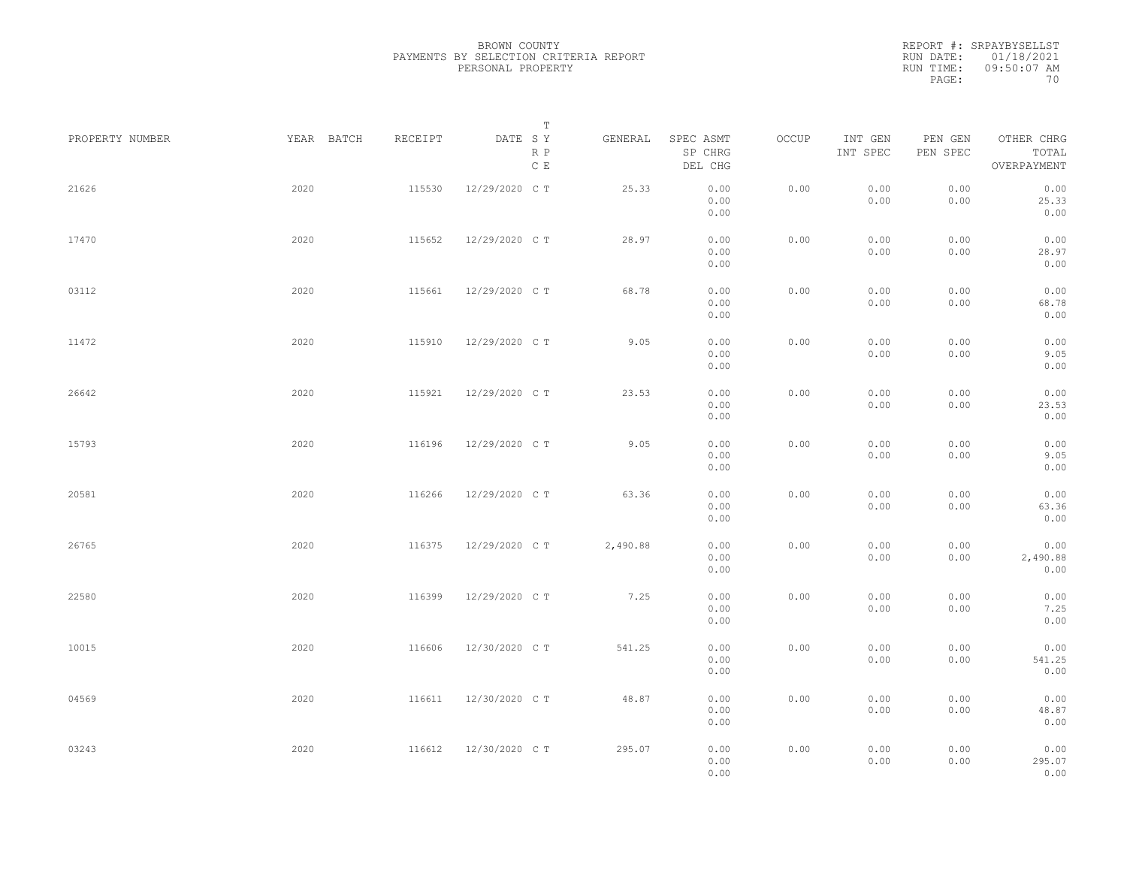|                 |            |         | Т                               |          |                                 |       |                     |                     |                                    |  |
|-----------------|------------|---------|---------------------------------|----------|---------------------------------|-------|---------------------|---------------------|------------------------------------|--|
| PROPERTY NUMBER | YEAR BATCH | RECEIPT | DATE SY<br>R P<br>$\,$ C $\,$ E | GENERAL  | SPEC ASMT<br>SP CHRG<br>DEL CHG | OCCUP | INT GEN<br>INT SPEC | PEN GEN<br>PEN SPEC | OTHER CHRG<br>TOTAL<br>OVERPAYMENT |  |
| 21626           | 2020       | 115530  | 12/29/2020 C T                  | 25.33    | 0.00<br>0.00<br>0.00            | 0.00  | 0.00<br>0.00        | 0.00<br>0.00        | 0.00<br>25.33<br>0.00              |  |
| 17470           | 2020       | 115652  | 12/29/2020 C T                  | 28.97    | 0.00<br>0.00<br>0.00            | 0.00  | 0.00<br>0.00        | 0.00<br>0.00        | 0.00<br>28.97<br>0.00              |  |
| 03112           | 2020       | 115661  | 12/29/2020 C T                  | 68.78    | 0.00<br>0.00<br>0.00            | 0.00  | 0.00<br>0.00        | 0.00<br>0.00        | 0.00<br>68.78<br>0.00              |  |
| 11472           | 2020       | 115910  | 12/29/2020 C T                  | 9.05     | 0.00<br>0.00<br>0.00            | 0.00  | 0.00<br>0.00        | 0.00<br>0.00        | 0.00<br>9.05<br>0.00               |  |
| 26642           | 2020       | 115921  | 12/29/2020 C T                  | 23.53    | 0.00<br>0.00<br>0.00            | 0.00  | 0.00<br>0.00        | 0.00<br>0.00        | 0.00<br>23.53<br>0.00              |  |
| 15793           | 2020       | 116196  | 12/29/2020 C T                  | 9.05     | 0.00<br>0.00<br>0.00            | 0.00  | 0.00<br>0.00        | 0.00<br>0.00        | 0.00<br>9.05<br>0.00               |  |
| 20581           | 2020       | 116266  | 12/29/2020 C T                  | 63.36    | 0.00<br>0.00<br>0.00            | 0.00  | 0.00<br>0.00        | 0.00<br>0.00        | 0.00<br>63.36<br>0.00              |  |
| 26765           | 2020       | 116375  | 12/29/2020 C T                  | 2,490.88 | 0.00<br>0.00<br>0.00            | 0.00  | 0.00<br>0.00        | 0.00<br>0.00        | 0.00<br>2,490.88<br>0.00           |  |
| 22580           | 2020       | 116399  | 12/29/2020 C T                  | 7.25     | 0.00<br>0.00<br>0.00            | 0.00  | 0.00<br>0.00        | 0.00<br>0.00        | 0.00<br>7.25<br>0.00               |  |
| 10015           | 2020       | 116606  | 12/30/2020 C T                  | 541.25   | 0.00<br>0.00<br>0.00            | 0.00  | 0.00<br>0.00        | 0.00<br>0.00        | 0.00<br>541.25<br>0.00             |  |
| 04569           | 2020       | 116611  | 12/30/2020 C T                  | 48.87    | 0.00<br>0.00<br>0.00            | 0.00  | 0.00<br>0.00        | 0.00<br>0.00        | 0.00<br>48.87<br>0.00              |  |
| 03243           | 2020       | 116612  | 12/30/2020 C T                  | 295.07   | 0.00<br>0.00<br>0.00            | 0.00  | 0.00<br>0.00        | 0.00<br>0.00        | 0.00<br>295.07<br>0.00             |  |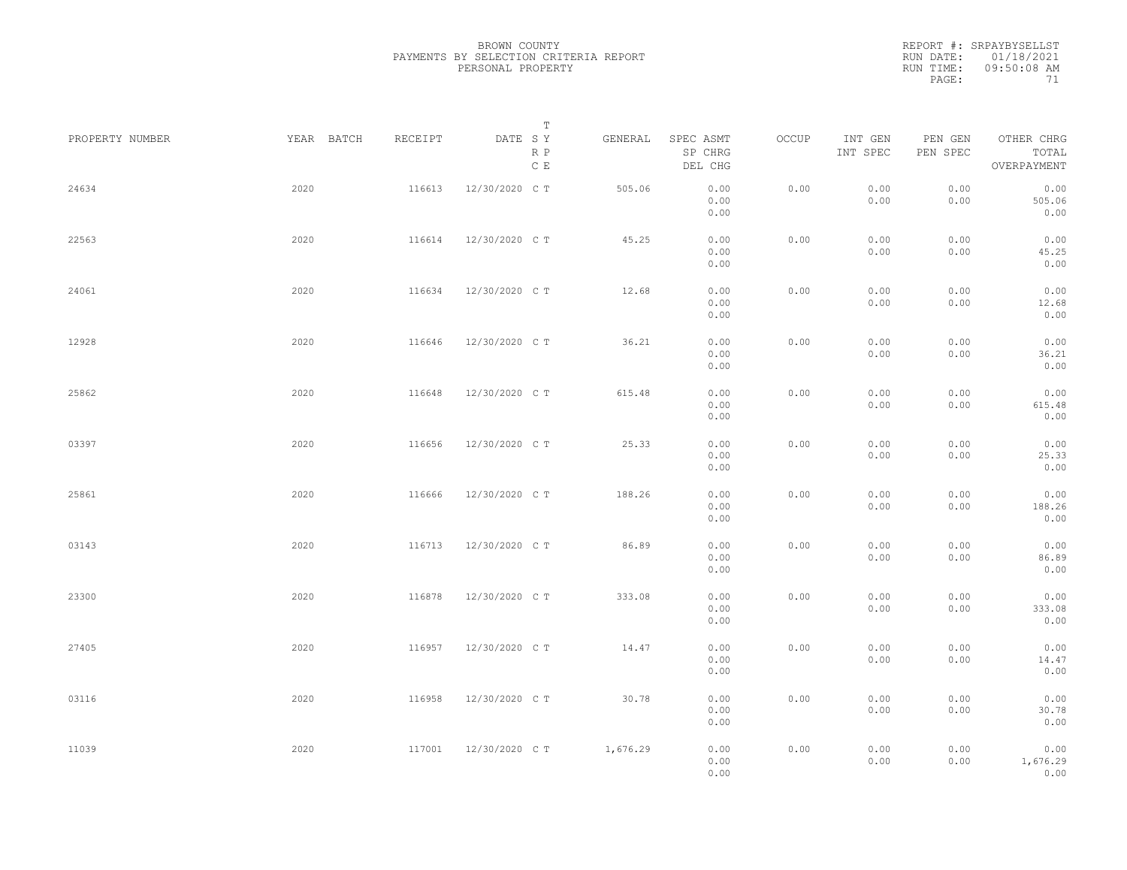| PROPERTY NUMBER | YEAR BATCH | RECEIPT | Т<br>DATE SY         | GENERAL  | SPEC ASMT            | OCCUP | INT GEN      | PEN GEN      | OTHER CHRG               |  |
|-----------------|------------|---------|----------------------|----------|----------------------|-------|--------------|--------------|--------------------------|--|
|                 |            |         | R P<br>$\mathbb C$ E |          | SP CHRG<br>DEL CHG   |       | INT SPEC     | PEN SPEC     | TOTAL<br>OVERPAYMENT     |  |
| 24634           | 2020       | 116613  | 12/30/2020 C T       | 505.06   | 0.00<br>0.00<br>0.00 | 0.00  | 0.00<br>0.00 | 0.00<br>0.00 | 0.00<br>505.06<br>0.00   |  |
| 22563           | 2020       | 116614  | 12/30/2020 C T       | 45.25    | 0.00<br>0.00<br>0.00 | 0.00  | 0.00<br>0.00 | 0.00<br>0.00 | 0.00<br>45.25<br>0.00    |  |
| 24061           | 2020       | 116634  | 12/30/2020 C T       | 12.68    | 0.00<br>0.00<br>0.00 | 0.00  | 0.00<br>0.00 | 0.00<br>0.00 | 0.00<br>12.68<br>0.00    |  |
| 12928           | 2020       | 116646  | 12/30/2020 C T       | 36.21    | 0.00<br>0.00<br>0.00 | 0.00  | 0.00<br>0.00 | 0.00<br>0.00 | 0.00<br>36.21<br>0.00    |  |
| 25862           | 2020       | 116648  | 12/30/2020 C T       | 615.48   | 0.00<br>0.00<br>0.00 | 0.00  | 0.00<br>0.00 | 0.00<br>0.00 | 0.00<br>615.48<br>0.00   |  |
| 03397           | 2020       | 116656  | 12/30/2020 C T       | 25.33    | 0.00<br>0.00<br>0.00 | 0.00  | 0.00<br>0.00 | 0.00<br>0.00 | 0.00<br>25.33<br>0.00    |  |
| 25861           | 2020       | 116666  | 12/30/2020 C T       | 188.26   | 0.00<br>0.00<br>0.00 | 0.00  | 0.00<br>0.00 | 0.00<br>0.00 | 0.00<br>188.26<br>0.00   |  |
| 03143           | 2020       | 116713  | 12/30/2020 C T       | 86.89    | 0.00<br>0.00<br>0.00 | 0.00  | 0.00<br>0.00 | 0.00<br>0.00 | 0.00<br>86.89<br>0.00    |  |
| 23300           | 2020       | 116878  | 12/30/2020 C T       | 333.08   | 0.00<br>0.00<br>0.00 | 0.00  | 0.00<br>0.00 | 0.00<br>0.00 | 0.00<br>333.08<br>0.00   |  |
| 27405           | 2020       | 116957  | 12/30/2020 C T       | 14.47    | 0.00<br>0.00<br>0.00 | 0.00  | 0.00<br>0.00 | 0.00<br>0.00 | 0.00<br>14.47<br>0.00    |  |
| 03116           | 2020       | 116958  | 12/30/2020 C T       | 30.78    | 0.00<br>0.00<br>0.00 | 0.00  | 0.00<br>0.00 | 0.00<br>0.00 | 0.00<br>30.78<br>0.00    |  |
| 11039           | 2020       | 117001  | 12/30/2020 C T       | 1,676.29 | 0.00<br>0.00<br>0.00 | 0.00  | 0.00<br>0.00 | 0.00<br>0.00 | 0.00<br>1,676.29<br>0.00 |  |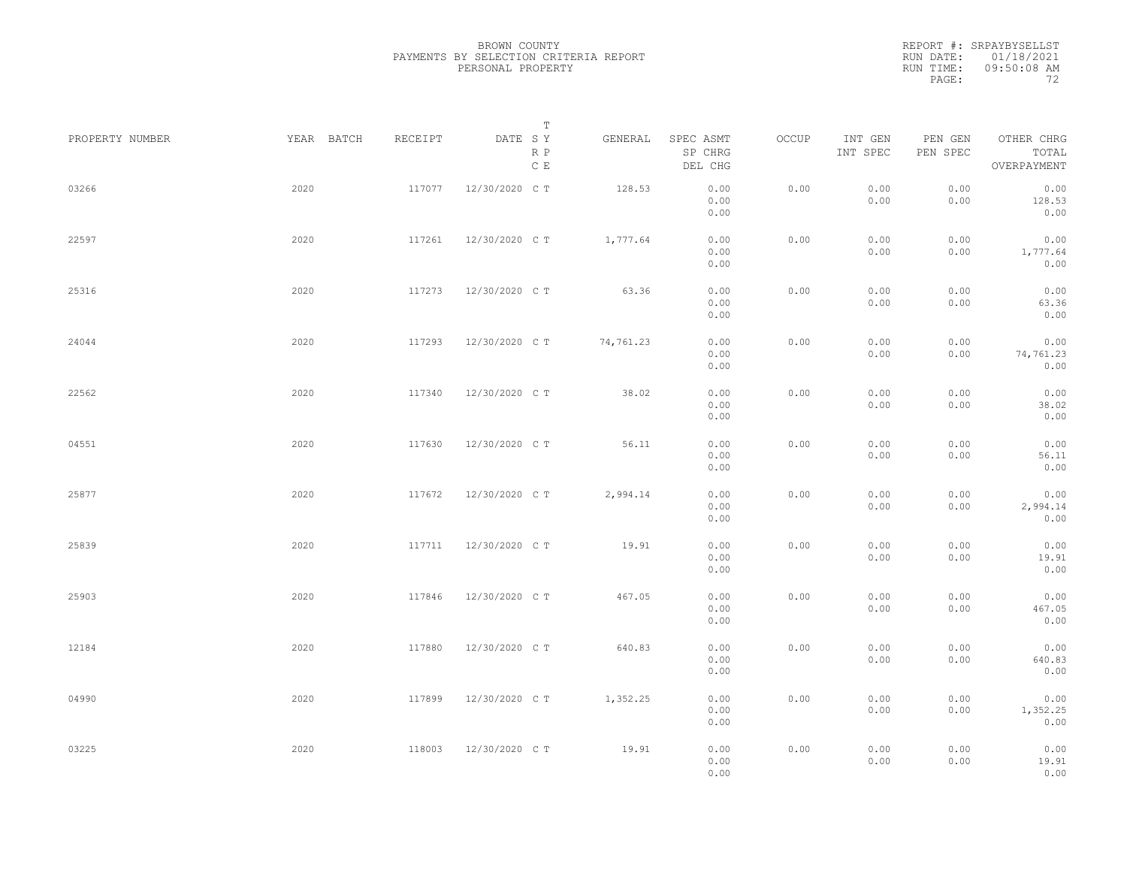|                 |            |         | Т                               |           |                                 |       |                     |                     |                                    |
|-----------------|------------|---------|---------------------------------|-----------|---------------------------------|-------|---------------------|---------------------|------------------------------------|
| PROPERTY NUMBER | YEAR BATCH | RECEIPT | DATE SY<br>R P<br>$\,$ C $\,$ E | GENERAL   | SPEC ASMT<br>SP CHRG<br>DEL CHG | OCCUP | INT GEN<br>INT SPEC | PEN GEN<br>PEN SPEC | OTHER CHRG<br>TOTAL<br>OVERPAYMENT |
| 03266           | 2020       | 117077  | 12/30/2020 C T                  | 128.53    | 0.00<br>0.00<br>0.00            | 0.00  | 0.00<br>0.00        | 0.00<br>0.00        | 0.00<br>128.53<br>0.00             |
| 22597           | 2020       | 117261  | 12/30/2020 C T                  | 1,777.64  | 0.00<br>0.00<br>0.00            | 0.00  | 0.00<br>0.00        | 0.00<br>0.00        | 0.00<br>1,777.64<br>0.00           |
| 25316           | 2020       | 117273  | 12/30/2020 C T                  | 63.36     | 0.00<br>0.00<br>0.00            | 0.00  | 0.00<br>0.00        | 0.00<br>0.00        | 0.00<br>63.36<br>0.00              |
| 24044           | 2020       | 117293  | 12/30/2020 C T                  | 74,761.23 | 0.00<br>0.00<br>0.00            | 0.00  | 0.00<br>0.00        | 0.00<br>0.00        | 0.00<br>74,761.23<br>0.00          |
| 22562           | 2020       | 117340  | 12/30/2020 C T                  | 38.02     | 0.00<br>0.00<br>0.00            | 0.00  | 0.00<br>0.00        | 0.00<br>0.00        | 0.00<br>38.02<br>0.00              |
| 04551           | 2020       | 117630  | 12/30/2020 C T                  | 56.11     | 0.00<br>0.00<br>0.00            | 0.00  | 0.00<br>0.00        | 0.00<br>0.00        | 0.00<br>56.11<br>0.00              |
| 25877           | 2020       | 117672  | 12/30/2020 C T                  | 2,994.14  | 0.00<br>0.00<br>0.00            | 0.00  | 0.00<br>0.00        | 0.00<br>0.00        | 0.00<br>2,994.14<br>0.00           |
| 25839           | 2020       | 117711  | 12/30/2020 C T                  | 19.91     | 0.00<br>0.00<br>0.00            | 0.00  | 0.00<br>0.00        | 0.00<br>0.00        | 0.00<br>19.91<br>0.00              |
| 25903           | 2020       | 117846  | 12/30/2020 C T                  | 467.05    | 0.00<br>0.00<br>0.00            | 0.00  | 0.00<br>0.00        | 0.00<br>0.00        | 0.00<br>467.05<br>0.00             |
| 12184           | 2020       | 117880  | 12/30/2020 C T                  | 640.83    | 0.00<br>0.00<br>0.00            | 0.00  | 0.00<br>0.00        | 0.00<br>0.00        | 0.00<br>640.83<br>0.00             |
| 04990           | 2020       | 117899  | 12/30/2020 C T                  | 1,352.25  | 0.00<br>0.00<br>0.00            | 0.00  | 0.00<br>0.00        | 0.00<br>0.00        | 0.00<br>1,352.25<br>0.00           |
| 03225           | 2020       | 118003  | 12/30/2020 C T                  | 19.91     | 0.00<br>0.00<br>0.00            | 0.00  | 0.00<br>0.00        | 0.00<br>0.00        | 0.00<br>19.91<br>0.00              |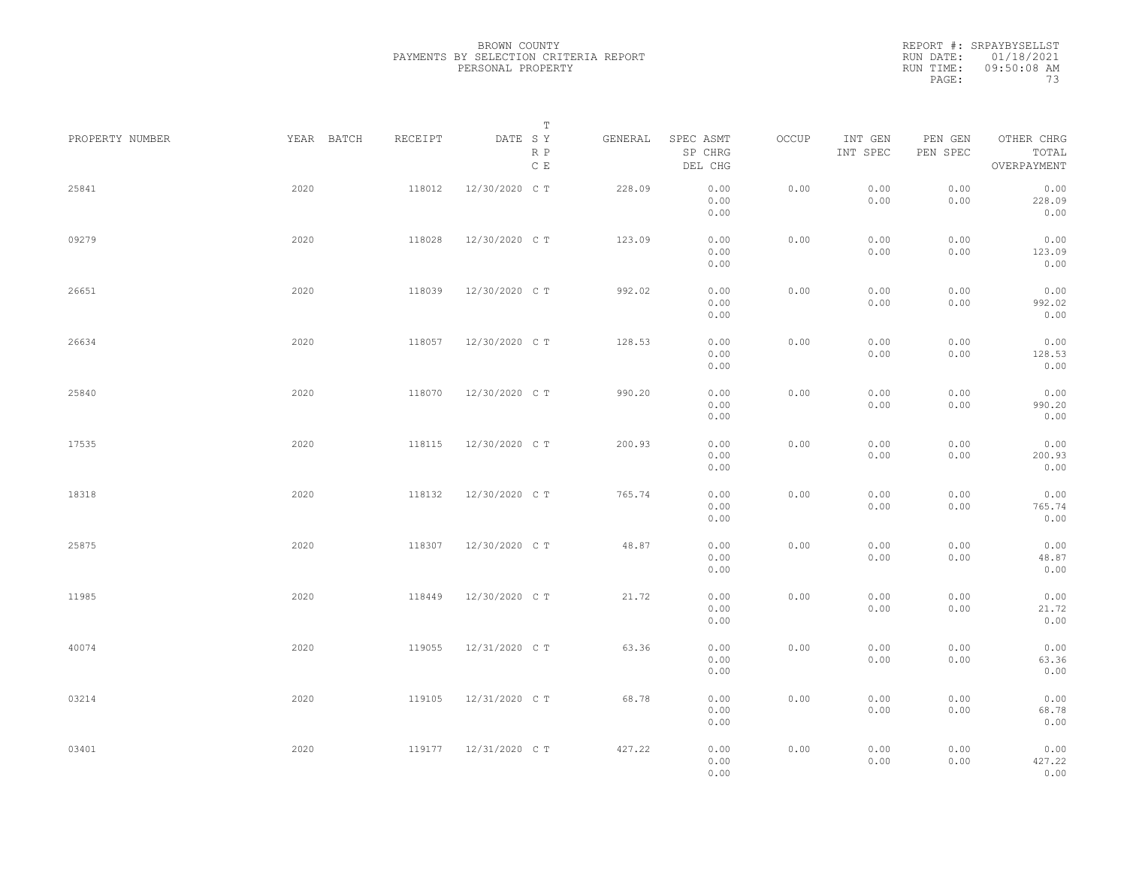REPORT #: SRPAYBYSELLST RUN DATE: 01/18/2021 RUN TIME: 09:50:08 AM PAGE: 73

| PROPERTY NUMBER |      | YEAR BATCH<br>RECEIPT | DATE SY        | Т<br>R P<br>$\,$ C $\,$ E | GENERAL | SPEC ASMT<br>SP CHRG<br>DEL CHG | OCCUP | INT GEN<br>INT SPEC | PEN GEN<br>PEN SPEC | OTHER CHRG<br>TOTAL<br>OVERPAYMENT |  |
|-----------------|------|-----------------------|----------------|---------------------------|---------|---------------------------------|-------|---------------------|---------------------|------------------------------------|--|
| 25841           | 2020 | 118012                | 12/30/2020 C T |                           | 228.09  | 0.00<br>0.00<br>0.00            | 0.00  | 0.00<br>0.00        | 0.00<br>0.00        | 0.00<br>228.09<br>0.00             |  |
| 09279           | 2020 | 118028                | 12/30/2020 C T |                           | 123.09  | 0.00<br>0.00<br>0.00            | 0.00  | 0.00<br>0.00        | 0.00<br>0.00        | 0.00<br>123.09<br>0.00             |  |
| 26651           | 2020 | 118039                | 12/30/2020 C T |                           | 992.02  | 0.00<br>0.00<br>0.00            | 0.00  | 0.00<br>0.00        | 0.00<br>0.00        | 0.00<br>992.02<br>0.00             |  |
| 26634           | 2020 | 118057                | 12/30/2020 C T |                           | 128.53  | 0.00<br>0.00<br>0.00            | 0.00  | 0.00<br>0.00        | 0.00<br>0.00        | 0.00<br>128.53<br>0.00             |  |
| 25840           | 2020 | 118070                | 12/30/2020 C T |                           | 990.20  | 0.00<br>0.00<br>0.00            | 0.00  | 0.00<br>0.00        | 0.00<br>0.00        | 0.00<br>990.20<br>0.00             |  |
| 17535           | 2020 | 118115                | 12/30/2020 C T |                           | 200.93  | 0.00<br>0.00<br>0.00            | 0.00  | 0.00<br>0.00        | 0.00<br>0.00        | 0.00<br>200.93<br>0.00             |  |
| 18318           | 2020 | 118132                | 12/30/2020 C T |                           | 765.74  | 0.00<br>0.00<br>0.00            | 0.00  | 0.00<br>0.00        | 0.00<br>0.00        | 0.00<br>765.74<br>0.00             |  |
| 25875           | 2020 | 118307                | 12/30/2020 C T |                           | 48.87   | 0.00<br>0.00<br>0.00            | 0.00  | 0.00<br>0.00        | 0.00<br>0.00        | 0.00<br>48.87<br>0.00              |  |
| 11985           | 2020 | 118449                | 12/30/2020 C T |                           | 21.72   | 0.00<br>0.00<br>0.00            | 0.00  | 0.00<br>0.00        | 0.00<br>0.00        | 0.00<br>21.72<br>0.00              |  |
| 40074           | 2020 | 119055                | 12/31/2020 C T |                           | 63.36   | 0.00<br>0.00<br>0.00            | 0.00  | 0.00<br>0.00        | 0.00<br>0.00        | 0.00<br>63.36<br>0.00              |  |
| 03214           | 2020 | 119105                | 12/31/2020 C T |                           | 68.78   | 0.00<br>0.00<br>0.00            | 0.00  | 0.00<br>0.00        | 0.00<br>0.00        | 0.00<br>68.78<br>0.00              |  |
| 03401           | 2020 | 119177                | 12/31/2020 C T |                           | 427.22  | 0.00<br>0.00<br>0.00            | 0.00  | 0.00<br>0.00        | 0.00<br>0.00        | 0.00<br>427.22<br>0.00             |  |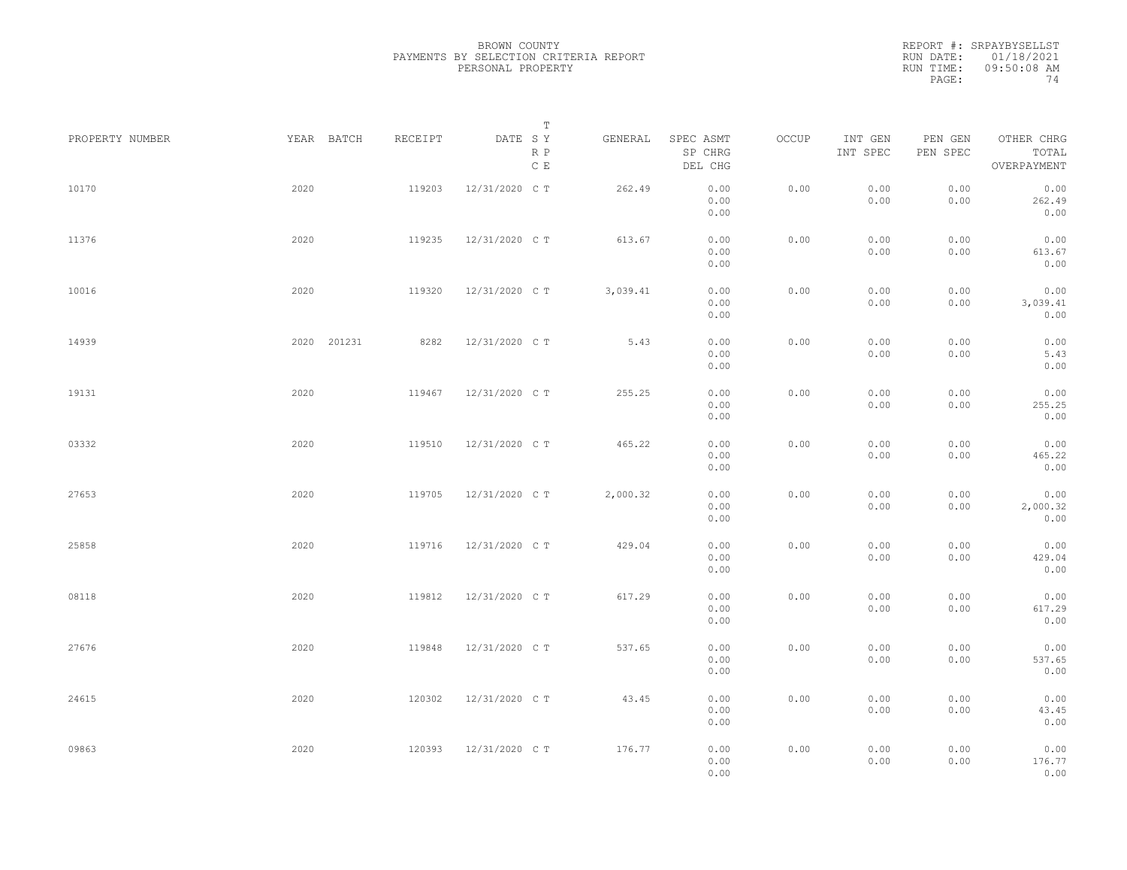|                 |      |             |         |                                 | Т        |                                 |       |                     |                     |                                    |  |
|-----------------|------|-------------|---------|---------------------------------|----------|---------------------------------|-------|---------------------|---------------------|------------------------------------|--|
| PROPERTY NUMBER |      | YEAR BATCH  | RECEIPT | DATE SY<br>R P<br>$\,$ C $\,$ E | GENERAL  | SPEC ASMT<br>SP CHRG<br>DEL CHG | OCCUP | INT GEN<br>INT SPEC | PEN GEN<br>PEN SPEC | OTHER CHRG<br>TOTAL<br>OVERPAYMENT |  |
| 10170           | 2020 |             | 119203  | 12/31/2020 C T                  | 262.49   | 0.00<br>0.00<br>0.00            | 0.00  | 0.00<br>0.00        | 0.00<br>0.00        | 0.00<br>262.49<br>0.00             |  |
| 11376           | 2020 |             | 119235  | 12/31/2020 C T                  | 613.67   | 0.00<br>0.00<br>0.00            | 0.00  | 0.00<br>0.00        | 0.00<br>0.00        | 0.00<br>613.67<br>0.00             |  |
| 10016           | 2020 |             | 119320  | 12/31/2020 C T                  | 3,039.41 | 0.00<br>0.00<br>0.00            | 0.00  | 0.00<br>0.00        | 0.00<br>0.00        | 0.00<br>3,039.41<br>0.00           |  |
| 14939           |      | 2020 201231 | 8282    | 12/31/2020 C T                  | 5.43     | 0.00<br>0.00<br>0.00            | 0.00  | 0.00<br>0.00        | 0.00<br>0.00        | 0.00<br>5.43<br>0.00               |  |
| 19131           | 2020 |             | 119467  | 12/31/2020 C T                  | 255.25   | 0.00<br>0.00<br>0.00            | 0.00  | 0.00<br>0.00        | 0.00<br>0.00        | 0.00<br>255.25<br>0.00             |  |
| 03332           | 2020 |             | 119510  | 12/31/2020 C T                  | 465.22   | 0.00<br>0.00<br>0.00            | 0.00  | 0.00<br>0.00        | 0.00<br>0.00        | 0.00<br>465.22<br>0.00             |  |
| 27653           | 2020 |             | 119705  | 12/31/2020 C T                  | 2,000.32 | 0.00<br>0.00<br>0.00            | 0.00  | 0.00<br>0.00        | 0.00<br>0.00        | 0.00<br>2,000.32<br>0.00           |  |
| 25858           | 2020 |             | 119716  | 12/31/2020 C T                  | 429.04   | 0.00<br>0.00<br>0.00            | 0.00  | 0.00<br>0.00        | 0.00<br>0.00        | 0.00<br>429.04<br>0.00             |  |
| 08118           | 2020 |             | 119812  | 12/31/2020 C T                  | 617.29   | 0.00<br>0.00<br>0.00            | 0.00  | 0.00<br>0.00        | 0.00<br>0.00        | 0.00<br>617.29<br>0.00             |  |
| 27676           | 2020 |             | 119848  | 12/31/2020 C T                  | 537.65   | 0.00<br>0.00<br>0.00            | 0.00  | 0.00<br>0.00        | 0.00<br>0.00        | 0.00<br>537.65<br>0.00             |  |
| 24615           | 2020 |             | 120302  | 12/31/2020 C T                  | 43.45    | 0.00<br>0.00<br>0.00            | 0.00  | 0.00<br>0.00        | 0.00<br>0.00        | 0.00<br>43.45<br>0.00              |  |
| 09863           | 2020 |             | 120393  | 12/31/2020 C T                  | 176.77   | 0.00<br>0.00<br>0.00            | 0.00  | 0.00<br>0.00        | 0.00<br>0.00        | 0.00<br>176.77<br>0.00             |  |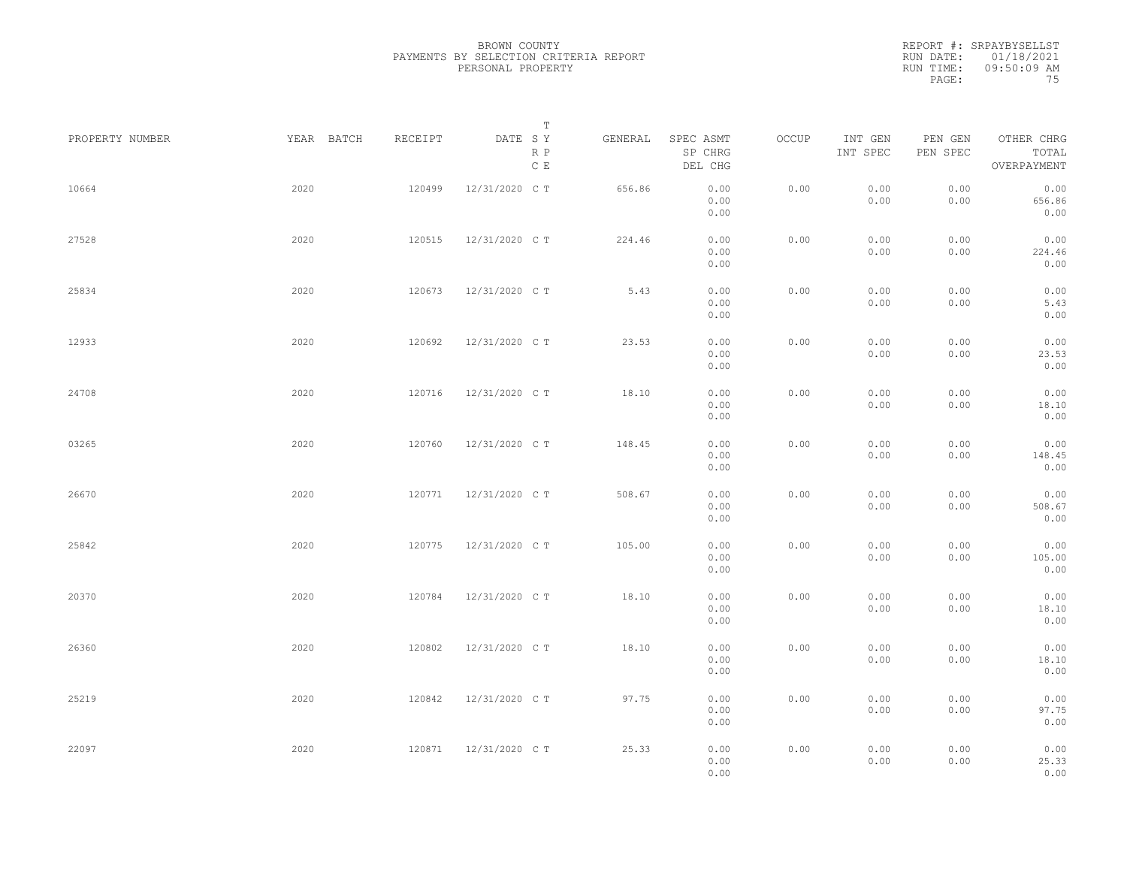|                 |            |         | Т                               |         |                                 |       |                     |                     |                                    |  |
|-----------------|------------|---------|---------------------------------|---------|---------------------------------|-------|---------------------|---------------------|------------------------------------|--|
| PROPERTY NUMBER | YEAR BATCH | RECEIPT | DATE SY<br>R P<br>$\,$ C $\,$ E | GENERAL | SPEC ASMT<br>SP CHRG<br>DEL CHG | OCCUP | INT GEN<br>INT SPEC | PEN GEN<br>PEN SPEC | OTHER CHRG<br>TOTAL<br>OVERPAYMENT |  |
| 10664           | 2020       | 120499  | 12/31/2020 C T                  | 656.86  | 0.00<br>0.00<br>0.00            | 0.00  | 0.00<br>0.00        | 0.00<br>0.00        | 0.00<br>656.86<br>0.00             |  |
| 27528           | 2020       | 120515  | 12/31/2020 C T                  | 224.46  | 0.00<br>0.00<br>0.00            | 0.00  | 0.00<br>0.00        | 0.00<br>0.00        | 0.00<br>224.46<br>0.00             |  |
| 25834           | 2020       | 120673  | 12/31/2020 C T                  | 5.43    | 0.00<br>0.00<br>0.00            | 0.00  | 0.00<br>0.00        | 0.00<br>0.00        | 0.00<br>5.43<br>0.00               |  |
| 12933           | 2020       | 120692  | 12/31/2020 C T                  | 23.53   | 0.00<br>0.00<br>0.00            | 0.00  | 0.00<br>0.00        | 0.00<br>0.00        | 0.00<br>23.53<br>0.00              |  |
| 24708           | 2020       | 120716  | 12/31/2020 C T                  | 18.10   | 0.00<br>0.00<br>0.00            | 0.00  | 0.00<br>0.00        | 0.00<br>0.00        | 0.00<br>18.10<br>0.00              |  |
| 03265           | 2020       | 120760  | 12/31/2020 C T                  | 148.45  | 0.00<br>0.00<br>0.00            | 0.00  | 0.00<br>0.00        | 0.00<br>0.00        | 0.00<br>148.45<br>0.00             |  |
| 26670           | 2020       | 120771  | 12/31/2020 C T                  | 508.67  | 0.00<br>0.00<br>0.00            | 0.00  | 0.00<br>0.00        | 0.00<br>0.00        | 0.00<br>508.67<br>0.00             |  |
| 25842           | 2020       | 120775  | 12/31/2020 C T                  | 105.00  | 0.00<br>0.00<br>0.00            | 0.00  | 0.00<br>0.00        | 0.00<br>0.00        | 0.00<br>105.00<br>0.00             |  |
| 20370           | 2020       | 120784  | 12/31/2020 C T                  | 18.10   | 0.00<br>0.00<br>0.00            | 0.00  | 0.00<br>0.00        | 0.00<br>0.00        | 0.00<br>18.10<br>0.00              |  |
| 26360           | 2020       | 120802  | 12/31/2020 C T                  | 18.10   | 0.00<br>0.00<br>0.00            | 0.00  | 0.00<br>0.00        | 0.00<br>0.00        | 0.00<br>18.10<br>0.00              |  |
| 25219           | 2020       | 120842  | 12/31/2020 C T                  | 97.75   | 0.00<br>0.00<br>0.00            | 0.00  | 0.00<br>0.00        | 0.00<br>0.00        | 0.00<br>97.75<br>0.00              |  |
| 22097           | 2020       | 120871  | 12/31/2020 C T                  | 25.33   | 0.00<br>0.00<br>0.00            | 0.00  | 0.00<br>0.00        | 0.00<br>0.00        | 0.00<br>25.33<br>0.00              |  |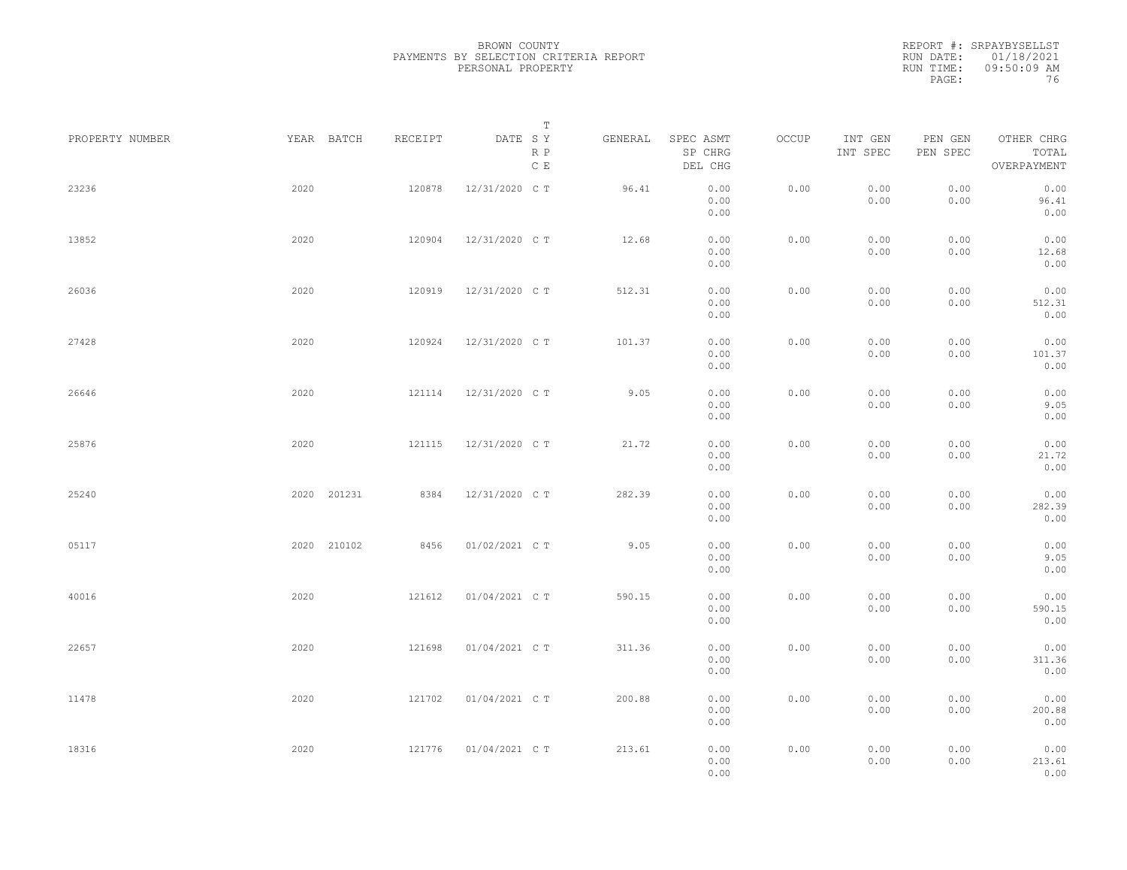|                 |             |         | Т                               |         |                                 |       |                     |                     |                                    |  |
|-----------------|-------------|---------|---------------------------------|---------|---------------------------------|-------|---------------------|---------------------|------------------------------------|--|
| PROPERTY NUMBER | YEAR BATCH  | RECEIPT | DATE SY<br>R P<br>$\,$ C $\,$ E | GENERAL | SPEC ASMT<br>SP CHRG<br>DEL CHG | OCCUP | INT GEN<br>INT SPEC | PEN GEN<br>PEN SPEC | OTHER CHRG<br>TOTAL<br>OVERPAYMENT |  |
| 23236           | 2020        | 120878  | 12/31/2020 C T                  | 96.41   | 0.00<br>0.00<br>0.00            | 0.00  | 0.00<br>0.00        | 0.00<br>0.00        | 0.00<br>96.41<br>0.00              |  |
| 13852           | 2020        | 120904  | 12/31/2020 C T                  | 12.68   | 0.00<br>0.00<br>0.00            | 0.00  | 0.00<br>0.00        | 0.00<br>0.00        | 0.00<br>12.68<br>0.00              |  |
| 26036           | 2020        | 120919  | 12/31/2020 C T                  | 512.31  | 0.00<br>0.00<br>0.00            | 0.00  | 0.00<br>0.00        | 0.00<br>0.00        | 0.00<br>512.31<br>0.00             |  |
| 27428           | 2020        | 120924  | 12/31/2020 C T                  | 101.37  | 0.00<br>0.00<br>0.00            | 0.00  | 0.00<br>0.00        | 0.00<br>0.00        | 0.00<br>101.37<br>0.00             |  |
| 26646           | 2020        | 121114  | 12/31/2020 C T                  | 9.05    | 0.00<br>0.00<br>0.00            | 0.00  | 0.00<br>0.00        | 0.00<br>0.00        | 0.00<br>9.05<br>0.00               |  |
| 25876           | 2020        | 121115  | 12/31/2020 C T                  | 21.72   | 0.00<br>0.00<br>0.00            | 0.00  | 0.00<br>0.00        | 0.00<br>0.00        | 0.00<br>21.72<br>0.00              |  |
| 25240           | 2020 201231 | 8384    | 12/31/2020 C T                  | 282.39  | 0.00<br>0.00<br>0.00            | 0.00  | 0.00<br>0.00        | 0.00<br>0.00        | 0.00<br>282.39<br>0.00             |  |
| 05117           | 2020 210102 | 8456    | 01/02/2021 C T                  | 9.05    | 0.00<br>0.00<br>0.00            | 0.00  | 0.00<br>0.00        | 0.00<br>0.00        | 0.00<br>9.05<br>0.00               |  |
| 40016           | 2020        | 121612  | 01/04/2021 C T                  | 590.15  | 0.00<br>0.00<br>0.00            | 0.00  | 0.00<br>0.00        | 0.00<br>0.00        | 0.00<br>590.15<br>0.00             |  |
| 22657           | 2020        | 121698  | 01/04/2021 C T                  | 311.36  | 0.00<br>0.00<br>0.00            | 0.00  | 0.00<br>0.00        | 0.00<br>0.00        | 0.00<br>311.36<br>0.00             |  |
| 11478           | 2020        | 121702  | 01/04/2021 C T                  | 200.88  | 0.00<br>0.00<br>0.00            | 0.00  | 0.00<br>0.00        | 0.00<br>0.00        | 0.00<br>200.88<br>0.00             |  |
| 18316           | 2020        | 121776  | 01/04/2021 C T                  | 213.61  | 0.00<br>0.00<br>0.00            | 0.00  | 0.00<br>0.00        | 0.00<br>0.00        | 0.00<br>213.61<br>0.00             |  |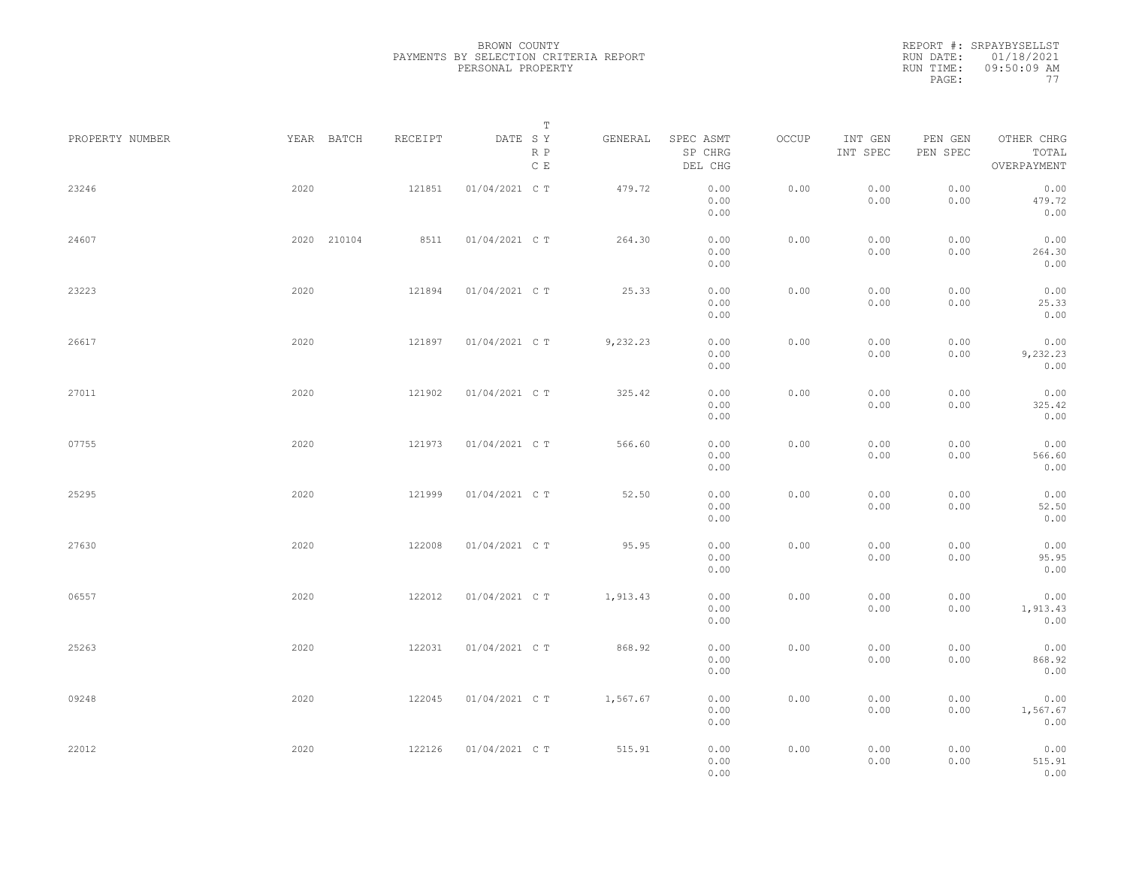REPORT #: SRPAYBYSELLST RUN DATE: 01/18/2021 RUN TIME: 09:50:09 AM PAGE: 77

| PROPERTY NUMBER |      | YEAR BATCH  | RECEIPT | DATE SY        | Т<br>R P<br>$\,$ C $\,$ E | GENERAL  | SPEC ASMT<br>SP CHRG<br>DEL CHG | OCCUP | INT GEN<br>INT SPEC | PEN GEN<br>PEN SPEC | OTHER CHRG<br>TOTAL<br>OVERPAYMENT |  |
|-----------------|------|-------------|---------|----------------|---------------------------|----------|---------------------------------|-------|---------------------|---------------------|------------------------------------|--|
| 23246           | 2020 |             | 121851  | 01/04/2021 C T |                           | 479.72   | 0.00<br>0.00<br>0.00            | 0.00  | 0.00<br>0.00        | 0.00<br>0.00        | 0.00<br>479.72<br>0.00             |  |
| 24607           |      | 2020 210104 | 8511    | 01/04/2021 C T |                           | 264.30   | 0.00<br>0.00<br>0.00            | 0.00  | 0.00<br>0.00        | 0.00<br>0.00        | 0.00<br>264.30<br>0.00             |  |
| 23223           | 2020 |             | 121894  | 01/04/2021 C T |                           | 25.33    | 0.00<br>0.00<br>0.00            | 0.00  | 0.00<br>0.00        | 0.00<br>0.00        | 0.00<br>25.33<br>0.00              |  |
| 26617           | 2020 |             | 121897  | 01/04/2021 C T |                           | 9,232.23 | 0.00<br>0.00<br>0.00            | 0.00  | 0.00<br>0.00        | 0.00<br>0.00        | 0.00<br>9,232.23<br>0.00           |  |
| 27011           | 2020 |             | 121902  | 01/04/2021 C T |                           | 325.42   | 0.00<br>0.00<br>0.00            | 0.00  | 0.00<br>0.00        | 0.00<br>0.00        | 0.00<br>325.42<br>0.00             |  |
| 07755           | 2020 |             | 121973  | 01/04/2021 C T |                           | 566.60   | 0.00<br>0.00<br>0.00            | 0.00  | 0.00<br>0.00        | 0.00<br>0.00        | 0.00<br>566.60<br>0.00             |  |
| 25295           | 2020 |             | 121999  | 01/04/2021 C T |                           | 52.50    | 0.00<br>0.00<br>0.00            | 0.00  | 0.00<br>0.00        | 0.00<br>0.00        | 0.00<br>52.50<br>0.00              |  |
| 27630           | 2020 |             | 122008  | 01/04/2021 C T |                           | 95.95    | 0.00<br>0.00<br>0.00            | 0.00  | 0.00<br>0.00        | 0.00<br>0.00        | 0.00<br>95.95<br>0.00              |  |
| 06557           | 2020 |             | 122012  | 01/04/2021 C T |                           | 1,913.43 | 0.00<br>0.00<br>0.00            | 0.00  | 0.00<br>0.00        | 0.00<br>0.00        | 0.00<br>1,913.43<br>0.00           |  |
| 25263           | 2020 |             | 122031  | 01/04/2021 C T |                           | 868.92   | 0.00<br>0.00<br>0.00            | 0.00  | 0.00<br>0.00        | 0.00<br>0.00        | 0.00<br>868.92<br>0.00             |  |
| 09248           | 2020 |             | 122045  | 01/04/2021 C T |                           | 1,567.67 | 0.00<br>0.00<br>0.00            | 0.00  | 0.00<br>0.00        | 0.00<br>0.00        | 0.00<br>1,567.67<br>0.00           |  |
| 22012           | 2020 |             | 122126  | 01/04/2021 C T |                           | 515.91   | 0.00<br>0.00<br>0.00            | 0.00  | 0.00<br>0.00        | 0.00<br>0.00        | 0.00<br>515.91<br>0.00             |  |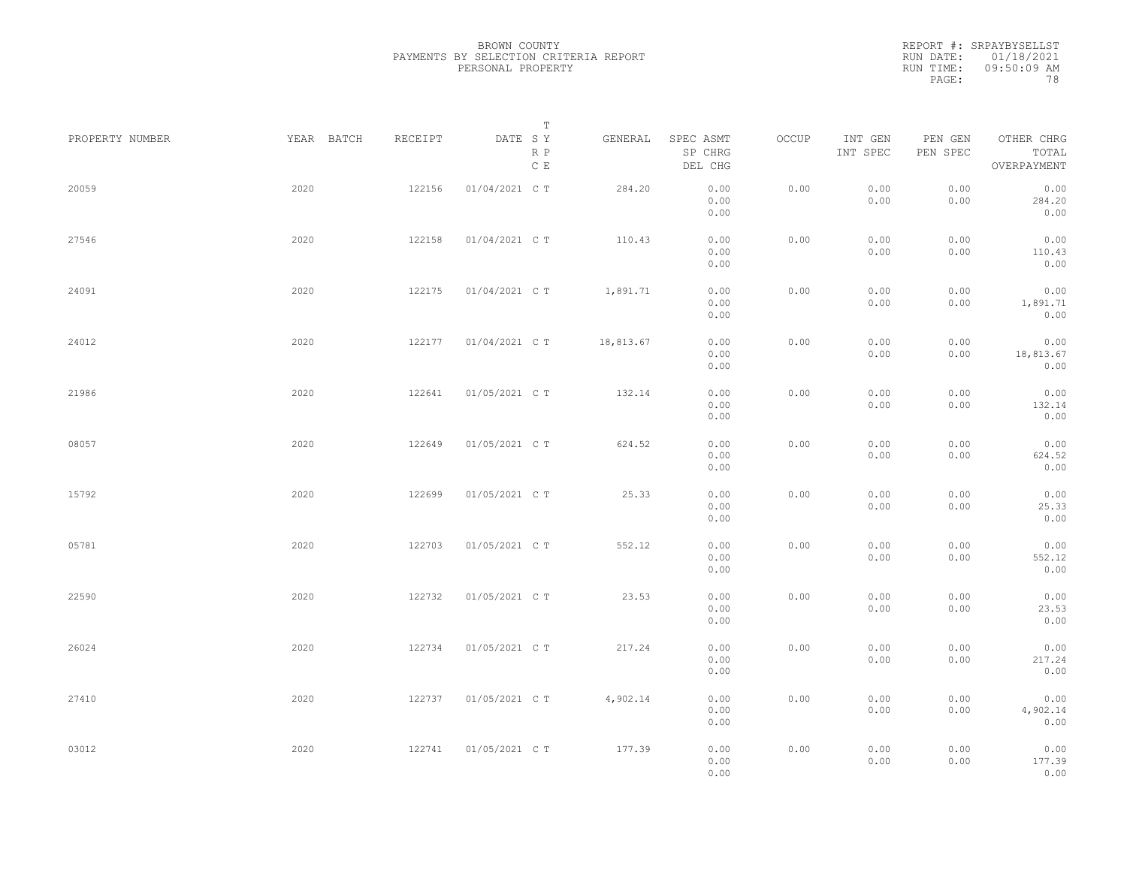REPORT #: SRPAYBYSELLST RUN DATE: 01/18/2021 RUN TIME: 09:50:09 AM PAGE: 78

| PROPERTY NUMBER | YEAR BATCH | RECEIPT | Т<br>DATE SY<br>R P<br>$\,$ C $\,$ E | GENERAL   | SPEC ASMT<br>SP CHRG<br>DEL CHG | OCCUP | INT GEN<br>INT SPEC | PEN GEN<br>PEN SPEC | OTHER CHRG<br>TOTAL<br>OVERPAYMENT |  |
|-----------------|------------|---------|--------------------------------------|-----------|---------------------------------|-------|---------------------|---------------------|------------------------------------|--|
| 20059           | 2020       | 122156  | 01/04/2021 C T                       | 284.20    | 0.00<br>0.00                    | 0.00  | 0.00<br>0.00        | 0.00<br>0.00        | 0.00<br>284.20                     |  |
| 27546           | 2020       | 122158  | 01/04/2021 C T                       | 110.43    | 0.00<br>0.00<br>0.00            | 0.00  | 0.00<br>0.00        | 0.00<br>0.00        | 0.00<br>0.00<br>110.43             |  |
| 24091           | 2020       | 122175  | 01/04/2021 C T                       | 1,891.71  | 0.00<br>0.00<br>0.00            | 0.00  | 0.00<br>0.00        | 0.00<br>0.00        | 0.00<br>0.00<br>1,891.71           |  |
| 24012           | 2020       | 122177  | 01/04/2021 C T                       | 18,813.67 | 0.00<br>0.00<br>0.00            | 0.00  | 0.00<br>0.00        | 0.00<br>0.00        | 0.00<br>0.00<br>18,813.67          |  |
| 21986           | 2020       | 122641  | 01/05/2021 C T                       | 132.14    | 0.00<br>0.00                    | 0.00  | 0.00                | 0.00                | 0.00<br>0.00                       |  |
| 08057           | 2020       | 122649  | 01/05/2021 C T                       | 624.52    | 0.00<br>0.00<br>0.00            | 0.00  | 0.00<br>0.00        | 0.00<br>0.00        | 132.14<br>0.00<br>0.00             |  |
| 15792           | 2020       | 122699  | 01/05/2021 C T                       | 25.33     | 0.00<br>0.00<br>0.00            | 0.00  | 0.00<br>0.00        | 0.00<br>0.00        | 624.52<br>0.00<br>0.00             |  |
|                 |            |         |                                      |           | 0.00<br>0.00                    |       | 0.00                | 0.00                | 25.33<br>0.00                      |  |
| 05781           | 2020       | 122703  | 01/05/2021 C T                       | 552.12    | 0.00<br>0.00<br>0.00            | 0.00  | 0.00<br>0.00        | 0.00<br>0.00        | 0.00<br>552.12<br>0.00             |  |
| 22590           | 2020       | 122732  | 01/05/2021 C T                       | 23.53     | 0.00<br>0.00<br>0.00            | 0.00  | 0.00<br>0.00        | 0.00<br>0.00        | 0.00<br>23.53<br>0.00              |  |
| 26024           | 2020       | 122734  | 01/05/2021 C T                       | 217.24    | 0.00<br>0.00<br>0.00            | 0.00  | 0.00<br>0.00        | 0.00<br>0.00        | 0.00<br>217.24<br>0.00             |  |
| 27410           | 2020       | 122737  | 01/05/2021 C T                       | 4,902.14  | 0.00<br>0.00<br>0.00            | 0.00  | 0.00<br>0.00        | 0.00<br>0.00        | 0.00<br>4,902.14<br>0.00           |  |
| 03012           | 2020       | 122741  | 01/05/2021 C T                       | 177.39    | 0.00<br>0.00<br>0.00            | 0.00  | 0.00<br>0.00        | 0.00<br>0.00        | 0.00<br>177.39<br>0.00             |  |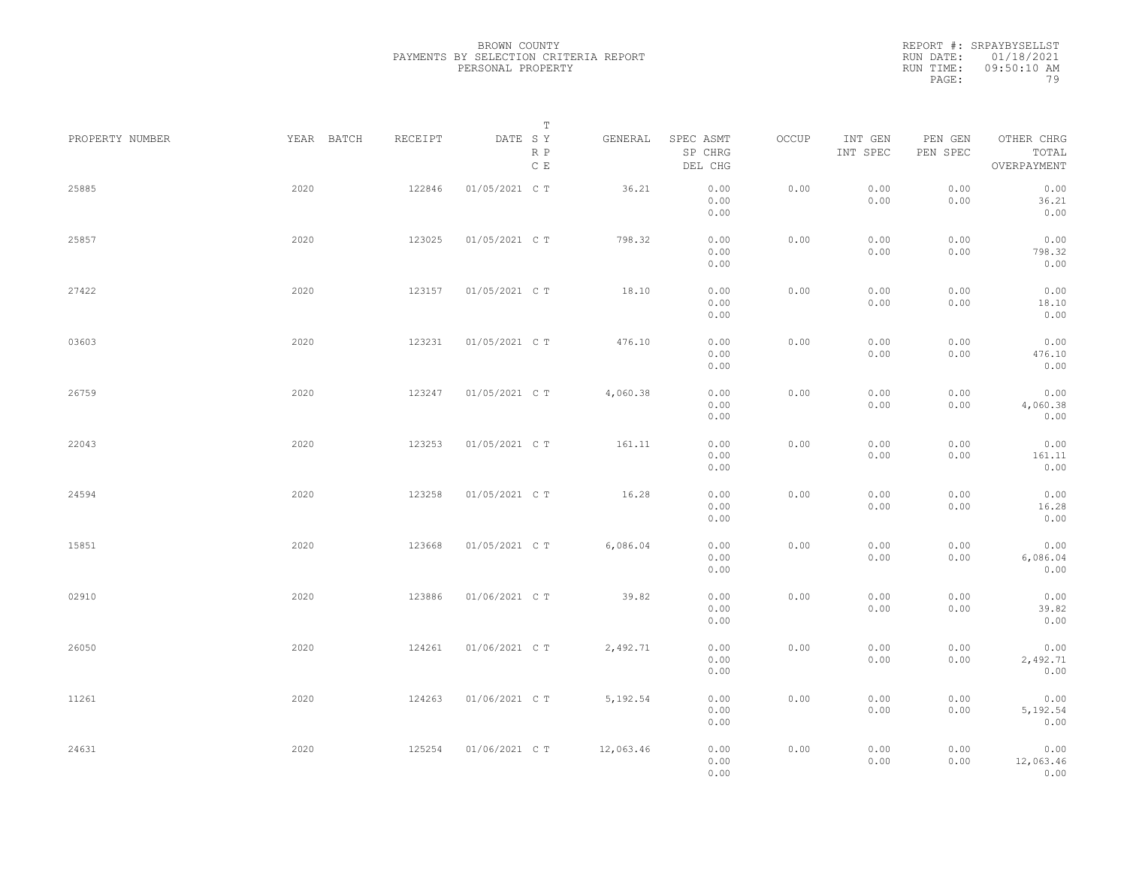REPORT #: SRPAYBYSELLST RUN DATE: 01/18/2021 RUN TIME: 09:50:10 AM PAGE: 79

| PROPERTY NUMBER | YEAR BATCH | RECEIPT | T<br>DATE SY<br>R P<br>$\,$ C $\,$ E | GENERAL   | SPEC ASMT<br>SP CHRG<br>DEL CHG | OCCUP | INT GEN<br>INT SPEC | PEN GEN<br>PEN SPEC | OTHER CHRG<br>TOTAL<br>OVERPAYMENT |  |
|-----------------|------------|---------|--------------------------------------|-----------|---------------------------------|-------|---------------------|---------------------|------------------------------------|--|
| 25885           | 2020       | 122846  | 01/05/2021 C T                       | 36.21     | 0.00<br>0.00<br>0.00            | 0.00  | 0.00<br>0.00        | 0.00<br>0.00        | 0.00<br>36.21<br>0.00              |  |
| 25857           | 2020       | 123025  | 01/05/2021 C T                       | 798.32    | 0.00<br>0.00<br>0.00            | 0.00  | 0.00<br>0.00        | 0.00<br>0.00        | 0.00<br>798.32<br>0.00             |  |
| 27422           | 2020       | 123157  | 01/05/2021 C T                       | 18.10     | 0.00<br>0.00<br>0.00            | 0.00  | 0.00<br>0.00        | 0.00<br>0.00        | 0.00<br>18.10<br>0.00              |  |
| 03603           | 2020       | 123231  | 01/05/2021 C T                       | 476.10    | 0.00<br>0.00<br>0.00            | 0.00  | 0.00<br>0.00        | 0.00<br>0.00        | 0.00<br>476.10<br>0.00             |  |
| 26759           | 2020       | 123247  | 01/05/2021 C T                       | 4,060.38  | 0.00<br>0.00<br>0.00            | 0.00  | 0.00<br>0.00        | 0.00<br>0.00        | 0.00<br>4,060.38<br>0.00           |  |
| 22043           | 2020       | 123253  | 01/05/2021 C T                       | 161.11    | 0.00<br>0.00<br>0.00            | 0.00  | 0.00<br>0.00        | 0.00<br>0.00        | 0.00<br>161.11<br>0.00             |  |
| 24594           | 2020       | 123258  | 01/05/2021 C T                       | 16.28     | 0.00<br>0.00<br>0.00            | 0.00  | 0.00<br>0.00        | 0.00<br>0.00        | 0.00<br>16.28<br>0.00              |  |
| 15851           | 2020       | 123668  | 01/05/2021 C T                       | 6,086.04  | 0.00<br>0.00<br>0.00            | 0.00  | 0.00<br>0.00        | 0.00<br>0.00        | 0.00<br>6,086.04<br>0.00           |  |
| 02910           | 2020       | 123886  | 01/06/2021 C T                       | 39.82     | 0.00<br>0.00<br>0.00            | 0.00  | 0.00<br>0.00        | 0.00<br>0.00        | 0.00<br>39.82<br>0.00              |  |
| 26050           | 2020       | 124261  | 01/06/2021 C T                       | 2,492.71  | 0.00<br>0.00<br>0.00            | 0.00  | 0.00<br>0.00        | 0.00<br>0.00        | 0.00<br>2,492.71<br>0.00           |  |
| 11261           | 2020       | 124263  | 01/06/2021 C T                       | 5,192.54  | 0.00<br>0.00<br>0.00            | 0.00  | 0.00<br>0.00        | 0.00<br>0.00        | 0.00<br>5,192.54<br>0.00           |  |
| 24631           | 2020       | 125254  | 01/06/2021 C T                       | 12,063.46 | 0.00<br>0.00<br>0.00            | 0.00  | 0.00<br>0.00        | 0.00<br>0.00        | 0.00<br>12,063.46<br>0.00          |  |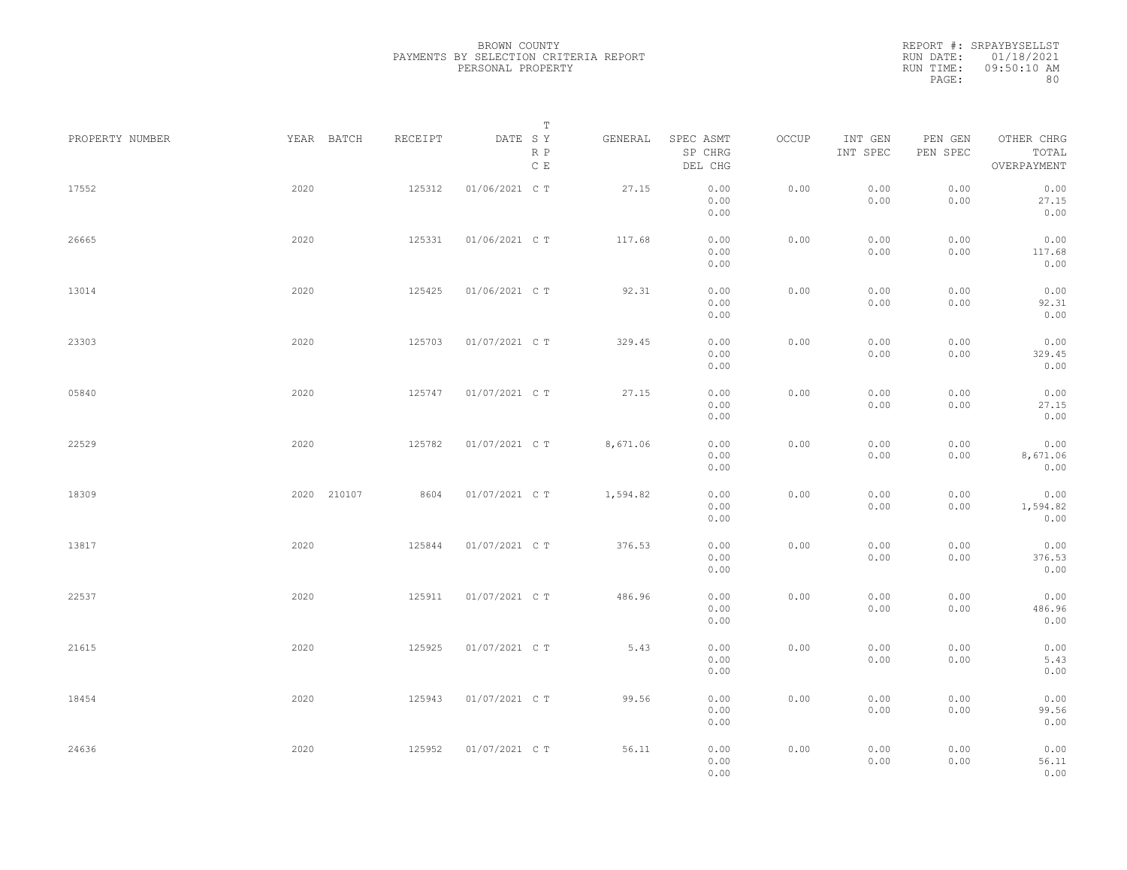REPORT #: SRPAYBYSELLST RUN DATE: 01/18/2021 RUN TIME: 09:50:10 AM PAGE: 80

| PROPERTY NUMBER |      | YEAR BATCH  | RECEIPT | DATE SY        | Т<br>R P<br>C E | GENERAL  | SPEC ASMT<br>SP CHRG<br>DEL CHG | OCCUP | INT GEN<br>INT SPEC | PEN GEN<br>PEN SPEC | OTHER CHRG<br>TOTAL<br>OVERPAYMENT |  |
|-----------------|------|-------------|---------|----------------|-----------------|----------|---------------------------------|-------|---------------------|---------------------|------------------------------------|--|
| 17552           | 2020 |             | 125312  | 01/06/2021 C T |                 | 27.15    | 0.00<br>0.00<br>0.00            | 0.00  | 0.00<br>0.00        | 0.00<br>0.00        | 0.00<br>27.15<br>0.00              |  |
| 26665           | 2020 |             | 125331  | 01/06/2021 C T |                 | 117.68   | 0.00<br>0.00<br>0.00            | 0.00  | 0.00<br>0.00        | 0.00<br>0.00        | 0.00<br>117.68<br>0.00             |  |
| 13014           | 2020 |             | 125425  | 01/06/2021 C T |                 | 92.31    | 0.00<br>0.00<br>0.00            | 0.00  | 0.00<br>0.00        | 0.00<br>0.00        | 0.00<br>92.31<br>0.00              |  |
| 23303           | 2020 |             | 125703  | 01/07/2021 C T |                 | 329.45   | 0.00<br>0.00<br>0.00            | 0.00  | 0.00<br>0.00        | 0.00<br>0.00        | 0.00<br>329.45<br>0.00             |  |
| 05840           | 2020 |             | 125747  | 01/07/2021 C T |                 | 27.15    | 0.00<br>0.00<br>0.00            | 0.00  | 0.00<br>0.00        | 0.00<br>0.00        | 0.00<br>27.15<br>0.00              |  |
| 22529           | 2020 |             | 125782  | 01/07/2021 C T |                 | 8,671.06 | 0.00<br>0.00<br>0.00            | 0.00  | 0.00<br>0.00        | 0.00<br>0.00        | 0.00<br>8,671.06<br>0.00           |  |
| 18309           |      | 2020 210107 | 8604    | 01/07/2021 C T |                 | 1,594.82 | 0.00<br>0.00<br>0.00            | 0.00  | 0.00<br>0.00        | 0.00<br>0.00        | 0.00<br>1,594.82<br>0.00           |  |
| 13817           | 2020 |             | 125844  | 01/07/2021 C T |                 | 376.53   | 0.00<br>0.00<br>0.00            | 0.00  | 0.00<br>0.00        | 0.00<br>0.00        | 0.00<br>376.53<br>0.00             |  |
| 22537           | 2020 |             | 125911  | 01/07/2021 C T |                 | 486.96   | 0.00<br>0.00<br>0.00            | 0.00  | 0.00<br>0.00        | 0.00<br>0.00        | 0.00<br>486.96<br>0.00             |  |
| 21615           | 2020 |             | 125925  | 01/07/2021 C T |                 | 5.43     | 0.00<br>0.00<br>0.00            | 0.00  | 0.00<br>0.00        | 0.00<br>0.00        | 0.00<br>5.43<br>0.00               |  |
| 18454           | 2020 |             | 125943  | 01/07/2021 C T |                 | 99.56    | 0.00<br>0.00<br>0.00            | 0.00  | 0.00<br>0.00        | 0.00<br>0.00        | 0.00<br>99.56<br>0.00              |  |
| 24636           | 2020 |             | 125952  | 01/07/2021 C T |                 | 56.11    | 0.00<br>0.00<br>0.00            | 0.00  | 0.00<br>0.00        | 0.00<br>0.00        | 0.00<br>56.11<br>0.00              |  |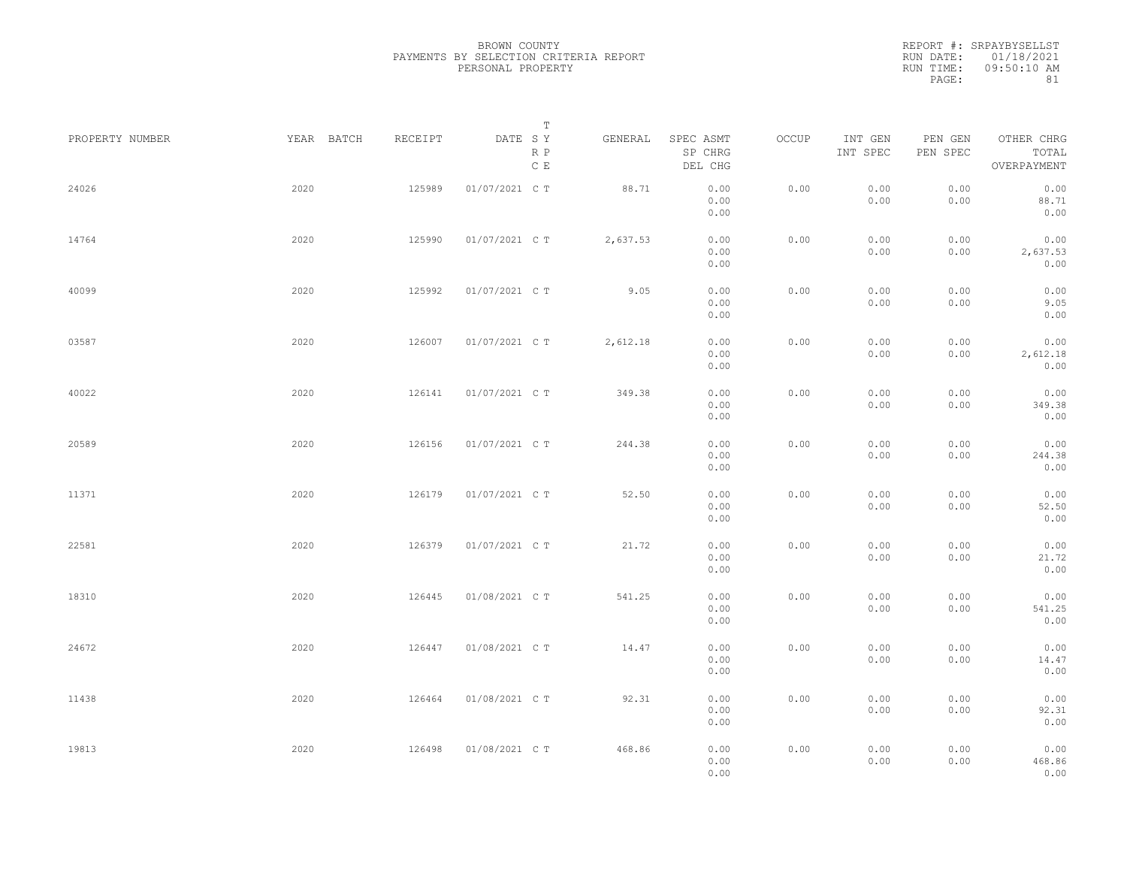REPORT #: SRPAYBYSELLST RUN DATE: 01/18/2021 RUN TIME: 09:50:10 AM PAGE: 81

| PROPERTY NUMBER | YEAR BATCH | RECEIPT | Т<br>DATE SY<br>R P<br>C E | GENERAL  | SPEC ASMT<br>SP CHRG<br>DEL CHG | OCCUP | INT GEN<br>INT SPEC | PEN GEN<br>PEN SPEC | OTHER CHRG<br>TOTAL<br>OVERPAYMENT |  |
|-----------------|------------|---------|----------------------------|----------|---------------------------------|-------|---------------------|---------------------|------------------------------------|--|
| 24026           | 2020       | 125989  | 01/07/2021 C T             | 88.71    | 0.00<br>0.00<br>0.00            | 0.00  | 0.00<br>0.00        | 0.00<br>0.00        | 0.00<br>88.71<br>0.00              |  |
| 14764           | 2020       | 125990  | 01/07/2021 C T             | 2,637.53 | 0.00<br>0.00<br>0.00            | 0.00  | 0.00<br>0.00        | 0.00<br>0.00        | 0.00<br>2,637.53<br>0.00           |  |
| 40099           | 2020       | 125992  | 01/07/2021 C T             | 9.05     | 0.00<br>0.00<br>0.00            | 0.00  | 0.00<br>0.00        | 0.00<br>0.00        | 0.00<br>9.05<br>0.00               |  |
| 03587           | 2020       | 126007  | 01/07/2021 C T             | 2,612.18 | 0.00<br>0.00<br>0.00            | 0.00  | 0.00<br>0.00        | 0.00<br>0.00        | 0.00<br>2,612.18<br>0.00           |  |
| 40022           | 2020       | 126141  | 01/07/2021 C T             | 349.38   | 0.00<br>0.00<br>0.00            | 0.00  | 0.00<br>0.00        | 0.00<br>0.00        | 0.00<br>349.38<br>0.00             |  |
| 20589           | 2020       | 126156  | 01/07/2021 C T             | 244.38   | 0.00<br>0.00<br>0.00            | 0.00  | 0.00<br>0.00        | 0.00<br>0.00        | 0.00<br>244.38<br>0.00             |  |
| 11371           | 2020       | 126179  | 01/07/2021 C T             | 52.50    | 0.00<br>0.00<br>0.00            | 0.00  | 0.00<br>0.00        | 0.00<br>0.00        | 0.00<br>52.50<br>0.00              |  |
| 22581           | 2020       | 126379  | 01/07/2021 C T             | 21.72    | 0.00<br>0.00<br>0.00            | 0.00  | 0.00<br>0.00        | 0.00<br>0.00        | 0.00<br>21.72<br>0.00              |  |
| 18310           | 2020       | 126445  | 01/08/2021 C T             | 541.25   | 0.00<br>0.00<br>0.00            | 0.00  | 0.00<br>0.00        | 0.00<br>0.00        | 0.00<br>541.25<br>0.00             |  |
| 24672           | 2020       | 126447  | 01/08/2021 C T             | 14.47    | 0.00<br>0.00<br>0.00            | 0.00  | 0.00<br>0.00        | 0.00<br>0.00        | 0.00<br>14.47<br>0.00              |  |
| 11438           | 2020       | 126464  | 01/08/2021 C T             | 92.31    | 0.00<br>0.00<br>0.00            | 0.00  | 0.00<br>0.00        | 0.00<br>0.00        | 0.00<br>92.31<br>0.00              |  |
| 19813           | 2020       | 126498  | 01/08/2021 C T             | 468.86   | 0.00<br>0.00<br>0.00            | 0.00  | 0.00<br>0.00        | 0.00<br>0.00        | 0.00<br>468.86<br>0.00             |  |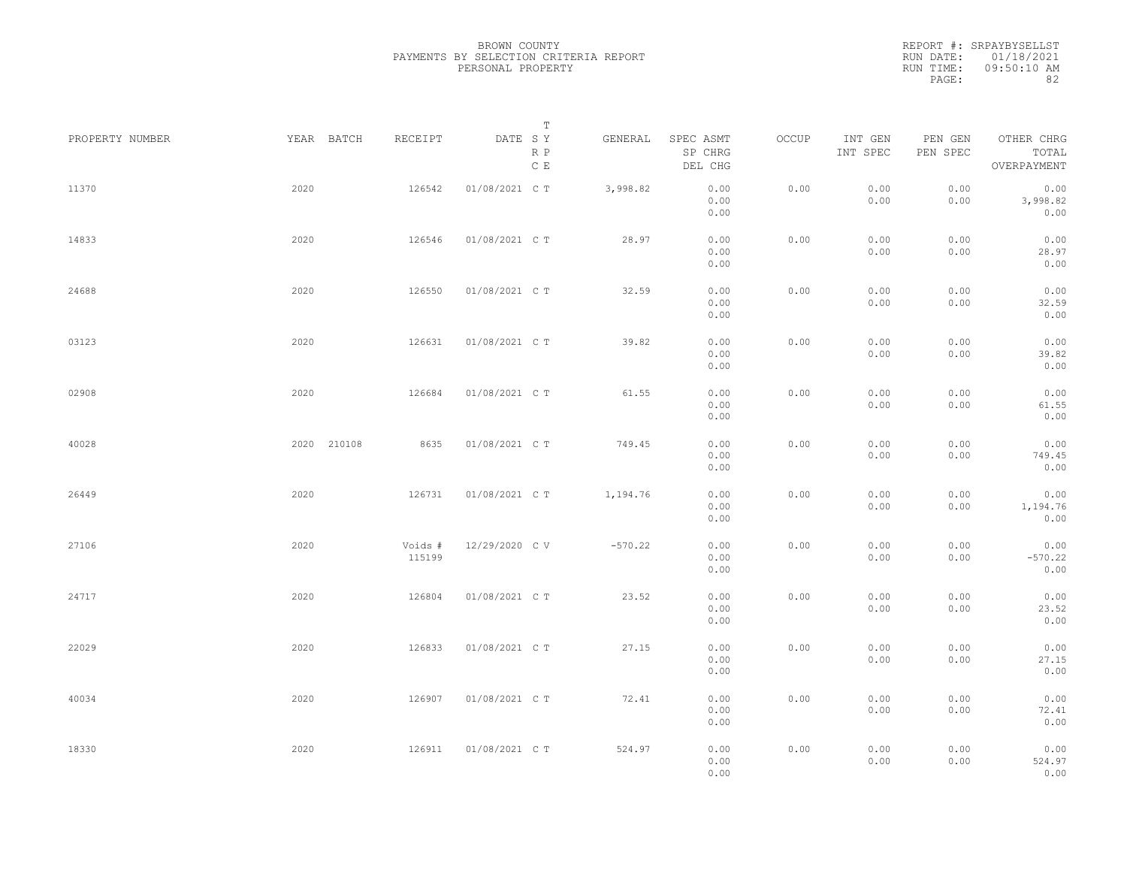|                 |             |                   | Т                               |           |                                 |       |                     |                     |                                    |  |
|-----------------|-------------|-------------------|---------------------------------|-----------|---------------------------------|-------|---------------------|---------------------|------------------------------------|--|
| PROPERTY NUMBER | YEAR BATCH  | RECEIPT           | DATE SY<br>R P<br>$\,$ C $\,$ E | GENERAL   | SPEC ASMT<br>SP CHRG<br>DEL CHG | OCCUP | INT GEN<br>INT SPEC | PEN GEN<br>PEN SPEC | OTHER CHRG<br>TOTAL<br>OVERPAYMENT |  |
| 11370           | 2020        | 126542            | 01/08/2021 C T                  | 3,998.82  | 0.00<br>0.00<br>0.00            | 0.00  | 0.00<br>0.00        | 0.00<br>0.00        | 0.00<br>3,998.82<br>0.00           |  |
| 14833           | 2020        | 126546            | 01/08/2021 C T                  | 28.97     | 0.00<br>0.00<br>0.00            | 0.00  | 0.00<br>0.00        | 0.00<br>0.00        | 0.00<br>28.97<br>0.00              |  |
| 24688           | 2020        | 126550            | 01/08/2021 C T                  | 32.59     | 0.00<br>0.00<br>0.00            | 0.00  | 0.00<br>0.00        | 0.00<br>0.00        | 0.00<br>32.59<br>0.00              |  |
| 03123           | 2020        | 126631            | 01/08/2021 C T                  | 39.82     | 0.00<br>0.00<br>0.00            | 0.00  | 0.00<br>0.00        | 0.00<br>0.00        | 0.00<br>39.82<br>0.00              |  |
| 02908           | 2020        | 126684            | 01/08/2021 C T                  | 61.55     | 0.00<br>0.00<br>0.00            | 0.00  | 0.00<br>0.00        | 0.00<br>0.00        | 0.00<br>61.55<br>0.00              |  |
| 40028           | 2020 210108 | 8635              | 01/08/2021 C T                  | 749.45    | 0.00<br>0.00<br>0.00            | 0.00  | 0.00<br>0.00        | 0.00<br>0.00        | 0.00<br>749.45<br>0.00             |  |
| 26449           | 2020        | 126731            | 01/08/2021 C T                  | 1,194.76  | 0.00<br>0.00<br>0.00            | 0.00  | 0.00<br>0.00        | 0.00<br>0.00        | 0.00<br>1,194.76<br>0.00           |  |
| 27106           | 2020        | Voids #<br>115199 | 12/29/2020 C V                  | $-570.22$ | 0.00<br>0.00<br>0.00            | 0.00  | 0.00<br>0.00        | 0.00<br>0.00        | 0.00<br>$-570.22$<br>0.00          |  |
| 24717           | 2020        | 126804            | 01/08/2021 C T                  | 23.52     | 0.00<br>0.00<br>0.00            | 0.00  | 0.00<br>0.00        | 0.00<br>0.00        | 0.00<br>23.52<br>0.00              |  |
| 22029           | 2020        | 126833            | 01/08/2021 C T                  | 27.15     | 0.00<br>0.00<br>0.00            | 0.00  | 0.00<br>0.00        | 0.00<br>0.00        | 0.00<br>27.15<br>0.00              |  |
| 40034           | 2020        | 126907            | 01/08/2021 C T                  | 72.41     | 0.00<br>0.00<br>0.00            | 0.00  | 0.00<br>0.00        | 0.00<br>0.00        | 0.00<br>72.41<br>0.00              |  |
| 18330           | 2020        | 126911            | 01/08/2021 C T                  | 524.97    | 0.00<br>0.00<br>0.00            | 0.00  | 0.00<br>0.00        | 0.00<br>0.00        | 0.00<br>524.97<br>0.00             |  |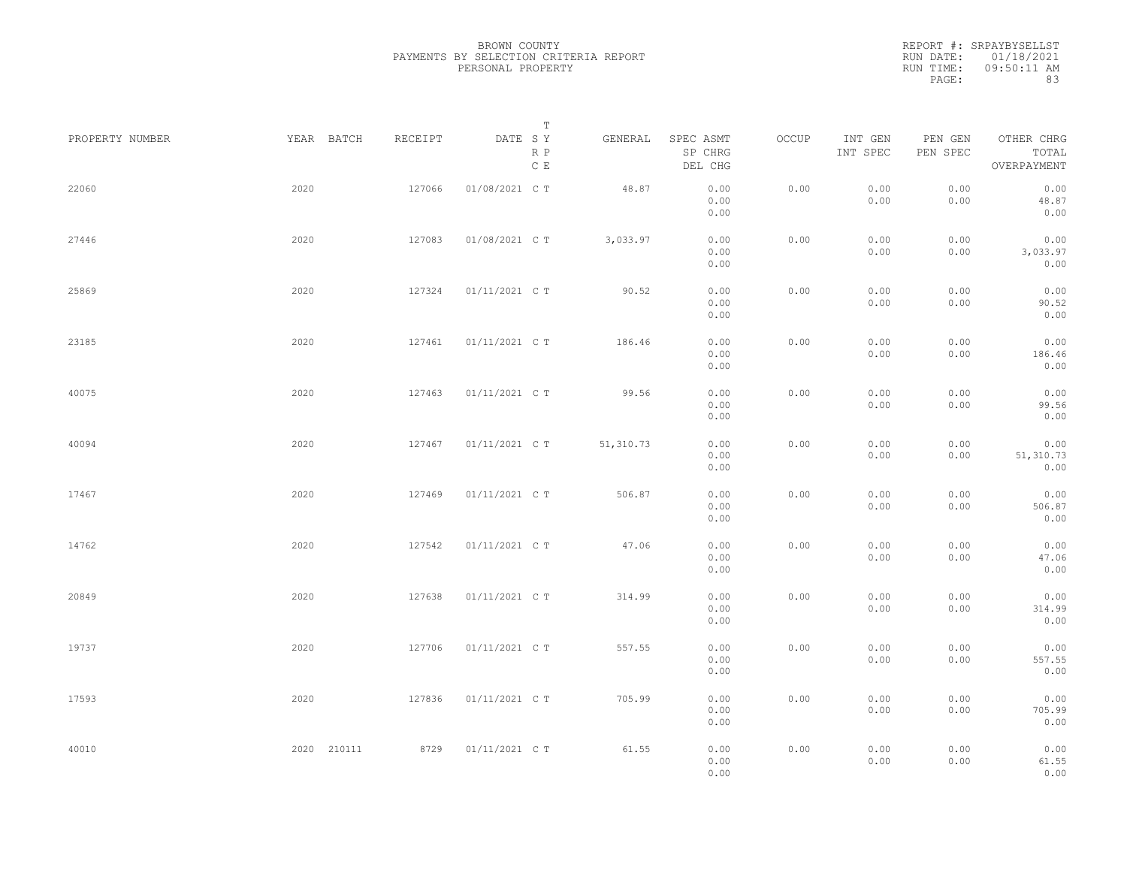REPORT #: SRPAYBYSELLST RUN DATE: 01/18/2021 RUN TIME: 09:50:11 AM PAGE: 83

| PROPERTY NUMBER | YEAR BATCH  | RECEIPT | Т<br>DATE SY<br>R P<br>$\,$ C $\,$ E | GENERAL   | SPEC ASMT<br>SP CHRG<br>DEL CHG | OCCUP | INT GEN<br>INT SPEC | PEN GEN<br>PEN SPEC | OTHER CHRG<br>TOTAL<br>OVERPAYMENT |  |
|-----------------|-------------|---------|--------------------------------------|-----------|---------------------------------|-------|---------------------|---------------------|------------------------------------|--|
| 22060           | 2020        | 127066  | 01/08/2021 C T                       | 48.87     | 0.00<br>0.00<br>0.00            | 0.00  | 0.00<br>0.00        | 0.00<br>0.00        | 0.00<br>48.87<br>0.00              |  |
| 27446           | 2020        | 127083  | 01/08/2021 C T                       | 3,033.97  | 0.00<br>0.00<br>0.00            | 0.00  | 0.00<br>0.00        | 0.00<br>0.00        | 0.00<br>3,033.97<br>0.00           |  |
| 25869           | 2020        | 127324  | 01/11/2021 C T                       | 90.52     | 0.00<br>0.00<br>0.00            | 0.00  | 0.00<br>0.00        | 0.00<br>0.00        | 0.00<br>90.52<br>0.00              |  |
| 23185           | 2020        | 127461  | 01/11/2021 C T                       | 186.46    | 0.00<br>0.00<br>0.00            | 0.00  | 0.00<br>0.00        | 0.00<br>0.00        | 0.00<br>186.46<br>0.00             |  |
| 40075           | 2020        | 127463  | 01/11/2021 C T                       | 99.56     | 0.00<br>0.00<br>0.00            | 0.00  | 0.00<br>0.00        | 0.00<br>0.00        | 0.00<br>99.56<br>0.00              |  |
| 40094           | 2020        | 127467  | 01/11/2021 C T                       | 51,310.73 | 0.00<br>0.00<br>0.00            | 0.00  | 0.00<br>0.00        | 0.00<br>0.00        | 0.00<br>51,310.73<br>0.00          |  |
| 17467           | 2020        | 127469  | 01/11/2021 C T                       | 506.87    | 0.00<br>0.00<br>0.00            | 0.00  | 0.00<br>0.00        | 0.00<br>0.00        | 0.00<br>506.87<br>0.00             |  |
| 14762           | 2020        | 127542  | 01/11/2021 C T                       | 47.06     | 0.00<br>0.00<br>0.00            | 0.00  | 0.00<br>0.00        | 0.00<br>0.00        | 0.00<br>47.06<br>0.00              |  |
| 20849           | 2020        | 127638  | 01/11/2021 C T                       | 314.99    | 0.00<br>0.00<br>0.00            | 0.00  | 0.00<br>0.00        | 0.00<br>0.00        | 0.00<br>314.99<br>0.00             |  |
| 19737           | 2020        | 127706  | 01/11/2021 C T                       | 557.55    | 0.00<br>0.00<br>0.00            | 0.00  | 0.00<br>0.00        | 0.00<br>0.00        | 0.00<br>557.55<br>0.00             |  |
| 17593           | 2020        | 127836  | 01/11/2021 C T                       | 705.99    | 0.00<br>0.00<br>0.00            | 0.00  | 0.00<br>0.00        | 0.00<br>0.00        | 0.00<br>705.99<br>0.00             |  |
| 40010           | 2020 210111 | 8729    | 01/11/2021 C T                       | 61.55     | 0.00<br>0.00<br>0.00            | 0.00  | 0.00<br>0.00        | 0.00<br>0.00        | 0.00<br>61.55<br>0.00              |  |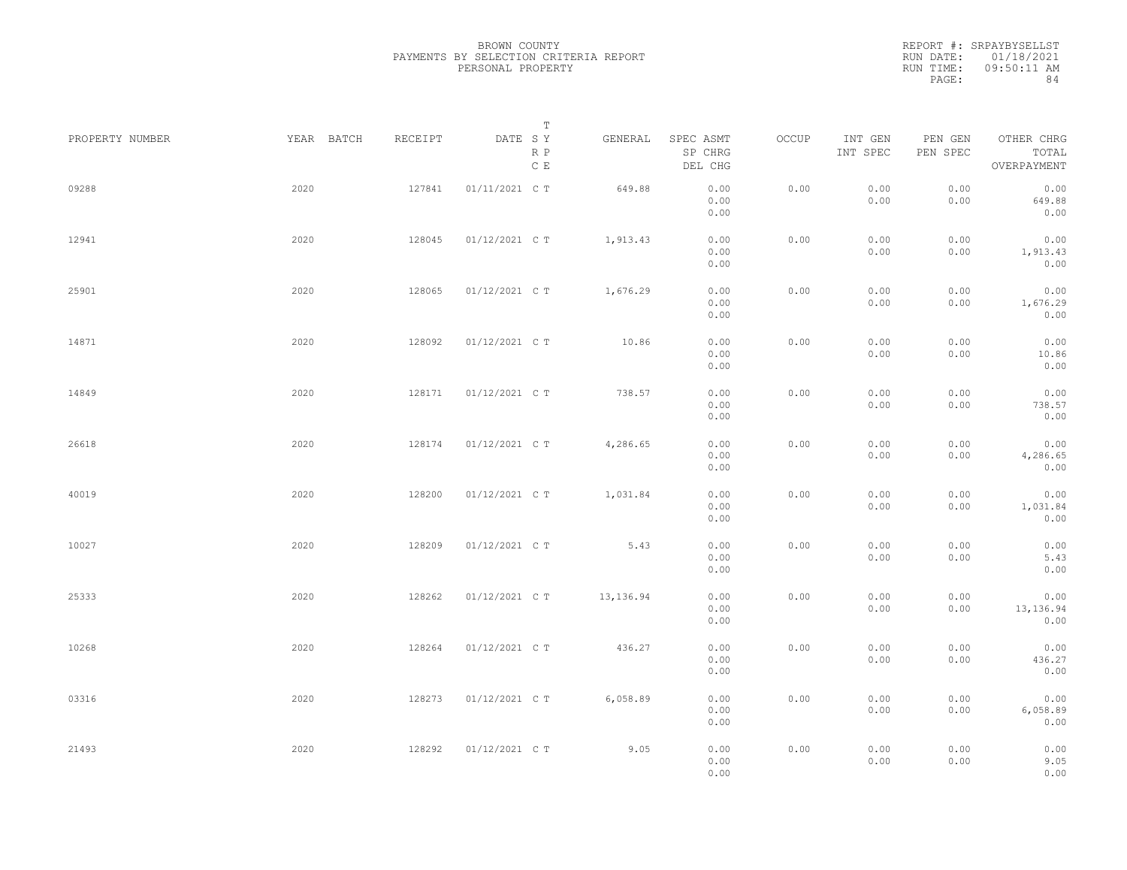|                 |            |         | Т                               |           |                                 |       |                     |                     |                                    |  |
|-----------------|------------|---------|---------------------------------|-----------|---------------------------------|-------|---------------------|---------------------|------------------------------------|--|
| PROPERTY NUMBER | YEAR BATCH | RECEIPT | DATE SY<br>R P<br>$\,$ C $\,$ E | GENERAL   | SPEC ASMT<br>SP CHRG<br>DEL CHG | OCCUP | INT GEN<br>INT SPEC | PEN GEN<br>PEN SPEC | OTHER CHRG<br>TOTAL<br>OVERPAYMENT |  |
| 09288           | 2020       | 127841  | 01/11/2021 C T                  | 649.88    | 0.00<br>0.00<br>0.00            | 0.00  | 0.00<br>0.00        | 0.00<br>0.00        | 0.00<br>649.88<br>0.00             |  |
| 12941           | 2020       | 128045  | 01/12/2021 C T                  | 1,913.43  | 0.00<br>0.00<br>0.00            | 0.00  | 0.00<br>0.00        | 0.00<br>0.00        | 0.00<br>1,913.43<br>0.00           |  |
| 25901           | 2020       | 128065  | 01/12/2021 C T                  | 1,676.29  | 0.00<br>0.00<br>0.00            | 0.00  | 0.00<br>0.00        | 0.00<br>0.00        | 0.00<br>1,676.29<br>0.00           |  |
| 14871           | 2020       | 128092  | 01/12/2021 C T                  | 10.86     | 0.00<br>0.00<br>0.00            | 0.00  | 0.00<br>0.00        | 0.00<br>0.00        | 0.00<br>10.86<br>0.00              |  |
| 14849           | 2020       | 128171  | 01/12/2021 C T                  | 738.57    | 0.00<br>0.00<br>0.00            | 0.00  | 0.00<br>0.00        | 0.00<br>0.00        | 0.00<br>738.57<br>0.00             |  |
| 26618           | 2020       | 128174  | 01/12/2021 C T                  | 4,286.65  | 0.00<br>0.00<br>0.00            | 0.00  | 0.00<br>0.00        | 0.00<br>0.00        | 0.00<br>4,286.65<br>0.00           |  |
| 40019           | 2020       | 128200  | 01/12/2021 C T                  | 1,031.84  | 0.00<br>0.00<br>0.00            | 0.00  | 0.00<br>0.00        | 0.00<br>0.00        | 0.00<br>1,031.84<br>0.00           |  |
| 10027           | 2020       | 128209  | 01/12/2021 C T                  | 5.43      | 0.00<br>0.00<br>0.00            | 0.00  | 0.00<br>0.00        | 0.00<br>0.00        | 0.00<br>5.43<br>0.00               |  |
| 25333           | 2020       | 128262  | 01/12/2021 C T                  | 13,136.94 | 0.00<br>0.00<br>0.00            | 0.00  | 0.00<br>0.00        | 0.00<br>0.00        | 0.00<br>13, 136.94<br>0.00         |  |
| 10268           | 2020       | 128264  | 01/12/2021 C T                  | 436.27    | 0.00<br>0.00<br>0.00            | 0.00  | 0.00<br>0.00        | 0.00<br>0.00        | 0.00<br>436.27<br>0.00             |  |
| 03316           | 2020       | 128273  | 01/12/2021 C T                  | 6,058.89  | 0.00<br>0.00<br>0.00            | 0.00  | 0.00<br>0.00        | 0.00<br>0.00        | 0.00<br>6,058.89<br>0.00           |  |
| 21493           | 2020       | 128292  | 01/12/2021 C T                  | 9.05      | 0.00<br>0.00<br>0.00            | 0.00  | 0.00<br>0.00        | 0.00<br>0.00        | 0.00<br>9.05<br>0.00               |  |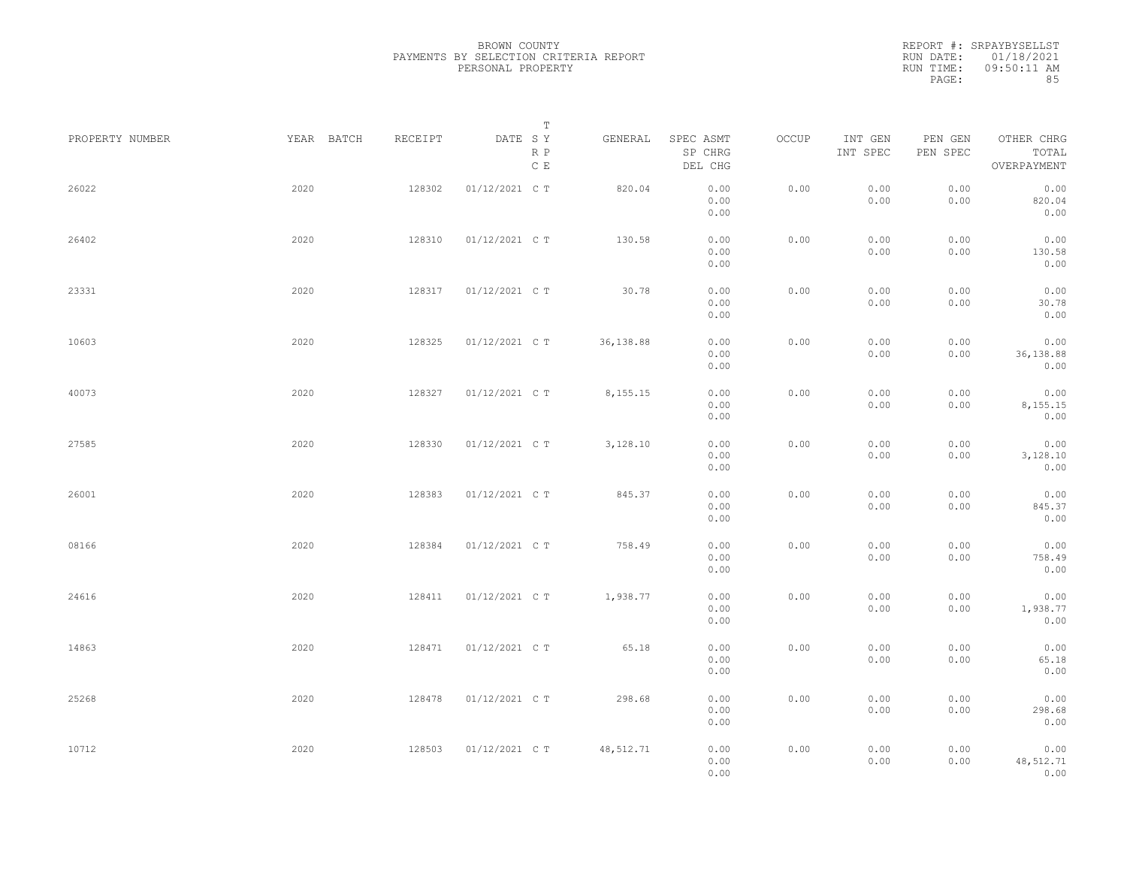|                 |            |         | $\mathbb T$                                           |            |                                 |       |                     |                     |                                    |  |
|-----------------|------------|---------|-------------------------------------------------------|------------|---------------------------------|-------|---------------------|---------------------|------------------------------------|--|
| PROPERTY NUMBER | YEAR BATCH | RECEIPT | DATE SY<br>$\mathbb R$ $\mathbb P$<br>$\mathbb C\;$ E | GENERAL    | SPEC ASMT<br>SP CHRG<br>DEL CHG | OCCUP | INT GEN<br>INT SPEC | PEN GEN<br>PEN SPEC | OTHER CHRG<br>TOTAL<br>OVERPAYMENT |  |
| 26022           | 2020       | 128302  | 01/12/2021 C T                                        | 820.04     | 0.00<br>0.00<br>0.00            | 0.00  | 0.00<br>0.00        | 0.00<br>0.00        | 0.00<br>820.04<br>0.00             |  |
| 26402           | 2020       | 128310  | 01/12/2021 C T                                        | 130.58     | 0.00<br>0.00<br>0.00            | 0.00  | 0.00<br>0.00        | 0.00<br>0.00        | 0.00<br>130.58<br>0.00             |  |
| 23331           | 2020       | 128317  | 01/12/2021 C T                                        | 30.78      | 0.00<br>0.00<br>0.00            | 0.00  | 0.00<br>0.00        | 0.00<br>0.00        | 0.00<br>30.78<br>0.00              |  |
| 10603           | 2020       | 128325  | 01/12/2021 C T                                        | 36,138.88  | 0.00<br>0.00<br>0.00            | 0.00  | 0.00<br>0.00        | 0.00<br>0.00        | 0.00<br>36, 138.88<br>0.00         |  |
| 40073           | 2020       | 128327  | 01/12/2021 C T                                        | 8,155.15   | 0.00<br>0.00<br>0.00            | 0.00  | 0.00<br>0.00        | 0.00<br>0.00        | 0.00<br>8,155.15<br>0.00           |  |
| 27585           | 2020       | 128330  | 01/12/2021 C T                                        | 3,128.10   | 0.00<br>0.00<br>0.00            | 0.00  | 0.00<br>0.00        | 0.00<br>0.00        | 0.00<br>3,128.10<br>0.00           |  |
| 26001           | 2020       | 128383  | 01/12/2021 C T                                        | 845.37     | 0.00<br>0.00<br>0.00            | 0.00  | 0.00<br>0.00        | 0.00<br>0.00        | 0.00<br>845.37<br>0.00             |  |
| 08166           | 2020       | 128384  | 01/12/2021 C T                                        | 758.49     | 0.00<br>0.00<br>0.00            | 0.00  | 0.00<br>0.00        | 0.00<br>0.00        | 0.00<br>758.49<br>0.00             |  |
| 24616           | 2020       | 128411  | 01/12/2021 C T                                        | 1,938.77   | 0.00<br>0.00<br>0.00            | 0.00  | 0.00<br>0.00        | 0.00<br>0.00        | 0.00<br>1,938.77<br>0.00           |  |
| 14863           | 2020       | 128471  | 01/12/2021 C T                                        | 65.18      | 0.00<br>0.00<br>0.00            | 0.00  | 0.00<br>0.00        | 0.00<br>0.00        | 0.00<br>65.18<br>0.00              |  |
| 25268           | 2020       | 128478  | 01/12/2021 C T                                        | 298.68     | 0.00<br>0.00<br>0.00            | 0.00  | 0.00<br>0.00        | 0.00<br>0.00        | 0.00<br>298.68<br>0.00             |  |
| 10712           | 2020       | 128503  | 01/12/2021 C T                                        | 48, 512.71 | 0.00<br>0.00<br>0.00            | 0.00  | 0.00<br>0.00        | 0.00<br>0.00        | 0.00<br>48,512.71<br>0.00          |  |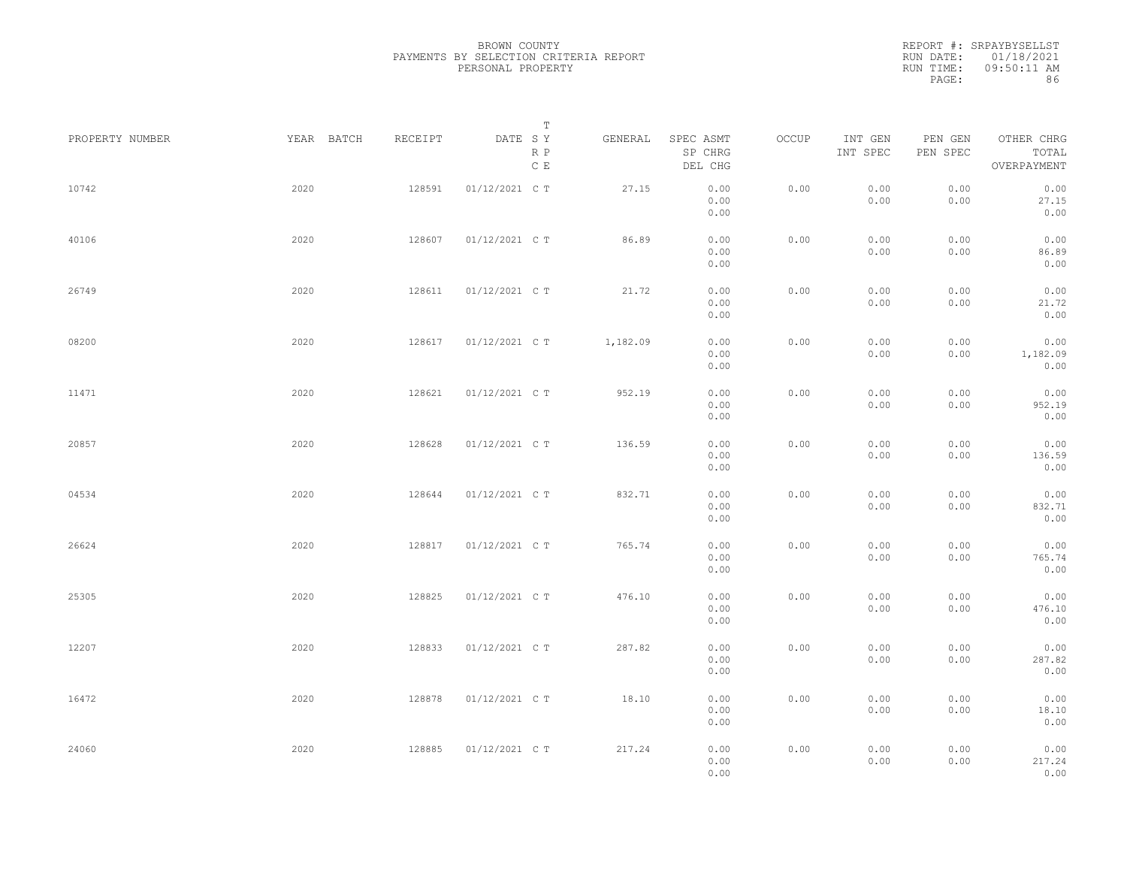REPORT #: SRPAYBYSELLST RUN DATE: 01/18/2021 RUN TIME: 09:50:11 AM PAGE: 86

| PROPERTY NUMBER | YEAR BATCH | RECEIPT | Т<br>DATE SY<br>R P<br>C E | GENERAL  | SPEC ASMT<br>SP CHRG<br>DEL CHG | OCCUP | INT GEN<br>INT SPEC | PEN GEN<br>PEN SPEC | OTHER CHRG<br>TOTAL<br>OVERPAYMENT |  |
|-----------------|------------|---------|----------------------------|----------|---------------------------------|-------|---------------------|---------------------|------------------------------------|--|
| 10742           | 2020       | 128591  | 01/12/2021 C T             | 27.15    | 0.00<br>0.00<br>0.00            | 0.00  | 0.00<br>0.00        | 0.00<br>0.00        | 0.00<br>27.15<br>0.00              |  |
| 40106           | 2020       | 128607  | 01/12/2021 C T             | 86.89    | 0.00<br>0.00<br>0.00            | 0.00  | 0.00<br>0.00        | 0.00<br>0.00        | 0.00<br>86.89<br>0.00              |  |
| 26749           | 2020       | 128611  | 01/12/2021 C T             | 21.72    | 0.00<br>0.00<br>0.00            | 0.00  | 0.00<br>0.00        | 0.00<br>0.00        | 0.00<br>21.72<br>0.00              |  |
| 08200           | 2020       | 128617  | 01/12/2021 C T             | 1,182.09 | 0.00<br>0.00<br>0.00            | 0.00  | 0.00<br>0.00        | 0.00<br>0.00        | 0.00<br>1,182.09<br>0.00           |  |
| 11471           | 2020       | 128621  | 01/12/2021 C T             | 952.19   | 0.00<br>0.00<br>0.00            | 0.00  | 0.00<br>0.00        | 0.00<br>0.00        | 0.00<br>952.19<br>0.00             |  |
| 20857           | 2020       | 128628  | 01/12/2021 C T             | 136.59   | 0.00<br>0.00<br>0.00            | 0.00  | 0.00<br>0.00        | 0.00<br>0.00        | 0.00<br>136.59<br>0.00             |  |
| 04534           | 2020       | 128644  | 01/12/2021 C T             | 832.71   | 0.00<br>0.00<br>0.00            | 0.00  | 0.00<br>0.00        | 0.00<br>0.00        | 0.00<br>832.71<br>0.00             |  |
| 26624           | 2020       | 128817  | 01/12/2021 C T             | 765.74   | 0.00<br>0.00<br>0.00            | 0.00  | 0.00<br>0.00        | 0.00<br>0.00        | 0.00<br>765.74<br>0.00             |  |
| 25305           | 2020       | 128825  | 01/12/2021 C T             | 476.10   | 0.00<br>0.00<br>0.00            | 0.00  | 0.00<br>0.00        | 0.00<br>0.00        | 0.00<br>476.10<br>0.00             |  |
| 12207           | 2020       | 128833  | 01/12/2021 C T             | 287.82   | 0.00<br>0.00<br>0.00            | 0.00  | 0.00<br>0.00        | 0.00<br>0.00        | 0.00<br>287.82<br>0.00             |  |
| 16472           | 2020       | 128878  | 01/12/2021 C T             | 18.10    | 0.00<br>0.00<br>0.00            | 0.00  | 0.00<br>0.00        | 0.00<br>0.00        | 0.00<br>18.10<br>0.00              |  |
| 24060           | 2020       | 128885  | 01/12/2021 C T             | 217.24   | 0.00<br>0.00<br>0.00            | 0.00  | 0.00<br>0.00        | 0.00<br>0.00        | 0.00<br>217.24<br>0.00             |  |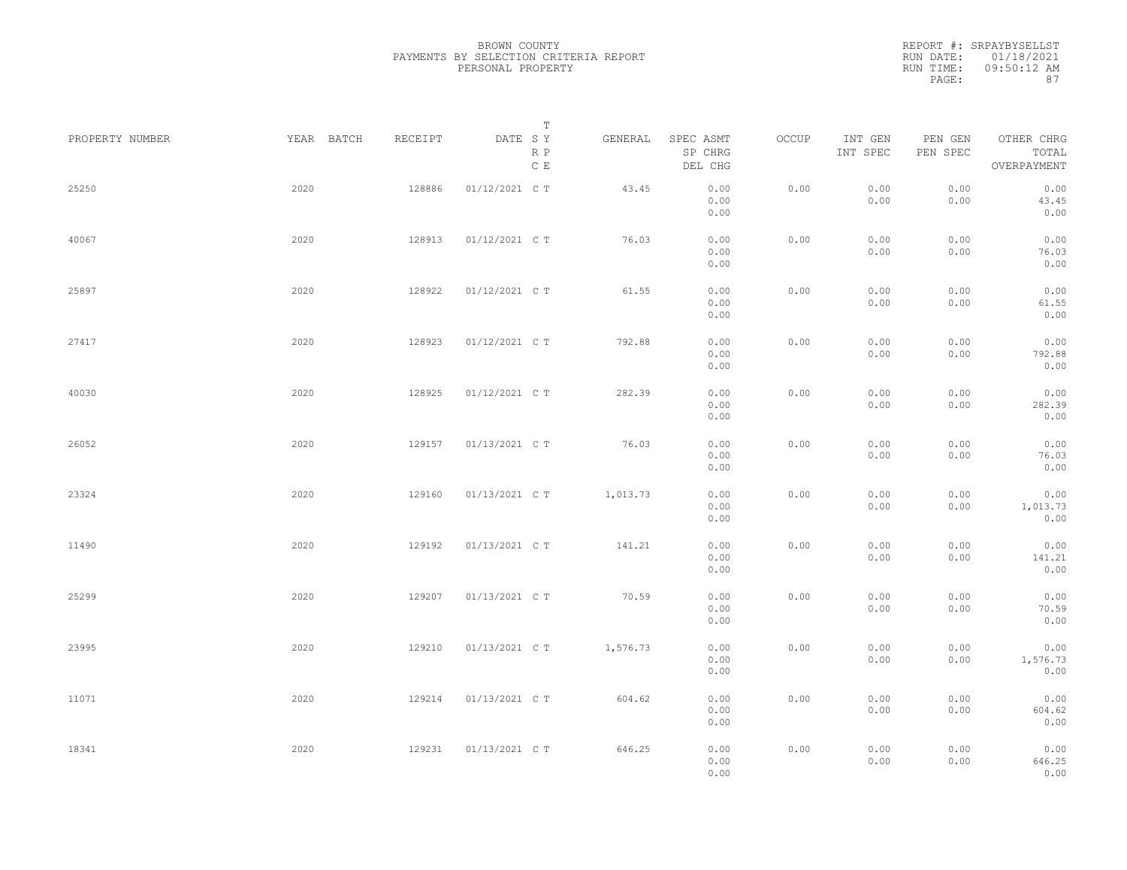|                 |            |         | Т                               |          |                                 |       |                     |                     |                                    |  |
|-----------------|------------|---------|---------------------------------|----------|---------------------------------|-------|---------------------|---------------------|------------------------------------|--|
| PROPERTY NUMBER | YEAR BATCH | RECEIPT | DATE SY<br>R P<br>$\,$ C $\,$ E | GENERAL  | SPEC ASMT<br>SP CHRG<br>DEL CHG | OCCUP | INT GEN<br>INT SPEC | PEN GEN<br>PEN SPEC | OTHER CHRG<br>TOTAL<br>OVERPAYMENT |  |
| 25250           | 2020       | 128886  | 01/12/2021 C T                  | 43.45    | 0.00<br>0.00<br>0.00            | 0.00  | 0.00<br>0.00        | 0.00<br>0.00        | 0.00<br>43.45<br>0.00              |  |
| 40067           | 2020       | 128913  | 01/12/2021 C T                  | 76.03    | 0.00<br>0.00<br>0.00            | 0.00  | 0.00<br>0.00        | 0.00<br>0.00        | 0.00<br>76.03<br>0.00              |  |
| 25897           | 2020       | 128922  | 01/12/2021 C T                  | 61.55    | 0.00<br>0.00<br>0.00            | 0.00  | 0.00<br>0.00        | 0.00<br>0.00        | 0.00<br>61.55<br>0.00              |  |
| 27417           | 2020       | 128923  | 01/12/2021 C T                  | 792.88   | 0.00<br>0.00<br>0.00            | 0.00  | 0.00<br>0.00        | 0.00<br>0.00        | 0.00<br>792.88<br>0.00             |  |
| 40030           | 2020       | 128925  | 01/12/2021 C T                  | 282.39   | 0.00<br>0.00<br>0.00            | 0.00  | 0.00<br>0.00        | 0.00<br>0.00        | 0.00<br>282.39<br>0.00             |  |
| 26052           | 2020       | 129157  | 01/13/2021 C T                  | 76.03    | 0.00<br>0.00<br>0.00            | 0.00  | 0.00<br>0.00        | 0.00<br>0.00        | 0.00<br>76.03<br>0.00              |  |
| 23324           | 2020       | 129160  | 01/13/2021 C T                  | 1,013.73 | 0.00<br>0.00<br>0.00            | 0.00  | 0.00<br>0.00        | 0.00<br>0.00        | 0.00<br>1,013.73<br>0.00           |  |
| 11490           | 2020       | 129192  | 01/13/2021 C T                  | 141.21   | 0.00<br>0.00<br>0.00            | 0.00  | 0.00<br>0.00        | 0.00<br>0.00        | 0.00<br>141.21<br>0.00             |  |
| 25299           | 2020       | 129207  | 01/13/2021 C T                  | 70.59    | 0.00<br>0.00<br>0.00            | 0.00  | 0.00<br>0.00        | 0.00<br>0.00        | 0.00<br>70.59<br>0.00              |  |
| 23995           | 2020       | 129210  | 01/13/2021 C T                  | 1,576.73 | 0.00<br>0.00<br>0.00            | 0.00  | 0.00<br>0.00        | 0.00<br>0.00        | 0.00<br>1,576.73<br>0.00           |  |
| 11071           | 2020       | 129214  | 01/13/2021 C T                  | 604.62   | 0.00<br>0.00<br>0.00            | 0.00  | 0.00<br>0.00        | 0.00<br>0.00        | 0.00<br>604.62<br>0.00             |  |
| 18341           | 2020       | 129231  | 01/13/2021 C T                  | 646.25   | 0.00<br>0.00<br>0.00            | 0.00  | 0.00<br>0.00        | 0.00<br>0.00        | 0.00<br>646.25<br>0.00             |  |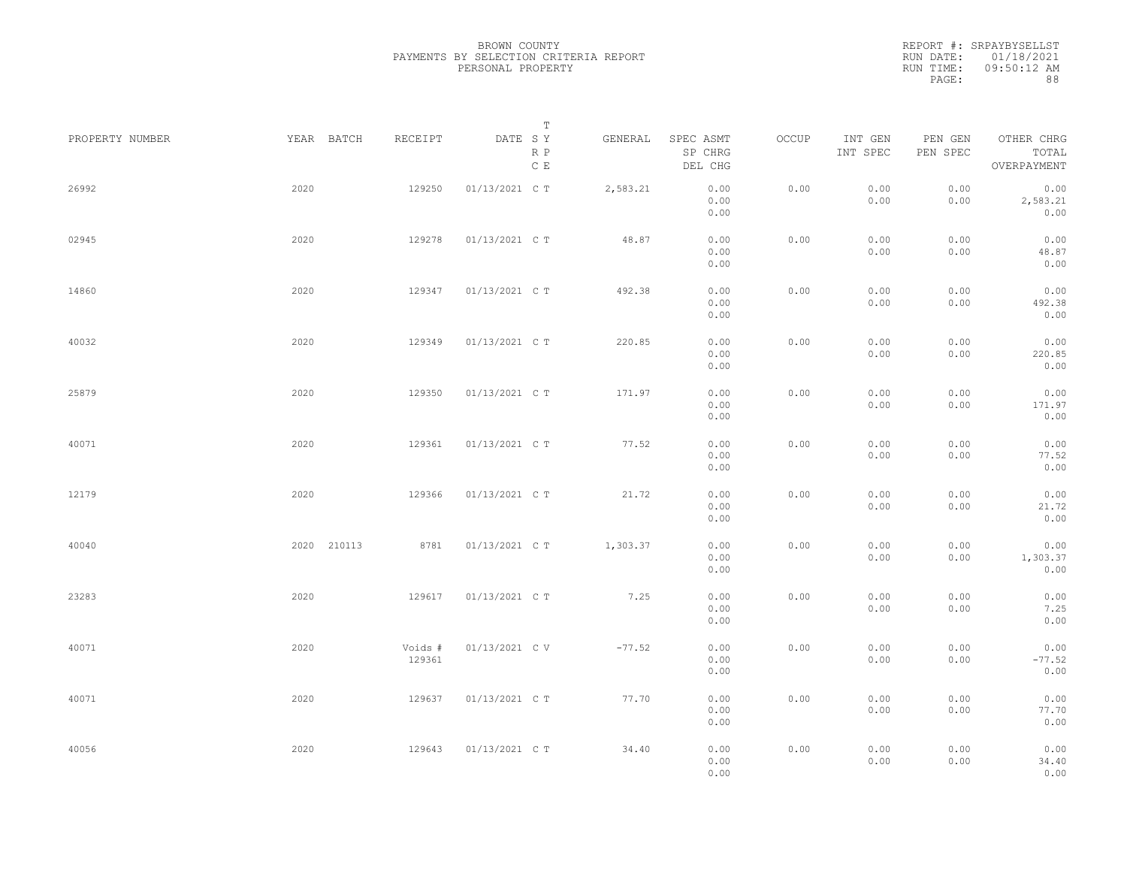|                 |             |                   | Т                               |          |                                 |       |                     |                     |                                    |  |
|-----------------|-------------|-------------------|---------------------------------|----------|---------------------------------|-------|---------------------|---------------------|------------------------------------|--|
| PROPERTY NUMBER | YEAR BATCH  | RECEIPT           | DATE SY<br>R P<br>$\,$ C $\,$ E | GENERAL  | SPEC ASMT<br>SP CHRG<br>DEL CHG | OCCUP | INT GEN<br>INT SPEC | PEN GEN<br>PEN SPEC | OTHER CHRG<br>TOTAL<br>OVERPAYMENT |  |
| 26992           | 2020        | 129250            | 01/13/2021 C T                  | 2,583.21 | 0.00<br>0.00<br>0.00            | 0.00  | 0.00<br>0.00        | 0.00<br>0.00        | 0.00<br>2,583.21<br>0.00           |  |
| 02945           | 2020        | 129278            | 01/13/2021 C T                  | 48.87    | 0.00<br>0.00<br>0.00            | 0.00  | 0.00<br>0.00        | 0.00<br>0.00        | 0.00<br>48.87<br>0.00              |  |
| 14860           | 2020        | 129347            | 01/13/2021 C T                  | 492.38   | 0.00<br>0.00<br>0.00            | 0.00  | 0.00<br>0.00        | 0.00<br>0.00        | 0.00<br>492.38<br>0.00             |  |
| 40032           | 2020        | 129349            | 01/13/2021 C T                  | 220.85   | 0.00<br>0.00<br>0.00            | 0.00  | 0.00<br>0.00        | 0.00<br>0.00        | 0.00<br>220.85<br>0.00             |  |
| 25879           | 2020        | 129350            | 01/13/2021 C T                  | 171.97   | 0.00<br>0.00<br>0.00            | 0.00  | 0.00<br>0.00        | 0.00<br>0.00        | 0.00<br>171.97<br>0.00             |  |
| 40071           | 2020        | 129361            | 01/13/2021 C T                  | 77.52    | 0.00<br>0.00<br>0.00            | 0.00  | 0.00<br>0.00        | 0.00<br>0.00        | 0.00<br>77.52<br>0.00              |  |
| 12179           | 2020        | 129366            | 01/13/2021 C T                  | 21.72    | 0.00<br>0.00<br>0.00            | 0.00  | 0.00<br>0.00        | 0.00<br>0.00        | 0.00<br>21.72<br>0.00              |  |
| 40040           | 2020 210113 | 8781              | 01/13/2021 C T                  | 1,303.37 | 0.00<br>0.00<br>0.00            | 0.00  | 0.00<br>0.00        | 0.00<br>0.00        | 0.00<br>1,303.37<br>0.00           |  |
| 23283           | 2020        | 129617            | 01/13/2021 C T                  | 7.25     | 0.00<br>0.00<br>0.00            | 0.00  | 0.00<br>0.00        | 0.00<br>0.00        | 0.00<br>7.25<br>0.00               |  |
| 40071           | 2020        | Voids #<br>129361 | 01/13/2021 C V                  | $-77.52$ | 0.00<br>0.00<br>0.00            | 0.00  | 0.00<br>0.00        | 0.00<br>0.00        | 0.00<br>$-77.52$<br>0.00           |  |
| 40071           | 2020        | 129637            | 01/13/2021 C T                  | 77.70    | 0.00<br>0.00<br>0.00            | 0.00  | 0.00<br>0.00        | 0.00<br>0.00        | 0.00<br>77.70<br>0.00              |  |
| 40056           | 2020        | 129643            | 01/13/2021 C T                  | 34.40    | 0.00<br>0.00<br>0.00            | 0.00  | 0.00<br>0.00        | 0.00<br>0.00        | 0.00<br>34.40<br>0.00              |  |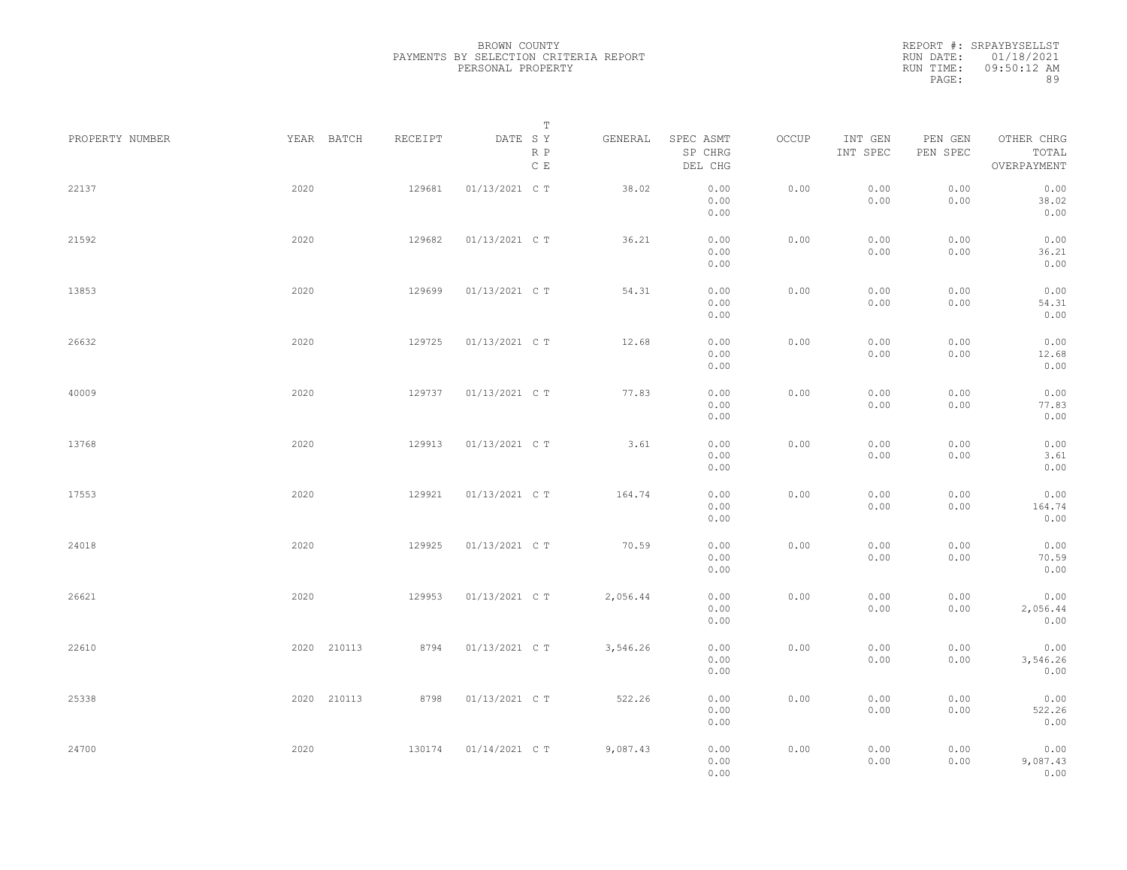| PROPERTY NUMBER |      | YEAR BATCH  | RECEIPT | DATE SY        | T<br>R P<br>$\mathbb C\,$ E | GENERAL  | SPEC ASMT<br>SP CHRG<br>DEL CHG | OCCUP | INT GEN<br>INT SPEC | PEN GEN<br>PEN SPEC | OTHER CHRG<br>TOTAL<br>OVERPAYMENT |  |
|-----------------|------|-------------|---------|----------------|-----------------------------|----------|---------------------------------|-------|---------------------|---------------------|------------------------------------|--|
| 22137           | 2020 |             | 129681  | 01/13/2021 C T |                             | 38.02    | 0.00<br>0.00<br>0.00            | 0.00  | 0.00<br>0.00        | 0.00<br>0.00        | 0.00<br>38.02<br>0.00              |  |
| 21592           | 2020 |             | 129682  | 01/13/2021 C T |                             | 36.21    | 0.00<br>0.00<br>0.00            | 0.00  | 0.00<br>0.00        | 0.00<br>0.00        | 0.00<br>36.21<br>0.00              |  |
| 13853           | 2020 |             | 129699  | 01/13/2021 C T |                             | 54.31    | 0.00<br>0.00<br>0.00            | 0.00  | 0.00<br>0.00        | 0.00<br>0.00        | 0.00<br>54.31<br>0.00              |  |
| 26632           | 2020 |             | 129725  | 01/13/2021 C T |                             | 12.68    | 0.00<br>0.00<br>0.00            | 0.00  | 0.00<br>0.00        | 0.00<br>0.00        | 0.00<br>12.68<br>0.00              |  |
| 40009           | 2020 |             | 129737  | 01/13/2021 C T |                             | 77.83    | 0.00<br>0.00<br>0.00            | 0.00  | 0.00<br>0.00        | 0.00<br>0.00        | 0.00<br>77.83<br>0.00              |  |
| 13768           | 2020 |             | 129913  | 01/13/2021 C T |                             | 3.61     | 0.00<br>0.00<br>0.00            | 0.00  | 0.00<br>0.00        | 0.00<br>0.00        | 0.00<br>3.61<br>0.00               |  |
| 17553           | 2020 |             | 129921  | 01/13/2021 C T |                             | 164.74   | 0.00<br>0.00<br>0.00            | 0.00  | 0.00<br>0.00        | 0.00<br>0.00        | 0.00<br>164.74<br>0.00             |  |
| 24018           | 2020 |             | 129925  | 01/13/2021 C T |                             | 70.59    | 0.00<br>0.00<br>0.00            | 0.00  | 0.00<br>0.00        | 0.00<br>0.00        | 0.00<br>70.59<br>0.00              |  |
| 26621           | 2020 |             | 129953  | 01/13/2021 C T |                             | 2,056.44 | 0.00<br>0.00<br>0.00            | 0.00  | 0.00<br>0.00        | 0.00<br>0.00        | 0.00<br>2,056.44<br>0.00           |  |
| 22610           |      | 2020 210113 | 8794    | 01/13/2021 C T |                             | 3,546.26 | 0.00<br>0.00<br>0.00            | 0.00  | 0.00<br>0.00        | 0.00<br>0.00        | 0.00<br>3,546.26<br>0.00           |  |
| 25338           |      | 2020 210113 | 8798    | 01/13/2021 C T |                             | 522.26   | 0.00<br>0.00<br>0.00            | 0.00  | 0.00<br>0.00        | 0.00<br>0.00        | 0.00<br>522.26<br>0.00             |  |
| 24700           | 2020 |             | 130174  | 01/14/2021 C T |                             | 9,087.43 | 0.00<br>0.00<br>0.00            | 0.00  | 0.00<br>0.00        | 0.00<br>0.00        | 0.00<br>9,087.43<br>0.00           |  |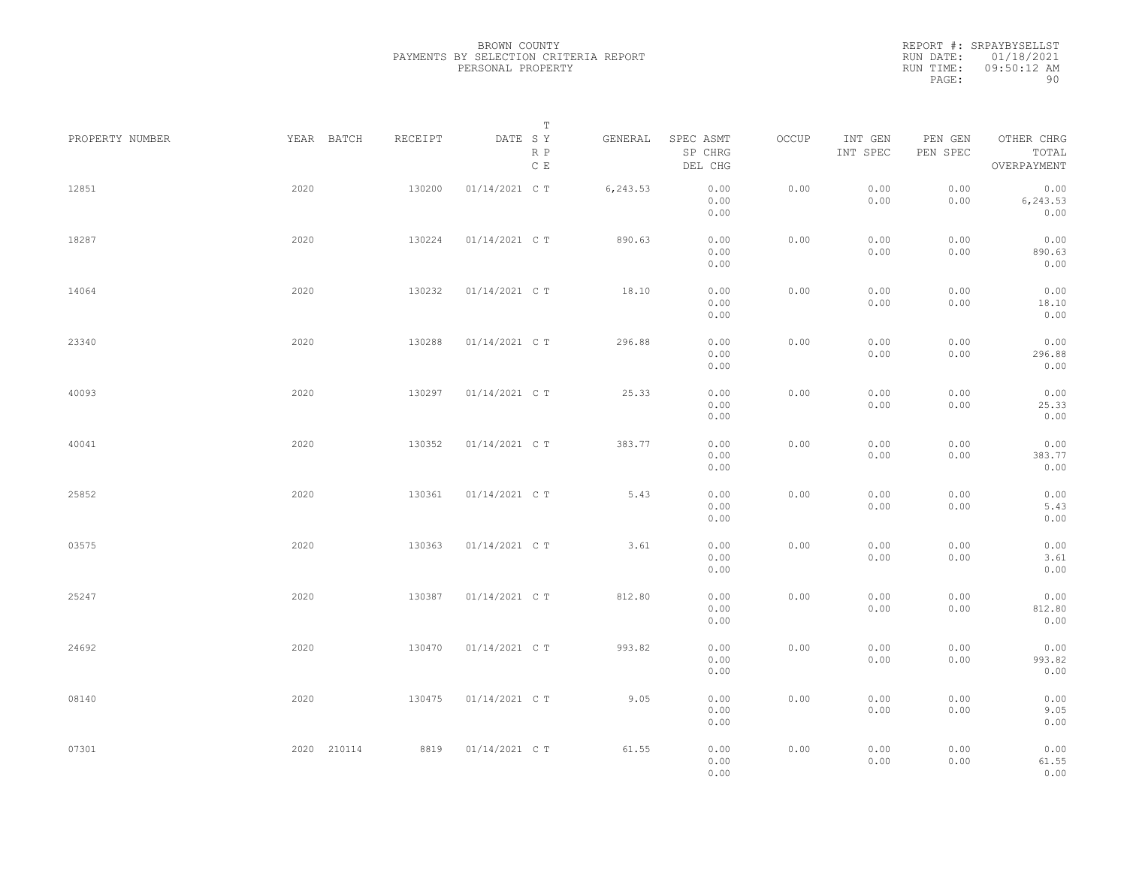REPORT #: SRPAYBYSELLST RUN DATE: 01/18/2021 RUN TIME: 09:50:12 AM PAGE: 90

| PROPERTY NUMBER | YEAR BATCH  | RECEIPT | Т<br>DATE SY         | GENERAL  | SPEC ASMT            | OCCUP | INT GEN      | PEN GEN      | OTHER CHRG               |  |
|-----------------|-------------|---------|----------------------|----------|----------------------|-------|--------------|--------------|--------------------------|--|
|                 |             |         | R P<br>$\mathbb C$ E |          | SP CHRG<br>DEL CHG   |       | INT SPEC     | PEN SPEC     | TOTAL<br>OVERPAYMENT     |  |
| 12851           | 2020        | 130200  | 01/14/2021 C T       | 6,243.53 | 0.00<br>0.00<br>0.00 | 0.00  | 0.00<br>0.00 | 0.00<br>0.00 | 0.00<br>6,243.53<br>0.00 |  |
| 18287           | 2020        | 130224  | 01/14/2021 C T       | 890.63   | 0.00<br>0.00<br>0.00 | 0.00  | 0.00<br>0.00 | 0.00<br>0.00 | 0.00<br>890.63<br>0.00   |  |
| 14064           | 2020        | 130232  | 01/14/2021 C T       | 18.10    | 0.00<br>0.00<br>0.00 | 0.00  | 0.00<br>0.00 | 0.00<br>0.00 | 0.00<br>18.10<br>0.00    |  |
| 23340           | 2020        | 130288  | 01/14/2021 C T       | 296.88   | 0.00<br>0.00<br>0.00 | 0.00  | 0.00<br>0.00 | 0.00<br>0.00 | 0.00<br>296.88<br>0.00   |  |
| 40093           | 2020        | 130297  | 01/14/2021 C T       | 25.33    | 0.00<br>0.00<br>0.00 | 0.00  | 0.00<br>0.00 | 0.00<br>0.00 | 0.00<br>25.33<br>0.00    |  |
| 40041           | 2020        | 130352  | 01/14/2021 C T       | 383.77   | 0.00<br>0.00<br>0.00 | 0.00  | 0.00<br>0.00 | 0.00<br>0.00 | 0.00<br>383.77<br>0.00   |  |
| 25852           | 2020        | 130361  | 01/14/2021 C T       | 5.43     | 0.00<br>0.00<br>0.00 | 0.00  | 0.00<br>0.00 | 0.00<br>0.00 | 0.00<br>5.43<br>0.00     |  |
| 03575           | 2020        | 130363  | 01/14/2021 C T       | 3.61     | 0.00<br>0.00<br>0.00 | 0.00  | 0.00<br>0.00 | 0.00<br>0.00 | 0.00<br>3.61<br>0.00     |  |
| 25247           | 2020        | 130387  | 01/14/2021 C T       | 812.80   | 0.00<br>0.00<br>0.00 | 0.00  | 0.00<br>0.00 | 0.00<br>0.00 | 0.00<br>812.80<br>0.00   |  |
| 24692           | 2020        | 130470  | 01/14/2021 C T       | 993.82   | 0.00<br>0.00<br>0.00 | 0.00  | 0.00<br>0.00 | 0.00<br>0.00 | 0.00<br>993.82<br>0.00   |  |
| 08140           | 2020        | 130475  | 01/14/2021 C T       | 9.05     | 0.00<br>0.00<br>0.00 | 0.00  | 0.00<br>0.00 | 0.00<br>0.00 | 0.00<br>9.05<br>0.00     |  |
| 07301           | 2020 210114 | 8819    | 01/14/2021 C T       | 61.55    | 0.00<br>0.00<br>0.00 | 0.00  | 0.00<br>0.00 | 0.00<br>0.00 | 0.00<br>61.55<br>0.00    |  |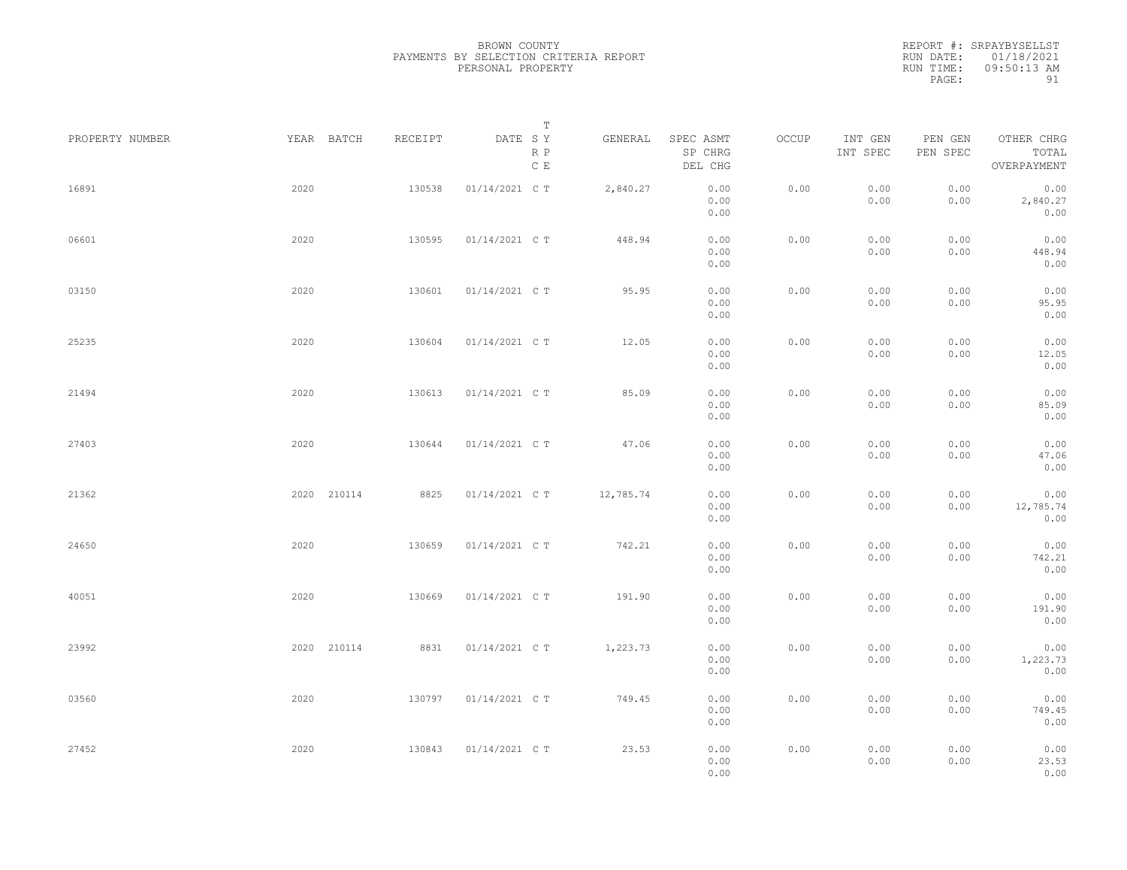REPORT #: SRPAYBYSELLST RUN DATE: 01/18/2021 RUN TIME: 09:50:13 AM PAGE: 91

| PROPERTY NUMBER |      | YEAR BATCH  | RECEIPT | DATE SY        | $\mathbb T$          | GENERAL   | SPEC ASMT            | OCCUP | INT GEN      | PEN GEN      | OTHER CHRG                |  |
|-----------------|------|-------------|---------|----------------|----------------------|-----------|----------------------|-------|--------------|--------------|---------------------------|--|
|                 |      |             |         |                | R P<br>$\mathbb C$ E |           | SP CHRG<br>DEL CHG   |       | INT SPEC     | PEN SPEC     | TOTAL<br>OVERPAYMENT      |  |
| 16891           | 2020 |             | 130538  | 01/14/2021 C T |                      | 2,840.27  | 0.00<br>0.00<br>0.00 | 0.00  | 0.00<br>0.00 | 0.00<br>0.00 | 0.00<br>2,840.27<br>0.00  |  |
| 06601           | 2020 |             | 130595  | 01/14/2021 C T |                      | 448.94    | 0.00<br>0.00<br>0.00 | 0.00  | 0.00<br>0.00 | 0.00<br>0.00 | 0.00<br>448.94<br>0.00    |  |
| 03150           | 2020 |             | 130601  | 01/14/2021 C T |                      | 95.95     | 0.00<br>0.00<br>0.00 | 0.00  | 0.00<br>0.00 | 0.00<br>0.00 | 0.00<br>95.95<br>0.00     |  |
| 25235           | 2020 |             | 130604  | 01/14/2021 C T |                      | 12.05     | 0.00<br>0.00<br>0.00 | 0.00  | 0.00<br>0.00 | 0.00<br>0.00 | 0.00<br>12.05<br>0.00     |  |
| 21494           | 2020 |             | 130613  | 01/14/2021 C T |                      | 85.09     | 0.00<br>0.00<br>0.00 | 0.00  | 0.00<br>0.00 | 0.00<br>0.00 | 0.00<br>85.09<br>0.00     |  |
| 27403           | 2020 |             | 130644  | 01/14/2021 C T |                      | 47.06     | 0.00<br>0.00<br>0.00 | 0.00  | 0.00<br>0.00 | 0.00<br>0.00 | 0.00<br>47.06<br>0.00     |  |
| 21362           |      | 2020 210114 | 8825    | 01/14/2021 C T |                      | 12,785.74 | 0.00<br>0.00<br>0.00 | 0.00  | 0.00<br>0.00 | 0.00<br>0.00 | 0.00<br>12,785.74<br>0.00 |  |
| 24650           | 2020 |             | 130659  | 01/14/2021 C T |                      | 742.21    | 0.00<br>0.00<br>0.00 | 0.00  | 0.00<br>0.00 | 0.00<br>0.00 | 0.00<br>742.21<br>0.00    |  |
| 40051           | 2020 |             | 130669  | 01/14/2021 C T |                      | 191.90    | 0.00<br>0.00<br>0.00 | 0.00  | 0.00<br>0.00 | 0.00<br>0.00 | 0.00<br>191.90<br>0.00    |  |
| 23992           |      | 2020 210114 | 8831    | 01/14/2021 C T |                      | 1,223.73  | 0.00<br>0.00<br>0.00 | 0.00  | 0.00<br>0.00 | 0.00<br>0.00 | 0.00<br>1,223.73<br>0.00  |  |
| 03560           | 2020 |             | 130797  | 01/14/2021 C T |                      | 749.45    | 0.00<br>0.00<br>0.00 | 0.00  | 0.00<br>0.00 | 0.00<br>0.00 | 0.00<br>749.45<br>0.00    |  |
| 27452           | 2020 |             | 130843  | 01/14/2021 C T |                      | 23.53     | 0.00<br>0.00<br>0.00 | 0.00  | 0.00<br>0.00 | 0.00<br>0.00 | 0.00<br>23.53<br>0.00     |  |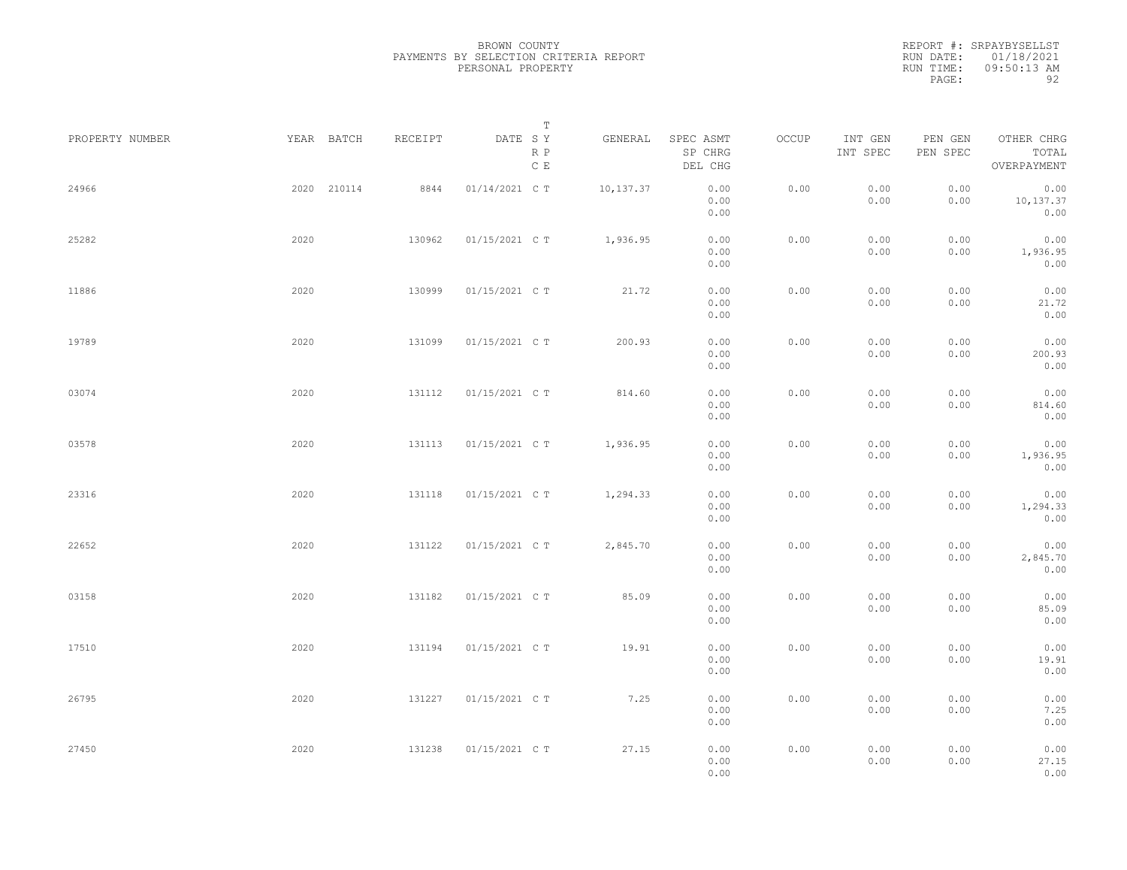|                 |             |         | Т                               |           |                                 |       |                     |                     |                                    |  |
|-----------------|-------------|---------|---------------------------------|-----------|---------------------------------|-------|---------------------|---------------------|------------------------------------|--|
| PROPERTY NUMBER | YEAR BATCH  | RECEIPT | DATE SY<br>R P<br>$\,$ C $\,$ E | GENERAL   | SPEC ASMT<br>SP CHRG<br>DEL CHG | OCCUP | INT GEN<br>INT SPEC | PEN GEN<br>PEN SPEC | OTHER CHRG<br>TOTAL<br>OVERPAYMENT |  |
| 24966           | 2020 210114 | 8844    | 01/14/2021 C T                  | 10,137.37 | 0.00<br>0.00<br>0.00            | 0.00  | 0.00<br>0.00        | 0.00<br>0.00        | 0.00<br>10,137.37<br>0.00          |  |
| 25282           | 2020        | 130962  | 01/15/2021 C T                  | 1,936.95  | 0.00<br>0.00<br>0.00            | 0.00  | 0.00<br>0.00        | 0.00<br>0.00        | 0.00<br>1,936.95<br>0.00           |  |
| 11886           | 2020        | 130999  | 01/15/2021 C T                  | 21.72     | 0.00<br>0.00<br>0.00            | 0.00  | 0.00<br>0.00        | 0.00<br>0.00        | 0.00<br>21.72<br>0.00              |  |
| 19789           | 2020        | 131099  | 01/15/2021 C T                  | 200.93    | 0.00<br>0.00<br>0.00            | 0.00  | 0.00<br>0.00        | 0.00<br>0.00        | 0.00<br>200.93<br>0.00             |  |
| 03074           | 2020        | 131112  | 01/15/2021 C T                  | 814.60    | 0.00<br>0.00<br>0.00            | 0.00  | 0.00<br>0.00        | 0.00<br>0.00        | 0.00<br>814.60<br>0.00             |  |
| 03578           | 2020        | 131113  | 01/15/2021 C T                  | 1,936.95  | 0.00<br>0.00<br>0.00            | 0.00  | 0.00<br>0.00        | 0.00<br>0.00        | 0.00<br>1,936.95<br>0.00           |  |
| 23316           | 2020        | 131118  | 01/15/2021 C T                  | 1,294.33  | 0.00<br>0.00<br>0.00            | 0.00  | 0.00<br>0.00        | 0.00<br>0.00        | 0.00<br>1,294.33<br>0.00           |  |
| 22652           | 2020        | 131122  | 01/15/2021 C T                  | 2,845.70  | 0.00<br>0.00<br>0.00            | 0.00  | 0.00<br>0.00        | 0.00<br>0.00        | 0.00<br>2,845.70<br>0.00           |  |
| 03158           | 2020        | 131182  | 01/15/2021 C T                  | 85.09     | 0.00<br>0.00<br>0.00            | 0.00  | 0.00<br>0.00        | 0.00<br>0.00        | 0.00<br>85.09<br>0.00              |  |
| 17510           | 2020        | 131194  | 01/15/2021 C T                  | 19.91     | 0.00<br>0.00<br>0.00            | 0.00  | 0.00<br>0.00        | 0.00<br>0.00        | 0.00<br>19.91<br>0.00              |  |
| 26795           | 2020        | 131227  | 01/15/2021 C T                  | 7.25      | 0.00<br>0.00<br>0.00            | 0.00  | 0.00<br>0.00        | 0.00<br>0.00        | 0.00<br>7.25<br>0.00               |  |
| 27450           | 2020        | 131238  | 01/15/2021 C T                  | 27.15     | 0.00<br>0.00<br>0.00            | 0.00  | 0.00<br>0.00        | 0.00<br>0.00        | 0.00<br>27.15<br>0.00              |  |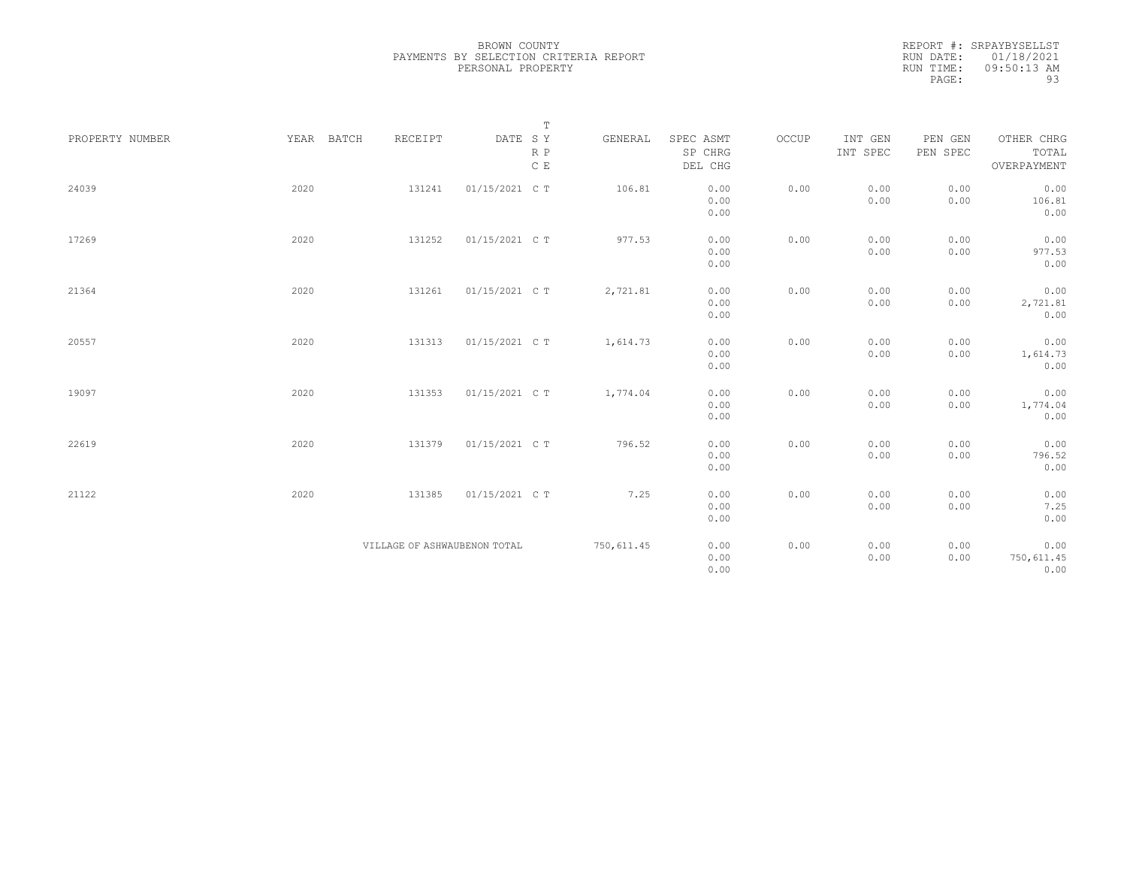|                 |            |                              |                                                                  | $\mathbb T$   |             |                      |       |                     |                     |                     |
|-----------------|------------|------------------------------|------------------------------------------------------------------|---------------|-------------|----------------------|-------|---------------------|---------------------|---------------------|
| PROPERTY NUMBER | YEAR BATCH | RECEIPT                      | $\begin{tabular}{lllll} \bf{DATE} & \tt S & \tt Y \end{tabular}$ | $R$ $P$       | GENERAL     | SPEC ASMT<br>SP CHRG | OCCUP | INT GEN<br>INT SPEC | PEN GEN<br>PEN SPEC | OTHER CHRG<br>TOTAL |
|                 |            |                              |                                                                  | $\,$ C $\,$ E |             | DEL CHG              |       |                     |                     | OVERPAYMENT         |
| 24039           | 2020       | 131241                       | 01/15/2021 C T                                                   |               | 106.81      | 0.00                 | 0.00  | 0.00                | 0.00                | 0.00                |
|                 |            |                              |                                                                  |               |             | 0.00<br>0.00         |       | 0.00                | 0.00                | 106.81<br>0.00      |
| 17269           | 2020       | 131252                       | 01/15/2021 C T                                                   |               | 977.53      | 0.00                 | 0.00  | 0.00                | 0.00                | 0.00                |
|                 |            |                              |                                                                  |               |             | 0.00                 |       | 0.00                | 0.00                | 977.53              |
|                 |            |                              |                                                                  |               |             | 0.00                 |       |                     |                     | 0.00                |
| 21364           | 2020       | 131261                       | 01/15/2021 C T                                                   |               | 2,721.81    | 0.00                 | 0.00  | 0.00                | 0.00                | 0.00                |
|                 |            |                              |                                                                  |               |             | 0.00                 |       | 0.00                | 0.00                | 2,721.81            |
|                 |            |                              |                                                                  |               |             | 0.00                 |       |                     |                     | 0.00                |
| 20557           | 2020       | 131313                       | 01/15/2021 C T                                                   |               | 1,614.73    | 0.00                 | 0.00  | 0.00                | 0.00                | 0.00                |
|                 |            |                              |                                                                  |               |             | 0.00                 |       | 0.00                | 0.00                | 1,614.73            |
|                 |            |                              |                                                                  |               |             | 0.00                 |       |                     |                     | 0.00                |
| 19097           | 2020       | 131353                       | 01/15/2021 C T                                                   |               | 1,774.04    | 0.00                 | 0.00  | 0.00                | 0.00                | 0.00                |
|                 |            |                              |                                                                  |               |             | 0.00                 |       | 0.00                | 0.00                | 1,774.04            |
|                 |            |                              |                                                                  |               |             | 0.00                 |       |                     |                     | 0.00                |
| 22619           | 2020       | 131379                       | 01/15/2021 C T                                                   |               | 796.52      | 0.00                 | 0.00  | 0.00                | 0.00                | 0.00                |
|                 |            |                              |                                                                  |               |             | 0.00                 |       | 0.00                | 0.00                | 796.52              |
|                 |            |                              |                                                                  |               |             | 0.00                 |       |                     |                     | 0.00                |
| 21122           | 2020       | 131385                       | 01/15/2021 C T                                                   |               | 7.25        | 0.00                 | 0.00  | 0.00                | 0.00                | 0.00                |
|                 |            |                              |                                                                  |               |             | 0.00                 |       | 0.00                | 0.00                | 7.25                |
|                 |            |                              |                                                                  |               |             | 0.00                 |       |                     |                     | 0.00                |
|                 |            | VILLAGE OF ASHWAUBENON TOTAL |                                                                  |               | 750, 611.45 | 0.00                 | 0.00  | 0.00                | 0.00                | 0.00                |
|                 |            |                              |                                                                  |               |             | 0.00                 |       | 0.00                | 0.00                | 750,611.45          |
|                 |            |                              |                                                                  |               |             | 0.00                 |       |                     |                     | 0.00                |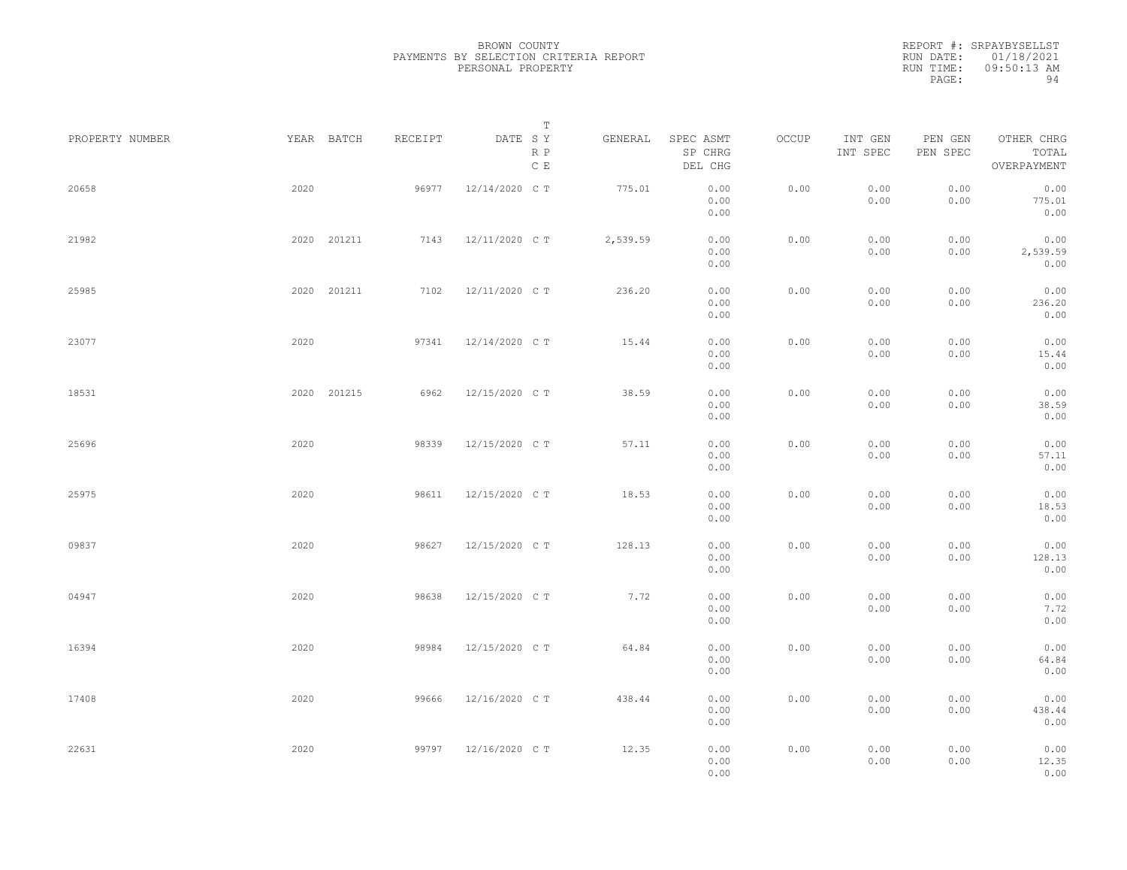|                 |      |             |         | Т                               |          |                                 |       |                     |                     |                                    |  |
|-----------------|------|-------------|---------|---------------------------------|----------|---------------------------------|-------|---------------------|---------------------|------------------------------------|--|
| PROPERTY NUMBER |      | YEAR BATCH  | RECEIPT | DATE SY<br>R P<br>$\,$ C $\,$ E | GENERAL  | SPEC ASMT<br>SP CHRG<br>DEL CHG | OCCUP | INT GEN<br>INT SPEC | PEN GEN<br>PEN SPEC | OTHER CHRG<br>TOTAL<br>OVERPAYMENT |  |
| 20658           | 2020 |             | 96977   | 12/14/2020 C T                  | 775.01   | 0.00<br>0.00<br>0.00            | 0.00  | 0.00<br>0.00        | 0.00<br>0.00        | 0.00<br>775.01<br>0.00             |  |
| 21982           |      | 2020 201211 | 7143    | 12/11/2020 C T                  | 2,539.59 | 0.00<br>0.00<br>0.00            | 0.00  | 0.00<br>0.00        | 0.00<br>0.00        | 0.00<br>2,539.59<br>0.00           |  |
| 25985           |      | 2020 201211 | 7102    | 12/11/2020 C T                  | 236.20   | 0.00<br>0.00<br>0.00            | 0.00  | 0.00<br>0.00        | 0.00<br>0.00        | 0.00<br>236.20<br>0.00             |  |
| 23077           | 2020 |             | 97341   | 12/14/2020 C T                  | 15.44    | 0.00<br>0.00<br>0.00            | 0.00  | 0.00<br>0.00        | 0.00<br>0.00        | 0.00<br>15.44<br>0.00              |  |
| 18531           |      | 2020 201215 | 6962    | 12/15/2020 C T                  | 38.59    | 0.00<br>0.00<br>0.00            | 0.00  | 0.00<br>0.00        | 0.00<br>0.00        | 0.00<br>38.59<br>0.00              |  |
| 25696           | 2020 |             | 98339   | 12/15/2020 C T                  | 57.11    | 0.00<br>0.00<br>0.00            | 0.00  | 0.00<br>0.00        | 0.00<br>0.00        | 0.00<br>57.11<br>0.00              |  |
| 25975           | 2020 |             | 98611   | 12/15/2020 C T                  | 18.53    | 0.00<br>0.00<br>0.00            | 0.00  | 0.00<br>0.00        | 0.00<br>0.00        | 0.00<br>18.53<br>0.00              |  |
| 09837           | 2020 |             | 98627   | 12/15/2020 C T                  | 128.13   | 0.00<br>0.00<br>0.00            | 0.00  | 0.00<br>0.00        | 0.00<br>0.00        | 0.00<br>128.13<br>0.00             |  |
| 04947           | 2020 |             | 98638   | 12/15/2020 C T                  | 7.72     | 0.00<br>0.00<br>0.00            | 0.00  | 0.00<br>0.00        | 0.00<br>0.00        | 0.00<br>7.72<br>0.00               |  |
| 16394           | 2020 |             | 98984   | 12/15/2020 C T                  | 64.84    | 0.00<br>0.00<br>0.00            | 0.00  | 0.00<br>0.00        | 0.00<br>0.00        | 0.00<br>64.84<br>0.00              |  |
| 17408           | 2020 |             | 99666   | 12/16/2020 C T                  | 438.44   | 0.00<br>0.00<br>0.00            | 0.00  | 0.00<br>0.00        | 0.00<br>0.00        | 0.00<br>438.44<br>0.00             |  |
| 22631           | 2020 |             | 99797   | 12/16/2020 C T                  | 12.35    | 0.00<br>0.00<br>0.00            | 0.00  | 0.00<br>0.00        | 0.00<br>0.00        | 0.00<br>12.35<br>0.00              |  |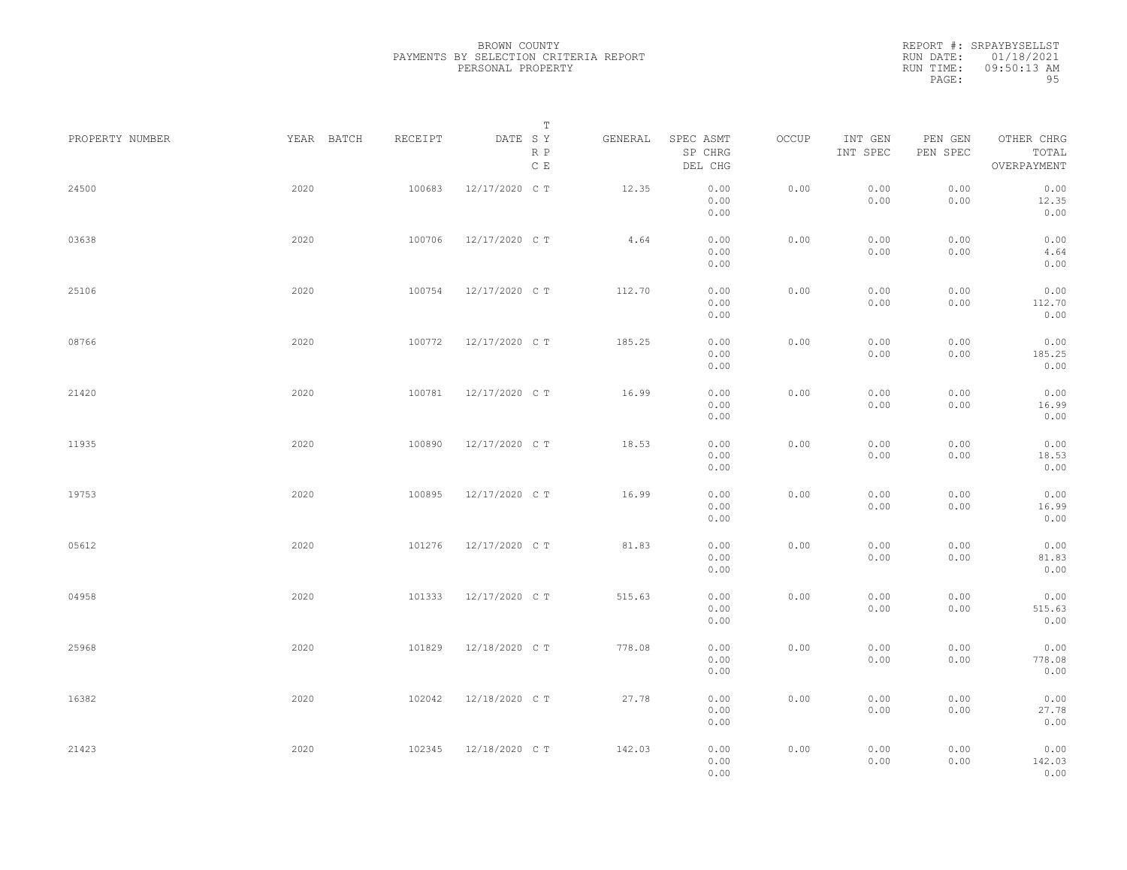REPORT #: SRPAYBYSELLST RUN DATE: 01/18/2021 RUN TIME: 09:50:13 AM PAGE: 95

| PROPERTY NUMBER | YEAR BATCH | RECEIPT | $\mathbb T$<br>DATE SY<br>R P | GENERAL | SPEC ASMT<br>SP CHRG | OCCUP | INT GEN<br>INT SPEC | PEN GEN<br>PEN SPEC | OTHER CHRG<br>TOTAL    |  |
|-----------------|------------|---------|-------------------------------|---------|----------------------|-------|---------------------|---------------------|------------------------|--|
|                 |            |         | $\mathbb C$ E                 |         | DEL CHG              |       |                     |                     | OVERPAYMENT            |  |
| 24500           | 2020       | 100683  | 12/17/2020 C T                | 12.35   | 0.00<br>0.00<br>0.00 | 0.00  | 0.00<br>0.00        | 0.00<br>0.00        | 0.00<br>12.35<br>0.00  |  |
| 03638           | 2020       | 100706  | 12/17/2020 C T                | 4.64    | 0.00<br>0.00<br>0.00 | 0.00  | 0.00<br>0.00        | 0.00<br>0.00        | 0.00<br>4.64<br>0.00   |  |
| 25106           | 2020       | 100754  | 12/17/2020 C T                | 112.70  | 0.00<br>0.00<br>0.00 | 0.00  | 0.00<br>0.00        | 0.00<br>0.00        | 0.00<br>112.70<br>0.00 |  |
| 08766           | 2020       | 100772  | 12/17/2020 C T                | 185.25  | 0.00<br>0.00<br>0.00 | 0.00  | 0.00<br>0.00        | 0.00<br>0.00        | 0.00<br>185.25<br>0.00 |  |
| 21420           | 2020       | 100781  | 12/17/2020 C T                | 16.99   | 0.00<br>0.00<br>0.00 | 0.00  | 0.00<br>0.00        | 0.00<br>0.00        | 0.00<br>16.99<br>0.00  |  |
| 11935           | 2020       | 100890  | 12/17/2020 C T                | 18.53   | 0.00<br>0.00<br>0.00 | 0.00  | 0.00<br>0.00        | 0.00<br>0.00        | 0.00<br>18.53<br>0.00  |  |
| 19753           | 2020       | 100895  | 12/17/2020 C T                | 16.99   | 0.00<br>0.00<br>0.00 | 0.00  | 0.00<br>0.00        | 0.00<br>0.00        | 0.00<br>16.99<br>0.00  |  |
| 05612           | 2020       | 101276  | 12/17/2020 C T                | 81.83   | 0.00<br>0.00<br>0.00 | 0.00  | 0.00<br>0.00        | 0.00<br>0.00        | 0.00<br>81.83<br>0.00  |  |
| 04958           | 2020       | 101333  | 12/17/2020 C T                | 515.63  | 0.00<br>0.00<br>0.00 | 0.00  | 0.00<br>0.00        | 0.00<br>0.00        | 0.00<br>515.63<br>0.00 |  |
| 25968           | 2020       | 101829  | 12/18/2020 C T                | 778.08  | 0.00<br>0.00<br>0.00 | 0.00  | 0.00<br>0.00        | 0.00<br>0.00        | 0.00<br>778.08<br>0.00 |  |
| 16382           | 2020       | 102042  | 12/18/2020 C T                | 27.78   | 0.00<br>0.00<br>0.00 | 0.00  | 0.00<br>0.00        | 0.00<br>0.00        | 0.00<br>27.78<br>0.00  |  |
| 21423           | 2020       | 102345  | 12/18/2020 C T                | 142.03  | 0.00<br>0.00<br>0.00 | 0.00  | 0.00<br>0.00        | 0.00<br>0.00        | 0.00<br>142.03<br>0.00 |  |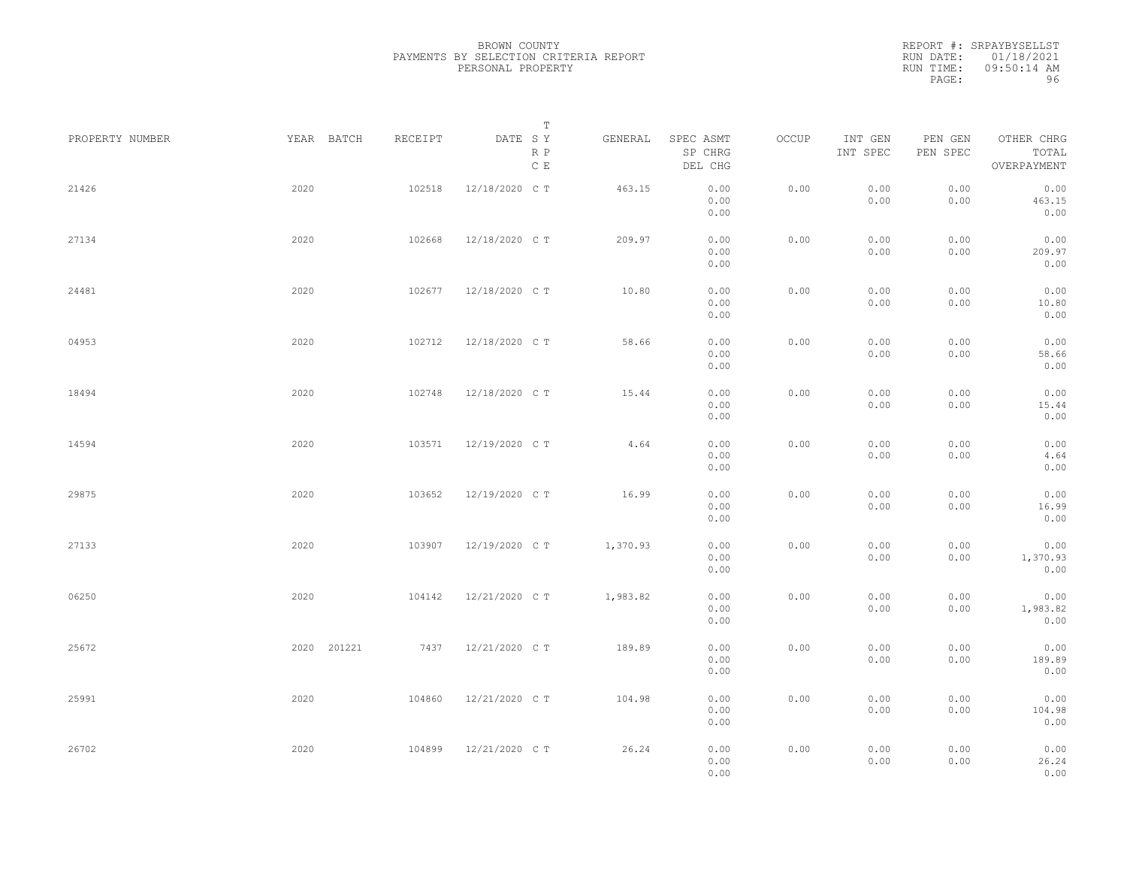|                 |             |         | Т                               |          |                                 |       |                     |                     |                                    |  |
|-----------------|-------------|---------|---------------------------------|----------|---------------------------------|-------|---------------------|---------------------|------------------------------------|--|
| PROPERTY NUMBER | YEAR BATCH  | RECEIPT | DATE SY<br>R P<br>$\,$ C $\,$ E | GENERAL  | SPEC ASMT<br>SP CHRG<br>DEL CHG | OCCUP | INT GEN<br>INT SPEC | PEN GEN<br>PEN SPEC | OTHER CHRG<br>TOTAL<br>OVERPAYMENT |  |
| 21426           | 2020        | 102518  | 12/18/2020 C T                  | 463.15   | 0.00<br>0.00<br>0.00            | 0.00  | 0.00<br>0.00        | 0.00<br>0.00        | 0.00<br>463.15<br>0.00             |  |
| 27134           | 2020        | 102668  | 12/18/2020 C T                  | 209.97   | 0.00<br>0.00<br>0.00            | 0.00  | 0.00<br>0.00        | 0.00<br>0.00        | 0.00<br>209.97<br>0.00             |  |
| 24481           | 2020        | 102677  | 12/18/2020 C T                  | 10.80    | 0.00<br>0.00<br>0.00            | 0.00  | 0.00<br>0.00        | 0.00<br>0.00        | 0.00<br>10.80<br>0.00              |  |
| 04953           | 2020        | 102712  | 12/18/2020 C T                  | 58.66    | 0.00<br>0.00<br>0.00            | 0.00  | 0.00<br>0.00        | 0.00<br>0.00        | 0.00<br>58.66<br>0.00              |  |
| 18494           | 2020        | 102748  | 12/18/2020 C T                  | 15.44    | 0.00<br>0.00<br>0.00            | 0.00  | 0.00<br>0.00        | 0.00<br>0.00        | 0.00<br>15.44<br>0.00              |  |
| 14594           | 2020        | 103571  | 12/19/2020 C T                  | 4.64     | 0.00<br>0.00<br>0.00            | 0.00  | 0.00<br>0.00        | 0.00<br>0.00        | 0.00<br>4.64<br>0.00               |  |
| 29875           | 2020        | 103652  | 12/19/2020 C T                  | 16.99    | 0.00<br>0.00<br>0.00            | 0.00  | 0.00<br>0.00        | 0.00<br>0.00        | 0.00<br>16.99<br>0.00              |  |
| 27133           | 2020        | 103907  | 12/19/2020 C T                  | 1,370.93 | 0.00<br>0.00<br>0.00            | 0.00  | 0.00<br>0.00        | 0.00<br>0.00        | 0.00<br>1,370.93<br>0.00           |  |
| 06250           | 2020        | 104142  | 12/21/2020 C T                  | 1,983.82 | 0.00<br>0.00<br>0.00            | 0.00  | 0.00<br>0.00        | 0.00<br>0.00        | 0.00<br>1,983.82<br>0.00           |  |
| 25672           | 2020 201221 | 7437    | 12/21/2020 C T                  | 189.89   | 0.00<br>0.00<br>0.00            | 0.00  | 0.00<br>0.00        | 0.00<br>0.00        | 0.00<br>189.89<br>0.00             |  |
| 25991           | 2020        | 104860  | 12/21/2020 C T                  | 104.98   | 0.00<br>0.00<br>0.00            | 0.00  | 0.00<br>0.00        | 0.00<br>0.00        | 0.00<br>104.98<br>0.00             |  |
| 26702           | 2020        | 104899  | 12/21/2020 C T                  | 26.24    | 0.00<br>0.00<br>0.00            | 0.00  | 0.00<br>0.00        | 0.00<br>0.00        | 0.00<br>26.24<br>0.00              |  |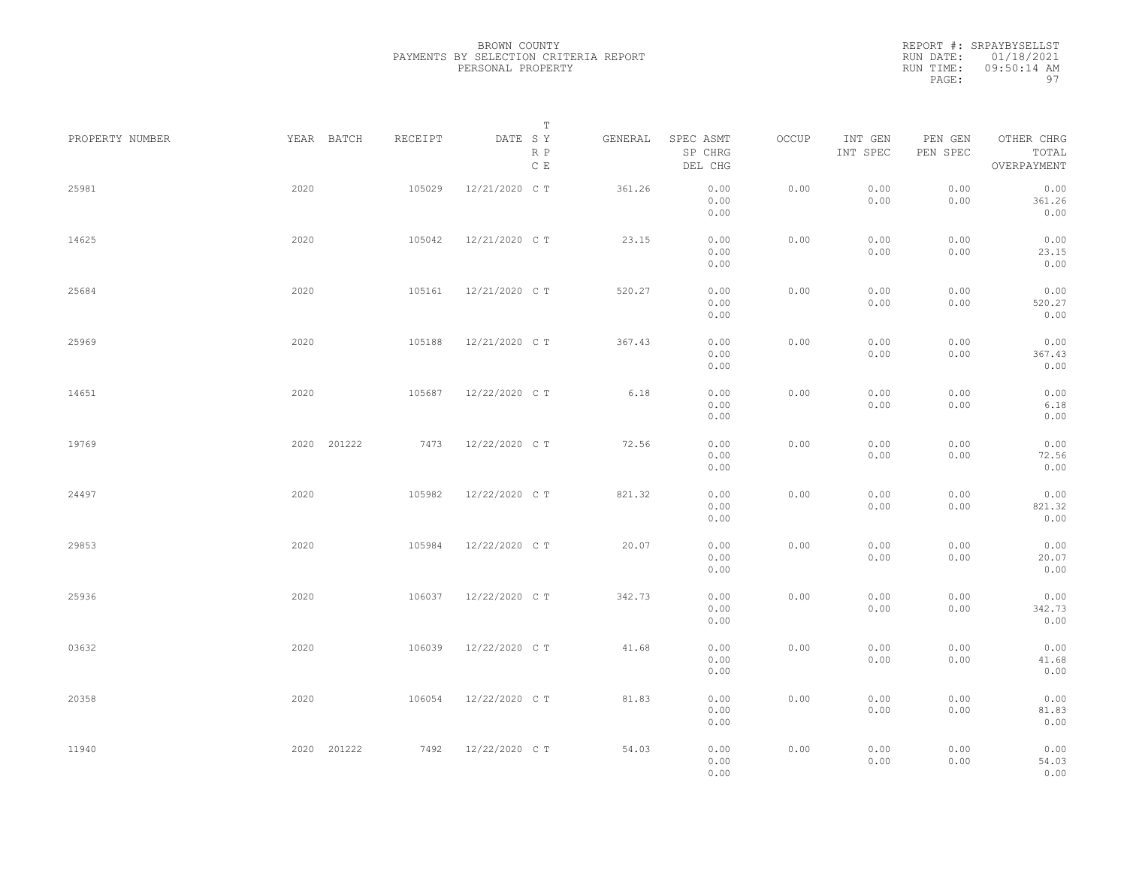|                 |             |         | Т                               |         |                                 |       |                     |                     |                                    |  |
|-----------------|-------------|---------|---------------------------------|---------|---------------------------------|-------|---------------------|---------------------|------------------------------------|--|
| PROPERTY NUMBER | YEAR BATCH  | RECEIPT | DATE SY<br>R P<br>$\,$ C $\,$ E | GENERAL | SPEC ASMT<br>SP CHRG<br>DEL CHG | OCCUP | INT GEN<br>INT SPEC | PEN GEN<br>PEN SPEC | OTHER CHRG<br>TOTAL<br>OVERPAYMENT |  |
| 25981           | 2020        | 105029  | 12/21/2020 C T                  | 361.26  | 0.00<br>0.00<br>0.00            | 0.00  | 0.00<br>0.00        | 0.00<br>0.00        | 0.00<br>361.26<br>0.00             |  |
| 14625           | 2020        | 105042  | 12/21/2020 C T                  | 23.15   | 0.00<br>0.00<br>0.00            | 0.00  | 0.00<br>0.00        | 0.00<br>0.00        | 0.00<br>23.15<br>0.00              |  |
| 25684           | 2020        | 105161  | 12/21/2020 C T                  | 520.27  | 0.00<br>0.00<br>0.00            | 0.00  | 0.00<br>0.00        | 0.00<br>0.00        | 0.00<br>520.27<br>0.00             |  |
| 25969           | 2020        | 105188  | 12/21/2020 C T                  | 367.43  | 0.00<br>0.00<br>0.00            | 0.00  | 0.00<br>0.00        | 0.00<br>0.00        | 0.00<br>367.43<br>0.00             |  |
| 14651           | 2020        | 105687  | 12/22/2020 C T                  | 6.18    | 0.00<br>0.00<br>0.00            | 0.00  | 0.00<br>0.00        | 0.00<br>0.00        | 0.00<br>6.18<br>0.00               |  |
| 19769           | 2020 201222 | 7473    | 12/22/2020 C T                  | 72.56   | 0.00<br>0.00<br>0.00            | 0.00  | 0.00<br>0.00        | 0.00<br>0.00        | 0.00<br>72.56<br>0.00              |  |
| 24497           | 2020        | 105982  | 12/22/2020 C T                  | 821.32  | 0.00<br>0.00<br>0.00            | 0.00  | 0.00<br>0.00        | 0.00<br>0.00        | 0.00<br>821.32<br>0.00             |  |
| 29853           | 2020        | 105984  | 12/22/2020 C T                  | 20.07   | 0.00<br>0.00<br>0.00            | 0.00  | 0.00<br>0.00        | 0.00<br>0.00        | 0.00<br>20.07<br>0.00              |  |
| 25936           | 2020        | 106037  | 12/22/2020 C T                  | 342.73  | 0.00<br>0.00                    | 0.00  | 0.00<br>0.00        | 0.00<br>0.00        | 0.00<br>342.73                     |  |
| 03632           | 2020        | 106039  | 12/22/2020 C T                  | 41.68   | 0.00<br>0.00<br>0.00            | 0.00  | 0.00<br>0.00        | 0.00<br>0.00        | 0.00<br>0.00<br>41.68              |  |
| 20358           | 2020        | 106054  | 12/22/2020 C T                  | 81.83   | 0.00<br>0.00<br>0.00            | 0.00  | 0.00<br>0.00        | 0.00<br>0.00        | 0.00<br>0.00<br>81.83              |  |
| 11940           | 2020 201222 | 7492    | 12/22/2020 C T                  | 54.03   | 0.00<br>0.00<br>0.00<br>0.00    | 0.00  | 0.00<br>0.00        | 0.00<br>0.00        | 0.00<br>0.00<br>54.03<br>0.00      |  |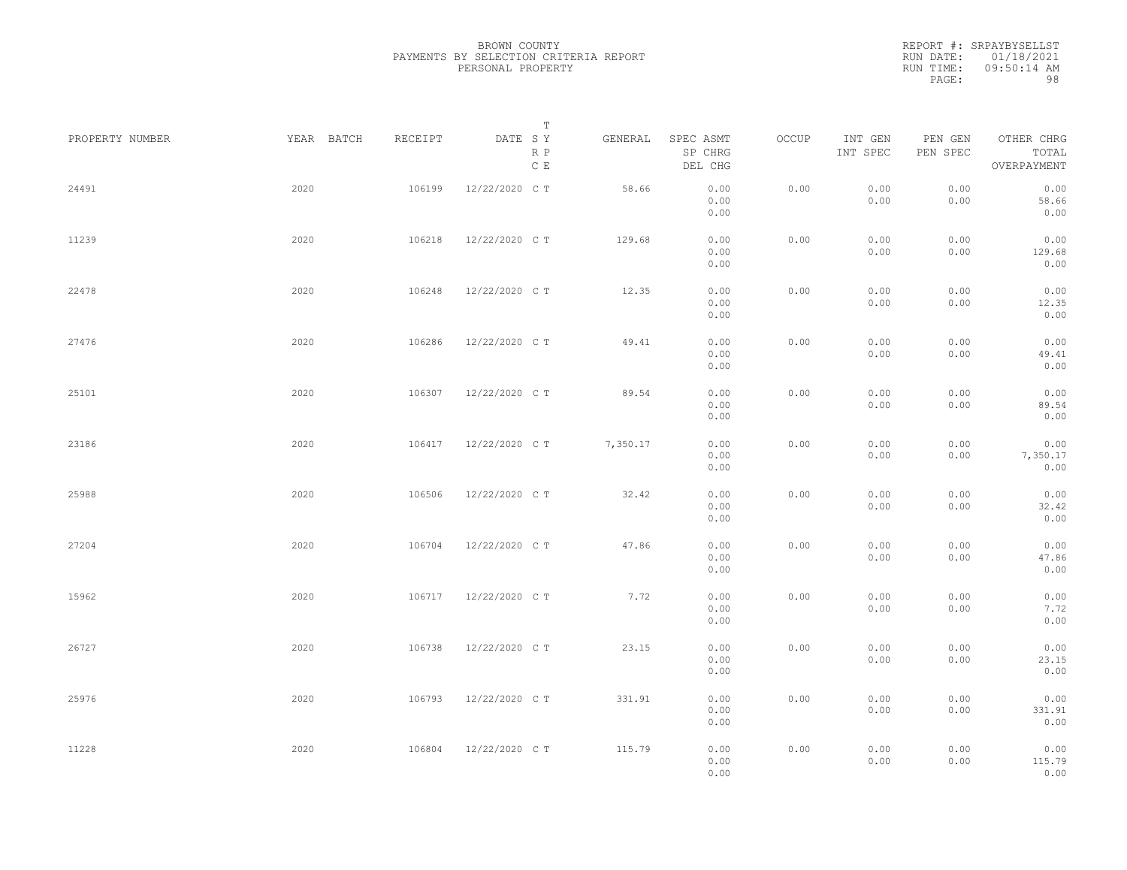|                 |            |         | $\mathbb T$                               |          |                                 |       |                     |                     |                                    |  |
|-----------------|------------|---------|-------------------------------------------|----------|---------------------------------|-------|---------------------|---------------------|------------------------------------|--|
| PROPERTY NUMBER | YEAR BATCH | RECEIPT | DATE SY<br>$\mathbb R$ $\mathbb P$<br>C E | GENERAL  | SPEC ASMT<br>SP CHRG<br>DEL CHG | OCCUP | INT GEN<br>INT SPEC | PEN GEN<br>PEN SPEC | OTHER CHRG<br>TOTAL<br>OVERPAYMENT |  |
| 24491           | 2020       | 106199  | 12/22/2020 CT                             | 58.66    | 0.00<br>0.00<br>0.00            | 0.00  | 0.00<br>0.00        | 0.00<br>0.00        | 0.00<br>58.66<br>0.00              |  |
| 11239           | 2020       | 106218  | 12/22/2020 CT                             | 129.68   | 0.00<br>0.00<br>0.00            | 0.00  | 0.00<br>0.00        | 0.00<br>0.00        | 0.00<br>129.68<br>0.00             |  |
| 22478           | 2020       | 106248  | 12/22/2020 CT                             | 12.35    | 0.00<br>0.00<br>0.00            | 0.00  | 0.00<br>0.00        | 0.00<br>0.00        | 0.00<br>12.35<br>0.00              |  |
| 27476           | 2020       | 106286  | 12/22/2020 CT                             | 49.41    | 0.00<br>0.00<br>0.00            | 0.00  | 0.00<br>0.00        | 0.00<br>0.00        | 0.00<br>49.41<br>0.00              |  |
| 25101           | 2020       | 106307  | 12/22/2020 CT                             | 89.54    | 0.00<br>0.00<br>0.00            | 0.00  | 0.00<br>0.00        | 0.00<br>0.00        | 0.00<br>89.54<br>0.00              |  |
| 23186           | 2020       | 106417  | 12/22/2020 CT                             | 7,350.17 | 0.00<br>0.00<br>0.00            | 0.00  | 0.00<br>0.00        | 0.00<br>0.00        | 0.00<br>7,350.17<br>0.00           |  |
| 25988           | 2020       | 106506  | 12/22/2020 CT                             | 32.42    | 0.00<br>0.00<br>0.00            | 0.00  | 0.00<br>0.00        | 0.00<br>0.00        | 0.00<br>32.42<br>0.00              |  |
| 27204           | 2020       | 106704  | 12/22/2020 CT                             | 47.86    | 0.00<br>0.00<br>0.00            | 0.00  | 0.00<br>0.00        | 0.00<br>0.00        | 0.00<br>47.86<br>0.00              |  |
| 15962           | 2020       | 106717  | 12/22/2020 CT                             | 7.72     | 0.00<br>0.00<br>0.00            | 0.00  | 0.00<br>0.00        | 0.00<br>0.00        | 0.00<br>7.72<br>0.00               |  |
| 26727           | 2020       | 106738  | 12/22/2020 CT                             | 23.15    | 0.00<br>0.00<br>0.00            | 0.00  | 0.00<br>0.00        | 0.00<br>0.00        | 0.00<br>23.15<br>0.00              |  |
| 25976           | 2020       | 106793  | 12/22/2020 CT                             | 331.91   | 0.00<br>0.00<br>0.00            | 0.00  | 0.00<br>0.00        | 0.00<br>0.00        | 0.00<br>331.91<br>0.00             |  |
| 11228           | 2020       | 106804  | 12/22/2020 C T                            | 115.79   | 0.00<br>0.00<br>0.00            | 0.00  | 0.00<br>0.00        | 0.00<br>0.00        | 0.00<br>115.79<br>0.00             |  |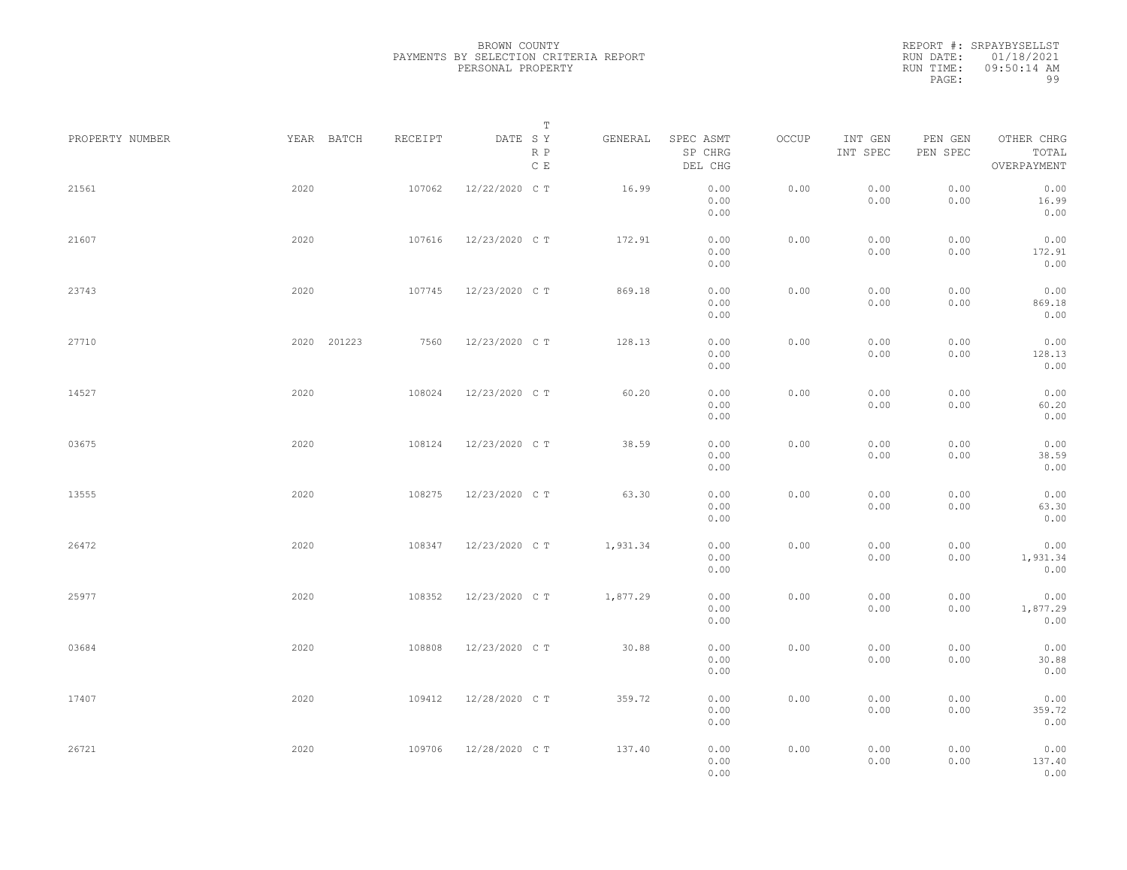|                 |             |         | Т                               |          |                                 |       |                     |                     |                                    |  |
|-----------------|-------------|---------|---------------------------------|----------|---------------------------------|-------|---------------------|---------------------|------------------------------------|--|
| PROPERTY NUMBER | YEAR BATCH  | RECEIPT | DATE SY<br>R P<br>$\,$ C $\,$ E | GENERAL  | SPEC ASMT<br>SP CHRG<br>DEL CHG | OCCUP | INT GEN<br>INT SPEC | PEN GEN<br>PEN SPEC | OTHER CHRG<br>TOTAL<br>OVERPAYMENT |  |
| 21561           | 2020        | 107062  | 12/22/2020 C T                  | 16.99    | 0.00<br>0.00<br>0.00            | 0.00  | 0.00<br>0.00        | 0.00<br>0.00        | 0.00<br>16.99<br>0.00              |  |
| 21607           | 2020        | 107616  | 12/23/2020 C T                  | 172.91   | 0.00<br>0.00<br>0.00            | 0.00  | 0.00<br>0.00        | 0.00<br>0.00        | 0.00<br>172.91<br>0.00             |  |
| 23743           | 2020        | 107745  | 12/23/2020 C T                  | 869.18   | 0.00<br>0.00<br>0.00            | 0.00  | 0.00<br>0.00        | 0.00<br>0.00        | 0.00<br>869.18<br>0.00             |  |
| 27710           | 2020 201223 | 7560    | 12/23/2020 C T                  | 128.13   | 0.00<br>0.00<br>0.00            | 0.00  | 0.00<br>0.00        | 0.00<br>0.00        | 0.00<br>128.13<br>0.00             |  |
| 14527           | 2020        | 108024  | 12/23/2020 C T                  | 60.20    | 0.00<br>0.00<br>0.00            | 0.00  | 0.00<br>0.00        | 0.00<br>0.00        | 0.00<br>60.20<br>0.00              |  |
| 03675           | 2020        | 108124  | 12/23/2020 C T                  | 38.59    | 0.00<br>0.00                    | 0.00  | 0.00<br>0.00        | 0.00<br>0.00        | 0.00<br>38.59                      |  |
| 13555           | 2020        | 108275  | 12/23/2020 C T                  | 63.30    | 0.00<br>0.00<br>0.00            | 0.00  | 0.00<br>0.00        | 0.00<br>0.00        | 0.00<br>0.00<br>63.30              |  |
| 26472           | 2020        | 108347  | 12/23/2020 C T                  | 1,931.34 | 0.00<br>0.00<br>0.00            | 0.00  | 0.00<br>0.00        | 0.00<br>0.00        | 0.00<br>0.00<br>1,931.34           |  |
| 25977           | 2020        | 108352  | 12/23/2020 C T                  | 1,877.29 | 0.00<br>0.00<br>0.00            | 0.00  | 0.00<br>0.00        | 0.00<br>0.00        | 0.00<br>0.00<br>1,877.29           |  |
| 03684           | 2020        | 108808  | 12/23/2020 C T                  | 30.88    | 0.00<br>0.00<br>0.00            | 0.00  | 0.00<br>0.00        | 0.00<br>0.00        | 0.00<br>0.00<br>30.88              |  |
| 17407           | 2020        | 109412  | 12/28/2020 C T                  | 359.72   | 0.00<br>0.00                    | 0.00  | 0.00                | 0.00                | 0.00<br>0.00                       |  |
|                 |             |         |                                 |          | 0.00<br>0.00                    |       | 0.00                | 0.00                | 359.72<br>0.00                     |  |
| 26721           | 2020        | 109706  | 12/28/2020 C T                  | 137.40   | 0.00<br>0.00<br>0.00            | 0.00  | 0.00<br>0.00        | 0.00<br>0.00        | 0.00<br>137.40<br>0.00             |  |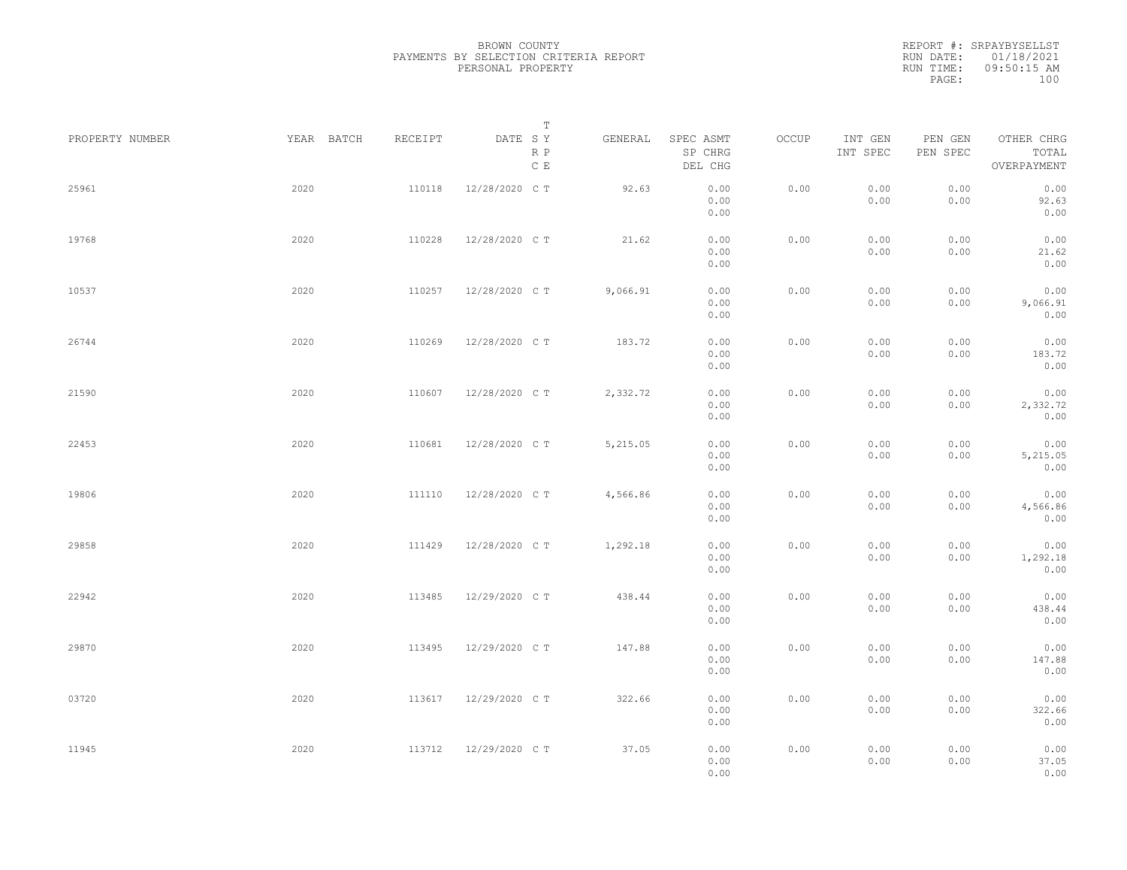| PROPERTY NUMBER | YEAR BATCH | RECEIPT | T<br>DATE SY         | GENERAL  | SPEC ASMT                    | OCCUP | INT GEN      | PEN GEN      | OTHER CHRG                    |  |
|-----------------|------------|---------|----------------------|----------|------------------------------|-------|--------------|--------------|-------------------------------|--|
|                 |            |         | R P<br>$\mathbb C$ E |          | SP CHRG<br>DEL CHG           |       | INT SPEC     | PEN SPEC     | TOTAL<br>OVERPAYMENT          |  |
| 25961           | 2020       | 110118  | 12/28/2020 C T       | 92.63    | 0.00<br>0.00<br>0.00         | 0.00  | 0.00<br>0.00 | 0.00<br>0.00 | 0.00<br>92.63<br>0.00         |  |
| 19768           | 2020       | 110228  | 12/28/2020 C T       | 21.62    | 0.00<br>0.00<br>0.00         | 0.00  | 0.00<br>0.00 | 0.00<br>0.00 | 0.00<br>21.62<br>0.00         |  |
| 10537           | 2020       | 110257  | 12/28/2020 C T       | 9,066.91 | 0.00<br>0.00<br>0.00         | 0.00  | 0.00<br>0.00 | 0.00<br>0.00 | 0.00<br>9,066.91<br>0.00      |  |
| 26744           | 2020       | 110269  | 12/28/2020 C T       | 183.72   | 0.00<br>0.00<br>0.00         | 0.00  | 0.00<br>0.00 | 0.00<br>0.00 | 0.00<br>183.72<br>0.00        |  |
| 21590           | 2020       | 110607  | 12/28/2020 C T       | 2,332.72 | 0.00<br>0.00<br>0.00         | 0.00  | 0.00<br>0.00 | 0.00<br>0.00 | 0.00<br>2,332.72<br>0.00      |  |
| 22453           | 2020       | 110681  | 12/28/2020 C T       | 5,215.05 | 0.00<br>0.00<br>0.00         | 0.00  | 0.00<br>0.00 | 0.00<br>0.00 | 0.00<br>5,215.05<br>0.00      |  |
| 19806           | 2020       | 111110  | 12/28/2020 C T       | 4,566.86 | 0.00<br>0.00<br>0.00         | 0.00  | 0.00<br>0.00 | 0.00<br>0.00 | 0.00<br>4,566.86<br>0.00      |  |
| 29858           | 2020       | 111429  | 12/28/2020 C T       | 1,292.18 | 0.00<br>0.00<br>0.00         | 0.00  | 0.00<br>0.00 | 0.00<br>0.00 | 0.00<br>1,292.18<br>0.00      |  |
| 22942           | 2020       | 113485  | 12/29/2020 C T       | 438.44   | 0.00<br>0.00                 | 0.00  | 0.00<br>0.00 | 0.00<br>0.00 | 0.00<br>438.44                |  |
| 29870           | 2020       | 113495  | 12/29/2020 C T       | 147.88   | 0.00<br>0.00<br>0.00         | 0.00  | 0.00<br>0.00 | 0.00<br>0.00 | 0.00<br>0.00<br>147.88        |  |
| 03720           | 2020       | 113617  | 12/29/2020 CT        | 322.66   | 0.00<br>0.00<br>0.00         | 0.00  | 0.00<br>0.00 | 0.00<br>0.00 | 0.00<br>0.00<br>322.66        |  |
| 11945           | 2020       | 113712  | 12/29/2020 CT        | 37.05    | 0.00<br>0.00<br>0.00<br>0.00 | 0.00  | 0.00<br>0.00 | 0.00<br>0.00 | 0.00<br>0.00<br>37.05<br>0.00 |  |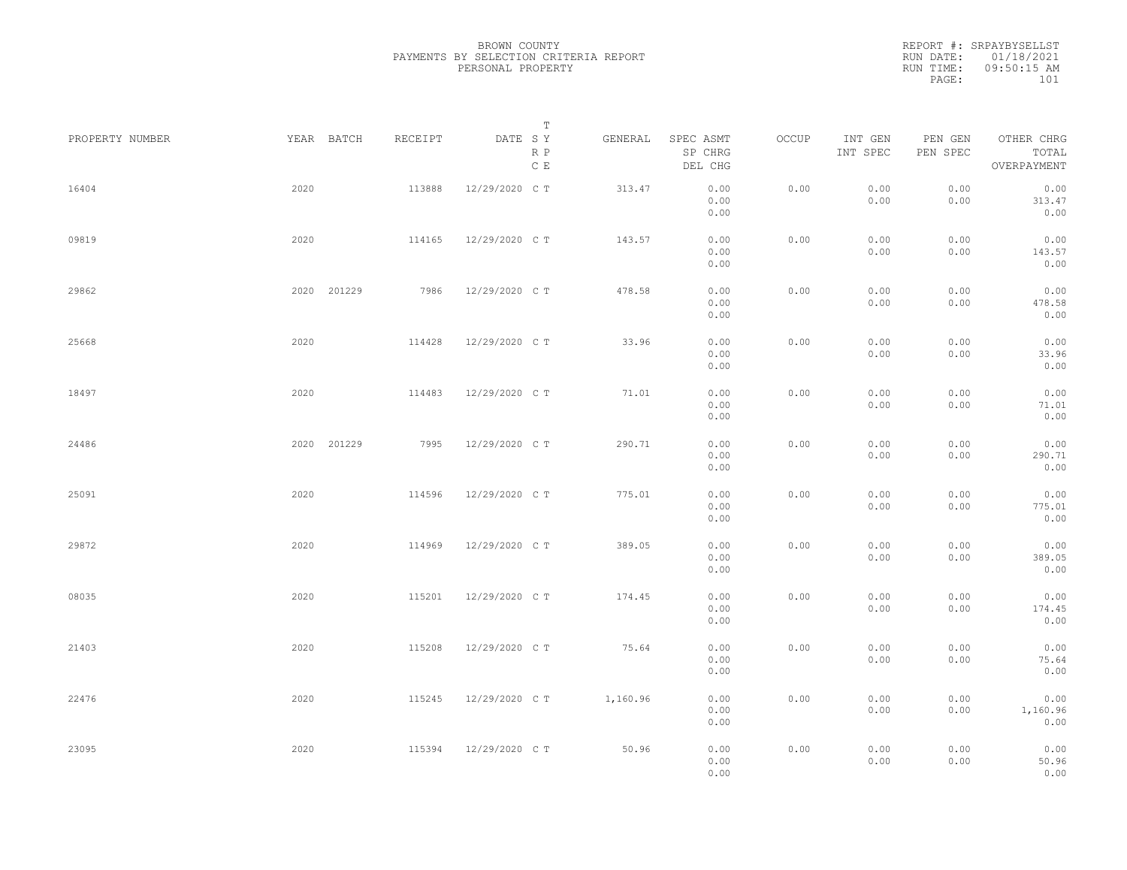|                 |             |         | Т                               |          |                                 |       |                     |                     |                                    |  |
|-----------------|-------------|---------|---------------------------------|----------|---------------------------------|-------|---------------------|---------------------|------------------------------------|--|
| PROPERTY NUMBER | YEAR BATCH  | RECEIPT | DATE SY<br>R P<br>$\,$ C $\,$ E | GENERAL  | SPEC ASMT<br>SP CHRG<br>DEL CHG | OCCUP | INT GEN<br>INT SPEC | PEN GEN<br>PEN SPEC | OTHER CHRG<br>TOTAL<br>OVERPAYMENT |  |
| 16404           | 2020        | 113888  | 12/29/2020 C T                  | 313.47   | 0.00<br>0.00<br>0.00            | 0.00  | 0.00<br>0.00        | 0.00<br>0.00        | 0.00<br>313.47<br>0.00             |  |
| 09819           | 2020        | 114165  | 12/29/2020 C T                  | 143.57   | 0.00<br>0.00<br>0.00            | 0.00  | 0.00<br>0.00        | 0.00<br>0.00        | 0.00<br>143.57<br>0.00             |  |
| 29862           | 2020 201229 | 7986    | 12/29/2020 C T                  | 478.58   | 0.00<br>0.00<br>0.00            | 0.00  | 0.00<br>0.00        | 0.00<br>0.00        | 0.00<br>478.58<br>0.00             |  |
| 25668           | 2020        | 114428  | 12/29/2020 C T                  | 33.96    | 0.00<br>0.00<br>0.00            | 0.00  | 0.00<br>0.00        | 0.00<br>0.00        | 0.00<br>33.96<br>0.00              |  |
| 18497           | 2020        | 114483  | 12/29/2020 C T                  | 71.01    | 0.00<br>0.00<br>0.00            | 0.00  | 0.00<br>0.00        | 0.00<br>0.00        | 0.00<br>71.01<br>0.00              |  |
| 24486           | 2020 201229 | 7995    | 12/29/2020 C T                  | 290.71   | 0.00<br>0.00<br>0.00            | 0.00  | 0.00<br>0.00        | 0.00<br>0.00        | 0.00<br>290.71<br>0.00             |  |
| 25091           | 2020        | 114596  | 12/29/2020 C T                  | 775.01   | 0.00<br>0.00<br>0.00            | 0.00  | 0.00<br>0.00        | 0.00<br>0.00        | 0.00<br>775.01<br>0.00             |  |
| 29872           | 2020        | 114969  | 12/29/2020 C T                  | 389.05   | 0.00<br>0.00<br>0.00            | 0.00  | 0.00<br>0.00        | 0.00<br>0.00        | 0.00<br>389.05<br>0.00             |  |
| 08035           | 2020        | 115201  | 12/29/2020 C T                  | 174.45   | 0.00<br>0.00<br>0.00            | 0.00  | 0.00<br>0.00        | 0.00<br>0.00        | 0.00<br>174.45<br>0.00             |  |
| 21403           | 2020        | 115208  | 12/29/2020 C T                  | 75.64    | 0.00<br>0.00<br>0.00            | 0.00  | 0.00<br>0.00        | 0.00<br>0.00        | 0.00<br>75.64<br>0.00              |  |
| 22476           | 2020        | 115245  | 12/29/2020 C T                  | 1,160.96 | 0.00<br>0.00<br>0.00            | 0.00  | 0.00<br>0.00        | 0.00<br>0.00        | 0.00<br>1,160.96<br>0.00           |  |
| 23095           | 2020        | 115394  | 12/29/2020 C T                  | 50.96    | 0.00<br>0.00<br>0.00            | 0.00  | 0.00<br>0.00        | 0.00<br>0.00        | 0.00<br>50.96<br>0.00              |  |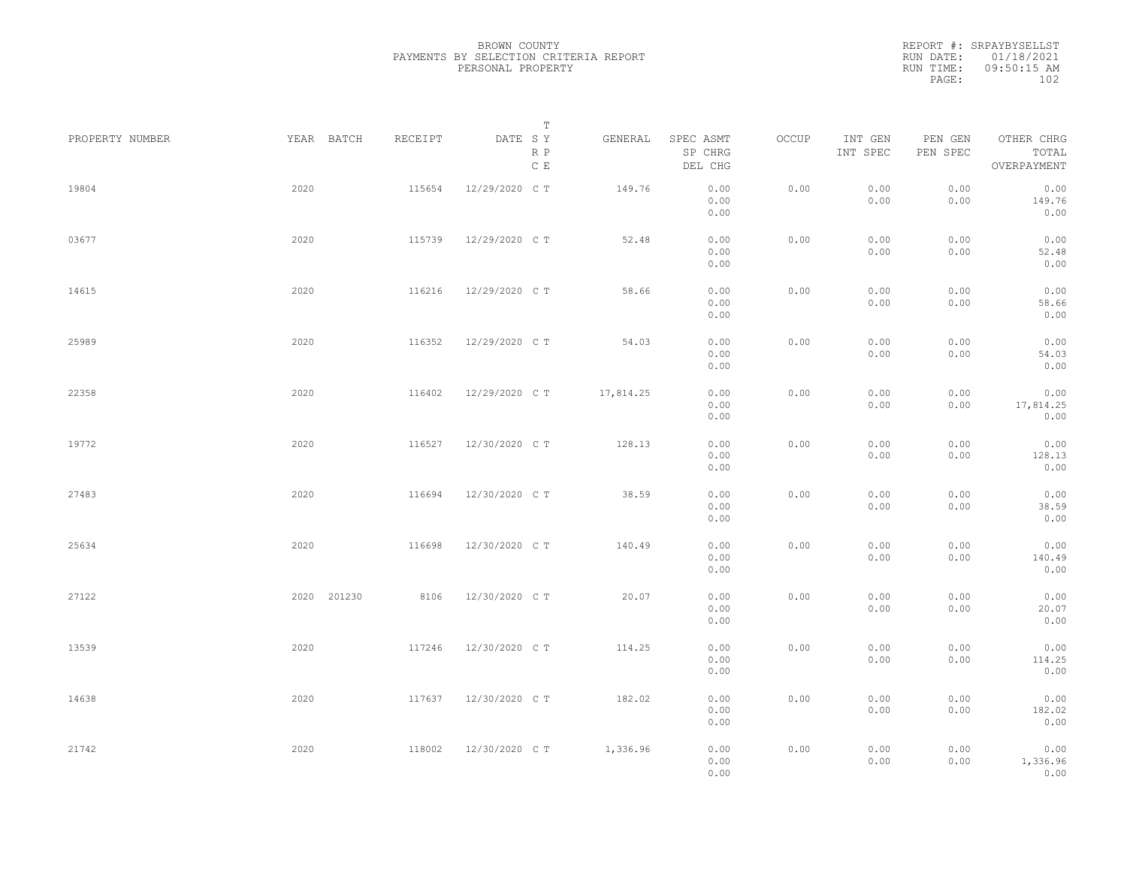|                 |             |         | Т                               |           |                                 |       |                     |                     |                                    |  |
|-----------------|-------------|---------|---------------------------------|-----------|---------------------------------|-------|---------------------|---------------------|------------------------------------|--|
| PROPERTY NUMBER | YEAR BATCH  | RECEIPT | DATE SY<br>R P<br>$\,$ C $\,$ E | GENERAL   | SPEC ASMT<br>SP CHRG<br>DEL CHG | OCCUP | INT GEN<br>INT SPEC | PEN GEN<br>PEN SPEC | OTHER CHRG<br>TOTAL<br>OVERPAYMENT |  |
| 19804           | 2020        | 115654  | 12/29/2020 C T                  | 149.76    | 0.00<br>0.00<br>0.00            | 0.00  | 0.00<br>0.00        | 0.00<br>0.00        | 0.00<br>149.76<br>0.00             |  |
| 03677           | 2020        | 115739  | 12/29/2020 C T                  | 52.48     | 0.00<br>0.00<br>0.00            | 0.00  | 0.00<br>0.00        | 0.00<br>0.00        | 0.00<br>52.48<br>0.00              |  |
| 14615           | 2020        | 116216  | 12/29/2020 C T                  | 58.66     | 0.00<br>0.00<br>0.00            | 0.00  | 0.00<br>0.00        | 0.00<br>0.00        | 0.00<br>58.66<br>0.00              |  |
| 25989           | 2020        | 116352  | 12/29/2020 C T                  | 54.03     | 0.00<br>0.00<br>0.00            | 0.00  | 0.00<br>0.00        | 0.00<br>0.00        | 0.00<br>54.03<br>0.00              |  |
| 22358           | 2020        | 116402  | 12/29/2020 C T                  | 17,814.25 | 0.00<br>0.00<br>0.00            | 0.00  | 0.00<br>0.00        | 0.00<br>0.00        | 0.00<br>17,814.25<br>0.00          |  |
| 19772           | 2020        | 116527  | 12/30/2020 C T                  | 128.13    | 0.00<br>0.00<br>0.00            | 0.00  | 0.00<br>0.00        | 0.00<br>0.00        | 0.00<br>128.13<br>0.00             |  |
| 27483           | 2020        | 116694  | 12/30/2020 C T                  | 38.59     | 0.00<br>0.00<br>0.00            | 0.00  | 0.00<br>0.00        | 0.00<br>0.00        | 0.00<br>38.59<br>0.00              |  |
| 25634           | 2020        | 116698  | 12/30/2020 C T                  | 140.49    | 0.00<br>0.00<br>0.00            | 0.00  | 0.00<br>0.00        | 0.00<br>0.00        | 0.00<br>140.49<br>0.00             |  |
| 27122           | 2020 201230 | 8106    | 12/30/2020 C T                  | 20.07     | 0.00<br>0.00<br>0.00            | 0.00  | 0.00<br>0.00        | 0.00<br>0.00        | 0.00<br>20.07<br>0.00              |  |
| 13539           | 2020        | 117246  | 12/30/2020 C T                  | 114.25    | 0.00<br>0.00<br>0.00            | 0.00  | 0.00<br>0.00        | 0.00<br>0.00        | 0.00<br>114.25<br>0.00             |  |
| 14638           | 2020        | 117637  | 12/30/2020 C T                  | 182.02    | 0.00<br>0.00<br>0.00            | 0.00  | 0.00<br>0.00        | 0.00<br>0.00        | 0.00<br>182.02<br>0.00             |  |
| 21742           | 2020        | 118002  | 12/30/2020 C T                  | 1,336.96  | 0.00<br>0.00<br>0.00            | 0.00  | 0.00<br>0.00        | 0.00<br>0.00        | 0.00<br>1,336.96<br>0.00           |  |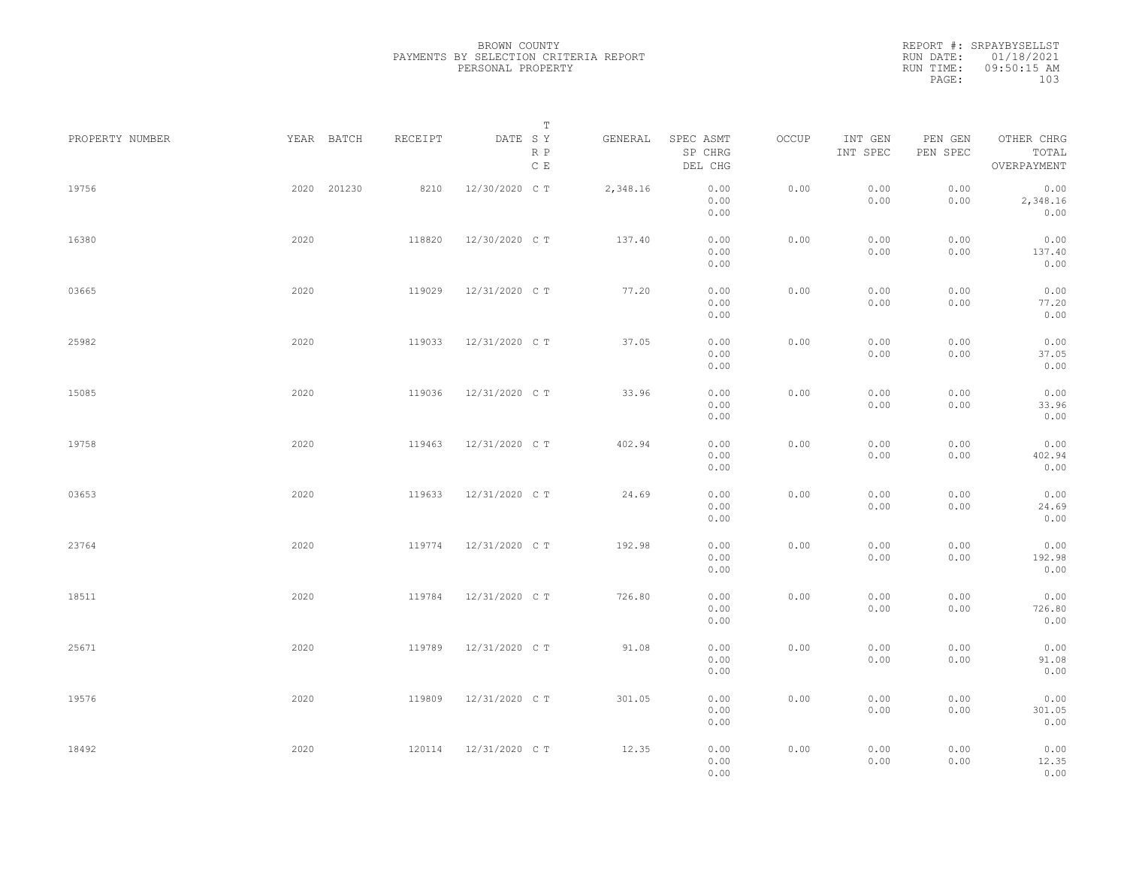| PROPERTY NUMBER |      | YEAR BATCH  | RECEIPT | DATE SY<br>R P<br>$\mathbb C$ E | Т<br>GENERAL | SPEC ASMT<br>SP CHRG<br>DEL CHG | OCCUP | INT GEN<br>INT SPEC | PEN GEN<br>PEN SPEC | OTHER CHRG<br>TOTAL<br>OVERPAYMENT |  |
|-----------------|------|-------------|---------|---------------------------------|--------------|---------------------------------|-------|---------------------|---------------------|------------------------------------|--|
| 19756           |      | 2020 201230 | 8210    | 12/30/2020 C T                  | 2,348.16     | 0.00<br>0.00<br>0.00            | 0.00  | 0.00<br>0.00        | 0.00<br>0.00        | 0.00<br>2,348.16<br>0.00           |  |
| 16380           | 2020 |             | 118820  | 12/30/2020 C T                  | 137.40       | 0.00<br>0.00<br>0.00            | 0.00  | 0.00<br>0.00        | 0.00<br>0.00        | 0.00<br>137.40<br>0.00             |  |
| 03665           | 2020 |             | 119029  | 12/31/2020 C T                  | 77.20        | 0.00<br>0.00<br>0.00            | 0.00  | 0.00<br>0.00        | 0.00<br>0.00        | 0.00<br>77.20<br>0.00              |  |
| 25982           | 2020 |             | 119033  | 12/31/2020 C T                  | 37.05        | 0.00<br>0.00<br>0.00            | 0.00  | 0.00<br>0.00        | 0.00<br>0.00        | 0.00<br>37.05<br>0.00              |  |
| 15085           | 2020 |             | 119036  | 12/31/2020 C T                  | 33.96        | 0.00<br>0.00<br>0.00            | 0.00  | 0.00<br>0.00        | 0.00<br>0.00        | 0.00<br>33.96<br>0.00              |  |
| 19758           | 2020 |             | 119463  | 12/31/2020 C T                  | 402.94       | 0.00<br>0.00<br>0.00            | 0.00  | 0.00<br>0.00        | 0.00<br>0.00        | 0.00<br>402.94<br>0.00             |  |
| 03653           | 2020 |             | 119633  | 12/31/2020 C T                  | 24.69        | 0.00<br>0.00<br>0.00            | 0.00  | 0.00<br>0.00        | 0.00<br>0.00        | 0.00<br>24.69<br>0.00              |  |
| 23764           | 2020 |             | 119774  | 12/31/2020 C T                  | 192.98       | 0.00<br>0.00<br>0.00            | 0.00  | 0.00<br>0.00        | 0.00<br>0.00        | 0.00<br>192.98<br>0.00             |  |
| 18511           | 2020 |             | 119784  | 12/31/2020 C T                  | 726.80       | 0.00<br>0.00<br>0.00            | 0.00  | 0.00<br>0.00        | 0.00<br>0.00        | 0.00<br>726.80<br>0.00             |  |
| 25671           | 2020 |             | 119789  | 12/31/2020 C T                  | 91.08        | 0.00<br>0.00<br>0.00            | 0.00  | 0.00<br>0.00        | 0.00<br>0.00        | 0.00<br>91.08<br>0.00              |  |
| 19576           | 2020 |             | 119809  | 12/31/2020 C T                  | 301.05       | 0.00<br>0.00<br>0.00            | 0.00  | 0.00<br>0.00        | 0.00<br>0.00        | 0.00<br>301.05<br>0.00             |  |
| 18492           | 2020 |             | 120114  | 12/31/2020 C T                  | 12.35        | 0.00<br>0.00<br>0.00            | 0.00  | 0.00<br>0.00        | 0.00<br>0.00        | 0.00<br>12.35<br>0.00              |  |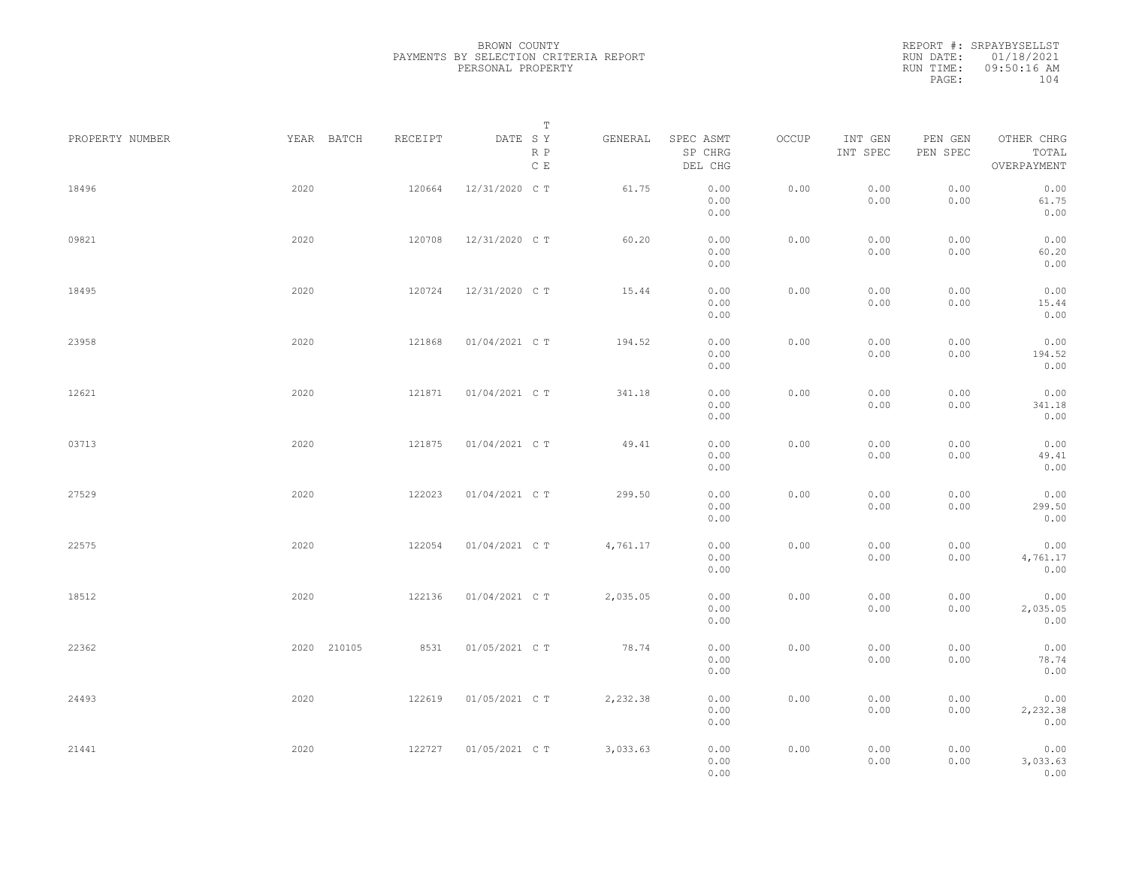| PROPERTY NUMBER | YEAR BATCH  | RECEIPT | T<br>DATE SY<br>R P<br>$\mathbb C\,$ E | GENERAL  | SPEC ASMT<br>SP CHRG<br>DEL CHG | OCCUP | INT GEN<br>INT SPEC | PEN GEN<br>PEN SPEC | OTHER CHRG<br>TOTAL<br>OVERPAYMENT |  |
|-----------------|-------------|---------|----------------------------------------|----------|---------------------------------|-------|---------------------|---------------------|------------------------------------|--|
| 18496           | 2020        | 120664  | 12/31/2020 C T                         | 61.75    | 0.00<br>0.00<br>0.00            | 0.00  | 0.00<br>0.00        | 0.00<br>0.00        | 0.00<br>61.75<br>0.00              |  |
| 09821           | 2020        | 120708  | 12/31/2020 C T                         | 60.20    | 0.00<br>0.00<br>0.00            | 0.00  | 0.00<br>0.00        | 0.00<br>0.00        | 0.00<br>60.20<br>0.00              |  |
| 18495           | 2020        | 120724  | 12/31/2020 C T                         | 15.44    | 0.00<br>0.00<br>0.00            | 0.00  | 0.00<br>0.00        | 0.00<br>0.00        | 0.00<br>15.44<br>0.00              |  |
| 23958           | 2020        | 121868  | 01/04/2021 C T                         | 194.52   | 0.00<br>0.00<br>0.00            | 0.00  | 0.00<br>0.00        | 0.00<br>0.00        | 0.00<br>194.52<br>0.00             |  |
| 12621           | 2020        | 121871  | 01/04/2021 C T                         | 341.18   | 0.00<br>0.00<br>0.00            | 0.00  | 0.00<br>0.00        | 0.00<br>0.00        | 0.00<br>341.18<br>0.00             |  |
| 03713           | 2020        | 121875  | 01/04/2021 C T                         | 49.41    | 0.00<br>0.00<br>0.00            | 0.00  | 0.00<br>0.00        | 0.00<br>0.00        | 0.00<br>49.41<br>0.00              |  |
| 27529           | 2020        | 122023  | 01/04/2021 C T                         | 299.50   | 0.00<br>0.00<br>0.00            | 0.00  | 0.00<br>0.00        | 0.00<br>0.00        | 0.00<br>299.50<br>0.00             |  |
| 22575           | 2020        | 122054  | 01/04/2021 C T                         | 4,761.17 | 0.00<br>0.00<br>0.00            | 0.00  | 0.00<br>0.00        | 0.00<br>0.00        | 0.00<br>4,761.17<br>0.00           |  |
| 18512           | 2020        | 122136  | 01/04/2021 C T                         | 2,035.05 | 0.00<br>0.00<br>0.00            | 0.00  | 0.00<br>0.00        | 0.00<br>0.00        | 0.00<br>2,035.05<br>0.00           |  |
| 22362           | 2020 210105 | 8531    | 01/05/2021 C T                         | 78.74    | 0.00<br>0.00<br>0.00            | 0.00  | 0.00<br>0.00        | 0.00<br>0.00        | 0.00<br>78.74<br>0.00              |  |
| 24493           | 2020        | 122619  | 01/05/2021 C T                         | 2,232.38 | 0.00<br>0.00<br>0.00            | 0.00  | 0.00<br>0.00        | 0.00<br>0.00        | 0.00<br>2,232.38<br>0.00           |  |
| 21441           | 2020        | 122727  | 01/05/2021 C T                         | 3,033.63 | 0.00<br>0.00<br>0.00            | 0.00  | 0.00<br>0.00        | 0.00<br>0.00        | 0.00<br>3,033.63<br>0.00           |  |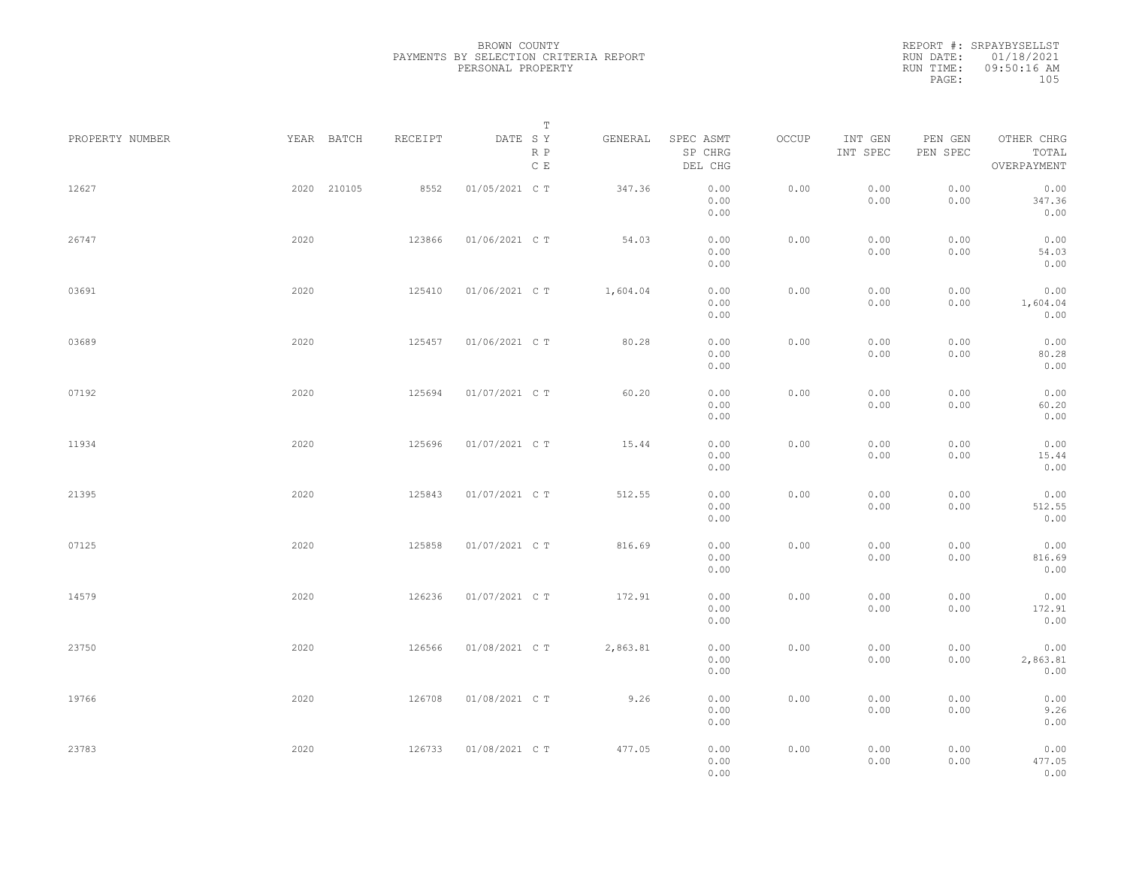REPORT #: SRPAYBYSELLST RUN DATE: 01/18/2021 RUN TIME: 09:50:16 AM PAGE: 105

|                 |             |         | $\mathbb T$                               |          |                                 |       |                     |                     |                                    |  |
|-----------------|-------------|---------|-------------------------------------------|----------|---------------------------------|-------|---------------------|---------------------|------------------------------------|--|
| PROPERTY NUMBER | YEAR BATCH  | RECEIPT | DATE SY<br>$\mathbb R$ $\mathbb P$<br>C E | GENERAL  | SPEC ASMT<br>SP CHRG<br>DEL CHG | OCCUP | INT GEN<br>INT SPEC | PEN GEN<br>PEN SPEC | OTHER CHRG<br>TOTAL<br>OVERPAYMENT |  |
| 12627           | 2020 210105 | 8552    | 01/05/2021 C T                            | 347.36   | 0.00<br>0.00<br>0.00            | 0.00  | 0.00<br>0.00        | 0.00<br>0.00        | 0.00<br>347.36<br>0.00             |  |
| 26747           | 2020        | 123866  | 01/06/2021 C T                            | 54.03    | 0.00<br>0.00<br>0.00            | 0.00  | 0.00<br>0.00        | 0.00<br>0.00        | 0.00<br>54.03<br>0.00              |  |
| 03691           | 2020        | 125410  | 01/06/2021 C T                            | 1,604.04 | 0.00<br>0.00<br>0.00            | 0.00  | 0.00<br>0.00        | 0.00<br>0.00        | 0.00<br>1,604.04<br>0.00           |  |
| 03689           | 2020        | 125457  | 01/06/2021 C T                            | 80.28    | 0.00<br>0.00<br>0.00            | 0.00  | 0.00<br>0.00        | 0.00<br>0.00        | 0.00<br>80.28<br>0.00              |  |
| 07192           | 2020        | 125694  | 01/07/2021 C T                            | 60.20    | 0.00<br>0.00<br>0.00            | 0.00  | 0.00<br>0.00        | 0.00<br>0.00        | 0.00<br>60.20<br>0.00              |  |
| 11934           | 2020        | 125696  | 01/07/2021 C T                            | 15.44    | 0.00<br>0.00<br>0.00            | 0.00  | 0.00<br>0.00        | 0.00<br>0.00        | 0.00<br>15.44<br>0.00              |  |
| 21395           | 2020        | 125843  | 01/07/2021 C T                            | 512.55   | 0.00<br>0.00<br>0.00            | 0.00  | 0.00<br>0.00        | 0.00<br>0.00        | 0.00<br>512.55<br>0.00             |  |
| 07125           | 2020        | 125858  | 01/07/2021 C T                            | 816.69   | 0.00<br>0.00<br>0.00            | 0.00  | 0.00<br>0.00        | 0.00<br>0.00        | 0.00<br>816.69<br>0.00             |  |
| 14579           | 2020        | 126236  | 01/07/2021 C T                            | 172.91   | 0.00<br>0.00<br>0.00            | 0.00  | 0.00<br>0.00        | 0.00<br>0.00        | 0.00<br>172.91<br>0.00             |  |
| 23750           | 2020        | 126566  | 01/08/2021 C T                            | 2,863.81 | 0.00<br>0.00<br>0.00            | 0.00  | 0.00<br>0.00        | 0.00<br>0.00        | 0.00<br>2,863.81<br>0.00           |  |
| 19766           | 2020        | 126708  | 01/08/2021 C T                            | 9.26     | 0.00<br>0.00<br>0.00            | 0.00  | 0.00<br>0.00        | 0.00<br>0.00        | 0.00<br>9.26<br>0.00               |  |
| 23783           | 2020        | 126733  | 01/08/2021 C T                            | 477.05   | 0.00<br>0.00<br>0.00            | 0.00  | 0.00<br>0.00        | 0.00<br>0.00        | 0.00<br>477.05<br>0.00             |  |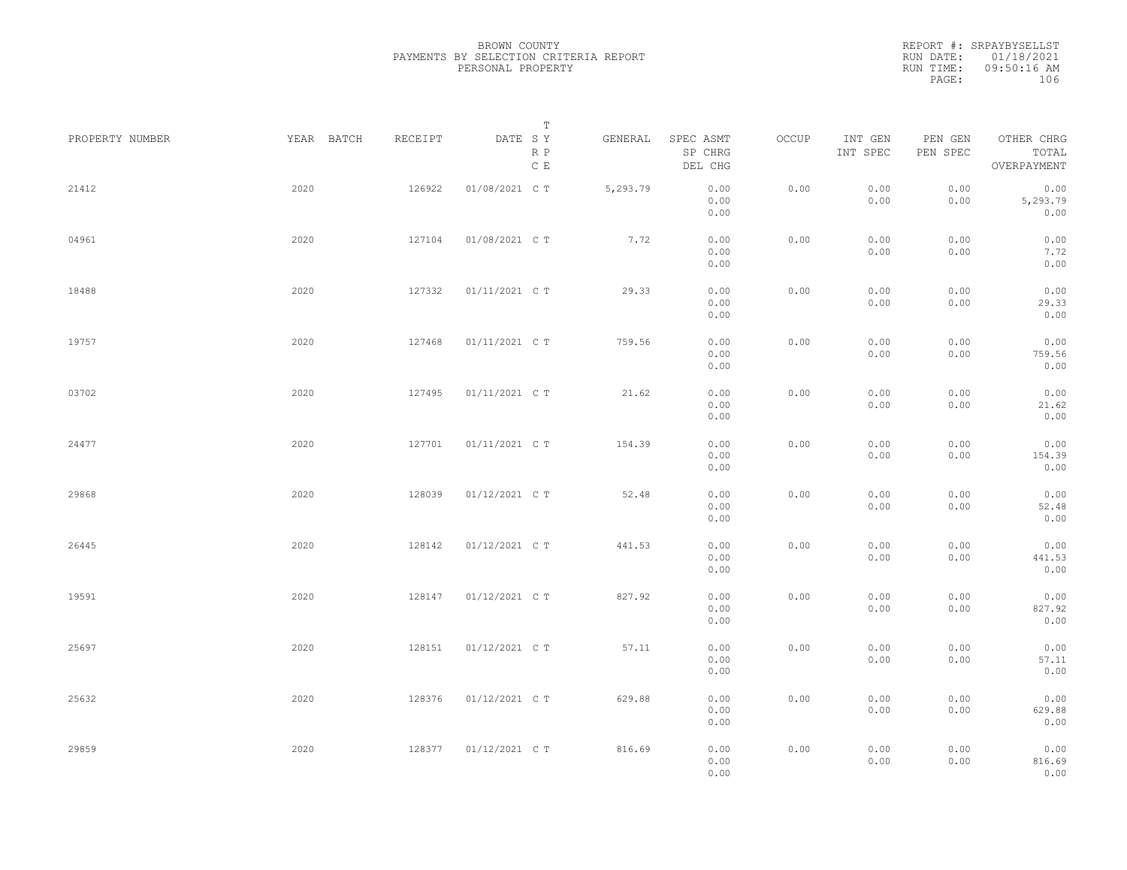REPORT #: SRPAYBYSELLST RUN DATE: 01/18/2021 RUN TIME: 09:50:16 AM PAGE: 106

| PROPERTY NUMBER | YEAR BATCH | RECEIPT | $\mathbb T$<br>DATE SY | GENERAL  | SPEC ASMT            | OCCUP | INT GEN      | PEN GEN      | OTHER CHRG               |  |
|-----------------|------------|---------|------------------------|----------|----------------------|-------|--------------|--------------|--------------------------|--|
|                 |            |         | R P<br>$\mathbb C$ E   |          | SP CHRG<br>DEL CHG   |       | INT SPEC     | PEN SPEC     | TOTAL<br>OVERPAYMENT     |  |
| 21412           | 2020       | 126922  | 01/08/2021 C T         | 5,293.79 | 0.00<br>0.00<br>0.00 | 0.00  | 0.00<br>0.00 | 0.00<br>0.00 | 0.00<br>5,293.79<br>0.00 |  |
| 04961           | 2020       | 127104  | 01/08/2021 C T         | 7.72     | 0.00<br>0.00<br>0.00 | 0.00  | 0.00<br>0.00 | 0.00<br>0.00 | 0.00<br>7.72<br>0.00     |  |
| 18488           | 2020       | 127332  | 01/11/2021 C T         | 29.33    | 0.00<br>0.00<br>0.00 | 0.00  | 0.00<br>0.00 | 0.00<br>0.00 | 0.00<br>29.33<br>0.00    |  |
| 19757           | 2020       | 127468  | 01/11/2021 C T         | 759.56   | 0.00<br>0.00<br>0.00 | 0.00  | 0.00<br>0.00 | 0.00<br>0.00 | 0.00<br>759.56<br>0.00   |  |
| 03702           | 2020       | 127495  | 01/11/2021 C T         | 21.62    | 0.00<br>0.00<br>0.00 | 0.00  | 0.00<br>0.00 | 0.00<br>0.00 | 0.00<br>21.62<br>0.00    |  |
| 24477           | 2020       | 127701  | 01/11/2021 C T         | 154.39   | 0.00<br>0.00<br>0.00 | 0.00  | 0.00<br>0.00 | 0.00<br>0.00 | 0.00<br>154.39<br>0.00   |  |
| 29868           | 2020       | 128039  | 01/12/2021 C T         | 52.48    | 0.00<br>0.00<br>0.00 | 0.00  | 0.00<br>0.00 | 0.00<br>0.00 | 0.00<br>52.48<br>0.00    |  |
| 26445           | 2020       | 128142  | 01/12/2021 C T         | 441.53   | 0.00<br>0.00<br>0.00 | 0.00  | 0.00<br>0.00 | 0.00<br>0.00 | 0.00<br>441.53<br>0.00   |  |
| 19591           | 2020       | 128147  | 01/12/2021 C T         | 827.92   | 0.00<br>0.00<br>0.00 | 0.00  | 0.00<br>0.00 | 0.00<br>0.00 | 0.00<br>827.92<br>0.00   |  |
| 25697           | 2020       | 128151  | 01/12/2021 C T         | 57.11    | 0.00<br>0.00<br>0.00 | 0.00  | 0.00<br>0.00 | 0.00<br>0.00 | 0.00<br>57.11<br>0.00    |  |
| 25632           | 2020       | 128376  | 01/12/2021 C T         | 629.88   | 0.00<br>0.00<br>0.00 | 0.00  | 0.00<br>0.00 | 0.00<br>0.00 | 0.00<br>629.88<br>0.00   |  |
| 29859           | 2020       | 128377  | 01/12/2021 C T         | 816.69   | 0.00<br>0.00<br>0.00 | 0.00  | 0.00<br>0.00 | 0.00<br>0.00 | 0.00<br>816.69<br>0.00   |  |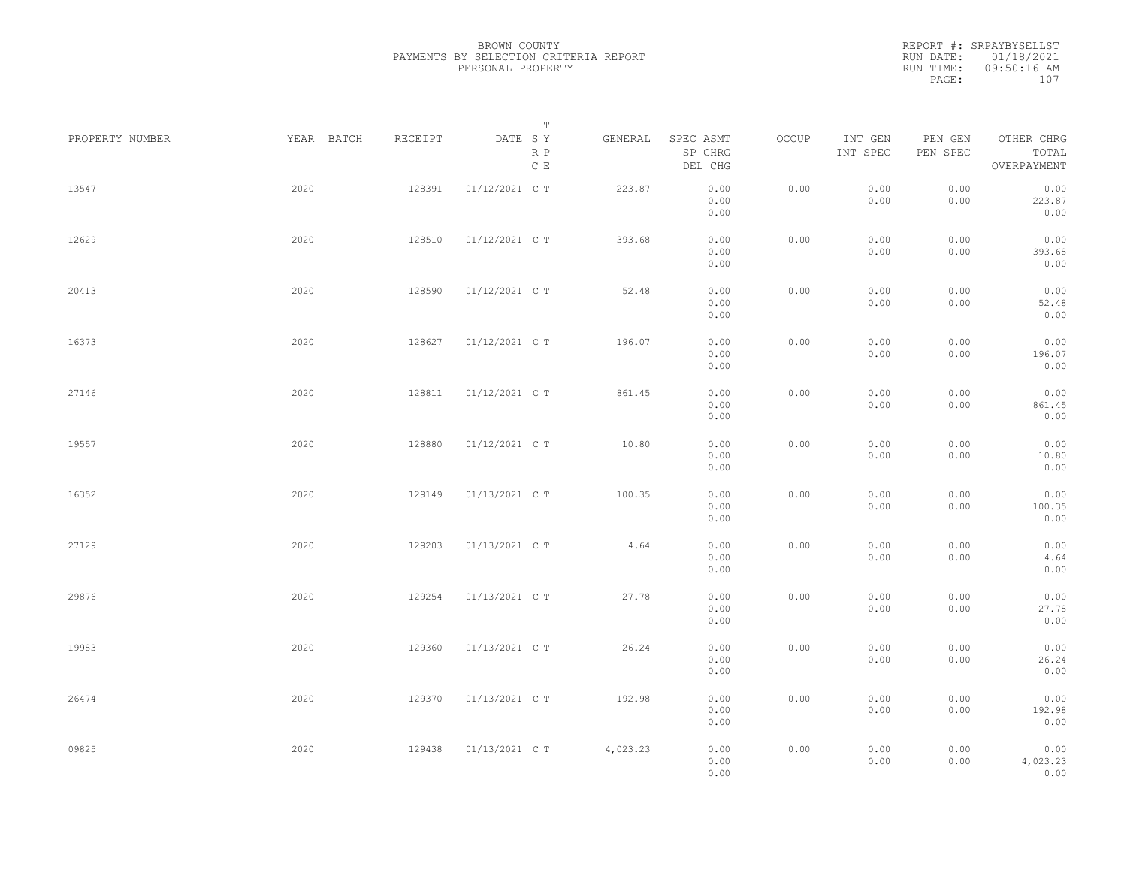| PROPERTY NUMBER | YEAR BATCH | RECEIPT | Т<br>DATE SY<br>R P<br>$\,$ C $\,$ E | GENERAL  | SPEC ASMT<br>SP CHRG<br>DEL CHG | OCCUP | INT GEN<br>INT SPEC | PEN GEN<br>PEN SPEC | OTHER CHRG<br>TOTAL<br>OVERPAYMENT |  |
|-----------------|------------|---------|--------------------------------------|----------|---------------------------------|-------|---------------------|---------------------|------------------------------------|--|
| 13547           | 2020       | 128391  | 01/12/2021 C T                       | 223.87   | 0.00<br>0.00<br>0.00            | 0.00  | 0.00<br>0.00        | 0.00<br>0.00        | 0.00<br>223.87<br>0.00             |  |
| 12629           | 2020       | 128510  | 01/12/2021 C T                       | 393.68   | 0.00<br>0.00<br>0.00            | 0.00  | 0.00<br>0.00        | 0.00<br>0.00        | 0.00<br>393.68<br>0.00             |  |
| 20413           | 2020       | 128590  | 01/12/2021 C T                       | 52.48    | 0.00<br>0.00<br>0.00            | 0.00  | 0.00<br>0.00        | 0.00<br>0.00        | 0.00<br>52.48<br>0.00              |  |
| 16373           | 2020       | 128627  | 01/12/2021 C T                       | 196.07   | 0.00<br>0.00<br>0.00            | 0.00  | 0.00<br>0.00        | 0.00<br>0.00        | 0.00<br>196.07<br>0.00             |  |
| 27146           | 2020       | 128811  | 01/12/2021 C T                       | 861.45   | 0.00<br>0.00<br>0.00            | 0.00  | 0.00<br>0.00        | 0.00<br>0.00        | 0.00<br>861.45<br>0.00             |  |
| 19557           | 2020       | 128880  | 01/12/2021 C T                       | 10.80    | 0.00<br>0.00<br>0.00            | 0.00  | 0.00<br>0.00        | 0.00<br>0.00        | 0.00<br>10.80<br>0.00              |  |
| 16352           | 2020       | 129149  | 01/13/2021 C T                       | 100.35   | 0.00<br>0.00<br>0.00            | 0.00  | 0.00<br>0.00        | 0.00<br>0.00        | 0.00<br>100.35<br>0.00             |  |
| 27129           | 2020       | 129203  | 01/13/2021 C T                       | 4.64     | 0.00<br>0.00<br>0.00            | 0.00  | 0.00<br>0.00        | 0.00<br>0.00        | 0.00<br>4.64<br>0.00               |  |
| 29876           | 2020       | 129254  | 01/13/2021 C T                       | 27.78    | 0.00<br>0.00<br>0.00            | 0.00  | 0.00<br>0.00        | 0.00<br>0.00        | 0.00<br>27.78<br>0.00              |  |
| 19983           | 2020       | 129360  | 01/13/2021 C T                       | 26.24    | 0.00<br>0.00<br>0.00            | 0.00  | 0.00<br>0.00        | 0.00<br>0.00        | 0.00<br>26.24<br>0.00              |  |
| 26474           | 2020       | 129370  | 01/13/2021 C T                       | 192.98   | 0.00<br>0.00<br>0.00            | 0.00  | 0.00<br>0.00        | 0.00<br>0.00        | 0.00<br>192.98<br>0.00             |  |
| 09825           | 2020       | 129438  | 01/13/2021 C T                       | 4,023.23 | 0.00<br>0.00<br>0.00            | 0.00  | 0.00<br>0.00        | 0.00<br>0.00        | 0.00<br>4,023.23<br>0.00           |  |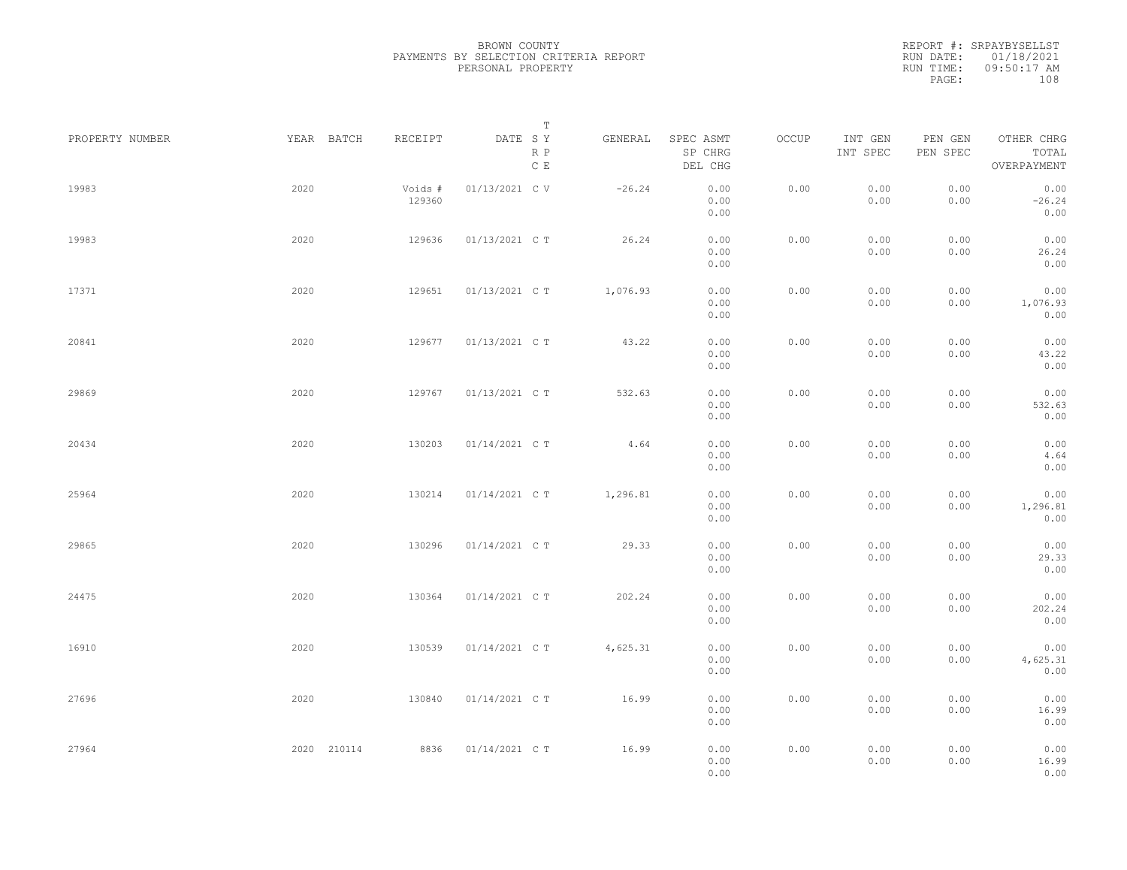|                 |             |                   | $\mathbb T$                               |          |                                 |       |                     |                     |                                    |  |
|-----------------|-------------|-------------------|-------------------------------------------|----------|---------------------------------|-------|---------------------|---------------------|------------------------------------|--|
| PROPERTY NUMBER | YEAR BATCH  | RECEIPT           | DATE SY<br>$\mathbb R$ $\mathbb P$<br>C E | GENERAL  | SPEC ASMT<br>SP CHRG<br>DEL CHG | OCCUP | INT GEN<br>INT SPEC | PEN GEN<br>PEN SPEC | OTHER CHRG<br>TOTAL<br>OVERPAYMENT |  |
| 19983           | 2020        | Voids #<br>129360 | 01/13/2021 C V                            | $-26.24$ | 0.00<br>0.00<br>0.00            | 0.00  | 0.00<br>0.00        | 0.00<br>0.00        | 0.00<br>$-26.24$<br>0.00           |  |
| 19983           | 2020        | 129636            | 01/13/2021 C T                            | 26.24    | 0.00<br>0.00<br>0.00            | 0.00  | 0.00<br>0.00        | 0.00<br>0.00        | 0.00<br>26.24<br>0.00              |  |
| 17371           | 2020        | 129651            | 01/13/2021 C T                            | 1,076.93 | 0.00<br>0.00<br>0.00            | 0.00  | 0.00<br>0.00        | 0.00<br>0.00        | 0.00<br>1,076.93<br>0.00           |  |
| 20841           | 2020        | 129677            | 01/13/2021 C T                            | 43.22    | 0.00<br>0.00<br>0.00            | 0.00  | 0.00<br>0.00        | 0.00<br>0.00        | 0.00<br>43.22<br>0.00              |  |
| 29869           | 2020        | 129767            | 01/13/2021 C T                            | 532.63   | 0.00<br>0.00<br>0.00            | 0.00  | 0.00<br>0.00        | 0.00<br>0.00        | 0.00<br>532.63<br>0.00             |  |
| 20434           | 2020        | 130203            | 01/14/2021 C T                            | 4.64     | 0.00<br>0.00<br>0.00            | 0.00  | 0.00<br>0.00        | 0.00<br>0.00        | 0.00<br>4.64<br>0.00               |  |
| 25964           | 2020        | 130214            | 01/14/2021 C T                            | 1,296.81 | 0.00<br>0.00<br>0.00            | 0.00  | 0.00<br>0.00        | 0.00<br>0.00        | 0.00<br>1,296.81<br>0.00           |  |
| 29865           | 2020        | 130296            | 01/14/2021 C T                            | 29.33    | 0.00<br>0.00<br>0.00            | 0.00  | 0.00<br>0.00        | 0.00<br>0.00        | 0.00<br>29.33<br>0.00              |  |
| 24475           | 2020        | 130364            | 01/14/2021 C T                            | 202.24   | 0.00<br>0.00<br>0.00            | 0.00  | 0.00<br>0.00        | 0.00<br>0.00        | 0.00<br>202.24<br>0.00             |  |
| 16910           | 2020        | 130539            | 01/14/2021 C T                            | 4,625.31 | 0.00<br>0.00<br>0.00            | 0.00  | 0.00<br>0.00        | 0.00<br>0.00        | 0.00<br>4,625.31<br>0.00           |  |
| 27696           | 2020        | 130840            | 01/14/2021 C T                            | 16.99    | 0.00<br>0.00<br>0.00            | 0.00  | 0.00<br>0.00        | 0.00<br>0.00        | 0.00<br>16.99<br>0.00              |  |
| 27964           | 2020 210114 | 8836              | 01/14/2021 C T                            | 16.99    | 0.00<br>0.00<br>0.00            | 0.00  | 0.00<br>0.00        | 0.00<br>0.00        | 0.00<br>16.99<br>0.00              |  |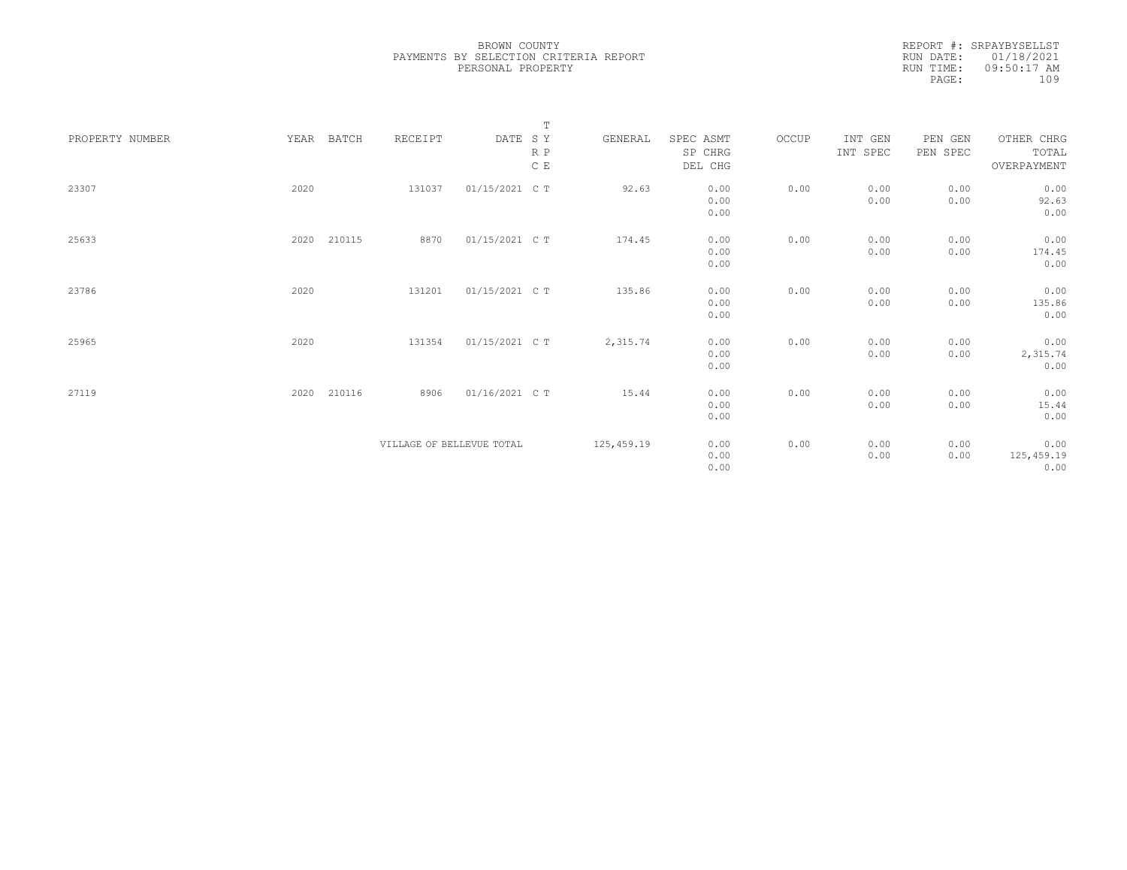|                 |      |        |                           |                | $\mathbf T$ |            |           |       |          |          |             |
|-----------------|------|--------|---------------------------|----------------|-------------|------------|-----------|-------|----------|----------|-------------|
| PROPERTY NUMBER | YEAR | BATCH  | RECEIPT                   | DATE SY        |             | GENERAL    | SPEC ASMT | OCCUP | INT GEN  | PEN GEN  | OTHER CHRG  |
|                 |      |        |                           |                | $R$ $P$     |            | SP CHRG   |       | INT SPEC | PEN SPEC | TOTAL       |
|                 |      |        |                           |                | C E         |            | DEL CHG   |       |          |          | OVERPAYMENT |
|                 |      |        |                           |                |             |            |           |       |          |          |             |
| 23307           | 2020 |        | 131037                    | 01/15/2021 C T |             | 92.63      | 0.00      | 0.00  | 0.00     | 0.00     | 0.00        |
|                 |      |        |                           |                |             |            | 0.00      |       | 0.00     | 0.00     | 92.63       |
|                 |      |        |                           |                |             |            | 0.00      |       |          |          | 0.00        |
|                 |      |        |                           |                |             |            |           |       |          |          |             |
| 25633           | 2020 | 210115 | 8870                      | 01/15/2021 C T |             | 174.45     | 0.00      | 0.00  | 0.00     | 0.00     | 0.00        |
|                 |      |        |                           |                |             |            | 0.00      |       | 0.00     | 0.00     | 174.45      |
|                 |      |        |                           |                |             |            | 0.00      |       |          |          | 0.00        |
|                 |      |        |                           |                |             |            |           |       |          |          |             |
| 23786           | 2020 |        | 131201                    | 01/15/2021 C T |             | 135.86     | 0.00      | 0.00  | 0.00     | 0.00     | 0.00        |
|                 |      |        |                           |                |             |            | 0.00      |       | 0.00     | 0.00     | 135.86      |
|                 |      |        |                           |                |             |            | 0.00      |       |          |          | 0.00        |
|                 |      |        |                           |                |             |            |           |       |          |          |             |
| 25965           | 2020 |        | 131354                    | 01/15/2021 C T |             | 2,315.74   | 0.00      | 0.00  | 0.00     | 0.00     | 0.00        |
|                 |      |        |                           |                |             |            | 0.00      |       | 0.00     | 0.00     | 2,315.74    |
|                 |      |        |                           |                |             |            | 0.00      |       |          |          | 0.00        |
|                 |      |        |                           |                |             |            |           |       |          |          |             |
| 27119           | 2020 | 210116 | 8906                      | 01/16/2021 C T |             | 15.44      | 0.00      | 0.00  | 0.00     | 0.00     | 0.00        |
|                 |      |        |                           |                |             |            | 0.00      |       | 0.00     | 0.00     | 15.44       |
|                 |      |        |                           |                |             |            | 0.00      |       |          |          | 0.00        |
|                 |      |        |                           |                |             |            |           |       |          |          |             |
|                 |      |        | VILLAGE OF BELLEVUE TOTAL |                |             | 125,459.19 | 0.00      | 0.00  | 0.00     | 0.00     | 0.00        |
|                 |      |        |                           |                |             |            | 0.00      |       | 0.00     | 0.00     | 125, 459.19 |
|                 |      |        |                           |                |             |            | 0.00      |       |          |          | 0.00        |
|                 |      |        |                           |                |             |            |           |       |          |          |             |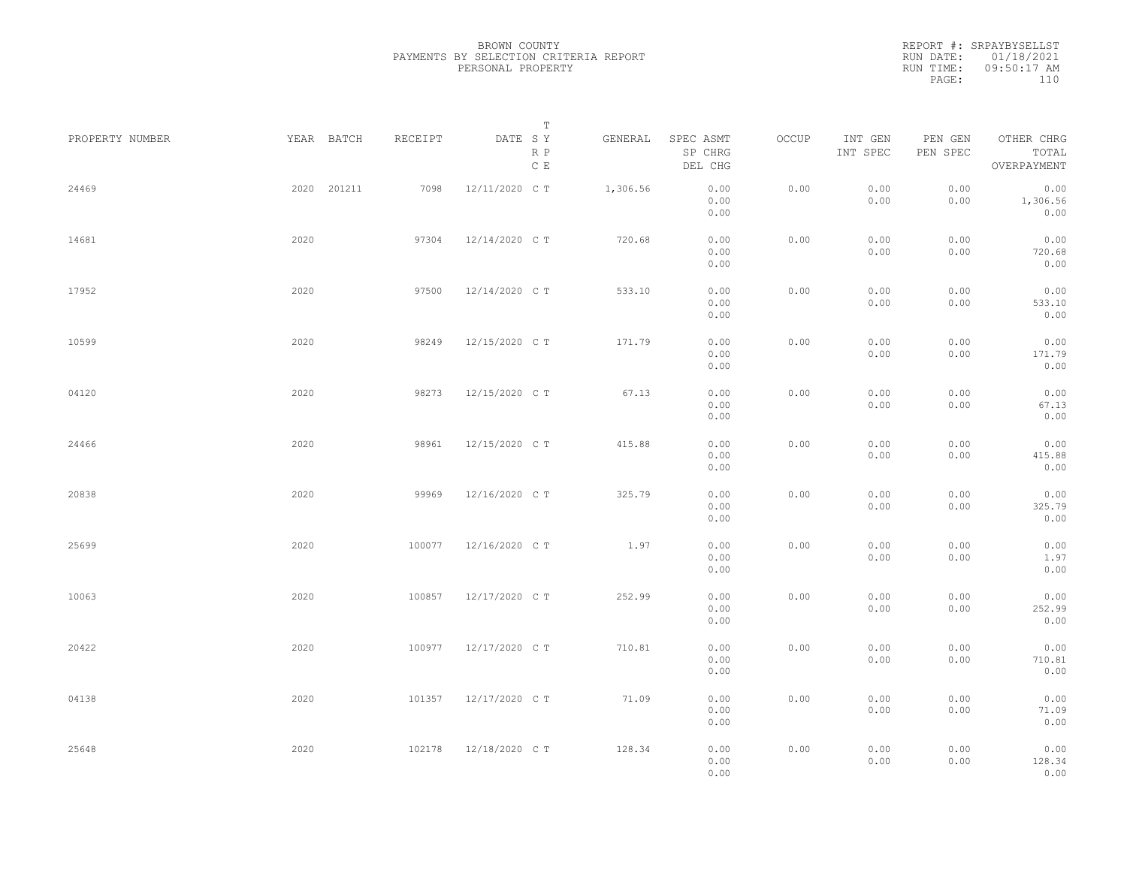|                 |             |         | Т                               |          |                                 |       |                     |                     |                                    |  |
|-----------------|-------------|---------|---------------------------------|----------|---------------------------------|-------|---------------------|---------------------|------------------------------------|--|
| PROPERTY NUMBER | YEAR BATCH  | RECEIPT | DATE SY<br>R P<br>$\,$ C $\,$ E | GENERAL  | SPEC ASMT<br>SP CHRG<br>DEL CHG | OCCUP | INT GEN<br>INT SPEC | PEN GEN<br>PEN SPEC | OTHER CHRG<br>TOTAL<br>OVERPAYMENT |  |
| 24469           | 2020 201211 | 7098    | 12/11/2020 C T                  | 1,306.56 | 0.00<br>0.00<br>0.00            | 0.00  | 0.00<br>0.00        | 0.00<br>0.00        | 0.00<br>1,306.56<br>0.00           |  |
| 14681           | 2020        | 97304   | 12/14/2020 C T                  | 720.68   | 0.00<br>0.00<br>0.00            | 0.00  | 0.00<br>0.00        | 0.00<br>0.00        | 0.00<br>720.68<br>0.00             |  |
| 17952           | 2020        | 97500   | 12/14/2020 C T                  | 533.10   | 0.00<br>0.00<br>0.00            | 0.00  | 0.00<br>0.00        | 0.00<br>0.00        | 0.00<br>533.10<br>0.00             |  |
| 10599           | 2020        | 98249   | 12/15/2020 C T                  | 171.79   | 0.00<br>0.00<br>0.00            | 0.00  | 0.00<br>0.00        | 0.00<br>0.00        | 0.00<br>171.79<br>0.00             |  |
| 04120           | 2020        | 98273   | 12/15/2020 C T                  | 67.13    | 0.00<br>0.00<br>0.00            | 0.00  | 0.00<br>0.00        | 0.00<br>0.00        | 0.00<br>67.13<br>0.00              |  |
| 24466           | 2020        | 98961   | 12/15/2020 C T                  | 415.88   | 0.00<br>0.00<br>0.00            | 0.00  | 0.00<br>0.00        | 0.00<br>0.00        | 0.00<br>415.88<br>0.00             |  |
| 20838           | 2020        | 99969   | 12/16/2020 C T                  | 325.79   | 0.00<br>0.00<br>0.00            | 0.00  | 0.00<br>0.00        | 0.00<br>0.00        | 0.00<br>325.79<br>0.00             |  |
| 25699           | 2020        | 100077  | 12/16/2020 C T                  | 1.97     | 0.00<br>0.00<br>0.00            | 0.00  | 0.00<br>0.00        | 0.00<br>0.00        | 0.00<br>1.97<br>0.00               |  |
| 10063           | 2020        | 100857  | 12/17/2020 C T                  | 252.99   | 0.00<br>0.00<br>0.00            | 0.00  | 0.00<br>0.00        | 0.00<br>0.00        | 0.00<br>252.99<br>0.00             |  |
| 20422           | 2020        | 100977  | 12/17/2020 C T                  | 710.81   | 0.00<br>0.00<br>0.00            | 0.00  | 0.00<br>0.00        | 0.00<br>0.00        | 0.00<br>710.81<br>0.00             |  |
| 04138           | 2020        | 101357  | 12/17/2020 C T                  | 71.09    | 0.00<br>0.00<br>0.00            | 0.00  | 0.00<br>0.00        | 0.00<br>0.00        | 0.00<br>71.09<br>0.00              |  |
| 25648           | 2020        | 102178  | 12/18/2020 C T                  | 128.34   | 0.00<br>0.00<br>0.00            | 0.00  | 0.00<br>0.00        | 0.00<br>0.00        | 0.00<br>128.34<br>0.00             |  |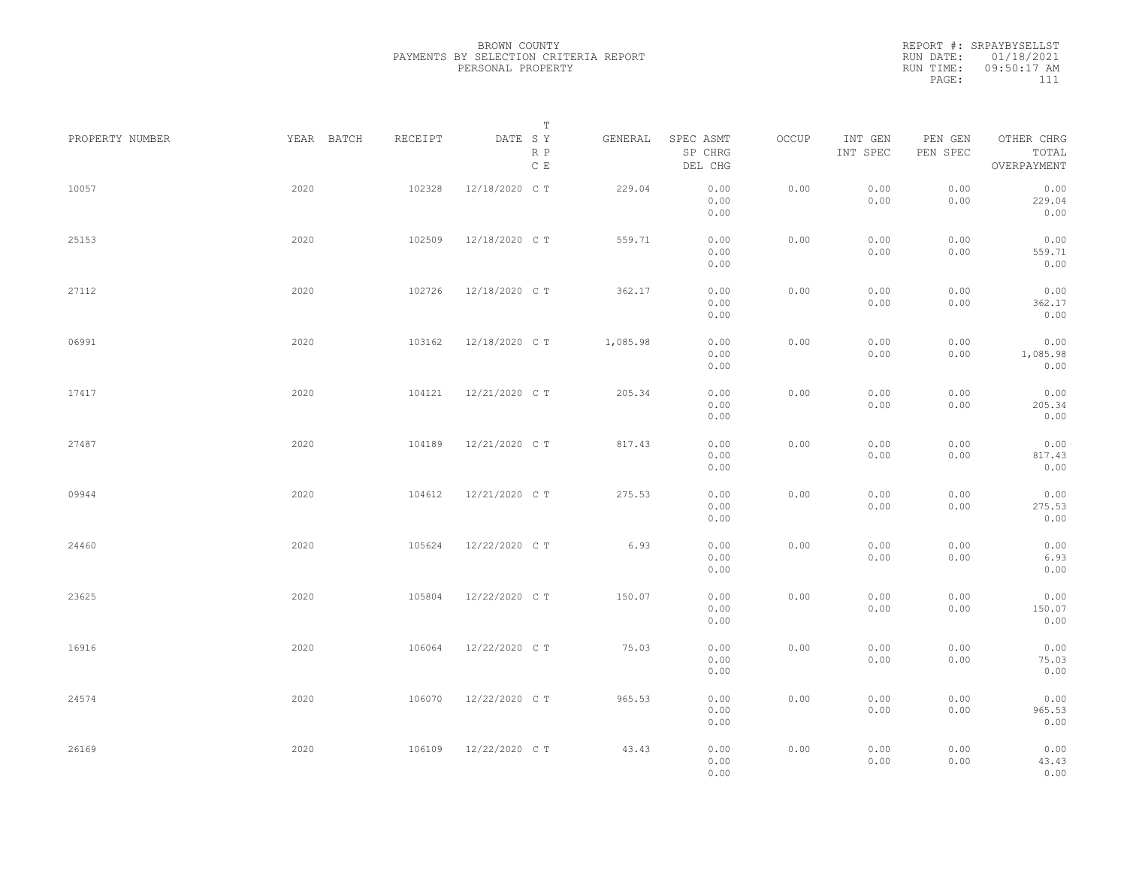| PROPERTY NUMBER |      | YEAR BATCH | RECEIPT | DATE SY        | $\mathbb T$          |          |                                 | OCCUP |                     |                     | OTHER CHRG               |
|-----------------|------|------------|---------|----------------|----------------------|----------|---------------------------------|-------|---------------------|---------------------|--------------------------|
|                 |      |            |         |                | R P<br>$\,$ C $\,$ E | GENERAL  | SPEC ASMT<br>SP CHRG<br>DEL CHG |       | INT GEN<br>INT SPEC | PEN GEN<br>PEN SPEC | TOTAL<br>OVERPAYMENT     |
| 10057           | 2020 |            | 102328  | 12/18/2020 C T |                      | 229.04   | 0.00<br>0.00<br>0.00            | 0.00  | 0.00<br>0.00        | 0.00<br>0.00        | 0.00<br>229.04<br>0.00   |
| 25153           | 2020 |            | 102509  | 12/18/2020 C T |                      | 559.71   | 0.00<br>0.00<br>0.00            | 0.00  | 0.00<br>0.00        | 0.00<br>0.00        | 0.00<br>559.71<br>0.00   |
| 27112           | 2020 |            | 102726  | 12/18/2020 C T |                      | 362.17   | 0.00<br>0.00<br>0.00            | 0.00  | 0.00<br>0.00        | 0.00<br>0.00        | 0.00<br>362.17<br>0.00   |
| 06991           | 2020 |            | 103162  | 12/18/2020 C T |                      | 1,085.98 | 0.00<br>0.00<br>0.00            | 0.00  | 0.00<br>0.00        | 0.00<br>0.00        | 0.00<br>1,085.98<br>0.00 |
| 17417           | 2020 |            | 104121  | 12/21/2020 C T |                      | 205.34   | 0.00<br>0.00                    | 0.00  | 0.00<br>0.00        | 0.00<br>0.00        | 0.00<br>205.34           |
| 27487           | 2020 |            | 104189  | 12/21/2020 C T |                      | 817.43   | 0.00<br>0.00<br>0.00            | 0.00  | 0.00<br>0.00        | 0.00<br>0.00        | 0.00<br>0.00<br>817.43   |
| 09944           | 2020 |            | 104612  | 12/21/2020 C T |                      | 275.53   | 0.00<br>0.00<br>0.00            | 0.00  | 0.00<br>0.00        | 0.00<br>0.00        | 0.00<br>0.00<br>275.53   |
| 24460           | 2020 |            | 105624  | 12/22/2020 C T |                      | 6.93     | 0.00<br>0.00<br>0.00            | 0.00  | 0.00<br>0.00        | 0.00<br>0.00        | 0.00<br>0.00<br>6.93     |
| 23625           | 2020 |            | 105804  | 12/22/2020 C T |                      | 150.07   | 0.00<br>0.00                    | 0.00  | 0.00                | 0.00                | 0.00<br>0.00             |
| 16916           | 2020 |            | 106064  | 12/22/2020 C T |                      | 75.03    | 0.00<br>0.00<br>0.00            | 0.00  | 0.00<br>0.00        | 0.00<br>0.00        | 150.07<br>0.00<br>0.00   |
|                 |      |            |         |                |                      |          | 0.00<br>0.00                    |       | 0.00                | 0.00                | 75.03<br>0.00            |
| 24574           | 2020 |            | 106070  | 12/22/2020 C T |                      | 965.53   | 0.00<br>0.00<br>0.00            | 0.00  | 0.00<br>0.00        | 0.00<br>0.00        | 0.00<br>965.53<br>0.00   |
| 26169           | 2020 |            | 106109  | 12/22/2020 C T |                      | 43.43    | 0.00<br>0.00<br>0.00            | 0.00  | 0.00<br>0.00        | 0.00<br>0.00        | 0.00<br>43.43<br>0.00    |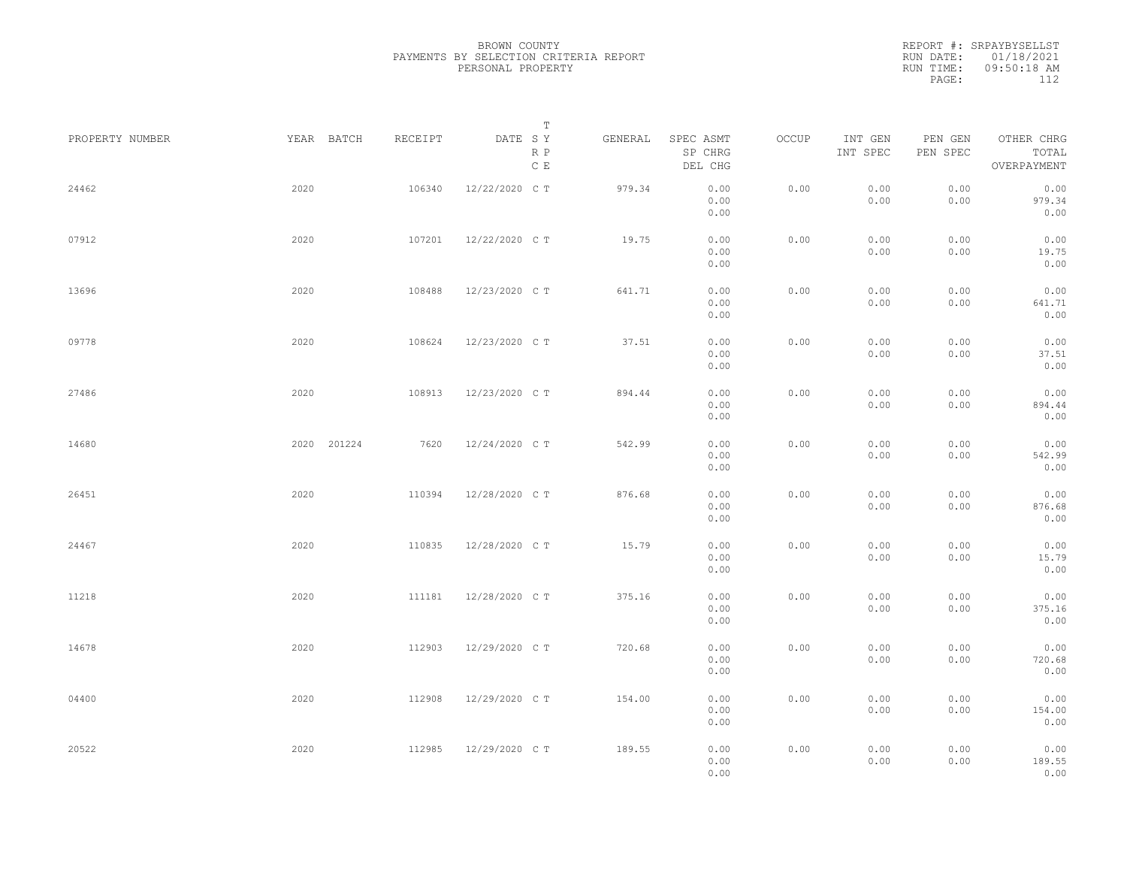REPORT #: SRPAYBYSELLST RUN DATE: 01/18/2021 RUN TIME: 09:50:18 AM PAGE: 112

|                 |      |             |         |                | $\mathbb T$                       |                                 |       |                     |                                     |                                    |
|-----------------|------|-------------|---------|----------------|-----------------------------------|---------------------------------|-------|---------------------|-------------------------------------|------------------------------------|
| PROPERTY NUMBER |      | YEAR BATCH  | RECEIPT | DATE SY        | GENERAL<br>R P<br>$\mathbb C\;$ E | SPEC ASMT<br>SP CHRG<br>DEL CHG | OCCUP | INT GEN<br>INT SPEC | PEN GEN<br>${\tt PEN}$ ${\tt SPEC}$ | OTHER CHRG<br>TOTAL<br>OVERPAYMENT |
| 24462           | 2020 |             | 106340  | 12/22/2020 CT  | 979.34                            | 0.00<br>0.00<br>0.00            | 0.00  | 0.00<br>0.00        | 0.00<br>0.00                        | 0.00<br>979.34<br>0.00             |
| 07912           | 2020 |             | 107201  | 12/22/2020 CT  | 19.75                             | 0.00<br>0.00<br>0.00            | 0.00  | 0.00<br>0.00        | 0.00<br>0.00                        | 0.00<br>19.75<br>0.00              |
| 13696           | 2020 |             | 108488  | 12/23/2020 C T | 641.71                            | 0.00<br>0.00<br>0.00            | 0.00  | 0.00<br>0.00        | 0.00<br>0.00                        | 0.00<br>641.71<br>0.00             |
| 09778           | 2020 |             | 108624  | 12/23/2020 C T | 37.51                             | 0.00<br>0.00<br>0.00            | 0.00  | 0.00<br>0.00        | 0.00<br>0.00                        | 0.00<br>37.51<br>0.00              |
| 27486           | 2020 |             | 108913  | 12/23/2020 C T | 894.44                            | 0.00<br>0.00<br>0.00            | 0.00  | 0.00<br>0.00        | 0.00<br>0.00                        | 0.00<br>894.44<br>0.00             |
| 14680           |      | 2020 201224 | 7620    | 12/24/2020 C T | 542.99                            | 0.00<br>0.00<br>0.00            | 0.00  | 0.00<br>0.00        | 0.00<br>0.00                        | 0.00<br>542.99<br>0.00             |
| 26451           | 2020 |             | 110394  | 12/28/2020 C T | 876.68                            | 0.00<br>0.00<br>0.00            | 0.00  | 0.00<br>0.00        | 0.00<br>0.00                        | 0.00<br>876.68<br>0.00             |
| 24467           | 2020 |             | 110835  | 12/28/2020 CT  | 15.79                             | 0.00<br>0.00<br>0.00            | 0.00  | 0.00<br>0.00        | 0.00<br>0.00                        | 0.00<br>15.79<br>0.00              |
| 11218           | 2020 |             | 111181  | 12/28/2020 CT  | 375.16                            | 0.00<br>0.00<br>0.00            | 0.00  | 0.00<br>0.00        | 0.00<br>0.00                        | 0.00<br>375.16<br>0.00             |
| 14678           | 2020 |             | 112903  | 12/29/2020 C T | 720.68                            | 0.00<br>0.00<br>0.00            | 0.00  | 0.00<br>0.00        | 0.00<br>0.00                        | 0.00<br>720.68<br>0.00             |
| 04400           | 2020 |             | 112908  | 12/29/2020 CT  | 154.00                            | 0.00<br>0.00<br>0.00            | 0.00  | 0.00<br>0.00        | 0.00<br>0.00                        | 0.00<br>154.00<br>0.00             |
| 20522           | 2020 |             | 112985  | 12/29/2020 C T | 189.55                            | 0.00<br>0.00<br>0.00            | 0.00  | 0.00<br>0.00        | 0.00<br>0.00                        | 0.00<br>189.55<br>0.00             |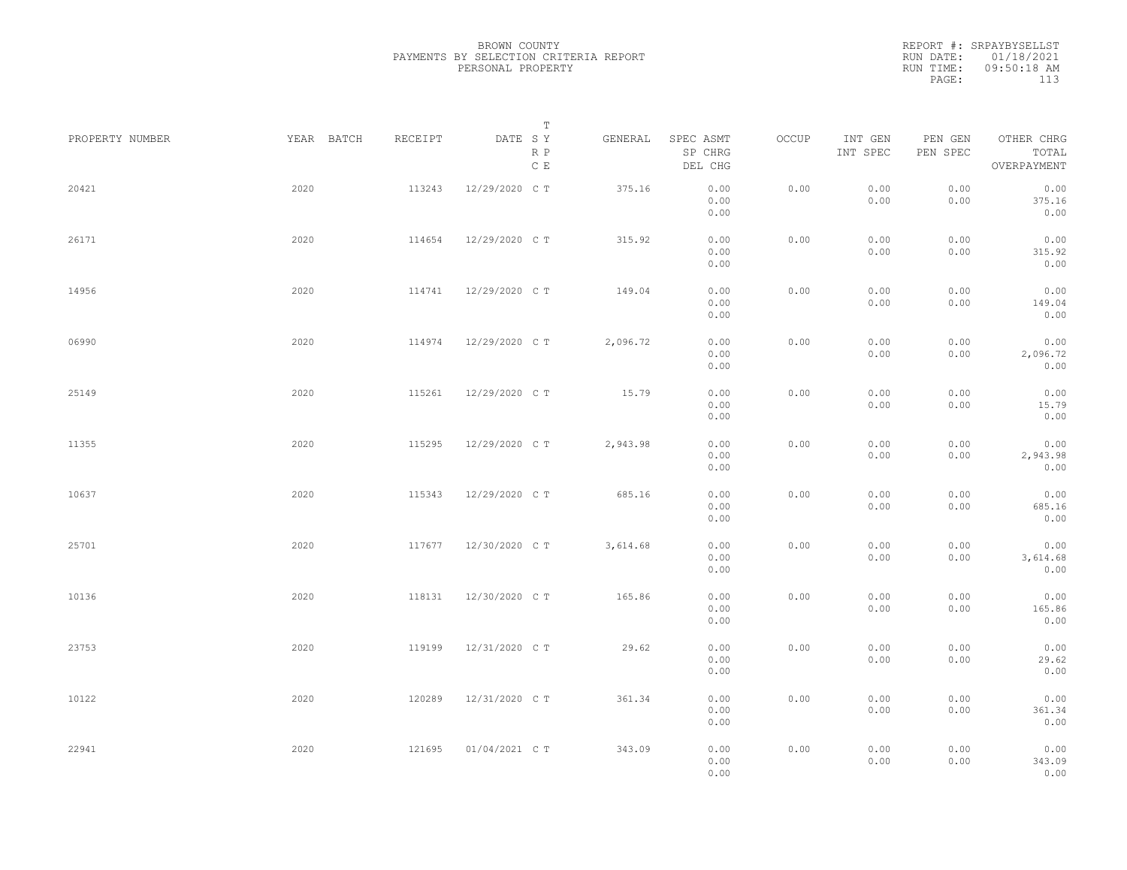|                 |            |         | Т                               |          |                                 |       |                     |                     |                                    |  |
|-----------------|------------|---------|---------------------------------|----------|---------------------------------|-------|---------------------|---------------------|------------------------------------|--|
| PROPERTY NUMBER | YEAR BATCH | RECEIPT | DATE SY<br>R P<br>$\,$ C $\,$ E | GENERAL  | SPEC ASMT<br>SP CHRG<br>DEL CHG | OCCUP | INT GEN<br>INT SPEC | PEN GEN<br>PEN SPEC | OTHER CHRG<br>TOTAL<br>OVERPAYMENT |  |
| 20421           | 2020       | 113243  | 12/29/2020 C T                  | 375.16   | 0.00<br>0.00<br>0.00            | 0.00  | 0.00<br>0.00        | 0.00<br>0.00        | 0.00<br>375.16<br>0.00             |  |
| 26171           | 2020       | 114654  | 12/29/2020 C T                  | 315.92   | 0.00<br>0.00<br>0.00            | 0.00  | 0.00<br>0.00        | 0.00<br>0.00        | 0.00<br>315.92<br>0.00             |  |
| 14956           | 2020       | 114741  | 12/29/2020 C T                  | 149.04   | 0.00<br>0.00<br>0.00            | 0.00  | 0.00<br>0.00        | 0.00<br>0.00        | 0.00<br>149.04<br>0.00             |  |
| 06990           | 2020       | 114974  | 12/29/2020 C T                  | 2,096.72 | 0.00<br>0.00<br>0.00            | 0.00  | 0.00<br>0.00        | 0.00<br>0.00        | 0.00<br>2,096.72<br>0.00           |  |
| 25149           | 2020       | 115261  | 12/29/2020 C T                  | 15.79    | 0.00<br>0.00<br>0.00            | 0.00  | 0.00<br>0.00        | 0.00<br>0.00        | 0.00<br>15.79<br>0.00              |  |
| 11355           | 2020       | 115295  | 12/29/2020 C T                  | 2,943.98 | 0.00<br>0.00<br>0.00            | 0.00  | 0.00<br>0.00        | 0.00<br>0.00        | 0.00<br>2,943.98<br>0.00           |  |
| 10637           | 2020       | 115343  | 12/29/2020 C T                  | 685.16   | 0.00<br>0.00<br>0.00            | 0.00  | 0.00<br>0.00        | 0.00<br>0.00        | 0.00<br>685.16<br>0.00             |  |
| 25701           | 2020       | 117677  | 12/30/2020 C T                  | 3,614.68 | 0.00<br>0.00<br>0.00            | 0.00  | 0.00<br>0.00        | 0.00<br>0.00        | 0.00<br>3,614.68<br>0.00           |  |
| 10136           | 2020       | 118131  | 12/30/2020 C T                  | 165.86   | 0.00<br>0.00<br>0.00            | 0.00  | 0.00<br>0.00        | 0.00<br>0.00        | 0.00<br>165.86<br>0.00             |  |
| 23753           | 2020       | 119199  | 12/31/2020 C T                  | 29.62    | 0.00<br>0.00<br>0.00            | 0.00  | 0.00<br>0.00        | 0.00<br>0.00        | 0.00<br>29.62<br>0.00              |  |
| 10122           | 2020       | 120289  | 12/31/2020 C T                  | 361.34   | 0.00<br>0.00<br>0.00            | 0.00  | 0.00<br>0.00        | 0.00<br>0.00        | 0.00<br>361.34<br>0.00             |  |
| 22941           | 2020       | 121695  | 01/04/2021 C T                  | 343.09   | 0.00<br>0.00<br>0.00            | 0.00  | 0.00<br>0.00        | 0.00<br>0.00        | 0.00<br>343.09<br>0.00             |  |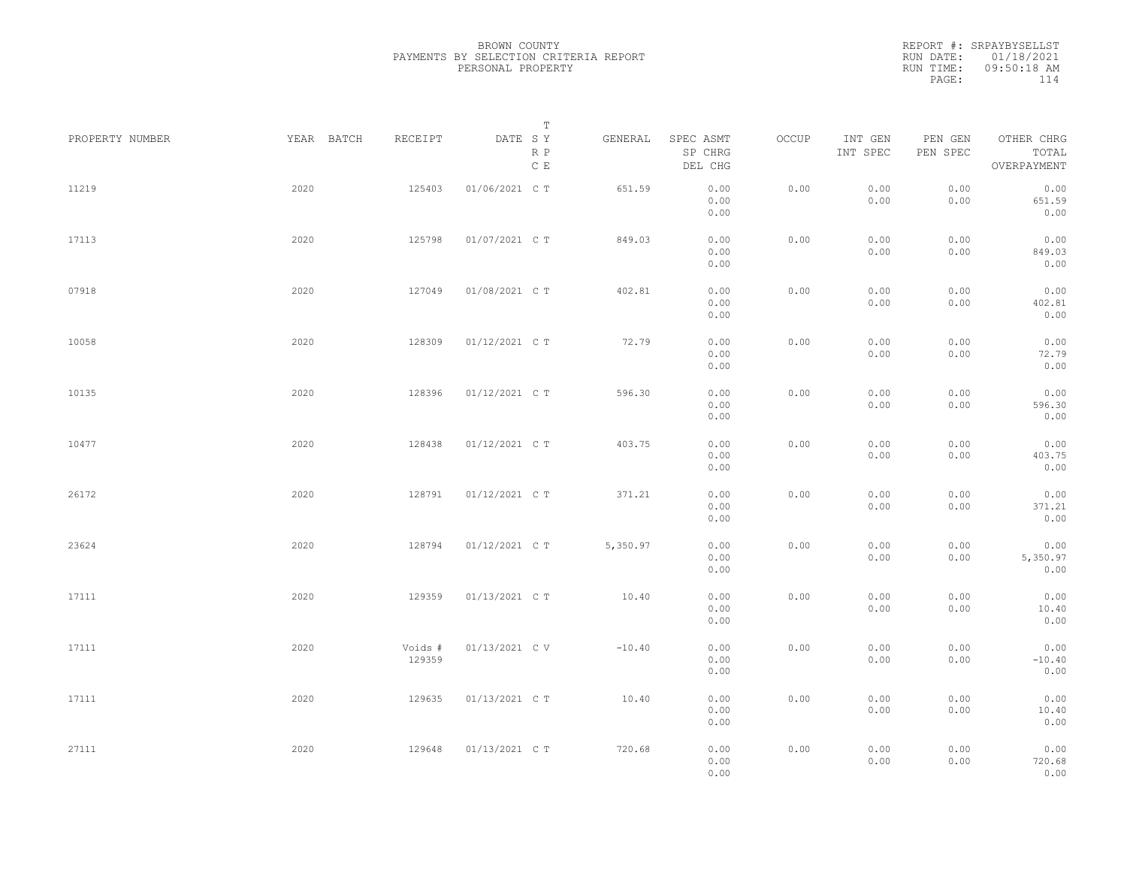REPORT #: SRPAYBYSELLST RUN DATE: 01/18/2021 RUN TIME: 09:50:18 AM PAGE: 114

| PROPERTY NUMBER | YEAR BATCH | RECEIPT           | Т<br>DATE SY<br>R P<br>$\,$ C $\,$ E | GENERAL  | SPEC ASMT<br>SP CHRG<br>DEL CHG | OCCUP | INT GEN<br>INT SPEC | PEN GEN<br>PEN SPEC | OTHER CHRG<br>TOTAL<br>OVERPAYMENT |  |
|-----------------|------------|-------------------|--------------------------------------|----------|---------------------------------|-------|---------------------|---------------------|------------------------------------|--|
| 11219           | 2020       | 125403            | 01/06/2021 C T                       | 651.59   | 0.00<br>0.00<br>0.00            | 0.00  | 0.00<br>0.00        | 0.00<br>0.00        | 0.00<br>651.59<br>0.00             |  |
| 17113           | 2020       | 125798            | 01/07/2021 C T                       | 849.03   | 0.00<br>0.00<br>0.00            | 0.00  | 0.00<br>0.00        | 0.00<br>0.00        | 0.00<br>849.03<br>0.00             |  |
| 07918           | 2020       | 127049            | 01/08/2021 C T                       | 402.81   | 0.00<br>0.00<br>0.00            | 0.00  | 0.00<br>0.00        | 0.00<br>0.00        | 0.00<br>402.81<br>0.00             |  |
| 10058           | 2020       | 128309            | 01/12/2021 C T                       | 72.79    | 0.00<br>0.00<br>0.00            | 0.00  | 0.00<br>0.00        | 0.00<br>0.00        | 0.00<br>72.79<br>0.00              |  |
| 10135           | 2020       | 128396            | 01/12/2021 C T                       | 596.30   | 0.00<br>0.00<br>0.00            | 0.00  | 0.00<br>0.00        | 0.00<br>0.00        | 0.00<br>596.30<br>0.00             |  |
| 10477           | 2020       | 128438            | 01/12/2021 C T                       | 403.75   | 0.00<br>0.00<br>0.00            | 0.00  | 0.00<br>0.00        | 0.00<br>0.00        | 0.00<br>403.75<br>0.00             |  |
| 26172           | 2020       | 128791            | 01/12/2021 C T                       | 371.21   | 0.00<br>0.00<br>0.00            | 0.00  | 0.00<br>0.00        | 0.00<br>0.00        | 0.00<br>371.21<br>0.00             |  |
| 23624           | 2020       | 128794            | 01/12/2021 C T                       | 5,350.97 | 0.00<br>0.00<br>0.00            | 0.00  | 0.00<br>0.00        | 0.00<br>0.00        | 0.00<br>5,350.97<br>0.00           |  |
| 17111           | 2020       | 129359            | 01/13/2021 C T                       | 10.40    | 0.00<br>0.00<br>0.00            | 0.00  | 0.00<br>0.00        | 0.00<br>0.00        | 0.00<br>10.40<br>0.00              |  |
| 17111           | 2020       | Voids #<br>129359 | 01/13/2021 C V                       | $-10.40$ | 0.00<br>0.00<br>0.00            | 0.00  | 0.00<br>0.00        | 0.00<br>0.00        | 0.00<br>$-10.40$<br>0.00           |  |
| 17111           | 2020       | 129635            | 01/13/2021 C T                       | 10.40    | 0.00<br>0.00<br>0.00            | 0.00  | 0.00<br>0.00        | 0.00<br>0.00        | 0.00<br>10.40<br>0.00              |  |
| 27111           | 2020       | 129648            | 01/13/2021 C T                       | 720.68   | 0.00<br>0.00<br>0.00            | 0.00  | 0.00<br>0.00        | 0.00<br>0.00        | 0.00<br>720.68<br>0.00             |  |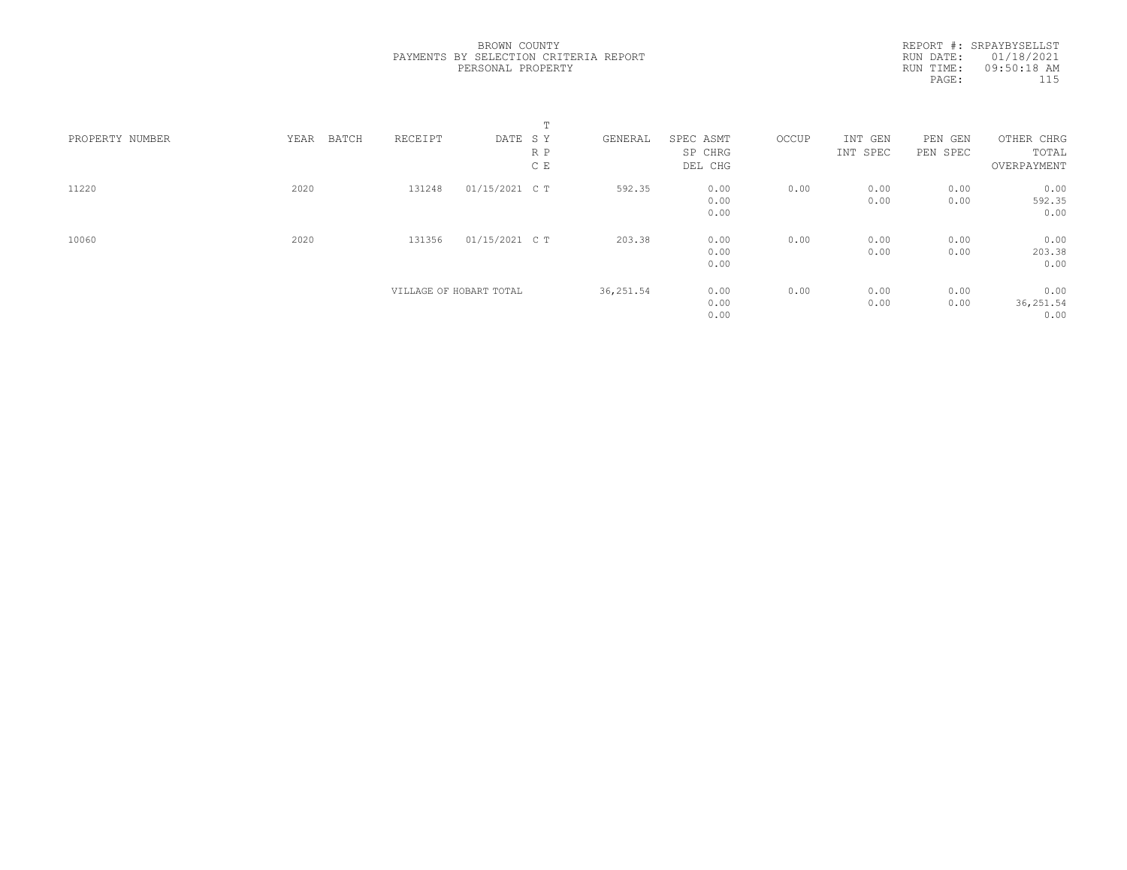|                 |               |         |                         | $\blacksquare$<br>ᅩ |            |                      |       |                     |                     |                     |  |
|-----------------|---------------|---------|-------------------------|---------------------|------------|----------------------|-------|---------------------|---------------------|---------------------|--|
| PROPERTY NUMBER | YEAR<br>BATCH | RECEIPT | DATE SY                 | R P                 | GENERAL    | SPEC ASMT<br>SP CHRG | OCCUP | INT GEN<br>INT SPEC | PEN GEN<br>PEN SPEC | OTHER CHRG<br>TOTAL |  |
|                 |               |         |                         | C E                 |            | DEL CHG              |       |                     |                     | OVERPAYMENT         |  |
|                 |               |         |                         |                     |            |                      |       |                     |                     |                     |  |
| 11220           | 2020          | 131248  | 01/15/2021 C T          |                     | 592.35     | 0.00                 | 0.00  | 0.00                | 0.00                | 0.00                |  |
|                 |               |         |                         |                     |            | 0.00                 |       | 0.00                | 0.00                | 592.35              |  |
|                 |               |         |                         |                     |            | 0.00                 |       |                     |                     | 0.00                |  |
| 10060           | 2020          | 131356  | 01/15/2021 C T          |                     | 203.38     | 0.00                 | 0.00  | 0.00                | 0.00                | 0.00                |  |
|                 |               |         |                         |                     |            | 0.00                 |       | 0.00                | 0.00                | 203.38              |  |
|                 |               |         |                         |                     |            | 0.00                 |       |                     |                     | 0.00                |  |
|                 |               |         | VILLAGE OF HOBART TOTAL |                     | 36, 251.54 | 0.00                 | 0.00  | 0.00                | 0.00                | 0.00                |  |
|                 |               |         |                         |                     |            | 0.00                 |       | 0.00                | 0.00                | 36, 251.54          |  |
|                 |               |         |                         |                     |            | 0.00                 |       |                     |                     | 0.00                |  |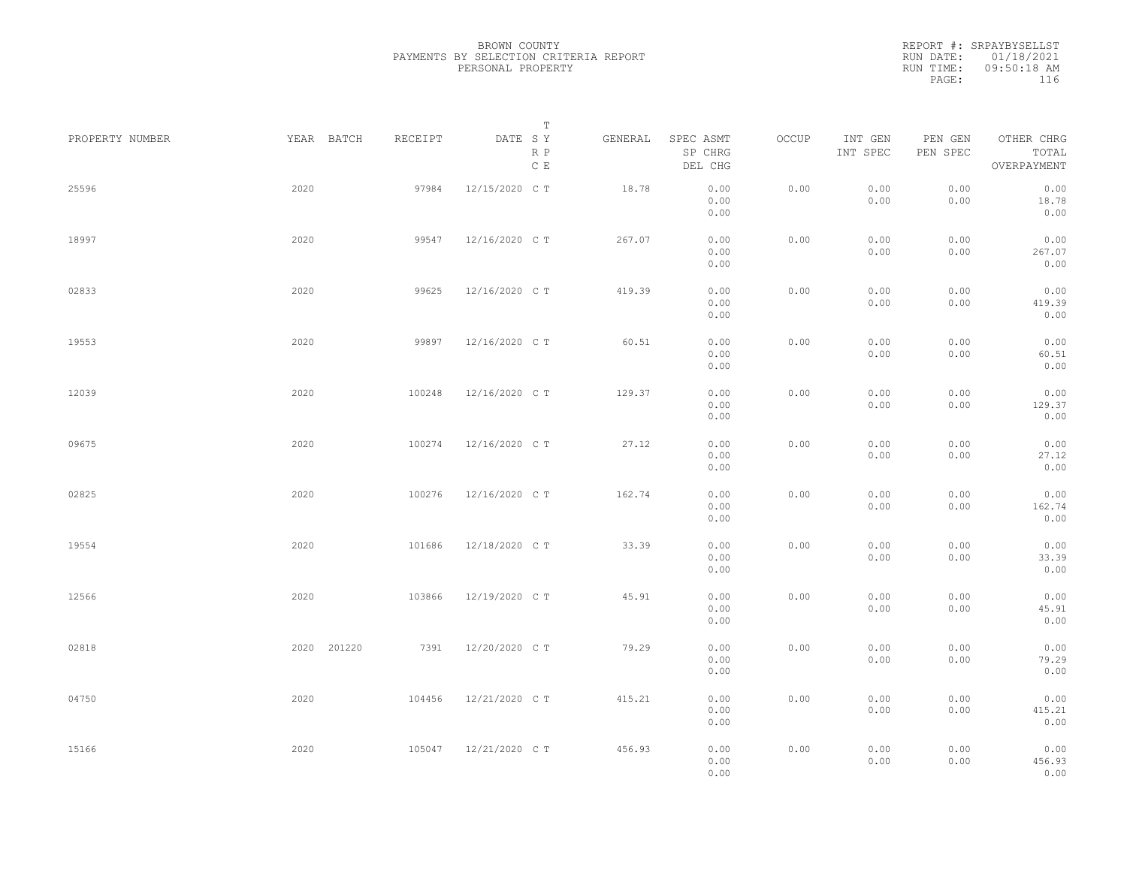|                 |             |         | Т                               |         |                                 |       |                     |                     |                                    |  |
|-----------------|-------------|---------|---------------------------------|---------|---------------------------------|-------|---------------------|---------------------|------------------------------------|--|
| PROPERTY NUMBER | YEAR BATCH  | RECEIPT | DATE SY<br>R P<br>$\,$ C $\,$ E | GENERAL | SPEC ASMT<br>SP CHRG<br>DEL CHG | OCCUP | INT GEN<br>INT SPEC | PEN GEN<br>PEN SPEC | OTHER CHRG<br>TOTAL<br>OVERPAYMENT |  |
| 25596           | 2020        | 97984   | 12/15/2020 C T                  | 18.78   | 0.00<br>0.00<br>0.00            | 0.00  | 0.00<br>0.00        | 0.00<br>0.00        | 0.00<br>18.78<br>0.00              |  |
| 18997           | 2020        | 99547   | 12/16/2020 C T                  | 267.07  | 0.00<br>0.00<br>0.00            | 0.00  | 0.00<br>0.00        | 0.00<br>0.00        | 0.00<br>267.07<br>0.00             |  |
| 02833           | 2020        | 99625   | 12/16/2020 C T                  | 419.39  | 0.00<br>0.00<br>0.00            | 0.00  | 0.00<br>0.00        | 0.00<br>0.00        | 0.00<br>419.39<br>0.00             |  |
| 19553           | 2020        | 99897   | 12/16/2020 C T                  | 60.51   | 0.00<br>0.00<br>0.00            | 0.00  | 0.00<br>0.00        | 0.00<br>0.00        | 0.00<br>60.51<br>0.00              |  |
| 12039           | 2020        | 100248  | 12/16/2020 C T                  | 129.37  | 0.00<br>0.00<br>0.00            | 0.00  | 0.00<br>0.00        | 0.00<br>0.00        | 0.00<br>129.37<br>0.00             |  |
| 09675           | 2020        | 100274  | 12/16/2020 C T                  | 27.12   | 0.00<br>0.00<br>0.00            | 0.00  | 0.00<br>0.00        | 0.00<br>0.00        | 0.00<br>27.12<br>0.00              |  |
| 02825           | 2020        | 100276  | 12/16/2020 C T                  | 162.74  | 0.00<br>0.00<br>0.00            | 0.00  | 0.00<br>0.00        | 0.00<br>0.00        | 0.00<br>162.74<br>0.00             |  |
| 19554           | 2020        | 101686  | 12/18/2020 C T                  | 33.39   | 0.00<br>0.00<br>0.00            | 0.00  | 0.00<br>0.00        | 0.00<br>0.00        | 0.00<br>33.39<br>0.00              |  |
| 12566           | 2020        | 103866  | 12/19/2020 C T                  | 45.91   | 0.00<br>0.00<br>0.00            | 0.00  | 0.00<br>0.00        | 0.00<br>0.00        | 0.00<br>45.91<br>0.00              |  |
| 02818           | 2020 201220 | 7391    | 12/20/2020 C T                  | 79.29   | 0.00<br>0.00<br>0.00            | 0.00  | 0.00<br>0.00        | 0.00<br>0.00        | 0.00<br>79.29<br>0.00              |  |
| 04750           | 2020        | 104456  | 12/21/2020 C T                  | 415.21  | 0.00<br>0.00<br>0.00            | 0.00  | 0.00<br>0.00        | 0.00<br>0.00        | 0.00<br>415.21<br>0.00             |  |
| 15166           | 2020        | 105047  | 12/21/2020 C T                  | 456.93  | 0.00<br>0.00<br>0.00            | 0.00  | 0.00<br>0.00        | 0.00<br>0.00        | 0.00<br>456.93<br>0.00             |  |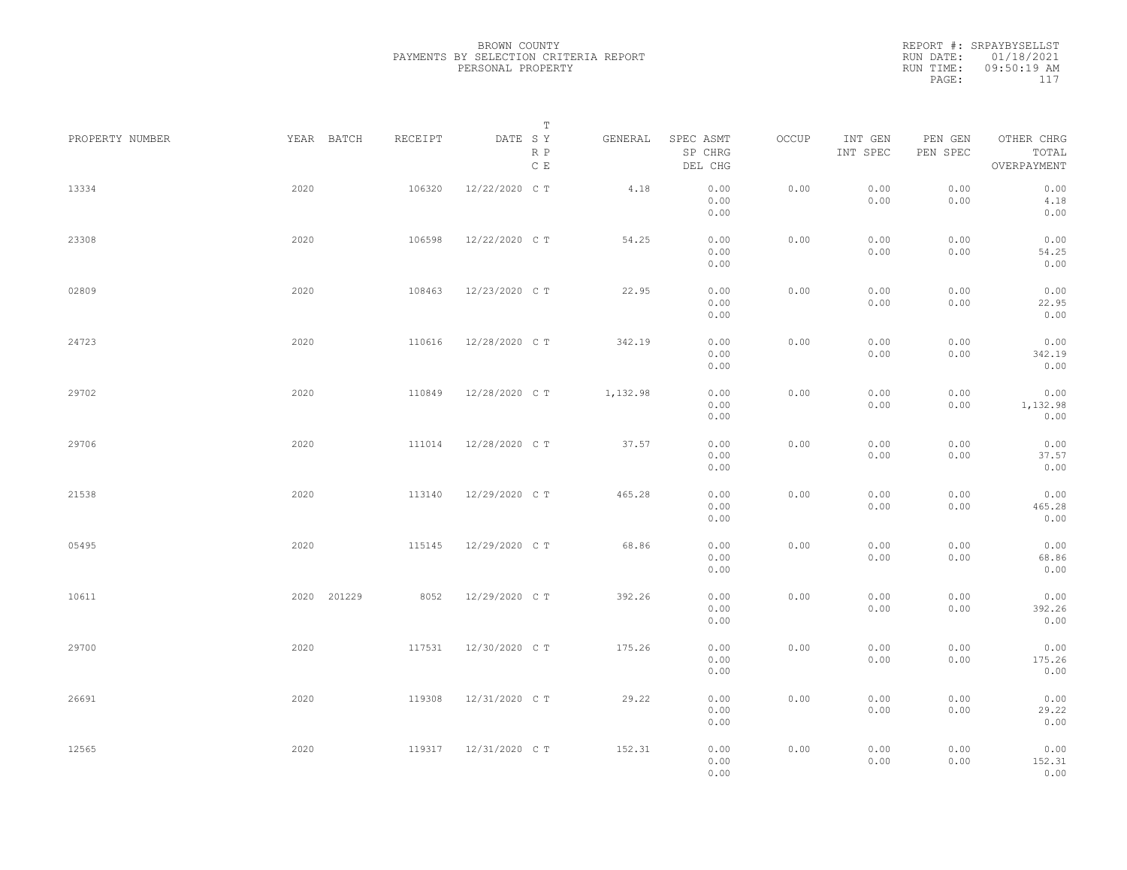REPORT #: SRPAYBYSELLST RUN DATE: 01/18/2021 RUN TIME: 09:50:19 AM PAGE: 117

| PROPERTY NUMBER |      | YEAR BATCH  | RECEIPT | DATE SY        | $\mathbb T$              | GENERAL  | SPEC ASMT                    | OCCUP | INT GEN      | PEN GEN      | OTHER CHRG                     |
|-----------------|------|-------------|---------|----------------|--------------------------|----------|------------------------------|-------|--------------|--------------|--------------------------------|
|                 |      |             |         |                | $R$ $P$<br>$\,$ C $\,$ E |          | SP CHRG<br>DEL CHG           |       | INT SPEC     | PEN SPEC     | TOTAL<br>OVERPAYMENT           |
| 13334           | 2020 |             | 106320  | 12/22/2020 C T |                          | 4.18     | 0.00<br>0.00<br>0.00         | 0.00  | 0.00<br>0.00 | 0.00<br>0.00 | 0.00<br>4.18<br>0.00           |
| 23308           | 2020 |             | 106598  | 12/22/2020 C T |                          | 54.25    | 0.00<br>0.00<br>0.00         | 0.00  | 0.00<br>0.00 | 0.00<br>0.00 | 0.00<br>54.25<br>0.00          |
| 02809           | 2020 |             | 108463  | 12/23/2020 C T |                          | 22.95    | 0.00<br>0.00<br>0.00         | 0.00  | 0.00<br>0.00 | 0.00<br>0.00 | 0.00<br>22.95<br>0.00          |
| 24723           | 2020 |             | 110616  | 12/28/2020 C T |                          | 342.19   | 0.00<br>0.00<br>0.00         | 0.00  | 0.00<br>0.00 | 0.00<br>0.00 | 0.00<br>342.19<br>0.00         |
| 29702           | 2020 |             | 110849  | 12/28/2020 C T |                          | 1,132.98 | 0.00<br>0.00<br>0.00         | 0.00  | 0.00<br>0.00 | 0.00<br>0.00 | 0.00<br>1,132.98<br>0.00       |
| 29706           | 2020 |             | 111014  | 12/28/2020 C T |                          | 37.57    | 0.00<br>0.00<br>0.00         | 0.00  | 0.00<br>0.00 | 0.00<br>0.00 | 0.00<br>37.57<br>0.00          |
| 21538           | 2020 |             | 113140  | 12/29/2020 C T |                          | 465.28   | 0.00<br>0.00                 | 0.00  | 0.00<br>0.00 | 0.00<br>0.00 | 0.00<br>465.28                 |
| 05495           | 2020 |             | 115145  | 12/29/2020 C T |                          | 68.86    | 0.00<br>0.00<br>0.00         | 0.00  | 0.00<br>0.00 | 0.00<br>0.00 | 0.00<br>0.00<br>68.86          |
| 10611           |      | 2020 201229 | 8052    | 12/29/2020 C T |                          | 392.26   | 0.00<br>0.00<br>0.00<br>0.00 | 0.00  | 0.00<br>0.00 | 0.00<br>0.00 | 0.00<br>0.00<br>392.26<br>0.00 |
| 29700           | 2020 |             | 117531  | 12/30/2020 C T |                          | 175.26   | 0.00<br>0.00<br>0.00         | 0.00  | 0.00<br>0.00 | 0.00<br>0.00 | 0.00<br>175.26<br>0.00         |
| 26691           | 2020 |             | 119308  | 12/31/2020 C T |                          | 29.22    | 0.00<br>0.00<br>0.00         | 0.00  | 0.00<br>0.00 | 0.00<br>0.00 | 0.00<br>29.22<br>0.00          |
| 12565           | 2020 |             | 119317  | 12/31/2020 C T |                          | 152.31   | 0.00<br>0.00<br>0.00         | 0.00  | 0.00<br>0.00 | 0.00<br>0.00 | 0.00<br>152.31<br>0.00         |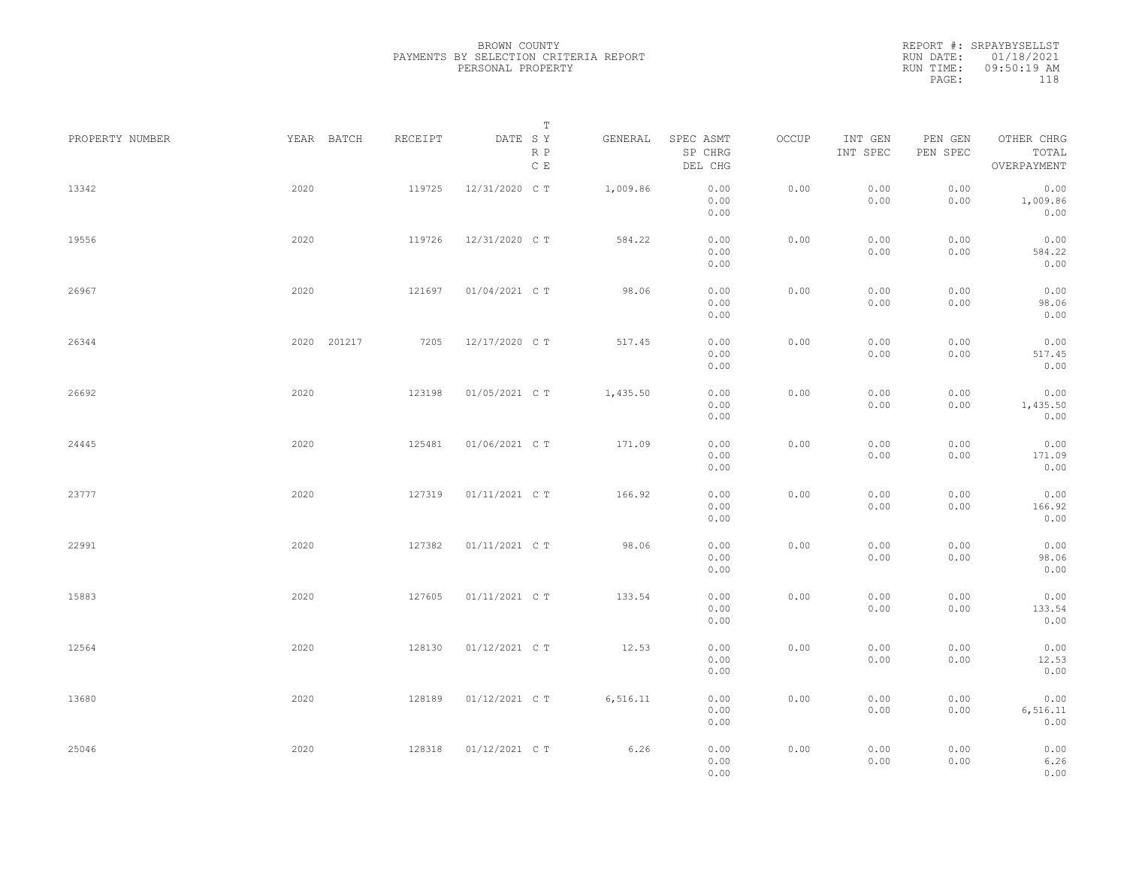| PROPERTY NUMBER | YEAR BATCH  | RECEIPT | T<br>DATE SY<br>R P | GENERAL  | SPEC ASMT<br>SP CHRG | OCCUP | INT GEN<br>INT SPEC | PEN GEN<br>PEN SPEC | OTHER CHRG<br>TOTAL      |  |
|-----------------|-------------|---------|---------------------|----------|----------------------|-------|---------------------|---------------------|--------------------------|--|
|                 |             |         | $\mathbb C$ E       |          | DEL CHG              |       |                     |                     | OVERPAYMENT              |  |
| 13342           | 2020        | 119725  | 12/31/2020 C T      | 1,009.86 | 0.00<br>0.00<br>0.00 | 0.00  | 0.00<br>0.00        | 0.00<br>0.00        | 0.00<br>1,009.86<br>0.00 |  |
| 19556           | 2020        | 119726  | 12/31/2020 C T      | 584.22   | 0.00<br>0.00<br>0.00 | 0.00  | 0.00<br>0.00        | 0.00<br>0.00        | 0.00<br>584.22<br>0.00   |  |
| 26967           | 2020        | 121697  | 01/04/2021 C T      | 98.06    | 0.00<br>0.00<br>0.00 | 0.00  | 0.00<br>0.00        | 0.00<br>0.00        | 0.00<br>98.06<br>0.00    |  |
| 26344           | 2020 201217 | 7205    | 12/17/2020 C T      | 517.45   | 0.00<br>0.00<br>0.00 | 0.00  | 0.00<br>0.00        | 0.00<br>0.00        | 0.00<br>517.45<br>0.00   |  |
| 26692           | 2020        | 123198  | 01/05/2021 C T      | 1,435.50 | 0.00<br>0.00<br>0.00 | 0.00  | 0.00<br>0.00        | 0.00<br>0.00        | 0.00<br>1,435.50<br>0.00 |  |
| 24445           | 2020        | 125481  | 01/06/2021 C T      | 171.09   | 0.00<br>0.00<br>0.00 | 0.00  | 0.00<br>0.00        | 0.00<br>0.00        | 0.00<br>171.09<br>0.00   |  |
| 23777           | 2020        | 127319  | 01/11/2021 C T      | 166.92   | 0.00<br>0.00<br>0.00 | 0.00  | 0.00<br>0.00        | 0.00<br>0.00        | 0.00<br>166.92<br>0.00   |  |
| 22991           | 2020        | 127382  | 01/11/2021 C T      | 98.06    | 0.00<br>0.00<br>0.00 | 0.00  | 0.00<br>0.00        | 0.00<br>0.00        | 0.00<br>98.06<br>0.00    |  |
| 15883           | 2020        | 127605  | 01/11/2021 C T      | 133.54   | 0.00<br>0.00<br>0.00 | 0.00  | 0.00<br>0.00        | 0.00<br>0.00        | 0.00<br>133.54<br>0.00   |  |
| 12564           | 2020        | 128130  | 01/12/2021 C T      | 12.53    | 0.00<br>0.00<br>0.00 | 0.00  | 0.00<br>0.00        | 0.00<br>0.00        | 0.00<br>12.53<br>0.00    |  |
| 13680           | 2020        | 128189  | 01/12/2021 C T      | 6,516.11 | 0.00<br>0.00<br>0.00 | 0.00  | 0.00<br>0.00        | 0.00<br>0.00        | 0.00<br>6,516.11<br>0.00 |  |
| 25046           | 2020        | 128318  | 01/12/2021 C T      | 6.26     | 0.00<br>0.00<br>0.00 | 0.00  | 0.00<br>0.00        | 0.00<br>0.00        | 0.00<br>6.26<br>0.00     |  |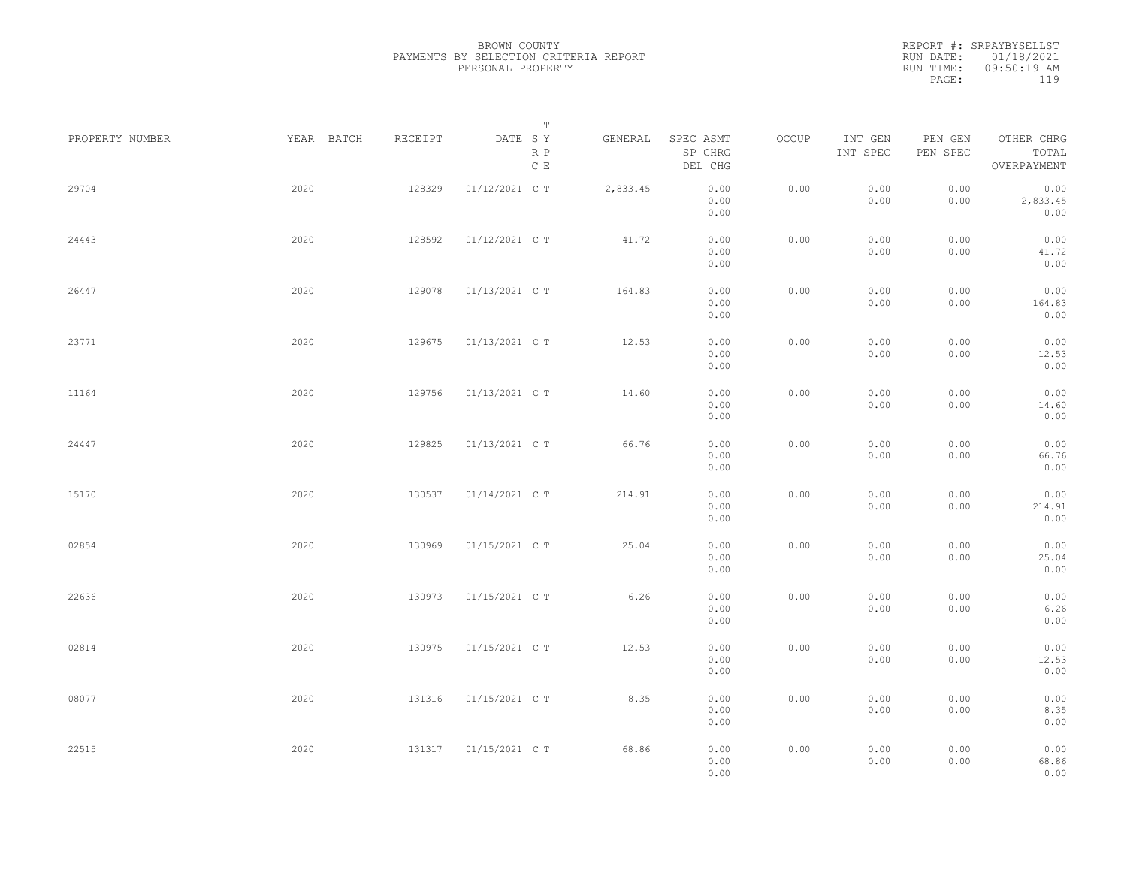|                 |            |         | Т                               |          |                                 |       |                     |                     |                                    |  |
|-----------------|------------|---------|---------------------------------|----------|---------------------------------|-------|---------------------|---------------------|------------------------------------|--|
| PROPERTY NUMBER | YEAR BATCH | RECEIPT | DATE SY<br>R P<br>$\,$ C $\,$ E | GENERAL  | SPEC ASMT<br>SP CHRG<br>DEL CHG | OCCUP | INT GEN<br>INT SPEC | PEN GEN<br>PEN SPEC | OTHER CHRG<br>TOTAL<br>OVERPAYMENT |  |
| 29704           | 2020       | 128329  | 01/12/2021 C T                  | 2,833.45 | 0.00<br>0.00<br>0.00            | 0.00  | 0.00<br>0.00        | 0.00<br>0.00        | 0.00<br>2,833.45<br>0.00           |  |
| 24443           | 2020       | 128592  | 01/12/2021 C T                  | 41.72    | 0.00<br>0.00<br>0.00            | 0.00  | 0.00<br>0.00        | 0.00<br>0.00        | 0.00<br>41.72<br>0.00              |  |
| 26447           | 2020       | 129078  | 01/13/2021 C T                  | 164.83   | 0.00<br>0.00<br>0.00            | 0.00  | 0.00<br>0.00        | 0.00<br>0.00        | 0.00<br>164.83<br>0.00             |  |
| 23771           | 2020       | 129675  | 01/13/2021 C T                  | 12.53    | 0.00<br>0.00<br>0.00            | 0.00  | 0.00<br>0.00        | 0.00<br>0.00        | 0.00<br>12.53<br>0.00              |  |
| 11164           | 2020       | 129756  | 01/13/2021 C T                  | 14.60    | 0.00<br>0.00<br>0.00            | 0.00  | 0.00<br>0.00        | 0.00<br>0.00        | 0.00<br>14.60<br>0.00              |  |
| 24447           | 2020       | 129825  | 01/13/2021 C T                  | 66.76    | 0.00<br>0.00<br>0.00            | 0.00  | 0.00<br>0.00        | 0.00<br>0.00        | 0.00<br>66.76<br>0.00              |  |
| 15170           | 2020       | 130537  | 01/14/2021 C T                  | 214.91   | 0.00<br>0.00<br>0.00            | 0.00  | 0.00<br>0.00        | 0.00<br>0.00        | 0.00<br>214.91<br>0.00             |  |
| 02854           | 2020       | 130969  | 01/15/2021 C T                  | 25.04    | 0.00<br>0.00<br>0.00            | 0.00  | 0.00<br>0.00        | 0.00<br>0.00        | 0.00<br>25.04<br>0.00              |  |
| 22636           | 2020       | 130973  | 01/15/2021 C T                  | 6.26     | 0.00<br>0.00<br>0.00            | 0.00  | 0.00<br>0.00        | 0.00<br>0.00        | 0.00<br>6.26<br>0.00               |  |
| 02814           | 2020       | 130975  | 01/15/2021 C T                  | 12.53    | 0.00<br>0.00<br>0.00            | 0.00  | 0.00<br>0.00        | 0.00<br>0.00        | 0.00<br>12.53<br>0.00              |  |
| 08077           | 2020       | 131316  | 01/15/2021 C T                  | 8.35     | 0.00<br>0.00<br>0.00            | 0.00  | 0.00<br>0.00        | 0.00<br>0.00        | 0.00<br>8.35<br>0.00               |  |
| 22515           | 2020       | 131317  | 01/15/2021 C T                  | 68.86    | 0.00<br>0.00<br>0.00            | 0.00  | 0.00<br>0.00        | 0.00<br>0.00        | 0.00<br>68.86<br>0.00              |  |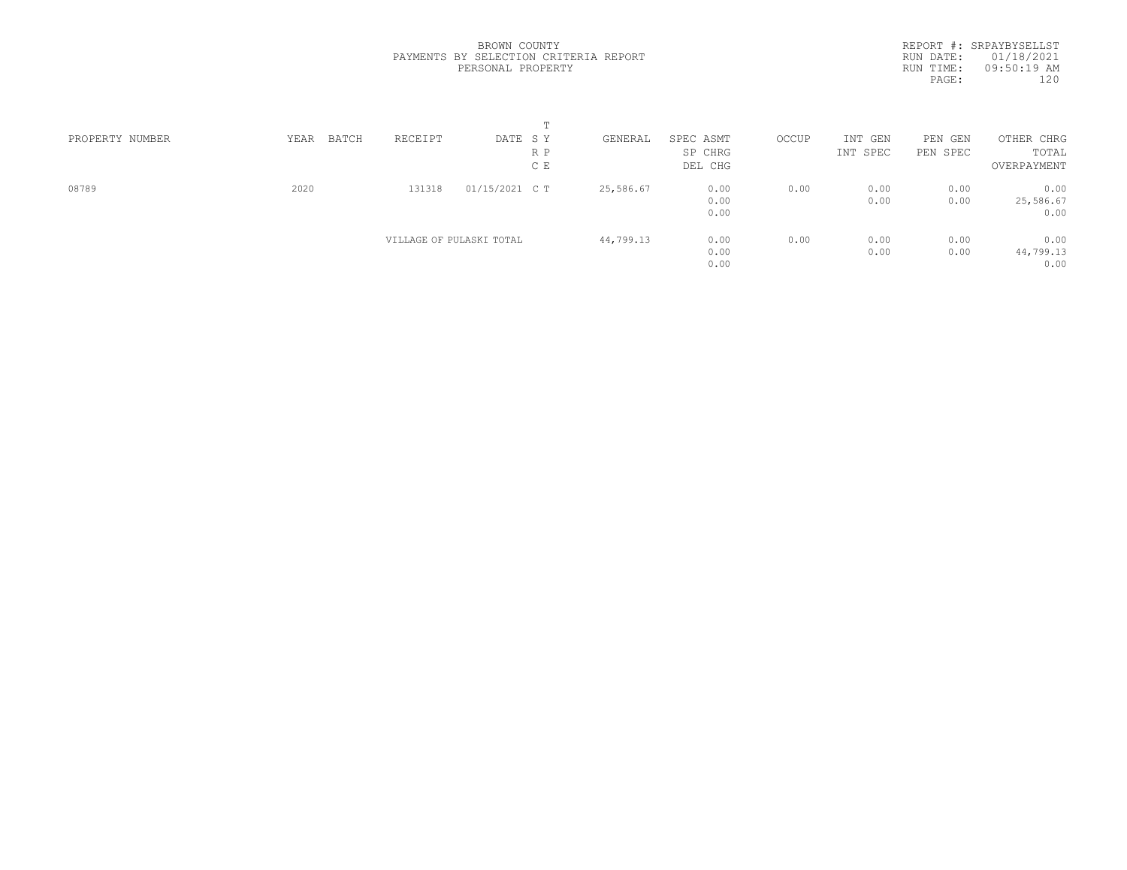| PROPERTY NUMBER | YEAR | BATCH | RECEIPT                  | DATE SY        |     | GENERAL   | SPEC ASMT | OCCUP | INT GEN  | PEN GEN  | OTHER CHRG  |  |
|-----------------|------|-------|--------------------------|----------------|-----|-----------|-----------|-------|----------|----------|-------------|--|
|                 |      |       |                          |                | R P |           | SP CHRG   |       | INT SPEC | PEN SPEC | TOTAL       |  |
|                 |      |       |                          |                | C E |           | DEL CHG   |       |          |          | OVERPAYMENT |  |
| 08789           | 2020 |       | 131318                   | 01/15/2021 C T |     | 25,586.67 | 0.00      | 0.00  | 0.00     | 0.00     | 0.00        |  |
|                 |      |       |                          |                |     |           | 0.00      |       | 0.00     | 0.00     | 25,586.67   |  |
|                 |      |       |                          |                |     |           | 0.00      |       |          |          | 0.00        |  |
|                 |      |       | VILLAGE OF PULASKI TOTAL |                |     | 44,799.13 | 0.00      | 0.00  | 0.00     | 0.00     | 0.00        |  |
|                 |      |       |                          |                |     |           | 0.00      |       | 0.00     | 0.00     | 44,799.13   |  |
|                 |      |       |                          |                |     |           | 0.00      |       |          |          | 0.00        |  |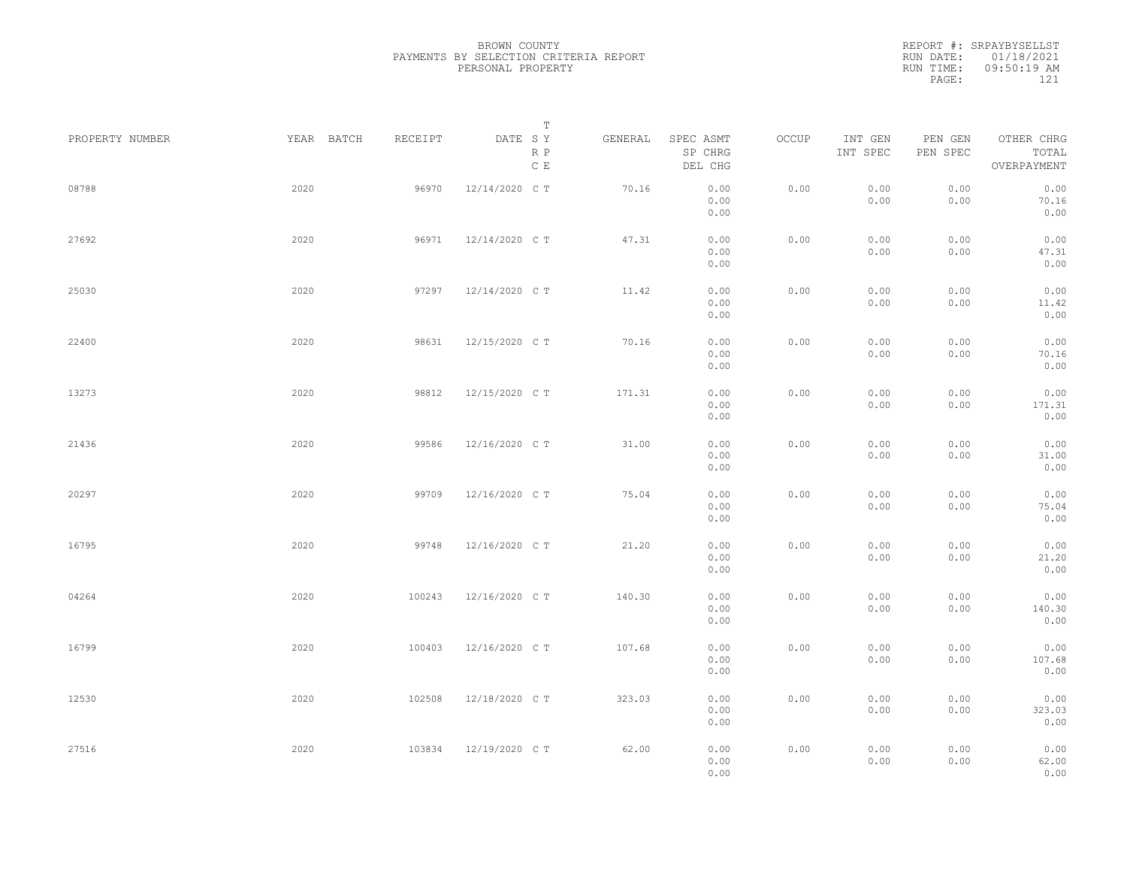|                 |      |            |         |                | $\mathbb T$                    |         |                                 |       |                     |                                                                     |                                    |
|-----------------|------|------------|---------|----------------|--------------------------------|---------|---------------------------------|-------|---------------------|---------------------------------------------------------------------|------------------------------------|
| PROPERTY NUMBER |      | YEAR BATCH | RECEIPT | DATE SY        | $\mathbb R$ $\mathbb P$<br>C E | GENERAL | SPEC ASMT<br>SP CHRG<br>DEL CHG | OCCUP | INT GEN<br>INT SPEC | PEN GEN<br>$\ensuremath{\mathsf{PEN}}$ $\ensuremath{\mathsf{SPEC}}$ | OTHER CHRG<br>TOTAL<br>OVERPAYMENT |
| 08788           | 2020 |            | 96970   | 12/14/2020 C T |                                | 70.16   | 0.00<br>0.00<br>0.00            | 0.00  | 0.00<br>0.00        | 0.00<br>0.00                                                        | 0.00<br>70.16<br>0.00              |
| 27692           | 2020 |            | 96971   | 12/14/2020 C T |                                | 47.31   | 0.00<br>0.00<br>0.00            | 0.00  | 0.00<br>0.00        | 0.00<br>0.00                                                        | 0.00<br>47.31<br>0.00              |
| 25030           | 2020 |            | 97297   | 12/14/2020 C T |                                | 11.42   | 0.00<br>0.00<br>0.00            | 0.00  | 0.00<br>0.00        | 0.00<br>0.00                                                        | 0.00<br>11.42<br>0.00              |
| 22400           | 2020 |            | 98631   | 12/15/2020 C T |                                | 70.16   | 0.00<br>0.00<br>0.00            | 0.00  | 0.00<br>0.00        | 0.00<br>0.00                                                        | 0.00<br>70.16<br>0.00              |
| 13273           | 2020 |            | 98812   | 12/15/2020 C T |                                | 171.31  | 0.00<br>0.00<br>0.00            | 0.00  | 0.00<br>0.00        | 0.00<br>0.00                                                        | 0.00<br>171.31<br>0.00             |
| 21436           | 2020 |            | 99586   | 12/16/2020 C T |                                | 31.00   | 0.00<br>0.00<br>0.00            | 0.00  | 0.00<br>0.00        | 0.00<br>0.00                                                        | 0.00<br>31.00<br>0.00              |
| 20297           | 2020 |            | 99709   | 12/16/2020 C T |                                | 75.04   | 0.00<br>0.00<br>0.00            | 0.00  | 0.00<br>0.00        | 0.00<br>0.00                                                        | 0.00<br>75.04<br>0.00              |
| 16795           | 2020 |            | 99748   | 12/16/2020 C T |                                | 21.20   | 0.00<br>0.00<br>0.00            | 0.00  | 0.00<br>0.00        | 0.00<br>0.00                                                        | 0.00<br>21.20<br>0.00              |
| 04264           | 2020 |            | 100243  | 12/16/2020 C T |                                | 140.30  | 0.00<br>0.00<br>0.00            | 0.00  | 0.00<br>0.00        | 0.00<br>0.00                                                        | 0.00<br>140.30<br>0.00             |
| 16799           | 2020 |            | 100403  | 12/16/2020 C T |                                | 107.68  | 0.00<br>0.00<br>0.00            | 0.00  | 0.00<br>0.00        | 0.00<br>0.00                                                        | 0.00<br>107.68<br>0.00             |
| 12530           | 2020 |            | 102508  | 12/18/2020 C T |                                | 323.03  | 0.00<br>0.00<br>0.00            | 0.00  | 0.00<br>0.00        | 0.00<br>0.00                                                        | 0.00<br>323.03<br>0.00             |
| 27516           | 2020 |            | 103834  | 12/19/2020 C T |                                | 62.00   | 0.00<br>0.00<br>0.00            | 0.00  | 0.00<br>0.00        | 0.00<br>0.00                                                        | 0.00<br>62.00<br>0.00              |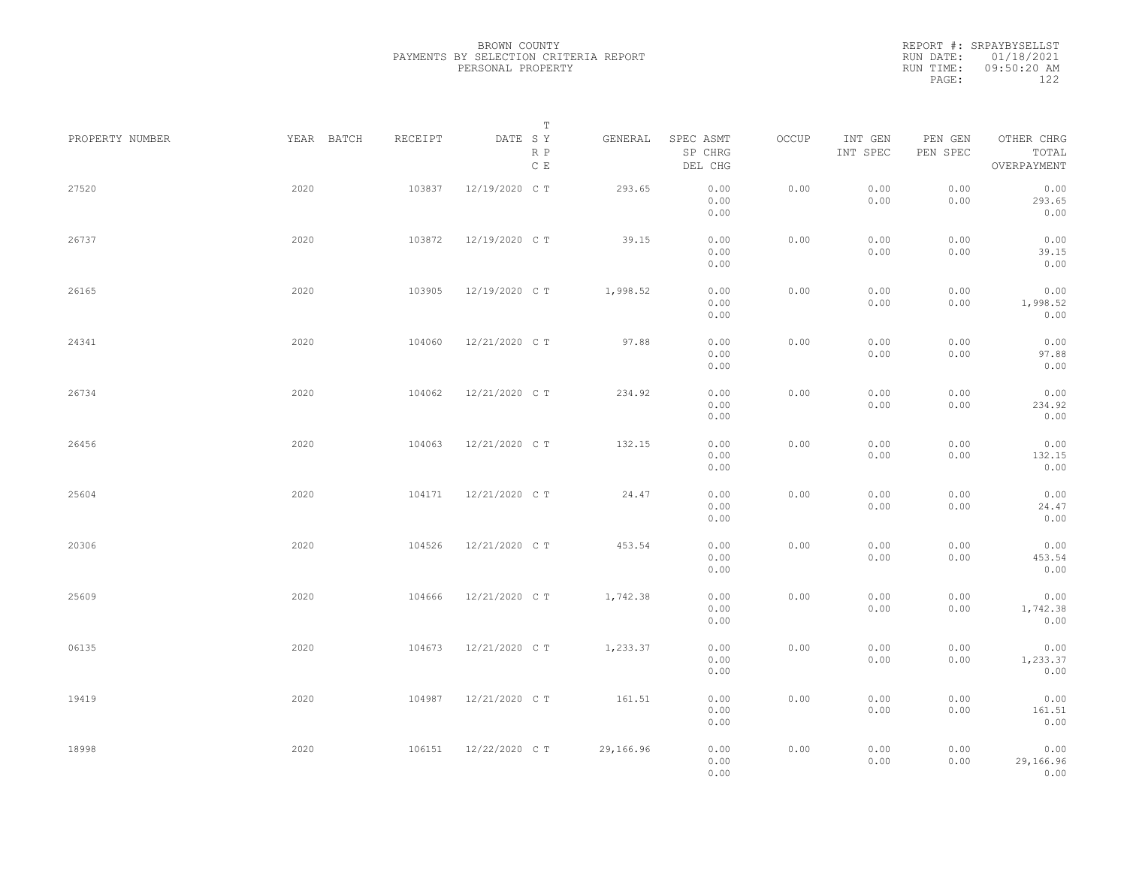|                 |            |         | Т                               |           |                                 |       |                     |                     |                                    |  |
|-----------------|------------|---------|---------------------------------|-----------|---------------------------------|-------|---------------------|---------------------|------------------------------------|--|
| PROPERTY NUMBER | YEAR BATCH | RECEIPT | DATE SY<br>R P<br>$\,$ C $\,$ E | GENERAL   | SPEC ASMT<br>SP CHRG<br>DEL CHG | OCCUP | INT GEN<br>INT SPEC | PEN GEN<br>PEN SPEC | OTHER CHRG<br>TOTAL<br>OVERPAYMENT |  |
| 27520           | 2020       | 103837  | 12/19/2020 C T                  | 293.65    | 0.00<br>0.00<br>0.00            | 0.00  | 0.00<br>0.00        | 0.00<br>0.00        | 0.00<br>293.65<br>0.00             |  |
| 26737           | 2020       | 103872  | 12/19/2020 CT                   | 39.15     | 0.00<br>0.00<br>0.00            | 0.00  | 0.00<br>0.00        | 0.00<br>0.00        | 0.00<br>39.15<br>0.00              |  |
| 26165           | 2020       | 103905  | 12/19/2020 C T                  | 1,998.52  | 0.00<br>0.00<br>0.00            | 0.00  | 0.00<br>0.00        | 0.00<br>0.00        | 0.00<br>1,998.52<br>0.00           |  |
| 24341           | 2020       | 104060  | 12/21/2020 C T                  | 97.88     | 0.00<br>0.00<br>0.00            | 0.00  | 0.00<br>0.00        | 0.00<br>0.00        | 0.00<br>97.88<br>0.00              |  |
| 26734           | 2020       | 104062  | 12/21/2020 C T                  | 234.92    | 0.00<br>0.00<br>0.00            | 0.00  | 0.00<br>0.00        | 0.00<br>0.00        | 0.00<br>234.92<br>0.00             |  |
| 26456           | 2020       | 104063  | 12/21/2020 C T                  | 132.15    | 0.00<br>0.00<br>0.00            | 0.00  | 0.00<br>0.00        | 0.00<br>0.00        | 0.00<br>132.15<br>0.00             |  |
| 25604           | 2020       | 104171  | 12/21/2020 C T                  | 24.47     | 0.00<br>0.00<br>0.00            | 0.00  | 0.00<br>0.00        | 0.00<br>0.00        | 0.00<br>24.47<br>0.00              |  |
| 20306           | 2020       | 104526  | 12/21/2020 C T                  | 453.54    | 0.00<br>0.00<br>0.00            | 0.00  | 0.00<br>0.00        | 0.00<br>0.00        | 0.00<br>453.54<br>0.00             |  |
| 25609           | 2020       | 104666  | 12/21/2020 C T                  | 1,742.38  | 0.00<br>0.00<br>0.00            | 0.00  | 0.00<br>0.00        | 0.00<br>0.00        | 0.00<br>1,742.38<br>0.00           |  |
| 06135           | 2020       | 104673  | 12/21/2020 C T                  | 1,233.37  | 0.00<br>0.00<br>0.00            | 0.00  | 0.00<br>0.00        | 0.00<br>0.00        | 0.00<br>1,233.37<br>0.00           |  |
| 19419           | 2020       | 104987  | 12/21/2020 C T                  | 161.51    | 0.00<br>0.00<br>0.00            | 0.00  | 0.00<br>0.00        | 0.00<br>0.00        | 0.00<br>161.51<br>0.00             |  |
| 18998           | 2020       | 106151  | 12/22/2020 C T                  | 29,166.96 | 0.00<br>0.00<br>0.00            | 0.00  | 0.00<br>0.00        | 0.00<br>0.00        | 0.00<br>29,166.96<br>0.00          |  |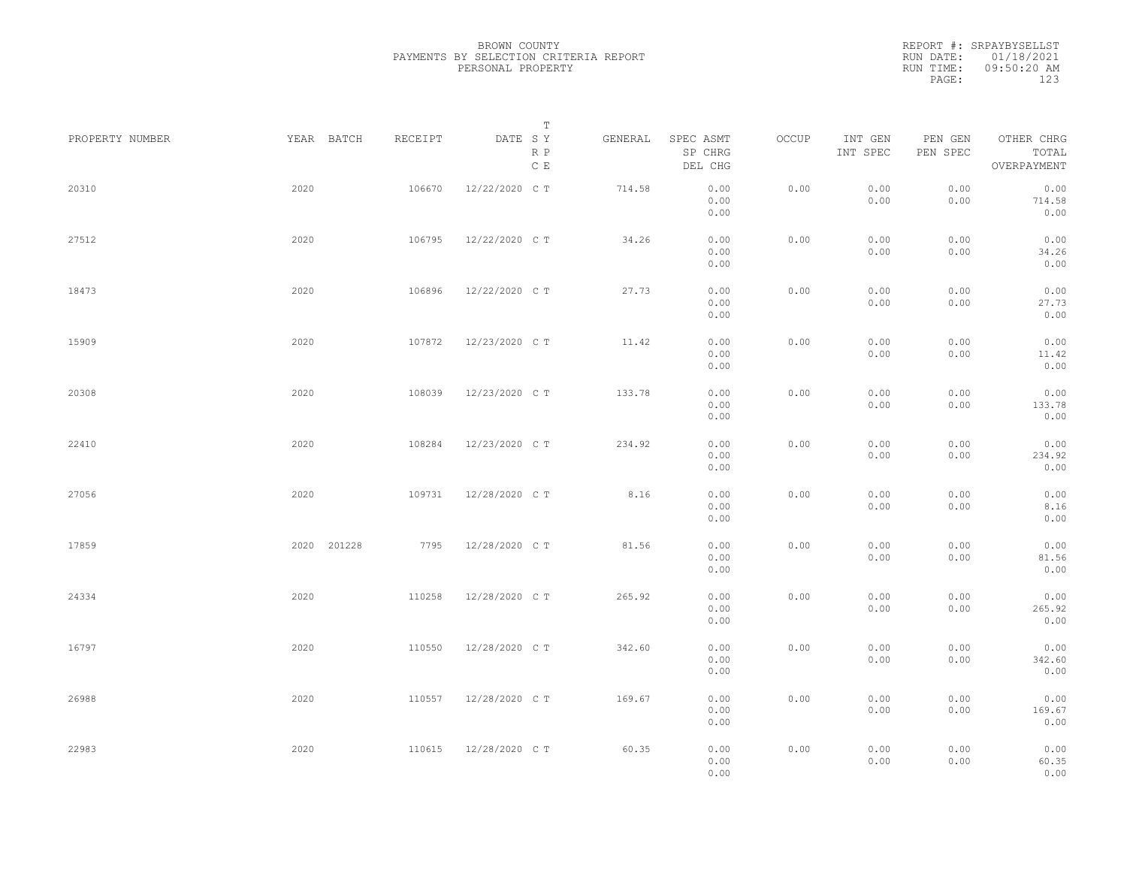REPORT #: SRPAYBYSELLST RUN DATE: 01/18/2021 RUN TIME: 09:50:20 AM PAGE: 123

| PROPERTY NUMBER |      | YEAR BATCH  | RECEIPT | DATE SY        | $\mathbb T$          | GENERAL | SPEC ASMT            | OCCUP | INT GEN      | PEN GEN      | OTHER CHRG             |  |
|-----------------|------|-------------|---------|----------------|----------------------|---------|----------------------|-------|--------------|--------------|------------------------|--|
|                 |      |             |         |                | R P<br>$\mathbb C$ E |         | SP CHRG<br>DEL CHG   |       | INT SPEC     | PEN SPEC     | TOTAL<br>OVERPAYMENT   |  |
| 20310           | 2020 |             | 106670  | 12/22/2020 C T |                      | 714.58  | 0.00<br>0.00<br>0.00 | 0.00  | 0.00<br>0.00 | 0.00<br>0.00 | 0.00<br>714.58<br>0.00 |  |
| 27512           | 2020 |             | 106795  | 12/22/2020 C T |                      | 34.26   | 0.00<br>0.00<br>0.00 | 0.00  | 0.00<br>0.00 | 0.00<br>0.00 | 0.00<br>34.26<br>0.00  |  |
| 18473           | 2020 |             | 106896  | 12/22/2020 C T |                      | 27.73   | 0.00<br>0.00<br>0.00 | 0.00  | 0.00<br>0.00 | 0.00<br>0.00 | 0.00<br>27.73<br>0.00  |  |
| 15909           | 2020 |             | 107872  | 12/23/2020 C T |                      | 11.42   | 0.00<br>0.00<br>0.00 | 0.00  | 0.00<br>0.00 | 0.00<br>0.00 | 0.00<br>11.42<br>0.00  |  |
| 20308           | 2020 |             | 108039  | 12/23/2020 C T |                      | 133.78  | 0.00<br>0.00<br>0.00 | 0.00  | 0.00<br>0.00 | 0.00<br>0.00 | 0.00<br>133.78<br>0.00 |  |
| 22410           | 2020 |             | 108284  | 12/23/2020 C T |                      | 234.92  | 0.00<br>0.00<br>0.00 | 0.00  | 0.00<br>0.00 | 0.00<br>0.00 | 0.00<br>234.92<br>0.00 |  |
| 27056           | 2020 |             | 109731  | 12/28/2020 C T |                      | 8.16    | 0.00<br>0.00<br>0.00 | 0.00  | 0.00<br>0.00 | 0.00<br>0.00 | 0.00<br>8.16<br>0.00   |  |
| 17859           |      | 2020 201228 | 7795    | 12/28/2020 C T |                      | 81.56   | 0.00<br>0.00<br>0.00 | 0.00  | 0.00<br>0.00 | 0.00<br>0.00 | 0.00<br>81.56<br>0.00  |  |
| 24334           | 2020 |             | 110258  | 12/28/2020 C T |                      | 265.92  | 0.00<br>0.00<br>0.00 | 0.00  | 0.00<br>0.00 | 0.00<br>0.00 | 0.00<br>265.92<br>0.00 |  |
| 16797           | 2020 |             | 110550  | 12/28/2020 C T |                      | 342.60  | 0.00<br>0.00<br>0.00 | 0.00  | 0.00<br>0.00 | 0.00<br>0.00 | 0.00<br>342.60<br>0.00 |  |
| 26988           | 2020 |             | 110557  | 12/28/2020 C T |                      | 169.67  | 0.00<br>0.00<br>0.00 | 0.00  | 0.00<br>0.00 | 0.00<br>0.00 | 0.00<br>169.67<br>0.00 |  |
| 22983           | 2020 |             | 110615  | 12/28/2020 C T |                      | 60.35   | 0.00<br>0.00<br>0.00 | 0.00  | 0.00<br>0.00 | 0.00<br>0.00 | 0.00<br>60.35<br>0.00  |  |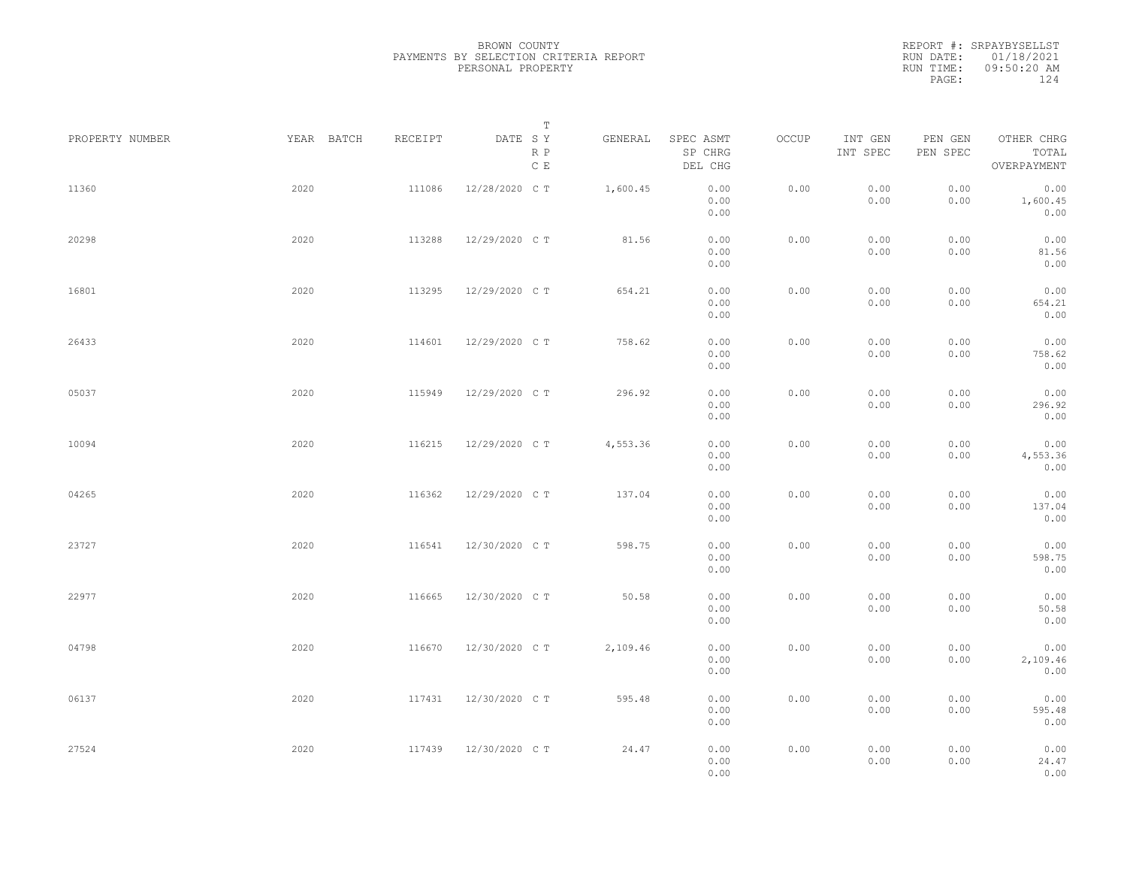|                 |            |         | Т                               |          |                                 |       |                     |                     |                                    |  |
|-----------------|------------|---------|---------------------------------|----------|---------------------------------|-------|---------------------|---------------------|------------------------------------|--|
| PROPERTY NUMBER | YEAR BATCH | RECEIPT | DATE SY<br>R P<br>$\,$ C $\,$ E | GENERAL  | SPEC ASMT<br>SP CHRG<br>DEL CHG | OCCUP | INT GEN<br>INT SPEC | PEN GEN<br>PEN SPEC | OTHER CHRG<br>TOTAL<br>OVERPAYMENT |  |
| 11360           | 2020       | 111086  | 12/28/2020 C T                  | 1,600.45 | 0.00<br>0.00<br>0.00            | 0.00  | 0.00<br>0.00        | 0.00<br>0.00        | 0.00<br>1,600.45<br>0.00           |  |
| 20298           | 2020       | 113288  | 12/29/2020 C T                  | 81.56    | 0.00<br>0.00<br>0.00            | 0.00  | 0.00<br>0.00        | 0.00<br>0.00        | 0.00<br>81.56<br>0.00              |  |
| 16801           | 2020       | 113295  | 12/29/2020 C T                  | 654.21   | 0.00<br>0.00<br>0.00            | 0.00  | 0.00<br>0.00        | 0.00<br>0.00        | 0.00<br>654.21<br>0.00             |  |
| 26433           | 2020       | 114601  | 12/29/2020 C T                  | 758.62   | 0.00<br>0.00<br>0.00            | 0.00  | 0.00<br>0.00        | 0.00<br>0.00        | 0.00<br>758.62<br>0.00             |  |
| 05037           | 2020       | 115949  | 12/29/2020 C T                  | 296.92   | 0.00<br>0.00<br>0.00            | 0.00  | 0.00<br>0.00        | 0.00<br>0.00        | 0.00<br>296.92<br>0.00             |  |
| 10094           | 2020       | 116215  | 12/29/2020 C T                  | 4,553.36 | 0.00<br>0.00<br>0.00            | 0.00  | 0.00<br>0.00        | 0.00<br>0.00        | 0.00<br>4,553.36<br>0.00           |  |
| 04265           | 2020       | 116362  | 12/29/2020 C T                  | 137.04   | 0.00<br>0.00<br>0.00            | 0.00  | 0.00<br>0.00        | 0.00<br>0.00        | 0.00<br>137.04<br>0.00             |  |
| 23727           | 2020       | 116541  | 12/30/2020 C T                  | 598.75   | 0.00<br>0.00<br>0.00            | 0.00  | 0.00<br>0.00        | 0.00<br>0.00        | 0.00<br>598.75<br>0.00             |  |
| 22977           | 2020       | 116665  | 12/30/2020 C T                  | 50.58    | 0.00<br>0.00<br>0.00            | 0.00  | 0.00<br>0.00        | 0.00<br>0.00        | 0.00<br>50.58<br>0.00              |  |
| 04798           | 2020       | 116670  | 12/30/2020 C T                  | 2,109.46 | 0.00<br>0.00<br>0.00            | 0.00  | 0.00<br>0.00        | 0.00<br>0.00        | 0.00<br>2,109.46<br>0.00           |  |
| 06137           | 2020       | 117431  | 12/30/2020 C T                  | 595.48   | 0.00<br>0.00<br>0.00            | 0.00  | 0.00<br>0.00        | 0.00<br>0.00        | 0.00<br>595.48<br>0.00             |  |
| 27524           | 2020       | 117439  | 12/30/2020 C T                  | 24.47    | 0.00<br>0.00<br>0.00            | 0.00  | 0.00<br>0.00        | 0.00<br>0.00        | 0.00<br>24.47<br>0.00              |  |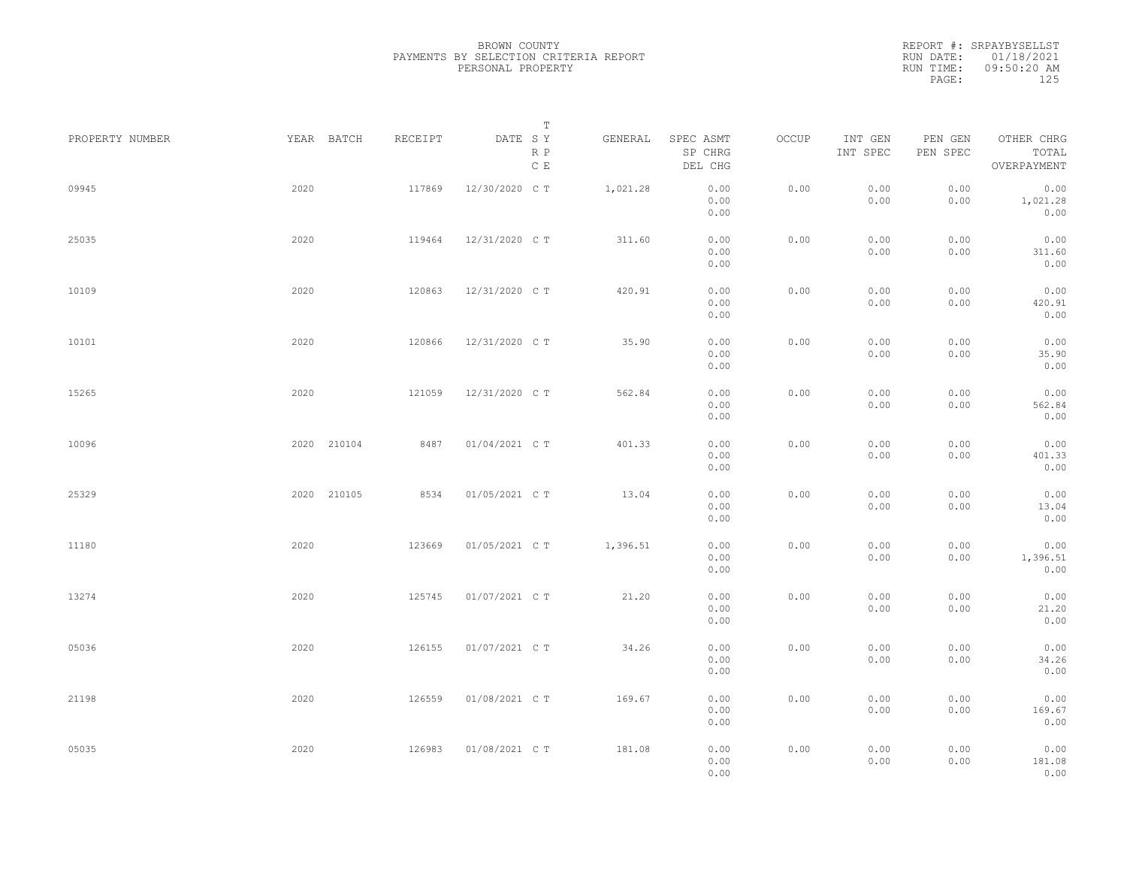|                 |             |         | Т                               |          |                                 |       |                     |                     |                                    |  |
|-----------------|-------------|---------|---------------------------------|----------|---------------------------------|-------|---------------------|---------------------|------------------------------------|--|
| PROPERTY NUMBER | YEAR BATCH  | RECEIPT | DATE SY<br>R P<br>$\,$ C $\,$ E | GENERAL  | SPEC ASMT<br>SP CHRG<br>DEL CHG | OCCUP | INT GEN<br>INT SPEC | PEN GEN<br>PEN SPEC | OTHER CHRG<br>TOTAL<br>OVERPAYMENT |  |
| 09945           | 2020        | 117869  | 12/30/2020 C T                  | 1,021.28 | 0.00<br>0.00<br>0.00            | 0.00  | 0.00<br>0.00        | 0.00<br>0.00        | 0.00<br>1,021.28<br>0.00           |  |
| 25035           | 2020        | 119464  | 12/31/2020 C T                  | 311.60   | 0.00<br>0.00<br>0.00            | 0.00  | 0.00<br>0.00        | 0.00<br>0.00        | 0.00<br>311.60<br>0.00             |  |
| 10109           | 2020        | 120863  | 12/31/2020 C T                  | 420.91   | 0.00<br>0.00<br>0.00            | 0.00  | 0.00<br>0.00        | 0.00<br>0.00        | 0.00<br>420.91<br>0.00             |  |
| 10101           | 2020        | 120866  | 12/31/2020 C T                  | 35.90    | 0.00<br>0.00<br>0.00            | 0.00  | 0.00<br>0.00        | 0.00<br>0.00        | 0.00<br>35.90<br>0.00              |  |
| 15265           | 2020        | 121059  | 12/31/2020 C T                  | 562.84   | 0.00<br>0.00<br>0.00            | 0.00  | 0.00<br>0.00        | 0.00<br>0.00        | 0.00<br>562.84<br>0.00             |  |
| 10096           | 2020 210104 | 8487    | 01/04/2021 C T                  | 401.33   | 0.00<br>0.00<br>0.00            | 0.00  | 0.00<br>0.00        | 0.00<br>0.00        | 0.00<br>401.33<br>0.00             |  |
| 25329           | 2020 210105 | 8534    | 01/05/2021 C T                  | 13.04    | 0.00<br>0.00<br>0.00            | 0.00  | 0.00<br>0.00        | 0.00<br>0.00        | 0.00<br>13.04<br>0.00              |  |
| 11180           | 2020        | 123669  | 01/05/2021 C T                  | 1,396.51 | 0.00<br>0.00<br>0.00            | 0.00  | 0.00<br>0.00        | 0.00<br>0.00        | 0.00<br>1,396.51<br>0.00           |  |
| 13274           | 2020        | 125745  | 01/07/2021 C T                  | 21.20    | 0.00<br>0.00<br>0.00            | 0.00  | 0.00<br>0.00        | 0.00<br>0.00        | 0.00<br>21.20<br>0.00              |  |
| 05036           | 2020        | 126155  | 01/07/2021 C T                  | 34.26    | 0.00<br>0.00<br>0.00            | 0.00  | 0.00<br>0.00        | 0.00<br>0.00        | 0.00<br>34.26<br>0.00              |  |
| 21198           | 2020        | 126559  | 01/08/2021 C T                  | 169.67   | 0.00<br>0.00<br>0.00            | 0.00  | 0.00<br>0.00        | 0.00<br>0.00        | 0.00<br>169.67<br>0.00             |  |
| 05035           | 2020        | 126983  | 01/08/2021 C T                  | 181.08   | 0.00<br>0.00<br>0.00            | 0.00  | 0.00<br>0.00        | 0.00<br>0.00        | 0.00<br>181.08<br>0.00             |  |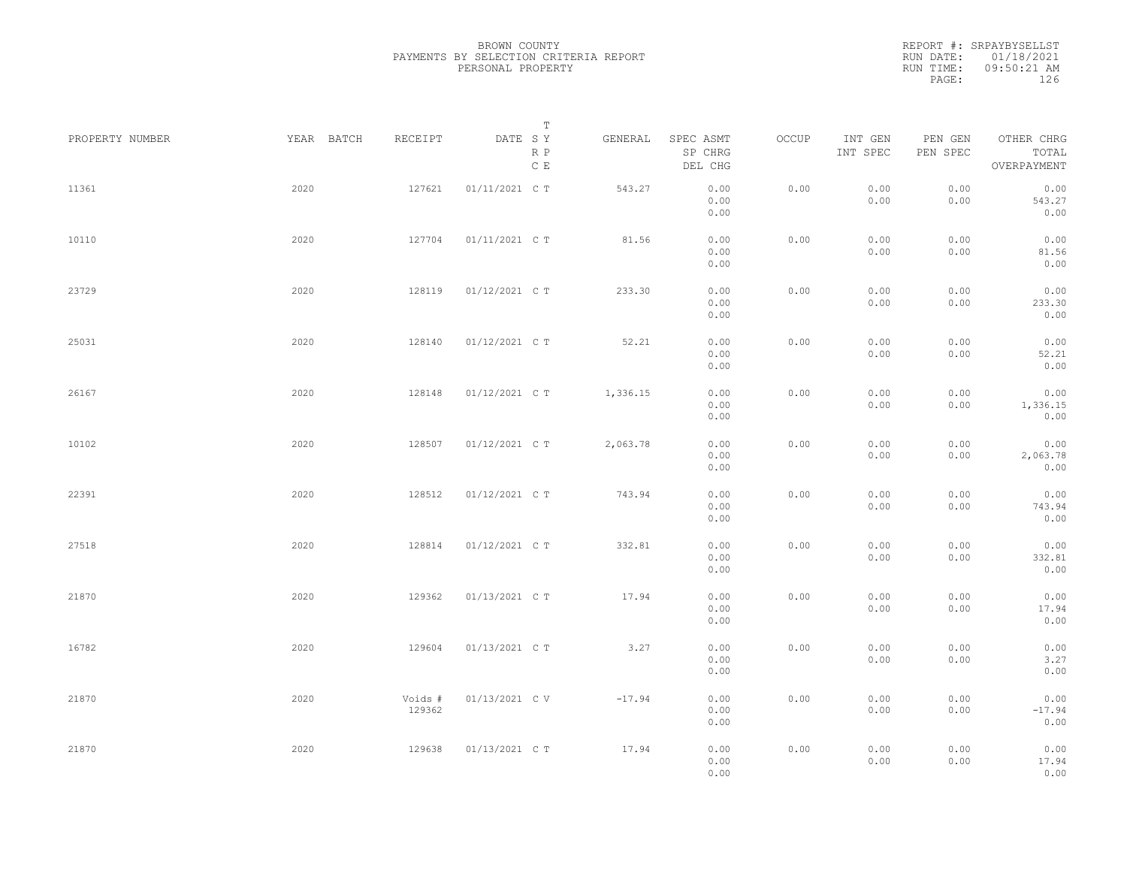|                 |            |                   | $\mathbb T$                                           |          |                                 |       |                     |                     |                                    |  |
|-----------------|------------|-------------------|-------------------------------------------------------|----------|---------------------------------|-------|---------------------|---------------------|------------------------------------|--|
| PROPERTY NUMBER | YEAR BATCH | RECEIPT           | DATE SY<br>$\mathbb R$ $\mathbb P$<br>$\mathbb C\;$ E | GENERAL  | SPEC ASMT<br>SP CHRG<br>DEL CHG | OCCUP | INT GEN<br>INT SPEC | PEN GEN<br>PEN SPEC | OTHER CHRG<br>TOTAL<br>OVERPAYMENT |  |
| 11361           | 2020       | 127621            | 01/11/2021 C T                                        | 543.27   | 0.00<br>0.00<br>0.00            | 0.00  | 0.00<br>0.00        | 0.00<br>0.00        | 0.00<br>543.27<br>0.00             |  |
| 10110           | 2020       | 127704            | 01/11/2021 C T                                        | 81.56    | 0.00<br>0.00<br>0.00            | 0.00  | 0.00<br>0.00        | 0.00<br>0.00        | 0.00<br>81.56<br>0.00              |  |
| 23729           | 2020       | 128119            | 01/12/2021 C T                                        | 233.30   | 0.00<br>0.00<br>0.00            | 0.00  | 0.00<br>0.00        | 0.00<br>0.00        | 0.00<br>233.30<br>0.00             |  |
| 25031           | 2020       | 128140            | 01/12/2021 C T                                        | 52.21    | 0.00<br>0.00<br>0.00            | 0.00  | 0.00<br>0.00        | 0.00<br>0.00        | 0.00<br>52.21<br>0.00              |  |
| 26167           | 2020       | 128148            | 01/12/2021 C T                                        | 1,336.15 | 0.00<br>0.00<br>0.00            | 0.00  | 0.00<br>0.00        | 0.00<br>0.00        | 0.00<br>1,336.15<br>0.00           |  |
| 10102           | 2020       | 128507            | 01/12/2021 C T                                        | 2,063.78 | 0.00<br>0.00<br>0.00            | 0.00  | 0.00<br>0.00        | 0.00<br>0.00        | 0.00<br>2,063.78<br>0.00           |  |
| 22391           | 2020       | 128512            | 01/12/2021 C T                                        | 743.94   | 0.00<br>0.00<br>0.00            | 0.00  | 0.00<br>0.00        | 0.00<br>0.00        | 0.00<br>743.94<br>0.00             |  |
| 27518           | 2020       | 128814            | 01/12/2021 C T                                        | 332.81   | 0.00<br>0.00<br>0.00            | 0.00  | 0.00<br>0.00        | 0.00<br>0.00        | 0.00<br>332.81<br>0.00             |  |
| 21870           | 2020       | 129362            | 01/13/2021 C T                                        | 17.94    | 0.00<br>0.00<br>0.00            | 0.00  | 0.00<br>0.00        | 0.00<br>0.00        | 0.00<br>17.94<br>0.00              |  |
| 16782           | 2020       | 129604            | 01/13/2021 C T                                        | 3.27     | 0.00<br>0.00<br>0.00            | 0.00  | 0.00<br>0.00        | 0.00<br>0.00        | 0.00<br>3.27<br>0.00               |  |
| 21870           | 2020       | Voids #<br>129362 | 01/13/2021 C V                                        | $-17.94$ | 0.00<br>0.00<br>0.00            | 0.00  | 0.00<br>0.00        | 0.00<br>0.00        | 0.00<br>$-17.94$<br>0.00           |  |
| 21870           | 2020       | 129638            | 01/13/2021 C T                                        | 17.94    | 0.00<br>0.00<br>0.00            | 0.00  | 0.00<br>0.00        | 0.00<br>0.00        | 0.00<br>17.94<br>0.00              |  |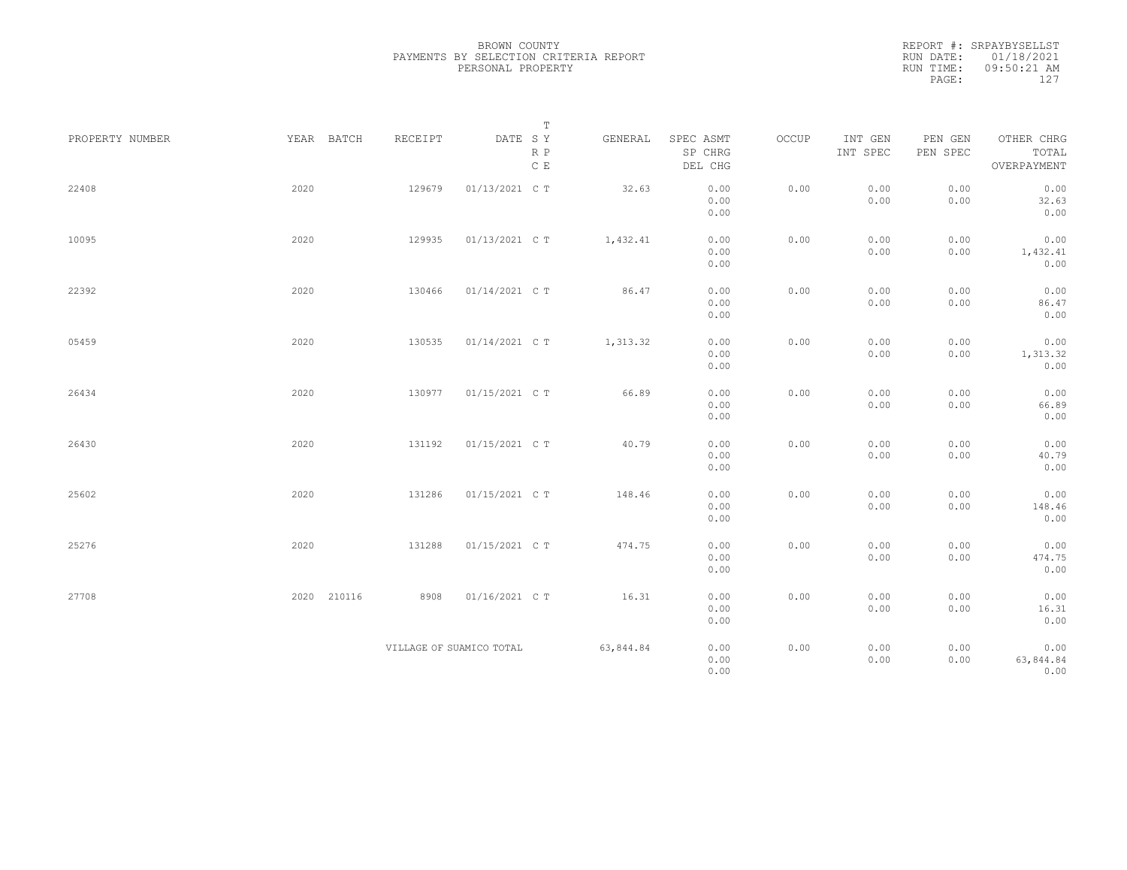|           | REPORT #: SRPAYBYSELLST |  |
|-----------|-------------------------|--|
|           | RUN DATE: 01/18/2021    |  |
| RUN TIME: | $09:50:21$ AM           |  |
| PAGE:     | 127                     |  |

|                 |             |                          | $\mathbb T$                                         |           |                                 |       |                     |                     |                                    |
|-----------------|-------------|--------------------------|-----------------------------------------------------|-----------|---------------------------------|-------|---------------------|---------------------|------------------------------------|
| PROPERTY NUMBER | YEAR BATCH  | RECEIPT                  | DATE SY<br>$\mathbb R$ $\mathbb P$<br>$\mathbb C$ E | GENERAL   | SPEC ASMT<br>SP CHRG<br>DEL CHG | OCCUP | INT GEN<br>INT SPEC | PEN GEN<br>PEN SPEC | OTHER CHRG<br>TOTAL<br>OVERPAYMENT |
| 22408           | 2020        | 129679                   | 01/13/2021 C T                                      | 32.63     | 0.00<br>0.00<br>0.00            | 0.00  | 0.00<br>0.00        | 0.00<br>0.00        | 0.00<br>32.63<br>0.00              |
| 10095           | 2020        | 129935                   | 01/13/2021 C T                                      | 1,432.41  | 0.00<br>0.00<br>0.00            | 0.00  | 0.00<br>0.00        | 0.00<br>0.00        | 0.00<br>1,432.41<br>0.00           |
| 22392           | 2020        | 130466                   | 01/14/2021 C T                                      | 86.47     | 0.00<br>0.00<br>0.00            | 0.00  | 0.00<br>0.00        | 0.00<br>0.00        | 0.00<br>86.47<br>0.00              |
| 05459           | 2020        | 130535                   | 01/14/2021 C T                                      | 1,313.32  | 0.00<br>0.00<br>0.00            | 0.00  | 0.00<br>0.00        | 0.00<br>0.00        | 0.00<br>1,313.32<br>0.00           |
| 26434           | 2020        | 130977                   | 01/15/2021 C T                                      | 66.89     | 0.00<br>0.00<br>0.00            | 0.00  | 0.00<br>0.00        | 0.00<br>0.00        | 0.00<br>66.89<br>0.00              |
| 26430           | 2020        | 131192                   | 01/15/2021 C T                                      | 40.79     | 0.00<br>0.00<br>0.00            | 0.00  | 0.00<br>0.00        | 0.00<br>0.00        | 0.00<br>40.79<br>0.00              |
| 25602           | 2020        | 131286                   | 01/15/2021 C T                                      | 148.46    | 0.00<br>0.00<br>0.00            | 0.00  | 0.00<br>0.00        | 0.00<br>0.00        | 0.00<br>148.46<br>0.00             |
| 25276           | 2020        | 131288                   | 01/15/2021 C T                                      | 474.75    | 0.00<br>0.00<br>0.00            | 0.00  | 0.00<br>0.00        | 0.00<br>0.00        | 0.00<br>474.75<br>0.00             |
| 27708           | 2020 210116 | 8908                     | 01/16/2021 C T                                      | 16.31     | 0.00<br>0.00<br>0.00            | 0.00  | 0.00<br>0.00        | 0.00<br>0.00        | 0.00<br>16.31<br>0.00              |
|                 |             | VILLAGE OF SUAMICO TOTAL |                                                     | 63,844.84 | 0.00<br>0.00<br>0.00            | 0.00  | 0.00<br>0.00        | 0.00<br>0.00        | 0.00<br>63,844.84<br>0.00          |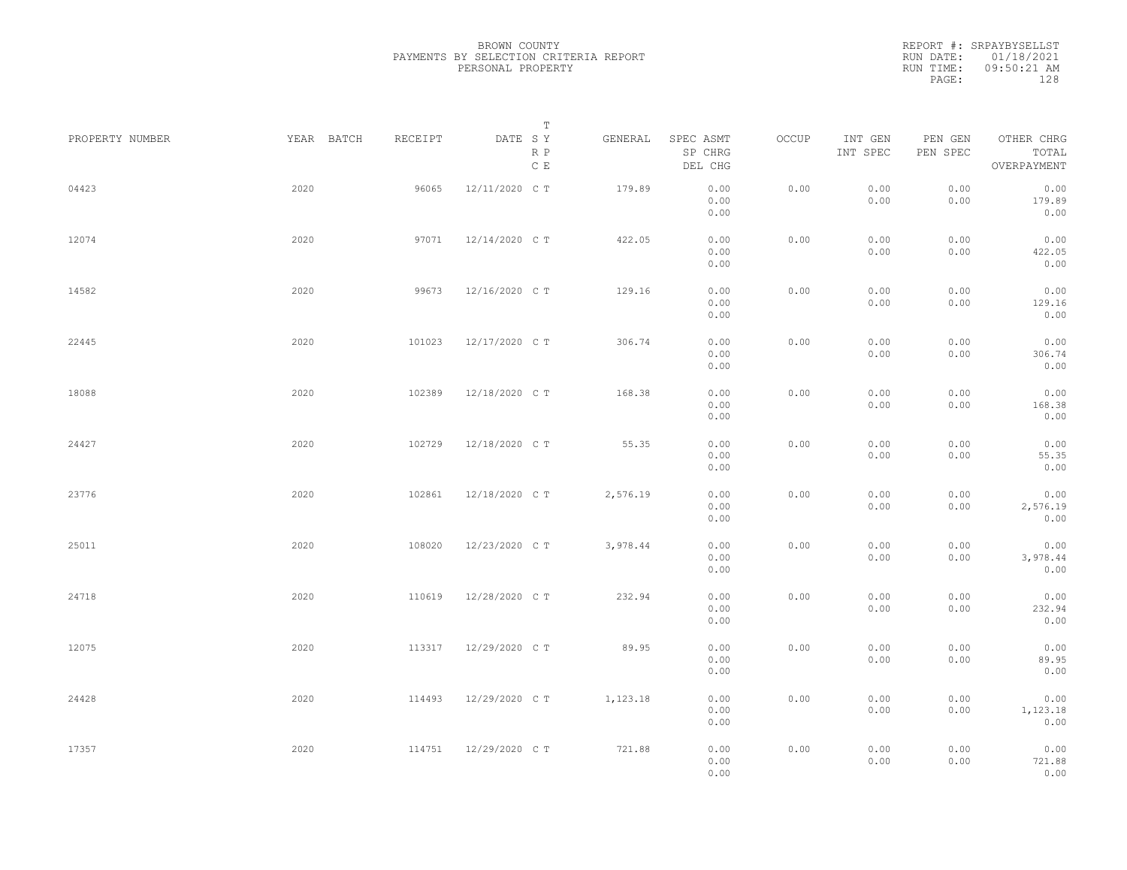|                 |            |         | Т                               |          |                                 |       |                     |                     |                                    |  |
|-----------------|------------|---------|---------------------------------|----------|---------------------------------|-------|---------------------|---------------------|------------------------------------|--|
| PROPERTY NUMBER | YEAR BATCH | RECEIPT | DATE SY<br>R P<br>$\,$ C $\,$ E | GENERAL  | SPEC ASMT<br>SP CHRG<br>DEL CHG | OCCUP | INT GEN<br>INT SPEC | PEN GEN<br>PEN SPEC | OTHER CHRG<br>TOTAL<br>OVERPAYMENT |  |
| 04423           | 2020       | 96065   | 12/11/2020 C T                  | 179.89   | 0.00<br>0.00<br>0.00            | 0.00  | 0.00<br>0.00        | 0.00<br>0.00        | 0.00<br>179.89<br>0.00             |  |
| 12074           | 2020       | 97071   | 12/14/2020 C T                  | 422.05   | 0.00<br>0.00<br>0.00            | 0.00  | 0.00<br>0.00        | 0.00<br>0.00        | 0.00<br>422.05<br>0.00             |  |
| 14582           | 2020       | 99673   | 12/16/2020 C T                  | 129.16   | 0.00<br>0.00<br>0.00            | 0.00  | 0.00<br>0.00        | 0.00<br>0.00        | 0.00<br>129.16<br>0.00             |  |
| 22445           | 2020       | 101023  | 12/17/2020 C T                  | 306.74   | 0.00<br>0.00<br>0.00            | 0.00  | 0.00<br>0.00        | 0.00<br>0.00        | 0.00<br>306.74<br>0.00             |  |
| 18088           | 2020       | 102389  | 12/18/2020 C T                  | 168.38   | 0.00<br>0.00<br>0.00            | 0.00  | 0.00<br>0.00        | 0.00<br>0.00        | 0.00<br>168.38<br>0.00             |  |
| 24427           | 2020       | 102729  | 12/18/2020 C T                  | 55.35    | 0.00<br>0.00<br>0.00            | 0.00  | 0.00<br>0.00        | 0.00<br>0.00        | 0.00<br>55.35<br>0.00              |  |
| 23776           | 2020       | 102861  | 12/18/2020 C T                  | 2,576.19 | 0.00<br>0.00<br>0.00            | 0.00  | 0.00<br>0.00        | 0.00<br>0.00        | 0.00<br>2,576.19<br>0.00           |  |
| 25011           | 2020       | 108020  | 12/23/2020 C T                  | 3,978.44 | 0.00<br>0.00<br>0.00            | 0.00  | 0.00<br>0.00        | 0.00<br>0.00        | 0.00<br>3,978.44<br>0.00           |  |
| 24718           | 2020       | 110619  | 12/28/2020 C T                  | 232.94   | 0.00<br>0.00<br>0.00            | 0.00  | 0.00<br>0.00        | 0.00<br>0.00        | 0.00<br>232.94<br>0.00             |  |
| 12075           | 2020       | 113317  | 12/29/2020 C T                  | 89.95    | 0.00<br>0.00<br>0.00            | 0.00  | 0.00<br>0.00        | 0.00<br>0.00        | 0.00<br>89.95<br>0.00              |  |
| 24428           | 2020       | 114493  | 12/29/2020 C T                  | 1,123.18 | 0.00<br>0.00<br>0.00            | 0.00  | 0.00<br>0.00        | 0.00<br>0.00        | 0.00<br>1,123.18<br>0.00           |  |
| 17357           | 2020       | 114751  | 12/29/2020 C T                  | 721.88   | 0.00<br>0.00<br>0.00            | 0.00  | 0.00<br>0.00        | 0.00<br>0.00        | 0.00<br>721.88<br>0.00             |  |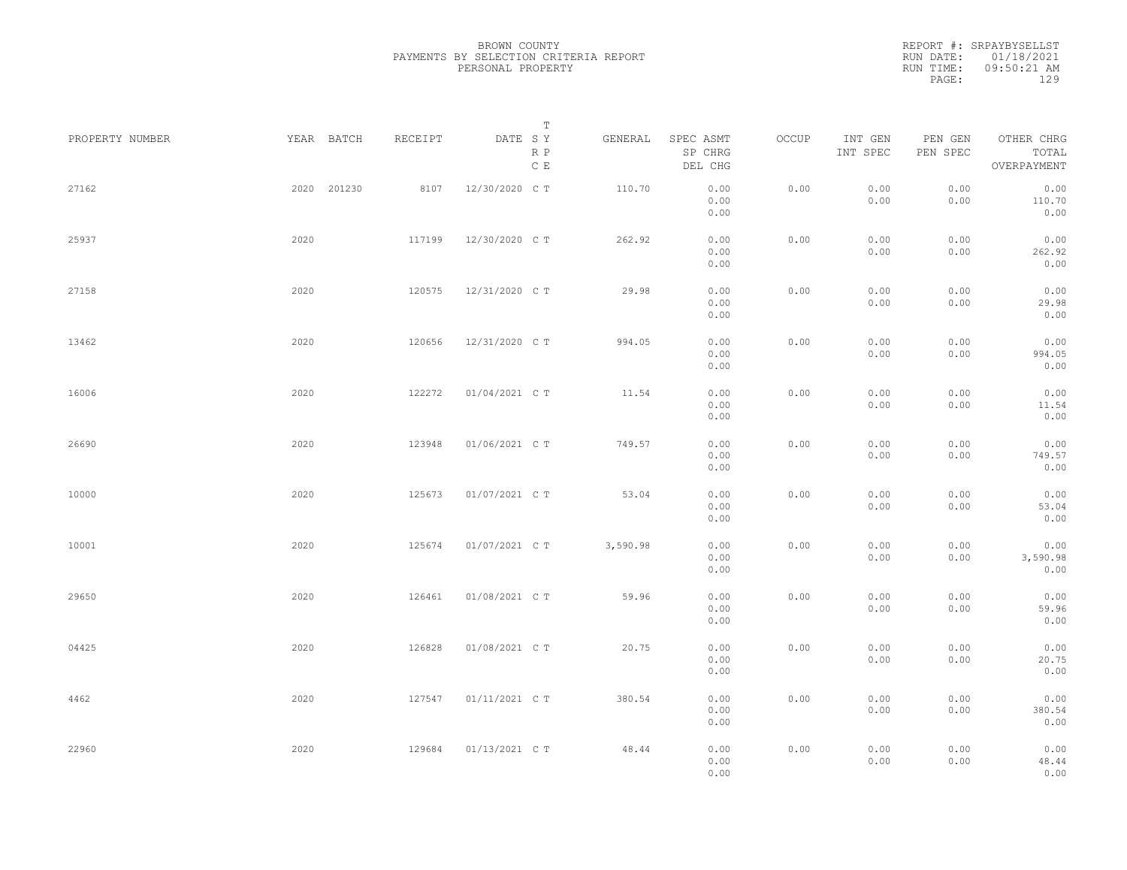|                 |      |             |         | Т                               |          |                                 |       |                     |                     |                                    |  |
|-----------------|------|-------------|---------|---------------------------------|----------|---------------------------------|-------|---------------------|---------------------|------------------------------------|--|
| PROPERTY NUMBER |      | YEAR BATCH  | RECEIPT | DATE SY<br>R P<br>$\,$ C $\,$ E | GENERAL  | SPEC ASMT<br>SP CHRG<br>DEL CHG | OCCUP | INT GEN<br>INT SPEC | PEN GEN<br>PEN SPEC | OTHER CHRG<br>TOTAL<br>OVERPAYMENT |  |
| 27162           |      | 2020 201230 | 8107    | 12/30/2020 C T                  | 110.70   | 0.00<br>0.00<br>0.00            | 0.00  | 0.00<br>0.00        | 0.00<br>0.00        | 0.00<br>110.70<br>0.00             |  |
| 25937           | 2020 |             | 117199  | 12/30/2020 C T                  | 262.92   | 0.00<br>0.00<br>0.00            | 0.00  | 0.00<br>0.00        | 0.00<br>0.00        | 0.00<br>262.92<br>0.00             |  |
| 27158           | 2020 |             | 120575  | 12/31/2020 C T                  | 29.98    | 0.00<br>0.00<br>0.00            | 0.00  | 0.00<br>0.00        | 0.00<br>0.00        | 0.00<br>29.98<br>0.00              |  |
| 13462           | 2020 |             | 120656  | 12/31/2020 C T                  | 994.05   | 0.00<br>0.00<br>0.00            | 0.00  | 0.00<br>0.00        | 0.00<br>0.00        | 0.00<br>994.05<br>0.00             |  |
| 16006           | 2020 |             | 122272  | 01/04/2021 C T                  | 11.54    | 0.00<br>0.00<br>0.00            | 0.00  | 0.00<br>0.00        | 0.00<br>0.00        | 0.00<br>11.54<br>0.00              |  |
| 26690           | 2020 |             | 123948  | 01/06/2021 C T                  | 749.57   | 0.00<br>0.00<br>0.00            | 0.00  | 0.00<br>0.00        | 0.00<br>0.00        | 0.00<br>749.57<br>0.00             |  |
| 10000           | 2020 |             | 125673  | 01/07/2021 C T                  | 53.04    | 0.00<br>0.00<br>0.00            | 0.00  | 0.00<br>0.00        | 0.00<br>0.00        | 0.00<br>53.04<br>0.00              |  |
| 10001           | 2020 |             | 125674  | 01/07/2021 C T                  | 3,590.98 | 0.00<br>0.00<br>0.00            | 0.00  | 0.00<br>0.00        | 0.00<br>0.00        | 0.00<br>3,590.98<br>0.00           |  |
| 29650           | 2020 |             | 126461  | 01/08/2021 C T                  | 59.96    | 0.00<br>0.00<br>0.00            | 0.00  | 0.00<br>0.00        | 0.00<br>0.00        | 0.00<br>59.96<br>0.00              |  |
| 04425           | 2020 |             | 126828  | 01/08/2021 C T                  | 20.75    | 0.00<br>0.00<br>0.00            | 0.00  | 0.00<br>0.00        | 0.00<br>0.00        | 0.00<br>20.75<br>0.00              |  |
| 4462            | 2020 |             | 127547  | 01/11/2021 C T                  | 380.54   | 0.00<br>0.00<br>0.00            | 0.00  | 0.00<br>0.00        | 0.00<br>0.00        | 0.00<br>380.54<br>0.00             |  |
| 22960           | 2020 |             | 129684  | 01/13/2021 C T                  | 48.44    | 0.00<br>0.00<br>0.00            | 0.00  | 0.00<br>0.00        | 0.00<br>0.00        | 0.00<br>48.44<br>0.00              |  |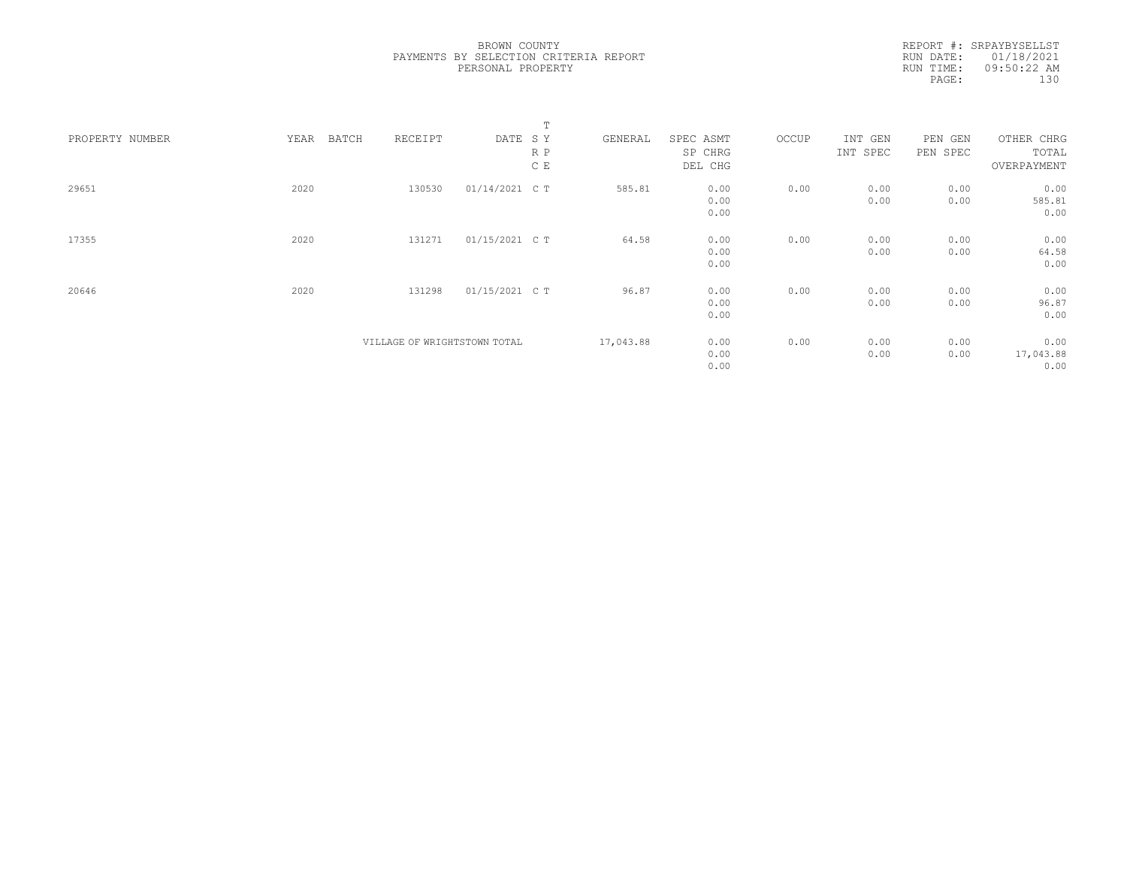|                 |      |       |                              |                | Т   |           |           |       |          |          |             |  |
|-----------------|------|-------|------------------------------|----------------|-----|-----------|-----------|-------|----------|----------|-------------|--|
| PROPERTY NUMBER | YEAR | BATCH | RECEIPT                      | DATE SY        |     | GENERAL   | SPEC ASMT | OCCUP | INT GEN  | PEN GEN  | OTHER CHRG  |  |
|                 |      |       |                              |                | R P |           | SP CHRG   |       | INT SPEC | PEN SPEC | TOTAL       |  |
|                 |      |       |                              |                | C E |           | DEL CHG   |       |          |          | OVERPAYMENT |  |
| 29651           | 2020 |       | 130530                       | 01/14/2021 C T |     | 585.81    | 0.00      | 0.00  | 0.00     | 0.00     | 0.00        |  |
|                 |      |       |                              |                |     |           | 0.00      |       | 0.00     | 0.00     | 585.81      |  |
|                 |      |       |                              |                |     |           | 0.00      |       |          |          | 0.00        |  |
| 17355           | 2020 |       | 131271                       | 01/15/2021 C T |     | 64.58     | 0.00      | 0.00  | 0.00     | 0.00     | 0.00        |  |
|                 |      |       |                              |                |     |           | 0.00      |       | 0.00     | 0.00     | 64.58       |  |
|                 |      |       |                              |                |     |           | 0.00      |       |          |          | 0.00        |  |
| 20646           | 2020 |       | 131298                       | 01/15/2021 C T |     | 96.87     | 0.00      | 0.00  | 0.00     | 0.00     | 0.00        |  |
|                 |      |       |                              |                |     |           | 0.00      |       | 0.00     | 0.00     | 96.87       |  |
|                 |      |       |                              |                |     |           | 0.00      |       |          |          | 0.00        |  |
|                 |      |       | VILLAGE OF WRIGHTSTOWN TOTAL |                |     | 17,043.88 | 0.00      | 0.00  | 0.00     | 0.00     | 0.00        |  |
|                 |      |       |                              |                |     |           | 0.00      |       | 0.00     | 0.00     | 17,043.88   |  |
|                 |      |       |                              |                |     |           | 0.00      |       |          |          | 0.00        |  |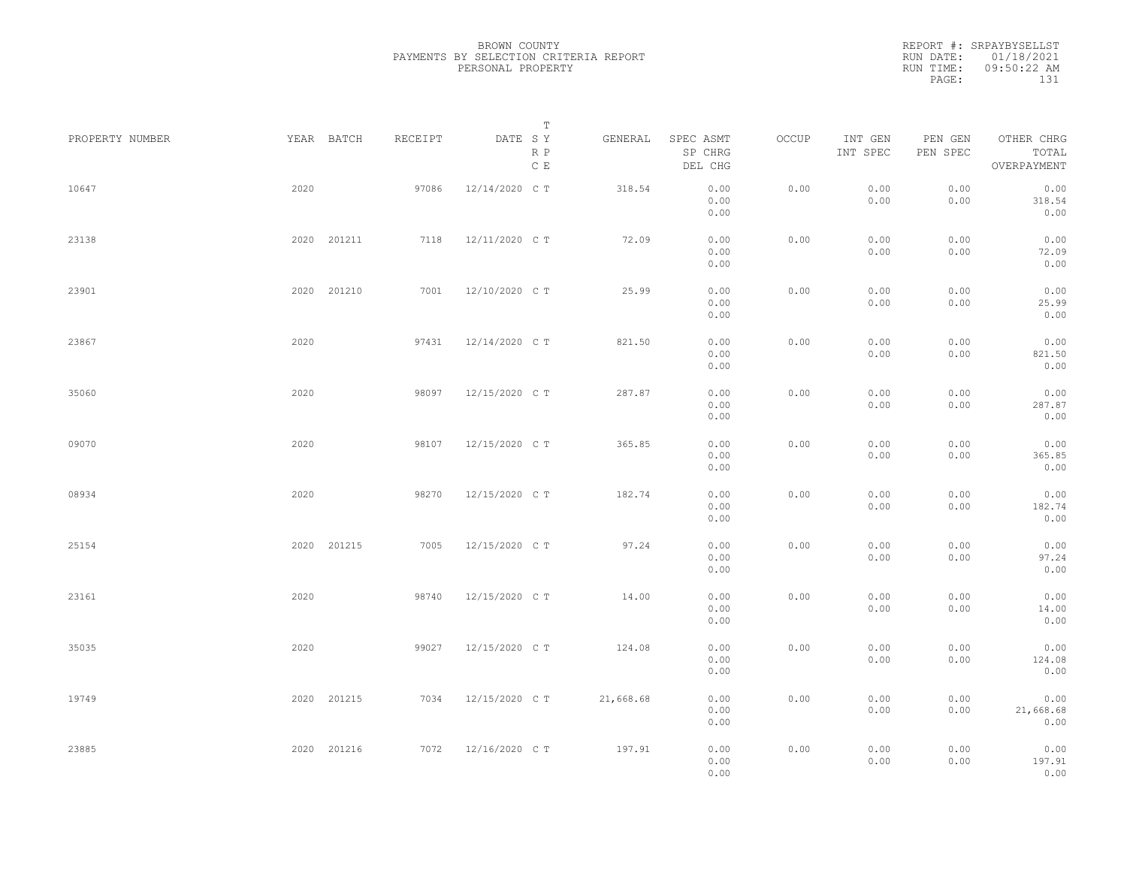REPORT #: SRPAYBYSELLST RUN DATE: 01/18/2021 RUN TIME: 09:50:22 AM PAGE: 131

|                 |      |             |         | $\mathbb T$                     |           |                                 |       |                     |                     |                                    |
|-----------------|------|-------------|---------|---------------------------------|-----------|---------------------------------|-------|---------------------|---------------------|------------------------------------|
| PROPERTY NUMBER |      | YEAR BATCH  | RECEIPT | DATE SY<br>R P<br>$\mathbb C$ E | GENERAL   | SPEC ASMT<br>SP CHRG<br>DEL CHG | OCCUP | INT GEN<br>INT SPEC | PEN GEN<br>PEN SPEC | OTHER CHRG<br>TOTAL<br>OVERPAYMENT |
| 10647           | 2020 |             | 97086   | 12/14/2020 C T                  | 318.54    | 0.00<br>0.00<br>0.00            | 0.00  | 0.00<br>0.00        | 0.00<br>0.00        | 0.00<br>318.54<br>0.00             |
| 23138           |      | 2020 201211 | 7118    | 12/11/2020 CT                   | 72.09     | 0.00<br>0.00<br>0.00            | 0.00  | 0.00<br>0.00        | 0.00<br>0.00        | 0.00<br>72.09<br>0.00              |
| 23901           |      | 2020 201210 | 7001    | 12/10/2020 C T                  | 25.99     | 0.00<br>0.00<br>0.00            | 0.00  | 0.00<br>0.00        | 0.00<br>0.00        | 0.00<br>25.99<br>0.00              |
| 23867           | 2020 |             | 97431   | 12/14/2020 C T                  | 821.50    | 0.00<br>0.00<br>0.00            | 0.00  | 0.00<br>0.00        | 0.00<br>0.00        | 0.00<br>821.50<br>0.00             |
| 35060           | 2020 |             | 98097   | 12/15/2020 C T                  | 287.87    | 0.00<br>0.00<br>0.00            | 0.00  | 0.00<br>0.00        | 0.00<br>0.00        | 0.00<br>287.87<br>0.00             |
| 09070           | 2020 |             | 98107   | 12/15/2020 C T                  | 365.85    | 0.00<br>0.00<br>0.00            | 0.00  | 0.00<br>0.00        | 0.00<br>0.00        | 0.00<br>365.85<br>0.00             |
| 08934           | 2020 |             | 98270   | 12/15/2020 C T                  | 182.74    | 0.00<br>0.00<br>0.00            | 0.00  | 0.00<br>0.00        | 0.00<br>0.00        | 0.00<br>182.74<br>0.00             |
| 25154           |      | 2020 201215 | 7005    | 12/15/2020 C T                  | 97.24     | 0.00<br>0.00<br>0.00            | 0.00  | 0.00<br>0.00        | 0.00<br>0.00        | 0.00<br>97.24<br>0.00              |
| 23161           | 2020 |             | 98740   | 12/15/2020 C T                  | 14.00     | 0.00<br>0.00<br>0.00            | 0.00  | 0.00<br>0.00        | 0.00<br>0.00        | 0.00<br>14.00<br>0.00              |
| 35035           | 2020 |             | 99027   | 12/15/2020 C T                  | 124.08    | 0.00<br>0.00<br>0.00            | 0.00  | 0.00<br>0.00        | 0.00<br>0.00        | 0.00<br>124.08<br>0.00             |
| 19749           |      | 2020 201215 | 7034    | 12/15/2020 C T                  | 21,668.68 | 0.00<br>0.00<br>0.00            | 0.00  | 0.00<br>0.00        | 0.00<br>0.00        | 0.00<br>21,668.68<br>0.00          |
| 23885           |      | 2020 201216 | 7072    | 12/16/2020 C T                  | 197.91    | 0.00<br>0.00<br>0.00            | 0.00  | 0.00<br>0.00        | 0.00<br>0.00        | 0.00<br>197.91<br>0.00             |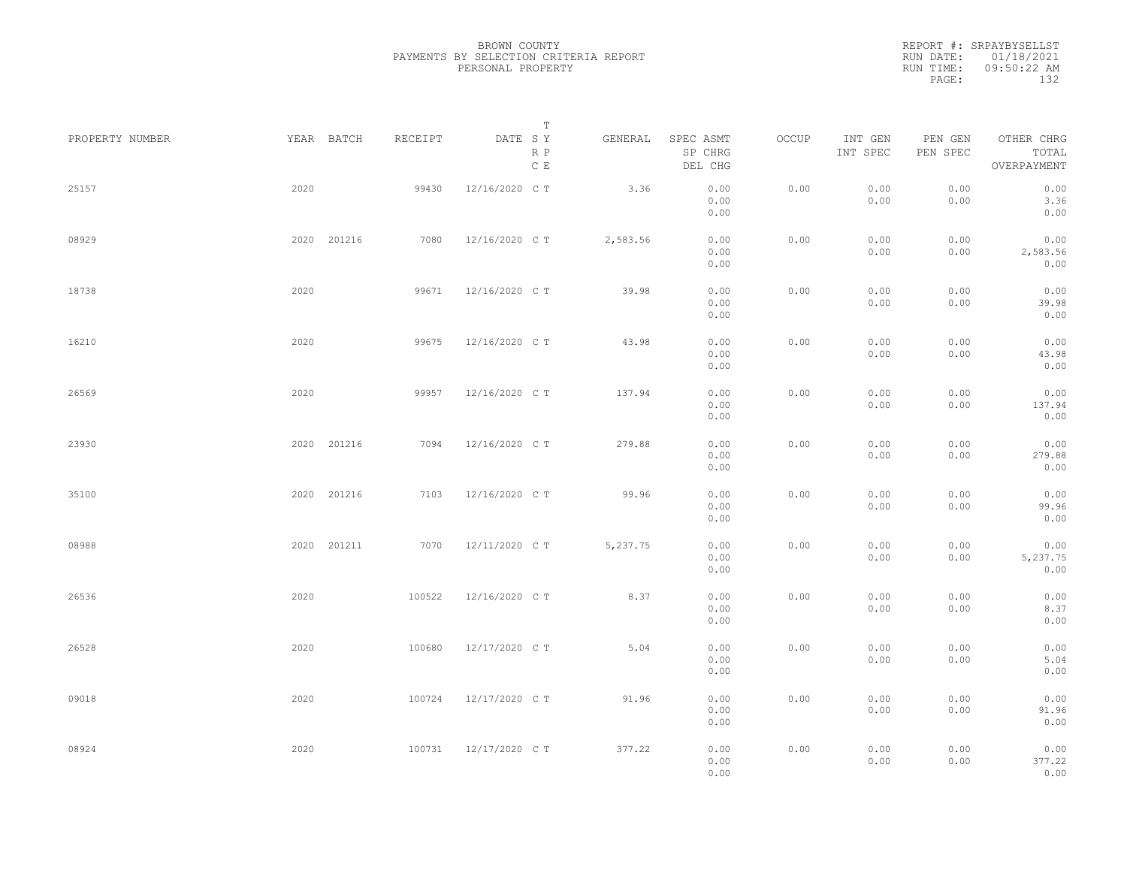|                 |             |             |         |                | Т                               |                                 |       |                     |                     |                                    |  |
|-----------------|-------------|-------------|---------|----------------|---------------------------------|---------------------------------|-------|---------------------|---------------------|------------------------------------|--|
| PROPERTY NUMBER | YEAR BATCH  |             | RECEIPT | DATE SY        | GENERAL<br>R P<br>$\,$ C $\,$ E | SPEC ASMT<br>SP CHRG<br>DEL CHG | OCCUP | INT GEN<br>INT SPEC | PEN GEN<br>PEN SPEC | OTHER CHRG<br>TOTAL<br>OVERPAYMENT |  |
| 25157           | 2020        |             | 99430   | 12/16/2020 C T | 3.36                            | 0.00<br>0.00<br>0.00            | 0.00  | 0.00<br>0.00        | 0.00<br>0.00        | 0.00<br>3.36<br>0.00               |  |
| 08929           |             | 2020 201216 | 7080    | 12/16/2020 C T | 2,583.56                        | 0.00<br>0.00<br>0.00            | 0.00  | 0.00<br>0.00        | 0.00<br>0.00        | 0.00<br>2,583.56<br>0.00           |  |
| 18738           | 2020        |             | 99671   | 12/16/2020 C T | 39.98                           | 0.00<br>0.00<br>0.00            | 0.00  | 0.00<br>0.00        | 0.00<br>0.00        | 0.00<br>39.98<br>0.00              |  |
| 16210           | 2020        |             | 99675   | 12/16/2020 C T | 43.98                           | 0.00<br>0.00<br>0.00            | 0.00  | 0.00<br>0.00        | 0.00<br>0.00        | 0.00<br>43.98<br>0.00              |  |
| 26569           | 2020        |             | 99957   | 12/16/2020 C T | 137.94                          | 0.00<br>0.00<br>0.00            | 0.00  | 0.00<br>0.00        | 0.00<br>0.00        | 0.00<br>137.94<br>0.00             |  |
| 23930           |             | 2020 201216 | 7094    | 12/16/2020 C T | 279.88                          | 0.00<br>0.00<br>0.00            | 0.00  | 0.00<br>0.00        | 0.00<br>0.00        | 0.00<br>279.88<br>0.00             |  |
| 35100           |             | 2020 201216 | 7103    | 12/16/2020 C T | 99.96                           | 0.00<br>0.00<br>0.00            | 0.00  | 0.00<br>0.00        | 0.00<br>0.00        | 0.00<br>99.96<br>0.00              |  |
| 08988           | 2020 201211 |             | 7070    | 12/11/2020 C T | 5,237.75                        | 0.00<br>0.00<br>0.00            | 0.00  | 0.00<br>0.00        | 0.00<br>0.00        | 0.00<br>5,237.75<br>0.00           |  |
| 26536           | 2020        |             | 100522  | 12/16/2020 C T | 8.37                            | 0.00<br>0.00<br>0.00            | 0.00  | 0.00<br>0.00        | 0.00<br>0.00        | 0.00<br>8.37<br>0.00               |  |
| 26528           | 2020        |             | 100680  | 12/17/2020 C T | 5.04                            | 0.00<br>0.00<br>0.00            | 0.00  | 0.00<br>0.00        | 0.00<br>0.00        | 0.00<br>5.04<br>0.00               |  |
| 09018           | 2020        |             | 100724  | 12/17/2020 C T | 91.96                           | 0.00<br>0.00<br>0.00            | 0.00  | 0.00<br>0.00        | 0.00<br>0.00        | 0.00<br>91.96<br>0.00              |  |
| 08924           | 2020        |             | 100731  | 12/17/2020 C T | 377.22                          | 0.00<br>0.00<br>0.00            | 0.00  | 0.00<br>0.00        | 0.00<br>0.00        | 0.00<br>377.22<br>0.00             |  |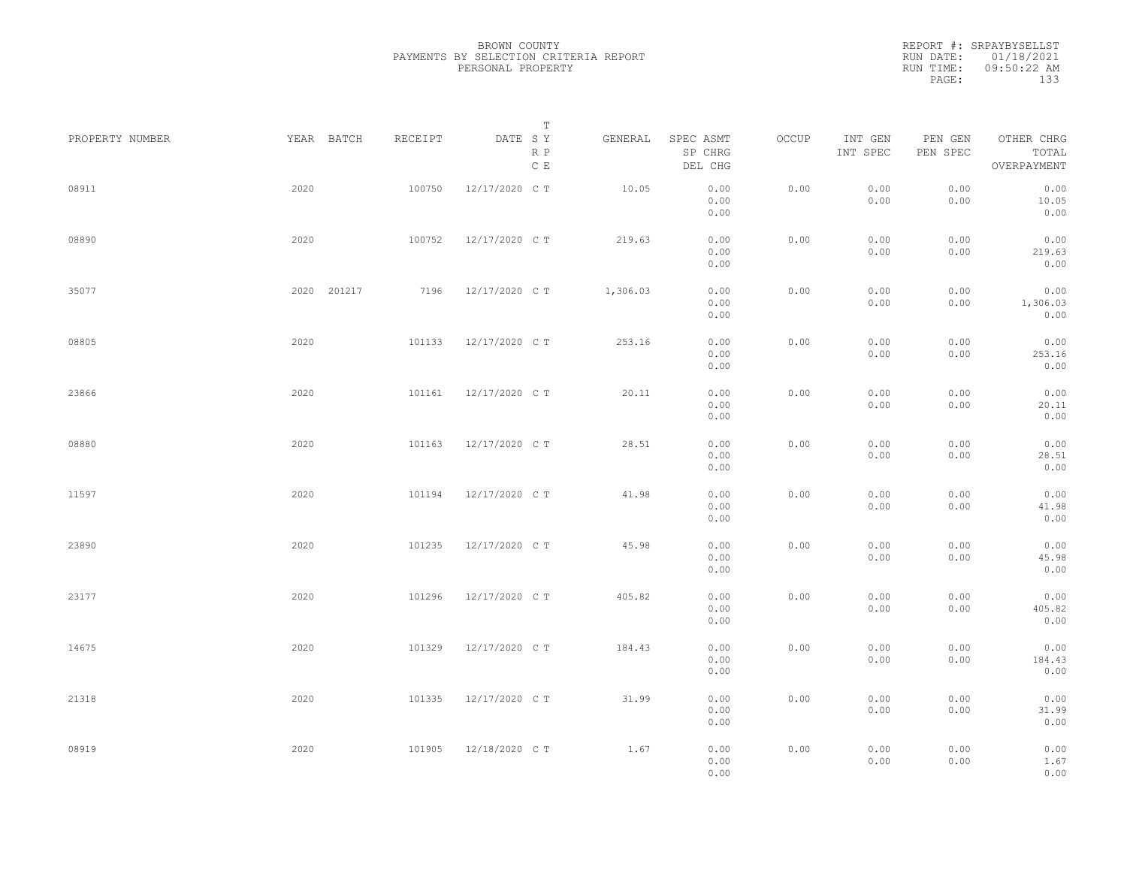|                 |             |         | Т                               |          |                                 |       |                     |                     |                                    |  |
|-----------------|-------------|---------|---------------------------------|----------|---------------------------------|-------|---------------------|---------------------|------------------------------------|--|
| PROPERTY NUMBER | YEAR BATCH  | RECEIPT | DATE SY<br>R P<br>$\,$ C $\,$ E | GENERAL  | SPEC ASMT<br>SP CHRG<br>DEL CHG | OCCUP | INT GEN<br>INT SPEC | PEN GEN<br>PEN SPEC | OTHER CHRG<br>TOTAL<br>OVERPAYMENT |  |
| 08911           | 2020        | 100750  | 12/17/2020 C T                  | 10.05    | 0.00<br>0.00<br>0.00            | 0.00  | 0.00<br>0.00        | 0.00<br>0.00        | 0.00<br>10.05<br>0.00              |  |
| 08890           | 2020        | 100752  | 12/17/2020 C T                  | 219.63   | 0.00<br>0.00<br>0.00            | 0.00  | 0.00<br>0.00        | 0.00<br>0.00        | 0.00<br>219.63<br>0.00             |  |
| 35077           | 2020 201217 | 7196    | 12/17/2020 C T                  | 1,306.03 | 0.00<br>0.00<br>0.00            | 0.00  | 0.00<br>0.00        | 0.00<br>0.00        | 0.00<br>1,306.03<br>0.00           |  |
| 08805           | 2020        | 101133  | 12/17/2020 C T                  | 253.16   | 0.00<br>0.00<br>0.00            | 0.00  | 0.00<br>0.00        | 0.00<br>0.00        | 0.00<br>253.16<br>0.00             |  |
| 23866           | 2020        | 101161  | 12/17/2020 C T                  | 20.11    | 0.00<br>0.00<br>0.00            | 0.00  | 0.00<br>0.00        | 0.00<br>0.00        | 0.00<br>20.11<br>0.00              |  |
| 08880           | 2020        | 101163  | 12/17/2020 C T                  | 28.51    | 0.00<br>0.00<br>0.00            | 0.00  | 0.00<br>0.00        | 0.00<br>0.00        | 0.00<br>28.51<br>0.00              |  |
| 11597           | 2020        | 101194  | 12/17/2020 C T                  | 41.98    | 0.00<br>0.00<br>0.00            | 0.00  | 0.00<br>0.00        | 0.00<br>0.00        | 0.00<br>41.98<br>0.00              |  |
| 23890           | 2020        | 101235  | 12/17/2020 C T                  | 45.98    | 0.00<br>0.00<br>0.00            | 0.00  | 0.00<br>0.00        | 0.00<br>0.00        | 0.00<br>45.98<br>0.00              |  |
| 23177           | 2020        | 101296  | 12/17/2020 C T                  | 405.82   | 0.00<br>0.00<br>0.00            | 0.00  | 0.00<br>0.00        | 0.00<br>0.00        | 0.00<br>405.82<br>0.00             |  |
| 14675           | 2020        | 101329  | 12/17/2020 C T                  | 184.43   | 0.00<br>0.00<br>0.00            | 0.00  | 0.00<br>0.00        | 0.00<br>0.00        | 0.00<br>184.43<br>0.00             |  |
| 21318           | 2020        | 101335  | 12/17/2020 C T                  | 31.99    | 0.00<br>0.00<br>0.00            | 0.00  | 0.00<br>0.00        | 0.00<br>0.00        | 0.00<br>31.99<br>0.00              |  |
| 08919           | 2020        | 101905  | 12/18/2020 C T                  | 1.67     | 0.00<br>0.00<br>0.00            | 0.00  | 0.00<br>0.00        | 0.00<br>0.00        | 0.00<br>1.67<br>0.00               |  |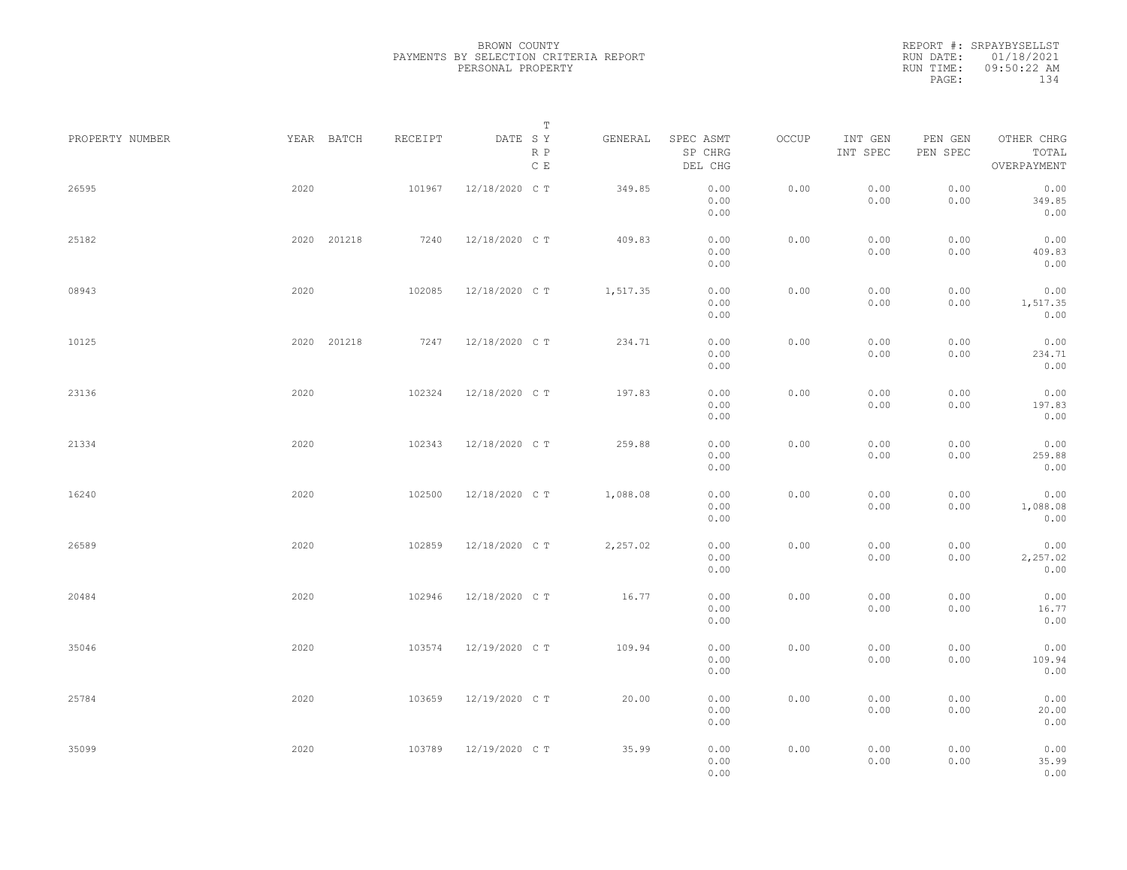|                 |             |         | Т                               |          |                                 |       |                     |                     |                                    |  |
|-----------------|-------------|---------|---------------------------------|----------|---------------------------------|-------|---------------------|---------------------|------------------------------------|--|
| PROPERTY NUMBER | YEAR BATCH  | RECEIPT | DATE SY<br>R P<br>$\,$ C $\,$ E | GENERAL  | SPEC ASMT<br>SP CHRG<br>DEL CHG | OCCUP | INT GEN<br>INT SPEC | PEN GEN<br>PEN SPEC | OTHER CHRG<br>TOTAL<br>OVERPAYMENT |  |
| 26595           | 2020        | 101967  | 12/18/2020 C T                  | 349.85   | 0.00<br>0.00<br>0.00            | 0.00  | 0.00<br>0.00        | 0.00<br>0.00        | 0.00<br>349.85<br>0.00             |  |
| 25182           | 2020 201218 | 7240    | 12/18/2020 C T                  | 409.83   | 0.00<br>0.00<br>0.00            | 0.00  | 0.00<br>0.00        | 0.00<br>0.00        | 0.00<br>409.83<br>0.00             |  |
| 08943           | 2020        | 102085  | 12/18/2020 C T                  | 1,517.35 | 0.00<br>0.00<br>0.00            | 0.00  | 0.00<br>0.00        | 0.00<br>0.00        | 0.00<br>1,517.35<br>0.00           |  |
| 10125           | 2020 201218 | 7247    | 12/18/2020 C T                  | 234.71   | 0.00<br>0.00<br>0.00            | 0.00  | 0.00<br>0.00        | 0.00<br>0.00        | 0.00<br>234.71<br>0.00             |  |
| 23136           | 2020        | 102324  | 12/18/2020 C T                  | 197.83   | 0.00<br>0.00<br>0.00            | 0.00  | 0.00<br>0.00        | 0.00<br>0.00        | 0.00<br>197.83<br>0.00             |  |
| 21334           | 2020        | 102343  | 12/18/2020 C T                  | 259.88   | 0.00<br>0.00<br>0.00            | 0.00  | 0.00<br>0.00        | 0.00<br>0.00        | 0.00<br>259.88<br>0.00             |  |
| 16240           | 2020        | 102500  | 12/18/2020 C T                  | 1,088.08 | 0.00<br>0.00<br>0.00            | 0.00  | 0.00<br>0.00        | 0.00<br>0.00        | 0.00<br>1,088.08<br>0.00           |  |
| 26589           | 2020        | 102859  | 12/18/2020 C T                  | 2,257.02 | 0.00<br>0.00<br>0.00            | 0.00  | 0.00<br>0.00        | 0.00<br>0.00        | 0.00<br>2,257.02<br>0.00           |  |
| 20484           | 2020        | 102946  | 12/18/2020 C T                  | 16.77    | 0.00<br>0.00<br>0.00            | 0.00  | 0.00<br>0.00        | 0.00<br>0.00        | 0.00<br>16.77<br>0.00              |  |
| 35046           | 2020        | 103574  | 12/19/2020 C T                  | 109.94   | 0.00<br>0.00<br>0.00            | 0.00  | 0.00<br>0.00        | 0.00<br>0.00        | 0.00<br>109.94<br>0.00             |  |
| 25784           | 2020        | 103659  | 12/19/2020 C T                  | 20.00    | 0.00<br>0.00<br>0.00            | 0.00  | 0.00<br>0.00        | 0.00<br>0.00        | 0.00<br>20.00<br>0.00              |  |
| 35099           | 2020        | 103789  | 12/19/2020 C T                  | 35.99    | 0.00<br>0.00<br>0.00            | 0.00  | 0.00<br>0.00        | 0.00<br>0.00        | 0.00<br>35.99<br>0.00              |  |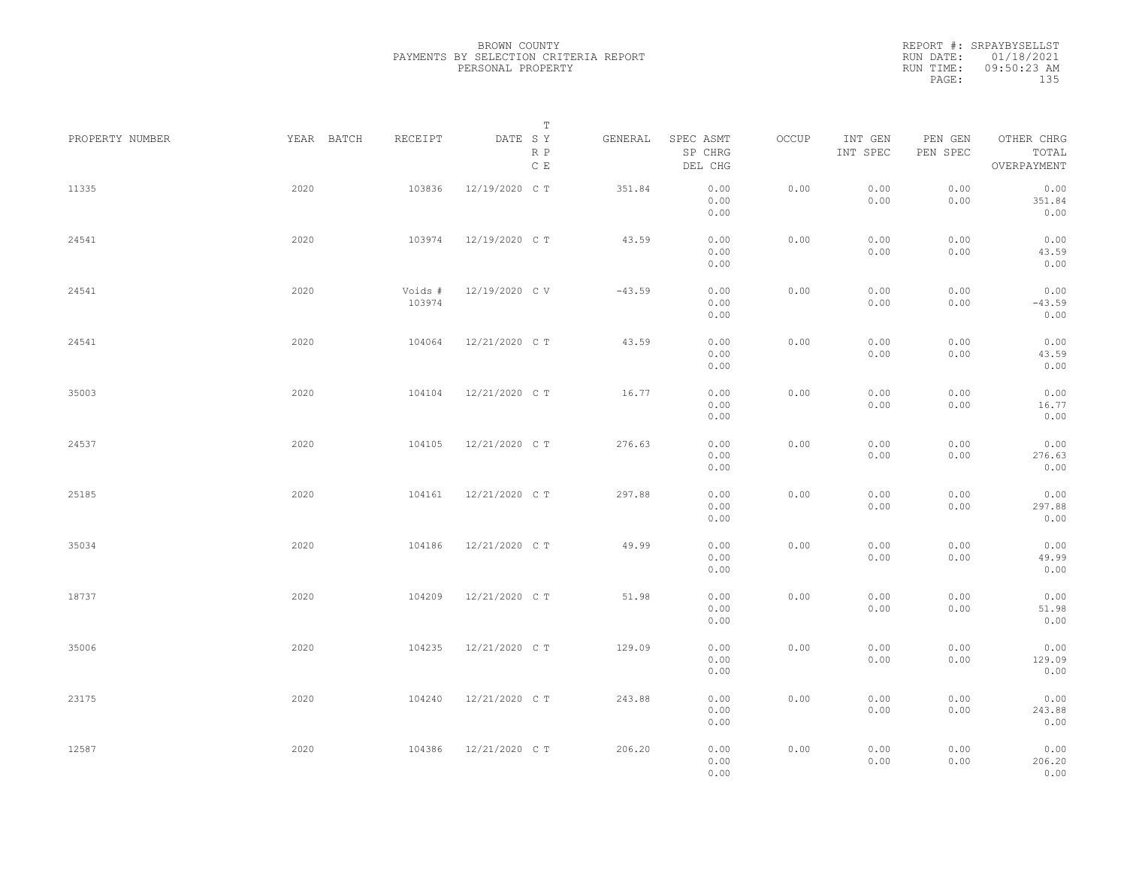| PROPERTY NUMBER | YEAR BATCH | RECEIPT           | T<br>DATE SY<br>R P<br>$\mathbb C\,$ E | GENERAL  | SPEC ASMT<br>SP CHRG<br>DEL CHG | OCCUP | INT GEN<br>INT SPEC | PEN GEN<br>PEN SPEC | OTHER CHRG<br>TOTAL<br>OVERPAYMENT |  |
|-----------------|------------|-------------------|----------------------------------------|----------|---------------------------------|-------|---------------------|---------------------|------------------------------------|--|
| 11335           | 2020       | 103836            | 12/19/2020 C T                         | 351.84   | 0.00<br>0.00<br>0.00            | 0.00  | 0.00<br>0.00        | 0.00<br>0.00        | 0.00<br>351.84<br>0.00             |  |
| 24541           | 2020       | 103974            | 12/19/2020 C T                         | 43.59    | 0.00<br>0.00<br>0.00            | 0.00  | 0.00<br>0.00        | 0.00<br>0.00        | 0.00<br>43.59<br>0.00              |  |
| 24541           | 2020       | Voids #<br>103974 | 12/19/2020 CV                          | $-43.59$ | 0.00<br>0.00<br>0.00            | 0.00  | 0.00<br>0.00        | 0.00<br>0.00        | 0.00<br>$-43.59$<br>0.00           |  |
| 24541           | 2020       | 104064            | 12/21/2020 C T                         | 43.59    | 0.00<br>0.00<br>0.00            | 0.00  | 0.00<br>0.00        | 0.00<br>0.00        | 0.00<br>43.59<br>0.00              |  |
| 35003           | 2020       | 104104            | 12/21/2020 C T                         | 16.77    | 0.00<br>0.00<br>0.00            | 0.00  | 0.00<br>0.00        | 0.00<br>0.00        | 0.00<br>16.77<br>0.00              |  |
| 24537           | 2020       | 104105            | 12/21/2020 C T                         | 276.63   | 0.00<br>0.00<br>0.00            | 0.00  | 0.00<br>0.00        | 0.00<br>0.00        | 0.00<br>276.63<br>0.00             |  |
| 25185           | 2020       | 104161            | 12/21/2020 C T                         | 297.88   | 0.00<br>0.00<br>0.00            | 0.00  | 0.00<br>0.00        | 0.00<br>0.00        | 0.00<br>297.88<br>0.00             |  |
| 35034           | 2020       | 104186            | 12/21/2020 C T                         | 49.99    | 0.00<br>0.00<br>0.00            | 0.00  | 0.00<br>0.00        | 0.00<br>0.00        | 0.00<br>49.99<br>0.00              |  |
| 18737           | 2020       | 104209            | 12/21/2020 C T                         | 51.98    | 0.00<br>0.00<br>0.00            | 0.00  | 0.00<br>0.00        | 0.00<br>0.00        | 0.00<br>51.98<br>0.00              |  |
| 35006           | 2020       | 104235            | 12/21/2020 C T                         | 129.09   | 0.00<br>0.00<br>0.00            | 0.00  | 0.00<br>0.00        | 0.00<br>0.00        | 0.00<br>129.09<br>0.00             |  |
| 23175           | 2020       | 104240            | 12/21/2020 C T                         | 243.88   | 0.00<br>0.00<br>0.00            | 0.00  | 0.00<br>0.00        | 0.00<br>0.00        | 0.00<br>243.88<br>0.00             |  |
| 12587           | 2020       | 104386            | 12/21/2020 C T                         | 206.20   | 0.00<br>0.00<br>0.00            | 0.00  | 0.00<br>0.00        | 0.00<br>0.00        | 0.00<br>206.20<br>0.00             |  |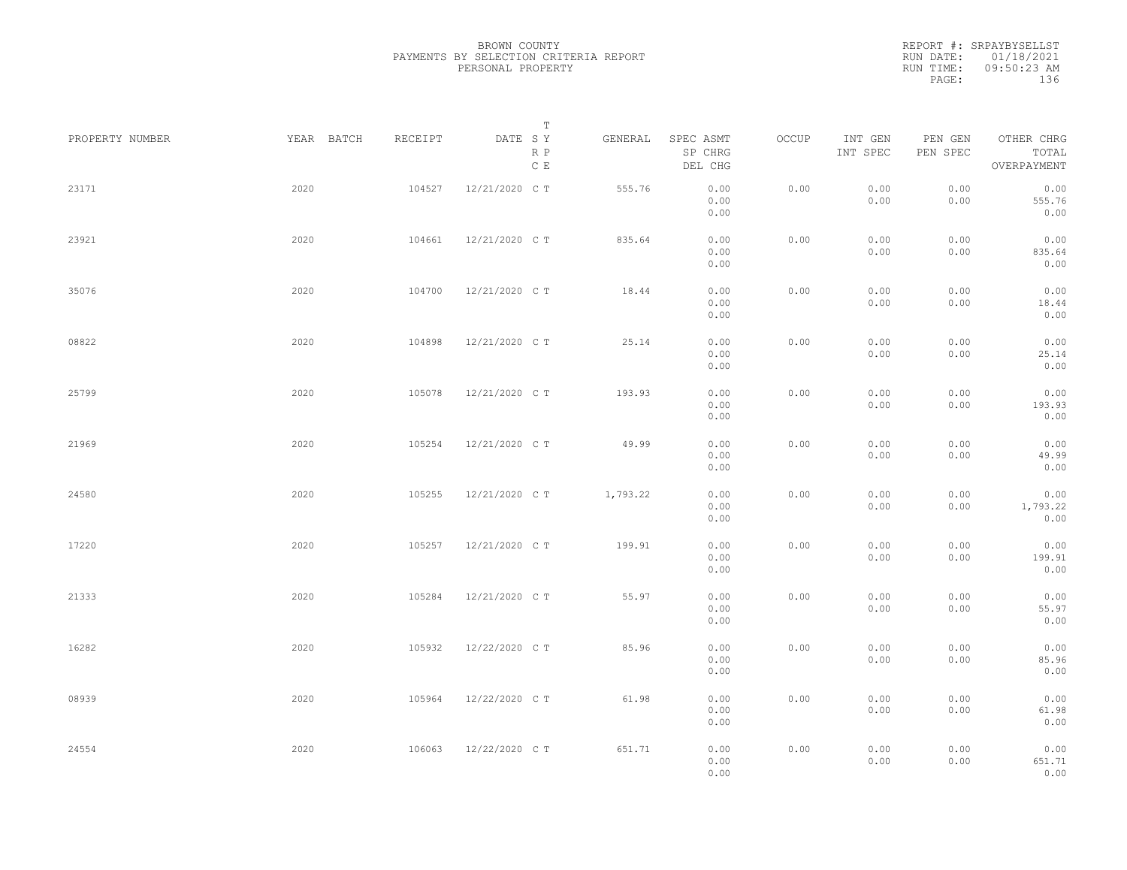|                 |            |         | Т                               |          |                                 |       |                     |                     |                                    |  |
|-----------------|------------|---------|---------------------------------|----------|---------------------------------|-------|---------------------|---------------------|------------------------------------|--|
| PROPERTY NUMBER | YEAR BATCH | RECEIPT | DATE SY<br>R P<br>$\,$ C $\,$ E | GENERAL  | SPEC ASMT<br>SP CHRG<br>DEL CHG | OCCUP | INT GEN<br>INT SPEC | PEN GEN<br>PEN SPEC | OTHER CHRG<br>TOTAL<br>OVERPAYMENT |  |
| 23171           | 2020       | 104527  | 12/21/2020 C T                  | 555.76   | 0.00<br>0.00<br>0.00            | 0.00  | 0.00<br>0.00        | 0.00<br>0.00        | 0.00<br>555.76<br>0.00             |  |
| 23921           | 2020       | 104661  | 12/21/2020 C T                  | 835.64   | 0.00<br>0.00<br>0.00            | 0.00  | 0.00<br>0.00        | 0.00<br>0.00        | 0.00<br>835.64<br>0.00             |  |
| 35076           | 2020       | 104700  | 12/21/2020 C T                  | 18.44    | 0.00<br>0.00<br>0.00            | 0.00  | 0.00<br>0.00        | 0.00<br>0.00        | 0.00<br>18.44<br>0.00              |  |
| 08822           | 2020       | 104898  | 12/21/2020 C T                  | 25.14    | 0.00<br>0.00<br>0.00            | 0.00  | 0.00<br>0.00        | 0.00<br>0.00        | 0.00<br>25.14<br>0.00              |  |
| 25799           | 2020       | 105078  | 12/21/2020 C T                  | 193.93   | 0.00<br>0.00<br>0.00            | 0.00  | 0.00<br>0.00        | 0.00<br>0.00        | 0.00<br>193.93<br>0.00             |  |
| 21969           | 2020       | 105254  | 12/21/2020 C T                  | 49.99    | 0.00<br>0.00<br>0.00            | 0.00  | 0.00<br>0.00        | 0.00<br>0.00        | 0.00<br>49.99<br>0.00              |  |
| 24580           | 2020       | 105255  | 12/21/2020 C T                  | 1,793.22 | 0.00<br>0.00<br>0.00            | 0.00  | 0.00<br>0.00        | 0.00<br>0.00        | 0.00<br>1,793.22<br>0.00           |  |
| 17220           | 2020       | 105257  | 12/21/2020 C T                  | 199.91   | 0.00<br>0.00<br>0.00            | 0.00  | 0.00<br>0.00        | 0.00<br>0.00        | 0.00<br>199.91<br>0.00             |  |
| 21333           | 2020       | 105284  | 12/21/2020 C T                  | 55.97    | 0.00<br>0.00<br>0.00            | 0.00  | 0.00<br>0.00        | 0.00<br>0.00        | 0.00<br>55.97<br>0.00              |  |
| 16282           | 2020       | 105932  | 12/22/2020 C T                  | 85.96    | 0.00<br>0.00<br>0.00            | 0.00  | 0.00<br>0.00        | 0.00<br>0.00        | 0.00<br>85.96<br>0.00              |  |
| 08939           | 2020       | 105964  | 12/22/2020 C T                  | 61.98    | 0.00<br>0.00<br>0.00            | 0.00  | 0.00<br>0.00        | 0.00<br>0.00        | 0.00<br>61.98<br>0.00              |  |
| 24554           | 2020       | 106063  | 12/22/2020 C T                  | 651.71   | 0.00<br>0.00<br>0.00            | 0.00  | 0.00<br>0.00        | 0.00<br>0.00        | 0.00<br>651.71<br>0.00             |  |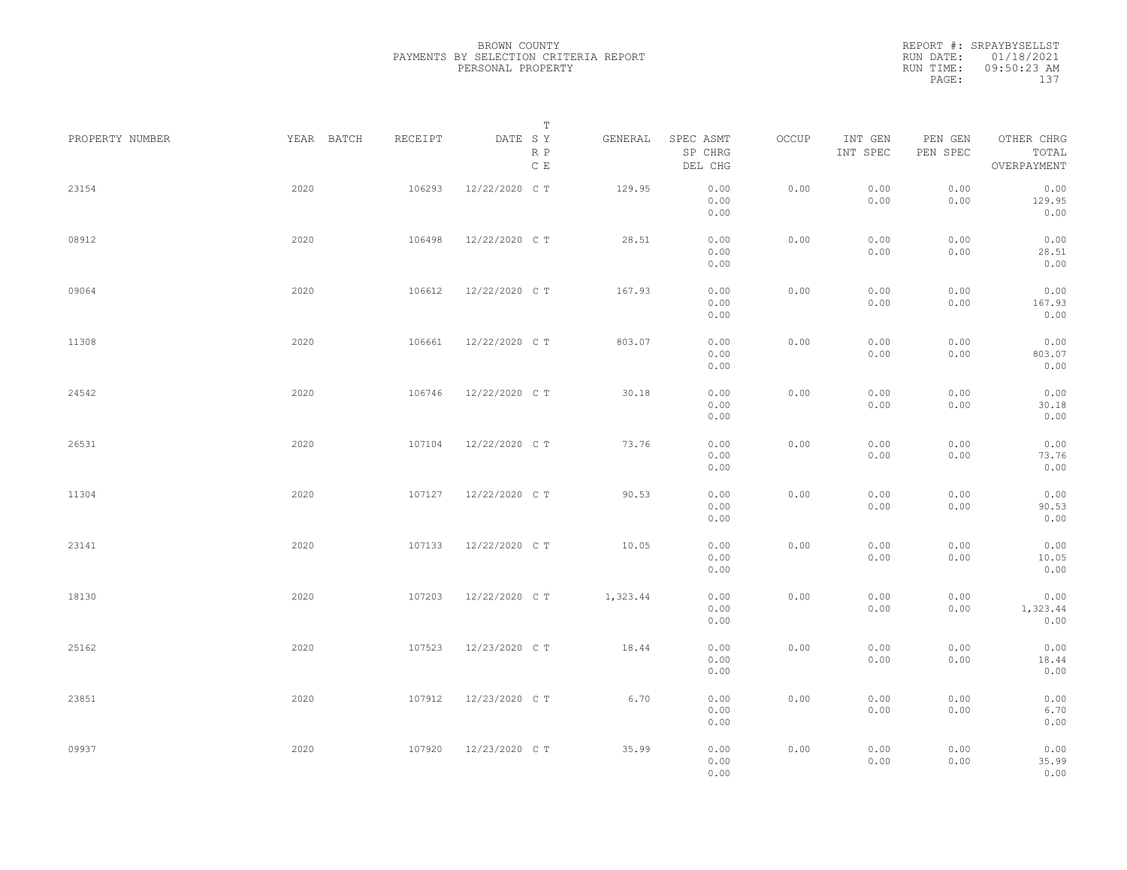REPORT #: SRPAYBYSELLST RUN DATE: 01/18/2021 RUN TIME: 09:50:23 AM PAGE: 137

| PROPERTY NUMBER | YEAR BATCH | RECEIPT | Т<br>DATE SY<br>R P<br>$\,$ C $\,$ E | GENERAL  | SPEC ASMT<br>SP CHRG<br>DEL CHG | OCCUP | INT GEN<br>INT SPEC | PEN GEN<br>PEN SPEC | OTHER CHRG<br>TOTAL<br>OVERPAYMENT |  |
|-----------------|------------|---------|--------------------------------------|----------|---------------------------------|-------|---------------------|---------------------|------------------------------------|--|
| 23154           | 2020       | 106293  | 12/22/2020 C T                       | 129.95   | 0.00<br>0.00<br>0.00            | 0.00  | 0.00<br>0.00        | 0.00<br>0.00        | 0.00<br>129.95<br>0.00             |  |
| 08912           | 2020       | 106498  | 12/22/2020 C T                       | 28.51    | 0.00<br>0.00<br>0.00            | 0.00  | 0.00<br>0.00        | 0.00<br>0.00        | 0.00<br>28.51<br>0.00              |  |
| 09064           | 2020       | 106612  | 12/22/2020 C T                       | 167.93   | 0.00<br>0.00<br>0.00            | 0.00  | 0.00<br>0.00        | 0.00<br>0.00        | 0.00<br>167.93<br>0.00             |  |
| 11308           | 2020       | 106661  | 12/22/2020 C T                       | 803.07   | 0.00<br>0.00<br>0.00            | 0.00  | 0.00<br>0.00        | 0.00<br>0.00        | 0.00<br>803.07<br>0.00             |  |
| 24542           | 2020       | 106746  | 12/22/2020 C T                       | 30.18    | 0.00<br>0.00<br>0.00            | 0.00  | 0.00<br>0.00        | 0.00<br>0.00        | 0.00<br>30.18<br>0.00              |  |
| 26531           | 2020       | 107104  | 12/22/2020 C T                       | 73.76    | 0.00<br>0.00<br>0.00            | 0.00  | 0.00<br>0.00        | 0.00<br>0.00        | 0.00<br>73.76<br>0.00              |  |
| 11304           | 2020       | 107127  | 12/22/2020 C T                       | 90.53    | 0.00<br>0.00<br>0.00            | 0.00  | 0.00<br>0.00        | 0.00<br>0.00        | 0.00<br>90.53<br>0.00              |  |
| 23141           | 2020       | 107133  | 12/22/2020 C T                       | 10.05    | 0.00<br>0.00<br>0.00            | 0.00  | 0.00<br>0.00        | 0.00<br>0.00        | 0.00<br>10.05<br>0.00              |  |
| 18130           | 2020       | 107203  | 12/22/2020 C T                       | 1,323.44 | 0.00<br>0.00<br>0.00            | 0.00  | 0.00<br>0.00        | 0.00<br>0.00        | 0.00<br>1,323.44<br>0.00           |  |
| 25162           | 2020       | 107523  | 12/23/2020 C T                       | 18.44    | 0.00<br>0.00<br>0.00            | 0.00  | 0.00<br>0.00        | 0.00<br>0.00        | 0.00<br>18.44<br>0.00              |  |
| 23851           | 2020       | 107912  | 12/23/2020 C T                       | 6.70     | 0.00<br>0.00<br>0.00            | 0.00  | 0.00<br>0.00        | 0.00<br>0.00        | 0.00<br>6.70<br>0.00               |  |
| 09937           | 2020       | 107920  | 12/23/2020 C T                       | 35.99    | 0.00<br>0.00<br>0.00            | 0.00  | 0.00<br>0.00        | 0.00<br>0.00        | 0.00<br>35.99<br>0.00              |  |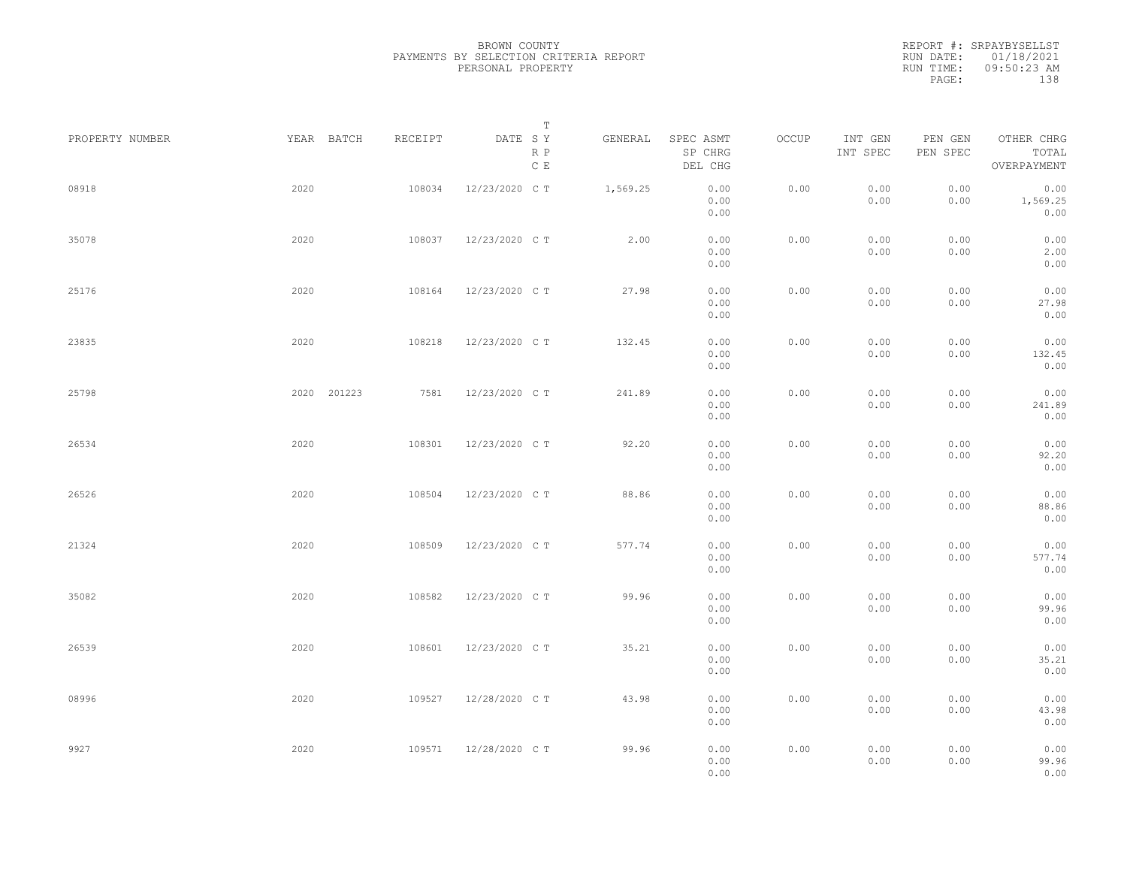|                 |                |         | Т                               |          |                                 |       |                     |                     |                                    |  |
|-----------------|----------------|---------|---------------------------------|----------|---------------------------------|-------|---------------------|---------------------|------------------------------------|--|
| PROPERTY NUMBER | YEAR BATCH     | RECEIPT | DATE SY<br>R P<br>$\,$ C $\,$ E | GENERAL  | SPEC ASMT<br>SP CHRG<br>DEL CHG | OCCUP | INT GEN<br>INT SPEC | PEN GEN<br>PEN SPEC | OTHER CHRG<br>TOTAL<br>OVERPAYMENT |  |
| 08918           | 2020           | 108034  | 12/23/2020 C T                  | 1,569.25 | 0.00<br>0.00<br>0.00            | 0.00  | 0.00<br>0.00        | 0.00<br>0.00        | 0.00<br>1,569.25<br>0.00           |  |
| 35078           | 2020           | 108037  | 12/23/2020 C T                  | 2.00     | 0.00<br>0.00<br>0.00            | 0.00  | 0.00<br>0.00        | 0.00<br>0.00        | 0.00<br>2.00<br>0.00               |  |
| 25176           | 2020           | 108164  | 12/23/2020 C T                  | 27.98    | 0.00<br>0.00<br>0.00            | 0.00  | 0.00<br>0.00        | 0.00<br>0.00        | 0.00<br>27.98<br>0.00              |  |
| 23835           | 2020           | 108218  | 12/23/2020 C T                  | 132.45   | 0.00<br>0.00<br>0.00            | 0.00  | 0.00<br>0.00        | 0.00<br>0.00        | 0.00<br>132.45<br>0.00             |  |
| 25798           | 201223<br>2020 | 7581    | 12/23/2020 C T                  | 241.89   | 0.00<br>0.00<br>0.00            | 0.00  | 0.00<br>0.00        | 0.00<br>0.00        | 0.00<br>241.89<br>0.00             |  |
| 26534           | 2020           | 108301  | 12/23/2020 C T                  | 92.20    | 0.00<br>0.00<br>0.00            | 0.00  | 0.00<br>0.00        | 0.00<br>0.00        | 0.00<br>92.20<br>0.00              |  |
| 26526           | 2020           | 108504  | 12/23/2020 C T                  | 88.86    | 0.00<br>0.00<br>0.00            | 0.00  | 0.00<br>0.00        | 0.00<br>0.00        | 0.00<br>88.86<br>0.00              |  |
| 21324           | 2020           | 108509  | 12/23/2020 C T                  | 577.74   | 0.00<br>0.00<br>0.00            | 0.00  | 0.00<br>0.00        | 0.00<br>0.00        | 0.00<br>577.74<br>0.00             |  |
| 35082           | 2020           | 108582  | 12/23/2020 C T                  | 99.96    | 0.00<br>0.00<br>0.00            | 0.00  | 0.00<br>0.00        | 0.00<br>0.00        | 0.00<br>99.96<br>0.00              |  |
| 26539           | 2020           | 108601  | 12/23/2020 C T                  | 35.21    | 0.00<br>0.00<br>0.00            | 0.00  | 0.00<br>0.00        | 0.00<br>0.00        | 0.00<br>35.21<br>0.00              |  |
| 08996           | 2020           | 109527  | 12/28/2020 C T                  | 43.98    | 0.00<br>0.00<br>0.00            | 0.00  | 0.00<br>0.00        | 0.00<br>0.00        | 0.00<br>43.98<br>0.00              |  |
| 9927            | 2020           | 109571  | 12/28/2020 C T                  | 99.96    | 0.00<br>0.00<br>0.00            | 0.00  | 0.00<br>0.00        | 0.00<br>0.00        | 0.00<br>99.96<br>0.00              |  |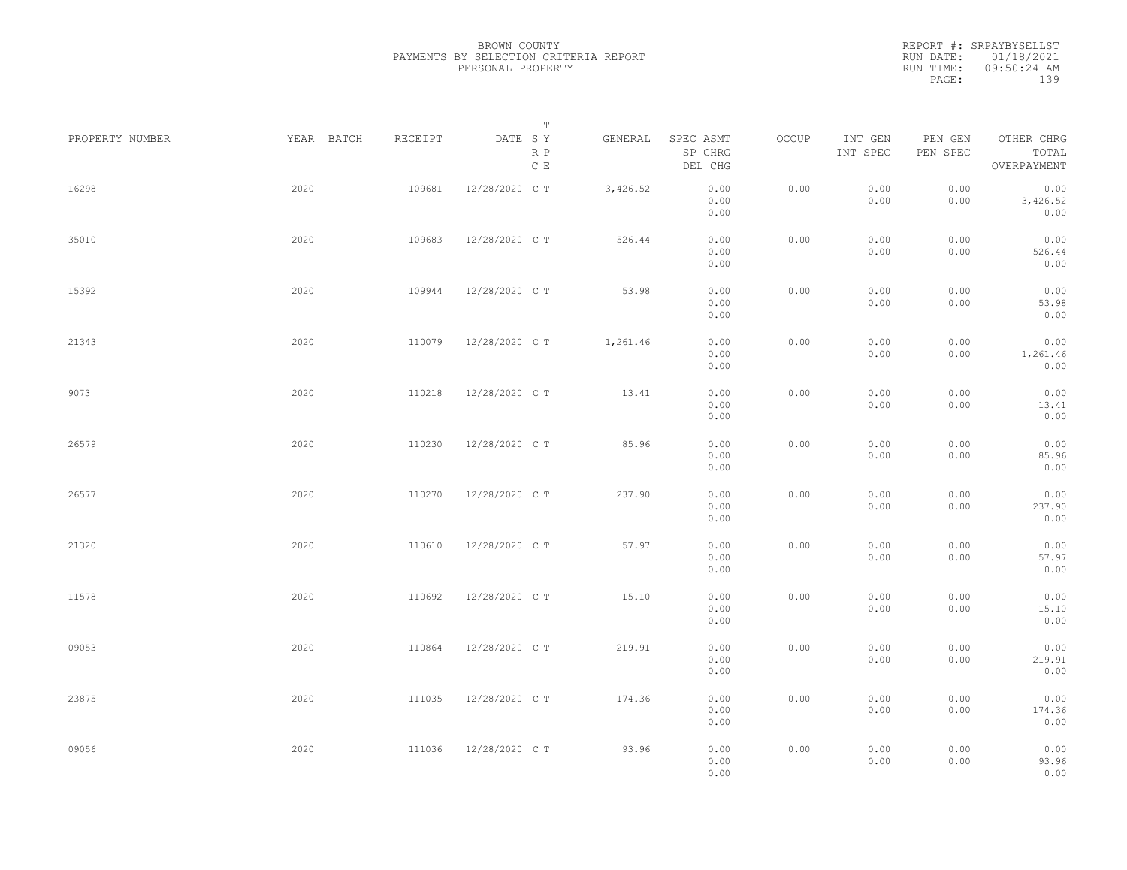|                 |            |         | Т                               |          |                                 |       |                     |                     |                                    |  |
|-----------------|------------|---------|---------------------------------|----------|---------------------------------|-------|---------------------|---------------------|------------------------------------|--|
| PROPERTY NUMBER | YEAR BATCH | RECEIPT | DATE SY<br>R P<br>$\,$ C $\,$ E | GENERAL  | SPEC ASMT<br>SP CHRG<br>DEL CHG | OCCUP | INT GEN<br>INT SPEC | PEN GEN<br>PEN SPEC | OTHER CHRG<br>TOTAL<br>OVERPAYMENT |  |
| 16298           | 2020       | 109681  | 12/28/2020 C T                  | 3,426.52 | 0.00<br>0.00<br>0.00            | 0.00  | 0.00<br>0.00        | 0.00<br>0.00        | 0.00<br>3,426.52<br>0.00           |  |
| 35010           | 2020       | 109683  | 12/28/2020 C T                  | 526.44   | 0.00<br>0.00<br>0.00            | 0.00  | 0.00<br>0.00        | 0.00<br>0.00        | 0.00<br>526.44<br>0.00             |  |
| 15392           | 2020       | 109944  | 12/28/2020 C T                  | 53.98    | 0.00<br>0.00<br>0.00            | 0.00  | 0.00<br>0.00        | 0.00<br>0.00        | 0.00<br>53.98<br>0.00              |  |
| 21343           | 2020       | 110079  | 12/28/2020 C T                  | 1,261.46 | 0.00<br>0.00<br>0.00            | 0.00  | 0.00<br>0.00        | 0.00<br>0.00        | 0.00<br>1,261.46<br>0.00           |  |
| 9073            | 2020       | 110218  | 12/28/2020 C T                  | 13.41    | 0.00<br>0.00<br>0.00            | 0.00  | 0.00<br>0.00        | 0.00<br>0.00        | 0.00<br>13.41<br>0.00              |  |
| 26579           | 2020       | 110230  | 12/28/2020 C T                  | 85.96    | 0.00<br>0.00<br>0.00            | 0.00  | 0.00<br>0.00        | 0.00<br>0.00        | 0.00<br>85.96<br>0.00              |  |
| 26577           | 2020       | 110270  | 12/28/2020 C T                  | 237.90   | 0.00<br>0.00<br>0.00            | 0.00  | 0.00<br>0.00        | 0.00<br>0.00        | 0.00<br>237.90<br>0.00             |  |
| 21320           | 2020       | 110610  | 12/28/2020 C T                  | 57.97    | 0.00<br>0.00<br>0.00            | 0.00  | 0.00<br>0.00        | 0.00<br>0.00        | 0.00<br>57.97<br>0.00              |  |
| 11578           | 2020       | 110692  | 12/28/2020 C T                  | 15.10    | 0.00<br>0.00<br>0.00            | 0.00  | 0.00<br>0.00        | 0.00<br>0.00        | 0.00<br>15.10<br>0.00              |  |
| 09053           | 2020       | 110864  | 12/28/2020 C T                  | 219.91   | 0.00<br>0.00<br>0.00            | 0.00  | 0.00<br>0.00        | 0.00<br>0.00        | 0.00<br>219.91<br>0.00             |  |
| 23875           | 2020       | 111035  | 12/28/2020 C T                  | 174.36   | 0.00<br>0.00<br>0.00            | 0.00  | 0.00<br>0.00        | 0.00<br>0.00        | 0.00<br>174.36<br>0.00             |  |
| 09056           | 2020       | 111036  | 12/28/2020 C T                  | 93.96    | 0.00<br>0.00<br>0.00            | 0.00  | 0.00<br>0.00        | 0.00<br>0.00        | 0.00<br>93.96<br>0.00              |  |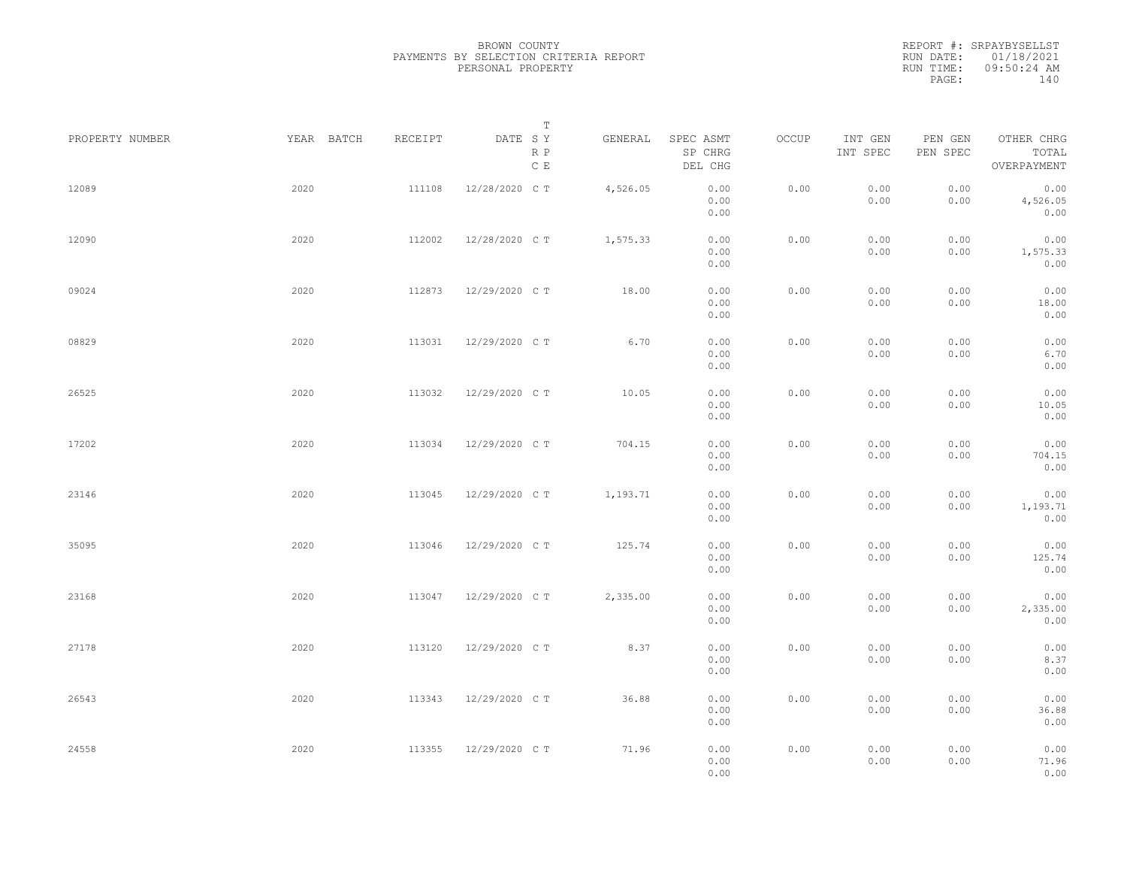|                 |            |         | Т                               |          |                                 |       |                     |                     |                                    |  |
|-----------------|------------|---------|---------------------------------|----------|---------------------------------|-------|---------------------|---------------------|------------------------------------|--|
| PROPERTY NUMBER | YEAR BATCH | RECEIPT | DATE SY<br>R P<br>$\,$ C $\,$ E | GENERAL  | SPEC ASMT<br>SP CHRG<br>DEL CHG | OCCUP | INT GEN<br>INT SPEC | PEN GEN<br>PEN SPEC | OTHER CHRG<br>TOTAL<br>OVERPAYMENT |  |
| 12089           | 2020       | 111108  | 12/28/2020 C T                  | 4,526.05 | 0.00<br>0.00<br>0.00            | 0.00  | 0.00<br>0.00        | 0.00<br>0.00        | 0.00<br>4,526.05<br>0.00           |  |
| 12090           | 2020       | 112002  | 12/28/2020 C T                  | 1,575.33 | 0.00<br>0.00<br>0.00            | 0.00  | 0.00<br>0.00        | 0.00<br>0.00        | 0.00<br>1,575.33<br>0.00           |  |
| 09024           | 2020       | 112873  | 12/29/2020 C T                  | 18.00    | 0.00<br>0.00<br>0.00            | 0.00  | 0.00<br>0.00        | 0.00<br>0.00        | 0.00<br>18.00<br>0.00              |  |
| 08829           | 2020       | 113031  | 12/29/2020 C T                  | 6.70     | 0.00<br>0.00<br>0.00            | 0.00  | 0.00<br>0.00        | 0.00<br>0.00        | 0.00<br>6.70<br>0.00               |  |
| 26525           | 2020       | 113032  | 12/29/2020 C T                  | 10.05    | 0.00<br>0.00<br>0.00            | 0.00  | 0.00<br>0.00        | 0.00<br>0.00        | 0.00<br>10.05<br>0.00              |  |
| 17202           | 2020       | 113034  | 12/29/2020 C T                  | 704.15   | 0.00<br>0.00<br>0.00            | 0.00  | 0.00<br>0.00        | 0.00<br>0.00        | 0.00<br>704.15<br>0.00             |  |
| 23146           | 2020       | 113045  | 12/29/2020 C T                  | 1,193.71 | 0.00<br>0.00<br>0.00            | 0.00  | 0.00<br>0.00        | 0.00<br>0.00        | 0.00<br>1,193.71<br>0.00           |  |
| 35095           | 2020       | 113046  | 12/29/2020 C T                  | 125.74   | 0.00<br>0.00<br>0.00            | 0.00  | 0.00<br>0.00        | 0.00<br>0.00        | 0.00<br>125.74<br>0.00             |  |
| 23168           | 2020       | 113047  | 12/29/2020 C T                  | 2,335.00 | 0.00<br>0.00<br>0.00            | 0.00  | 0.00<br>0.00        | 0.00<br>0.00        | 0.00<br>2,335.00<br>0.00           |  |
| 27178           | 2020       | 113120  | 12/29/2020 C T                  | 8.37     | 0.00<br>0.00<br>0.00            | 0.00  | 0.00<br>0.00        | 0.00<br>0.00        | 0.00<br>8.37<br>0.00               |  |
| 26543           | 2020       | 113343  | 12/29/2020 C T                  | 36.88    | 0.00<br>0.00<br>0.00            | 0.00  | 0.00<br>0.00        | 0.00<br>0.00        | 0.00<br>36.88<br>0.00              |  |
| 24558           | 2020       | 113355  | 12/29/2020 C T                  | 71.96    | 0.00<br>0.00<br>0.00            | 0.00  | 0.00<br>0.00        | 0.00<br>0.00        | 0.00<br>71.96<br>0.00              |  |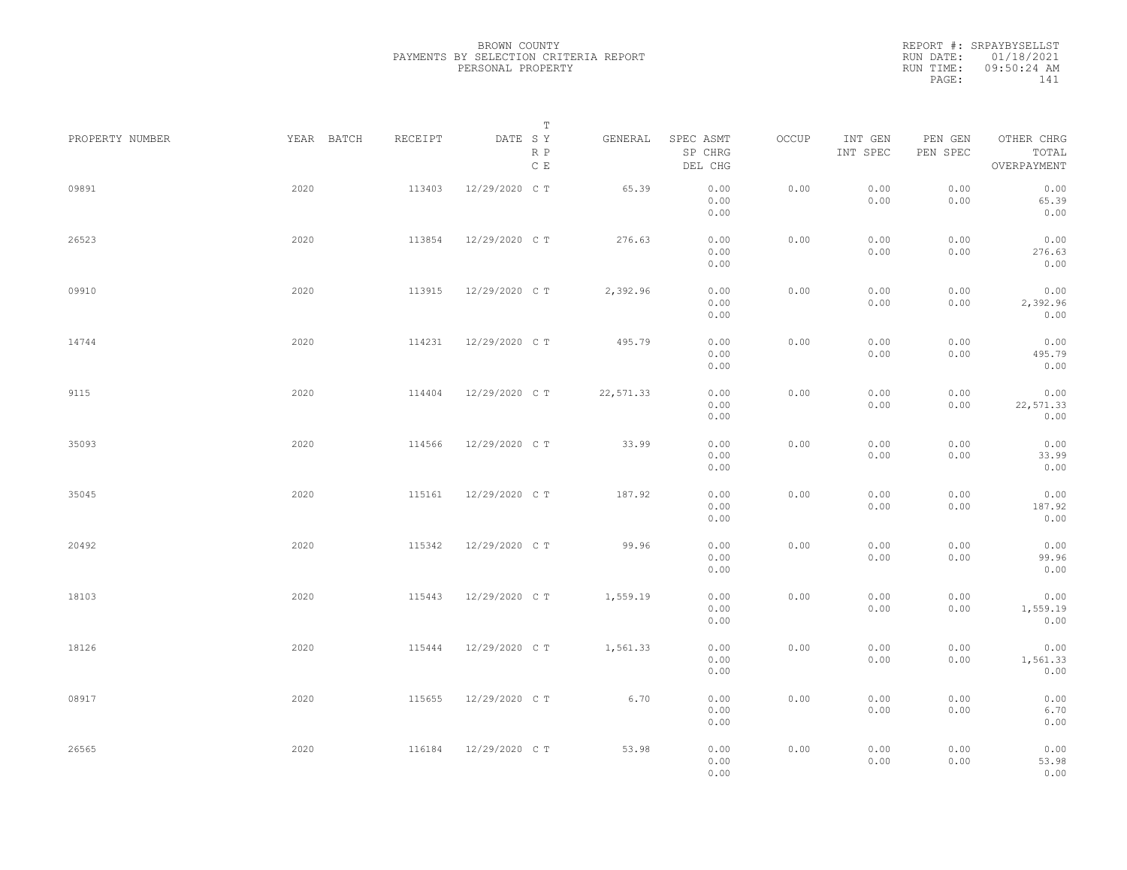|                 |            |         | Т                               |           |                                 |       |                     |                     |                                    |  |
|-----------------|------------|---------|---------------------------------|-----------|---------------------------------|-------|---------------------|---------------------|------------------------------------|--|
| PROPERTY NUMBER | YEAR BATCH | RECEIPT | DATE SY<br>R P<br>$\,$ C $\,$ E | GENERAL   | SPEC ASMT<br>SP CHRG<br>DEL CHG | OCCUP | INT GEN<br>INT SPEC | PEN GEN<br>PEN SPEC | OTHER CHRG<br>TOTAL<br>OVERPAYMENT |  |
| 09891           | 2020       | 113403  | 12/29/2020 C T                  | 65.39     | 0.00<br>0.00<br>0.00            | 0.00  | 0.00<br>0.00        | 0.00<br>0.00        | 0.00<br>65.39<br>0.00              |  |
| 26523           | 2020       | 113854  | 12/29/2020 C T                  | 276.63    | 0.00<br>0.00<br>0.00            | 0.00  | 0.00<br>0.00        | 0.00<br>0.00        | 0.00<br>276.63<br>0.00             |  |
| 09910           | 2020       | 113915  | 12/29/2020 C T                  | 2,392.96  | 0.00<br>0.00<br>0.00            | 0.00  | 0.00<br>0.00        | 0.00<br>0.00        | 0.00<br>2,392.96<br>0.00           |  |
| 14744           | 2020       | 114231  | 12/29/2020 C T                  | 495.79    | 0.00<br>0.00<br>0.00            | 0.00  | 0.00<br>0.00        | 0.00<br>0.00        | 0.00<br>495.79<br>0.00             |  |
| 9115            | 2020       | 114404  | 12/29/2020 C T                  | 22,571.33 | 0.00<br>0.00<br>0.00            | 0.00  | 0.00<br>0.00        | 0.00<br>0.00        | 0.00<br>22,571.33<br>0.00          |  |
| 35093           | 2020       | 114566  | 12/29/2020 C T                  | 33.99     | 0.00<br>0.00<br>0.00            | 0.00  | 0.00<br>0.00        | 0.00<br>0.00        | 0.00<br>33.99<br>0.00              |  |
| 35045           | 2020       | 115161  | 12/29/2020 C T                  | 187.92    | 0.00<br>0.00<br>0.00            | 0.00  | 0.00<br>0.00        | 0.00<br>0.00        | 0.00<br>187.92<br>0.00             |  |
| 20492           | 2020       | 115342  | 12/29/2020 C T                  | 99.96     | 0.00<br>0.00<br>0.00            | 0.00  | 0.00<br>0.00        | 0.00<br>0.00        | 0.00<br>99.96<br>0.00              |  |
| 18103           | 2020       | 115443  | 12/29/2020 C T                  | 1,559.19  | 0.00<br>0.00<br>0.00            | 0.00  | 0.00<br>0.00        | 0.00<br>0.00        | 0.00<br>1,559.19<br>0.00           |  |
| 18126           | 2020       | 115444  | 12/29/2020 C T                  | 1,561.33  | 0.00<br>0.00<br>0.00            | 0.00  | 0.00<br>0.00        | 0.00<br>0.00        | 0.00<br>1,561.33<br>0.00           |  |
| 08917           | 2020       | 115655  | 12/29/2020 C T                  | 6.70      | 0.00<br>0.00<br>0.00            | 0.00  | 0.00<br>0.00        | 0.00<br>0.00        | 0.00<br>6.70<br>0.00               |  |
| 26565           | 2020       | 116184  | 12/29/2020 C T                  | 53.98     | 0.00<br>0.00<br>0.00            | 0.00  | 0.00<br>0.00        | 0.00<br>0.00        | 0.00<br>53.98<br>0.00              |  |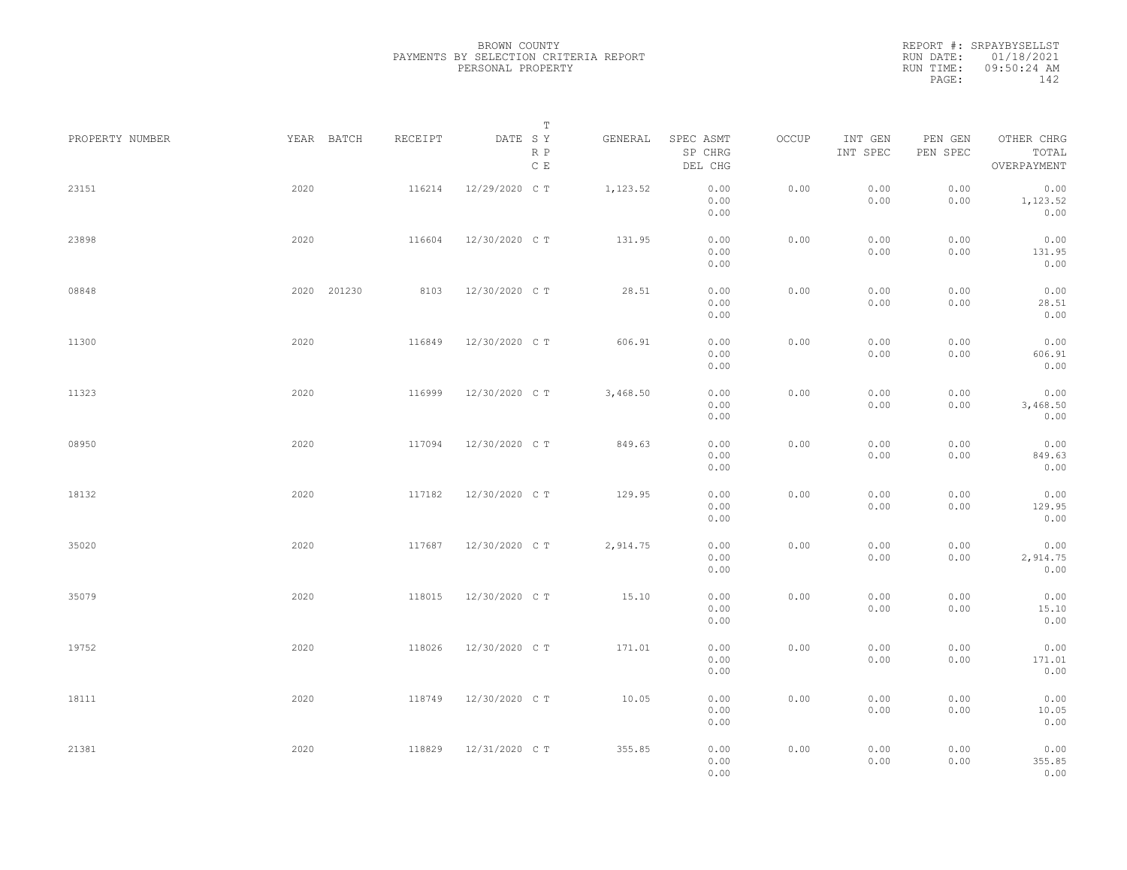|                 |             |         | Т                               |          |                                 |       |                     |                     |                                    |  |
|-----------------|-------------|---------|---------------------------------|----------|---------------------------------|-------|---------------------|---------------------|------------------------------------|--|
| PROPERTY NUMBER | YEAR BATCH  | RECEIPT | DATE SY<br>R P<br>$\,$ C $\,$ E | GENERAL  | SPEC ASMT<br>SP CHRG<br>DEL CHG | OCCUP | INT GEN<br>INT SPEC | PEN GEN<br>PEN SPEC | OTHER CHRG<br>TOTAL<br>OVERPAYMENT |  |
| 23151           | 2020        | 116214  | 12/29/2020 C T                  | 1,123.52 | 0.00<br>0.00<br>0.00            | 0.00  | 0.00<br>0.00        | 0.00<br>0.00        | 0.00<br>1,123.52<br>0.00           |  |
| 23898           | 2020        | 116604  | 12/30/2020 C T                  | 131.95   | 0.00<br>0.00<br>0.00            | 0.00  | 0.00<br>0.00        | 0.00<br>0.00        | 0.00<br>131.95<br>0.00             |  |
| 08848           | 2020 201230 | 8103    | 12/30/2020 C T                  | 28.51    | 0.00<br>0.00<br>0.00            | 0.00  | 0.00<br>0.00        | 0.00<br>0.00        | 0.00<br>28.51<br>0.00              |  |
| 11300           | 2020        | 116849  | 12/30/2020 C T                  | 606.91   | 0.00<br>0.00<br>0.00            | 0.00  | 0.00<br>0.00        | 0.00<br>0.00        | 0.00<br>606.91<br>0.00             |  |
| 11323           | 2020        | 116999  | 12/30/2020 C T                  | 3,468.50 | 0.00<br>0.00<br>0.00            | 0.00  | 0.00<br>0.00        | 0.00<br>0.00        | 0.00<br>3,468.50<br>0.00           |  |
| 08950           | 2020        | 117094  | 12/30/2020 C T                  | 849.63   | 0.00<br>0.00<br>0.00            | 0.00  | 0.00<br>0.00        | 0.00<br>0.00        | 0.00<br>849.63<br>0.00             |  |
| 18132           | 2020        | 117182  | 12/30/2020 C T                  | 129.95   | 0.00<br>0.00<br>0.00            | 0.00  | 0.00<br>0.00        | 0.00<br>0.00        | 0.00<br>129.95<br>0.00             |  |
| 35020           | 2020        | 117687  | 12/30/2020 C T                  | 2,914.75 | 0.00<br>0.00<br>0.00            | 0.00  | 0.00<br>0.00        | 0.00<br>0.00        | 0.00<br>2,914.75<br>0.00           |  |
| 35079           | 2020        | 118015  | 12/30/2020 C T                  | 15.10    | 0.00<br>0.00<br>0.00            | 0.00  | 0.00<br>0.00        | 0.00<br>0.00        | 0.00<br>15.10<br>0.00              |  |
| 19752           | 2020        | 118026  | 12/30/2020 C T                  | 171.01   | 0.00<br>0.00<br>0.00            | 0.00  | 0.00<br>0.00        | 0.00<br>0.00        | 0.00<br>171.01<br>0.00             |  |
| 18111           | 2020        | 118749  | 12/30/2020 C T                  | 10.05    | 0.00<br>0.00<br>0.00            | 0.00  | 0.00<br>0.00        | 0.00<br>0.00        | 0.00<br>10.05<br>0.00              |  |
| 21381           | 2020        | 118829  | 12/31/2020 C T                  | 355.85   | 0.00<br>0.00<br>0.00            | 0.00  | 0.00<br>0.00        | 0.00<br>0.00        | 0.00<br>355.85<br>0.00             |  |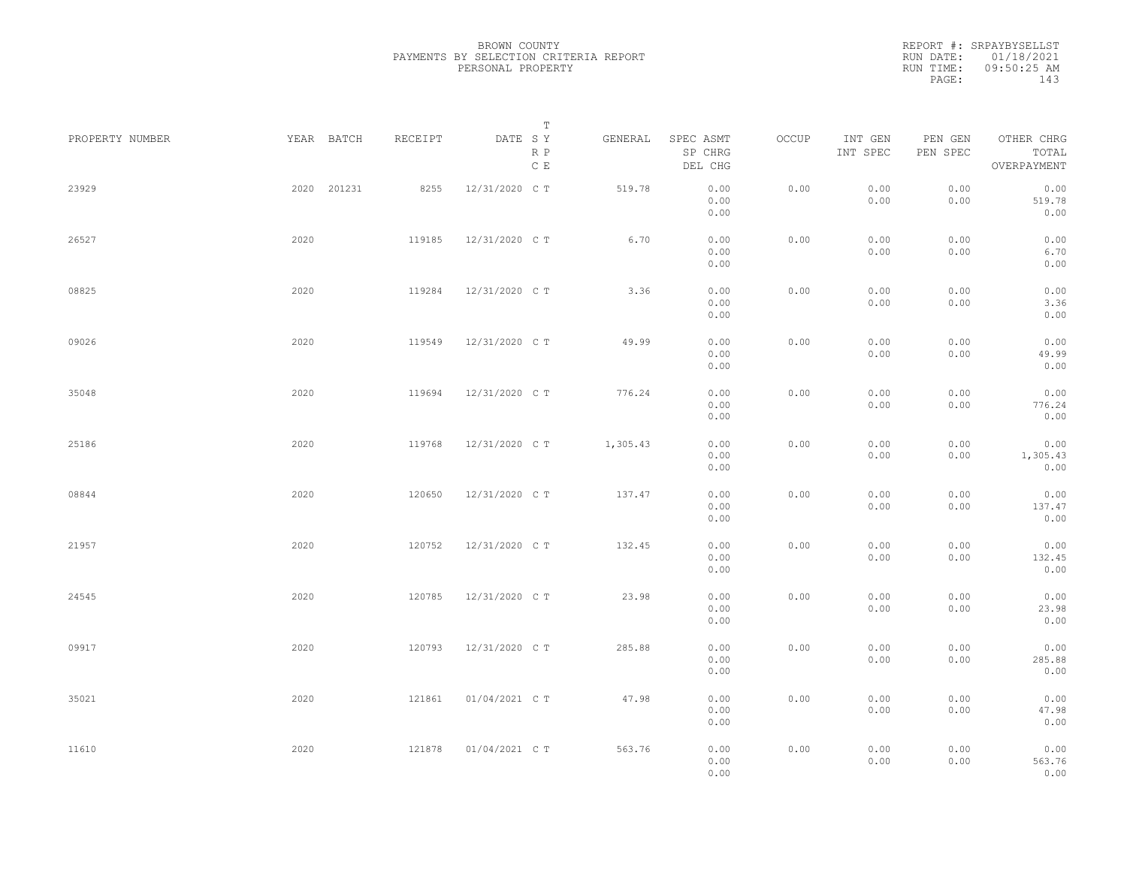|                 |             |         | Т                               |          |                                 |       |                     |                     |                                    |  |
|-----------------|-------------|---------|---------------------------------|----------|---------------------------------|-------|---------------------|---------------------|------------------------------------|--|
| PROPERTY NUMBER | YEAR BATCH  | RECEIPT | DATE SY<br>R P<br>$\,$ C $\,$ E | GENERAL  | SPEC ASMT<br>SP CHRG<br>DEL CHG | OCCUP | INT GEN<br>INT SPEC | PEN GEN<br>PEN SPEC | OTHER CHRG<br>TOTAL<br>OVERPAYMENT |  |
| 23929           | 2020 201231 | 8255    | 12/31/2020 C T                  | 519.78   | 0.00<br>0.00<br>0.00            | 0.00  | 0.00<br>0.00        | 0.00<br>0.00        | 0.00<br>519.78<br>0.00             |  |
| 26527           | 2020        | 119185  | 12/31/2020 C T                  | 6.70     | 0.00<br>0.00<br>0.00            | 0.00  | 0.00<br>0.00        | 0.00<br>0.00        | 0.00<br>6.70<br>0.00               |  |
| 08825           | 2020        | 119284  | 12/31/2020 C T                  | 3.36     | 0.00<br>0.00<br>0.00            | 0.00  | 0.00<br>0.00        | 0.00<br>0.00        | 0.00<br>3.36<br>0.00               |  |
| 09026           | 2020        | 119549  | 12/31/2020 C T                  | 49.99    | 0.00<br>0.00<br>0.00            | 0.00  | 0.00<br>0.00        | 0.00<br>0.00        | 0.00<br>49.99<br>0.00              |  |
| 35048           | 2020        | 119694  | 12/31/2020 C T                  | 776.24   | 0.00<br>0.00<br>0.00            | 0.00  | 0.00<br>0.00        | 0.00<br>0.00        | 0.00<br>776.24<br>0.00             |  |
| 25186           | 2020        | 119768  | 12/31/2020 C T                  | 1,305.43 | 0.00<br>0.00<br>0.00            | 0.00  | 0.00<br>0.00        | 0.00<br>0.00        | 0.00<br>1,305.43<br>0.00           |  |
| 08844           | 2020        | 120650  | 12/31/2020 C T                  | 137.47   | 0.00<br>0.00<br>0.00            | 0.00  | 0.00<br>0.00        | 0.00<br>0.00        | 0.00<br>137.47<br>0.00             |  |
| 21957           | 2020        | 120752  | 12/31/2020 C T                  | 132.45   | 0.00<br>0.00<br>0.00            | 0.00  | 0.00<br>0.00        | 0.00<br>0.00        | 0.00<br>132.45<br>0.00             |  |
| 24545           | 2020        | 120785  | 12/31/2020 C T                  | 23.98    | 0.00<br>0.00<br>0.00            | 0.00  | 0.00<br>0.00        | 0.00<br>0.00        | 0.00<br>23.98<br>0.00              |  |
| 09917           | 2020        | 120793  | 12/31/2020 C T                  | 285.88   | 0.00<br>0.00<br>0.00            | 0.00  | 0.00<br>0.00        | 0.00<br>0.00        | 0.00<br>285.88<br>0.00             |  |
| 35021           | 2020        | 121861  | 01/04/2021 C T                  | 47.98    | 0.00<br>0.00<br>0.00            | 0.00  | 0.00<br>0.00        | 0.00<br>0.00        | 0.00<br>47.98<br>0.00              |  |
| 11610           | 2020        | 121878  | 01/04/2021 C T                  | 563.76   | 0.00<br>0.00<br>0.00            | 0.00  | 0.00<br>0.00        | 0.00<br>0.00        | 0.00<br>563.76<br>0.00             |  |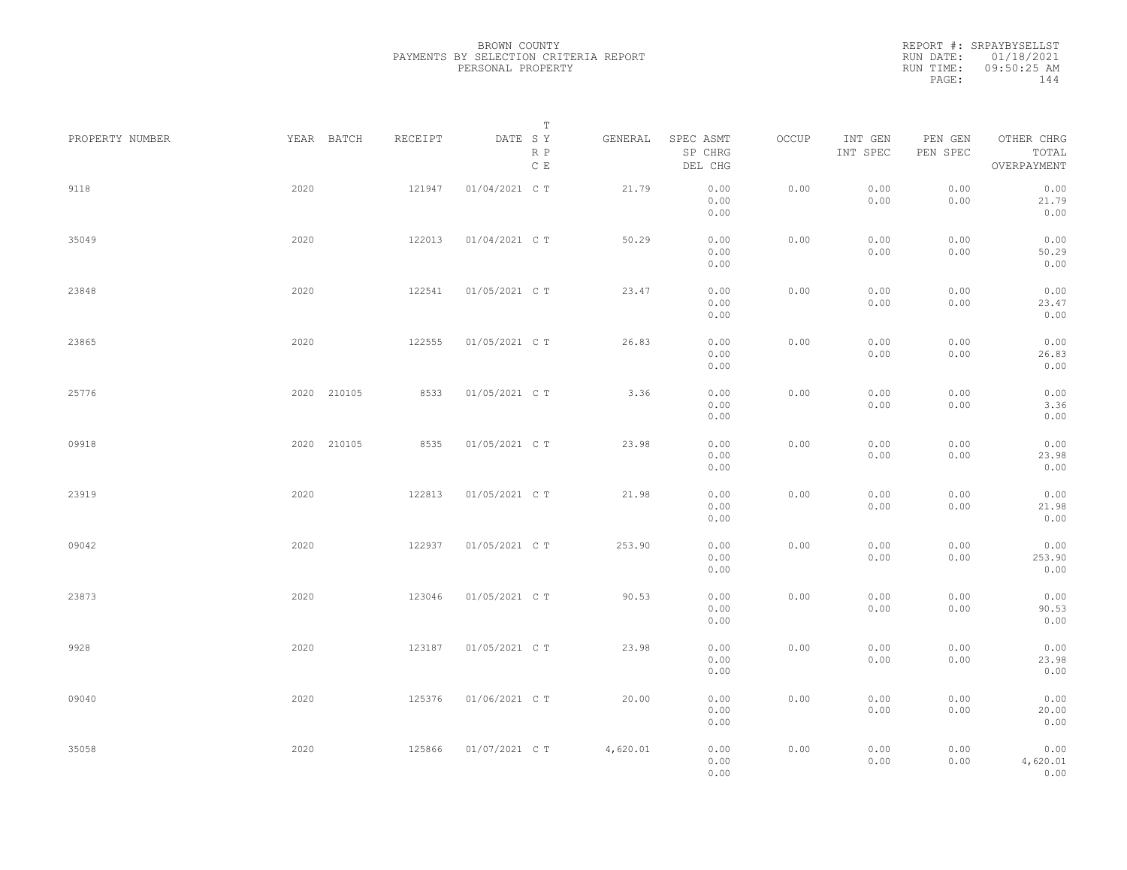REPORT #: SRPAYBYSELLST RUN DATE: 01/18/2021 RUN TIME: 09:50:25 AM PAGE: 144

| PROPERTY NUMBER |      | YEAR BATCH  | RECEIPT | DATE SY        | $\mathbb T$          | GENERAL  | SPEC ASMT            | OCCUP | INT GEN      | PEN GEN      | OTHER CHRG               |  |
|-----------------|------|-------------|---------|----------------|----------------------|----------|----------------------|-------|--------------|--------------|--------------------------|--|
|                 |      |             |         |                | R P<br>$\mathbb C$ E |          | SP CHRG<br>DEL CHG   |       | INT SPEC     | PEN SPEC     | TOTAL<br>OVERPAYMENT     |  |
| 9118            | 2020 |             | 121947  | 01/04/2021 C T |                      | 21.79    | 0.00<br>0.00<br>0.00 | 0.00  | 0.00<br>0.00 | 0.00<br>0.00 | 0.00<br>21.79<br>0.00    |  |
| 35049           | 2020 |             | 122013  | 01/04/2021 C T |                      | 50.29    | 0.00<br>0.00<br>0.00 | 0.00  | 0.00<br>0.00 | 0.00<br>0.00 | 0.00<br>50.29<br>0.00    |  |
| 23848           | 2020 |             | 122541  | 01/05/2021 C T |                      | 23.47    | 0.00<br>0.00<br>0.00 | 0.00  | 0.00<br>0.00 | 0.00<br>0.00 | 0.00<br>23.47<br>0.00    |  |
| 23865           | 2020 |             | 122555  | 01/05/2021 C T |                      | 26.83    | 0.00<br>0.00<br>0.00 | 0.00  | 0.00<br>0.00 | 0.00<br>0.00 | 0.00<br>26.83<br>0.00    |  |
| 25776           |      | 2020 210105 | 8533    | 01/05/2021 C T |                      | 3.36     | 0.00<br>0.00<br>0.00 | 0.00  | 0.00<br>0.00 | 0.00<br>0.00 | 0.00<br>3.36<br>0.00     |  |
| 09918           |      | 2020 210105 | 8535    | 01/05/2021 C T |                      | 23.98    | 0.00<br>0.00<br>0.00 | 0.00  | 0.00<br>0.00 | 0.00<br>0.00 | 0.00<br>23.98<br>0.00    |  |
| 23919           | 2020 |             | 122813  | 01/05/2021 C T |                      | 21.98    | 0.00<br>0.00<br>0.00 | 0.00  | 0.00<br>0.00 | 0.00<br>0.00 | 0.00<br>21.98<br>0.00    |  |
| 09042           | 2020 |             | 122937  | 01/05/2021 C T |                      | 253.90   | 0.00<br>0.00<br>0.00 | 0.00  | 0.00<br>0.00 | 0.00<br>0.00 | 0.00<br>253.90<br>0.00   |  |
| 23873           | 2020 |             | 123046  | 01/05/2021 C T |                      | 90.53    | 0.00<br>0.00<br>0.00 | 0.00  | 0.00<br>0.00 | 0.00<br>0.00 | 0.00<br>90.53<br>0.00    |  |
| 9928            | 2020 |             | 123187  | 01/05/2021 C T |                      | 23.98    | 0.00<br>0.00<br>0.00 | 0.00  | 0.00<br>0.00 | 0.00<br>0.00 | 0.00<br>23.98<br>0.00    |  |
| 09040           | 2020 |             | 125376  | 01/06/2021 C T |                      | 20.00    | 0.00<br>0.00<br>0.00 | 0.00  | 0.00<br>0.00 | 0.00<br>0.00 | 0.00<br>20.00<br>0.00    |  |
| 35058           | 2020 |             | 125866  | 01/07/2021 C T |                      | 4,620.01 | 0.00<br>0.00<br>0.00 | 0.00  | 0.00<br>0.00 | 0.00<br>0.00 | 0.00<br>4,620.01<br>0.00 |  |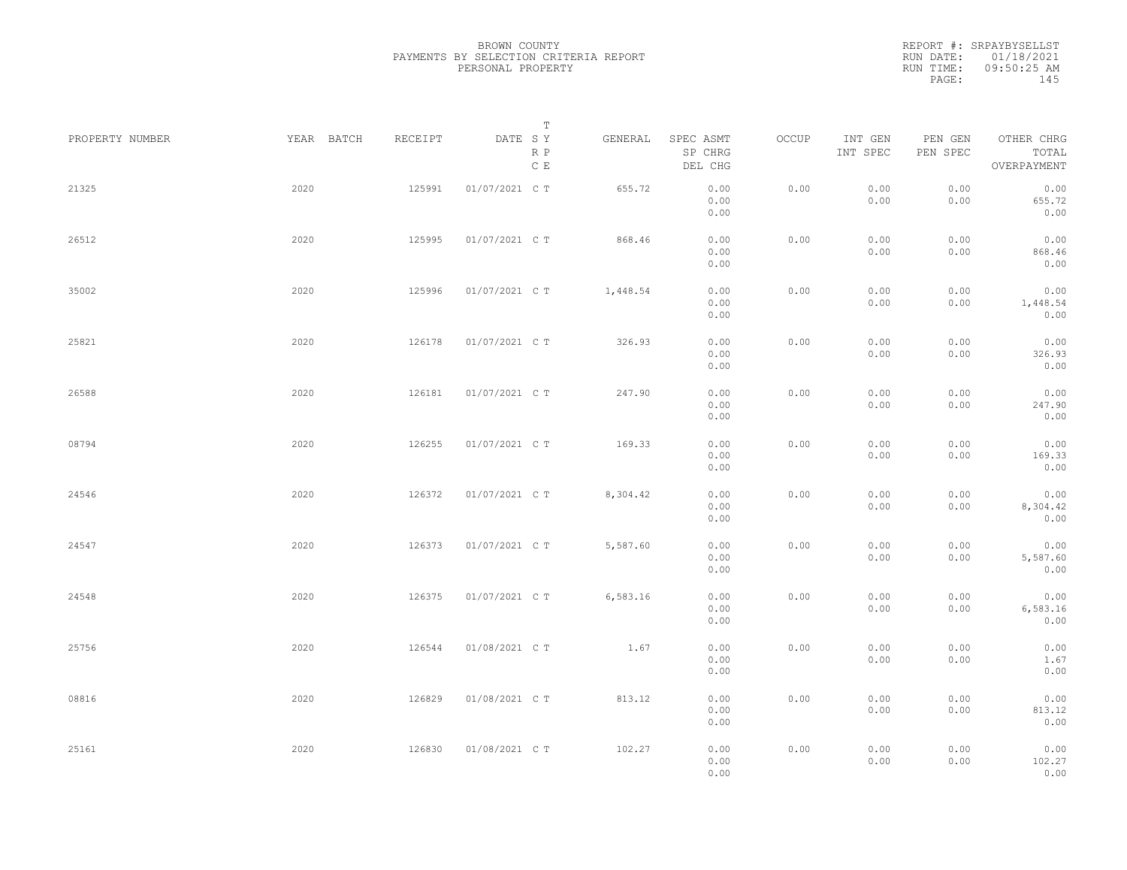REPORT #: SRPAYBYSELLST RUN DATE: 01/18/2021 RUN TIME: 09:50:25 AM PAGE: 145

|                 |            |         | Т                               |          |                                 |       |                     |                     |                                    |  |
|-----------------|------------|---------|---------------------------------|----------|---------------------------------|-------|---------------------|---------------------|------------------------------------|--|
| PROPERTY NUMBER | YEAR BATCH | RECEIPT | DATE SY<br>R P<br>$\,$ C $\,$ E | GENERAL  | SPEC ASMT<br>SP CHRG<br>DEL CHG | OCCUP | INT GEN<br>INT SPEC | PEN GEN<br>PEN SPEC | OTHER CHRG<br>TOTAL<br>OVERPAYMENT |  |
| 21325           | 2020       | 125991  | 01/07/2021 C T                  | 655.72   | 0.00<br>0.00<br>0.00            | 0.00  | 0.00<br>0.00        | 0.00<br>0.00        | 0.00<br>655.72<br>0.00             |  |
| 26512           | 2020       | 125995  | 01/07/2021 C T                  | 868.46   | 0.00<br>0.00<br>0.00            | 0.00  | 0.00<br>0.00        | 0.00<br>0.00        | 0.00<br>868.46<br>0.00             |  |
| 35002           | 2020       | 125996  | 01/07/2021 C T                  | 1,448.54 | 0.00<br>0.00<br>0.00            | 0.00  | 0.00<br>0.00        | 0.00<br>0.00        | 0.00<br>1,448.54<br>0.00           |  |
| 25821           | 2020       | 126178  | 01/07/2021 C T                  | 326.93   | 0.00<br>0.00<br>0.00            | 0.00  | 0.00<br>0.00        | 0.00<br>0.00        | 0.00<br>326.93<br>0.00             |  |
| 26588           | 2020       | 126181  | 01/07/2021 C T                  | 247.90   | 0.00<br>0.00<br>0.00            | 0.00  | 0.00<br>0.00        | 0.00<br>0.00        | 0.00<br>247.90<br>0.00             |  |
| 08794           | 2020       | 126255  | 01/07/2021 C T                  | 169.33   | 0.00<br>0.00<br>0.00            | 0.00  | 0.00<br>0.00        | 0.00<br>0.00        | 0.00<br>169.33<br>0.00             |  |
| 24546           | 2020       | 126372  | 01/07/2021 C T                  | 8,304.42 | 0.00<br>0.00<br>0.00            | 0.00  | 0.00<br>0.00        | 0.00<br>0.00        | 0.00<br>8,304.42<br>0.00           |  |
| 24547           | 2020       | 126373  | 01/07/2021 C T                  | 5,587.60 | 0.00<br>0.00<br>0.00            | 0.00  | 0.00<br>0.00        | 0.00<br>0.00        | 0.00<br>5,587.60<br>0.00           |  |
| 24548           | 2020       | 126375  | 01/07/2021 C T                  | 6,583.16 | 0.00<br>0.00<br>0.00            | 0.00  | 0.00<br>0.00        | 0.00<br>0.00        | 0.00<br>6,583.16<br>0.00           |  |
| 25756           | 2020       | 126544  | 01/08/2021 C T                  | 1.67     | 0.00<br>0.00<br>0.00            | 0.00  | 0.00<br>0.00        | 0.00<br>0.00        | 0.00<br>1.67<br>0.00               |  |
| 08816           | 2020       | 126829  | 01/08/2021 C T                  | 813.12   | 0.00<br>0.00<br>0.00            | 0.00  | 0.00<br>0.00        | 0.00<br>0.00        | 0.00<br>813.12<br>0.00             |  |
| 25161           | 2020       | 126830  | 01/08/2021 C T                  | 102.27   | 0.00<br>0.00<br>0.00            | 0.00  | 0.00<br>0.00        | 0.00<br>0.00        | 0.00<br>102.27<br>0.00             |  |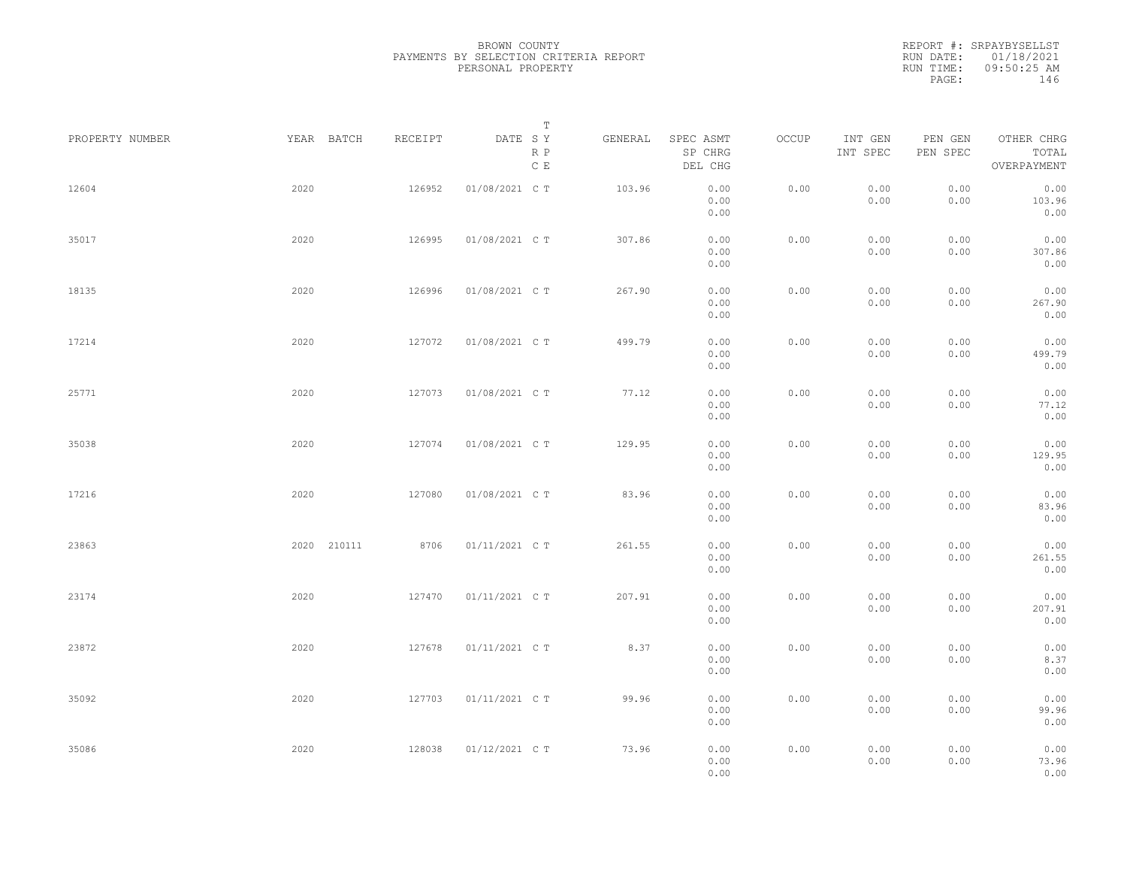REPORT #: SRPAYBYSELLST RUN DATE: 01/18/2021 RUN TIME: 09:50:25 AM PAGE: 146

| PROPERTY NUMBER |      | YEAR BATCH  | RECEIPT | DATE SY        | Т<br>R P      | GENERAL | SPEC ASMT<br>SP CHRG | OCCUP | INT GEN<br>INT SPEC | PEN GEN<br>PEN SPEC | OTHER CHRG<br>TOTAL    |  |
|-----------------|------|-------------|---------|----------------|---------------|---------|----------------------|-------|---------------------|---------------------|------------------------|--|
|                 |      |             |         |                | $\,$ C $\,$ E |         | DEL CHG              |       |                     |                     | OVERPAYMENT            |  |
| 12604           | 2020 |             | 126952  | 01/08/2021 C T |               | 103.96  | 0.00<br>0.00<br>0.00 | 0.00  | 0.00<br>0.00        | 0.00<br>0.00        | 0.00<br>103.96<br>0.00 |  |
| 35017           | 2020 |             | 126995  | 01/08/2021 C T |               | 307.86  | 0.00<br>0.00         | 0.00  | 0.00<br>0.00        | 0.00<br>0.00        | 0.00<br>307.86         |  |
|                 |      |             |         |                |               |         | 0.00                 |       |                     |                     | 0.00                   |  |
| 18135           | 2020 |             | 126996  | 01/08/2021 C T |               | 267.90  | 0.00<br>0.00<br>0.00 | 0.00  | 0.00<br>0.00        | 0.00<br>0.00        | 0.00<br>267.90<br>0.00 |  |
| 17214           | 2020 |             | 127072  | 01/08/2021 C T |               | 499.79  | 0.00<br>0.00<br>0.00 | 0.00  | 0.00<br>0.00        | 0.00<br>0.00        | 0.00<br>499.79<br>0.00 |  |
| 25771           | 2020 |             | 127073  | 01/08/2021 C T |               | 77.12   | 0.00<br>0.00<br>0.00 | 0.00  | 0.00<br>0.00        | 0.00<br>0.00        | 0.00<br>77.12<br>0.00  |  |
| 35038           | 2020 |             | 127074  | 01/08/2021 C T |               | 129.95  | 0.00<br>0.00         | 0.00  | 0.00<br>0.00        | 0.00<br>0.00        | 0.00<br>129.95         |  |
| 17216           | 2020 |             | 127080  | 01/08/2021 C T |               | 83.96   | 0.00<br>0.00<br>0.00 | 0.00  | 0.00<br>0.00        | 0.00<br>0.00        | 0.00<br>0.00<br>83.96  |  |
| 23863           |      | 2020 210111 | 8706    | 01/11/2021 C T |               | 261.55  | 0.00<br>0.00         | 0.00  | 0.00                | 0.00                | 0.00<br>0.00           |  |
|                 |      |             |         |                |               |         | 0.00<br>0.00         |       | 0.00                | 0.00                | 261.55<br>0.00         |  |
| 23174           | 2020 |             | 127470  | 01/11/2021 C T |               | 207.91  | 0.00<br>0.00<br>0.00 | 0.00  | 0.00<br>0.00        | 0.00<br>0.00        | 0.00<br>207.91<br>0.00 |  |
| 23872           | 2020 |             | 127678  | 01/11/2021 C T |               | 8.37    | 0.00<br>0.00<br>0.00 | 0.00  | 0.00<br>0.00        | 0.00<br>0.00        | 0.00<br>8.37<br>0.00   |  |
| 35092           | 2020 |             | 127703  | 01/11/2021 C T |               | 99.96   | 0.00<br>0.00<br>0.00 | 0.00  | 0.00<br>0.00        | 0.00<br>0.00        | 0.00<br>99.96<br>0.00  |  |
| 35086           | 2020 |             | 128038  | 01/12/2021 C T |               | 73.96   | 0.00<br>0.00<br>0.00 | 0.00  | 0.00<br>0.00        | 0.00<br>0.00        | 0.00<br>73.96<br>0.00  |  |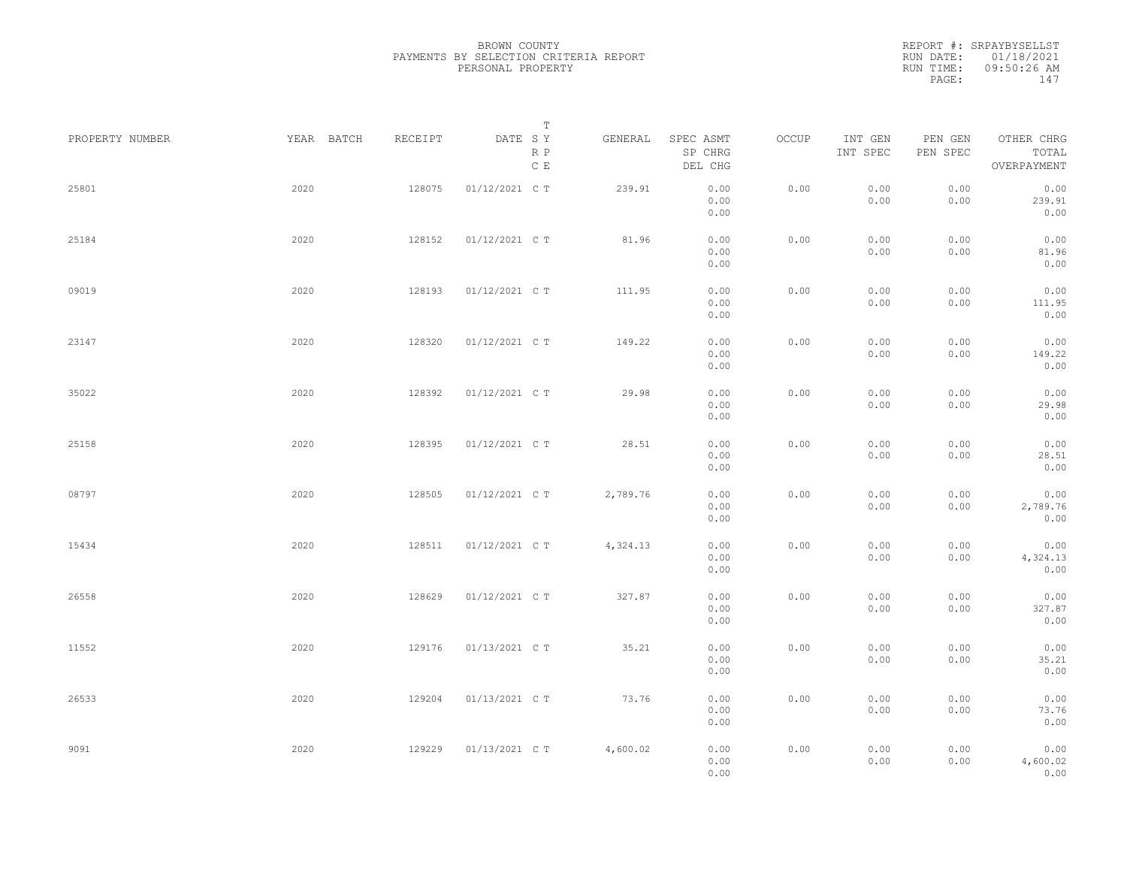REPORT #: SRPAYBYSELLST RUN DATE: 01/18/2021 RUN TIME: 09:50:26 AM PAGE: 147

|                 |            |         | Т                               |          |                                 |       |                     |                     |                                    |  |
|-----------------|------------|---------|---------------------------------|----------|---------------------------------|-------|---------------------|---------------------|------------------------------------|--|
| PROPERTY NUMBER | YEAR BATCH | RECEIPT | DATE SY<br>R P<br>$\,$ C $\,$ E | GENERAL  | SPEC ASMT<br>SP CHRG<br>DEL CHG | OCCUP | INT GEN<br>INT SPEC | PEN GEN<br>PEN SPEC | OTHER CHRG<br>TOTAL<br>OVERPAYMENT |  |
| 25801           | 2020       | 128075  | 01/12/2021 C T                  | 239.91   | 0.00<br>0.00<br>0.00            | 0.00  | 0.00<br>0.00        | 0.00<br>0.00        | 0.00<br>239.91<br>0.00             |  |
| 25184           | 2020       | 128152  | 01/12/2021 C T                  | 81.96    | 0.00<br>0.00<br>0.00            | 0.00  | 0.00<br>0.00        | 0.00<br>0.00        | 0.00<br>81.96<br>0.00              |  |
| 09019           | 2020       | 128193  | 01/12/2021 C T                  | 111.95   | 0.00<br>0.00<br>0.00            | 0.00  | 0.00<br>0.00        | 0.00<br>0.00        | 0.00<br>111.95<br>0.00             |  |
| 23147           | 2020       | 128320  | 01/12/2021 C T                  | 149.22   | 0.00<br>0.00<br>0.00            | 0.00  | 0.00<br>0.00        | 0.00<br>0.00        | 0.00<br>149.22<br>0.00             |  |
| 35022           | 2020       | 128392  | 01/12/2021 C T                  | 29.98    | 0.00<br>0.00<br>0.00            | 0.00  | 0.00<br>0.00        | 0.00<br>0.00        | 0.00<br>29.98<br>0.00              |  |
| 25158           | 2020       | 128395  | 01/12/2021 C T                  | 28.51    | 0.00<br>0.00<br>0.00            | 0.00  | 0.00<br>0.00        | 0.00<br>0.00        | 0.00<br>28.51<br>0.00              |  |
| 08797           | 2020       | 128505  | 01/12/2021 C T                  | 2,789.76 | 0.00<br>0.00<br>0.00            | 0.00  | 0.00<br>0.00        | 0.00<br>0.00        | 0.00<br>2,789.76<br>0.00           |  |
| 15434           | 2020       | 128511  | 01/12/2021 C T                  | 4,324.13 | 0.00<br>0.00<br>0.00            | 0.00  | 0.00<br>0.00        | 0.00<br>0.00        | 0.00<br>4,324.13<br>0.00           |  |
| 26558           | 2020       | 128629  | 01/12/2021 C T                  | 327.87   | 0.00<br>0.00<br>0.00            | 0.00  | 0.00<br>0.00        | 0.00<br>0.00        | 0.00<br>327.87<br>0.00             |  |
| 11552           | 2020       | 129176  | 01/13/2021 C T                  | 35.21    | 0.00<br>0.00<br>0.00            | 0.00  | 0.00<br>0.00        | 0.00<br>0.00        | 0.00<br>35.21<br>0.00              |  |
| 26533           | 2020       | 129204  | 01/13/2021 C T                  | 73.76    | 0.00<br>0.00<br>0.00            | 0.00  | 0.00<br>0.00        | 0.00<br>0.00        | 0.00<br>73.76<br>0.00              |  |
| 9091            | 2020       | 129229  | 01/13/2021 C T                  | 4,600.02 | 0.00<br>0.00<br>0.00            | 0.00  | 0.00<br>0.00        | 0.00<br>0.00        | 0.00<br>4,600.02<br>0.00           |  |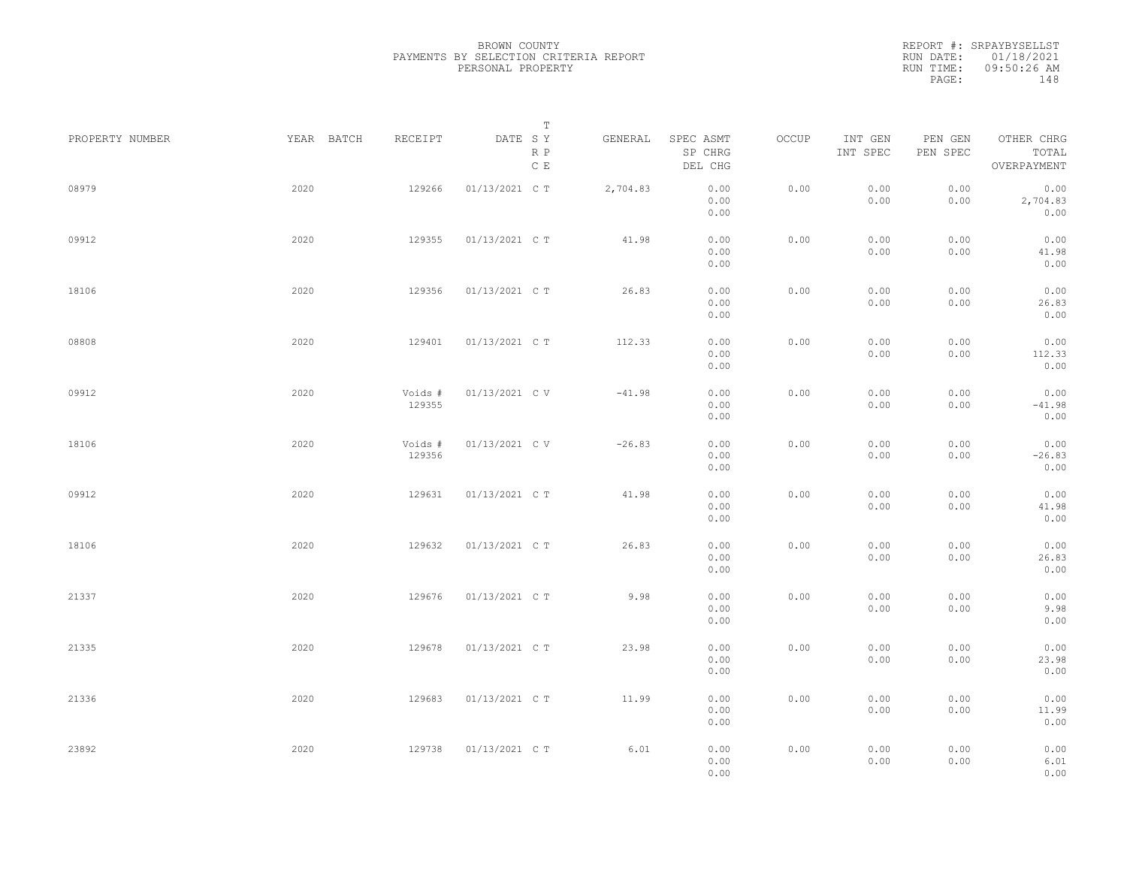REPORT #: SRPAYBYSELLST RUN DATE: 01/18/2021 RUN TIME: 09:50:26 AM PAGE: 148

| PROPERTY NUMBER | YEAR BATCH | RECEIPT           | Т<br>DATE SY<br>R P | GENERAL  | SPEC ASMT<br>SP CHRG | OCCUP | INT GEN<br>INT SPEC | PEN GEN<br>PEN SPEC | OTHER CHRG<br>TOTAL      |  |
|-----------------|------------|-------------------|---------------------|----------|----------------------|-------|---------------------|---------------------|--------------------------|--|
|                 |            |                   | C E                 |          | DEL CHG              |       |                     |                     | OVERPAYMENT              |  |
| 08979           | 2020       | 129266            | 01/13/2021 C T      | 2,704.83 | 0.00<br>0.00<br>0.00 | 0.00  | 0.00<br>0.00        | 0.00<br>0.00        | 0.00<br>2,704.83<br>0.00 |  |
| 09912           | 2020       | 129355            | 01/13/2021 C T      | 41.98    | 0.00<br>0.00<br>0.00 | 0.00  | 0.00<br>0.00        | 0.00<br>0.00        | 0.00<br>41.98<br>0.00    |  |
| 18106           | 2020       | 129356            | 01/13/2021 C T      | 26.83    | 0.00<br>0.00<br>0.00 | 0.00  | 0.00<br>0.00        | 0.00<br>0.00        | 0.00<br>26.83<br>0.00    |  |
| 08808           | 2020       | 129401            | 01/13/2021 C T      | 112.33   | 0.00<br>0.00<br>0.00 | 0.00  | 0.00<br>0.00        | 0.00<br>0.00        | 0.00<br>112.33<br>0.00   |  |
| 09912           | 2020       | Voids #<br>129355 | 01/13/2021 C V      | $-41.98$ | 0.00<br>0.00<br>0.00 | 0.00  | 0.00<br>0.00        | 0.00<br>0.00        | 0.00<br>$-41.98$<br>0.00 |  |
| 18106           | 2020       | Voids #<br>129356 | 01/13/2021 C V      | $-26.83$ | 0.00<br>0.00<br>0.00 | 0.00  | 0.00<br>0.00        | 0.00<br>0.00        | 0.00<br>$-26.83$<br>0.00 |  |
| 09912           | 2020       | 129631            | 01/13/2021 C T      | 41.98    | 0.00<br>0.00<br>0.00 | 0.00  | 0.00<br>0.00        | 0.00<br>0.00        | 0.00<br>41.98<br>0.00    |  |
| 18106           | 2020       | 129632            | 01/13/2021 C T      | 26.83    | 0.00<br>0.00<br>0.00 | 0.00  | 0.00<br>0.00        | 0.00<br>0.00        | 0.00<br>26.83<br>0.00    |  |
| 21337           | 2020       | 129676            | 01/13/2021 C T      | 9.98     | 0.00<br>0.00<br>0.00 | 0.00  | 0.00<br>0.00        | 0.00<br>0.00        | 0.00<br>9.98<br>0.00     |  |
| 21335           | 2020       | 129678            | 01/13/2021 C T      | 23.98    | 0.00<br>0.00<br>0.00 | 0.00  | 0.00<br>0.00        | 0.00<br>0.00        | 0.00<br>23.98<br>0.00    |  |
| 21336           | 2020       | 129683            | 01/13/2021 C T      | 11.99    | 0.00<br>0.00<br>0.00 | 0.00  | 0.00<br>0.00        | 0.00<br>0.00        | 0.00<br>11.99<br>0.00    |  |
| 23892           | 2020       | 129738            | 01/13/2021 C T      | 6.01     | 0.00<br>0.00<br>0.00 | 0.00  | 0.00<br>0.00        | 0.00<br>0.00        | 0.00<br>6.01<br>0.00     |  |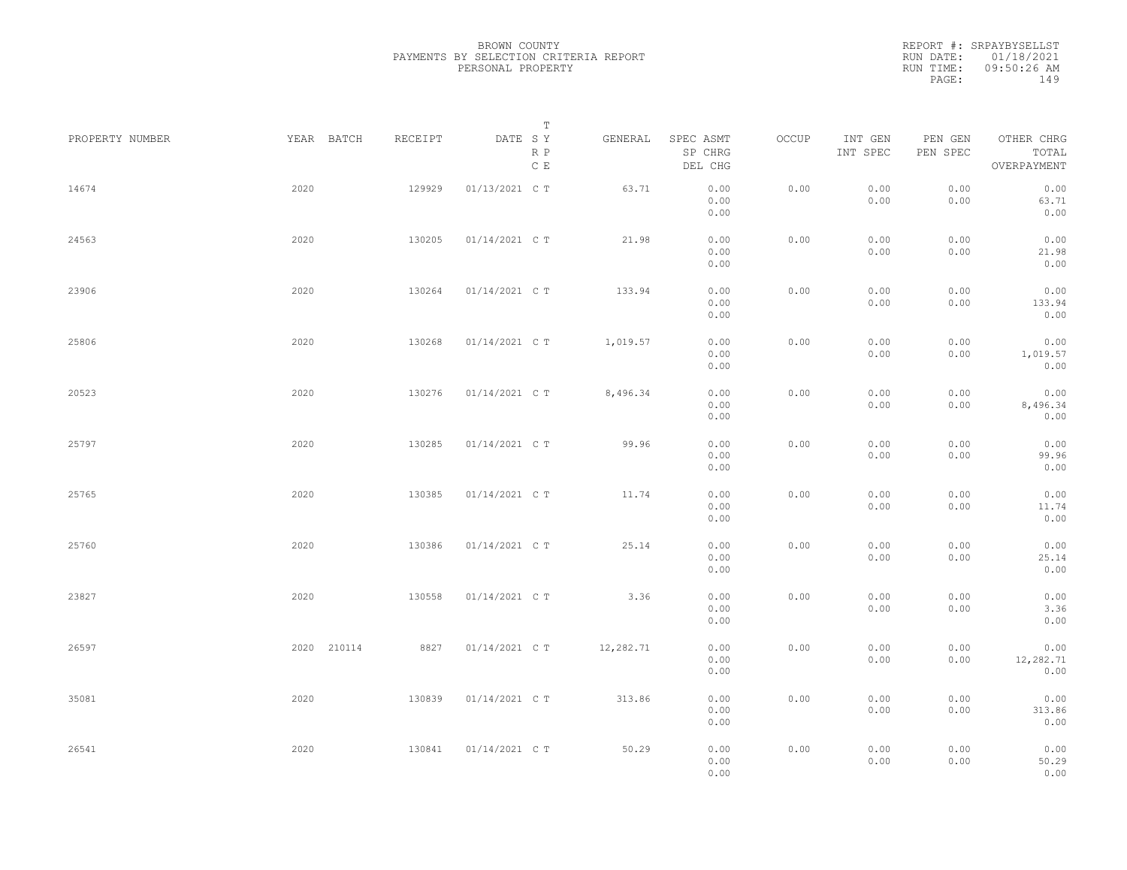REPORT #: SRPAYBYSELLST RUN DATE: 01/18/2021 RUN TIME: 09:50:26 AM PAGE: 149

| PROPERTY NUMBER |      | YEAR BATCH  | RECEIPT | DATE SY        | $\mathbb T$            | GENERAL   | SPEC ASMT            | OCCUP | INT GEN      | PEN GEN      | OTHER CHRG               |
|-----------------|------|-------------|---------|----------------|------------------------|-----------|----------------------|-------|--------------|--------------|--------------------------|
|                 |      |             |         |                | R P<br>$\mathbb C\,$ E |           | SP CHRG<br>DEL CHG   |       | INT SPEC     | PEN SPEC     | TOTAL<br>OVERPAYMENT     |
| 14674           | 2020 |             | 129929  | 01/13/2021 C T |                        | 63.71     | 0.00<br>0.00<br>0.00 | 0.00  | 0.00<br>0.00 | 0.00<br>0.00 | 0.00<br>63.71<br>0.00    |
| 24563           | 2020 |             | 130205  | 01/14/2021 C T |                        | 21.98     | 0.00<br>0.00<br>0.00 | 0.00  | 0.00<br>0.00 | 0.00<br>0.00 | 0.00<br>21.98<br>0.00    |
| 23906           | 2020 |             | 130264  | 01/14/2021 C T |                        | 133.94    | 0.00<br>0.00<br>0.00 | 0.00  | 0.00<br>0.00 | 0.00<br>0.00 | 0.00<br>133.94<br>0.00   |
| 25806           | 2020 |             | 130268  | 01/14/2021 C T |                        | 1,019.57  | 0.00<br>0.00<br>0.00 | 0.00  | 0.00<br>0.00 | 0.00<br>0.00 | 0.00<br>1,019.57<br>0.00 |
| 20523           | 2020 |             | 130276  | 01/14/2021 C T |                        | 8,496.34  | 0.00<br>0.00         | 0.00  | 0.00<br>0.00 | 0.00<br>0.00 | 0.00<br>8,496.34         |
| 25797           | 2020 |             | 130285  | 01/14/2021 C T |                        | 99.96     | 0.00<br>0.00<br>0.00 | 0.00  | 0.00<br>0.00 | 0.00<br>0.00 | 0.00<br>0.00<br>99.96    |
| 25765           | 2020 |             | 130385  | 01/14/2021 C T |                        | 11.74     | 0.00<br>0.00<br>0.00 | 0.00  | 0.00<br>0.00 | 0.00<br>0.00 | 0.00<br>0.00<br>11.74    |
| 25760           | 2020 |             | 130386  | 01/14/2021 C T |                        | 25.14     | 0.00<br>0.00<br>0.00 | 0.00  | 0.00<br>0.00 | 0.00<br>0.00 | 0.00<br>0.00<br>25.14    |
| 23827           | 2020 |             | 130558  | 01/14/2021 C T |                        | 3.36      | 0.00<br>0.00         | 0.00  | 0.00         | 0.00         | 0.00<br>0.00             |
| 26597           |      | 2020 210114 | 8827    | 01/14/2021 C T |                        | 12,282.71 | 0.00<br>0.00<br>0.00 | 0.00  | 0.00<br>0.00 | 0.00<br>0.00 | 3.36<br>0.00<br>0.00     |
|                 |      |             |         |                |                        |           | 0.00<br>0.00         |       | 0.00         | 0.00         | 12,282.71<br>0.00        |
| 35081           | 2020 |             | 130839  | 01/14/2021 C T |                        | 313.86    | 0.00<br>0.00<br>0.00 | 0.00  | 0.00<br>0.00 | 0.00<br>0.00 | 0.00<br>313.86<br>0.00   |
| 26541           | 2020 |             | 130841  | 01/14/2021 C T |                        | 50.29     | 0.00<br>0.00<br>0.00 | 0.00  | 0.00<br>0.00 | 0.00<br>0.00 | 0.00<br>50.29<br>0.00    |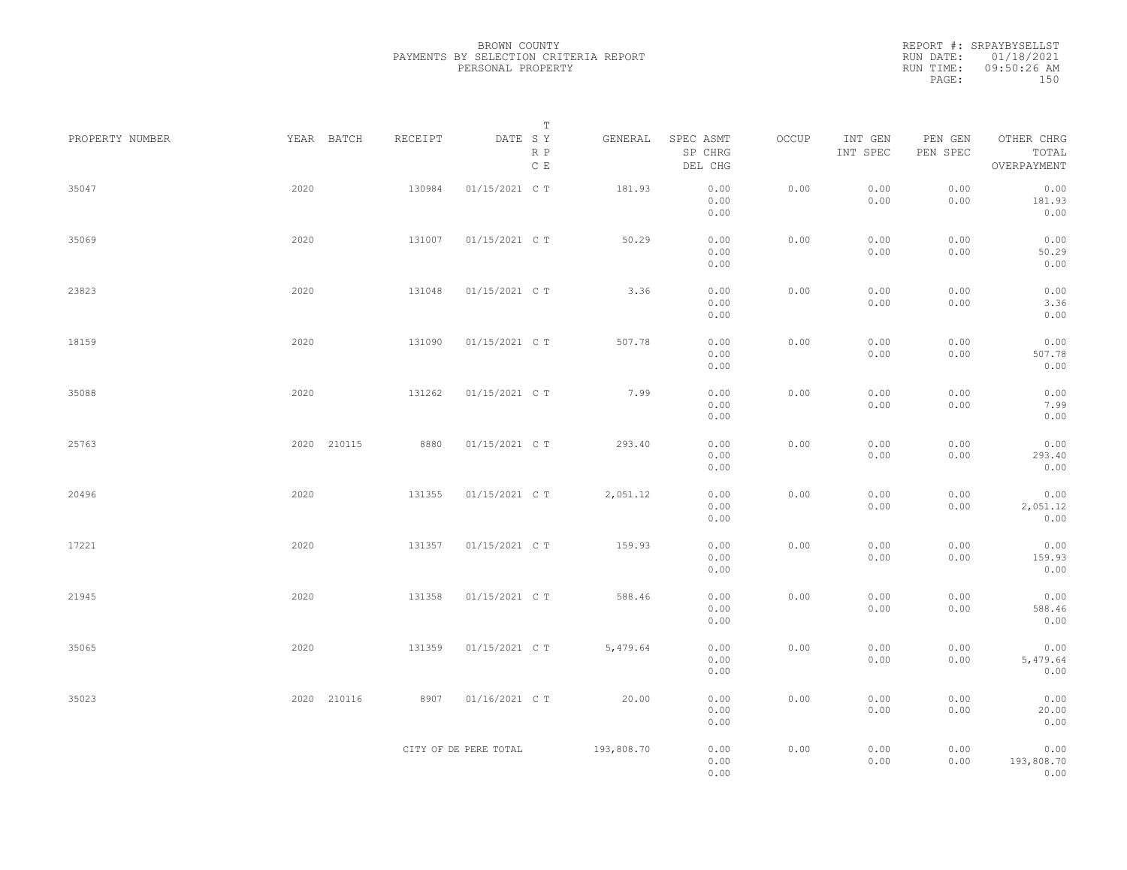REPORT #: SRPAYBYSELLST RUN DATE: 01/18/2021 RUN TIME: 09:50:26 AM PAGE: 150

| PROPERTY NUMBER |      | YEAR BATCH  | RECEIPT | T<br>DATE SY<br>$\mathbb R$ $\mathbb P$<br>$\mathbb C\,$ E | GENERAL    | SPEC ASMT<br>SP CHRG<br>DEL CHG | OCCUP | INT GEN<br>INT SPEC | PEN GEN<br>PEN SPEC | OTHER CHRG<br>TOTAL<br>OVERPAYMENT |  |
|-----------------|------|-------------|---------|------------------------------------------------------------|------------|---------------------------------|-------|---------------------|---------------------|------------------------------------|--|
| 35047           | 2020 |             | 130984  | 01/15/2021 C T                                             | 181.93     | 0.00<br>0.00<br>0.00            | 0.00  | 0.00<br>0.00        | 0.00<br>0.00        | 0.00<br>181.93<br>0.00             |  |
| 35069           | 2020 |             | 131007  | 01/15/2021 C T                                             | 50.29      | 0.00<br>0.00<br>0.00            | 0.00  | 0.00<br>0.00        | 0.00<br>0.00        | 0.00<br>50.29<br>0.00              |  |
| 23823           | 2020 |             | 131048  | 01/15/2021 C T                                             | 3.36       | 0.00<br>0.00<br>0.00            | 0.00  | 0.00<br>0.00        | 0.00<br>0.00        | 0.00<br>3.36<br>0.00               |  |
| 18159           | 2020 |             | 131090  | 01/15/2021 C T                                             | 507.78     | 0.00<br>0.00<br>0.00            | 0.00  | 0.00<br>0.00        | 0.00<br>0.00        | 0.00<br>507.78<br>0.00             |  |
| 35088           | 2020 |             | 131262  | 01/15/2021 C T                                             | 7.99       | 0.00<br>0.00<br>0.00            | 0.00  | 0.00<br>0.00        | 0.00<br>0.00        | 0.00<br>7.99<br>0.00               |  |
| 25763           |      | 2020 210115 | 8880    | 01/15/2021 C T                                             | 293.40     | 0.00<br>0.00<br>0.00            | 0.00  | 0.00<br>0.00        | 0.00<br>0.00        | 0.00<br>293.40<br>0.00             |  |
| 20496           | 2020 |             | 131355  | 01/15/2021 C T                                             | 2,051.12   | 0.00<br>0.00<br>0.00            | 0.00  | 0.00<br>0.00        | 0.00<br>0.00        | 0.00<br>2,051.12<br>0.00           |  |
| 17221           | 2020 |             | 131357  | 01/15/2021 C T                                             | 159.93     | 0.00<br>0.00<br>0.00            | 0.00  | 0.00<br>0.00        | 0.00<br>0.00        | 0.00<br>159.93<br>0.00             |  |
| 21945           | 2020 |             | 131358  | 01/15/2021 C T                                             | 588.46     | 0.00<br>0.00<br>0.00            | 0.00  | 0.00<br>0.00        | 0.00<br>0.00        | 0.00<br>588.46<br>0.00             |  |
| 35065           | 2020 |             | 131359  | 01/15/2021 C T                                             | 5,479.64   | 0.00<br>0.00<br>0.00            | 0.00  | 0.00<br>0.00        | 0.00<br>0.00        | 0.00<br>5,479.64<br>0.00           |  |
| 35023           |      | 2020 210116 | 8907    | 01/16/2021 C T                                             | 20.00      | 0.00<br>0.00<br>0.00            | 0.00  | 0.00<br>0.00        | 0.00<br>0.00        | 0.00<br>20.00<br>0.00              |  |
|                 |      |             |         | CITY OF DE PERE TOTAL                                      | 193,808.70 | 0.00<br>0.00<br>0.00            | 0.00  | 0.00<br>0.00        | 0.00<br>0.00        | 0.00<br>193,808.70<br>0.00         |  |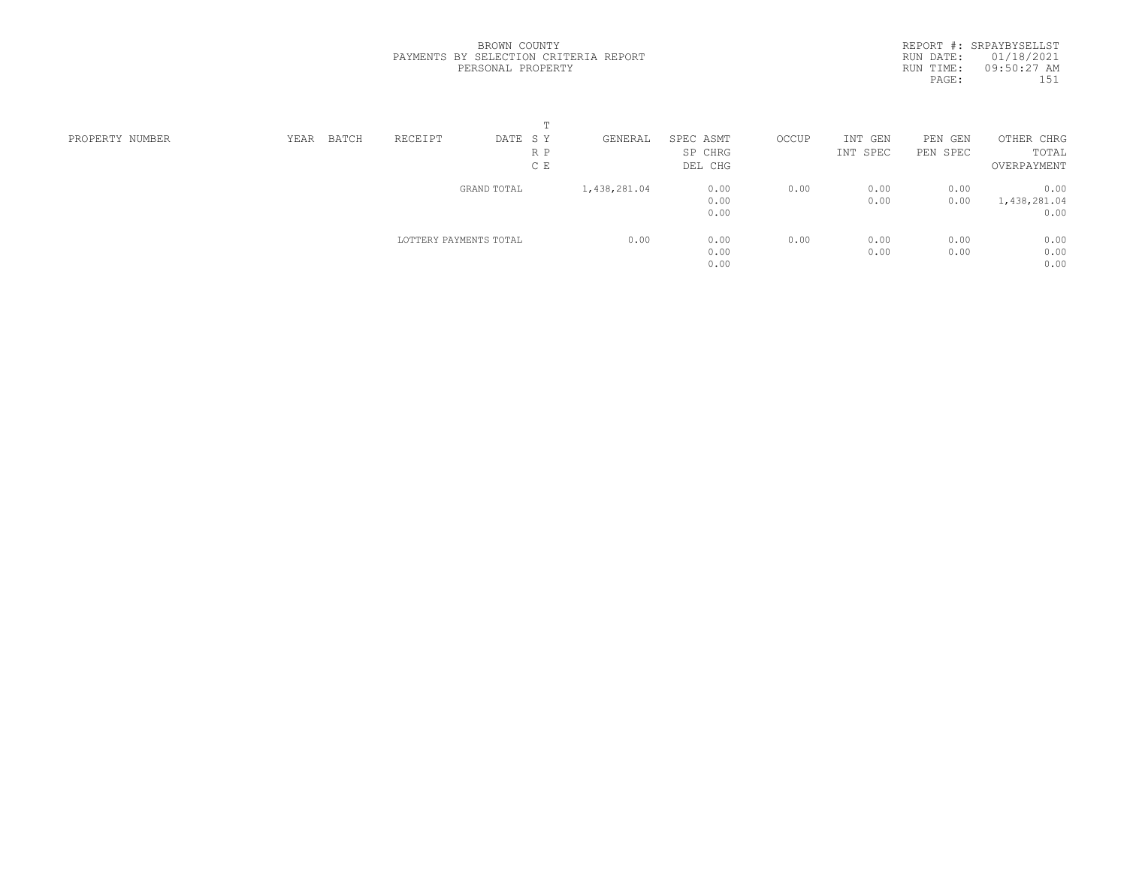REPORT #: SRPAYBYSELLST RUN DATE: 01/18/2021 RUN TIME: 09:50:27 AM PAGE: 151

|                 |      |       |                        | $\blacksquare$ |              |           |       |          |          |              |  |
|-----------------|------|-------|------------------------|----------------|--------------|-----------|-------|----------|----------|--------------|--|
| PROPERTY NUMBER | YEAR | BATCH | RECEIPT                | DATE SY        | GENERAL      | SPEC ASMT | OCCUP | INT GEN  | PEN GEN  | OTHER CHRG   |  |
|                 |      |       |                        | R P            |              | SP CHRG   |       | INT SPEC | PEN SPEC | TOTAL        |  |
|                 |      |       |                        | C E            |              | DEL CHG   |       |          |          | OVERPAYMENT  |  |
|                 |      |       |                        | GRAND TOTAL    | 1,438,281.04 | 0.00      | 0.00  | 0.00     | 0.00     | 0.00         |  |
|                 |      |       |                        |                |              | 0.00      |       | 0.00     | 0.00     | 1,438,281.04 |  |
|                 |      |       |                        |                |              | 0.00      |       |          |          | 0.00         |  |
|                 |      |       | LOTTERY PAYMENTS TOTAL |                | 0.00         | 0.00      | 0.00  | 0.00     | 0.00     | 0.00         |  |
|                 |      |       |                        |                |              | 0.00      |       | 0.00     | 0.00     | 0.00         |  |
|                 |      |       |                        |                |              | 0.00      |       |          |          | 0.00         |  |